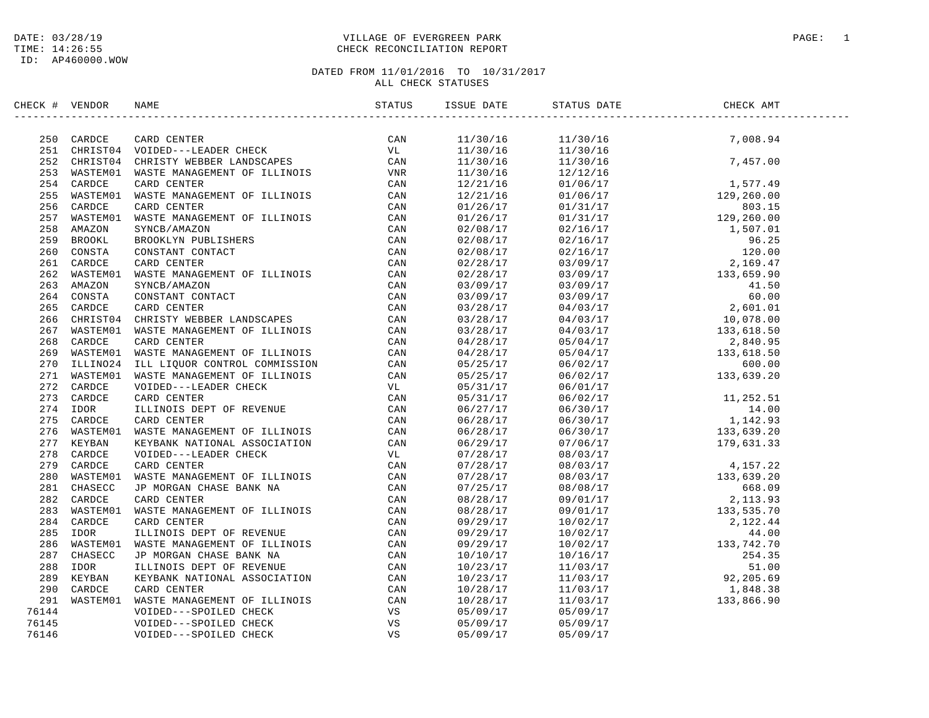### DATE: 03/28/19 PAGE: 1 PAGE: 1 TIME: 14:26:55 CHECK RECONCILIATION REPORT

| CHECK # VENDOR | NAME                                                                                                                                                                                                                                  | STATUS | ISSUE DATE  | STATUS DATE                                                                                                                                                                                                                                                             | CHECK AMT |  |
|----------------|---------------------------------------------------------------------------------------------------------------------------------------------------------------------------------------------------------------------------------------|--------|-------------|-------------------------------------------------------------------------------------------------------------------------------------------------------------------------------------------------------------------------------------------------------------------------|-----------|--|
|                | CCR FUERION RANES ANALOGENEST OF ILLINOIS (2012)<br>251 CARDCE CARD CENTER CIRCULATED CRIP (2013)<br>251 CHIESTON VERBER LINES CHIEST CRIP (2013)<br>251 CHIESTON CRIP MANAGEMENT OF ILLINOIS<br>253 WASTEMON RATE MANAGEMENT OF ILLI |        |             |                                                                                                                                                                                                                                                                         |           |  |
|                |                                                                                                                                                                                                                                       |        |             | $\begin{array}{cccc} 11/30/16 & & 11/30/16 & & 7,008.94 \\ 11/30/16 & & 11/30/16 & & 11/30/16 \\ 11/30/16 & & 11/30/16 & & 7,457.00 \\ 11/30/16 & & 12/12/16 & & & \end{array}$                                                                                         |           |  |
|                |                                                                                                                                                                                                                                       |        |             |                                                                                                                                                                                                                                                                         |           |  |
|                |                                                                                                                                                                                                                                       |        |             |                                                                                                                                                                                                                                                                         |           |  |
|                |                                                                                                                                                                                                                                       |        |             |                                                                                                                                                                                                                                                                         |           |  |
|                |                                                                                                                                                                                                                                       |        |             |                                                                                                                                                                                                                                                                         |           |  |
|                |                                                                                                                                                                                                                                       |        |             |                                                                                                                                                                                                                                                                         |           |  |
|                |                                                                                                                                                                                                                                       |        |             |                                                                                                                                                                                                                                                                         |           |  |
|                |                                                                                                                                                                                                                                       |        |             |                                                                                                                                                                                                                                                                         |           |  |
|                |                                                                                                                                                                                                                                       |        |             |                                                                                                                                                                                                                                                                         |           |  |
|                |                                                                                                                                                                                                                                       |        |             |                                                                                                                                                                                                                                                                         |           |  |
|                |                                                                                                                                                                                                                                       |        |             |                                                                                                                                                                                                                                                                         |           |  |
|                |                                                                                                                                                                                                                                       |        |             |                                                                                                                                                                                                                                                                         |           |  |
|                |                                                                                                                                                                                                                                       |        |             |                                                                                                                                                                                                                                                                         |           |  |
|                |                                                                                                                                                                                                                                       |        |             |                                                                                                                                                                                                                                                                         |           |  |
|                |                                                                                                                                                                                                                                       |        |             |                                                                                                                                                                                                                                                                         |           |  |
|                |                                                                                                                                                                                                                                       |        |             |                                                                                                                                                                                                                                                                         |           |  |
|                |                                                                                                                                                                                                                                       |        |             |                                                                                                                                                                                                                                                                         |           |  |
|                |                                                                                                                                                                                                                                       |        |             |                                                                                                                                                                                                                                                                         |           |  |
|                |                                                                                                                                                                                                                                       |        |             |                                                                                                                                                                                                                                                                         |           |  |
|                |                                                                                                                                                                                                                                       |        |             |                                                                                                                                                                                                                                                                         |           |  |
|                |                                                                                                                                                                                                                                       |        |             |                                                                                                                                                                                                                                                                         |           |  |
|                |                                                                                                                                                                                                                                       |        |             |                                                                                                                                                                                                                                                                         |           |  |
|                |                                                                                                                                                                                                                                       |        |             |                                                                                                                                                                                                                                                                         |           |  |
|                |                                                                                                                                                                                                                                       |        |             | $\begin{array}{cccccc} 05/31/17 & 06/02/17 & 11,252.51 \\ 05/31/17 & 06/02/17 & 14.00 \\ 06/27/17 & 06/30/17 & 142.93 \\ 06/28/17 & 06/30/17 & 133,639.20 \\ 06/29/17 & 07/06/17 & 179,631.33 \end{array}$                                                              |           |  |
|                |                                                                                                                                                                                                                                       |        |             |                                                                                                                                                                                                                                                                         |           |  |
|                |                                                                                                                                                                                                                                       |        |             |                                                                                                                                                                                                                                                                         |           |  |
|                |                                                                                                                                                                                                                                       |        |             |                                                                                                                                                                                                                                                                         |           |  |
|                |                                                                                                                                                                                                                                       |        |             |                                                                                                                                                                                                                                                                         |           |  |
|                |                                                                                                                                                                                                                                       |        |             |                                                                                                                                                                                                                                                                         |           |  |
|                |                                                                                                                                                                                                                                       |        |             |                                                                                                                                                                                                                                                                         |           |  |
|                |                                                                                                                                                                                                                                       |        |             |                                                                                                                                                                                                                                                                         |           |  |
|                |                                                                                                                                                                                                                                       |        |             | $\begin{array}{cccccc} 07/28/17 & 08/03/17 & 4,157.22 \\ 07/28/17 & 08/03/17 & 4,157.22 \\ 07/28/17 & 08/03/17 & 133,639.20 \\ 07/25/17 & 08/08/17 & 668.09 \\ 08/28/17 & 09/01/17 & 2,113.93 \\ 08/28/17 & 2,113.93 \\ \end{array}$                                    |           |  |
|                |                                                                                                                                                                                                                                       |        |             |                                                                                                                                                                                                                                                                         |           |  |
|                |                                                                                                                                                                                                                                       |        |             |                                                                                                                                                                                                                                                                         |           |  |
|                |                                                                                                                                                                                                                                       |        |             |                                                                                                                                                                                                                                                                         |           |  |
|                |                                                                                                                                                                                                                                       |        |             |                                                                                                                                                                                                                                                                         |           |  |
|                |                                                                                                                                                                                                                                       |        |             |                                                                                                                                                                                                                                                                         |           |  |
|                |                                                                                                                                                                                                                                       |        |             |                                                                                                                                                                                                                                                                         |           |  |
|                |                                                                                                                                                                                                                                       |        |             |                                                                                                                                                                                                                                                                         |           |  |
|                |                                                                                                                                                                                                                                       |        |             |                                                                                                                                                                                                                                                                         |           |  |
|                |                                                                                                                                                                                                                                       |        |             |                                                                                                                                                                                                                                                                         |           |  |
|                |                                                                                                                                                                                                                                       |        |             | $\begin{array}{cccccc} 08/28/17 & 09/01/17 & 2,113.93 \\ 08/28/17 & 09/01/17 & 133,535.70 \\ 09/29/17 & 10/02/17 & 2,122.44 \\ 09/29/17 & 10/02/17 & 44.00 \\ 09/29/17 & 10/02/17 & 133,742.70 \\ 10/10/17 & 10/16/17 & 254.35 \\ 10/23/17 & 11/03/17 & 92,205.69 \\ 1$ |           |  |
| 76144          |                                                                                                                                                                                                                                       |        |             |                                                                                                                                                                                                                                                                         |           |  |
| 76145          |                                                                                                                                                                                                                                       |        |             |                                                                                                                                                                                                                                                                         |           |  |
| 76146          |                                                                                                                                                                                                                                       |        | 0.5/0.9/1.7 | 05/09/17                                                                                                                                                                                                                                                                |           |  |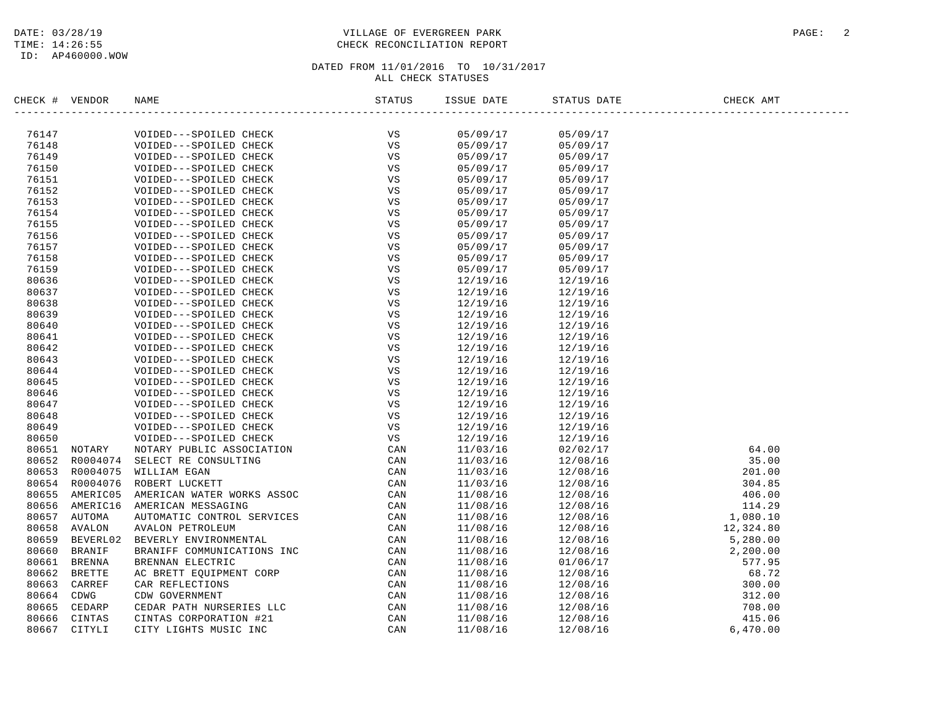### DATE: 03/28/19 PAGE: 2 PAGE: 2 TIME: 14:26:55 CHECK RECONCILIATION REPORT

| CHECK #        | VENDOR         | NAME                                             | STATUS | ISSUE DATE           | STATUS DATE          | CHECK AMT |
|----------------|----------------|--------------------------------------------------|--------|----------------------|----------------------|-----------|
|                |                |                                                  | VS     |                      |                      |           |
| 76147<br>76148 |                | VOIDED---SPOILED CHECK<br>VOIDED---SPOILED CHECK | VS     | 05/09/17<br>05/09/17 | 05/09/17<br>05/09/17 |           |
| 76149          |                | VOIDED---SPOILED CHECK                           | VS     | 05/09/17             | 05/09/17             |           |
| 76150          |                | VOIDED---SPOILED CHECK                           | VS     | 05/09/17             | 05/09/17             |           |
| 76151          |                | VOIDED---SPOILED CHECK                           | VS     | 05/09/17             | 05/09/17             |           |
| 76152          |                | VOIDED---SPOILED CHECK                           | VS     | 05/09/17             | 05/09/17             |           |
| 76153          |                | VOIDED---SPOILED CHECK                           | VS     | 05/09/17             | 05/09/17             |           |
| 76154          |                | VOIDED---SPOILED CHECK                           | VS     | 05/09/17             | 05/09/17             |           |
| 76155          |                | VOIDED---SPOILED CHECK                           | VS     | 05/09/17             | 05/09/17             |           |
| 76156          |                | VOIDED---SPOILED CHECK                           | VS     | 05/09/17             | 05/09/17             |           |
| 76157          |                | VOIDED---SPOILED CHECK                           | VS     | 05/09/17             | 05/09/17             |           |
| 76158          |                | VOIDED---SPOILED CHECK                           | VS     | 05/09/17             | 05/09/17             |           |
| 76159          |                | VOIDED---SPOILED CHECK                           | VS     | 05/09/17             | 05/09/17             |           |
| 80636          |                | VOIDED---SPOILED CHECK                           | VS     | 12/19/16             | 12/19/16             |           |
| 80637          |                | VOIDED---SPOILED CHECK                           | VS     | 12/19/16             | 12/19/16             |           |
| 80638          |                | VOIDED---SPOILED CHECK                           | VS     | 12/19/16             | 12/19/16             |           |
| 80639          |                | VOIDED---SPOILED CHECK                           | VS     | 12/19/16             | 12/19/16             |           |
| 80640          |                | VOIDED---SPOILED CHECK                           | VS     | 12/19/16             | 12/19/16             |           |
| 80641          |                | VOIDED---SPOILED CHECK                           | VS     | 12/19/16             | 12/19/16             |           |
| 80642          |                | VOIDED---SPOILED CHECK                           | VS     | 12/19/16             | 12/19/16             |           |
| 80643          |                | VOIDED---SPOILED CHECK                           | VS     | 12/19/16             | 12/19/16             |           |
| 80644          |                | VOIDED---SPOILED CHECK                           | VS     | 12/19/16             | 12/19/16             |           |
| 80645          |                | VOIDED---SPOILED CHECK                           | VS     | 12/19/16             | 12/19/16             |           |
| 80646          |                | VOIDED---SPOILED CHECK                           | VS     | 12/19/16             | 12/19/16             |           |
| 80647          |                | VOIDED---SPOILED CHECK                           | VS     | 12/19/16             | 12/19/16             |           |
| 80648          |                | VOIDED---SPOILED CHECK                           | VS     | 12/19/16             | 12/19/16             |           |
| 80649          |                | VOIDED---SPOILED CHECK                           | VS     | 12/19/16             | 12/19/16             |           |
| 80650          |                | VOIDED---SPOILED CHECK                           | VS     | 12/19/16             | 12/19/16             |           |
|                | 80651 NOTARY   | NOTARY PUBLIC ASSOCIATION                        | CAN    | 11/03/16             | 02/02/17             | 64.00     |
|                |                | 80652 R0004074 SELECT RE CONSULTING              | CAN    | 11/03/16             | 12/08/16             | 35.00     |
|                | 80653 R0004075 | WILLIAM EGAN                                     | CAN    | 11/03/16             | 12/08/16             | 201.00    |
|                | 80654 R0004076 | ROBERT LUCKETT                                   | CAN    | 11/03/16             | 12/08/16             | 304.85    |
|                | 80655 AMERIC05 | AMERICAN WATER WORKS ASSOC                       | CAN    | 11/08/16             | 12/08/16             | 406.00    |
|                | 80656 AMERIC16 | AMERICAN MESSAGING                               | CAN    | 11/08/16             | 12/08/16             | 114.29    |
|                | 80657 AUTOMA   | AUTOMATIC CONTROL SERVICES                       | CAN    | 11/08/16             | 12/08/16             | 1,080.10  |
| 80658          | AVALON         | AVALON PETROLEUM                                 | CAN    | 11/08/16             | 12/08/16             | 12,324.80 |
| 80659          | BEVERL02       | BEVERLY ENVIRONMENTAL                            | CAN    | 11/08/16             | 12/08/16             | 5,280.00  |
| 80660          | <b>BRANIF</b>  | BRANIFF COMMUNICATIONS INC                       | CAN    | 11/08/16             | 12/08/16             | 2,200.00  |
| 80661          | <b>BRENNA</b>  | BRENNAN ELECTRIC                                 | CAN    | 11/08/16             | 01/06/17             | 577.95    |
|                | 80662 BRETTE   | AC BRETT EOUIPMENT CORP                          | CAN    | 11/08/16             | 12/08/16             | 68.72     |
|                | 80663 CARREF   | CAR REFLECTIONS                                  | CAN    | 11/08/16             | 12/08/16             | 300.00    |
| 80664 CDWG     |                | CDW GOVERNMENT                                   | CAN    | 11/08/16             | 12/08/16             | 312.00    |
| 80665          | CEDARP         | CEDAR PATH NURSERIES LLC                         | CAN    | 11/08/16             | 12/08/16             | 708.00    |
|                | 80666 CINTAS   | CINTAS CORPORATION #21                           | CAN    | 11/08/16             | 12/08/16             | 415.06    |
| 80667          | CITYLI         | CITY LIGHTS MUSIC INC                            | CAN    | 11/08/16             | 12/08/16             | 6,470,00  |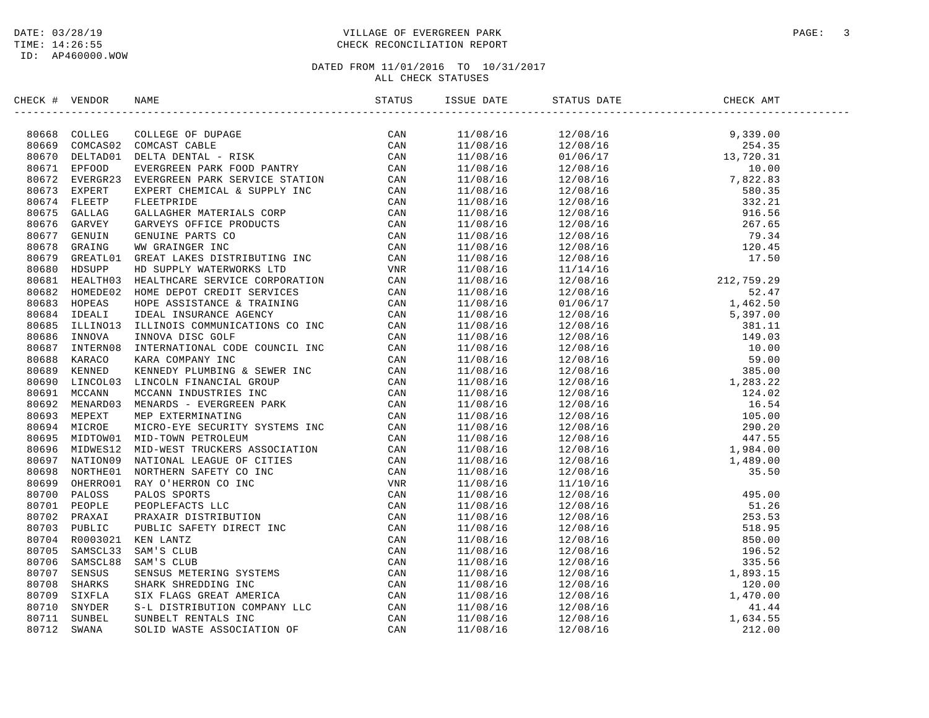### DATE: 03/28/19 PAGE: 3 PAGE: 3 TIME: 14:26:55 CHECK RECONCILIATION REPORT

| CHECK # VENDOR |                                                                                                                                                                                                                               |  |  |  |
|----------------|-------------------------------------------------------------------------------------------------------------------------------------------------------------------------------------------------------------------------------|--|--|--|
|                | CIECRE SPIELER CLUBER OF PUBPACE CONTROLL CREATEST CAN ARREST CLUBER CAN BOOST CLUBER CLUBER CLUBER CLUBER CLUBER CLUBER CLUBER (CAN BOOST EVERTLE CLUBER CLUBER CLUBER CLUBER CLUBER CLUBER CLUBER CLUBER CLUBER CLUBER CLUB |  |  |  |
|                |                                                                                                                                                                                                                               |  |  |  |
|                |                                                                                                                                                                                                                               |  |  |  |
|                |                                                                                                                                                                                                                               |  |  |  |
|                |                                                                                                                                                                                                                               |  |  |  |
|                |                                                                                                                                                                                                                               |  |  |  |
|                |                                                                                                                                                                                                                               |  |  |  |
|                |                                                                                                                                                                                                                               |  |  |  |
|                |                                                                                                                                                                                                                               |  |  |  |
|                |                                                                                                                                                                                                                               |  |  |  |
|                |                                                                                                                                                                                                                               |  |  |  |
|                |                                                                                                                                                                                                                               |  |  |  |
|                |                                                                                                                                                                                                                               |  |  |  |
|                |                                                                                                                                                                                                                               |  |  |  |
|                |                                                                                                                                                                                                                               |  |  |  |
|                |                                                                                                                                                                                                                               |  |  |  |
|                |                                                                                                                                                                                                                               |  |  |  |
|                |                                                                                                                                                                                                                               |  |  |  |
|                |                                                                                                                                                                                                                               |  |  |  |
|                |                                                                                                                                                                                                                               |  |  |  |
|                |                                                                                                                                                                                                                               |  |  |  |
|                |                                                                                                                                                                                                                               |  |  |  |
|                |                                                                                                                                                                                                                               |  |  |  |
|                |                                                                                                                                                                                                                               |  |  |  |
|                |                                                                                                                                                                                                                               |  |  |  |
|                |                                                                                                                                                                                                                               |  |  |  |
|                |                                                                                                                                                                                                                               |  |  |  |
|                |                                                                                                                                                                                                                               |  |  |  |
|                |                                                                                                                                                                                                                               |  |  |  |
|                |                                                                                                                                                                                                                               |  |  |  |
|                |                                                                                                                                                                                                                               |  |  |  |
|                |                                                                                                                                                                                                                               |  |  |  |
|                |                                                                                                                                                                                                                               |  |  |  |
|                |                                                                                                                                                                                                                               |  |  |  |
|                |                                                                                                                                                                                                                               |  |  |  |
|                |                                                                                                                                                                                                                               |  |  |  |
|                |                                                                                                                                                                                                                               |  |  |  |
|                |                                                                                                                                                                                                                               |  |  |  |
|                |                                                                                                                                                                                                                               |  |  |  |
|                |                                                                                                                                                                                                                               |  |  |  |
|                |                                                                                                                                                                                                                               |  |  |  |
|                |                                                                                                                                                                                                                               |  |  |  |
|                |                                                                                                                                                                                                                               |  |  |  |
|                |                                                                                                                                                                                                                               |  |  |  |
|                |                                                                                                                                                                                                                               |  |  |  |
|                |                                                                                                                                                                                                                               |  |  |  |
|                |                                                                                                                                                                                                                               |  |  |  |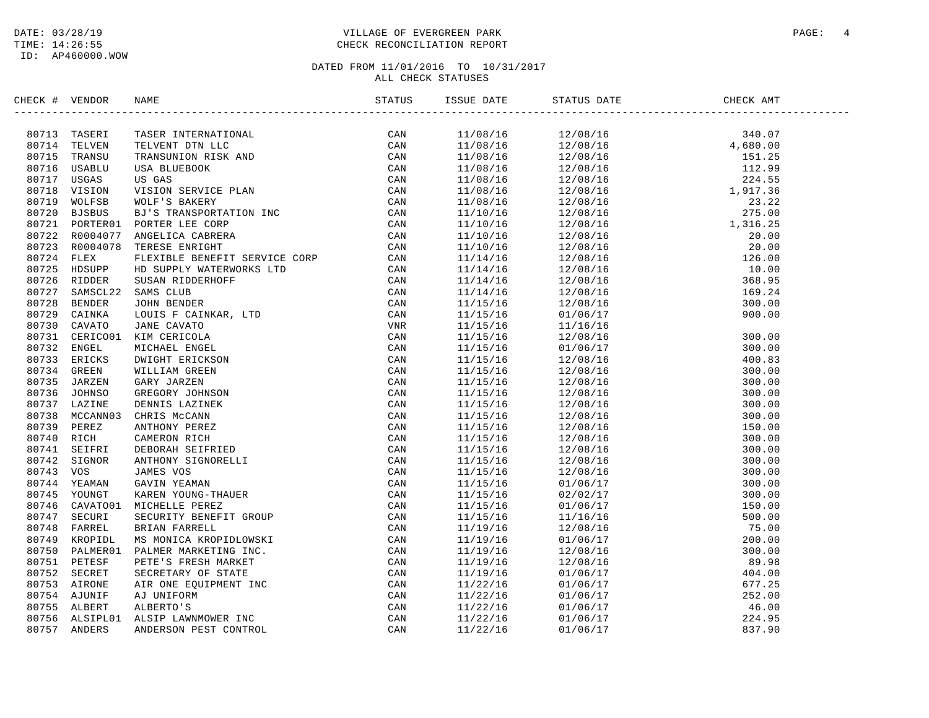### DATE: 03/28/19 PAGE: 4 TIME: 14:26:55 CHECK RECONCILIATION REPORT

# DATED FROM 11/01/2016 TO 10/31/2017

#### ALL CHECK STATUSES

| CHECK # VENDOR | FIND THE TRINK IN THE SERVE IN THE SERVE AND CAN BE TRINK TO CAN BE TRINK TO SAND THE SERVE THAN THE SERVE THAN THE SERVE AND A SAME SERVE THAN THE SERVE AND A SAME SERVE THAT IS THE SERVE AND DRIVING THE SERVE AND DRIVIN | STATUS | ISSUE DATE | STATUS DATE<br>------------------                                                                                                                                                                                                                                                                      | CHECK AMT |
|----------------|-------------------------------------------------------------------------------------------------------------------------------------------------------------------------------------------------------------------------------|--------|------------|--------------------------------------------------------------------------------------------------------------------------------------------------------------------------------------------------------------------------------------------------------------------------------------------------------|-----------|
|                |                                                                                                                                                                                                                               |        |            | $12/08/16 \hspace{3.3cm} 12/08/16 \hspace{3.3cm} 12/08/16 \hspace{3.3cm} 12/08/16 \hspace{3.3cm} 12/08/16 \hspace{3.3cm} 12/08/16 \hspace{3.3cm} 12/08/16 \hspace{3.3cm} 12/08/16 \hspace{3.3cm} 12/08/16 \hspace{3.3cm} 12/08/16 \hspace{3.3cm} 12/08/16 \hspace{3.3cm} 12/08/16 \hspace{3.3cm} 12/0$ |           |
|                |                                                                                                                                                                                                                               |        | 11/08/16   |                                                                                                                                                                                                                                                                                                        |           |
|                |                                                                                                                                                                                                                               |        | 11/08/16   |                                                                                                                                                                                                                                                                                                        |           |
|                |                                                                                                                                                                                                                               |        | 11/08/16   |                                                                                                                                                                                                                                                                                                        |           |
|                |                                                                                                                                                                                                                               |        | 11/08/16   |                                                                                                                                                                                                                                                                                                        |           |
|                |                                                                                                                                                                                                                               |        | 11/08/16   |                                                                                                                                                                                                                                                                                                        |           |
|                |                                                                                                                                                                                                                               |        | 11/08/16   |                                                                                                                                                                                                                                                                                                        |           |
|                |                                                                                                                                                                                                                               |        | 11/08/16   |                                                                                                                                                                                                                                                                                                        |           |
|                |                                                                                                                                                                                                                               |        | 11/10/16   |                                                                                                                                                                                                                                                                                                        |           |
|                |                                                                                                                                                                                                                               |        | 11/10/16   |                                                                                                                                                                                                                                                                                                        |           |
|                |                                                                                                                                                                                                                               |        | 11/10/16   |                                                                                                                                                                                                                                                                                                        |           |
|                |                                                                                                                                                                                                                               |        | 11/10/16   |                                                                                                                                                                                                                                                                                                        |           |
|                |                                                                                                                                                                                                                               |        | 11/14/16   |                                                                                                                                                                                                                                                                                                        |           |
|                |                                                                                                                                                                                                                               |        | 11/14/16   |                                                                                                                                                                                                                                                                                                        |           |
|                |                                                                                                                                                                                                                               |        | 11/14/16   |                                                                                                                                                                                                                                                                                                        |           |
|                |                                                                                                                                                                                                                               |        | 11/14/16   |                                                                                                                                                                                                                                                                                                        |           |
|                |                                                                                                                                                                                                                               |        | 11/15/16   |                                                                                                                                                                                                                                                                                                        |           |
|                |                                                                                                                                                                                                                               |        | 11/15/16   |                                                                                                                                                                                                                                                                                                        |           |
|                |                                                                                                                                                                                                                               |        | 11/15/16   |                                                                                                                                                                                                                                                                                                        |           |
|                |                                                                                                                                                                                                                               |        | 11/15/16   |                                                                                                                                                                                                                                                                                                        |           |
|                |                                                                                                                                                                                                                               |        | 11/15/16   |                                                                                                                                                                                                                                                                                                        |           |
|                |                                                                                                                                                                                                                               |        | 11/15/16   |                                                                                                                                                                                                                                                                                                        |           |
|                |                                                                                                                                                                                                                               |        | 11/15/16   |                                                                                                                                                                                                                                                                                                        |           |
|                |                                                                                                                                                                                                                               |        | 11/15/16   |                                                                                                                                                                                                                                                                                                        |           |
|                |                                                                                                                                                                                                                               |        | 11/15/16   |                                                                                                                                                                                                                                                                                                        |           |
|                |                                                                                                                                                                                                                               |        | 11/15/16   |                                                                                                                                                                                                                                                                                                        |           |
|                |                                                                                                                                                                                                                               |        | 11/15/16   |                                                                                                                                                                                                                                                                                                        |           |
|                |                                                                                                                                                                                                                               |        | 11/15/16   |                                                                                                                                                                                                                                                                                                        |           |
|                |                                                                                                                                                                                                                               |        | 11/15/16   |                                                                                                                                                                                                                                                                                                        |           |
|                |                                                                                                                                                                                                                               |        | 11/15/16   |                                                                                                                                                                                                                                                                                                        |           |
|                |                                                                                                                                                                                                                               |        | 11/15/16   |                                                                                                                                                                                                                                                                                                        |           |
|                |                                                                                                                                                                                                                               |        | 11/15/16   |                                                                                                                                                                                                                                                                                                        |           |
|                |                                                                                                                                                                                                                               |        | 11/15/16   |                                                                                                                                                                                                                                                                                                        |           |
|                |                                                                                                                                                                                                                               |        | 11/15/16   |                                                                                                                                                                                                                                                                                                        |           |
|                |                                                                                                                                                                                                                               |        | 11/15/16   |                                                                                                                                                                                                                                                                                                        |           |
|                |                                                                                                                                                                                                                               |        | 11/15/16   |                                                                                                                                                                                                                                                                                                        |           |
|                |                                                                                                                                                                                                                               |        | 11/19/16   |                                                                                                                                                                                                                                                                                                        |           |
|                |                                                                                                                                                                                                                               |        | 11/19/16   |                                                                                                                                                                                                                                                                                                        |           |
|                |                                                                                                                                                                                                                               |        | 11/19/16   |                                                                                                                                                                                                                                                                                                        |           |
|                |                                                                                                                                                                                                                               |        | 11/19/16   |                                                                                                                                                                                                                                                                                                        |           |
|                |                                                                                                                                                                                                                               |        | 11/19/16   |                                                                                                                                                                                                                                                                                                        |           |
|                |                                                                                                                                                                                                                               |        | 11/22/16   |                                                                                                                                                                                                                                                                                                        |           |
|                |                                                                                                                                                                                                                               |        | 11/22/16   |                                                                                                                                                                                                                                                                                                        |           |
|                |                                                                                                                                                                                                                               |        | 11/22/16   |                                                                                                                                                                                                                                                                                                        |           |
|                |                                                                                                                                                                                                                               |        | 11/22/16   |                                                                                                                                                                                                                                                                                                        |           |
|                |                                                                                                                                                                                                                               |        | 11/22/16   |                                                                                                                                                                                                                                                                                                        |           |
|                |                                                                                                                                                                                                                               |        |            |                                                                                                                                                                                                                                                                                                        |           |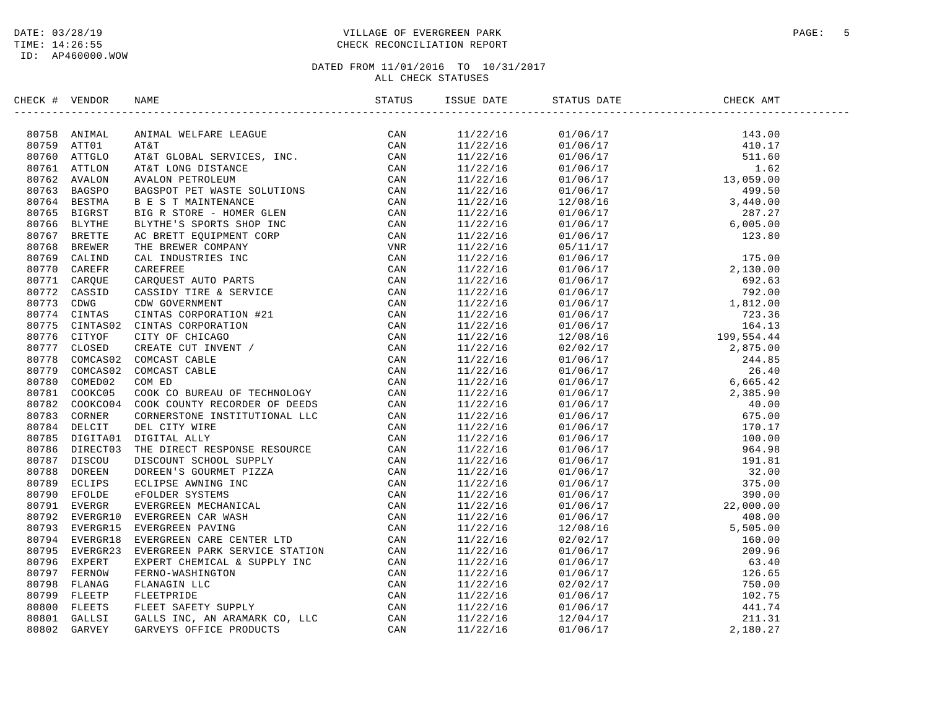### DATE: 03/28/19 PAGE: 5 PAGE: 5 TIME: 14:26:55 CHECK RECONCILIATION REPORT

| CHECK # VENDOR |  | STATUS DATE | CHECK AMT |  |
|----------------|--|-------------|-----------|--|
|                |  |             |           |  |
|                |  |             |           |  |
|                |  |             |           |  |
|                |  |             |           |  |
|                |  |             |           |  |
|                |  |             |           |  |
|                |  |             |           |  |
|                |  |             |           |  |
|                |  |             |           |  |
|                |  |             |           |  |
|                |  |             |           |  |
|                |  |             |           |  |
|                |  |             |           |  |
|                |  |             |           |  |
|                |  |             |           |  |
|                |  |             |           |  |
|                |  |             |           |  |
|                |  |             |           |  |
|                |  |             |           |  |
|                |  |             |           |  |
|                |  |             |           |  |
|                |  |             |           |  |
|                |  |             |           |  |
|                |  |             |           |  |
|                |  |             |           |  |
|                |  |             |           |  |
|                |  |             |           |  |
|                |  |             |           |  |
|                |  |             |           |  |
|                |  |             |           |  |
|                |  |             |           |  |
|                |  |             |           |  |
|                |  |             |           |  |
|                |  |             |           |  |
|                |  |             |           |  |
|                |  |             |           |  |
|                |  |             |           |  |
|                |  |             |           |  |
|                |  |             |           |  |
|                |  |             |           |  |
|                |  |             |           |  |
|                |  |             |           |  |
|                |  |             |           |  |
|                |  |             |           |  |
|                |  |             |           |  |
|                |  |             |           |  |
|                |  |             |           |  |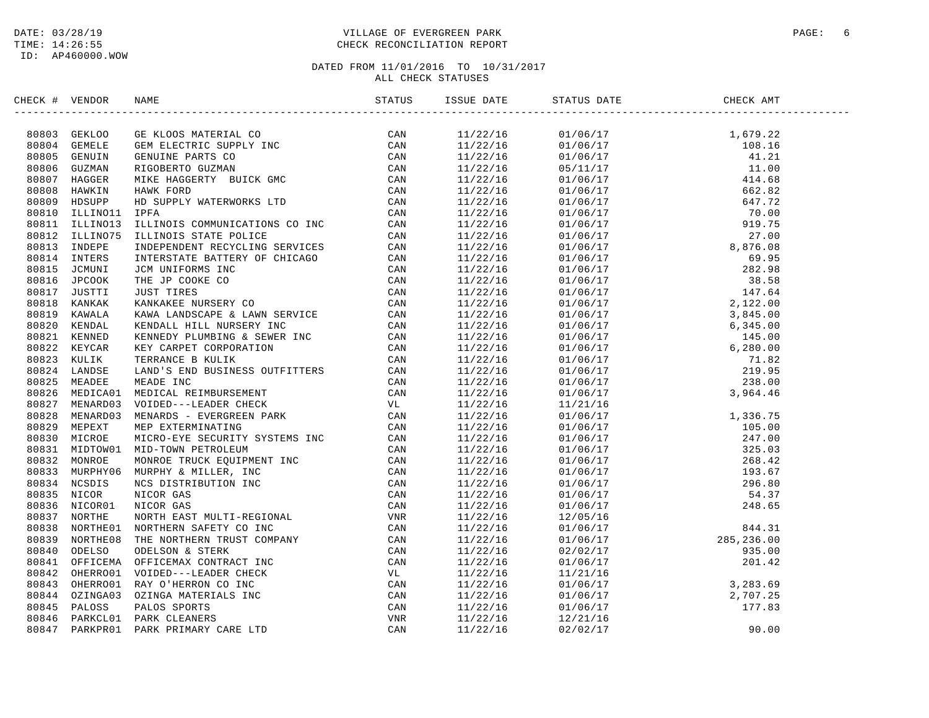### DATE: 03/28/19 PAGE: 6 PAGE: 6 PAGE: 6 PAGE: 6 PAGE: 6 PAGE: 6 PAGE: 6 PAGE: 6 PAGE: 9 PAGE: 6 PAGE: 9 PAGE: 6 TIME: 14:26:55 CHECK RECONCILIATION REPORT

| CHECK # VENDOR | NAME | ISSUE DATE | STATUS DATE                                                                                                                                                                                                                                                              | CHECK AMT |  |
|----------------|------|------------|--------------------------------------------------------------------------------------------------------------------------------------------------------------------------------------------------------------------------------------------------------------------------|-----------|--|
|                |      |            | $\begin{tabular}{l c c c c} \hline 11/22/16 & 01/06/17 & 1,679.22 \\ 11/22/18 & 01/06/17 & 1,679.22 \\ 11/22/18 & 01/06/17 & 101.1 \\ 11/22/16 & 01/06/17 & 411.01 \\ 11/22/16 & 01/06/17 & 412.6 \\ 11/22/16 & 01/06/17 & 412.6 \\ 11/22/16 & 01/06/17 & 562.82 \\ 11/$ |           |  |
|                |      |            |                                                                                                                                                                                                                                                                          |           |  |
|                |      |            |                                                                                                                                                                                                                                                                          |           |  |
|                |      |            |                                                                                                                                                                                                                                                                          |           |  |
|                |      |            |                                                                                                                                                                                                                                                                          |           |  |
|                |      |            |                                                                                                                                                                                                                                                                          |           |  |
|                |      |            |                                                                                                                                                                                                                                                                          |           |  |
|                |      |            |                                                                                                                                                                                                                                                                          |           |  |
|                |      |            |                                                                                                                                                                                                                                                                          |           |  |
|                |      |            |                                                                                                                                                                                                                                                                          |           |  |
|                |      |            |                                                                                                                                                                                                                                                                          |           |  |
|                |      |            |                                                                                                                                                                                                                                                                          |           |  |
|                |      |            |                                                                                                                                                                                                                                                                          |           |  |
|                |      |            |                                                                                                                                                                                                                                                                          |           |  |
|                |      |            |                                                                                                                                                                                                                                                                          |           |  |
|                |      |            |                                                                                                                                                                                                                                                                          |           |  |
|                |      |            |                                                                                                                                                                                                                                                                          |           |  |
|                |      |            |                                                                                                                                                                                                                                                                          |           |  |
|                |      |            |                                                                                                                                                                                                                                                                          |           |  |
|                |      |            |                                                                                                                                                                                                                                                                          |           |  |
|                |      |            |                                                                                                                                                                                                                                                                          |           |  |
|                |      |            |                                                                                                                                                                                                                                                                          |           |  |
|                |      |            |                                                                                                                                                                                                                                                                          |           |  |
|                |      |            |                                                                                                                                                                                                                                                                          |           |  |
|                |      |            |                                                                                                                                                                                                                                                                          |           |  |
|                |      |            |                                                                                                                                                                                                                                                                          |           |  |
|                |      |            |                                                                                                                                                                                                                                                                          |           |  |
|                |      |            |                                                                                                                                                                                                                                                                          |           |  |
|                |      |            |                                                                                                                                                                                                                                                                          |           |  |
|                |      |            |                                                                                                                                                                                                                                                                          |           |  |
|                |      |            |                                                                                                                                                                                                                                                                          |           |  |
|                |      |            |                                                                                                                                                                                                                                                                          |           |  |
|                |      |            |                                                                                                                                                                                                                                                                          |           |  |
|                |      |            |                                                                                                                                                                                                                                                                          |           |  |
|                |      |            |                                                                                                                                                                                                                                                                          |           |  |
|                |      |            |                                                                                                                                                                                                                                                                          |           |  |
|                |      |            |                                                                                                                                                                                                                                                                          |           |  |
|                |      |            |                                                                                                                                                                                                                                                                          |           |  |
|                |      |            |                                                                                                                                                                                                                                                                          |           |  |
|                |      |            |                                                                                                                                                                                                                                                                          |           |  |
|                |      |            |                                                                                                                                                                                                                                                                          |           |  |
|                |      |            |                                                                                                                                                                                                                                                                          |           |  |
|                |      |            |                                                                                                                                                                                                                                                                          |           |  |
|                |      |            |                                                                                                                                                                                                                                                                          |           |  |
|                |      |            |                                                                                                                                                                                                                                                                          |           |  |
|                |      |            |                                                                                                                                                                                                                                                                          |           |  |
|                |      |            |                                                                                                                                                                                                                                                                          |           |  |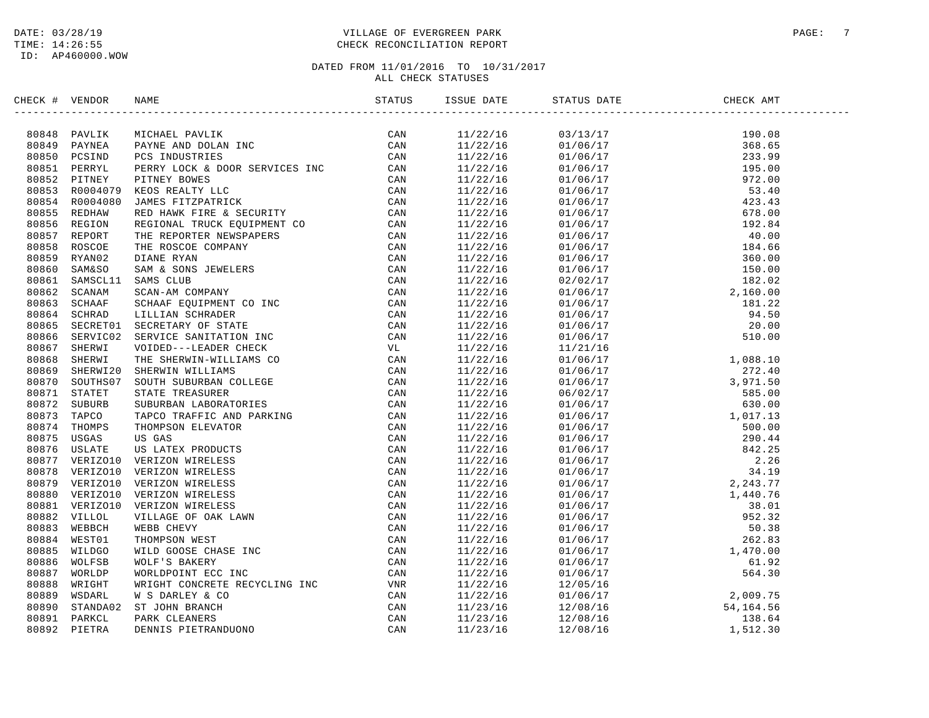### DATE: 03/28/19 PAGE: 7 TIME: 14:26:55 CHECK RECONCILIATION REPORT

| CHECK # VENDOR |                                                                                                                                                                                                                               | ISSUE DATE | STATUS DATE                                                                                                                                                                                                                                                                 | CHECK AMT |
|----------------|-------------------------------------------------------------------------------------------------------------------------------------------------------------------------------------------------------------------------------|------------|-----------------------------------------------------------------------------------------------------------------------------------------------------------------------------------------------------------------------------------------------------------------------------|-----------|
|                | CRA VERIDE NAME PARA TRONG AN ANGELE AN ANGELIA CAN ANGELE AN ANGELE AN ANGELE AN ANGELE AN ANGELE AN ANGELE AN ANGELE AN ANGELE AN ANGELE AN ANGEL AN ANGEL AN ANGEL AN ANGEL AN ANGEL AN ANGEL AN ANGEL AN ANGEL AN ANGEL A |            | $\begin{tabular}{cccccccc} 1.1/22/16 & 0.2/13/17 & 190.08 \\ -1.1/22/18 & 0.2/13/17 & 190.08 \\ 1.1/22/18 & 0.1/06/17 & 195.08 \\ 1.1/22/16 & 0.1/06/17 & 197.00 \\ 1.1/22/16 & 0.1/06/17 & 192.00 \\ 1.1/22/16 & 0.1/06/17 & 192.00 \\ 1.1/22/16 & 0.1/06/17 & 193.00 \\ $ |           |
|                |                                                                                                                                                                                                                               |            |                                                                                                                                                                                                                                                                             |           |
|                |                                                                                                                                                                                                                               |            |                                                                                                                                                                                                                                                                             |           |
|                |                                                                                                                                                                                                                               |            |                                                                                                                                                                                                                                                                             |           |
|                |                                                                                                                                                                                                                               |            |                                                                                                                                                                                                                                                                             |           |
|                |                                                                                                                                                                                                                               |            |                                                                                                                                                                                                                                                                             |           |
|                |                                                                                                                                                                                                                               |            |                                                                                                                                                                                                                                                                             |           |
|                |                                                                                                                                                                                                                               |            |                                                                                                                                                                                                                                                                             |           |
|                |                                                                                                                                                                                                                               |            |                                                                                                                                                                                                                                                                             |           |
|                |                                                                                                                                                                                                                               |            |                                                                                                                                                                                                                                                                             |           |
|                |                                                                                                                                                                                                                               |            |                                                                                                                                                                                                                                                                             |           |
|                |                                                                                                                                                                                                                               |            |                                                                                                                                                                                                                                                                             |           |
|                |                                                                                                                                                                                                                               |            |                                                                                                                                                                                                                                                                             |           |
|                |                                                                                                                                                                                                                               |            |                                                                                                                                                                                                                                                                             |           |
|                |                                                                                                                                                                                                                               |            |                                                                                                                                                                                                                                                                             |           |
|                |                                                                                                                                                                                                                               |            |                                                                                                                                                                                                                                                                             |           |
|                |                                                                                                                                                                                                                               |            |                                                                                                                                                                                                                                                                             |           |
|                |                                                                                                                                                                                                                               |            |                                                                                                                                                                                                                                                                             |           |
|                |                                                                                                                                                                                                                               |            |                                                                                                                                                                                                                                                                             |           |
|                |                                                                                                                                                                                                                               |            |                                                                                                                                                                                                                                                                             |           |
|                |                                                                                                                                                                                                                               |            |                                                                                                                                                                                                                                                                             |           |
|                |                                                                                                                                                                                                                               |            |                                                                                                                                                                                                                                                                             |           |
|                |                                                                                                                                                                                                                               |            |                                                                                                                                                                                                                                                                             |           |
|                |                                                                                                                                                                                                                               |            |                                                                                                                                                                                                                                                                             |           |
|                |                                                                                                                                                                                                                               |            |                                                                                                                                                                                                                                                                             |           |
|                |                                                                                                                                                                                                                               |            |                                                                                                                                                                                                                                                                             |           |
|                |                                                                                                                                                                                                                               |            |                                                                                                                                                                                                                                                                             |           |
|                |                                                                                                                                                                                                                               |            |                                                                                                                                                                                                                                                                             |           |
|                |                                                                                                                                                                                                                               |            |                                                                                                                                                                                                                                                                             |           |
|                |                                                                                                                                                                                                                               |            |                                                                                                                                                                                                                                                                             |           |
|                |                                                                                                                                                                                                                               |            |                                                                                                                                                                                                                                                                             |           |
|                |                                                                                                                                                                                                                               |            |                                                                                                                                                                                                                                                                             |           |
|                |                                                                                                                                                                                                                               |            |                                                                                                                                                                                                                                                                             |           |
|                |                                                                                                                                                                                                                               |            |                                                                                                                                                                                                                                                                             |           |
|                |                                                                                                                                                                                                                               |            |                                                                                                                                                                                                                                                                             |           |
|                |                                                                                                                                                                                                                               |            |                                                                                                                                                                                                                                                                             |           |
|                |                                                                                                                                                                                                                               |            |                                                                                                                                                                                                                                                                             |           |
|                |                                                                                                                                                                                                                               |            |                                                                                                                                                                                                                                                                             |           |
|                |                                                                                                                                                                                                                               |            |                                                                                                                                                                                                                                                                             |           |
|                |                                                                                                                                                                                                                               |            |                                                                                                                                                                                                                                                                             |           |
|                |                                                                                                                                                                                                                               |            |                                                                                                                                                                                                                                                                             |           |
|                |                                                                                                                                                                                                                               |            |                                                                                                                                                                                                                                                                             |           |
|                |                                                                                                                                                                                                                               |            |                                                                                                                                                                                                                                                                             |           |
|                |                                                                                                                                                                                                                               |            |                                                                                                                                                                                                                                                                             |           |
|                |                                                                                                                                                                                                                               |            |                                                                                                                                                                                                                                                                             |           |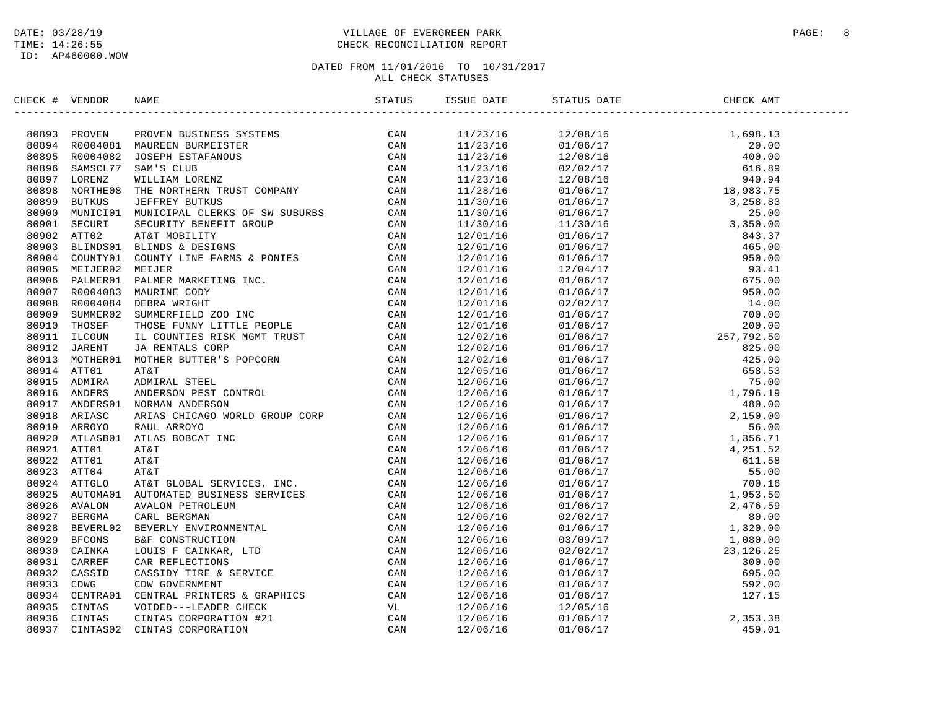### DATE: 03/28/19 PAGE: 8 TIME: 14:26:55 CHECK RECONCILIATION REPORT

# DATED FROM 11/01/2016 TO 10/31/2017

ALL CHECK STATUSES

| CHECK # VENDOR |                                                                                                                                                                                                                               | ISSUE DATE | __________________ |  |
|----------------|-------------------------------------------------------------------------------------------------------------------------------------------------------------------------------------------------------------------------------|------------|--------------------|--|
|                | INCRESS (FOR PRODUCED STATES) (CAN BOST 1992) PROVIDED STATES (CAN BOST 1992) DESCRIPTIONS (CAN BOST CONTRESS CONTRESS (CAN BOST CONTRESS) (CAN BOST LOTER CAN BOST CONTRESS) (CAN BOST LOTER CAN BOST CONTRESS) (CAN BOST LO |            |                    |  |
|                |                                                                                                                                                                                                                               |            |                    |  |
|                |                                                                                                                                                                                                                               |            |                    |  |
|                |                                                                                                                                                                                                                               |            |                    |  |
|                |                                                                                                                                                                                                                               |            |                    |  |
|                |                                                                                                                                                                                                                               |            |                    |  |
|                |                                                                                                                                                                                                                               |            |                    |  |
|                |                                                                                                                                                                                                                               |            |                    |  |
|                |                                                                                                                                                                                                                               |            |                    |  |
|                |                                                                                                                                                                                                                               |            |                    |  |
|                |                                                                                                                                                                                                                               |            |                    |  |
|                |                                                                                                                                                                                                                               |            |                    |  |
|                |                                                                                                                                                                                                                               |            |                    |  |
|                |                                                                                                                                                                                                                               |            |                    |  |
|                |                                                                                                                                                                                                                               |            |                    |  |
|                |                                                                                                                                                                                                                               |            |                    |  |
|                |                                                                                                                                                                                                                               |            |                    |  |
|                |                                                                                                                                                                                                                               |            |                    |  |
|                |                                                                                                                                                                                                                               |            |                    |  |
|                |                                                                                                                                                                                                                               |            |                    |  |
|                |                                                                                                                                                                                                                               |            |                    |  |
|                |                                                                                                                                                                                                                               |            |                    |  |
|                |                                                                                                                                                                                                                               |            |                    |  |
|                |                                                                                                                                                                                                                               |            |                    |  |
|                |                                                                                                                                                                                                                               |            |                    |  |
|                |                                                                                                                                                                                                                               |            |                    |  |
|                |                                                                                                                                                                                                                               |            |                    |  |
|                |                                                                                                                                                                                                                               |            |                    |  |
|                |                                                                                                                                                                                                                               |            |                    |  |
|                |                                                                                                                                                                                                                               |            |                    |  |
|                |                                                                                                                                                                                                                               |            |                    |  |
|                |                                                                                                                                                                                                                               |            |                    |  |
|                |                                                                                                                                                                                                                               |            |                    |  |
|                |                                                                                                                                                                                                                               |            |                    |  |
|                |                                                                                                                                                                                                                               |            |                    |  |
|                |                                                                                                                                                                                                                               |            |                    |  |
|                |                                                                                                                                                                                                                               |            |                    |  |
|                |                                                                                                                                                                                                                               |            |                    |  |
|                |                                                                                                                                                                                                                               |            |                    |  |
|                |                                                                                                                                                                                                                               |            |                    |  |
|                |                                                                                                                                                                                                                               |            |                    |  |
|                |                                                                                                                                                                                                                               |            |                    |  |
|                |                                                                                                                                                                                                                               |            |                    |  |
|                |                                                                                                                                                                                                                               |            |                    |  |
|                |                                                                                                                                                                                                                               |            |                    |  |
|                |                                                                                                                                                                                                                               |            |                    |  |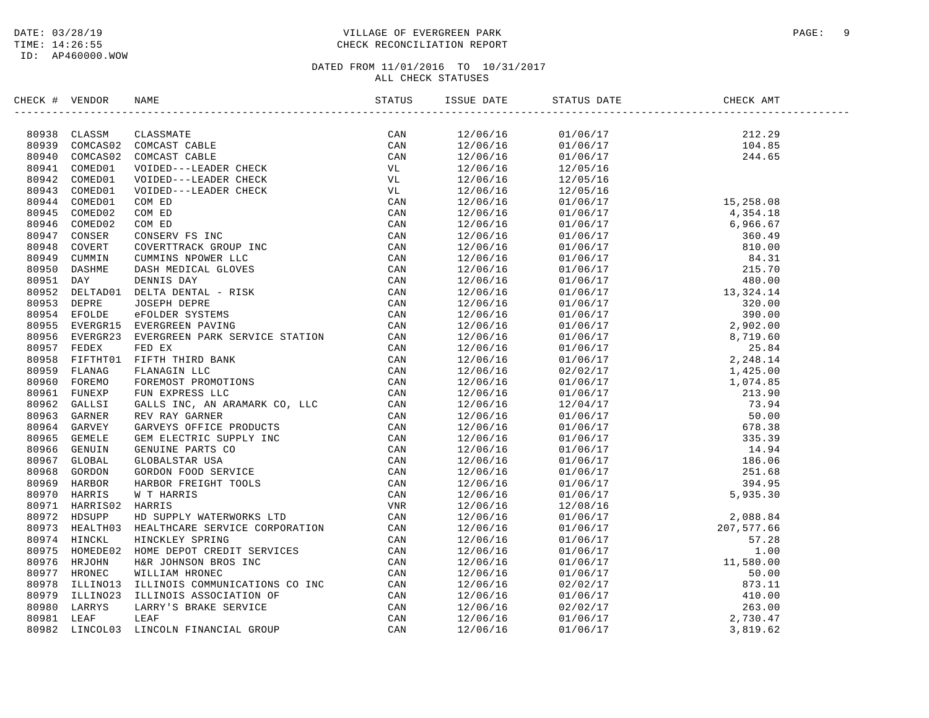### DATE: 03/28/19 VILLAGE OF EVERGREEN PARK PAGE: 9 TIME: 14:26:55 CHECK RECONCILIATION REPORT

| CHECK # VENDOR | NAME                                                                                                                                                                                                                                                                                                                                                            |  | STATUS DATE | CHECK AMT |  |
|----------------|-----------------------------------------------------------------------------------------------------------------------------------------------------------------------------------------------------------------------------------------------------------------------------------------------------------------------------------------------------------------|--|-------------|-----------|--|
|                | $\begin{tabular}{cccccccc} \textbf{0.0003} & \textbf{0.0014} & \textbf{0.0025} & \textbf{0.0036} & \textbf{0.004} & \textbf{0.004} & \textbf{0.004} & \textbf{0.004} & \textbf{0.004} & \textbf{0.004} & \textbf{0.004} & \textbf{0.004} & \textbf{0.004} & \textbf{0.004} & \textbf{0.004} & \textbf{0.004} & \textbf{0.004} & \textbf{0.004} & \textbf{0.004$ |  |             |           |  |
|                |                                                                                                                                                                                                                                                                                                                                                                 |  |             |           |  |
|                |                                                                                                                                                                                                                                                                                                                                                                 |  |             |           |  |
|                |                                                                                                                                                                                                                                                                                                                                                                 |  |             |           |  |
|                |                                                                                                                                                                                                                                                                                                                                                                 |  |             |           |  |
|                |                                                                                                                                                                                                                                                                                                                                                                 |  |             |           |  |
|                |                                                                                                                                                                                                                                                                                                                                                                 |  |             |           |  |
|                |                                                                                                                                                                                                                                                                                                                                                                 |  |             |           |  |
|                |                                                                                                                                                                                                                                                                                                                                                                 |  |             |           |  |
|                |                                                                                                                                                                                                                                                                                                                                                                 |  |             |           |  |
|                |                                                                                                                                                                                                                                                                                                                                                                 |  |             |           |  |
|                |                                                                                                                                                                                                                                                                                                                                                                 |  |             |           |  |
|                |                                                                                                                                                                                                                                                                                                                                                                 |  |             |           |  |
|                |                                                                                                                                                                                                                                                                                                                                                                 |  |             |           |  |
|                |                                                                                                                                                                                                                                                                                                                                                                 |  |             |           |  |
|                |                                                                                                                                                                                                                                                                                                                                                                 |  |             |           |  |
|                |                                                                                                                                                                                                                                                                                                                                                                 |  |             |           |  |
|                |                                                                                                                                                                                                                                                                                                                                                                 |  |             |           |  |
|                |                                                                                                                                                                                                                                                                                                                                                                 |  |             |           |  |
|                |                                                                                                                                                                                                                                                                                                                                                                 |  |             |           |  |
|                |                                                                                                                                                                                                                                                                                                                                                                 |  |             |           |  |
|                |                                                                                                                                                                                                                                                                                                                                                                 |  |             |           |  |
|                |                                                                                                                                                                                                                                                                                                                                                                 |  |             |           |  |
|                |                                                                                                                                                                                                                                                                                                                                                                 |  |             |           |  |
|                |                                                                                                                                                                                                                                                                                                                                                                 |  |             |           |  |
|                |                                                                                                                                                                                                                                                                                                                                                                 |  |             |           |  |
|                |                                                                                                                                                                                                                                                                                                                                                                 |  |             |           |  |
|                |                                                                                                                                                                                                                                                                                                                                                                 |  |             |           |  |
|                |                                                                                                                                                                                                                                                                                                                                                                 |  |             |           |  |
|                |                                                                                                                                                                                                                                                                                                                                                                 |  |             |           |  |
|                |                                                                                                                                                                                                                                                                                                                                                                 |  |             |           |  |
|                |                                                                                                                                                                                                                                                                                                                                                                 |  |             |           |  |
|                |                                                                                                                                                                                                                                                                                                                                                                 |  |             |           |  |
|                |                                                                                                                                                                                                                                                                                                                                                                 |  |             |           |  |
|                |                                                                                                                                                                                                                                                                                                                                                                 |  |             |           |  |
|                |                                                                                                                                                                                                                                                                                                                                                                 |  |             |           |  |
|                |                                                                                                                                                                                                                                                                                                                                                                 |  |             |           |  |
|                |                                                                                                                                                                                                                                                                                                                                                                 |  |             |           |  |
|                |                                                                                                                                                                                                                                                                                                                                                                 |  |             |           |  |
|                |                                                                                                                                                                                                                                                                                                                                                                 |  |             |           |  |
|                |                                                                                                                                                                                                                                                                                                                                                                 |  |             |           |  |
|                |                                                                                                                                                                                                                                                                                                                                                                 |  |             |           |  |
|                |                                                                                                                                                                                                                                                                                                                                                                 |  |             |           |  |
|                |                                                                                                                                                                                                                                                                                                                                                                 |  |             |           |  |
|                |                                                                                                                                                                                                                                                                                                                                                                 |  |             |           |  |
|                |                                                                                                                                                                                                                                                                                                                                                                 |  | 01/06/17    |           |  |
|                |                                                                                                                                                                                                                                                                                                                                                                 |  |             |           |  |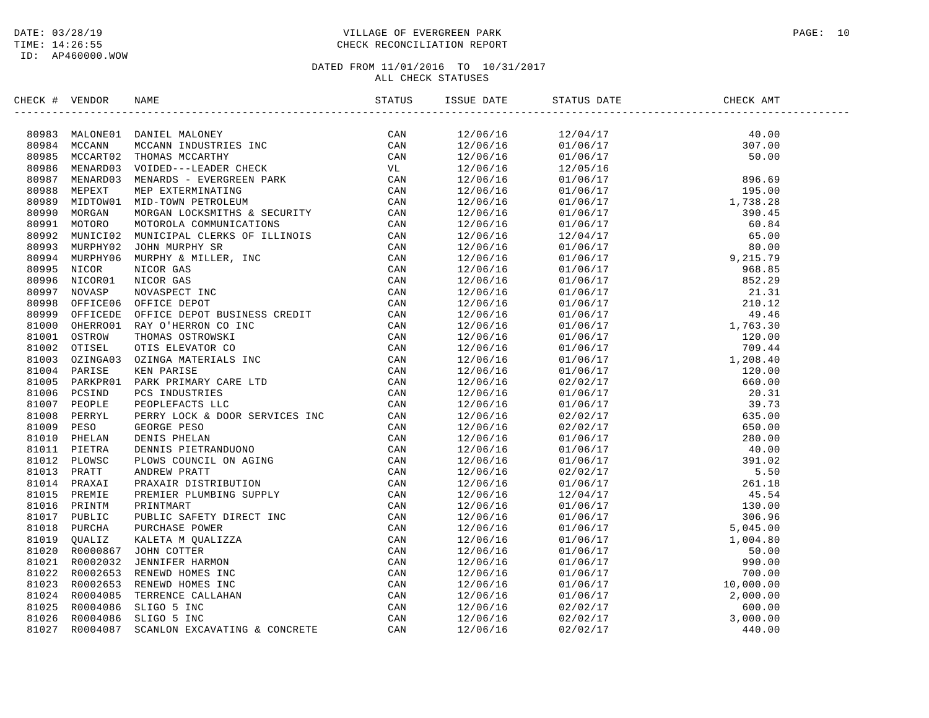# DATE: 03/28/19 PAGE: 10 TIME: 14:26:55 CHECK RECONCILIATION REPORT

| CHECK # VENDOR | NAME STATUS ISS                                                                                                                                                                                                               | ISSUE DATE | STATUS DATE | CHECK AMT |  |
|----------------|-------------------------------------------------------------------------------------------------------------------------------------------------------------------------------------------------------------------------------|------------|-------------|-----------|--|
|                | INCREASING MANUS IN A MUNICIPAL MERIDIA CONSUMER CAN SOURCE AND MANUS IN A MUNICIPAL MANUS IN A MUNICIPAL CONSUMER STRAIN AN ANNUS IN A MUNICIPAL CONSUMER STRAIN A MUNICIPAL CONSUMER CONSUMER A MUNICIPAL CONSUMER CONSUMER |            |             |           |  |
|                |                                                                                                                                                                                                                               |            |             |           |  |
|                |                                                                                                                                                                                                                               |            |             |           |  |
|                |                                                                                                                                                                                                                               |            |             |           |  |
|                |                                                                                                                                                                                                                               |            |             |           |  |
|                |                                                                                                                                                                                                                               |            |             |           |  |
|                |                                                                                                                                                                                                                               |            |             |           |  |
|                |                                                                                                                                                                                                                               |            |             |           |  |
|                |                                                                                                                                                                                                                               |            |             |           |  |
|                |                                                                                                                                                                                                                               |            |             |           |  |
|                |                                                                                                                                                                                                                               |            |             |           |  |
|                |                                                                                                                                                                                                                               |            |             |           |  |
|                |                                                                                                                                                                                                                               |            |             |           |  |
|                |                                                                                                                                                                                                                               |            |             |           |  |
|                |                                                                                                                                                                                                                               |            |             |           |  |
|                |                                                                                                                                                                                                                               |            |             |           |  |
|                |                                                                                                                                                                                                                               |            |             |           |  |
|                |                                                                                                                                                                                                                               |            |             |           |  |
|                |                                                                                                                                                                                                                               |            |             |           |  |
|                |                                                                                                                                                                                                                               |            |             |           |  |
|                |                                                                                                                                                                                                                               |            |             |           |  |
|                |                                                                                                                                                                                                                               |            |             |           |  |
|                |                                                                                                                                                                                                                               |            |             |           |  |
|                |                                                                                                                                                                                                                               |            |             |           |  |
|                |                                                                                                                                                                                                                               |            |             |           |  |
|                |                                                                                                                                                                                                                               |            |             |           |  |
|                |                                                                                                                                                                                                                               |            |             |           |  |
|                |                                                                                                                                                                                                                               |            |             |           |  |
|                |                                                                                                                                                                                                                               |            |             |           |  |
|                |                                                                                                                                                                                                                               |            |             |           |  |
|                |                                                                                                                                                                                                                               |            |             |           |  |
|                |                                                                                                                                                                                                                               |            |             |           |  |
|                |                                                                                                                                                                                                                               |            |             |           |  |
|                |                                                                                                                                                                                                                               |            |             |           |  |
|                |                                                                                                                                                                                                                               |            |             |           |  |
|                |                                                                                                                                                                                                                               |            |             |           |  |
|                |                                                                                                                                                                                                                               |            |             |           |  |
|                |                                                                                                                                                                                                                               |            |             |           |  |
|                |                                                                                                                                                                                                                               |            |             |           |  |
|                |                                                                                                                                                                                                                               |            |             |           |  |
|                |                                                                                                                                                                                                                               |            |             |           |  |
|                |                                                                                                                                                                                                                               |            |             |           |  |
|                |                                                                                                                                                                                                                               |            |             |           |  |
|                |                                                                                                                                                                                                                               |            |             |           |  |
|                |                                                                                                                                                                                                                               |            |             |           |  |
|                |                                                                                                                                                                                                                               |            |             |           |  |
|                |                                                                                                                                                                                                                               |            |             |           |  |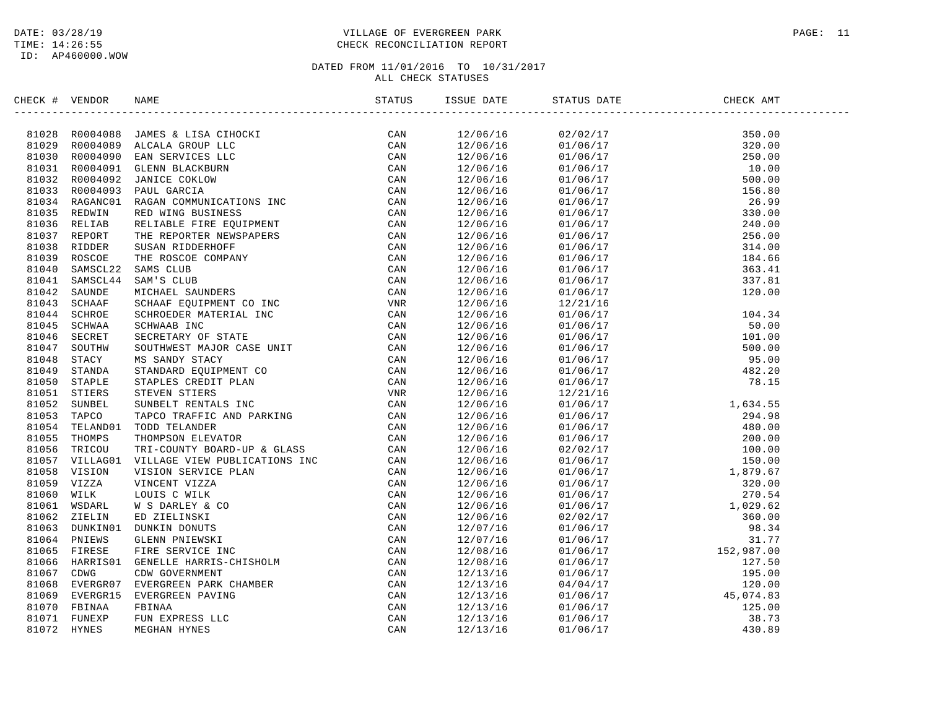# DATE: 03/28/19 PAGE: 11 TIME: 14:26:55 CHECK RECONCILIATION REPORT

| CHECK # VENDOR | NAME |     | ISSUE DATE | STATUS DATE | CHECK AMT                                                                                                                                                                                                                                                                                         |  |
|----------------|------|-----|------------|-------------|---------------------------------------------------------------------------------------------------------------------------------------------------------------------------------------------------------------------------------------------------------------------------------------------------|--|
|                |      | CAN | 12/06/16   |             | $\begin{tabular}{l c c c} $0.100\%$ & $0.10\%$ \\[-2mm] $0.2/02/17$ & $30.00\%$ \\[-2mm] $0.1/06/17$ & $20.00\%$ \\[-2mm] $0.1/06/17$ & $20.00\%$ \\[-2mm] $0.1/06/17$ & $50.00\%$ \\[-2mm] $0.1/06/17$ & $50.00\%$ \\[-2mm] $0.1/06/17$ & $26.80\%$ \\[-2mm] $0.1/06/17$ & $26.80\%$ \\[-2mm] $$ |  |
|                |      |     | 12/06/16   |             |                                                                                                                                                                                                                                                                                                   |  |
|                |      |     | 12/06/16   |             |                                                                                                                                                                                                                                                                                                   |  |
|                |      |     | 12/06/16   |             |                                                                                                                                                                                                                                                                                                   |  |
|                |      |     | 12/06/16   |             |                                                                                                                                                                                                                                                                                                   |  |
|                |      |     | 12/06/16   |             |                                                                                                                                                                                                                                                                                                   |  |
|                |      |     | 12/06/16   |             |                                                                                                                                                                                                                                                                                                   |  |
|                |      |     | 12/06/16   |             |                                                                                                                                                                                                                                                                                                   |  |
|                |      |     | 12/06/16   |             |                                                                                                                                                                                                                                                                                                   |  |
|                |      |     | 12/06/16   |             |                                                                                                                                                                                                                                                                                                   |  |
|                |      |     | 12/06/16   |             |                                                                                                                                                                                                                                                                                                   |  |
|                |      |     |            |             |                                                                                                                                                                                                                                                                                                   |  |
|                |      |     | 12/06/16   |             |                                                                                                                                                                                                                                                                                                   |  |
|                |      |     | 12/06/16   |             |                                                                                                                                                                                                                                                                                                   |  |
|                |      |     | 12/06/16   |             |                                                                                                                                                                                                                                                                                                   |  |
|                |      |     | 12/06/16   |             |                                                                                                                                                                                                                                                                                                   |  |
|                |      |     | 12/06/16   |             |                                                                                                                                                                                                                                                                                                   |  |
|                |      |     | 12/06/16   |             |                                                                                                                                                                                                                                                                                                   |  |
|                |      |     | 12/06/16   |             |                                                                                                                                                                                                                                                                                                   |  |
|                |      |     | 12/06/16   |             |                                                                                                                                                                                                                                                                                                   |  |
|                |      |     | 12/06/16   |             |                                                                                                                                                                                                                                                                                                   |  |
|                |      |     | 12/06/16   |             |                                                                                                                                                                                                                                                                                                   |  |
|                |      |     | 12/06/16   |             |                                                                                                                                                                                                                                                                                                   |  |
|                |      |     | 12/06/16   |             |                                                                                                                                                                                                                                                                                                   |  |
|                |      |     | 12/06/16   |             |                                                                                                                                                                                                                                                                                                   |  |
|                |      |     | 12/06/16   |             |                                                                                                                                                                                                                                                                                                   |  |
|                |      |     | 12/06/16   |             |                                                                                                                                                                                                                                                                                                   |  |
|                |      |     | 12/06/16   |             |                                                                                                                                                                                                                                                                                                   |  |
|                |      |     | 12/06/16   |             |                                                                                                                                                                                                                                                                                                   |  |
|                |      |     | 12/06/16   |             |                                                                                                                                                                                                                                                                                                   |  |
|                |      |     | 12/06/16   |             |                                                                                                                                                                                                                                                                                                   |  |
|                |      |     | 12/06/16   |             |                                                                                                                                                                                                                                                                                                   |  |
|                |      |     | 12/06/16   |             |                                                                                                                                                                                                                                                                                                   |  |
|                |      |     | 12/06/16   |             |                                                                                                                                                                                                                                                                                                   |  |
|                |      |     | 12/06/16   |             |                                                                                                                                                                                                                                                                                                   |  |
|                |      |     | 12/06/16   |             |                                                                                                                                                                                                                                                                                                   |  |
|                |      |     | 12/07/16   |             |                                                                                                                                                                                                                                                                                                   |  |
|                |      |     | 12/07/16   |             |                                                                                                                                                                                                                                                                                                   |  |
|                |      |     | 12/08/16   |             |                                                                                                                                                                                                                                                                                                   |  |
|                |      |     | 12/08/16   |             |                                                                                                                                                                                                                                                                                                   |  |
|                |      |     | 12/13/16   |             |                                                                                                                                                                                                                                                                                                   |  |
|                |      |     | 12/13/16   |             |                                                                                                                                                                                                                                                                                                   |  |
|                |      |     | 12/13/16   |             |                                                                                                                                                                                                                                                                                                   |  |
|                |      |     | 12/13/16   |             |                                                                                                                                                                                                                                                                                                   |  |
|                |      |     | 12/13/16   |             |                                                                                                                                                                                                                                                                                                   |  |
|                |      |     | 12/13/16   |             |                                                                                                                                                                                                                                                                                                   |  |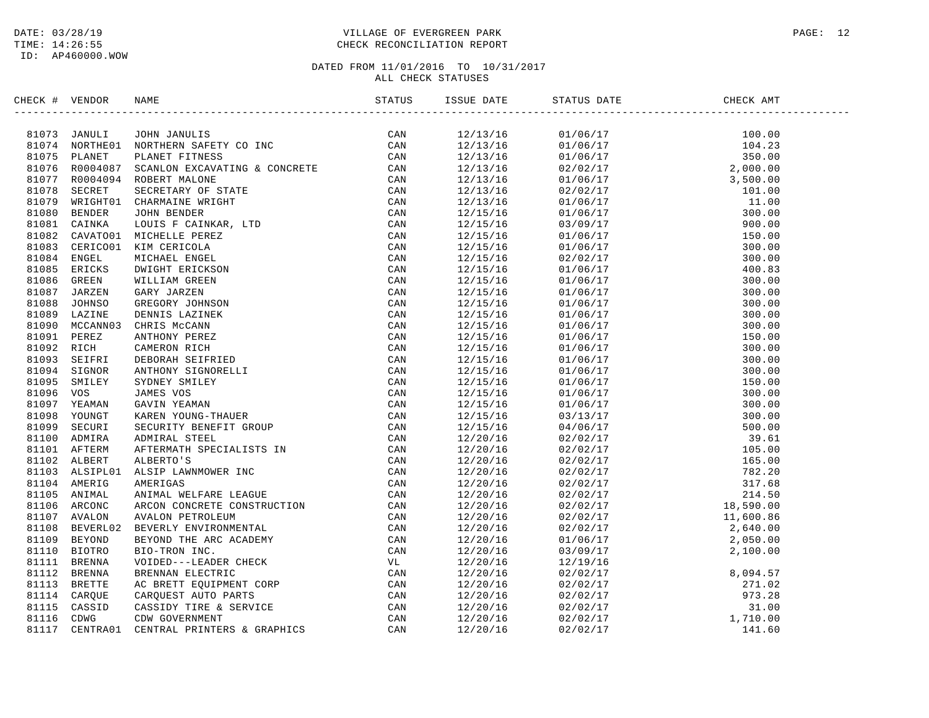# DATE: 03/28/19 PAGE: 12 TIME: 14:26:55 CHECK RECONCILIATION REPORT

| CHECK #        | VENDOR        | <b>NAME</b>                                                                                                                                                                                                                                          | STATUS | ISSUE DATE | STATUS DATE                                                 | CHECK AMT                                                                                                                                                                                                                                                                                |
|----------------|---------------|------------------------------------------------------------------------------------------------------------------------------------------------------------------------------------------------------------------------------------------------------|--------|------------|-------------------------------------------------------------|------------------------------------------------------------------------------------------------------------------------------------------------------------------------------------------------------------------------------------------------------------------------------------------|
|                | 81073 JANULI  | JOHN JANULIS<br>NORTHERN SAFETY CO INC<br>PLANET FITNESS<br>SCANLON EXCAVATING & CONCRETE                                                                                                                                                            | CAN    | 12/13/16   |                                                             | 100.00                                                                                                                                                                                                                                                                                   |
| 81074          | NORTHE01      |                                                                                                                                                                                                                                                      | CAN    | 12/13/16   | $01/06/17$<br>$01/06/17$<br>$02/02/17$<br>$02/02/17$<br>$2$ | 104.23                                                                                                                                                                                                                                                                                   |
| 81075          | PLANET        |                                                                                                                                                                                                                                                      | CAN    | 12/13/16   |                                                             | 350.00                                                                                                                                                                                                                                                                                   |
| 81076          | R0004087      |                                                                                                                                                                                                                                                      | CAN    | 12/13/16   |                                                             |                                                                                                                                                                                                                                                                                          |
| 81077          | R0004094      |                                                                                                                                                                                                                                                      | CAN    | 12/13/16   |                                                             |                                                                                                                                                                                                                                                                                          |
| 81078          | SECRET        |                                                                                                                                                                                                                                                      | CAN    | 12/13/16   |                                                             |                                                                                                                                                                                                                                                                                          |
| 81079          | WRIGHT01      |                                                                                                                                                                                                                                                      | CAN    | 12/13/16   |                                                             |                                                                                                                                                                                                                                                                                          |
| 81080          | <b>BENDER</b> |                                                                                                                                                                                                                                                      | CAN    | 12/15/16   |                                                             |                                                                                                                                                                                                                                                                                          |
| 81081          | CAINKA        |                                                                                                                                                                                                                                                      | CAN    | 12/15/16   |                                                             |                                                                                                                                                                                                                                                                                          |
| 81082          | CAVATO01      |                                                                                                                                                                                                                                                      | CAN    | 12/15/16   |                                                             |                                                                                                                                                                                                                                                                                          |
| 81083          | CERICO01      |                                                                                                                                                                                                                                                      | CAN    | 12/15/16   |                                                             |                                                                                                                                                                                                                                                                                          |
|                | 81084 ENGEL   |                                                                                                                                                                                                                                                      | CAN    | 12/15/16   |                                                             |                                                                                                                                                                                                                                                                                          |
| 81085          | ERICKS        |                                                                                                                                                                                                                                                      | CAN    | 12/15/16   |                                                             |                                                                                                                                                                                                                                                                                          |
| 81086          |               |                                                                                                                                                                                                                                                      |        |            |                                                             |                                                                                                                                                                                                                                                                                          |
|                | GREEN         |                                                                                                                                                                                                                                                      | CAN    | 12/15/16   |                                                             |                                                                                                                                                                                                                                                                                          |
| 81087          | JARZEN        |                                                                                                                                                                                                                                                      | CAN    | 12/15/16   |                                                             |                                                                                                                                                                                                                                                                                          |
| 81088<br>81089 | JOHNSO        |                                                                                                                                                                                                                                                      | CAN    | 12/15/16   |                                                             |                                                                                                                                                                                                                                                                                          |
|                | LAZINE        |                                                                                                                                                                                                                                                      | CAN    | 12/15/16   |                                                             |                                                                                                                                                                                                                                                                                          |
| 81090          | MCCANN03      |                                                                                                                                                                                                                                                      | CAN    | 12/15/16   |                                                             |                                                                                                                                                                                                                                                                                          |
| 81091          | PEREZ         |                                                                                                                                                                                                                                                      | CAN    | 12/15/16   |                                                             |                                                                                                                                                                                                                                                                                          |
| 81092 RICH     |               |                                                                                                                                                                                                                                                      | CAN    | 12/15/16   |                                                             |                                                                                                                                                                                                                                                                                          |
| 81093          | SEIFRI        |                                                                                                                                                                                                                                                      | CAN    | 12/15/16   |                                                             |                                                                                                                                                                                                                                                                                          |
| 81094          | SIGNOR        |                                                                                                                                                                                                                                                      | CAN    | 12/15/16   |                                                             |                                                                                                                                                                                                                                                                                          |
| 81095          | SMILEY        |                                                                                                                                                                                                                                                      | CAN    | 12/15/16   |                                                             |                                                                                                                                                                                                                                                                                          |
| 81096          | vos           |                                                                                                                                                                                                                                                      | CAN    | 12/15/16   |                                                             |                                                                                                                                                                                                                                                                                          |
| 81097          | YEAMAN        |                                                                                                                                                                                                                                                      | CAN    | 12/15/16   |                                                             |                                                                                                                                                                                                                                                                                          |
| 81098          | YOUNGT        |                                                                                                                                                                                                                                                      | CAN    | 12/15/16   |                                                             |                                                                                                                                                                                                                                                                                          |
| 81099          | SECURI        |                                                                                                                                                                                                                                                      | CAN    | 12/15/16   |                                                             |                                                                                                                                                                                                                                                                                          |
| 81100          | ADMIRA        |                                                                                                                                                                                                                                                      | CAN    | 12/20/16   |                                                             |                                                                                                                                                                                                                                                                                          |
| 81101          | AFTERM        |                                                                                                                                                                                                                                                      | CAN    | 12/20/16   |                                                             |                                                                                                                                                                                                                                                                                          |
|                | 81102 ALBERT  |                                                                                                                                                                                                                                                      | CAN    | 12/20/16   |                                                             |                                                                                                                                                                                                                                                                                          |
| 81103          | ALSIPL01      |                                                                                                                                                                                                                                                      | CAN    | 12/20/16   |                                                             |                                                                                                                                                                                                                                                                                          |
| 81104          | AMERIG        |                                                                                                                                                                                                                                                      | CAN    | 12/20/16   |                                                             |                                                                                                                                                                                                                                                                                          |
| 81105          | ANIMAL        |                                                                                                                                                                                                                                                      | CAN    | 12/20/16   |                                                             |                                                                                                                                                                                                                                                                                          |
| 81106          | ARCONC        |                                                                                                                                                                                                                                                      | CAN    | 12/20/16   |                                                             |                                                                                                                                                                                                                                                                                          |
| 81107          | AVALON        |                                                                                                                                                                                                                                                      | CAN    | 12/20/16   |                                                             |                                                                                                                                                                                                                                                                                          |
| 81108          | BEVERL02      |                                                                                                                                                                                                                                                      | CAN    | 12/20/16   |                                                             |                                                                                                                                                                                                                                                                                          |
| 81109          | <b>BEYOND</b> |                                                                                                                                                                                                                                                      | CAN    | 12/20/16   |                                                             |                                                                                                                                                                                                                                                                                          |
| 81110          | <b>BIOTRO</b> |                                                                                                                                                                                                                                                      | CAN    | 12/20/16   |                                                             |                                                                                                                                                                                                                                                                                          |
| 81111          | BRENNA        |                                                                                                                                                                                                                                                      | VL     | 12/20/16   |                                                             |                                                                                                                                                                                                                                                                                          |
| 81112          | <b>BRENNA</b> | PLANET FITNESS<br>ECANDON EXCAVATING & CONCRETE<br>SCANDON EXCAVATING & CONCRETE<br>ROBERT MALONE<br>SECRETARY OF STATE<br>GIARMAINE WIGHT<br>JOHN BENDER<br>JOHN BENDER<br>MICHELLE PREZ<br>XIM CHARICAL ENGEL<br>MICHELLE PREZ<br>XIM CHARICAL ENG | CAN    | 12/20/16   |                                                             | $\begin{array}{cccc} 0.1/0.6/17 \\ 0.2/0.2/17 \\ 0.2/0.2/17 \\ 0.1/0.6/17 \\ 0.2/0.2/17 \\ 0.1/0.6/17 \\ 0.2/0.2/17 \\ 0.0/17 \\ 0.0/17 \\ 0.0/17 \\ 0.0/17 \\ 0.0/17 \\ 0.0/17 \\ 0.0/17 \\ 0.0/17 \\ 0.0/17 \\ 0.0/17 \\ 0.0/17 \\ 0.0/17 \\ 0.0/17 \\ 0.0/17 \\ 0.0/17 \\ 0.0/17 \\ $ |
| 81113          | BRETTE        |                                                                                                                                                                                                                                                      | CAN    | 12/20/16   |                                                             |                                                                                                                                                                                                                                                                                          |
| 81114          | CARQUE        |                                                                                                                                                                                                                                                      | CAN    | 12/20/16   |                                                             |                                                                                                                                                                                                                                                                                          |
| 81115          | CASSID        |                                                                                                                                                                                                                                                      | CAN    | 12/20/16   |                                                             |                                                                                                                                                                                                                                                                                          |
| 81116          | CDWG          |                                                                                                                                                                                                                                                      | CAN    | 12/20/16   | 02/02/17                                                    | 1,710.00                                                                                                                                                                                                                                                                                 |
| 81117          | CENTRA01      |                                                                                                                                                                                                                                                      | CAN    | 12/20/16   | 02/02/17                                                    | 141.60                                                                                                                                                                                                                                                                                   |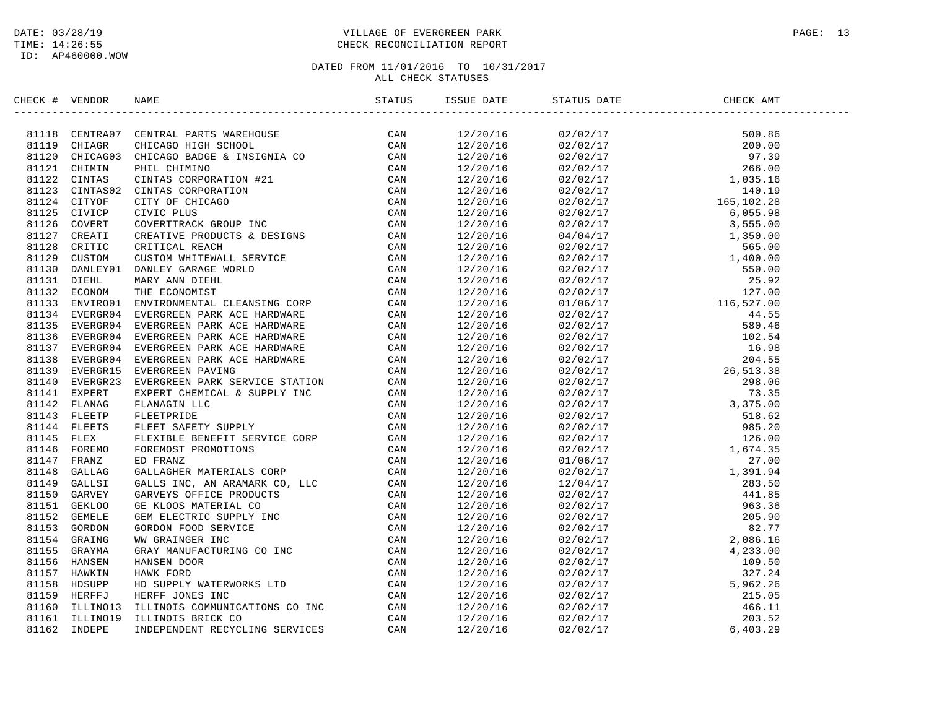# DATE: 03/28/19 PAGE: 13 TIME: 14:26:55 CHECK RECONCILIATION REPORT

| CHECK # VENDOR |                                                                                                                                                                                                                              | ISSUE DATE | STATUS DATE | CHECK AMT |  |
|----------------|------------------------------------------------------------------------------------------------------------------------------------------------------------------------------------------------------------------------------|------------|-------------|-----------|--|
|                | ERIC<br>F VENDOR RANE (1977 CENTRAL PARTS WARRIOGE CAN MARINA CHILIBACTION CONTRAL PARTS AND CLOUD CAN SILL CHIRAL CHIRACTION CONTRAL CHIRACTION CAN SILL CHIRACTION CONTRAL CHIRACTION CAN SILL CHIRACTION CAN SILL CHIRACT |            |             |           |  |
|                |                                                                                                                                                                                                                              |            |             |           |  |
|                |                                                                                                                                                                                                                              |            |             |           |  |
|                |                                                                                                                                                                                                                              |            |             |           |  |
|                |                                                                                                                                                                                                                              |            |             |           |  |
|                |                                                                                                                                                                                                                              |            |             |           |  |
|                |                                                                                                                                                                                                                              |            |             |           |  |
|                |                                                                                                                                                                                                                              |            |             |           |  |
|                |                                                                                                                                                                                                                              |            |             |           |  |
|                |                                                                                                                                                                                                                              |            |             |           |  |
|                |                                                                                                                                                                                                                              |            |             |           |  |
|                |                                                                                                                                                                                                                              |            |             |           |  |
|                |                                                                                                                                                                                                                              |            |             |           |  |
|                |                                                                                                                                                                                                                              |            |             |           |  |
|                |                                                                                                                                                                                                                              |            |             |           |  |
|                |                                                                                                                                                                                                                              |            |             |           |  |
|                |                                                                                                                                                                                                                              |            |             |           |  |
|                |                                                                                                                                                                                                                              |            |             |           |  |
|                |                                                                                                                                                                                                                              |            |             |           |  |
|                |                                                                                                                                                                                                                              |            |             |           |  |
|                |                                                                                                                                                                                                                              |            |             |           |  |
|                |                                                                                                                                                                                                                              |            |             |           |  |
|                |                                                                                                                                                                                                                              |            |             |           |  |
|                |                                                                                                                                                                                                                              |            |             |           |  |
|                |                                                                                                                                                                                                                              |            |             |           |  |
|                |                                                                                                                                                                                                                              |            |             |           |  |
|                |                                                                                                                                                                                                                              |            |             |           |  |
|                |                                                                                                                                                                                                                              |            |             |           |  |
|                |                                                                                                                                                                                                                              |            |             |           |  |
|                |                                                                                                                                                                                                                              |            |             |           |  |
|                |                                                                                                                                                                                                                              |            |             |           |  |
|                |                                                                                                                                                                                                                              |            |             |           |  |
|                |                                                                                                                                                                                                                              |            |             |           |  |
|                |                                                                                                                                                                                                                              |            |             |           |  |
|                |                                                                                                                                                                                                                              |            |             |           |  |
|                |                                                                                                                                                                                                                              |            |             |           |  |
|                |                                                                                                                                                                                                                              |            |             |           |  |
|                |                                                                                                                                                                                                                              |            |             |           |  |
|                |                                                                                                                                                                                                                              |            |             |           |  |
|                |                                                                                                                                                                                                                              |            |             |           |  |
|                |                                                                                                                                                                                                                              |            |             |           |  |
|                |                                                                                                                                                                                                                              |            |             |           |  |
|                |                                                                                                                                                                                                                              |            |             |           |  |
|                |                                                                                                                                                                                                                              |            |             |           |  |
|                |                                                                                                                                                                                                                              |            |             |           |  |
|                |                                                                                                                                                                                                                              |            |             |           |  |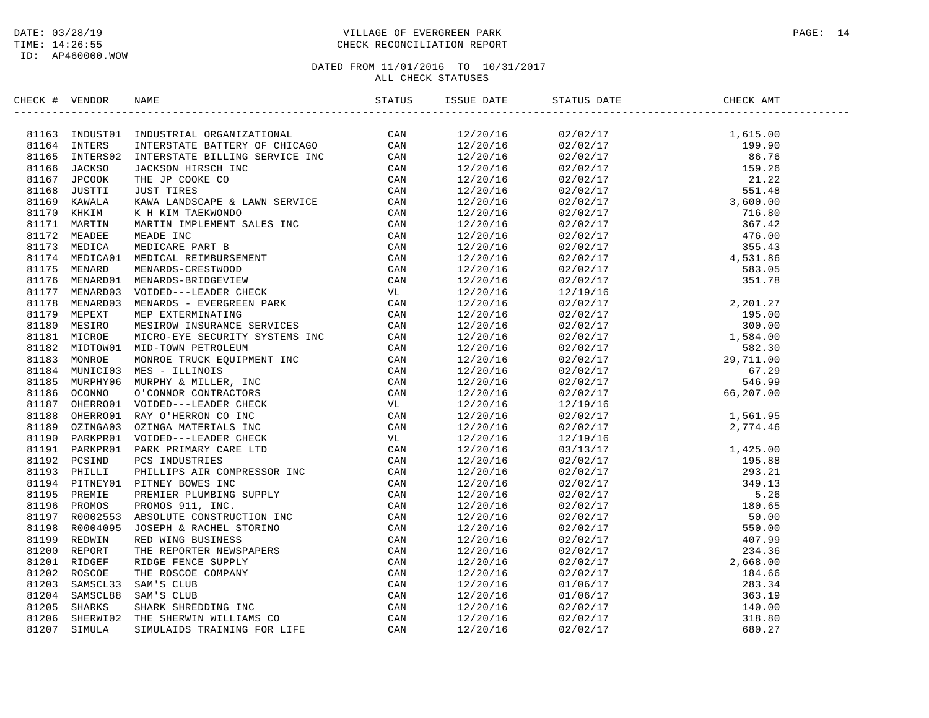ID: AP460000.WOW

### DATE: 03/28/19 PAGE: 14 TIME: 14:26:55 CHECK RECONCILIATION REPORT

| CHECK # VENDOR |  |  |  |  |
|----------------|--|--|--|--|
|                |  |  |  |  |
|                |  |  |  |  |
|                |  |  |  |  |
|                |  |  |  |  |
|                |  |  |  |  |
|                |  |  |  |  |
|                |  |  |  |  |
|                |  |  |  |  |
|                |  |  |  |  |
|                |  |  |  |  |
|                |  |  |  |  |
|                |  |  |  |  |
|                |  |  |  |  |
|                |  |  |  |  |
|                |  |  |  |  |
|                |  |  |  |  |
|                |  |  |  |  |
|                |  |  |  |  |
|                |  |  |  |  |
|                |  |  |  |  |
|                |  |  |  |  |
|                |  |  |  |  |
|                |  |  |  |  |
|                |  |  |  |  |
|                |  |  |  |  |
|                |  |  |  |  |
|                |  |  |  |  |
|                |  |  |  |  |
|                |  |  |  |  |
|                |  |  |  |  |
|                |  |  |  |  |
|                |  |  |  |  |
|                |  |  |  |  |
|                |  |  |  |  |
|                |  |  |  |  |
|                |  |  |  |  |
|                |  |  |  |  |
|                |  |  |  |  |
|                |  |  |  |  |
|                |  |  |  |  |
|                |  |  |  |  |
|                |  |  |  |  |
|                |  |  |  |  |
|                |  |  |  |  |
|                |  |  |  |  |
|                |  |  |  |  |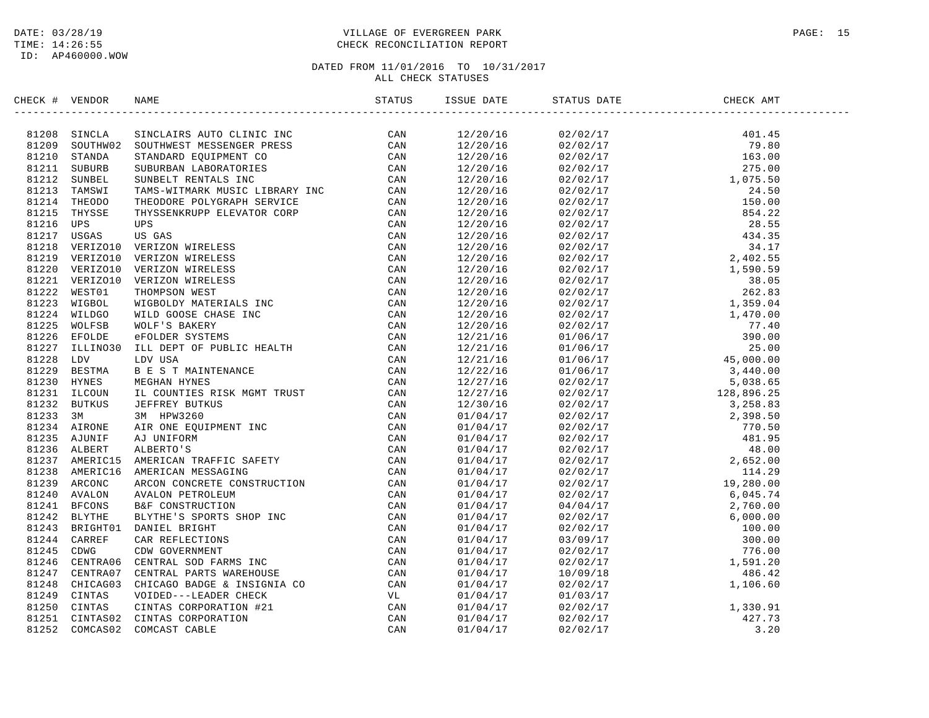### DATE: 03/28/19 PAGE: 15 TIME: 14:26:55 CHECK RECONCILIATION REPORT

| CHECK # VENDOR | NAME                                                                                                                                                                                                                                                                                                                                                                        | ISSUE DATE | STATUS DATE | CHECK AMT |  |
|----------------|-----------------------------------------------------------------------------------------------------------------------------------------------------------------------------------------------------------------------------------------------------------------------------------------------------------------------------------------------------------------------------|------------|-------------|-----------|--|
|                | $\begin{tabular}{cccccccc} $\mathbf{0.0006} & $\mathbf{0.0007} & $\mathbf{0.0008} & $\mathbf{0.0008} & $\mathbf{0.0008} & $\mathbf{0.0008} & $\mathbf{0.0008} & $\mathbf{0.0008} & $\mathbf{0.0008} & $\mathbf{0.0008} & $\mathbf{0.0008} & $\mathbf{0.0008} & $\mathbf{0.0008} & $\mathbf{0.0008} & $\mathbf{0.0008} & $\mathbf{0.0008} & $\mathbf{0.0008} & $\mathbf{0.0$ |            |             |           |  |
|                |                                                                                                                                                                                                                                                                                                                                                                             |            |             |           |  |
|                |                                                                                                                                                                                                                                                                                                                                                                             |            |             |           |  |
|                |                                                                                                                                                                                                                                                                                                                                                                             |            |             |           |  |
|                |                                                                                                                                                                                                                                                                                                                                                                             |            |             |           |  |
|                |                                                                                                                                                                                                                                                                                                                                                                             |            |             |           |  |
|                |                                                                                                                                                                                                                                                                                                                                                                             |            |             |           |  |
|                |                                                                                                                                                                                                                                                                                                                                                                             |            |             |           |  |
|                |                                                                                                                                                                                                                                                                                                                                                                             |            |             |           |  |
|                |                                                                                                                                                                                                                                                                                                                                                                             |            |             |           |  |
|                |                                                                                                                                                                                                                                                                                                                                                                             |            |             |           |  |
|                |                                                                                                                                                                                                                                                                                                                                                                             |            |             |           |  |
|                |                                                                                                                                                                                                                                                                                                                                                                             |            |             |           |  |
|                |                                                                                                                                                                                                                                                                                                                                                                             |            |             |           |  |
|                |                                                                                                                                                                                                                                                                                                                                                                             |            |             |           |  |
|                |                                                                                                                                                                                                                                                                                                                                                                             |            |             |           |  |
|                |                                                                                                                                                                                                                                                                                                                                                                             |            |             |           |  |
|                |                                                                                                                                                                                                                                                                                                                                                                             |            |             |           |  |
|                |                                                                                                                                                                                                                                                                                                                                                                             |            |             |           |  |
|                |                                                                                                                                                                                                                                                                                                                                                                             |            |             |           |  |
|                |                                                                                                                                                                                                                                                                                                                                                                             |            |             |           |  |
|                |                                                                                                                                                                                                                                                                                                                                                                             |            |             |           |  |
|                |                                                                                                                                                                                                                                                                                                                                                                             |            |             |           |  |
|                |                                                                                                                                                                                                                                                                                                                                                                             |            |             |           |  |
|                |                                                                                                                                                                                                                                                                                                                                                                             |            |             |           |  |
|                |                                                                                                                                                                                                                                                                                                                                                                             |            |             |           |  |
|                |                                                                                                                                                                                                                                                                                                                                                                             |            |             |           |  |
|                |                                                                                                                                                                                                                                                                                                                                                                             |            |             |           |  |
|                |                                                                                                                                                                                                                                                                                                                                                                             |            |             |           |  |
|                |                                                                                                                                                                                                                                                                                                                                                                             |            |             |           |  |
|                |                                                                                                                                                                                                                                                                                                                                                                             |            |             |           |  |
|                |                                                                                                                                                                                                                                                                                                                                                                             |            |             |           |  |
|                |                                                                                                                                                                                                                                                                                                                                                                             |            |             |           |  |
|                |                                                                                                                                                                                                                                                                                                                                                                             |            |             |           |  |
|                |                                                                                                                                                                                                                                                                                                                                                                             |            |             |           |  |
|                |                                                                                                                                                                                                                                                                                                                                                                             |            |             |           |  |
|                |                                                                                                                                                                                                                                                                                                                                                                             |            |             |           |  |
|                |                                                                                                                                                                                                                                                                                                                                                                             |            |             |           |  |
|                |                                                                                                                                                                                                                                                                                                                                                                             |            |             |           |  |
|                |                                                                                                                                                                                                                                                                                                                                                                             |            |             |           |  |
|                |                                                                                                                                                                                                                                                                                                                                                                             |            |             |           |  |
|                |                                                                                                                                                                                                                                                                                                                                                                             |            |             |           |  |
|                |                                                                                                                                                                                                                                                                                                                                                                             |            |             |           |  |
|                |                                                                                                                                                                                                                                                                                                                                                                             |            |             |           |  |
|                |                                                                                                                                                                                                                                                                                                                                                                             |            |             |           |  |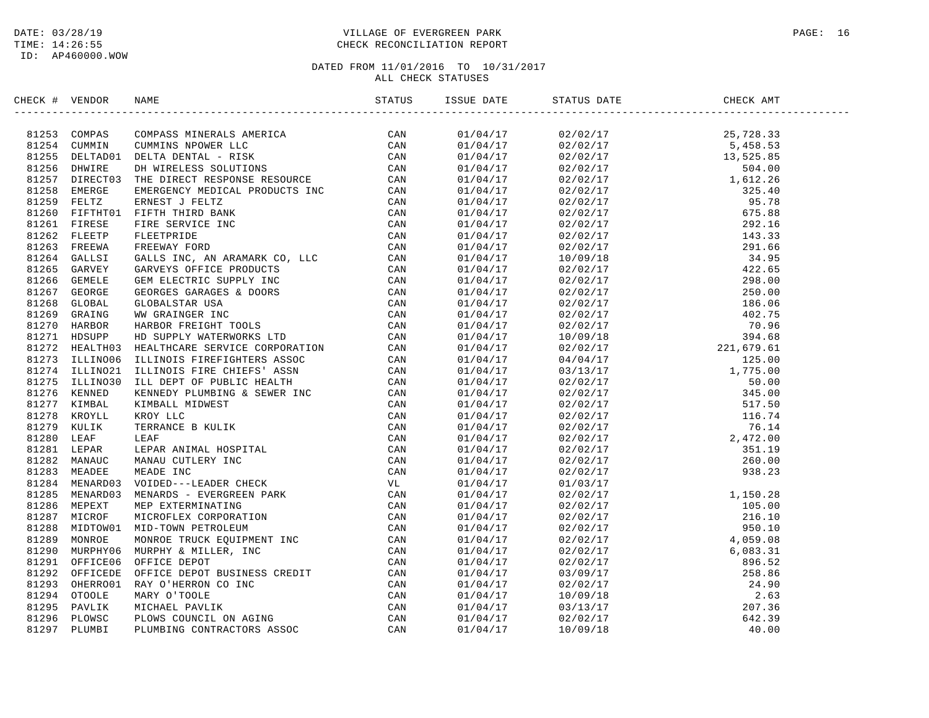# DATE: 03/28/19 PAGE: 16 TIME: 14:26:55 CHECK RECONCILIATION REPORT

| CHECK # VENDOR | NAME                                                                                                                                                                                                                                                                                                                                                                                                                                 | ISSUE DATE | STATUS DATE | CHECK AMT |  |
|----------------|--------------------------------------------------------------------------------------------------------------------------------------------------------------------------------------------------------------------------------------------------------------------------------------------------------------------------------------------------------------------------------------------------------------------------------------|------------|-------------|-----------|--|
|                | $\begin{tabular}{cccccccc} \textbf{11} & \textbf{1} & \textbf{0} & \textbf{0} & \textbf{0} & \textbf{0} & \textbf{0} & \textbf{0} & \textbf{0} & \textbf{0} & \textbf{0} \\ \textbf{2} & \textbf{2} & \textbf{0} & \textbf{0} & \textbf{0} & \textbf{0} & \textbf{0} & \textbf{0} & \textbf{0} & \textbf{0} & \textbf{0} \\ \textbf{3} & \textbf{1} & \textbf{2} & \textbf{0} & \textbf{0} & \textbf{0} & \textbf{0} & \textbf{0} &$ |            |             |           |  |
|                |                                                                                                                                                                                                                                                                                                                                                                                                                                      |            |             |           |  |
|                |                                                                                                                                                                                                                                                                                                                                                                                                                                      |            |             |           |  |
|                |                                                                                                                                                                                                                                                                                                                                                                                                                                      |            |             |           |  |
|                |                                                                                                                                                                                                                                                                                                                                                                                                                                      |            |             |           |  |
|                |                                                                                                                                                                                                                                                                                                                                                                                                                                      |            |             |           |  |
|                |                                                                                                                                                                                                                                                                                                                                                                                                                                      |            |             |           |  |
|                |                                                                                                                                                                                                                                                                                                                                                                                                                                      |            |             |           |  |
|                |                                                                                                                                                                                                                                                                                                                                                                                                                                      |            |             |           |  |
|                |                                                                                                                                                                                                                                                                                                                                                                                                                                      |            |             |           |  |
|                |                                                                                                                                                                                                                                                                                                                                                                                                                                      |            |             |           |  |
|                |                                                                                                                                                                                                                                                                                                                                                                                                                                      |            |             |           |  |
|                |                                                                                                                                                                                                                                                                                                                                                                                                                                      |            |             |           |  |
|                |                                                                                                                                                                                                                                                                                                                                                                                                                                      |            |             |           |  |
|                |                                                                                                                                                                                                                                                                                                                                                                                                                                      |            |             |           |  |
|                |                                                                                                                                                                                                                                                                                                                                                                                                                                      |            |             |           |  |
|                |                                                                                                                                                                                                                                                                                                                                                                                                                                      |            |             |           |  |
|                |                                                                                                                                                                                                                                                                                                                                                                                                                                      |            |             |           |  |
|                |                                                                                                                                                                                                                                                                                                                                                                                                                                      |            |             |           |  |
|                |                                                                                                                                                                                                                                                                                                                                                                                                                                      |            |             |           |  |
|                |                                                                                                                                                                                                                                                                                                                                                                                                                                      |            |             |           |  |
|                |                                                                                                                                                                                                                                                                                                                                                                                                                                      |            |             |           |  |
|                |                                                                                                                                                                                                                                                                                                                                                                                                                                      |            |             |           |  |
|                |                                                                                                                                                                                                                                                                                                                                                                                                                                      |            |             |           |  |
|                |                                                                                                                                                                                                                                                                                                                                                                                                                                      |            |             |           |  |
|                |                                                                                                                                                                                                                                                                                                                                                                                                                                      |            |             |           |  |
|                |                                                                                                                                                                                                                                                                                                                                                                                                                                      |            |             |           |  |
|                |                                                                                                                                                                                                                                                                                                                                                                                                                                      |            |             |           |  |
|                |                                                                                                                                                                                                                                                                                                                                                                                                                                      |            |             |           |  |
|                |                                                                                                                                                                                                                                                                                                                                                                                                                                      |            |             |           |  |
|                |                                                                                                                                                                                                                                                                                                                                                                                                                                      |            |             |           |  |
|                |                                                                                                                                                                                                                                                                                                                                                                                                                                      |            |             |           |  |
|                |                                                                                                                                                                                                                                                                                                                                                                                                                                      |            |             |           |  |
|                |                                                                                                                                                                                                                                                                                                                                                                                                                                      |            |             |           |  |
|                |                                                                                                                                                                                                                                                                                                                                                                                                                                      |            |             |           |  |
|                |                                                                                                                                                                                                                                                                                                                                                                                                                                      |            |             |           |  |
|                |                                                                                                                                                                                                                                                                                                                                                                                                                                      |            |             |           |  |
|                |                                                                                                                                                                                                                                                                                                                                                                                                                                      |            |             |           |  |
|                |                                                                                                                                                                                                                                                                                                                                                                                                                                      |            |             |           |  |
|                |                                                                                                                                                                                                                                                                                                                                                                                                                                      |            |             |           |  |
|                |                                                                                                                                                                                                                                                                                                                                                                                                                                      |            |             |           |  |
|                |                                                                                                                                                                                                                                                                                                                                                                                                                                      |            |             |           |  |
|                |                                                                                                                                                                                                                                                                                                                                                                                                                                      |            |             |           |  |
|                |                                                                                                                                                                                                                                                                                                                                                                                                                                      |            |             |           |  |
|                |                                                                                                                                                                                                                                                                                                                                                                                                                                      |            |             |           |  |
|                |                                                                                                                                                                                                                                                                                                                                                                                                                                      |            |             |           |  |
|                |                                                                                                                                                                                                                                                                                                                                                                                                                                      |            |             |           |  |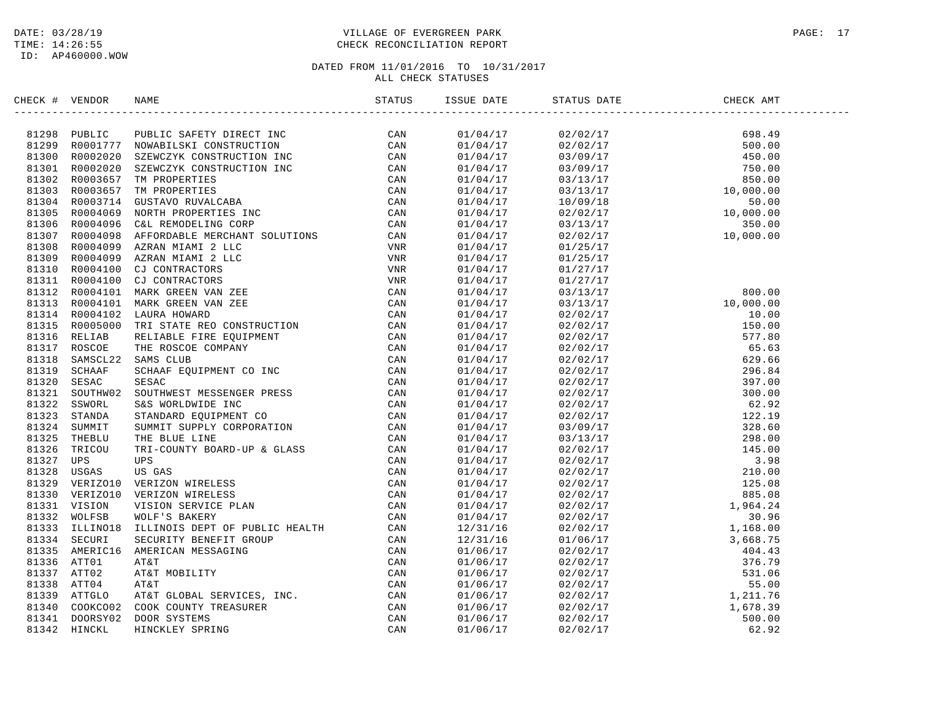### DATE: 03/28/19 PAGE: 17 TIME: 14:26:55 CHECK RECONCILIATION REPORT

| CHECK # VENDOR |                                                                                                                                                                                                                                           | ISSUE DATE | STATUS DATE                                                                                                                                                                                                                                                             | CHECK AMT |  |
|----------------|-------------------------------------------------------------------------------------------------------------------------------------------------------------------------------------------------------------------------------------------|------------|-------------------------------------------------------------------------------------------------------------------------------------------------------------------------------------------------------------------------------------------------------------------------|-----------|--|
|                | SECK # VERDOR NAME<br>SERVE # VERDOR NAME<br>1299 FORILIT PIOLIC SAFTY DIRECTIVE CAN<br>1299 FORILITY MOMARILSKI CONSTRUCTION<br>1299 ROULD 271 ROMARILSKI CONSTRUCTION<br>1299 ROULD 211 ROMARILSKI CONSTRUCTION<br>1299 ROULD 211 ROMAR |            | $\begin{array}{cccc} 01/04/17 & 02/02/17 & 698.49 \\ 01/04/17 & 02/02/17 & 500.00 \\ 01/04/17 & 03/09/17 & 450.00 \\ 01/04/17 & 03/09/17 & 750.00 \\ 01/04/17 & 03/13/17 & 850.00 \\ 01/04/17 & 03/13/17 & 10,000.00 \\ 01/04/17 & 10/09/18 & 50.00 \\ 01/04/17 & 02/0$ |           |  |
|                |                                                                                                                                                                                                                                           |            |                                                                                                                                                                                                                                                                         |           |  |
|                |                                                                                                                                                                                                                                           |            |                                                                                                                                                                                                                                                                         |           |  |
|                |                                                                                                                                                                                                                                           |            |                                                                                                                                                                                                                                                                         |           |  |
|                |                                                                                                                                                                                                                                           |            |                                                                                                                                                                                                                                                                         |           |  |
|                |                                                                                                                                                                                                                                           |            |                                                                                                                                                                                                                                                                         |           |  |
|                |                                                                                                                                                                                                                                           |            |                                                                                                                                                                                                                                                                         |           |  |
|                |                                                                                                                                                                                                                                           |            |                                                                                                                                                                                                                                                                         |           |  |
|                |                                                                                                                                                                                                                                           |            |                                                                                                                                                                                                                                                                         |           |  |
|                |                                                                                                                                                                                                                                           |            |                                                                                                                                                                                                                                                                         |           |  |
|                |                                                                                                                                                                                                                                           |            |                                                                                                                                                                                                                                                                         |           |  |
|                |                                                                                                                                                                                                                                           | 01/04/17   | 01/25/17                                                                                                                                                                                                                                                                |           |  |
|                |                                                                                                                                                                                                                                           | 01/04/17   | 01/25/17                                                                                                                                                                                                                                                                |           |  |
|                |                                                                                                                                                                                                                                           | 01/04/17   | 01/27/17                                                                                                                                                                                                                                                                |           |  |
|                |                                                                                                                                                                                                                                           | 01/04/17   |                                                                                                                                                                                                                                                                         |           |  |
|                |                                                                                                                                                                                                                                           | 01/04/17   |                                                                                                                                                                                                                                                                         |           |  |
|                |                                                                                                                                                                                                                                           | 01/04/17   |                                                                                                                                                                                                                                                                         |           |  |
|                |                                                                                                                                                                                                                                           | 01/04/17   |                                                                                                                                                                                                                                                                         |           |  |
|                |                                                                                                                                                                                                                                           | 01/04/17   |                                                                                                                                                                                                                                                                         |           |  |
|                |                                                                                                                                                                                                                                           | 01/04/17   |                                                                                                                                                                                                                                                                         |           |  |
|                |                                                                                                                                                                                                                                           | 01/04/17   |                                                                                                                                                                                                                                                                         |           |  |
|                |                                                                                                                                                                                                                                           | 01/04/17   |                                                                                                                                                                                                                                                                         |           |  |
|                |                                                                                                                                                                                                                                           | 01/04/17   |                                                                                                                                                                                                                                                                         |           |  |
|                |                                                                                                                                                                                                                                           | 01/04/17   |                                                                                                                                                                                                                                                                         |           |  |
|                |                                                                                                                                                                                                                                           | 01/04/17   |                                                                                                                                                                                                                                                                         |           |  |
|                |                                                                                                                                                                                                                                           | 01/04/17   |                                                                                                                                                                                                                                                                         |           |  |
|                |                                                                                                                                                                                                                                           | 01/04/17   |                                                                                                                                                                                                                                                                         |           |  |
|                |                                                                                                                                                                                                                                           | 01/04/17   |                                                                                                                                                                                                                                                                         |           |  |
|                |                                                                                                                                                                                                                                           | 01/04/17   |                                                                                                                                                                                                                                                                         |           |  |
|                |                                                                                                                                                                                                                                           | 01/04/17   |                                                                                                                                                                                                                                                                         |           |  |
|                |                                                                                                                                                                                                                                           | 01/04/17   |                                                                                                                                                                                                                                                                         |           |  |
|                |                                                                                                                                                                                                                                           | 01/04/17   |                                                                                                                                                                                                                                                                         |           |  |
|                |                                                                                                                                                                                                                                           | 01/04/17   |                                                                                                                                                                                                                                                                         |           |  |
|                |                                                                                                                                                                                                                                           | 01/04/17   |                                                                                                                                                                                                                                                                         |           |  |
|                |                                                                                                                                                                                                                                           | 01/04/17   |                                                                                                                                                                                                                                                                         |           |  |
|                |                                                                                                                                                                                                                                           | 01/04/17   |                                                                                                                                                                                                                                                                         |           |  |
|                |                                                                                                                                                                                                                                           | 12/31/16   |                                                                                                                                                                                                                                                                         |           |  |
|                |                                                                                                                                                                                                                                           | 12/31/16   |                                                                                                                                                                                                                                                                         |           |  |
|                |                                                                                                                                                                                                                                           | 01/06/17   |                                                                                                                                                                                                                                                                         |           |  |
|                |                                                                                                                                                                                                                                           | 01/06/17   |                                                                                                                                                                                                                                                                         |           |  |
|                |                                                                                                                                                                                                                                           | 01/06/17   |                                                                                                                                                                                                                                                                         |           |  |
|                |                                                                                                                                                                                                                                           | 01/06/17   |                                                                                                                                                                                                                                                                         |           |  |
|                |                                                                                                                                                                                                                                           | 01/06/17   |                                                                                                                                                                                                                                                                         |           |  |
|                |                                                                                                                                                                                                                                           | 01/06/17   |                                                                                                                                                                                                                                                                         |           |  |
|                |                                                                                                                                                                                                                                           | 01/06/17   |                                                                                                                                                                                                                                                                         |           |  |
|                |                                                                                                                                                                                                                                           | 01/06/17   | $\begin{tabular}{@{}c@{}}\n 01/25/17 & 01/27/17 & 03/13/17 & 03/13/17 & 03/13/17 & 03/13/17 & 03/13/17 & 03/13/17 & 10,000.00 & 03/13/17 & 10,000.00 & 03/13/17 & 10,000.00 & 03/13/17 & 10,000.00 & 03/13/17 & 1570.00 & 03/12/17 & 577.80 & 03/12/17 & 577.$          |           |  |
|                |                                                                                                                                                                                                                                           |            |                                                                                                                                                                                                                                                                         |           |  |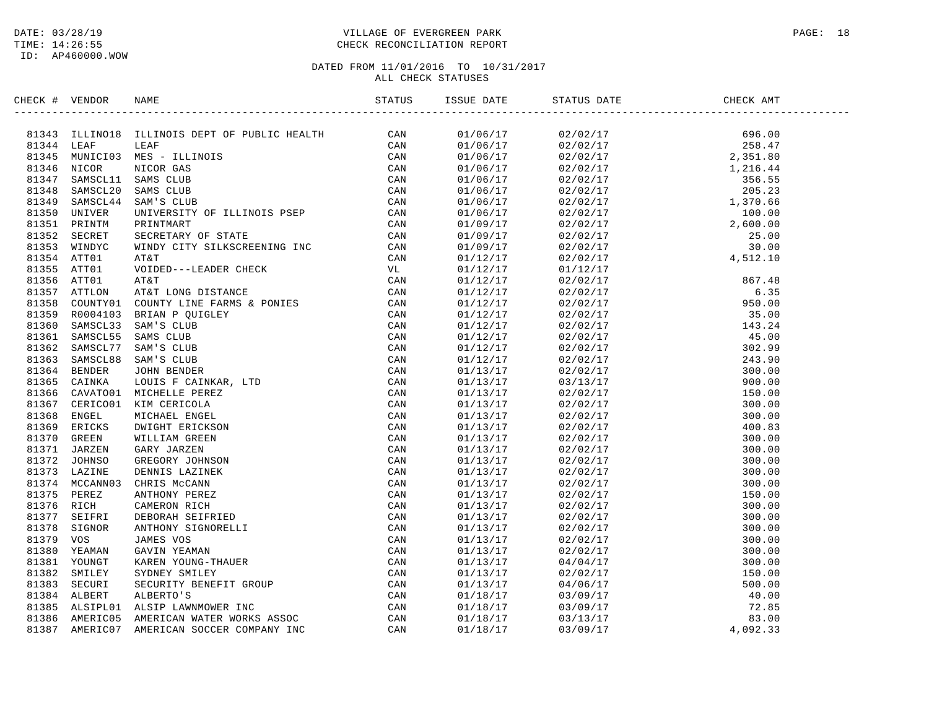### DATE: 03/28/19 PAGE: 18 TIME: 14:26:55 CHECK RECONCILIATION REPORT

| CHECK # VENDOR | NDOR NAME STATUS ISSU                                                                                                                                                                                                                                                                                                                                                     | ISSUE DATE |                                                                                                                                                                                                                                                                                                                                            | CHECK AMT                                                                                                                                                                                                                                                                   |
|----------------|---------------------------------------------------------------------------------------------------------------------------------------------------------------------------------------------------------------------------------------------------------------------------------------------------------------------------------------------------------------------------|------------|--------------------------------------------------------------------------------------------------------------------------------------------------------------------------------------------------------------------------------------------------------------------------------------------------------------------------------------------|-----------------------------------------------------------------------------------------------------------------------------------------------------------------------------------------------------------------------------------------------------------------------------|
|                | $\begin{tabular}{cccccccc} \textbf{H} & \textbf{V-SADON} & \textbf{RHEB} & \textbf{S1415} & \textbf{S1416} & \textbf{S1416} & \textbf{S1417} & \textbf{S1416} & \textbf{S1417} & \textbf{S1417} & \textbf{S1417} & \textbf{S1417} & \textbf{S1417} & \textbf{S1417} & \textbf{S1417} & \textbf{S1417} & \textbf{S1417} & \textbf{S1417} & \textbf{S1417} & \textbf{S1417$ |            |                                                                                                                                                                                                                                                                                                                                            | $\begin{array}{cccc} 02/02/17 & 696.00 \\ 02/02/17 & 258.47 \\ 02/02/17 & 2,351.80 \\ 02/02/17 & 1,216.44 \\ 02/02/17 & 356.55 \\ 02/02/17 & 1,370.66 \\ 02/02/17 & 2,600.00 \\ 02/02/17 & 2,600.00 \\ 02/02/17 & 25.00 \\ 02/02/17 & 25.00 \\ 02/02/17 & 30.00 \\ 02/02/1$ |
|                |                                                                                                                                                                                                                                                                                                                                                                           | 01/06/17   |                                                                                                                                                                                                                                                                                                                                            |                                                                                                                                                                                                                                                                             |
|                |                                                                                                                                                                                                                                                                                                                                                                           | 01/06/17   |                                                                                                                                                                                                                                                                                                                                            |                                                                                                                                                                                                                                                                             |
|                |                                                                                                                                                                                                                                                                                                                                                                           | 01/06/17   |                                                                                                                                                                                                                                                                                                                                            |                                                                                                                                                                                                                                                                             |
|                |                                                                                                                                                                                                                                                                                                                                                                           | 01/06/17   |                                                                                                                                                                                                                                                                                                                                            |                                                                                                                                                                                                                                                                             |
|                |                                                                                                                                                                                                                                                                                                                                                                           | 01/06/17   |                                                                                                                                                                                                                                                                                                                                            |                                                                                                                                                                                                                                                                             |
|                |                                                                                                                                                                                                                                                                                                                                                                           | 01/06/17   |                                                                                                                                                                                                                                                                                                                                            |                                                                                                                                                                                                                                                                             |
|                |                                                                                                                                                                                                                                                                                                                                                                           | 01/06/17   |                                                                                                                                                                                                                                                                                                                                            |                                                                                                                                                                                                                                                                             |
|                |                                                                                                                                                                                                                                                                                                                                                                           | 01/06/17   |                                                                                                                                                                                                                                                                                                                                            |                                                                                                                                                                                                                                                                             |
|                |                                                                                                                                                                                                                                                                                                                                                                           | 01/09/17   |                                                                                                                                                                                                                                                                                                                                            |                                                                                                                                                                                                                                                                             |
|                |                                                                                                                                                                                                                                                                                                                                                                           | 01/09/17   |                                                                                                                                                                                                                                                                                                                                            |                                                                                                                                                                                                                                                                             |
|                |                                                                                                                                                                                                                                                                                                                                                                           | 01/09/17   |                                                                                                                                                                                                                                                                                                                                            |                                                                                                                                                                                                                                                                             |
|                |                                                                                                                                                                                                                                                                                                                                                                           | 01/12/17   |                                                                                                                                                                                                                                                                                                                                            |                                                                                                                                                                                                                                                                             |
|                |                                                                                                                                                                                                                                                                                                                                                                           | 01/12/17   |                                                                                                                                                                                                                                                                                                                                            |                                                                                                                                                                                                                                                                             |
|                |                                                                                                                                                                                                                                                                                                                                                                           | 01/12/17   |                                                                                                                                                                                                                                                                                                                                            |                                                                                                                                                                                                                                                                             |
|                |                                                                                                                                                                                                                                                                                                                                                                           | 01/12/17   |                                                                                                                                                                                                                                                                                                                                            |                                                                                                                                                                                                                                                                             |
|                |                                                                                                                                                                                                                                                                                                                                                                           | 01/12/17   |                                                                                                                                                                                                                                                                                                                                            |                                                                                                                                                                                                                                                                             |
|                |                                                                                                                                                                                                                                                                                                                                                                           | 01/12/17   |                                                                                                                                                                                                                                                                                                                                            |                                                                                                                                                                                                                                                                             |
|                |                                                                                                                                                                                                                                                                                                                                                                           | 01/12/17   |                                                                                                                                                                                                                                                                                                                                            |                                                                                                                                                                                                                                                                             |
|                |                                                                                                                                                                                                                                                                                                                                                                           | 01/12/17   |                                                                                                                                                                                                                                                                                                                                            |                                                                                                                                                                                                                                                                             |
|                |                                                                                                                                                                                                                                                                                                                                                                           | 01/12/17   |                                                                                                                                                                                                                                                                                                                                            |                                                                                                                                                                                                                                                                             |
|                |                                                                                                                                                                                                                                                                                                                                                                           | 01/12/17   |                                                                                                                                                                                                                                                                                                                                            |                                                                                                                                                                                                                                                                             |
|                |                                                                                                                                                                                                                                                                                                                                                                           | 01/13/17   |                                                                                                                                                                                                                                                                                                                                            |                                                                                                                                                                                                                                                                             |
|                |                                                                                                                                                                                                                                                                                                                                                                           | 01/13/17   |                                                                                                                                                                                                                                                                                                                                            |                                                                                                                                                                                                                                                                             |
|                |                                                                                                                                                                                                                                                                                                                                                                           | 01/13/17   |                                                                                                                                                                                                                                                                                                                                            |                                                                                                                                                                                                                                                                             |
|                |                                                                                                                                                                                                                                                                                                                                                                           | 01/13/17   |                                                                                                                                                                                                                                                                                                                                            |                                                                                                                                                                                                                                                                             |
|                |                                                                                                                                                                                                                                                                                                                                                                           | 01/13/17   |                                                                                                                                                                                                                                                                                                                                            |                                                                                                                                                                                                                                                                             |
|                |                                                                                                                                                                                                                                                                                                                                                                           | 01/13/17   |                                                                                                                                                                                                                                                                                                                                            |                                                                                                                                                                                                                                                                             |
|                |                                                                                                                                                                                                                                                                                                                                                                           | 01/13/17   |                                                                                                                                                                                                                                                                                                                                            |                                                                                                                                                                                                                                                                             |
|                |                                                                                                                                                                                                                                                                                                                                                                           | 01/13/17   |                                                                                                                                                                                                                                                                                                                                            |                                                                                                                                                                                                                                                                             |
|                |                                                                                                                                                                                                                                                                                                                                                                           | 01/13/17   |                                                                                                                                                                                                                                                                                                                                            |                                                                                                                                                                                                                                                                             |
|                |                                                                                                                                                                                                                                                                                                                                                                           | 01/13/17   |                                                                                                                                                                                                                                                                                                                                            |                                                                                                                                                                                                                                                                             |
|                |                                                                                                                                                                                                                                                                                                                                                                           | 01/13/17   |                                                                                                                                                                                                                                                                                                                                            |                                                                                                                                                                                                                                                                             |
|                |                                                                                                                                                                                                                                                                                                                                                                           | 01/13/17   |                                                                                                                                                                                                                                                                                                                                            |                                                                                                                                                                                                                                                                             |
|                |                                                                                                                                                                                                                                                                                                                                                                           | 01/13/17   |                                                                                                                                                                                                                                                                                                                                            |                                                                                                                                                                                                                                                                             |
|                |                                                                                                                                                                                                                                                                                                                                                                           |            |                                                                                                                                                                                                                                                                                                                                            |                                                                                                                                                                                                                                                                             |
|                |                                                                                                                                                                                                                                                                                                                                                                           | 01/13/17   |                                                                                                                                                                                                                                                                                                                                            |                                                                                                                                                                                                                                                                             |
|                |                                                                                                                                                                                                                                                                                                                                                                           | 01/13/17   |                                                                                                                                                                                                                                                                                                                                            |                                                                                                                                                                                                                                                                             |
|                |                                                                                                                                                                                                                                                                                                                                                                           | 01/13/17   |                                                                                                                                                                                                                                                                                                                                            |                                                                                                                                                                                                                                                                             |
|                |                                                                                                                                                                                                                                                                                                                                                                           | 01/13/17   |                                                                                                                                                                                                                                                                                                                                            |                                                                                                                                                                                                                                                                             |
|                |                                                                                                                                                                                                                                                                                                                                                                           | 01/13/17   |                                                                                                                                                                                                                                                                                                                                            |                                                                                                                                                                                                                                                                             |
|                |                                                                                                                                                                                                                                                                                                                                                                           | 01/13/17   | $\begin{array}{cccc} 0x_1' + x_2' + x_3' + x_4' + x_5' + x_6' + x_7' + x_8' + x_9' + x_1' + x_2' + x_3' + x_4' + x_6' + x_7' + x_9' + x_1' + x_2' + x_3' + x_4' + x_6' + x_7' + x_7' + x_9' + x_1' + x_2' + x_3' + x_4' + x_5' + x_6' + x_7' + x_7' + x_8' + x_9' + x_1' + x_2' + x_3' + x_4' + x_1' + x_2' + x_3' + x_4' + x$<br>02/02/17 | $150.00$<br>$150.00$<br>$40.00$<br>$72.85$<br>$83.00$<br>$4,092.33$                                                                                                                                                                                                         |
|                |                                                                                                                                                                                                                                                                                                                                                                           | 01/13/17   | 04/06/17                                                                                                                                                                                                                                                                                                                                   |                                                                                                                                                                                                                                                                             |
|                |                                                                                                                                                                                                                                                                                                                                                                           | 01/18/17   | 03/09/17                                                                                                                                                                                                                                                                                                                                   |                                                                                                                                                                                                                                                                             |
|                |                                                                                                                                                                                                                                                                                                                                                                           | 01/18/17   | 03/09/17                                                                                                                                                                                                                                                                                                                                   |                                                                                                                                                                                                                                                                             |
|                |                                                                                                                                                                                                                                                                                                                                                                           | 01/18/17   | 03/13/17                                                                                                                                                                                                                                                                                                                                   |                                                                                                                                                                                                                                                                             |
|                |                                                                                                                                                                                                                                                                                                                                                                           | 01/18/17   | 03/09/17                                                                                                                                                                                                                                                                                                                                   |                                                                                                                                                                                                                                                                             |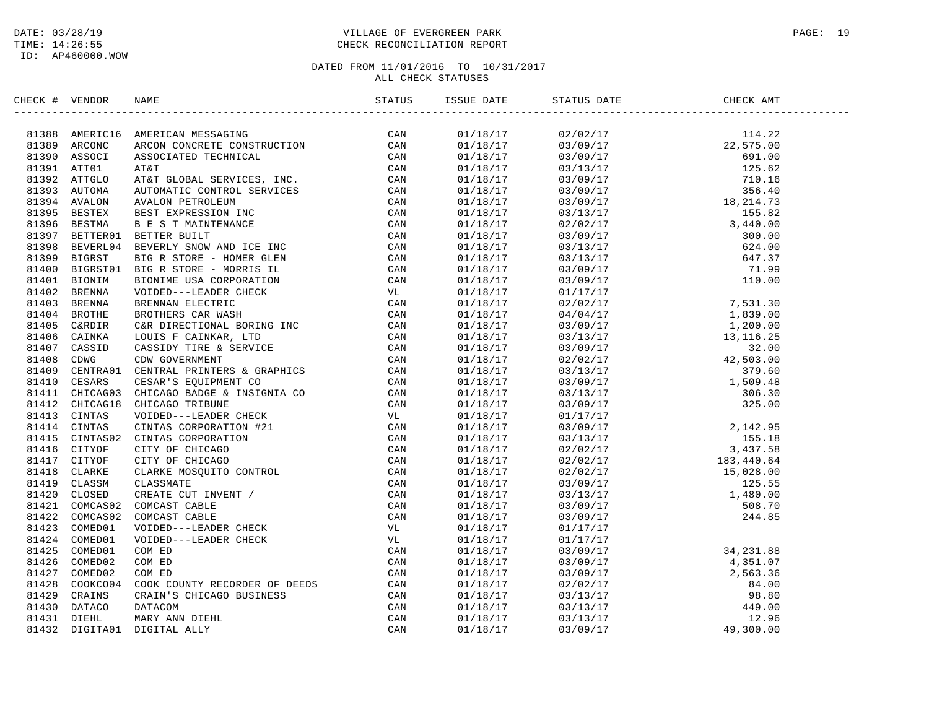# DATE: 03/28/19 PAGE: 19 PAGE: 19 TIME: 14:26:55 CHECK RECONCILIATION REPORT

| CHECK # VENDOR | <b>NAME</b>                                                                                                                                                                                                                                                                                                                                                                                               | STATUS | ISSUE DATE | STATUS DATE                                                                                                                                                           | CHECK AMT                                                                                                                                                                                                                                                                                                 |  |
|----------------|-----------------------------------------------------------------------------------------------------------------------------------------------------------------------------------------------------------------------------------------------------------------------------------------------------------------------------------------------------------------------------------------------------------|--------|------------|-----------------------------------------------------------------------------------------------------------------------------------------------------------------------|-----------------------------------------------------------------------------------------------------------------------------------------------------------------------------------------------------------------------------------------------------------------------------------------------------------|--|
|                | $\begin{tabular}{cccccccc} \textbf{R188} & \textbf{MRERICS} & \textbf{MRERICS} & \textbf{MRERICS} & \textbf{MRERICS} & \textbf{MRERICS} & \textbf{MRERICS} & \textbf{MRERICS} & \textbf{MRERICS} & \textbf{MRERICS} & \textbf{MRERICS} & \textbf{MRERICS} & \textbf{MRERICS} & \textbf{MRERICS} & \textbf{MRERICS} & \textbf{MRERICS} & \textbf{MRERICS} & \textbf{MRERICS} & \textbf{MRERICS} & \textbf$ |        | 01/18/17   |                                                                                                                                                                       |                                                                                                                                                                                                                                                                                                           |  |
|                |                                                                                                                                                                                                                                                                                                                                                                                                           |        | 01/18/17   |                                                                                                                                                                       |                                                                                                                                                                                                                                                                                                           |  |
|                |                                                                                                                                                                                                                                                                                                                                                                                                           |        | 01/18/17   |                                                                                                                                                                       |                                                                                                                                                                                                                                                                                                           |  |
|                |                                                                                                                                                                                                                                                                                                                                                                                                           |        | 01/18/17   |                                                                                                                                                                       |                                                                                                                                                                                                                                                                                                           |  |
|                |                                                                                                                                                                                                                                                                                                                                                                                                           |        | 01/18/17   |                                                                                                                                                                       |                                                                                                                                                                                                                                                                                                           |  |
|                |                                                                                                                                                                                                                                                                                                                                                                                                           |        | 01/18/17   |                                                                                                                                                                       |                                                                                                                                                                                                                                                                                                           |  |
|                |                                                                                                                                                                                                                                                                                                                                                                                                           |        | 01/18/17   |                                                                                                                                                                       |                                                                                                                                                                                                                                                                                                           |  |
|                |                                                                                                                                                                                                                                                                                                                                                                                                           |        | 01/18/17   |                                                                                                                                                                       |                                                                                                                                                                                                                                                                                                           |  |
|                |                                                                                                                                                                                                                                                                                                                                                                                                           |        | 01/18/17   |                                                                                                                                                                       |                                                                                                                                                                                                                                                                                                           |  |
|                |                                                                                                                                                                                                                                                                                                                                                                                                           |        | 01/18/17   |                                                                                                                                                                       |                                                                                                                                                                                                                                                                                                           |  |
|                |                                                                                                                                                                                                                                                                                                                                                                                                           |        | 01/18/17   |                                                                                                                                                                       |                                                                                                                                                                                                                                                                                                           |  |
|                |                                                                                                                                                                                                                                                                                                                                                                                                           |        | 01/18/17   |                                                                                                                                                                       |                                                                                                                                                                                                                                                                                                           |  |
|                |                                                                                                                                                                                                                                                                                                                                                                                                           |        | 01/18/17   |                                                                                                                                                                       |                                                                                                                                                                                                                                                                                                           |  |
|                |                                                                                                                                                                                                                                                                                                                                                                                                           |        | 01/18/17   |                                                                                                                                                                       |                                                                                                                                                                                                                                                                                                           |  |
|                |                                                                                                                                                                                                                                                                                                                                                                                                           |        | 01/18/17   |                                                                                                                                                                       |                                                                                                                                                                                                                                                                                                           |  |
|                |                                                                                                                                                                                                                                                                                                                                                                                                           |        | 01/18/17   |                                                                                                                                                                       |                                                                                                                                                                                                                                                                                                           |  |
|                |                                                                                                                                                                                                                                                                                                                                                                                                           |        | 01/18/17   |                                                                                                                                                                       |                                                                                                                                                                                                                                                                                                           |  |
|                |                                                                                                                                                                                                                                                                                                                                                                                                           |        | 01/18/17   |                                                                                                                                                                       |                                                                                                                                                                                                                                                                                                           |  |
|                |                                                                                                                                                                                                                                                                                                                                                                                                           |        | 01/18/17   |                                                                                                                                                                       |                                                                                                                                                                                                                                                                                                           |  |
|                |                                                                                                                                                                                                                                                                                                                                                                                                           |        | 01/18/17   |                                                                                                                                                                       |                                                                                                                                                                                                                                                                                                           |  |
|                |                                                                                                                                                                                                                                                                                                                                                                                                           |        | 01/18/17   |                                                                                                                                                                       |                                                                                                                                                                                                                                                                                                           |  |
|                |                                                                                                                                                                                                                                                                                                                                                                                                           |        | 01/18/17   |                                                                                                                                                                       |                                                                                                                                                                                                                                                                                                           |  |
|                |                                                                                                                                                                                                                                                                                                                                                                                                           |        | 01/18/17   |                                                                                                                                                                       |                                                                                                                                                                                                                                                                                                           |  |
|                |                                                                                                                                                                                                                                                                                                                                                                                                           |        | 01/18/17   |                                                                                                                                                                       |                                                                                                                                                                                                                                                                                                           |  |
|                |                                                                                                                                                                                                                                                                                                                                                                                                           |        | 01/18/17   |                                                                                                                                                                       |                                                                                                                                                                                                                                                                                                           |  |
|                |                                                                                                                                                                                                                                                                                                                                                                                                           |        | 01/18/17   |                                                                                                                                                                       |                                                                                                                                                                                                                                                                                                           |  |
|                |                                                                                                                                                                                                                                                                                                                                                                                                           |        | 01/18/17   |                                                                                                                                                                       |                                                                                                                                                                                                                                                                                                           |  |
|                |                                                                                                                                                                                                                                                                                                                                                                                                           |        | 01/18/17   |                                                                                                                                                                       |                                                                                                                                                                                                                                                                                                           |  |
|                |                                                                                                                                                                                                                                                                                                                                                                                                           |        | 01/18/17   |                                                                                                                                                                       |                                                                                                                                                                                                                                                                                                           |  |
|                |                                                                                                                                                                                                                                                                                                                                                                                                           |        | 01/18/17   |                                                                                                                                                                       |                                                                                                                                                                                                                                                                                                           |  |
|                |                                                                                                                                                                                                                                                                                                                                                                                                           |        | 01/18/17   |                                                                                                                                                                       |                                                                                                                                                                                                                                                                                                           |  |
|                |                                                                                                                                                                                                                                                                                                                                                                                                           |        | 01/18/17   |                                                                                                                                                                       |                                                                                                                                                                                                                                                                                                           |  |
|                |                                                                                                                                                                                                                                                                                                                                                                                                           |        | 01/18/17   |                                                                                                                                                                       |                                                                                                                                                                                                                                                                                                           |  |
|                |                                                                                                                                                                                                                                                                                                                                                                                                           |        | 01/18/17   | $\begin{array}{cccc} 02/02/17 & 15,3440.04 \\ 02/02/17 & 15,028.00 \\ 03/09/17 & 125.55 \\ 03/13/17 & 1,480.00 \\ 03/09/17 & 508.70 \\ 03/09/17 & 244.85 \end{array}$ |                                                                                                                                                                                                                                                                                                           |  |
|                |                                                                                                                                                                                                                                                                                                                                                                                                           |        |            |                                                                                                                                                                       |                                                                                                                                                                                                                                                                                                           |  |
|                |                                                                                                                                                                                                                                                                                                                                                                                                           |        | 01/18/17   |                                                                                                                                                                       |                                                                                                                                                                                                                                                                                                           |  |
|                |                                                                                                                                                                                                                                                                                                                                                                                                           |        | 01/18/17   | 01/17/17                                                                                                                                                              |                                                                                                                                                                                                                                                                                                           |  |
|                |                                                                                                                                                                                                                                                                                                                                                                                                           |        | 01/18/17   | 01/17/17                                                                                                                                                              |                                                                                                                                                                                                                                                                                                           |  |
|                |                                                                                                                                                                                                                                                                                                                                                                                                           |        | 01/18/17   |                                                                                                                                                                       |                                                                                                                                                                                                                                                                                                           |  |
|                |                                                                                                                                                                                                                                                                                                                                                                                                           |        | 01/18/17   |                                                                                                                                                                       |                                                                                                                                                                                                                                                                                                           |  |
|                |                                                                                                                                                                                                                                                                                                                                                                                                           |        | 01/18/17   |                                                                                                                                                                       | $\begin{array}{cccc} 01/17/17 \\ 03/09/17 \\ 03/09/17 \\ 03/09/17 \\ 03/09/17 \\ 02/02/17 \\ 03/13/17 \\ 03/13/17 \\ 03/13/17 \\ 03/09/17 \\ 03/09/17 \\ \end{array} \qquad \qquad \begin{array}{cccc} 34,231.88 \\ 4,351.07 \\ 2,563.36 \\ 84.00 \\ 98.80 \\ 149.00 \\ 12.96 \\ 03/09/17 \\ \end{array}$ |  |
|                |                                                                                                                                                                                                                                                                                                                                                                                                           |        | 01/18/17   |                                                                                                                                                                       |                                                                                                                                                                                                                                                                                                           |  |
|                |                                                                                                                                                                                                                                                                                                                                                                                                           |        | 01/18/17   |                                                                                                                                                                       |                                                                                                                                                                                                                                                                                                           |  |
|                |                                                                                                                                                                                                                                                                                                                                                                                                           |        | 01/18/17   |                                                                                                                                                                       |                                                                                                                                                                                                                                                                                                           |  |
|                |                                                                                                                                                                                                                                                                                                                                                                                                           |        | 01/18/17   |                                                                                                                                                                       |                                                                                                                                                                                                                                                                                                           |  |
|                |                                                                                                                                                                                                                                                                                                                                                                                                           |        | 01/18/17   |                                                                                                                                                                       |                                                                                                                                                                                                                                                                                                           |  |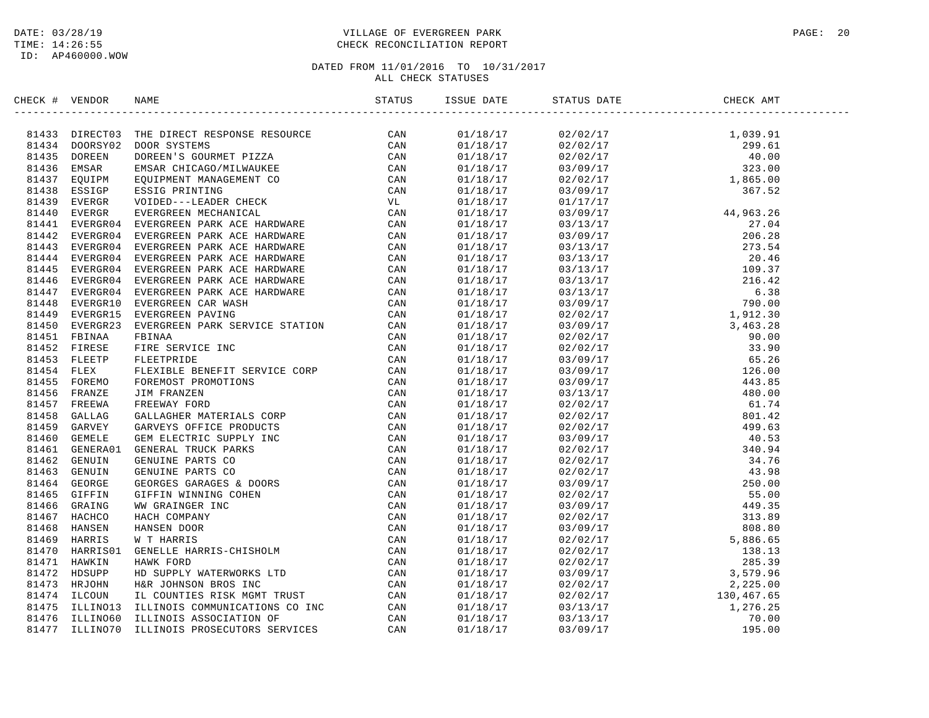### DATE: 03/28/19 PAGE: 20 PAGE: 20 PAGE: 20 PAGE: 20 PAGE: 20 PAGE: 20 PAGE: 20 PAGE: 20 PAGE: 20 TIME: 14:26:55 CHECK RECONCILIATION REPORT

| CHECK #    | VENDOR         |                                                                                                                                                                                                                                               | STATUS | ISSUE DATE | STATUS DATE                                                                                                                                                                                                                                                        | CHECK AMT |  |
|------------|----------------|-----------------------------------------------------------------------------------------------------------------------------------------------------------------------------------------------------------------------------------------------|--------|------------|--------------------------------------------------------------------------------------------------------------------------------------------------------------------------------------------------------------------------------------------------------------------|-----------|--|
|            |                | 81433 DIRECTO3 THE DIRECT RESPONSE RESOURCE<br>81434 DOORSY02 DOOR SYSTEMS<br>81434 DOREEN DOREEN'S GOURMET PIZZA CAN<br>81435 DOREEN DOREEN'S GOURMET PIZZA CAN<br>81436 EMSAR EMSAR CHICAGO/MILWAUKEE CAN<br>81437 EQUIPM EQUIPMENT MA      |        | 01/18/17   | $\begin{tabular}{@{}c@{}}\hline & 0.270211 & 0.270211 & 0.270211 & 0.270211 & 0.270211 & 0.270211 & 0.270211 & 0.270211 & 0.270211 & 0.270211 & 0.270211 & 0.270211 & 0.270211 & 0.270211 & 0.270211 & 0.27021 & 0.270211 & 0.27021 & 0.27021 & 0.27021 & 0.27021$ |           |  |
|            |                |                                                                                                                                                                                                                                               |        | 01/18/17   |                                                                                                                                                                                                                                                                    |           |  |
|            |                |                                                                                                                                                                                                                                               |        | 01/18/17   |                                                                                                                                                                                                                                                                    |           |  |
|            |                |                                                                                                                                                                                                                                               |        | 01/18/17   |                                                                                                                                                                                                                                                                    |           |  |
|            |                |                                                                                                                                                                                                                                               |        | 01/18/17   |                                                                                                                                                                                                                                                                    |           |  |
|            |                |                                                                                                                                                                                                                                               |        | 01/18/17   |                                                                                                                                                                                                                                                                    |           |  |
|            |                |                                                                                                                                                                                                                                               |        | 01/18/17   |                                                                                                                                                                                                                                                                    |           |  |
|            |                |                                                                                                                                                                                                                                               |        | 01/18/17   |                                                                                                                                                                                                                                                                    |           |  |
|            |                |                                                                                                                                                                                                                                               |        | 01/18/17   |                                                                                                                                                                                                                                                                    |           |  |
|            |                |                                                                                                                                                                                                                                               |        | 01/18/17   |                                                                                                                                                                                                                                                                    |           |  |
|            |                |                                                                                                                                                                                                                                               |        | 01/18/17   |                                                                                                                                                                                                                                                                    |           |  |
|            |                |                                                                                                                                                                                                                                               |        | 01/18/17   |                                                                                                                                                                                                                                                                    |           |  |
| 81445      | EVERGR04       | EVERGREEN PARK ACE HARDWARE                                                                                                                                                                                                                   | CAN    | 01/18/17   |                                                                                                                                                                                                                                                                    |           |  |
|            | 81446 EVERGR04 |                                                                                                                                                                                                                                               | CAN    | 01/18/17   |                                                                                                                                                                                                                                                                    |           |  |
|            | 81447 EVERGR04 |                                                                                                                                                                                                                                               | CAN    | 01/18/17   |                                                                                                                                                                                                                                                                    |           |  |
| 81448      | EVERGR10       |                                                                                                                                                                                                                                               | CAN    | 01/18/17   |                                                                                                                                                                                                                                                                    |           |  |
|            | 81449 EVERGR15 |                                                                                                                                                                                                                                               | CAN    | 01/18/17   |                                                                                                                                                                                                                                                                    |           |  |
| 81450      | EVERGR23       |                                                                                                                                                                                                                                               | CAN    | 01/18/17   |                                                                                                                                                                                                                                                                    |           |  |
|            | 81451 FBINAA   |                                                                                                                                                                                                                                               | CAN    | 01/18/17   |                                                                                                                                                                                                                                                                    |           |  |
|            | 81452 FIRESE   |                                                                                                                                                                                                                                               | CAN    | 01/18/17   |                                                                                                                                                                                                                                                                    |           |  |
|            | 81453 FLEETP   |                                                                                                                                                                                                                                               | CAN    | 01/18/17   |                                                                                                                                                                                                                                                                    |           |  |
| 81454 FLEX |                |                                                                                                                                                                                                                                               | CAN    | 01/18/17   |                                                                                                                                                                                                                                                                    |           |  |
| 81455      | FOREMO         |                                                                                                                                                                                                                                               | CAN    | 01/18/17   |                                                                                                                                                                                                                                                                    |           |  |
| 81456      | FRANZE         |                                                                                                                                                                                                                                               | CAN    | 01/18/17   |                                                                                                                                                                                                                                                                    |           |  |
| 81457      | FREEWA         |                                                                                                                                                                                                                                               | CAN    | 01/18/17   |                                                                                                                                                                                                                                                                    |           |  |
| 81458      | GALLAG         |                                                                                                                                                                                                                                               | CAN    | 01/18/17   |                                                                                                                                                                                                                                                                    |           |  |
| 81459      | GARVEY         |                                                                                                                                                                                                                                               | CAN    | 01/18/17   |                                                                                                                                                                                                                                                                    |           |  |
| 81460      | GEMELE         |                                                                                                                                                                                                                                               | CAN    | 01/18/17   |                                                                                                                                                                                                                                                                    |           |  |
| 81461      | GENERA01       |                                                                                                                                                                                                                                               | CAN    | 01/18/17   |                                                                                                                                                                                                                                                                    |           |  |
|            | 81462 GENUIN   |                                                                                                                                                                                                                                               | CAN    | 01/18/17   |                                                                                                                                                                                                                                                                    |           |  |
| 81463      | GENUIN         |                                                                                                                                                                                                                                               | CAN    | 01/18/17   |                                                                                                                                                                                                                                                                    |           |  |
|            | 81464 GEORGE   |                                                                                                                                                                                                                                               | CAN    | 01/18/17   |                                                                                                                                                                                                                                                                    |           |  |
| 81465      | GIFFIN         |                                                                                                                                                                                                                                               | CAN    | 01/18/17   |                                                                                                                                                                                                                                                                    |           |  |
| 81466      | GRAING         |                                                                                                                                                                                                                                               | CAN    | 01/18/17   |                                                                                                                                                                                                                                                                    |           |  |
| 81467      | HACHCO         |                                                                                                                                                                                                                                               | CAN    | 01/18/17   |                                                                                                                                                                                                                                                                    |           |  |
| 81468      | HANSEN         |                                                                                                                                                                                                                                               | CAN    | 01/18/17   |                                                                                                                                                                                                                                                                    |           |  |
| 81469      | HARRIS         |                                                                                                                                                                                                                                               | CAN    | 01/18/17   |                                                                                                                                                                                                                                                                    |           |  |
| 81470      | HARRIS01       |                                                                                                                                                                                                                                               | CAN    | 01/18/17   |                                                                                                                                                                                                                                                                    |           |  |
| 81471      | HAWKIN         |                                                                                                                                                                                                                                               | CAN    | 01/18/17   |                                                                                                                                                                                                                                                                    |           |  |
| 81472      | HDSUPP         |                                                                                                                                                                                                                                               | CAN    | 01/18/17   |                                                                                                                                                                                                                                                                    |           |  |
| 81473      | HRJOHN         | EVERGREEN PARK ACE HARDWARE<br>EVERGREEN PARK ACE HARDWARE<br>EVERGREEN PARK ACE HARDWARE<br>EVERGREEN PARK ACE HARDWARE<br>EVERGREEN CAR WASH<br>EVERGREEN CAR WASH<br>EVERGREEN PARK SERVICE STATION<br>FETARA FIRE SERVICE INC<br>FETARIAL | CAN    | 01/18/17   |                                                                                                                                                                                                                                                                    |           |  |
| 81474      | ILCOUN         |                                                                                                                                                                                                                                               | CAN    | 01/18/17   | $02/02/17$<br>02/02/17<br>02/02/17<br>130,467.65                                                                                                                                                                                                                   |           |  |
| 81475      | ILLINO13       |                                                                                                                                                                                                                                               | CAN    | 01/18/17   | 03/13/17                                                                                                                                                                                                                                                           | 1,276.25  |  |
| 81476      | ILLINO60       | ILLINOIS COMMUNICATIONS CO INC<br>ILLINOIS ASSOCIATION OF                                                                                                                                                                                     | CAN    | 01/18/17   | 03/13/17                                                                                                                                                                                                                                                           | 70.00     |  |
| 81477      | ILLINO70       | ILLINOIS PROSECUTORS SERVICES                                                                                                                                                                                                                 | CAN    | 01/18/17   | 03/09/17                                                                                                                                                                                                                                                           | 195.00    |  |
|            |                |                                                                                                                                                                                                                                               |        |            |                                                                                                                                                                                                                                                                    |           |  |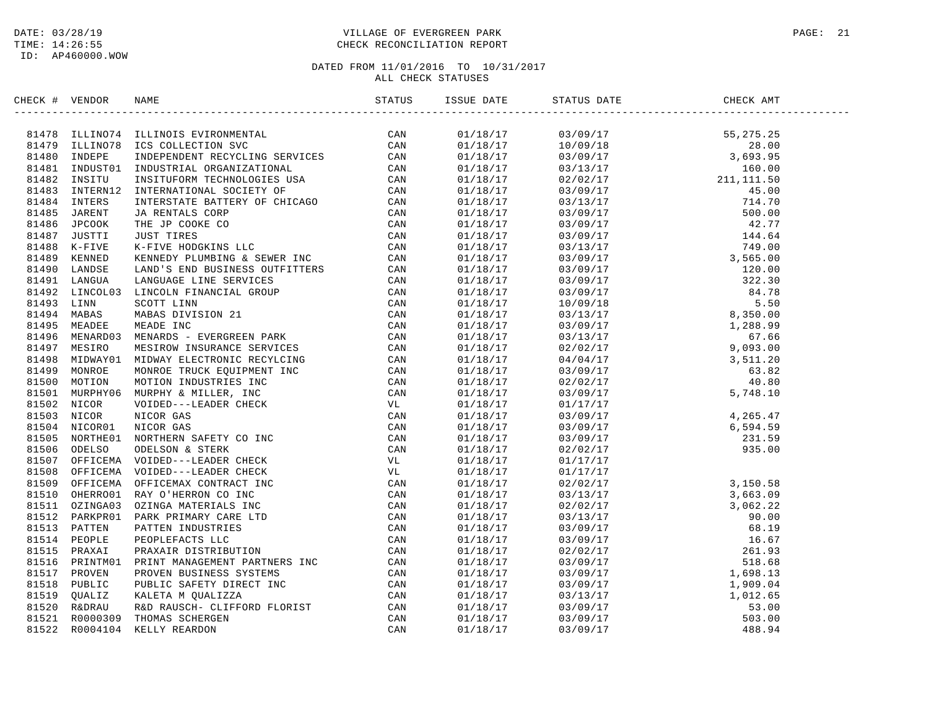### DATE: 03/28/19 PAGE: 21 PAGE: 21 TIME: 14:26:55 CHECK RECONCILIATION REPORT

| CHECK # VENDOR | <b>NAME</b>                                                                                                                                                                                                                                                                                                                                         | ISSUE DATE | STATUS DATE | CHECK AMT                                                                                                                                                                                                                                                                            |  |
|----------------|-----------------------------------------------------------------------------------------------------------------------------------------------------------------------------------------------------------------------------------------------------------------------------------------------------------------------------------------------------|------------|-------------|--------------------------------------------------------------------------------------------------------------------------------------------------------------------------------------------------------------------------------------------------------------------------------------|--|
|                | $\begin{tabular}{cccccccc} \textbf{1.44.44} & \textbf{1.44.45} & \textbf{1.44.46} & \textbf{1.44.46} & \textbf{1.44.47} & \textbf{1.44.47} & \textbf{1.44.48} & \textbf{1.44.48} & \textbf{1.44.48} & \textbf{1.44.48} & \textbf{1.44.48} & \textbf{1.44.48} & \textbf{1.44.48} & \textbf{1.44.48} & \textbf{1.44.48} & \textbf{1.44.48} & \textbf$ | 01/18/17   |             |                                                                                                                                                                                                                                                                                      |  |
|                |                                                                                                                                                                                                                                                                                                                                                     | 01/18/17   |             |                                                                                                                                                                                                                                                                                      |  |
|                |                                                                                                                                                                                                                                                                                                                                                     | 01/18/17   |             |                                                                                                                                                                                                                                                                                      |  |
|                |                                                                                                                                                                                                                                                                                                                                                     | 01/18/17   |             |                                                                                                                                                                                                                                                                                      |  |
|                |                                                                                                                                                                                                                                                                                                                                                     | 01/18/17   |             |                                                                                                                                                                                                                                                                                      |  |
|                |                                                                                                                                                                                                                                                                                                                                                     | 01/18/17   |             |                                                                                                                                                                                                                                                                                      |  |
|                |                                                                                                                                                                                                                                                                                                                                                     | 01/18/17   |             |                                                                                                                                                                                                                                                                                      |  |
|                |                                                                                                                                                                                                                                                                                                                                                     | 01/18/17   |             |                                                                                                                                                                                                                                                                                      |  |
|                |                                                                                                                                                                                                                                                                                                                                                     | 01/18/17   |             |                                                                                                                                                                                                                                                                                      |  |
|                |                                                                                                                                                                                                                                                                                                                                                     | 01/18/17   |             |                                                                                                                                                                                                                                                                                      |  |
|                |                                                                                                                                                                                                                                                                                                                                                     | 01/18/17   |             |                                                                                                                                                                                                                                                                                      |  |
|                |                                                                                                                                                                                                                                                                                                                                                     | 01/18/17   |             |                                                                                                                                                                                                                                                                                      |  |
|                |                                                                                                                                                                                                                                                                                                                                                     | 01/18/17   |             |                                                                                                                                                                                                                                                                                      |  |
|                |                                                                                                                                                                                                                                                                                                                                                     | 01/18/17   |             |                                                                                                                                                                                                                                                                                      |  |
|                |                                                                                                                                                                                                                                                                                                                                                     | 01/18/17   |             |                                                                                                                                                                                                                                                                                      |  |
|                |                                                                                                                                                                                                                                                                                                                                                     | 01/18/17   |             |                                                                                                                                                                                                                                                                                      |  |
|                |                                                                                                                                                                                                                                                                                                                                                     | 01/18/17   |             |                                                                                                                                                                                                                                                                                      |  |
|                |                                                                                                                                                                                                                                                                                                                                                     | 01/18/17   |             |                                                                                                                                                                                                                                                                                      |  |
|                |                                                                                                                                                                                                                                                                                                                                                     | 01/18/17   |             |                                                                                                                                                                                                                                                                                      |  |
|                |                                                                                                                                                                                                                                                                                                                                                     | 01/18/17   |             |                                                                                                                                                                                                                                                                                      |  |
|                |                                                                                                                                                                                                                                                                                                                                                     | 01/18/17   |             |                                                                                                                                                                                                                                                                                      |  |
|                |                                                                                                                                                                                                                                                                                                                                                     | 01/18/17   |             |                                                                                                                                                                                                                                                                                      |  |
|                |                                                                                                                                                                                                                                                                                                                                                     |            |             |                                                                                                                                                                                                                                                                                      |  |
|                |                                                                                                                                                                                                                                                                                                                                                     | 01/18/17   |             |                                                                                                                                                                                                                                                                                      |  |
|                |                                                                                                                                                                                                                                                                                                                                                     | 01/18/17   |             |                                                                                                                                                                                                                                                                                      |  |
|                |                                                                                                                                                                                                                                                                                                                                                     | 01/18/17   |             |                                                                                                                                                                                                                                                                                      |  |
|                |                                                                                                                                                                                                                                                                                                                                                     | 01/18/17   |             |                                                                                                                                                                                                                                                                                      |  |
|                |                                                                                                                                                                                                                                                                                                                                                     | 01/18/17   |             |                                                                                                                                                                                                                                                                                      |  |
|                |                                                                                                                                                                                                                                                                                                                                                     | 01/18/17   |             | $\begin{array}{cccc} 01/17/17 \\ 03/09/17 \\ 03/09/17 \\ 03/09/17 \\ 03/09/17 \\ 03/09/17 \\ 02/02/17 \\ 01/17/17 \\ \end{array} \qquad \qquad \begin{array}{cccc} 0,1111/18 \\ 4,265.47 \\ 6,594.59 \\ 231.59 \\ 935.00 \\ \end{array}$                                             |  |
|                |                                                                                                                                                                                                                                                                                                                                                     | 01/18/17   |             |                                                                                                                                                                                                                                                                                      |  |
|                |                                                                                                                                                                                                                                                                                                                                                     | 01/18/17   |             |                                                                                                                                                                                                                                                                                      |  |
|                |                                                                                                                                                                                                                                                                                                                                                     | 01/18/17   | 01/17/17    |                                                                                                                                                                                                                                                                                      |  |
|                |                                                                                                                                                                                                                                                                                                                                                     | 01/18/17   |             |                                                                                                                                                                                                                                                                                      |  |
|                |                                                                                                                                                                                                                                                                                                                                                     | 01/18/17   |             |                                                                                                                                                                                                                                                                                      |  |
|                |                                                                                                                                                                                                                                                                                                                                                     | 01/18/17   |             |                                                                                                                                                                                                                                                                                      |  |
|                |                                                                                                                                                                                                                                                                                                                                                     | 01/18/17   |             |                                                                                                                                                                                                                                                                                      |  |
|                |                                                                                                                                                                                                                                                                                                                                                     | 01/18/17   |             |                                                                                                                                                                                                                                                                                      |  |
|                |                                                                                                                                                                                                                                                                                                                                                     | 01/18/17   |             |                                                                                                                                                                                                                                                                                      |  |
|                |                                                                                                                                                                                                                                                                                                                                                     | 01/18/17   |             |                                                                                                                                                                                                                                                                                      |  |
|                |                                                                                                                                                                                                                                                                                                                                                     | 01/18/17   |             |                                                                                                                                                                                                                                                                                      |  |
|                |                                                                                                                                                                                                                                                                                                                                                     | 01/18/17   |             |                                                                                                                                                                                                                                                                                      |  |
|                |                                                                                                                                                                                                                                                                                                                                                     | 01/18/17   |             | $\begin{array}{cccc} 01/17/17 \\ 02/02/17 \\ 03/13/17 \\ 02/02/17 \\ 03/13/17 \\ 03/09/17 \\ 03/09/17 \\ 03/09/17 \\ 03/09/17 \\ 03/09/17 \\ 03/09/17 \\ 03/09/17 \\ 03/09/17 \\ 03/09/17 \\ 03/09/17 \\ 03/09/17 \\ 03/09/17 \\ 03/09/17 \\ 03/09/17 \\ 03/09/17 \\ 03/09/17 \\ 03$ |  |
|                |                                                                                                                                                                                                                                                                                                                                                     | 01/18/17   |             |                                                                                                                                                                                                                                                                                      |  |
|                |                                                                                                                                                                                                                                                                                                                                                     | 01/18/17   |             |                                                                                                                                                                                                                                                                                      |  |
|                |                                                                                                                                                                                                                                                                                                                                                     | 01/18/17   |             |                                                                                                                                                                                                                                                                                      |  |
|                |                                                                                                                                                                                                                                                                                                                                                     | 01/18/17   |             |                                                                                                                                                                                                                                                                                      |  |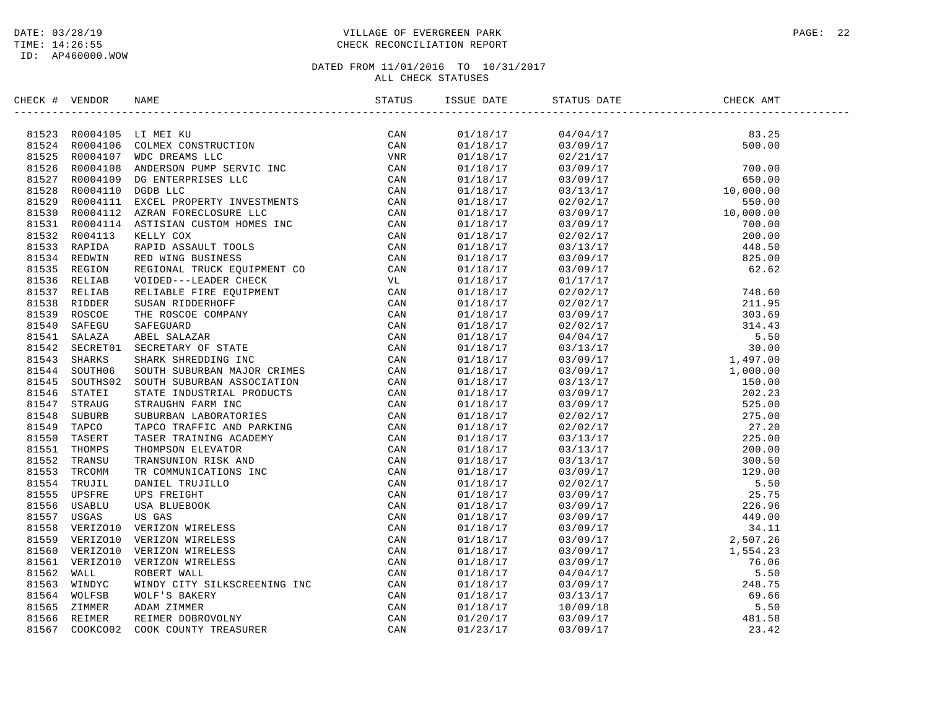### DATE: 03/28/19 PAGE: 22 PAGE: 22 TIME: 14:26:55 CHECK RECONCILIATION REPORT

| CHECK # VENDOR |                                                                                                                                                                                                                                                                                                                                                                                                                                               | STATUS | ISSUE DATE | STATUS DATE | CHECK AMT |  |
|----------------|-----------------------------------------------------------------------------------------------------------------------------------------------------------------------------------------------------------------------------------------------------------------------------------------------------------------------------------------------------------------------------------------------------------------------------------------------|--------|------------|-------------|-----------|--|
|                | $\begin{tabular}{cccc} \textbf{M} & \textbf{M} & \textbf{M} \\ \textbf{M} & \textbf{M} & \textbf{M} \\ \textbf{M} & \textbf{M} & \textbf{M} \\ \textbf{M} & \textbf{M} & \textbf{M} \\ \textbf{M} & \textbf{M} & \textbf{M} \\ \textbf{M} & \textbf{M} & \textbf{M} \\ \textbf{M} & \textbf{M} & \textbf{M} \\ \textbf{M} & \textbf{M} & \textbf{M} \\ \textbf{M} & \textbf{M} & \textbf{M} \\ \textbf{M} & \textbf{M} & \textbf{M} \\ \text$ |        | 01/18/17   |             |           |  |
|                |                                                                                                                                                                                                                                                                                                                                                                                                                                               |        | 01/18/17   |             |           |  |
|                |                                                                                                                                                                                                                                                                                                                                                                                                                                               |        | 01/18/17   |             |           |  |
|                |                                                                                                                                                                                                                                                                                                                                                                                                                                               |        | 01/18/17   |             |           |  |
|                |                                                                                                                                                                                                                                                                                                                                                                                                                                               |        | 01/18/17   |             |           |  |
|                |                                                                                                                                                                                                                                                                                                                                                                                                                                               |        | 01/18/17   |             |           |  |
|                |                                                                                                                                                                                                                                                                                                                                                                                                                                               |        | 01/18/17   |             |           |  |
|                |                                                                                                                                                                                                                                                                                                                                                                                                                                               |        | 01/18/17   |             |           |  |
|                |                                                                                                                                                                                                                                                                                                                                                                                                                                               |        | 01/18/17   |             |           |  |
|                |                                                                                                                                                                                                                                                                                                                                                                                                                                               |        | 01/18/17   |             |           |  |
|                |                                                                                                                                                                                                                                                                                                                                                                                                                                               |        | 01/18/17   |             |           |  |
|                |                                                                                                                                                                                                                                                                                                                                                                                                                                               |        | 01/18/17   |             |           |  |
|                |                                                                                                                                                                                                                                                                                                                                                                                                                                               |        | 01/18/17   |             |           |  |
|                |                                                                                                                                                                                                                                                                                                                                                                                                                                               |        |            |             |           |  |
|                |                                                                                                                                                                                                                                                                                                                                                                                                                                               |        | 01/18/17   |             |           |  |
|                |                                                                                                                                                                                                                                                                                                                                                                                                                                               |        | 01/18/17   |             |           |  |
|                |                                                                                                                                                                                                                                                                                                                                                                                                                                               |        | 01/18/17   |             |           |  |
|                |                                                                                                                                                                                                                                                                                                                                                                                                                                               |        | 01/18/17   |             |           |  |
|                |                                                                                                                                                                                                                                                                                                                                                                                                                                               |        | 01/18/17   |             |           |  |
|                |                                                                                                                                                                                                                                                                                                                                                                                                                                               |        | 01/18/17   |             |           |  |
|                |                                                                                                                                                                                                                                                                                                                                                                                                                                               |        | 01/18/17   |             |           |  |
|                |                                                                                                                                                                                                                                                                                                                                                                                                                                               |        | 01/18/17   |             |           |  |
|                |                                                                                                                                                                                                                                                                                                                                                                                                                                               |        | 01/18/17   |             |           |  |
|                |                                                                                                                                                                                                                                                                                                                                                                                                                                               |        | 01/18/17   |             |           |  |
|                |                                                                                                                                                                                                                                                                                                                                                                                                                                               |        | 01/18/17   |             |           |  |
|                |                                                                                                                                                                                                                                                                                                                                                                                                                                               |        | 01/18/17   |             |           |  |
|                |                                                                                                                                                                                                                                                                                                                                                                                                                                               |        | 01/18/17   |             |           |  |
|                |                                                                                                                                                                                                                                                                                                                                                                                                                                               |        | 01/18/17   |             |           |  |
|                |                                                                                                                                                                                                                                                                                                                                                                                                                                               |        | 01/18/17   |             |           |  |
|                |                                                                                                                                                                                                                                                                                                                                                                                                                                               |        | 01/18/17   |             |           |  |
|                |                                                                                                                                                                                                                                                                                                                                                                                                                                               |        | 01/18/17   |             |           |  |
|                |                                                                                                                                                                                                                                                                                                                                                                                                                                               |        | 01/18/17   |             |           |  |
|                |                                                                                                                                                                                                                                                                                                                                                                                                                                               |        | 01/18/17   |             |           |  |
|                |                                                                                                                                                                                                                                                                                                                                                                                                                                               |        | 01/18/17   |             |           |  |
|                |                                                                                                                                                                                                                                                                                                                                                                                                                                               |        | 01/18/17   |             |           |  |
|                |                                                                                                                                                                                                                                                                                                                                                                                                                                               |        | 01/18/17   |             |           |  |
|                |                                                                                                                                                                                                                                                                                                                                                                                                                                               |        | 01/18/17   |             |           |  |
|                |                                                                                                                                                                                                                                                                                                                                                                                                                                               |        | 01/18/17   |             |           |  |
|                |                                                                                                                                                                                                                                                                                                                                                                                                                                               |        | 01/18/17   |             |           |  |
|                |                                                                                                                                                                                                                                                                                                                                                                                                                                               |        | 01/18/17   |             |           |  |
|                |                                                                                                                                                                                                                                                                                                                                                                                                                                               |        | 01/18/17   |             |           |  |
|                |                                                                                                                                                                                                                                                                                                                                                                                                                                               |        | 01/18/17   |             |           |  |
|                |                                                                                                                                                                                                                                                                                                                                                                                                                                               |        | 01/18/17   |             |           |  |
|                |                                                                                                                                                                                                                                                                                                                                                                                                                                               |        | 01/18/17   |             |           |  |
|                |                                                                                                                                                                                                                                                                                                                                                                                                                                               |        | 01/20/17   |             |           |  |
|                |                                                                                                                                                                                                                                                                                                                                                                                                                                               |        | 01/23/17   |             |           |  |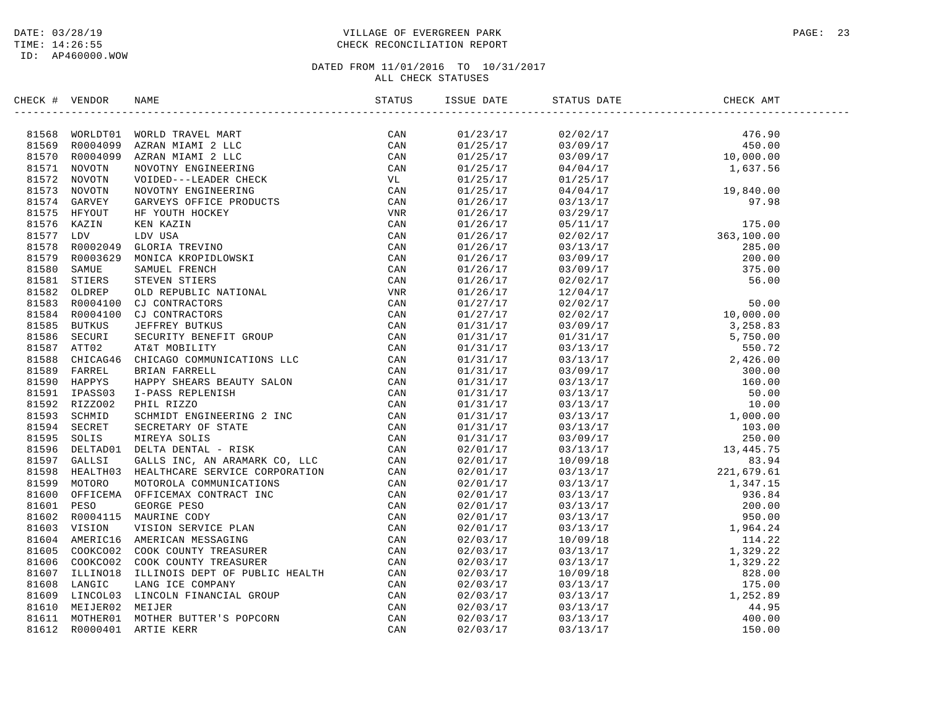### DATE: 03/28/19 PAGE: 23 TIME: 14:26:55 CHECK RECONCILIATION REPORT

| CHECK # VENDOR | NAME                                                                                                                                                                                                                                                                                                                                                                        | STATUS | ISSUE DATE | STATUS DATE | CHECK AMT |  |
|----------------|-----------------------------------------------------------------------------------------------------------------------------------------------------------------------------------------------------------------------------------------------------------------------------------------------------------------------------------------------------------------------------|--------|------------|-------------|-----------|--|
|                | $\begin{tabular}{cccccccc} \textbf{1.016} & \textbf{0.026} & \textbf{0.04} & \textbf{0.04} & \textbf{0.04} & \textbf{0.04} & \textbf{0.04} & \textbf{0.04} & \textbf{0.04} & \textbf{0.04} & \textbf{0.04} & \textbf{0.04} & \textbf{0.04} & \textbf{0.04} & \textbf{0.04} & \textbf{0.04} & \textbf{0.04} & \textbf{0.04} & \textbf{0.04} & \textbf{0.04} & \textbf{0.04}$ |        |            |             |           |  |
|                |                                                                                                                                                                                                                                                                                                                                                                             |        |            |             |           |  |
|                |                                                                                                                                                                                                                                                                                                                                                                             |        |            |             |           |  |
|                |                                                                                                                                                                                                                                                                                                                                                                             |        |            |             |           |  |
|                |                                                                                                                                                                                                                                                                                                                                                                             |        |            |             |           |  |
|                |                                                                                                                                                                                                                                                                                                                                                                             |        |            |             |           |  |
|                |                                                                                                                                                                                                                                                                                                                                                                             |        |            |             |           |  |
|                |                                                                                                                                                                                                                                                                                                                                                                             |        |            |             |           |  |
|                |                                                                                                                                                                                                                                                                                                                                                                             |        |            |             |           |  |
|                |                                                                                                                                                                                                                                                                                                                                                                             |        |            |             |           |  |
|                |                                                                                                                                                                                                                                                                                                                                                                             |        |            |             |           |  |
|                |                                                                                                                                                                                                                                                                                                                                                                             |        |            |             |           |  |
|                |                                                                                                                                                                                                                                                                                                                                                                             |        |            |             |           |  |
|                |                                                                                                                                                                                                                                                                                                                                                                             |        |            |             |           |  |
|                |                                                                                                                                                                                                                                                                                                                                                                             |        |            |             |           |  |
|                |                                                                                                                                                                                                                                                                                                                                                                             |        |            |             |           |  |
|                |                                                                                                                                                                                                                                                                                                                                                                             |        |            |             |           |  |
|                |                                                                                                                                                                                                                                                                                                                                                                             |        |            |             |           |  |
|                |                                                                                                                                                                                                                                                                                                                                                                             |        |            |             |           |  |
|                |                                                                                                                                                                                                                                                                                                                                                                             |        |            |             |           |  |
|                |                                                                                                                                                                                                                                                                                                                                                                             |        |            |             |           |  |
|                |                                                                                                                                                                                                                                                                                                                                                                             |        |            |             |           |  |
|                |                                                                                                                                                                                                                                                                                                                                                                             |        |            |             |           |  |
|                |                                                                                                                                                                                                                                                                                                                                                                             |        |            |             |           |  |
|                |                                                                                                                                                                                                                                                                                                                                                                             |        |            |             |           |  |
|                |                                                                                                                                                                                                                                                                                                                                                                             |        |            |             |           |  |
|                |                                                                                                                                                                                                                                                                                                                                                                             |        |            |             |           |  |
|                |                                                                                                                                                                                                                                                                                                                                                                             |        |            |             |           |  |
|                |                                                                                                                                                                                                                                                                                                                                                                             |        |            |             |           |  |
|                |                                                                                                                                                                                                                                                                                                                                                                             |        |            |             |           |  |
|                |                                                                                                                                                                                                                                                                                                                                                                             |        |            |             |           |  |
|                |                                                                                                                                                                                                                                                                                                                                                                             |        |            |             |           |  |
|                |                                                                                                                                                                                                                                                                                                                                                                             |        |            |             |           |  |
|                |                                                                                                                                                                                                                                                                                                                                                                             |        |            |             |           |  |
|                |                                                                                                                                                                                                                                                                                                                                                                             |        |            |             |           |  |
|                |                                                                                                                                                                                                                                                                                                                                                                             |        |            |             |           |  |
|                |                                                                                                                                                                                                                                                                                                                                                                             |        |            |             |           |  |
|                |                                                                                                                                                                                                                                                                                                                                                                             |        |            |             |           |  |
|                |                                                                                                                                                                                                                                                                                                                                                                             |        |            |             |           |  |
|                |                                                                                                                                                                                                                                                                                                                                                                             |        |            |             |           |  |
|                |                                                                                                                                                                                                                                                                                                                                                                             |        |            |             |           |  |
|                |                                                                                                                                                                                                                                                                                                                                                                             |        |            |             |           |  |
|                |                                                                                                                                                                                                                                                                                                                                                                             |        |            |             |           |  |
|                |                                                                                                                                                                                                                                                                                                                                                                             |        |            |             |           |  |
|                |                                                                                                                                                                                                                                                                                                                                                                             |        |            |             |           |  |
|                |                                                                                                                                                                                                                                                                                                                                                                             |        |            |             |           |  |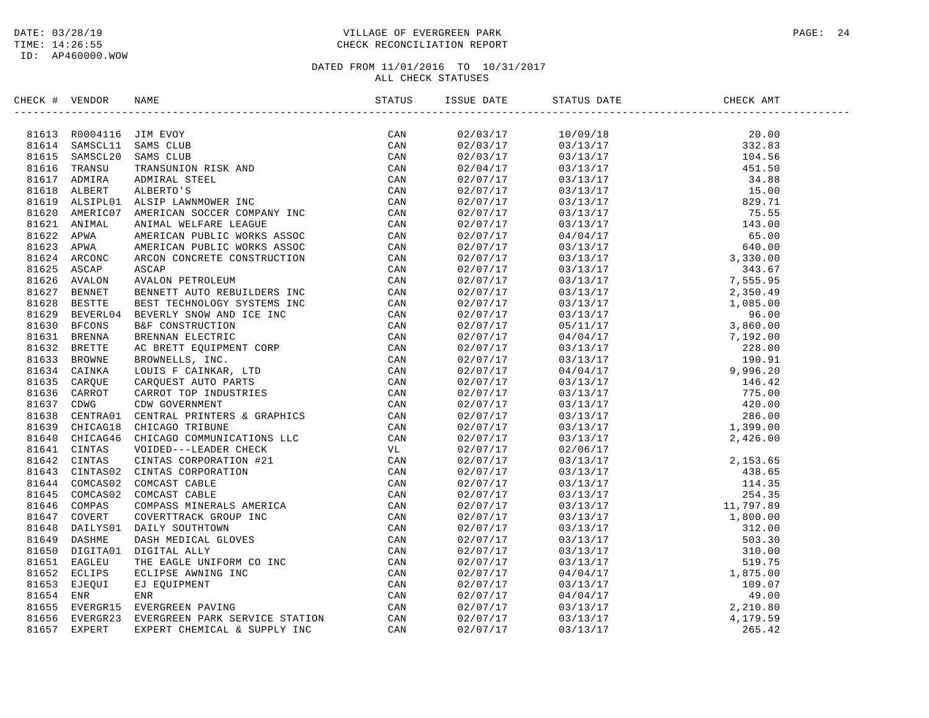### DATE: 03/28/19 PAGE: 24 PAGE: 24 TIME: 14:26:55 CHECK RECONCILIATION REPORT

| CHECK # VENDOR | NAME                                                                                                                                                                                                                                      | ISSUE DATE | STATUS DATE | CHECK AMT |  |
|----------------|-------------------------------------------------------------------------------------------------------------------------------------------------------------------------------------------------------------------------------------------|------------|-------------|-----------|--|
|                | ERCK + VENDOR NAKE<br>STATUS = 17<br>81611 SAMCCILIB AWOOT CONTROL CAN SIMPLE (2AN SIMPLE 2018)<br>91614 SAMCCILIB AMCOUR<br>91614 SAMCCILIB AMCOUR<br>91615 SAMCHADA ADEERING STATE (2AN SIMPLE AND SIMPLE 2018)<br>91615 TRANSULTAN ADE |            |             |           |  |
|                |                                                                                                                                                                                                                                           |            |             |           |  |
|                |                                                                                                                                                                                                                                           |            |             |           |  |
|                |                                                                                                                                                                                                                                           |            |             |           |  |
|                |                                                                                                                                                                                                                                           |            |             |           |  |
|                |                                                                                                                                                                                                                                           |            |             |           |  |
|                |                                                                                                                                                                                                                                           |            |             |           |  |
|                |                                                                                                                                                                                                                                           |            |             |           |  |
|                |                                                                                                                                                                                                                                           |            |             |           |  |
|                |                                                                                                                                                                                                                                           |            |             |           |  |
|                |                                                                                                                                                                                                                                           |            |             |           |  |
|                |                                                                                                                                                                                                                                           |            |             |           |  |
|                |                                                                                                                                                                                                                                           |            |             |           |  |
|                |                                                                                                                                                                                                                                           |            |             |           |  |
|                |                                                                                                                                                                                                                                           |            |             |           |  |
|                |                                                                                                                                                                                                                                           |            |             |           |  |
|                |                                                                                                                                                                                                                                           |            |             |           |  |
|                |                                                                                                                                                                                                                                           |            |             |           |  |
|                |                                                                                                                                                                                                                                           |            |             |           |  |
|                |                                                                                                                                                                                                                                           |            |             |           |  |
|                |                                                                                                                                                                                                                                           |            |             |           |  |
|                |                                                                                                                                                                                                                                           |            |             |           |  |
|                |                                                                                                                                                                                                                                           |            |             |           |  |
|                |                                                                                                                                                                                                                                           |            |             |           |  |
|                |                                                                                                                                                                                                                                           |            |             |           |  |
|                |                                                                                                                                                                                                                                           |            |             |           |  |
|                |                                                                                                                                                                                                                                           |            |             |           |  |
|                |                                                                                                                                                                                                                                           |            |             |           |  |
|                |                                                                                                                                                                                                                                           |            |             |           |  |
|                |                                                                                                                                                                                                                                           |            |             |           |  |
|                |                                                                                                                                                                                                                                           |            |             |           |  |
|                |                                                                                                                                                                                                                                           |            |             |           |  |
|                |                                                                                                                                                                                                                                           |            |             |           |  |
|                |                                                                                                                                                                                                                                           |            |             |           |  |
|                |                                                                                                                                                                                                                                           |            |             |           |  |
|                |                                                                                                                                                                                                                                           |            |             |           |  |
|                |                                                                                                                                                                                                                                           |            |             |           |  |
|                |                                                                                                                                                                                                                                           |            |             |           |  |
|                |                                                                                                                                                                                                                                           |            |             |           |  |
|                |                                                                                                                                                                                                                                           |            |             |           |  |
|                |                                                                                                                                                                                                                                           |            |             |           |  |
|                |                                                                                                                                                                                                                                           |            |             |           |  |
|                |                                                                                                                                                                                                                                           |            |             |           |  |
|                |                                                                                                                                                                                                                                           |            |             |           |  |
|                |                                                                                                                                                                                                                                           |            |             |           |  |
|                |                                                                                                                                                                                                                                           |            |             |           |  |
|                |                                                                                                                                                                                                                                           |            |             |           |  |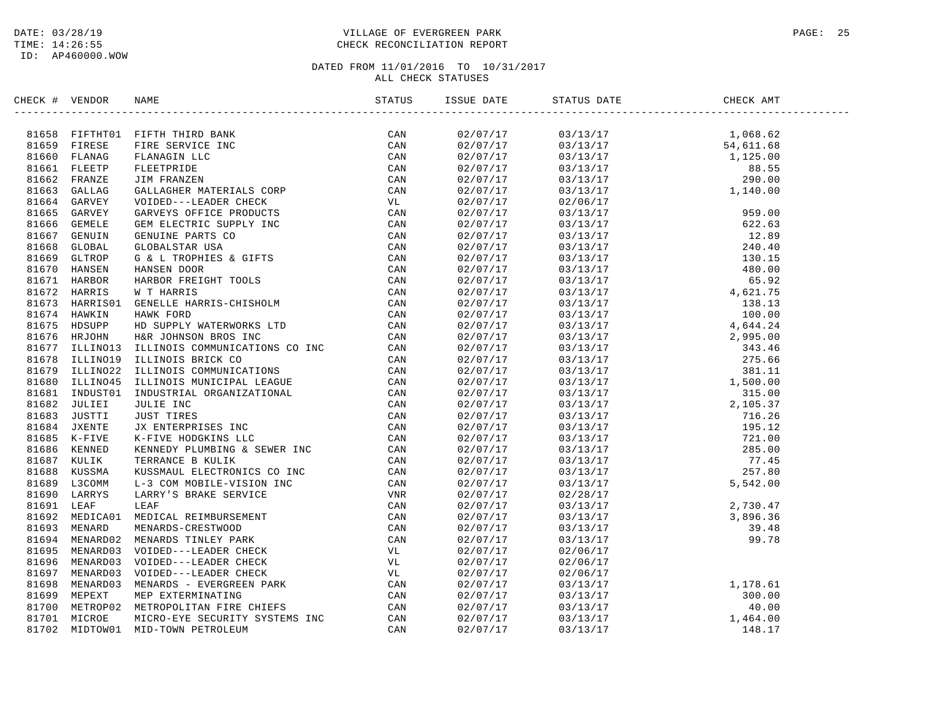### DATE: 03/28/19 PAGE: 25 TIME: 14:26:55 CHECK RECONCILIATION REPORT

| CHECK # VENDOR | NAME                                                                                                                                                                                                                         | ISSUE DATE           | STATUS DATE                                                                                                                                                                                                                                                                                                 | CHECK AMT |  |
|----------------|------------------------------------------------------------------------------------------------------------------------------------------------------------------------------------------------------------------------------|----------------------|-------------------------------------------------------------------------------------------------------------------------------------------------------------------------------------------------------------------------------------------------------------------------------------------------------------|-----------|--|
|                | ERECK + VERION RANE STATISTION INTERFERENCE CAN SISTEMATION IN THE STATISTIC CAN SISTEM THREE CAN SISTEM IN THE CAN SISTEM IN THE CAN SISTEM IN THE CAN SISTEM IN THE CAN SISTEM TO CAN SISTEM THREE CAN COLOR CAN SISTEM IN |                      | $\begin{tabular}{cccccc} \multicolumn{4}{c}{\begin{tabular}{c} $0.3/13/17$ & $1$,068.62$ \\ $0.3/13/17$ & $1$,068.62$ \\ $0.3/13/17$ & $1$,068.62$ \\ $0.3/13/17$ & $1$,068.63$ \\ $0.3/13/17$ & $1$,088.55$ \\ $0.3/13/17$ & $88.55$ & $290.00$ \\ $0.3/13/17$ & $88.55$ & $290.00$ \\ $0.3/13/17$ & $270$ |           |  |
|                |                                                                                                                                                                                                                              | 02/07/17<br>02/07/17 |                                                                                                                                                                                                                                                                                                             |           |  |
|                |                                                                                                                                                                                                                              |                      |                                                                                                                                                                                                                                                                                                             |           |  |
|                |                                                                                                                                                                                                                              | 02/07/17<br>02/07/17 |                                                                                                                                                                                                                                                                                                             |           |  |
|                |                                                                                                                                                                                                                              |                      |                                                                                                                                                                                                                                                                                                             |           |  |
|                |                                                                                                                                                                                                                              | 02/07/17             |                                                                                                                                                                                                                                                                                                             |           |  |
|                |                                                                                                                                                                                                                              | 02/07/17             |                                                                                                                                                                                                                                                                                                             |           |  |
|                |                                                                                                                                                                                                                              | 02/07/17             |                                                                                                                                                                                                                                                                                                             |           |  |
|                |                                                                                                                                                                                                                              | 02/07/17<br>02/07/17 |                                                                                                                                                                                                                                                                                                             |           |  |
|                |                                                                                                                                                                                                                              |                      |                                                                                                                                                                                                                                                                                                             |           |  |
|                |                                                                                                                                                                                                                              | 02/07/17             |                                                                                                                                                                                                                                                                                                             |           |  |
|                |                                                                                                                                                                                                                              | 02/07/17             |                                                                                                                                                                                                                                                                                                             |           |  |
|                |                                                                                                                                                                                                                              | 02/07/17             |                                                                                                                                                                                                                                                                                                             |           |  |
|                |                                                                                                                                                                                                                              | 02/07/17             |                                                                                                                                                                                                                                                                                                             |           |  |
|                |                                                                                                                                                                                                                              | 02/07/17             |                                                                                                                                                                                                                                                                                                             |           |  |
|                |                                                                                                                                                                                                                              | 02/07/17             |                                                                                                                                                                                                                                                                                                             |           |  |
|                |                                                                                                                                                                                                                              | u2/07/17<br>02/07/17 |                                                                                                                                                                                                                                                                                                             |           |  |
|                |                                                                                                                                                                                                                              |                      |                                                                                                                                                                                                                                                                                                             |           |  |
|                |                                                                                                                                                                                                                              |                      |                                                                                                                                                                                                                                                                                                             |           |  |
|                |                                                                                                                                                                                                                              | 02/07/17             |                                                                                                                                                                                                                                                                                                             |           |  |
|                |                                                                                                                                                                                                                              | 02/07/17             |                                                                                                                                                                                                                                                                                                             |           |  |
|                |                                                                                                                                                                                                                              | 02/07/17             |                                                                                                                                                                                                                                                                                                             |           |  |
|                |                                                                                                                                                                                                                              | 02/07/17<br>02/07/17 |                                                                                                                                                                                                                                                                                                             |           |  |
|                |                                                                                                                                                                                                                              |                      |                                                                                                                                                                                                                                                                                                             |           |  |
|                |                                                                                                                                                                                                                              | 02/07/17             |                                                                                                                                                                                                                                                                                                             |           |  |
|                |                                                                                                                                                                                                                              | 02/07/17             |                                                                                                                                                                                                                                                                                                             |           |  |
|                |                                                                                                                                                                                                                              | 02/07/17             |                                                                                                                                                                                                                                                                                                             |           |  |
|                |                                                                                                                                                                                                                              | 02/07/17             |                                                                                                                                                                                                                                                                                                             |           |  |
|                |                                                                                                                                                                                                                              | 02/07/17             |                                                                                                                                                                                                                                                                                                             |           |  |
|                |                                                                                                                                                                                                                              | 02/07/17             |                                                                                                                                                                                                                                                                                                             |           |  |
|                |                                                                                                                                                                                                                              | 02/07/17             |                                                                                                                                                                                                                                                                                                             |           |  |
|                |                                                                                                                                                                                                                              | 02/07/17             |                                                                                                                                                                                                                                                                                                             |           |  |
|                |                                                                                                                                                                                                                              | 02/07/17             |                                                                                                                                                                                                                                                                                                             |           |  |
|                |                                                                                                                                                                                                                              | 02/07/17             | $\begin{array}{cccc} 03/13/17 & & & & & 5,542.00 \\ 02/28/17 & & & & & 2,730.47 \\ 03/13/17 & & & & 2,730.47 \\ 03/13/17 & & & 3,896.36 \\ 03/13/17 & & & 39.48 \\ 03/13/17 & & & 99.78 \\ 02/06/17 & & & & 99.78 \end{array}$                                                                              |           |  |
|                |                                                                                                                                                                                                                              | 02/07/17             |                                                                                                                                                                                                                                                                                                             |           |  |
|                |                                                                                                                                                                                                                              | 02/07/17             |                                                                                                                                                                                                                                                                                                             |           |  |
|                |                                                                                                                                                                                                                              | 02/07/17             |                                                                                                                                                                                                                                                                                                             |           |  |
|                |                                                                                                                                                                                                                              | 02/07/17             |                                                                                                                                                                                                                                                                                                             |           |  |
|                |                                                                                                                                                                                                                              | 02/07/17             |                                                                                                                                                                                                                                                                                                             |           |  |
|                |                                                                                                                                                                                                                              | 02/07/17             | 02/06/17                                                                                                                                                                                                                                                                                                    |           |  |
|                |                                                                                                                                                                                                                              | u2/07/17<br>02/07/17 |                                                                                                                                                                                                                                                                                                             |           |  |
|                |                                                                                                                                                                                                                              |                      |                                                                                                                                                                                                                                                                                                             |           |  |
|                |                                                                                                                                                                                                                              | 02/07/17             | $\begin{array}{cccc} 02/06/17 \\ 03/13/17 \\ 03/13/17 \\ 03/13/17 \\ 03/13/17 \\ 03/13/17 \\ 03/13/17 \\ 03/13/17 \\ 1,464.00 \\ 03/13/17 \\ 148.17 \\ \end{array}$                                                                                                                                         |           |  |
|                |                                                                                                                                                                                                                              | 02/07/17             |                                                                                                                                                                                                                                                                                                             |           |  |
|                |                                                                                                                                                                                                                              | 02/07/17             |                                                                                                                                                                                                                                                                                                             |           |  |
|                |                                                                                                                                                                                                                              | 02/07/17             |                                                                                                                                                                                                                                                                                                             |           |  |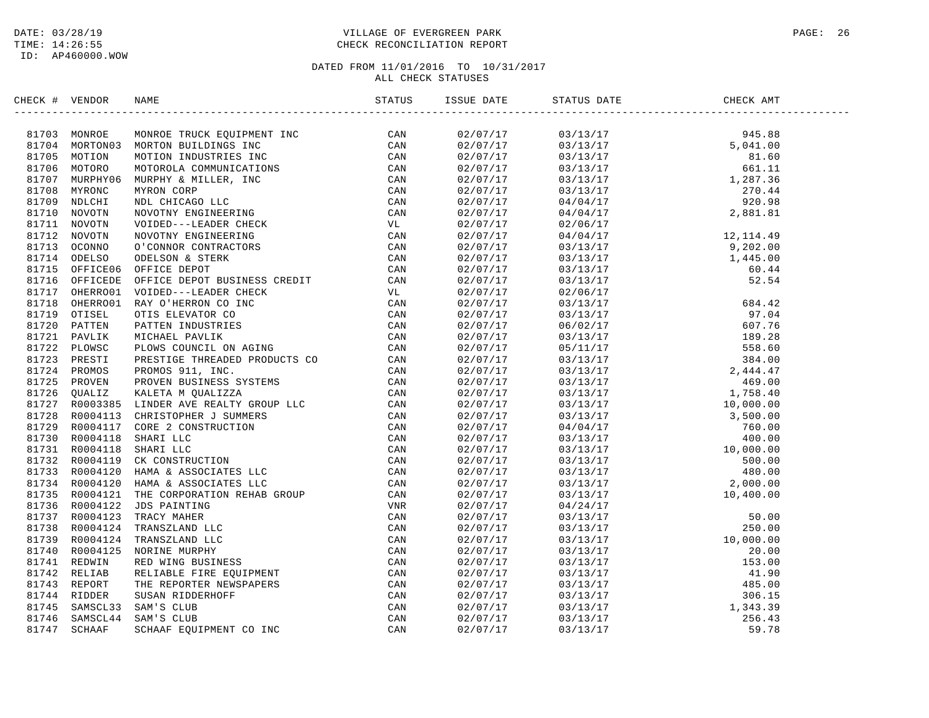### DATE: 03/28/19 PAGE: 26 PAGE: 26 PAGE: 26 PAGE: 26 PAGE: 26 PAGE: 26 PAGE: 26 PAGE: 26 TIME: 14:26:55 CHECK RECONCILIATION REPORT

| CHECK # VENDOR | NAME                                                                                                                                                                                                                               | ISSUE DATE           | STATUS DATE                                                                                                                                                                                                                                                                | CHECK AMT |  |
|----------------|------------------------------------------------------------------------------------------------------------------------------------------------------------------------------------------------------------------------------------|----------------------|----------------------------------------------------------------------------------------------------------------------------------------------------------------------------------------------------------------------------------------------------------------------------|-----------|--|
|                | SECOND WARD AND MANUS (STATUS 1199)<br>1971 MONDOR MONTONG TELECK EQUIPMENT INC. CAN 1971 MONDOR TELECK (STATUS 1200)<br>1971 MONDORG MONTONG INCONSULTED INC. THE CAN CAN ARREST ON A 1971 MONDOR CONVERTED (STATUS 1972)<br>1971 |                      | $\begin{tabular}{cccccc} 0.3/13/17 & 945.88 \\ 0.3/13/17 & 945.88 \\ 0.3/13/17 & 81.60 \\ 0.3/13/17 & 6.1.11 \\ 0.3/13/17 & 6.1.11 \\ 0.3/13/17 & 6.1.11 \\ 0.3/13/17 & 2.270.44 \\ 0.4/0.4/17 & 2.881.81 \\ 0.4/0.4/17 & 2.881.81 \\ 0.4/0.4/17 & 2.881.81 \\ 0.4/0.4/17$ |           |  |
|                |                                                                                                                                                                                                                                    | 02/07/17<br>02/07/17 |                                                                                                                                                                                                                                                                            |           |  |
|                |                                                                                                                                                                                                                                    |                      |                                                                                                                                                                                                                                                                            |           |  |
|                |                                                                                                                                                                                                                                    | 02/07/17             |                                                                                                                                                                                                                                                                            |           |  |
|                |                                                                                                                                                                                                                                    | 02/07/17             |                                                                                                                                                                                                                                                                            |           |  |
|                |                                                                                                                                                                                                                                    | 02/07/17             |                                                                                                                                                                                                                                                                            |           |  |
|                |                                                                                                                                                                                                                                    | 02/07/17             |                                                                                                                                                                                                                                                                            |           |  |
|                |                                                                                                                                                                                                                                    | 02/07/17             |                                                                                                                                                                                                                                                                            |           |  |
|                |                                                                                                                                                                                                                                    | 02/07/17<br>02/07/17 |                                                                                                                                                                                                                                                                            |           |  |
|                |                                                                                                                                                                                                                                    |                      |                                                                                                                                                                                                                                                                            |           |  |
|                |                                                                                                                                                                                                                                    | 02/07/17             |                                                                                                                                                                                                                                                                            |           |  |
|                |                                                                                                                                                                                                                                    | 02/07/17             |                                                                                                                                                                                                                                                                            |           |  |
|                |                                                                                                                                                                                                                                    | 02/07/17             |                                                                                                                                                                                                                                                                            |           |  |
|                |                                                                                                                                                                                                                                    | 02/07/17             |                                                                                                                                                                                                                                                                            |           |  |
|                |                                                                                                                                                                                                                                    | 02/07/17             |                                                                                                                                                                                                                                                                            |           |  |
|                |                                                                                                                                                                                                                                    | 02/07/17             |                                                                                                                                                                                                                                                                            |           |  |
|                |                                                                                                                                                                                                                                    | 02/07/17             |                                                                                                                                                                                                                                                                            |           |  |
|                |                                                                                                                                                                                                                                    | 02/07/17             |                                                                                                                                                                                                                                                                            |           |  |
|                |                                                                                                                                                                                                                                    | 02/07/17             |                                                                                                                                                                                                                                                                            |           |  |
|                |                                                                                                                                                                                                                                    | 02/07/17             |                                                                                                                                                                                                                                                                            |           |  |
|                |                                                                                                                                                                                                                                    | 02/07/17             |                                                                                                                                                                                                                                                                            |           |  |
|                |                                                                                                                                                                                                                                    | 02/07/17             |                                                                                                                                                                                                                                                                            |           |  |
|                |                                                                                                                                                                                                                                    | 02/07/17<br>02/07/17 |                                                                                                                                                                                                                                                                            |           |  |
|                |                                                                                                                                                                                                                                    |                      |                                                                                                                                                                                                                                                                            |           |  |
|                |                                                                                                                                                                                                                                    | 02/07/17             |                                                                                                                                                                                                                                                                            |           |  |
|                |                                                                                                                                                                                                                                    | 02/07/17             |                                                                                                                                                                                                                                                                            |           |  |
|                |                                                                                                                                                                                                                                    | 02/07/17             |                                                                                                                                                                                                                                                                            |           |  |
|                |                                                                                                                                                                                                                                    | 02/07/17             |                                                                                                                                                                                                                                                                            |           |  |
|                |                                                                                                                                                                                                                                    | 02/07/17             |                                                                                                                                                                                                                                                                            |           |  |
|                |                                                                                                                                                                                                                                    | 02/07/17             |                                                                                                                                                                                                                                                                            |           |  |
|                |                                                                                                                                                                                                                                    | 02/07/17             |                                                                                                                                                                                                                                                                            |           |  |
|                |                                                                                                                                                                                                                                    | 02/07/17             |                                                                                                                                                                                                                                                                            |           |  |
|                |                                                                                                                                                                                                                                    | 02/07/17             |                                                                                                                                                                                                                                                                            |           |  |
|                |                                                                                                                                                                                                                                    | 02/07/17             |                                                                                                                                                                                                                                                                            |           |  |
|                |                                                                                                                                                                                                                                    | 02/07/17             |                                                                                                                                                                                                                                                                            |           |  |
|                |                                                                                                                                                                                                                                    | 02/07/17             |                                                                                                                                                                                                                                                                            |           |  |
|                |                                                                                                                                                                                                                                    | 02/07/17             |                                                                                                                                                                                                                                                                            |           |  |
|                |                                                                                                                                                                                                                                    | 02/07/17             |                                                                                                                                                                                                                                                                            |           |  |
|                |                                                                                                                                                                                                                                    | 02/07/17             |                                                                                                                                                                                                                                                                            |           |  |
|                |                                                                                                                                                                                                                                    | 02/07/17             |                                                                                                                                                                                                                                                                            |           |  |
|                |                                                                                                                                                                                                                                    | 02/07/17             |                                                                                                                                                                                                                                                                            |           |  |
|                |                                                                                                                                                                                                                                    | 02/07/17             |                                                                                                                                                                                                                                                                            |           |  |
|                |                                                                                                                                                                                                                                    | 02/07/17             |                                                                                                                                                                                                                                                                            |           |  |
|                |                                                                                                                                                                                                                                    | 02/07/17             |                                                                                                                                                                                                                                                                            |           |  |
|                |                                                                                                                                                                                                                                    | 02/07/17             |                                                                                                                                                                                                                                                                            |           |  |
|                |                                                                                                                                                                                                                                    | 02/07/17             | $\begin{array}{cccc} 03/13/17 & 10\,400\,000 \\ 04/24/17 & 50\,000 \\ 03/13/17 & 50\,000 \\ 03/13/17 & 10\,000\,000 \\ 03/13/17 & 20\,00 \\ 03/13/17 & 20\,00 \\ 03/13/17 & 41\,90 \\ 03/13/17 & 485\,00 \\ 03/13/17 & 306\,15 \\ 03/13/17 & 1\,343\,39 \\ 03/13/17 & 59$  |           |  |
|                |                                                                                                                                                                                                                                    |                      |                                                                                                                                                                                                                                                                            |           |  |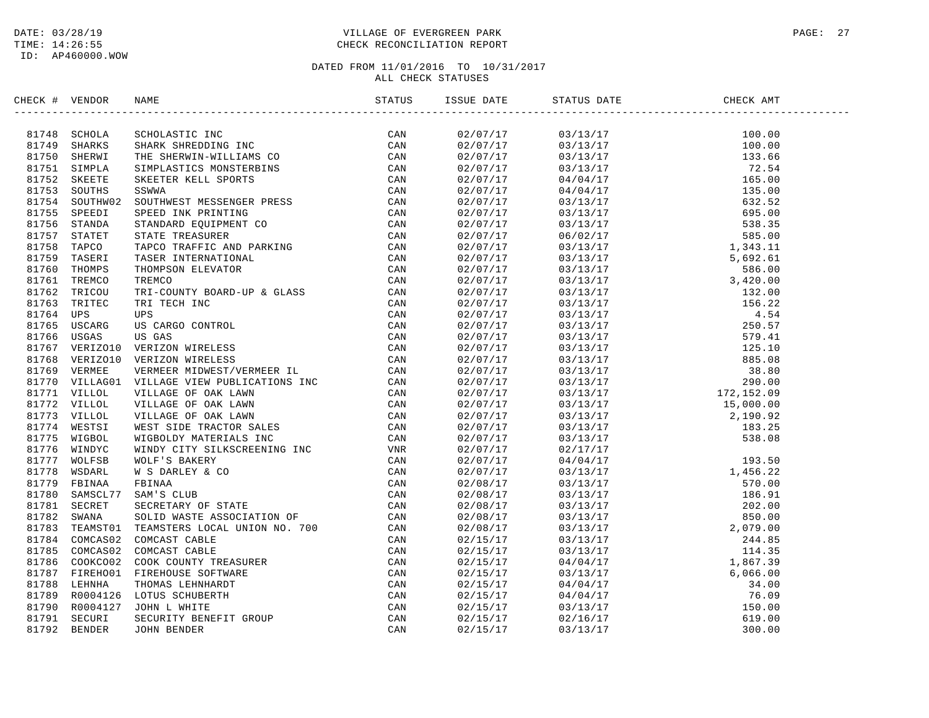### DATE: 03/28/19 PAGE: 27 PAGE: 27 TIME: 14:26:55 CHECK RECONCILIATION REPORT

| CHECK # VENDOR |                                                                                                                                                                                                                               | STATUS | ISSUE DATE           | STATUS DATE | CHECK AMT |
|----------------|-------------------------------------------------------------------------------------------------------------------------------------------------------------------------------------------------------------------------------|--------|----------------------|-------------|-----------|
|                | CK# VIRIDOS WARE SCIENCING THE SERVICE IN A SAMELY AND STANDARD CAN BE THE SUITABLE IN THE SERVICE IN THE SERVICE IN THE SERVICE IN A SAMELY ON A SAMELY SERVICE SERVICE WAS SAMELY AND STANDARD CAN BE THE SERVICE SERVICE W |        | 02/07/17             |             |           |
|                |                                                                                                                                                                                                                               |        | 02/07/17             |             |           |
|                |                                                                                                                                                                                                                               |        | 02/07/17             |             |           |
|                |                                                                                                                                                                                                                               |        | 02/07/17             |             |           |
|                |                                                                                                                                                                                                                               |        | 02/07/17             |             |           |
|                |                                                                                                                                                                                                                               |        | 02/07/17             |             |           |
|                |                                                                                                                                                                                                                               |        | 02/07/17             |             |           |
|                |                                                                                                                                                                                                                               |        | 02/07/17             |             |           |
|                |                                                                                                                                                                                                                               |        | 02/07/17             |             |           |
|                |                                                                                                                                                                                                                               |        | 02/07/17             |             |           |
|                |                                                                                                                                                                                                                               |        | 02/07/17             |             |           |
|                |                                                                                                                                                                                                                               |        | 02/07/17             |             |           |
|                |                                                                                                                                                                                                                               |        | 02/07/17             |             |           |
|                |                                                                                                                                                                                                                               |        | 02/07/17             |             |           |
|                |                                                                                                                                                                                                                               |        | 02/07/17             |             |           |
|                |                                                                                                                                                                                                                               |        | 02/07/17             |             |           |
|                |                                                                                                                                                                                                                               |        | 02/07/17             |             |           |
|                |                                                                                                                                                                                                                               |        | 02/07/17             |             |           |
|                |                                                                                                                                                                                                                               |        | 02/07/17             |             |           |
|                |                                                                                                                                                                                                                               |        | 02/07/17             |             |           |
|                |                                                                                                                                                                                                                               |        | 02/07/17             |             |           |
|                |                                                                                                                                                                                                                               |        | 02/07/17             |             |           |
|                |                                                                                                                                                                                                                               |        | 02/07/17             |             |           |
|                |                                                                                                                                                                                                                               |        | 02/07/17             |             |           |
|                |                                                                                                                                                                                                                               |        | 02/07/17             |             |           |
|                |                                                                                                                                                                                                                               |        | 02/07/17             |             |           |
|                |                                                                                                                                                                                                                               |        | 02/07/17             |             |           |
|                |                                                                                                                                                                                                                               |        | 02/07/17             |             |           |
|                |                                                                                                                                                                                                                               |        | 02/07/17             |             |           |
|                |                                                                                                                                                                                                                               |        | 02/07/17             |             |           |
|                |                                                                                                                                                                                                                               |        | 02/07/17             |             |           |
|                |                                                                                                                                                                                                                               |        | 02/08/17             |             |           |
|                |                                                                                                                                                                                                                               |        | 02/08/17             |             |           |
|                |                                                                                                                                                                                                                               |        | 02/08/17             |             |           |
|                |                                                                                                                                                                                                                               |        |                      |             |           |
|                |                                                                                                                                                                                                                               |        | 02/08/17             |             |           |
|                |                                                                                                                                                                                                                               |        | 02/08/17             |             |           |
|                |                                                                                                                                                                                                                               |        | 02/15/17<br>02/15/17 |             |           |
|                |                                                                                                                                                                                                                               |        |                      |             |           |
|                |                                                                                                                                                                                                                               |        | 02/15/17             |             |           |
|                |                                                                                                                                                                                                                               |        | 02/15/17             |             |           |
|                |                                                                                                                                                                                                                               |        | 02/15/17             |             |           |
|                |                                                                                                                                                                                                                               |        | 02/15/17             |             |           |
|                |                                                                                                                                                                                                                               |        | 02/15/17             |             |           |
|                |                                                                                                                                                                                                                               |        | 02/15/17             |             |           |
|                |                                                                                                                                                                                                                               |        | 02/15/17             |             |           |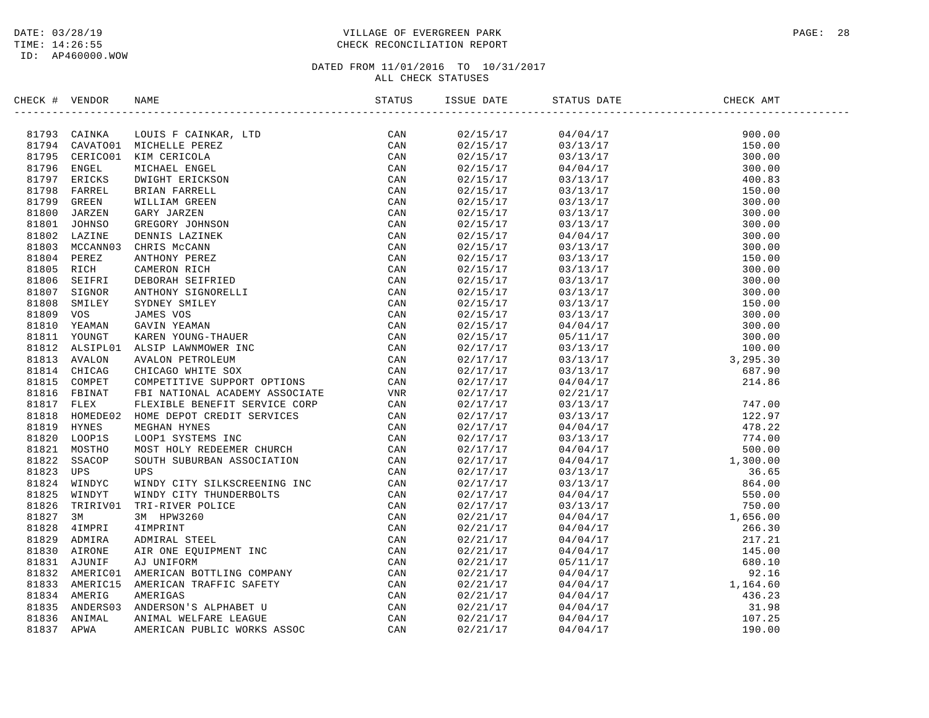### DATE: 03/28/19 PAGE: 28 PAGE: 28 TIME: 14:26:55 CHECK RECONCILIATION REPORT

| CHECK #        | VENDOR             | E<br>-----------------------------------<br><b>NAME</b>                                                                                                                                                                                                   | STATUS     | ISSUE DATE           | STATUS DATE                                                                                                                                                                                                                                                    | CHECK AMT                                                                                       |  |
|----------------|--------------------|-----------------------------------------------------------------------------------------------------------------------------------------------------------------------------------------------------------------------------------------------------------|------------|----------------------|----------------------------------------------------------------------------------------------------------------------------------------------------------------------------------------------------------------------------------------------------------------|-------------------------------------------------------------------------------------------------|--|
|                | 81793 CAINKA       |                                                                                                                                                                                                                                                           | CAN        | 02/15/17             | $\begin{array}{l} 04/04/17\\03/13/17\\03/13/17\\04/04/17\\03/13/17\\03/13/17\\03/13/17\\03/13/17\\03/13/17\\03/13/17\\04/04/17\\03/13/17\\03/13/17\\03/13/17\\03/13/17\\03/13/17\\03/13/17\\03/13/17\\04/04/17\\05/11/17\\03/13/17\\05/11/17\\03/13/17\\05/11$ | 900.00                                                                                          |  |
| 81794          | CAVATO01           |                                                                                                                                                                                                                                                           | CAN        | 02/15/17             |                                                                                                                                                                                                                                                                | 150.00                                                                                          |  |
| 81795          | CERICO01           |                                                                                                                                                                                                                                                           | CAN        | 02/15/17             |                                                                                                                                                                                                                                                                | 300.00                                                                                          |  |
| 81796          | <b>ENGEL</b>       |                                                                                                                                                                                                                                                           | CAN        | 02/15/17             |                                                                                                                                                                                                                                                                | 300.00                                                                                          |  |
| 81797          | ERICKS             |                                                                                                                                                                                                                                                           | CAN        | 02/15/17             |                                                                                                                                                                                                                                                                | 400.83                                                                                          |  |
| 81798          | FARREL             |                                                                                                                                                                                                                                                           | CAN        | 02/15/17             |                                                                                                                                                                                                                                                                | 150.00                                                                                          |  |
| 81799          | GREEN              |                                                                                                                                                                                                                                                           | CAN        | 02/15/17             |                                                                                                                                                                                                                                                                | 300.00                                                                                          |  |
| 81800          | JARZEN             |                                                                                                                                                                                                                                                           | CAN        | 02/15/17             |                                                                                                                                                                                                                                                                | 300.00                                                                                          |  |
| 81801          | <b>JOHNSO</b>      |                                                                                                                                                                                                                                                           | CAN        | 02/15/17             |                                                                                                                                                                                                                                                                | 300.00                                                                                          |  |
| 81802          | LAZINE             |                                                                                                                                                                                                                                                           | CAN        | 02/15/17             |                                                                                                                                                                                                                                                                | 300.00                                                                                          |  |
| 81803          | MCCANN03           |                                                                                                                                                                                                                                                           | CAN        | 02/15/17             |                                                                                                                                                                                                                                                                | 300.00                                                                                          |  |
| 81804          | PEREZ              |                                                                                                                                                                                                                                                           | CAN        | 02/15/17             |                                                                                                                                                                                                                                                                | 150.00                                                                                          |  |
| 81805          | RICH               |                                                                                                                                                                                                                                                           | CAN        | 02/15/17             |                                                                                                                                                                                                                                                                | 300.00                                                                                          |  |
| 81806          | SEIFRI             |                                                                                                                                                                                                                                                           | CAN        | 02/15/17             |                                                                                                                                                                                                                                                                | 300.00                                                                                          |  |
| 81807          | SIGNOR             |                                                                                                                                                                                                                                                           | CAN        | 02/15/17             |                                                                                                                                                                                                                                                                | 300.00                                                                                          |  |
| 81808          | SMILEY             |                                                                                                                                                                                                                                                           | CAN        | 02/15/17             |                                                                                                                                                                                                                                                                | 150.00                                                                                          |  |
| 81809          | <b>VOS</b>         |                                                                                                                                                                                                                                                           | CAN        | 02/15/17             |                                                                                                                                                                                                                                                                | 300.00                                                                                          |  |
| 81810          | YEAMAN             |                                                                                                                                                                                                                                                           | CAN        | 02/15/17             |                                                                                                                                                                                                                                                                | 300.00                                                                                          |  |
| 81811          | YOUNGT             |                                                                                                                                                                                                                                                           | CAN        | 02/15/17             |                                                                                                                                                                                                                                                                | 300.00                                                                                          |  |
|                |                    |                                                                                                                                                                                                                                                           |            |                      |                                                                                                                                                                                                                                                                |                                                                                                 |  |
| 81812<br>81813 | ALSIPL01<br>AVALON |                                                                                                                                                                                                                                                           | CAN<br>CAN | 02/17/17<br>02/17/17 | 03/13/17                                                                                                                                                                                                                                                       | $100.00$<br>3,295.30                                                                            |  |
| 81814          | CHICAG             |                                                                                                                                                                                                                                                           |            |                      | 03/13/17<br>03/13/17                                                                                                                                                                                                                                           | 687.90                                                                                          |  |
| 81815          | COMPET             |                                                                                                                                                                                                                                                           | CAN<br>CAN | 02/17/17<br>02/17/17 |                                                                                                                                                                                                                                                                | 214.86                                                                                          |  |
|                |                    | FBI NATIONAL ACADEMY ASSOCIATE                                                                                                                                                                                                                            |            |                      | 04/04/17                                                                                                                                                                                                                                                       |                                                                                                 |  |
| 81816          | FBINAT             |                                                                                                                                                                                                                                                           | VNR        | 02/17/17             | 02/21/17                                                                                                                                                                                                                                                       |                                                                                                 |  |
| 81817          | FLEX               |                                                                                                                                                                                                                                                           | CAN        | 02/17/17             | 03/13/17                                                                                                                                                                                                                                                       | 747.00                                                                                          |  |
| 81818          | HOMEDE02           |                                                                                                                                                                                                                                                           | CAN        | 02/17/17             | 03/13/17                                                                                                                                                                                                                                                       | 122.97                                                                                          |  |
| 81819          | HYNES              |                                                                                                                                                                                                                                                           | CAN        | 02/17/17             | 04/04/17                                                                                                                                                                                                                                                       | 478.22                                                                                          |  |
| 81820          | LOOP1S             |                                                                                                                                                                                                                                                           | CAN        | 02/17/17             | 03/13/17                                                                                                                                                                                                                                                       | 774.00                                                                                          |  |
| 81821          | MOSTHO             |                                                                                                                                                                                                                                                           | CAN        | 02/17/17             | 04/04/17                                                                                                                                                                                                                                                       | $500.00$<br>1,300.00                                                                            |  |
| 81822          | SSACOP             |                                                                                                                                                                                                                                                           | CAN        | 02/17/17             | 04/04/17                                                                                                                                                                                                                                                       |                                                                                                 |  |
| 81823          | UPS                |                                                                                                                                                                                                                                                           | CAN        | 02/17/17             | 03/13/17                                                                                                                                                                                                                                                       | 36.65                                                                                           |  |
| 81824          | WINDYC             |                                                                                                                                                                                                                                                           | CAN        | 02/17/17             | 03/13/17                                                                                                                                                                                                                                                       | 864.00                                                                                          |  |
| 81825          | WINDYT             |                                                                                                                                                                                                                                                           | CAN        | 02/17/17             | 04/04/17                                                                                                                                                                                                                                                       | 550.00                                                                                          |  |
| 81826          | TRIRIV01           |                                                                                                                                                                                                                                                           | CAN        | 02/17/17             | 03/13/17                                                                                                                                                                                                                                                       | 750.00                                                                                          |  |
| 81827          | 3M                 |                                                                                                                                                                                                                                                           | CAN        | 02/21/17             | 04/04/17                                                                                                                                                                                                                                                       |                                                                                                 |  |
| 81828          | 4IMPRI             |                                                                                                                                                                                                                                                           | CAN        | 02/21/17             | 04/04/17                                                                                                                                                                                                                                                       |                                                                                                 |  |
| 81829          | ADMIRA             |                                                                                                                                                                                                                                                           | CAN        | 02/21/17             | 04/04/17                                                                                                                                                                                                                                                       |                                                                                                 |  |
| 81830          | AIRONE             |                                                                                                                                                                                                                                                           | CAN        | 02/21/17             | 04/04/17                                                                                                                                                                                                                                                       |                                                                                                 |  |
| 81831          | AJUNIF             |                                                                                                                                                                                                                                                           | CAN        | 02/21/17             | 05/11/17                                                                                                                                                                                                                                                       |                                                                                                 |  |
| 81832          | AMERIC01           | FBI NATIONAL ACADEMY ASSOCIATE<br>FLEXIBLE BENEFIT SERVICE CORP<br>HOME DEPOT CREDIT SERVICES<br>MEGHAN HYNES<br>LOOPI SYSTEMS INC<br>MOST HOLY REDEEMER CHURCH<br>SOUTH SUBURBAN ASSOCIATION<br>UPS<br>WINDY CITY SILKSCREENING INC<br>VINDY CITY THUNDE | CAN        | 02/21/17             | 04/04/17                                                                                                                                                                                                                                                       | $750.00$<br>$1,656.00$<br>$266.30$<br>$217.21$<br>$145.00$<br>$680.10$<br>$92.16$<br>$1,164.60$ |  |
| 81833          | AMERIC15           |                                                                                                                                                                                                                                                           | CAN        | 02/21/17             | 04/04/17                                                                                                                                                                                                                                                       |                                                                                                 |  |
| 81834          | AMERIG             |                                                                                                                                                                                                                                                           | CAN        | 02/21/17             | 04/04/17                                                                                                                                                                                                                                                       | 436.23                                                                                          |  |
| 81835          | ANDERS03           |                                                                                                                                                                                                                                                           | CAN        | 02/21/17             | 04/04/17                                                                                                                                                                                                                                                       | 31.98                                                                                           |  |
| 81836          | ANIMAL             |                                                                                                                                                                                                                                                           | CAN        | 02/21/17             | 04/04/17                                                                                                                                                                                                                                                       | 107.25                                                                                          |  |
| 81837          | APWA               |                                                                                                                                                                                                                                                           | CAN        | 02/21/17             | 04/04/17                                                                                                                                                                                                                                                       | 190.00                                                                                          |  |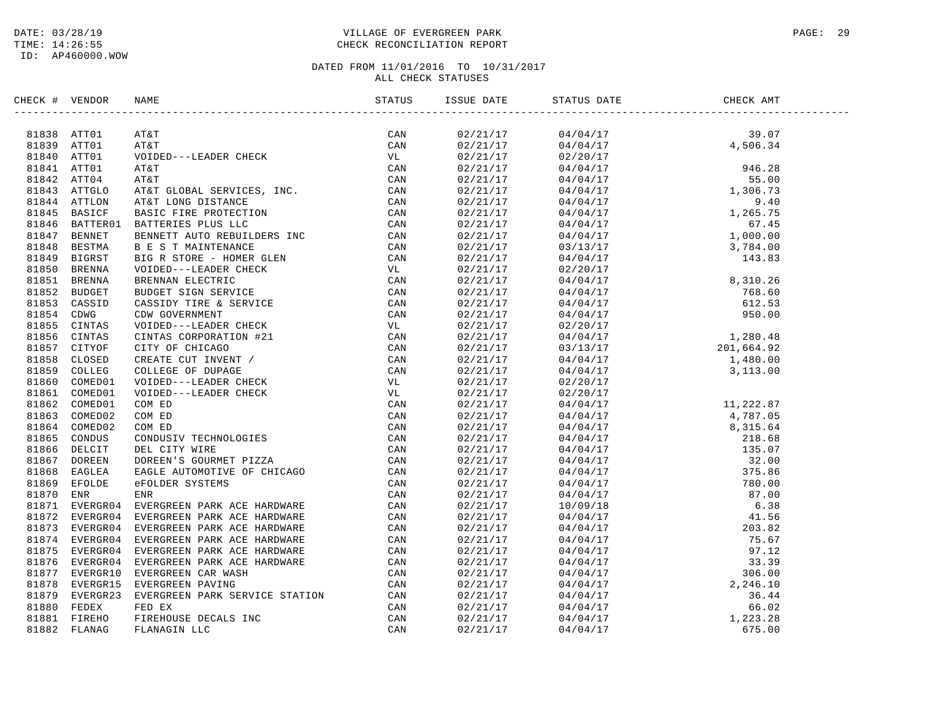ID: AP460000.WOW

### DATE: 03/28/19 PAGE: 29 PAGE: 29 TIME: 14:26:55 CHECK RECONCILIATION REPORT

| CHECK # VENDOR | NAME                                                                                                                                                                                                                         | ISSUE DATE | STATUS DATE | CHECK AMT |  |
|----------------|------------------------------------------------------------------------------------------------------------------------------------------------------------------------------------------------------------------------------|------------|-------------|-----------|--|
|                | SEECRE TWEET VERTIES IN A MATERIAL SERIES IN A SUBMISSION CONTROLL AND A SUBMISSION OF A MATERIAL SERIES IN A SUBMISSION OF A MATERIAL SERIES IN A MATERIAL SERIES OF A MATERIAL SERIES IN A SUBMISSION OF A MATERIAL SERIES |            |             |           |  |
|                |                                                                                                                                                                                                                              |            |             |           |  |
|                |                                                                                                                                                                                                                              |            |             |           |  |
|                |                                                                                                                                                                                                                              |            |             |           |  |
|                |                                                                                                                                                                                                                              |            |             |           |  |
|                |                                                                                                                                                                                                                              |            |             |           |  |
|                |                                                                                                                                                                                                                              |            |             |           |  |
|                |                                                                                                                                                                                                                              |            |             |           |  |
|                |                                                                                                                                                                                                                              |            |             |           |  |
|                |                                                                                                                                                                                                                              |            |             |           |  |
|                |                                                                                                                                                                                                                              |            |             |           |  |
|                |                                                                                                                                                                                                                              |            |             |           |  |
|                |                                                                                                                                                                                                                              |            |             |           |  |
|                |                                                                                                                                                                                                                              |            |             |           |  |
|                |                                                                                                                                                                                                                              |            |             |           |  |
|                |                                                                                                                                                                                                                              |            |             |           |  |
|                |                                                                                                                                                                                                                              |            |             |           |  |
|                |                                                                                                                                                                                                                              |            |             |           |  |
|                |                                                                                                                                                                                                                              |            |             |           |  |
|                |                                                                                                                                                                                                                              |            |             |           |  |
|                |                                                                                                                                                                                                                              |            |             |           |  |
|                |                                                                                                                                                                                                                              |            |             |           |  |
|                |                                                                                                                                                                                                                              |            |             |           |  |
|                |                                                                                                                                                                                                                              |            |             |           |  |
|                |                                                                                                                                                                                                                              |            |             |           |  |
|                |                                                                                                                                                                                                                              |            |             |           |  |
|                |                                                                                                                                                                                                                              |            |             |           |  |
|                |                                                                                                                                                                                                                              |            |             |           |  |
|                |                                                                                                                                                                                                                              |            |             |           |  |
|                |                                                                                                                                                                                                                              |            |             |           |  |
|                |                                                                                                                                                                                                                              |            |             |           |  |
|                |                                                                                                                                                                                                                              |            |             |           |  |
|                |                                                                                                                                                                                                                              |            |             |           |  |
|                |                                                                                                                                                                                                                              |            |             |           |  |
|                |                                                                                                                                                                                                                              |            |             |           |  |
|                |                                                                                                                                                                                                                              |            |             |           |  |
|                |                                                                                                                                                                                                                              |            |             |           |  |
|                |                                                                                                                                                                                                                              |            |             |           |  |
|                |                                                                                                                                                                                                                              |            |             |           |  |
|                |                                                                                                                                                                                                                              |            |             |           |  |
|                |                                                                                                                                                                                                                              |            |             |           |  |
|                |                                                                                                                                                                                                                              |            |             |           |  |
|                |                                                                                                                                                                                                                              |            |             |           |  |
|                |                                                                                                                                                                                                                              |            |             |           |  |
|                |                                                                                                                                                                                                                              |            |             |           |  |
|                |                                                                                                                                                                                                                              |            |             |           |  |
|                |                                                                                                                                                                                                                              |            |             |           |  |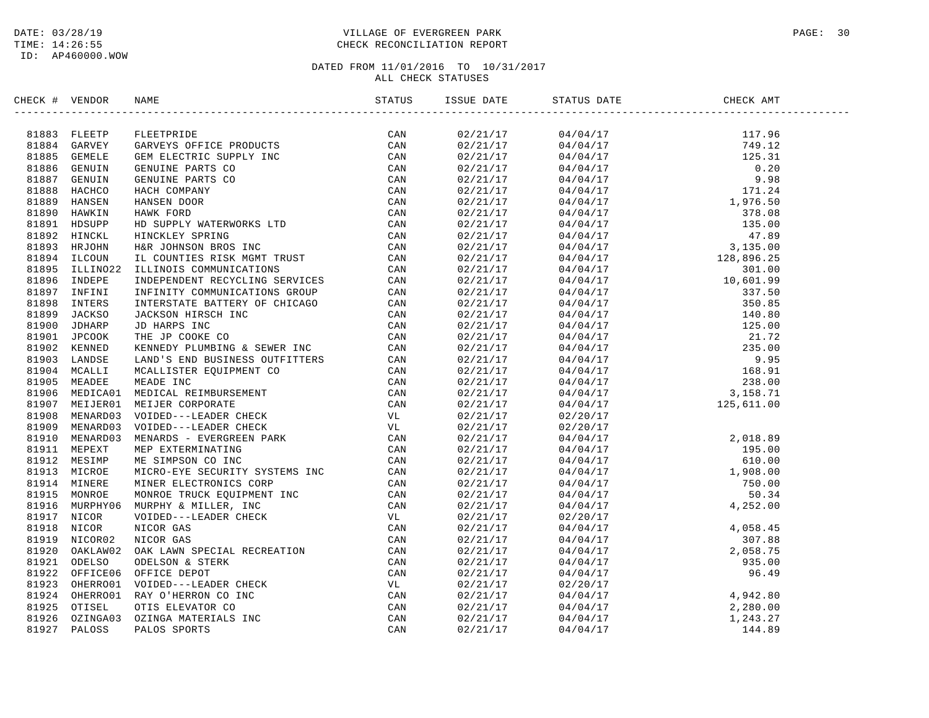### DATE: 03/28/19 PAGE: 30 PAGE: 30 TIME: 14:26:55 CHECK RECONCILIATION REPORT

| CHECK # VENDOR | NAME                                                                                                                                                                                                                                  | ISSUE DATE | STATUS DATE                                                                                                                                                                                                                                                                  | CHECK AMT |  |
|----------------|---------------------------------------------------------------------------------------------------------------------------------------------------------------------------------------------------------------------------------------|------------|------------------------------------------------------------------------------------------------------------------------------------------------------------------------------------------------------------------------------------------------------------------------------|-----------|--|
|                | STATES (FOR BANK PRODUCTS) AND STATES (STATES)<br>1888 CERUINE PRODUCTS PRODUCTS CONNECTIONS (STATES)<br>1888 CERUINE GRAVEN'S OPTICE SPEODUCTS CONNECTIONS<br>1888 CERUINE GRAVENT COPEN TRES CONNECTIONS CONNECTIONS<br>1888 CERUIN |            | $\begin{tabular}{cccccccc} 0.271171 & 0.470471 & 117.96 \\ 0.271117 & 0.470471 & 117.96 \\ 0.271117 & 0.470471 & 117.96 \\ 0.271117 & 0.470471 & 125.31 \\ 0.271117 & 0.470471 & 0.20 \\ 0.27117 & 0.470471 & 0.20 \\ 0.27117 & 0.470471 & 171.24 \\ 0.27117 & 0.470471 & 1$ |           |  |
|                |                                                                                                                                                                                                                                       |            |                                                                                                                                                                                                                                                                              |           |  |
|                |                                                                                                                                                                                                                                       |            |                                                                                                                                                                                                                                                                              |           |  |
|                |                                                                                                                                                                                                                                       |            |                                                                                                                                                                                                                                                                              |           |  |
|                |                                                                                                                                                                                                                                       |            |                                                                                                                                                                                                                                                                              |           |  |
|                |                                                                                                                                                                                                                                       |            |                                                                                                                                                                                                                                                                              |           |  |
|                |                                                                                                                                                                                                                                       |            |                                                                                                                                                                                                                                                                              |           |  |
|                |                                                                                                                                                                                                                                       |            |                                                                                                                                                                                                                                                                              |           |  |
|                |                                                                                                                                                                                                                                       |            |                                                                                                                                                                                                                                                                              |           |  |
|                |                                                                                                                                                                                                                                       |            |                                                                                                                                                                                                                                                                              |           |  |
|                |                                                                                                                                                                                                                                       |            |                                                                                                                                                                                                                                                                              |           |  |
|                |                                                                                                                                                                                                                                       |            |                                                                                                                                                                                                                                                                              |           |  |
|                |                                                                                                                                                                                                                                       |            |                                                                                                                                                                                                                                                                              |           |  |
|                |                                                                                                                                                                                                                                       |            |                                                                                                                                                                                                                                                                              |           |  |
|                |                                                                                                                                                                                                                                       |            |                                                                                                                                                                                                                                                                              |           |  |
|                |                                                                                                                                                                                                                                       |            |                                                                                                                                                                                                                                                                              |           |  |
|                |                                                                                                                                                                                                                                       |            |                                                                                                                                                                                                                                                                              |           |  |
|                |                                                                                                                                                                                                                                       |            |                                                                                                                                                                                                                                                                              |           |  |
|                |                                                                                                                                                                                                                                       |            |                                                                                                                                                                                                                                                                              |           |  |
|                |                                                                                                                                                                                                                                       |            |                                                                                                                                                                                                                                                                              |           |  |
|                |                                                                                                                                                                                                                                       |            |                                                                                                                                                                                                                                                                              |           |  |
|                |                                                                                                                                                                                                                                       |            |                                                                                                                                                                                                                                                                              |           |  |
|                |                                                                                                                                                                                                                                       |            |                                                                                                                                                                                                                                                                              |           |  |
|                |                                                                                                                                                                                                                                       |            |                                                                                                                                                                                                                                                                              |           |  |
|                |                                                                                                                                                                                                                                       |            |                                                                                                                                                                                                                                                                              |           |  |
|                |                                                                                                                                                                                                                                       |            |                                                                                                                                                                                                                                                                              |           |  |
|                |                                                                                                                                                                                                                                       |            |                                                                                                                                                                                                                                                                              |           |  |
|                |                                                                                                                                                                                                                                       |            |                                                                                                                                                                                                                                                                              |           |  |
|                |                                                                                                                                                                                                                                       |            |                                                                                                                                                                                                                                                                              |           |  |
|                |                                                                                                                                                                                                                                       |            |                                                                                                                                                                                                                                                                              |           |  |
|                |                                                                                                                                                                                                                                       |            |                                                                                                                                                                                                                                                                              |           |  |
|                |                                                                                                                                                                                                                                       |            |                                                                                                                                                                                                                                                                              |           |  |
|                |                                                                                                                                                                                                                                       |            |                                                                                                                                                                                                                                                                              |           |  |
|                |                                                                                                                                                                                                                                       |            |                                                                                                                                                                                                                                                                              |           |  |
|                |                                                                                                                                                                                                                                       |            |                                                                                                                                                                                                                                                                              |           |  |
|                |                                                                                                                                                                                                                                       |            |                                                                                                                                                                                                                                                                              |           |  |
|                |                                                                                                                                                                                                                                       |            |                                                                                                                                                                                                                                                                              |           |  |
|                |                                                                                                                                                                                                                                       |            |                                                                                                                                                                                                                                                                              |           |  |
|                |                                                                                                                                                                                                                                       |            |                                                                                                                                                                                                                                                                              |           |  |
|                |                                                                                                                                                                                                                                       |            |                                                                                                                                                                                                                                                                              |           |  |
|                |                                                                                                                                                                                                                                       |            |                                                                                                                                                                                                                                                                              |           |  |
|                |                                                                                                                                                                                                                                       |            |                                                                                                                                                                                                                                                                              |           |  |
|                |                                                                                                                                                                                                                                       |            | $\begin{array}{cccccc} 02/21/17 & 04/04/17 & 4,252.00 \\ 02/21/17 & 02/20/17 & 4,058.45 \\ 02/21/17 & 04/04/17 & 307.88 \\ 02/21/17 & 04/04/17 & 2,058.75 \\ 02/21/17 & 04/04/17 & 935.00 \\ 02/21/17 & 04/04/17 & 96.49 \\ 02/21/17 & 02/20/17 & 4,942.80 \\ 02/21/17$      |           |  |
|                |                                                                                                                                                                                                                                       |            |                                                                                                                                                                                                                                                                              |           |  |
|                |                                                                                                                                                                                                                                       |            |                                                                                                                                                                                                                                                                              |           |  |
|                |                                                                                                                                                                                                                                       |            |                                                                                                                                                                                                                                                                              |           |  |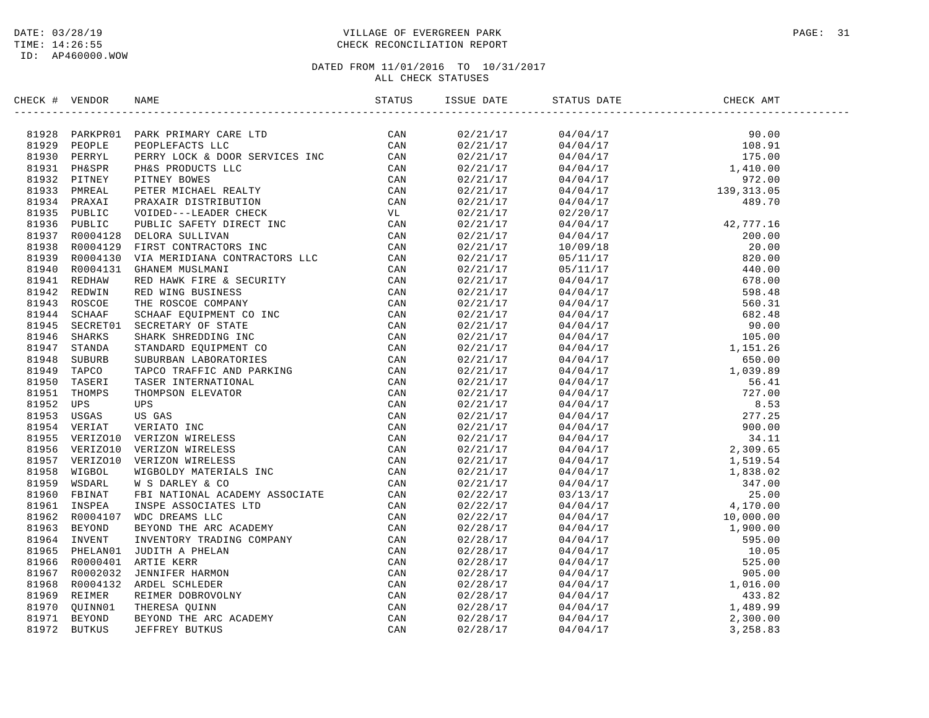### DATE: 03/28/19 PAGE: 31 PAGE: 31 TIME: 14:26:55 CHECK RECONCILIATION REPORT

| CHECK # VENDOR | NAME                                                                                                                                                                                                                                        | ISSUE DATE | STATUS DATE | CHECK AMT |  |
|----------------|---------------------------------------------------------------------------------------------------------------------------------------------------------------------------------------------------------------------------------------------|------------|-------------|-----------|--|
|                | XRCK + VERDOR NAME<br>STATUS - NEW PRIMATY CAR LTD<br>S1928 PARKYL PARKYL CAR LTD<br>S1929 PARKYL PERRATY DEREVICES LCC<br>S1929 PARKYL PERRATY DCC & DON<br>S1939 PRESPR PIRES PRODUCTS LCC<br>S1939 PRESPR PIRES PRODUCTS LCC<br>S1939 PR |            |             |           |  |
|                |                                                                                                                                                                                                                                             |            |             |           |  |
|                |                                                                                                                                                                                                                                             |            |             |           |  |
|                |                                                                                                                                                                                                                                             |            |             |           |  |
|                |                                                                                                                                                                                                                                             |            |             |           |  |
|                |                                                                                                                                                                                                                                             |            |             |           |  |
|                |                                                                                                                                                                                                                                             |            |             |           |  |
|                |                                                                                                                                                                                                                                             |            |             |           |  |
|                |                                                                                                                                                                                                                                             |            |             |           |  |
|                |                                                                                                                                                                                                                                             |            |             |           |  |
|                |                                                                                                                                                                                                                                             |            |             |           |  |
|                |                                                                                                                                                                                                                                             |            |             |           |  |
|                |                                                                                                                                                                                                                                             |            |             |           |  |
|                |                                                                                                                                                                                                                                             |            |             |           |  |
|                |                                                                                                                                                                                                                                             |            |             |           |  |
|                |                                                                                                                                                                                                                                             |            |             |           |  |
|                |                                                                                                                                                                                                                                             |            |             |           |  |
|                |                                                                                                                                                                                                                                             |            |             |           |  |
|                |                                                                                                                                                                                                                                             |            |             |           |  |
|                |                                                                                                                                                                                                                                             |            |             |           |  |
|                |                                                                                                                                                                                                                                             |            |             |           |  |
|                |                                                                                                                                                                                                                                             |            |             |           |  |
|                |                                                                                                                                                                                                                                             |            |             |           |  |
|                |                                                                                                                                                                                                                                             |            |             |           |  |
|                |                                                                                                                                                                                                                                             |            |             |           |  |
|                |                                                                                                                                                                                                                                             |            |             |           |  |
|                |                                                                                                                                                                                                                                             |            |             |           |  |
|                |                                                                                                                                                                                                                                             |            |             |           |  |
|                |                                                                                                                                                                                                                                             |            |             |           |  |
|                |                                                                                                                                                                                                                                             |            |             |           |  |
|                |                                                                                                                                                                                                                                             |            |             |           |  |
|                |                                                                                                                                                                                                                                             |            |             |           |  |
|                |                                                                                                                                                                                                                                             |            |             |           |  |
|                |                                                                                                                                                                                                                                             |            |             |           |  |
|                |                                                                                                                                                                                                                                             |            |             |           |  |
|                |                                                                                                                                                                                                                                             |            |             |           |  |
|                |                                                                                                                                                                                                                                             |            |             |           |  |
|                |                                                                                                                                                                                                                                             |            |             |           |  |
|                |                                                                                                                                                                                                                                             |            |             |           |  |
|                |                                                                                                                                                                                                                                             |            |             |           |  |
|                |                                                                                                                                                                                                                                             |            |             |           |  |
|                |                                                                                                                                                                                                                                             |            |             |           |  |
|                |                                                                                                                                                                                                                                             |            |             |           |  |
|                |                                                                                                                                                                                                                                             |            |             |           |  |
|                |                                                                                                                                                                                                                                             |            |             |           |  |
|                |                                                                                                                                                                                                                                             |            |             |           |  |
|                |                                                                                                                                                                                                                                             |            |             |           |  |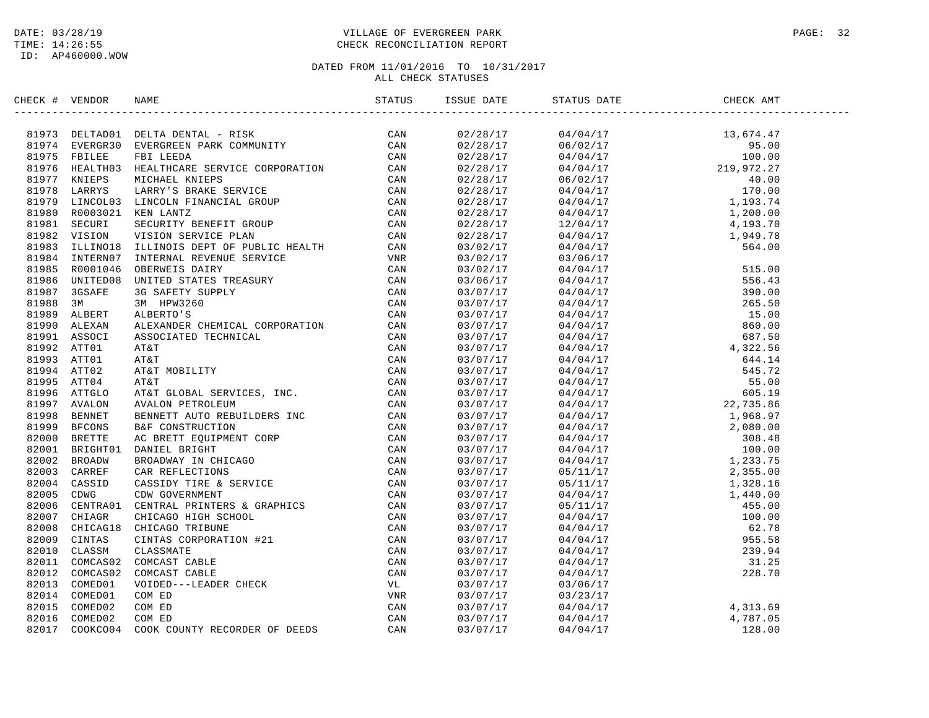### DATE: 03/28/19 PAGE: 32 TIME: 14:26:55 CHECK RECONCILIATION REPORT

| CHECK # VENDOR |                |                                                                                                                                                                                                                                                                                              | STATUS | ISSUE DATE | STATUS DATE | CHECK AMT |  |
|----------------|----------------|----------------------------------------------------------------------------------------------------------------------------------------------------------------------------------------------------------------------------------------------------------------------------------------------|--------|------------|-------------|-----------|--|
|                |                | 81973 DELTADO1 DELTADENTAL – RISK CAN CAN SUPPA EVERGRESO EVERGREEN PARK COMMUNITY CAN SUPPA ENELLE FBI LEEDA<br>81975 FBILEE FBI LEEDA (COMMUNITY CAN SUPPA ENTRE FBI LEEDA CAN SUPPA NICHARE SERVICE CORPORATION CAN SUPPA LARY                                                            | CAN    | 02/28/17   |             |           |  |
|                |                |                                                                                                                                                                                                                                                                                              |        | 02/28/17   |             |           |  |
|                |                |                                                                                                                                                                                                                                                                                              |        | 02/28/17   |             |           |  |
|                |                |                                                                                                                                                                                                                                                                                              |        | 02/28/17   |             |           |  |
|                |                |                                                                                                                                                                                                                                                                                              |        | 02/28/17   |             |           |  |
|                |                |                                                                                                                                                                                                                                                                                              |        | 02/28/17   |             |           |  |
|                |                |                                                                                                                                                                                                                                                                                              |        | 02/28/17   |             |           |  |
|                |                |                                                                                                                                                                                                                                                                                              |        | 02/28/17   |             |           |  |
|                |                |                                                                                                                                                                                                                                                                                              |        | 02/28/17   |             |           |  |
|                |                |                                                                                                                                                                                                                                                                                              |        | 02/28/17   |             |           |  |
|                |                |                                                                                                                                                                                                                                                                                              |        | 03/02/17   |             |           |  |
|                |                |                                                                                                                                                                                                                                                                                              |        | 03/02/17   |             |           |  |
|                |                |                                                                                                                                                                                                                                                                                              |        | 03/02/17   |             |           |  |
|                |                |                                                                                                                                                                                                                                                                                              |        |            |             |           |  |
|                |                |                                                                                                                                                                                                                                                                                              |        | 03/06/17   |             |           |  |
|                |                |                                                                                                                                                                                                                                                                                              |        | 03/07/17   |             |           |  |
|                |                |                                                                                                                                                                                                                                                                                              |        | 03/07/17   |             |           |  |
|                |                |                                                                                                                                                                                                                                                                                              |        | 03/07/17   |             |           |  |
|                | 81990 ALEXAN   |                                                                                                                                                                                                                                                                                              |        | 03/07/17   |             |           |  |
|                | 81991 ASSOCI   |                                                                                                                                                                                                                                                                                              |        | 03/07/17   |             |           |  |
|                | 81992 ATT01    |                                                                                                                                                                                                                                                                                              |        | 03/07/17   |             |           |  |
|                | 81993 ATT01    |                                                                                                                                                                                                                                                                                              |        | 03/07/17   |             |           |  |
|                | 81994 ATT02    |                                                                                                                                                                                                                                                                                              |        | 03/07/17   |             |           |  |
|                | 81995 ATT04    |                                                                                                                                                                                                                                                                                              |        | 03/07/17   |             |           |  |
|                | 81996 ATTGLO   |                                                                                                                                                                                                                                                                                              |        | 03/07/17   |             |           |  |
|                | 81997 AVALON   |                                                                                                                                                                                                                                                                                              |        | 03/07/17   |             |           |  |
|                | 81998 BENNET   |                                                                                                                                                                                                                                                                                              |        | 03/07/17   |             |           |  |
|                | 81999 BFCONS   |                                                                                                                                                                                                                                                                                              |        | 03/07/17   |             |           |  |
|                | 82000 BRETTE   |                                                                                                                                                                                                                                                                                              |        | 03/07/17   |             |           |  |
|                | 82001 BRIGHT01 |                                                                                                                                                                                                                                                                                              |        | 03/07/17   |             |           |  |
|                | 82002 BROADW   |                                                                                                                                                                                                                                                                                              |        | 03/07/17   |             |           |  |
| 82003          | CARREF         |                                                                                                                                                                                                                                                                                              |        | 03/07/17   |             |           |  |
|                | 82004 CASSID   |                                                                                                                                                                                                                                                                                              |        | 03/07/17   |             |           |  |
| 82005          | CDWG           |                                                                                                                                                                                                                                                                                              |        | 03/07/17   |             |           |  |
| 82006          | CENTRA01       |                                                                                                                                                                                                                                                                                              |        | 03/07/17   |             |           |  |
|                | 82007 CHIAGR   |                                                                                                                                                                                                                                                                                              |        | 03/07/17   |             |           |  |
| 82008          | CHICAG18       |                                                                                                                                                                                                                                                                                              |        | 03/07/17   |             |           |  |
|                | 82009 CINTAS   |                                                                                                                                                                                                                                                                                              |        | 03/07/17   |             |           |  |
| 82010          | CLASSM         |                                                                                                                                                                                                                                                                                              |        | 03/07/17   |             |           |  |
|                | 82011 COMCAS02 |                                                                                                                                                                                                                                                                                              |        | 03/07/17   |             |           |  |
| 82012          | COMCAS02       |                                                                                                                                                                                                                                                                                              |        | 03/07/17   |             |           |  |
|                | 82013 COMED01  |                                                                                                                                                                                                                                                                                              |        | 03/07/17   | 03/06/17    |           |  |
| 82014          | COMED01        | 3M HPW3260<br>CAN HERETO'S<br>ALBERTO'S<br>ALBERTO'S<br>ALBERTO'S<br>ATERT MOBILITY<br>ATET<br>ATET<br>ATET<br>ATET<br>ATET<br>ATET<br>ATET<br>ATET<br>ATET<br>ATET<br>ATET<br>ATET<br>CAN<br>ATET<br>ATET<br>CAN<br>ATET<br>CAN<br>ATET<br>ATET<br>CAN<br>ATET<br>CAN<br>ATET<br>CAN<br>ATE |        | 03/07/17   | 03/23/17    |           |  |
| 82015          | COMED02        |                                                                                                                                                                                                                                                                                              |        | 03/07/17   | 04/04/17    | 4,313.69  |  |
| 82016          | COMED02        |                                                                                                                                                                                                                                                                                              |        | 03/07/17   | 04/04/17    | 4,787.05  |  |
| 82017          | COOKCO04       |                                                                                                                                                                                                                                                                                              |        | 03/07/17   | 04/04/17    | 128.00    |  |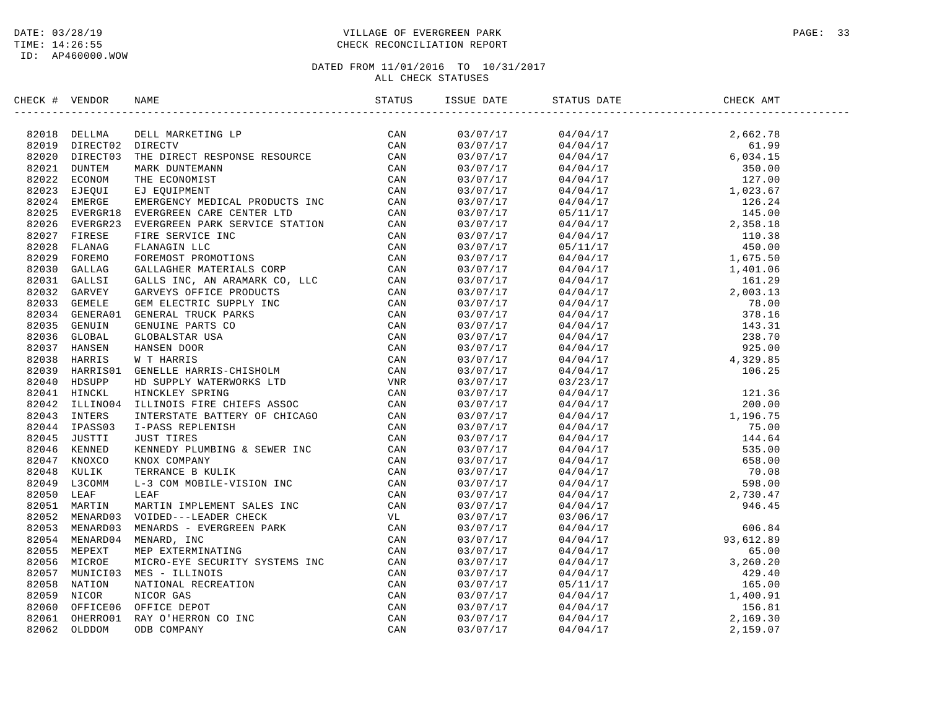### DATE: 03/28/19 PAGE: 33 PAGE: 33 TIME: 14:26:55 CHECK RECONCILIATION REPORT

| CHECK # VENDOR |                                                                                                                                                                                                                               | ISSUE DATE | STATUS DATE | CHECK AMT |  |
|----------------|-------------------------------------------------------------------------------------------------------------------------------------------------------------------------------------------------------------------------------|------------|-------------|-----------|--|
|                | NECK + VERION NAME STATUS THE STATUS TRANSFERIES CAN STATUS THE MANUFATION IN THE MANUFATION CAN ARREST CAN ARREST CAN ARREST CAN ARREST CAN ARREST CAN ARREST CAN ARREST CAN ARREST CAN ARREST CAN ARREST CAN ARREST CAN ARR |            |             |           |  |
|                |                                                                                                                                                                                                                               |            |             |           |  |
|                |                                                                                                                                                                                                                               |            |             |           |  |
|                |                                                                                                                                                                                                                               |            |             |           |  |
|                |                                                                                                                                                                                                                               |            |             |           |  |
|                |                                                                                                                                                                                                                               |            |             |           |  |
|                |                                                                                                                                                                                                                               |            |             |           |  |
|                |                                                                                                                                                                                                                               |            |             |           |  |
|                |                                                                                                                                                                                                                               |            |             |           |  |
|                |                                                                                                                                                                                                                               |            |             |           |  |
|                |                                                                                                                                                                                                                               |            |             |           |  |
|                |                                                                                                                                                                                                                               |            |             |           |  |
|                |                                                                                                                                                                                                                               |            |             |           |  |
|                |                                                                                                                                                                                                                               |            |             |           |  |
|                |                                                                                                                                                                                                                               |            |             |           |  |
|                |                                                                                                                                                                                                                               |            |             |           |  |
|                |                                                                                                                                                                                                                               |            |             |           |  |
|                |                                                                                                                                                                                                                               |            |             |           |  |
|                |                                                                                                                                                                                                                               |            |             |           |  |
|                |                                                                                                                                                                                                                               |            |             |           |  |
|                |                                                                                                                                                                                                                               |            |             |           |  |
|                |                                                                                                                                                                                                                               |            |             |           |  |
|                |                                                                                                                                                                                                                               |            |             |           |  |
|                |                                                                                                                                                                                                                               |            |             |           |  |
|                |                                                                                                                                                                                                                               |            |             |           |  |
|                |                                                                                                                                                                                                                               |            |             |           |  |
|                |                                                                                                                                                                                                                               |            |             |           |  |
|                |                                                                                                                                                                                                                               |            |             |           |  |
|                |                                                                                                                                                                                                                               |            |             |           |  |
|                |                                                                                                                                                                                                                               |            |             |           |  |
|                |                                                                                                                                                                                                                               |            |             |           |  |
|                |                                                                                                                                                                                                                               |            |             |           |  |
|                |                                                                                                                                                                                                                               |            |             |           |  |
|                |                                                                                                                                                                                                                               |            |             |           |  |
|                |                                                                                                                                                                                                                               |            |             |           |  |
|                |                                                                                                                                                                                                                               |            |             |           |  |
|                |                                                                                                                                                                                                                               |            |             |           |  |
|                |                                                                                                                                                                                                                               |            |             |           |  |
|                |                                                                                                                                                                                                                               |            |             |           |  |
|                |                                                                                                                                                                                                                               |            |             |           |  |
|                |                                                                                                                                                                                                                               |            |             |           |  |
|                |                                                                                                                                                                                                                               |            |             |           |  |
|                |                                                                                                                                                                                                                               |            |             |           |  |
|                |                                                                                                                                                                                                                               |            |             |           |  |
|                |                                                                                                                                                                                                                               |            |             |           |  |
|                |                                                                                                                                                                                                                               |            |             |           |  |
|                |                                                                                                                                                                                                                               |            |             |           |  |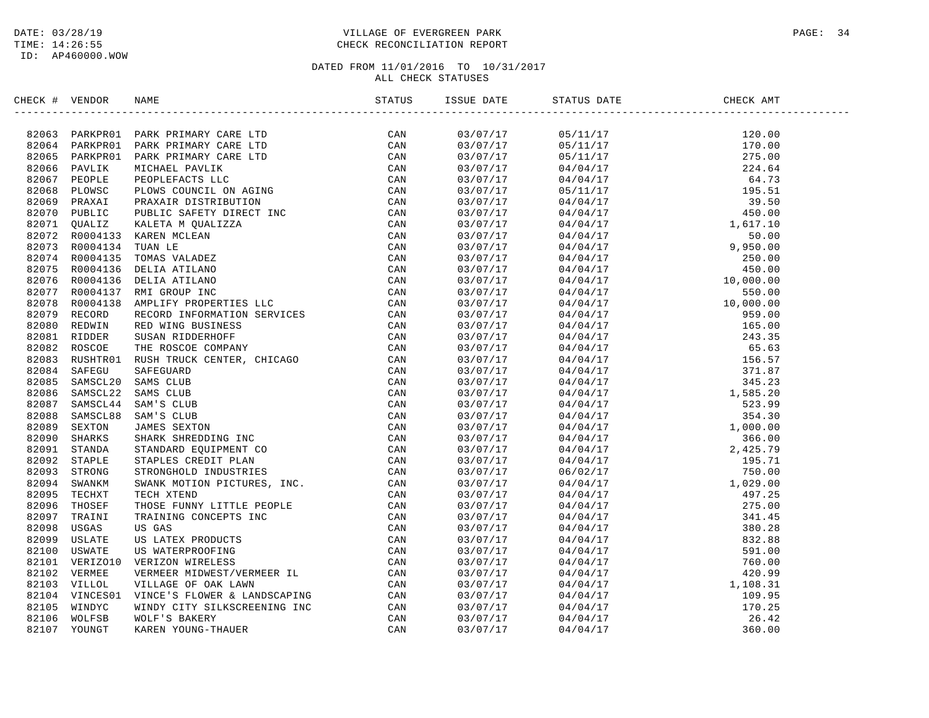### DATE: 03/28/19 PAGE: 34 TIME: 14:26:55 CHECK RECONCILIATION REPORT

| CHECK # VENDOR | NAME                                                                                                                                                                                                                                                                                                                                                                                                                                | STATUS | ISSUE DATE           | STATUS DATE                                                                                                                                                                                                                                                                                                                                         | CHECK AMT |  |
|----------------|-------------------------------------------------------------------------------------------------------------------------------------------------------------------------------------------------------------------------------------------------------------------------------------------------------------------------------------------------------------------------------------------------------------------------------------|--------|----------------------|-----------------------------------------------------------------------------------------------------------------------------------------------------------------------------------------------------------------------------------------------------------------------------------------------------------------------------------------------------|-----------|--|
|                | $\begin{tabular}{cccccccc} \textbf{1} & \textbf{0} & \textbf{0} & \textbf{0} & \textbf{0} & \textbf{0} & \textbf{0} & \textbf{0} & \textbf{0} & \textbf{0} & \textbf{0} & \textbf{0} & \textbf{0} & \textbf{0} & \textbf{0} & \textbf{0} & \textbf{0} & \textbf{0} & \textbf{0} & \textbf{0} & \textbf{0} & \textbf{0} & \textbf{0} & \textbf{0} & \textbf{0} & \textbf{0} & \textbf{0} & \textbf{0} & \textbf{0} & \textbf{0} & \$ |        | 03/07/17             | $\begin{tabular}{lcccc} $0$ & $0$ & $11/17$ & $120.00$ \\[-2mm] \hline \end{tabular} \hfill \begin{tabular}{ll} $0$ & $0$ & $11/17$ & $120.00$ \\[-2mm] \hline 0 $11/17$ & $170.00$ \\[-2mm] \hline 0 $11/17$ & $170.00$ \\[-2mm] \hline 0 $4/04/17$ & $275.00$ \\[-2mm] \hline 0 $4/04/17$ & $284.64$ \\[-2mm] \hline 0 $5/11/17$ & $275.00$ \\[-$ |           |  |
|                |                                                                                                                                                                                                                                                                                                                                                                                                                                     |        | 03/07/17             |                                                                                                                                                                                                                                                                                                                                                     |           |  |
|                |                                                                                                                                                                                                                                                                                                                                                                                                                                     |        | 03/07/17             |                                                                                                                                                                                                                                                                                                                                                     |           |  |
|                |                                                                                                                                                                                                                                                                                                                                                                                                                                     |        | 03/07/17             |                                                                                                                                                                                                                                                                                                                                                     |           |  |
|                |                                                                                                                                                                                                                                                                                                                                                                                                                                     |        | 03/07/17             |                                                                                                                                                                                                                                                                                                                                                     |           |  |
|                |                                                                                                                                                                                                                                                                                                                                                                                                                                     |        | 03/07/17             |                                                                                                                                                                                                                                                                                                                                                     |           |  |
|                |                                                                                                                                                                                                                                                                                                                                                                                                                                     |        | 03/07/17             |                                                                                                                                                                                                                                                                                                                                                     |           |  |
|                |                                                                                                                                                                                                                                                                                                                                                                                                                                     |        | 03/07/17             |                                                                                                                                                                                                                                                                                                                                                     |           |  |
|                |                                                                                                                                                                                                                                                                                                                                                                                                                                     |        | 03/07/17             |                                                                                                                                                                                                                                                                                                                                                     |           |  |
|                |                                                                                                                                                                                                                                                                                                                                                                                                                                     |        | 03/07/17             |                                                                                                                                                                                                                                                                                                                                                     |           |  |
|                |                                                                                                                                                                                                                                                                                                                                                                                                                                     |        | 03/07/17             |                                                                                                                                                                                                                                                                                                                                                     |           |  |
|                |                                                                                                                                                                                                                                                                                                                                                                                                                                     |        | 03/07/17             |                                                                                                                                                                                                                                                                                                                                                     |           |  |
|                |                                                                                                                                                                                                                                                                                                                                                                                                                                     |        | 03/07/17             |                                                                                                                                                                                                                                                                                                                                                     |           |  |
|                |                                                                                                                                                                                                                                                                                                                                                                                                                                     |        | 03/07/17             |                                                                                                                                                                                                                                                                                                                                                     |           |  |
|                |                                                                                                                                                                                                                                                                                                                                                                                                                                     |        | 03/07/17             |                                                                                                                                                                                                                                                                                                                                                     |           |  |
|                |                                                                                                                                                                                                                                                                                                                                                                                                                                     |        | 03/07/17             |                                                                                                                                                                                                                                                                                                                                                     |           |  |
|                |                                                                                                                                                                                                                                                                                                                                                                                                                                     |        | 03/07/17             |                                                                                                                                                                                                                                                                                                                                                     |           |  |
|                |                                                                                                                                                                                                                                                                                                                                                                                                                                     |        | 03/07/17             |                                                                                                                                                                                                                                                                                                                                                     |           |  |
|                |                                                                                                                                                                                                                                                                                                                                                                                                                                     |        | 03/07/17             |                                                                                                                                                                                                                                                                                                                                                     |           |  |
|                |                                                                                                                                                                                                                                                                                                                                                                                                                                     |        | 03/07/17             |                                                                                                                                                                                                                                                                                                                                                     |           |  |
|                |                                                                                                                                                                                                                                                                                                                                                                                                                                     |        | 03/07/17             |                                                                                                                                                                                                                                                                                                                                                     |           |  |
|                |                                                                                                                                                                                                                                                                                                                                                                                                                                     |        | 03/07/17             |                                                                                                                                                                                                                                                                                                                                                     |           |  |
|                |                                                                                                                                                                                                                                                                                                                                                                                                                                     |        | 03/07/17             |                                                                                                                                                                                                                                                                                                                                                     |           |  |
|                |                                                                                                                                                                                                                                                                                                                                                                                                                                     |        | 03/07/17             |                                                                                                                                                                                                                                                                                                                                                     |           |  |
|                |                                                                                                                                                                                                                                                                                                                                                                                                                                     |        | 03/07/17             |                                                                                                                                                                                                                                                                                                                                                     |           |  |
|                |                                                                                                                                                                                                                                                                                                                                                                                                                                     |        | 03/07/17             |                                                                                                                                                                                                                                                                                                                                                     |           |  |
|                |                                                                                                                                                                                                                                                                                                                                                                                                                                     |        | 03/07/17             |                                                                                                                                                                                                                                                                                                                                                     |           |  |
|                |                                                                                                                                                                                                                                                                                                                                                                                                                                     |        | 03/07/17             |                                                                                                                                                                                                                                                                                                                                                     |           |  |
|                |                                                                                                                                                                                                                                                                                                                                                                                                                                     |        | 03/07/17             |                                                                                                                                                                                                                                                                                                                                                     |           |  |
|                |                                                                                                                                                                                                                                                                                                                                                                                                                                     |        | 03/07/17             |                                                                                                                                                                                                                                                                                                                                                     |           |  |
|                |                                                                                                                                                                                                                                                                                                                                                                                                                                     |        | 03/07/17             |                                                                                                                                                                                                                                                                                                                                                     |           |  |
|                |                                                                                                                                                                                                                                                                                                                                                                                                                                     |        | 03/07/17             |                                                                                                                                                                                                                                                                                                                                                     |           |  |
|                |                                                                                                                                                                                                                                                                                                                                                                                                                                     |        | 03/07/17             |                                                                                                                                                                                                                                                                                                                                                     |           |  |
|                |                                                                                                                                                                                                                                                                                                                                                                                                                                     |        | 03/07/17             |                                                                                                                                                                                                                                                                                                                                                     |           |  |
|                |                                                                                                                                                                                                                                                                                                                                                                                                                                     |        |                      |                                                                                                                                                                                                                                                                                                                                                     |           |  |
|                |                                                                                                                                                                                                                                                                                                                                                                                                                                     |        | 03/07/17             |                                                                                                                                                                                                                                                                                                                                                     |           |  |
|                |                                                                                                                                                                                                                                                                                                                                                                                                                                     |        | 03/07/17             |                                                                                                                                                                                                                                                                                                                                                     |           |  |
|                |                                                                                                                                                                                                                                                                                                                                                                                                                                     |        | 03/07/17<br>03/07/17 |                                                                                                                                                                                                                                                                                                                                                     |           |  |
|                |                                                                                                                                                                                                                                                                                                                                                                                                                                     |        |                      |                                                                                                                                                                                                                                                                                                                                                     |           |  |
|                |                                                                                                                                                                                                                                                                                                                                                                                                                                     |        | 03/07/17             |                                                                                                                                                                                                                                                                                                                                                     |           |  |
|                |                                                                                                                                                                                                                                                                                                                                                                                                                                     |        | 03/07/17             |                                                                                                                                                                                                                                                                                                                                                     |           |  |
|                |                                                                                                                                                                                                                                                                                                                                                                                                                                     |        | 03/07/17             |                                                                                                                                                                                                                                                                                                                                                     |           |  |
|                |                                                                                                                                                                                                                                                                                                                                                                                                                                     |        | 03/07/17             |                                                                                                                                                                                                                                                                                                                                                     |           |  |
|                |                                                                                                                                                                                                                                                                                                                                                                                                                                     |        | 03/07/17             |                                                                                                                                                                                                                                                                                                                                                     |           |  |
|                |                                                                                                                                                                                                                                                                                                                                                                                                                                     |        | 03/07/17             |                                                                                                                                                                                                                                                                                                                                                     |           |  |
|                |                                                                                                                                                                                                                                                                                                                                                                                                                                     |        | 03/07/17             |                                                                                                                                                                                                                                                                                                                                                     |           |  |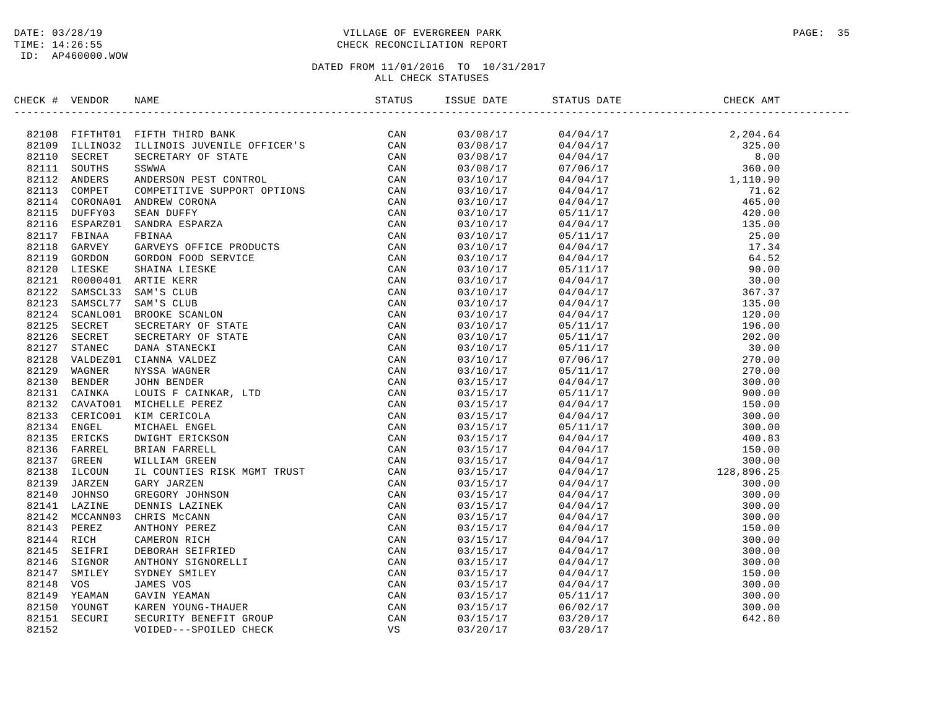### DATE: 03/28/19 PAGE: 35 TIME: 14:26:55 CHECK RECONCILIATION REPORT

| $\begin{tabular}{cccccccc} \textbf{1} & \textbf{0} & \textbf{0} & \textbf{0} & \textbf{0} & \textbf{0} & \textbf{0} & \textbf{0} & \textbf{0} & \textbf{0} & \textbf{0} & \textbf{0} \\ \textbf{2} & \textbf{0} & \textbf{0} & \textbf{0} & \textbf{0} & \textbf{0} & \textbf{0} & \textbf{0} & \textbf{0} & \textbf{0} \\ \textbf{3} & \textbf{2} & \textbf{1} & \textbf{0} & \textbf{0} & \textbf{0} & \textbf{0} & \textbf{0} & \$<br>03/08/17<br>$\begin{tabular}{cccc} 197.67 & 101.71 & 101.71 & 102.70 & 101.71 & 101.71 & 101.71 & 101.71 & 101.71 & 101.71 & 101.71 & 101.71 & 101.71 & 101.71 & 101.71 & 101.71 & 101.71 & 101.71 & 101.71 & 101.71 & 101.71 & 101.71 & 101.71 & 101.71 & 101.71 & 101.71 & 101$<br>03/08/17<br>03/08/17<br>03/08/17<br>03/10/17<br>03/10/17<br>03/10/17<br>03/10/17<br>03/10/17<br>03/10/17<br>03/10/17<br>03/10/17<br>03/10/17<br>03/10/17<br>03/10/17<br>03/10/17<br>03/10/17<br>03/10/17<br>03/10/17<br>03/10/17<br>03/10/17<br>03/10/17<br>03/15/17<br>03/15/17<br>03/15/17<br>03/15/17<br>03/15/17<br>03/15/17<br>03/15/17<br>03/15/17<br>03/15/17<br>03/15/17<br>03/15/17<br>03/15/17<br>03/15/17<br>03/15/17<br>03/15/17<br>03/15/17<br>03/15/17<br>03/15/17<br>03/15/17<br>03/15/17 | CHECK # VENDOR |  | ISSUE DATE | DATE STATUS DATE CHE | CHECK AMT |
|----------------------------------------------------------------------------------------------------------------------------------------------------------------------------------------------------------------------------------------------------------------------------------------------------------------------------------------------------------------------------------------------------------------------------------------------------------------------------------------------------------------------------------------------------------------------------------------------------------------------------------------------------------------------------------------------------------------------------------------------------------------------------------------------------------------------------------------------------------------------------------------------------------------------------------------------------------------------------------------------------------------------------------------------------------------------------------------------------------------------------------------------------------------------------------------------------------------------------------------|----------------|--|------------|----------------------|-----------|
|                                                                                                                                                                                                                                                                                                                                                                                                                                                                                                                                                                                                                                                                                                                                                                                                                                                                                                                                                                                                                                                                                                                                                                                                                                        |                |  |            |                      |           |
|                                                                                                                                                                                                                                                                                                                                                                                                                                                                                                                                                                                                                                                                                                                                                                                                                                                                                                                                                                                                                                                                                                                                                                                                                                        |                |  |            |                      |           |
|                                                                                                                                                                                                                                                                                                                                                                                                                                                                                                                                                                                                                                                                                                                                                                                                                                                                                                                                                                                                                                                                                                                                                                                                                                        |                |  |            |                      |           |
|                                                                                                                                                                                                                                                                                                                                                                                                                                                                                                                                                                                                                                                                                                                                                                                                                                                                                                                                                                                                                                                                                                                                                                                                                                        |                |  |            |                      |           |
|                                                                                                                                                                                                                                                                                                                                                                                                                                                                                                                                                                                                                                                                                                                                                                                                                                                                                                                                                                                                                                                                                                                                                                                                                                        |                |  |            |                      |           |
|                                                                                                                                                                                                                                                                                                                                                                                                                                                                                                                                                                                                                                                                                                                                                                                                                                                                                                                                                                                                                                                                                                                                                                                                                                        |                |  |            |                      |           |
|                                                                                                                                                                                                                                                                                                                                                                                                                                                                                                                                                                                                                                                                                                                                                                                                                                                                                                                                                                                                                                                                                                                                                                                                                                        |                |  |            |                      |           |
|                                                                                                                                                                                                                                                                                                                                                                                                                                                                                                                                                                                                                                                                                                                                                                                                                                                                                                                                                                                                                                                                                                                                                                                                                                        |                |  |            |                      |           |
|                                                                                                                                                                                                                                                                                                                                                                                                                                                                                                                                                                                                                                                                                                                                                                                                                                                                                                                                                                                                                                                                                                                                                                                                                                        |                |  |            |                      |           |
|                                                                                                                                                                                                                                                                                                                                                                                                                                                                                                                                                                                                                                                                                                                                                                                                                                                                                                                                                                                                                                                                                                                                                                                                                                        |                |  |            |                      |           |
|                                                                                                                                                                                                                                                                                                                                                                                                                                                                                                                                                                                                                                                                                                                                                                                                                                                                                                                                                                                                                                                                                                                                                                                                                                        |                |  |            |                      |           |
|                                                                                                                                                                                                                                                                                                                                                                                                                                                                                                                                                                                                                                                                                                                                                                                                                                                                                                                                                                                                                                                                                                                                                                                                                                        |                |  |            |                      |           |
|                                                                                                                                                                                                                                                                                                                                                                                                                                                                                                                                                                                                                                                                                                                                                                                                                                                                                                                                                                                                                                                                                                                                                                                                                                        |                |  |            |                      |           |
|                                                                                                                                                                                                                                                                                                                                                                                                                                                                                                                                                                                                                                                                                                                                                                                                                                                                                                                                                                                                                                                                                                                                                                                                                                        |                |  |            |                      |           |
|                                                                                                                                                                                                                                                                                                                                                                                                                                                                                                                                                                                                                                                                                                                                                                                                                                                                                                                                                                                                                                                                                                                                                                                                                                        |                |  |            |                      |           |
|                                                                                                                                                                                                                                                                                                                                                                                                                                                                                                                                                                                                                                                                                                                                                                                                                                                                                                                                                                                                                                                                                                                                                                                                                                        |                |  |            |                      |           |
|                                                                                                                                                                                                                                                                                                                                                                                                                                                                                                                                                                                                                                                                                                                                                                                                                                                                                                                                                                                                                                                                                                                                                                                                                                        |                |  |            |                      |           |
|                                                                                                                                                                                                                                                                                                                                                                                                                                                                                                                                                                                                                                                                                                                                                                                                                                                                                                                                                                                                                                                                                                                                                                                                                                        |                |  |            |                      |           |
|                                                                                                                                                                                                                                                                                                                                                                                                                                                                                                                                                                                                                                                                                                                                                                                                                                                                                                                                                                                                                                                                                                                                                                                                                                        |                |  |            |                      |           |
|                                                                                                                                                                                                                                                                                                                                                                                                                                                                                                                                                                                                                                                                                                                                                                                                                                                                                                                                                                                                                                                                                                                                                                                                                                        |                |  |            |                      |           |
|                                                                                                                                                                                                                                                                                                                                                                                                                                                                                                                                                                                                                                                                                                                                                                                                                                                                                                                                                                                                                                                                                                                                                                                                                                        |                |  |            |                      |           |
|                                                                                                                                                                                                                                                                                                                                                                                                                                                                                                                                                                                                                                                                                                                                                                                                                                                                                                                                                                                                                                                                                                                                                                                                                                        |                |  |            |                      |           |
|                                                                                                                                                                                                                                                                                                                                                                                                                                                                                                                                                                                                                                                                                                                                                                                                                                                                                                                                                                                                                                                                                                                                                                                                                                        |                |  |            |                      |           |
|                                                                                                                                                                                                                                                                                                                                                                                                                                                                                                                                                                                                                                                                                                                                                                                                                                                                                                                                                                                                                                                                                                                                                                                                                                        |                |  |            |                      |           |
|                                                                                                                                                                                                                                                                                                                                                                                                                                                                                                                                                                                                                                                                                                                                                                                                                                                                                                                                                                                                                                                                                                                                                                                                                                        |                |  |            |                      |           |
|                                                                                                                                                                                                                                                                                                                                                                                                                                                                                                                                                                                                                                                                                                                                                                                                                                                                                                                                                                                                                                                                                                                                                                                                                                        |                |  |            |                      |           |
|                                                                                                                                                                                                                                                                                                                                                                                                                                                                                                                                                                                                                                                                                                                                                                                                                                                                                                                                                                                                                                                                                                                                                                                                                                        |                |  |            |                      |           |
|                                                                                                                                                                                                                                                                                                                                                                                                                                                                                                                                                                                                                                                                                                                                                                                                                                                                                                                                                                                                                                                                                                                                                                                                                                        |                |  |            |                      |           |
|                                                                                                                                                                                                                                                                                                                                                                                                                                                                                                                                                                                                                                                                                                                                                                                                                                                                                                                                                                                                                                                                                                                                                                                                                                        |                |  |            |                      |           |
|                                                                                                                                                                                                                                                                                                                                                                                                                                                                                                                                                                                                                                                                                                                                                                                                                                                                                                                                                                                                                                                                                                                                                                                                                                        |                |  |            |                      |           |
|                                                                                                                                                                                                                                                                                                                                                                                                                                                                                                                                                                                                                                                                                                                                                                                                                                                                                                                                                                                                                                                                                                                                                                                                                                        |                |  |            |                      |           |
|                                                                                                                                                                                                                                                                                                                                                                                                                                                                                                                                                                                                                                                                                                                                                                                                                                                                                                                                                                                                                                                                                                                                                                                                                                        |                |  |            |                      |           |
|                                                                                                                                                                                                                                                                                                                                                                                                                                                                                                                                                                                                                                                                                                                                                                                                                                                                                                                                                                                                                                                                                                                                                                                                                                        |                |  |            |                      |           |
|                                                                                                                                                                                                                                                                                                                                                                                                                                                                                                                                                                                                                                                                                                                                                                                                                                                                                                                                                                                                                                                                                                                                                                                                                                        |                |  |            |                      |           |
|                                                                                                                                                                                                                                                                                                                                                                                                                                                                                                                                                                                                                                                                                                                                                                                                                                                                                                                                                                                                                                                                                                                                                                                                                                        |                |  |            |                      |           |
|                                                                                                                                                                                                                                                                                                                                                                                                                                                                                                                                                                                                                                                                                                                                                                                                                                                                                                                                                                                                                                                                                                                                                                                                                                        |                |  |            |                      |           |
|                                                                                                                                                                                                                                                                                                                                                                                                                                                                                                                                                                                                                                                                                                                                                                                                                                                                                                                                                                                                                                                                                                                                                                                                                                        |                |  |            |                      |           |
|                                                                                                                                                                                                                                                                                                                                                                                                                                                                                                                                                                                                                                                                                                                                                                                                                                                                                                                                                                                                                                                                                                                                                                                                                                        |                |  |            |                      |           |
|                                                                                                                                                                                                                                                                                                                                                                                                                                                                                                                                                                                                                                                                                                                                                                                                                                                                                                                                                                                                                                                                                                                                                                                                                                        |                |  |            |                      |           |
|                                                                                                                                                                                                                                                                                                                                                                                                                                                                                                                                                                                                                                                                                                                                                                                                                                                                                                                                                                                                                                                                                                                                                                                                                                        |                |  |            |                      |           |
|                                                                                                                                                                                                                                                                                                                                                                                                                                                                                                                                                                                                                                                                                                                                                                                                                                                                                                                                                                                                                                                                                                                                                                                                                                        |                |  |            |                      |           |
|                                                                                                                                                                                                                                                                                                                                                                                                                                                                                                                                                                                                                                                                                                                                                                                                                                                                                                                                                                                                                                                                                                                                                                                                                                        |                |  |            |                      |           |
|                                                                                                                                                                                                                                                                                                                                                                                                                                                                                                                                                                                                                                                                                                                                                                                                                                                                                                                                                                                                                                                                                                                                                                                                                                        |                |  |            |                      |           |
|                                                                                                                                                                                                                                                                                                                                                                                                                                                                                                                                                                                                                                                                                                                                                                                                                                                                                                                                                                                                                                                                                                                                                                                                                                        |                |  | 03/15/17   |                      |           |
| 03/15/17                                                                                                                                                                                                                                                                                                                                                                                                                                                                                                                                                                                                                                                                                                                                                                                                                                                                                                                                                                                                                                                                                                                                                                                                                               |                |  |            |                      |           |
| 03/20/17                                                                                                                                                                                                                                                                                                                                                                                                                                                                                                                                                                                                                                                                                                                                                                                                                                                                                                                                                                                                                                                                                                                                                                                                                               |                |  |            |                      |           |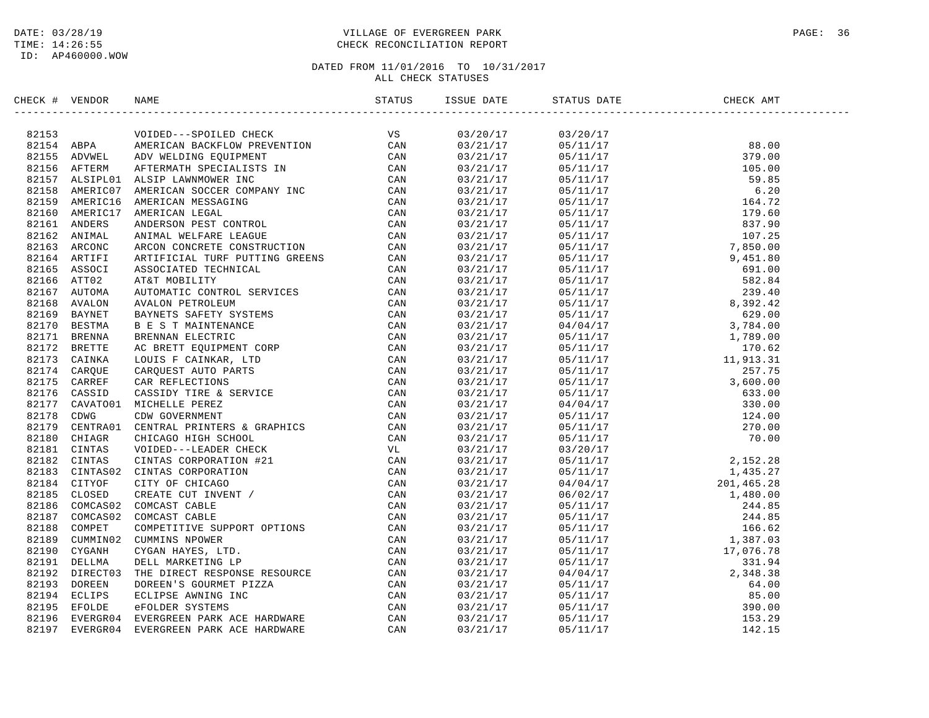### DATE: 03/28/19 PAGE: 36 PAGE: 36 PAGE: 36 PAGE: 36 PAGE: 36 PAGE: 36 PAGE: 36 TIME: 14:26:55 CHECK RECONCILIATION REPORT

| CHECK # VENDOR | NAME                                                                                                                                                                                                                                | ISSUE DATE                         | STATUS DATE                                                                                                                                                                                                                                                                                                        | CHECK AMT |  |
|----------------|-------------------------------------------------------------------------------------------------------------------------------------------------------------------------------------------------------------------------------------|------------------------------------|--------------------------------------------------------------------------------------------------------------------------------------------------------------------------------------------------------------------------------------------------------------------------------------------------------------------|-----------|--|
|                | : 4 VEHICAL MANUFACTION (SIMPLE)<br>1. 4 VEHICAL MANUFACTION CHECK TREATMOND CAN ARRIVER IN THE SECOND PROTECTION (SIMPLE)<br>155 ABPWELL ARTWEINTER SECONDERN TROUBLEM (SMARTICAL CAN 155 ARTWEINT AND FAILURE COURRENT IN CAN<br> | 03/20/17                           | 03/20/17<br>$\begin{tabular}{cccccc} $0.3/20/17$ & $8.00$ \\[-2mm] $0.8/11/17$ & $8.00$ \\[-2mm] $0.8/11/17$ & $8.00$ \\[-2mm] $0.8/11/17$ & $1.99.00$ \\[-2mm] $0.8/11/17$ & $1.99.00$ \\[-2mm] $0.8/11/17$ & $1.99.00$ \\[-2mm] $0.8/11/17$ & $1.99.60$ \\[-2mm] $0.8/11/17$ & $1.99.60$ \\[-2mm] $0.8/11/17$ &$ |           |  |
|                |                                                                                                                                                                                                                                     |                                    |                                                                                                                                                                                                                                                                                                                    |           |  |
|                |                                                                                                                                                                                                                                     | $03/21/17$<br>03/21/17<br>03/21/17 |                                                                                                                                                                                                                                                                                                                    |           |  |
|                |                                                                                                                                                                                                                                     | 03/21/17                           |                                                                                                                                                                                                                                                                                                                    |           |  |
|                |                                                                                                                                                                                                                                     | 03/21/17                           |                                                                                                                                                                                                                                                                                                                    |           |  |
|                |                                                                                                                                                                                                                                     | 03/21/17                           |                                                                                                                                                                                                                                                                                                                    |           |  |
|                |                                                                                                                                                                                                                                     | 03/21/17                           |                                                                                                                                                                                                                                                                                                                    |           |  |
|                |                                                                                                                                                                                                                                     | 03/21/17                           |                                                                                                                                                                                                                                                                                                                    |           |  |
|                |                                                                                                                                                                                                                                     | 03/21/17                           |                                                                                                                                                                                                                                                                                                                    |           |  |
|                |                                                                                                                                                                                                                                     | 03/21/17                           |                                                                                                                                                                                                                                                                                                                    |           |  |
|                |                                                                                                                                                                                                                                     |                                    |                                                                                                                                                                                                                                                                                                                    |           |  |
|                |                                                                                                                                                                                                                                     | 03/21/17                           |                                                                                                                                                                                                                                                                                                                    |           |  |
|                |                                                                                                                                                                                                                                     | 03/21/17                           |                                                                                                                                                                                                                                                                                                                    |           |  |
|                |                                                                                                                                                                                                                                     | 03/21/17                           |                                                                                                                                                                                                                                                                                                                    |           |  |
|                |                                                                                                                                                                                                                                     | 03/21/17                           |                                                                                                                                                                                                                                                                                                                    |           |  |
|                |                                                                                                                                                                                                                                     | 03/21/17                           |                                                                                                                                                                                                                                                                                                                    |           |  |
|                |                                                                                                                                                                                                                                     | 03/21/17                           |                                                                                                                                                                                                                                                                                                                    |           |  |
|                |                                                                                                                                                                                                                                     | 03/21/17                           |                                                                                                                                                                                                                                                                                                                    |           |  |
|                |                                                                                                                                                                                                                                     | 03/21/17                           |                                                                                                                                                                                                                                                                                                                    |           |  |
|                |                                                                                                                                                                                                                                     | 03/21/17                           |                                                                                                                                                                                                                                                                                                                    |           |  |
|                |                                                                                                                                                                                                                                     | 03/21/17                           |                                                                                                                                                                                                                                                                                                                    |           |  |
|                |                                                                                                                                                                                                                                     | 03/21/17                           |                                                                                                                                                                                                                                                                                                                    |           |  |
|                |                                                                                                                                                                                                                                     | 03/21/17                           |                                                                                                                                                                                                                                                                                                                    |           |  |
|                |                                                                                                                                                                                                                                     | 03/21/17                           |                                                                                                                                                                                                                                                                                                                    |           |  |
|                |                                                                                                                                                                                                                                     | 03/21/17                           |                                                                                                                                                                                                                                                                                                                    |           |  |
|                |                                                                                                                                                                                                                                     | 03/21/17                           |                                                                                                                                                                                                                                                                                                                    |           |  |
|                |                                                                                                                                                                                                                                     | 03/21/17                           |                                                                                                                                                                                                                                                                                                                    |           |  |
|                |                                                                                                                                                                                                                                     | 03/21/17                           |                                                                                                                                                                                                                                                                                                                    |           |  |
|                |                                                                                                                                                                                                                                     | 03/21/17                           |                                                                                                                                                                                                                                                                                                                    |           |  |
|                |                                                                                                                                                                                                                                     | 03/21/17                           |                                                                                                                                                                                                                                                                                                                    |           |  |
|                |                                                                                                                                                                                                                                     | 03/21/17                           |                                                                                                                                                                                                                                                                                                                    |           |  |
|                |                                                                                                                                                                                                                                     | 03/21/17                           |                                                                                                                                                                                                                                                                                                                    |           |  |
|                |                                                                                                                                                                                                                                     | 03/21/17                           |                                                                                                                                                                                                                                                                                                                    |           |  |
|                |                                                                                                                                                                                                                                     | 03/21/17                           |                                                                                                                                                                                                                                                                                                                    |           |  |
|                |                                                                                                                                                                                                                                     | 03/21/17                           |                                                                                                                                                                                                                                                                                                                    |           |  |
|                |                                                                                                                                                                                                                                     | 03/21/17                           |                                                                                                                                                                                                                                                                                                                    |           |  |
|                |                                                                                                                                                                                                                                     | 03/21/17                           |                                                                                                                                                                                                                                                                                                                    |           |  |
|                |                                                                                                                                                                                                                                     | 03/21/17                           |                                                                                                                                                                                                                                                                                                                    |           |  |
|                |                                                                                                                                                                                                                                     | 03/21/17                           |                                                                                                                                                                                                                                                                                                                    |           |  |
|                |                                                                                                                                                                                                                                     | 03/21/17                           |                                                                                                                                                                                                                                                                                                                    |           |  |
|                |                                                                                                                                                                                                                                     | 03/21/17                           |                                                                                                                                                                                                                                                                                                                    |           |  |
|                |                                                                                                                                                                                                                                     | 03/21/17                           |                                                                                                                                                                                                                                                                                                                    |           |  |
|                |                                                                                                                                                                                                                                     | 03/21/17                           |                                                                                                                                                                                                                                                                                                                    |           |  |
|                |                                                                                                                                                                                                                                     | 03/21/17                           |                                                                                                                                                                                                                                                                                                                    |           |  |
|                |                                                                                                                                                                                                                                     | 03/21/17                           |                                                                                                                                                                                                                                                                                                                    |           |  |
|                |                                                                                                                                                                                                                                     | 03/21/17                           |                                                                                                                                                                                                                                                                                                                    |           |  |
|                |                                                                                                                                                                                                                                     |                                    |                                                                                                                                                                                                                                                                                                                    |           |  |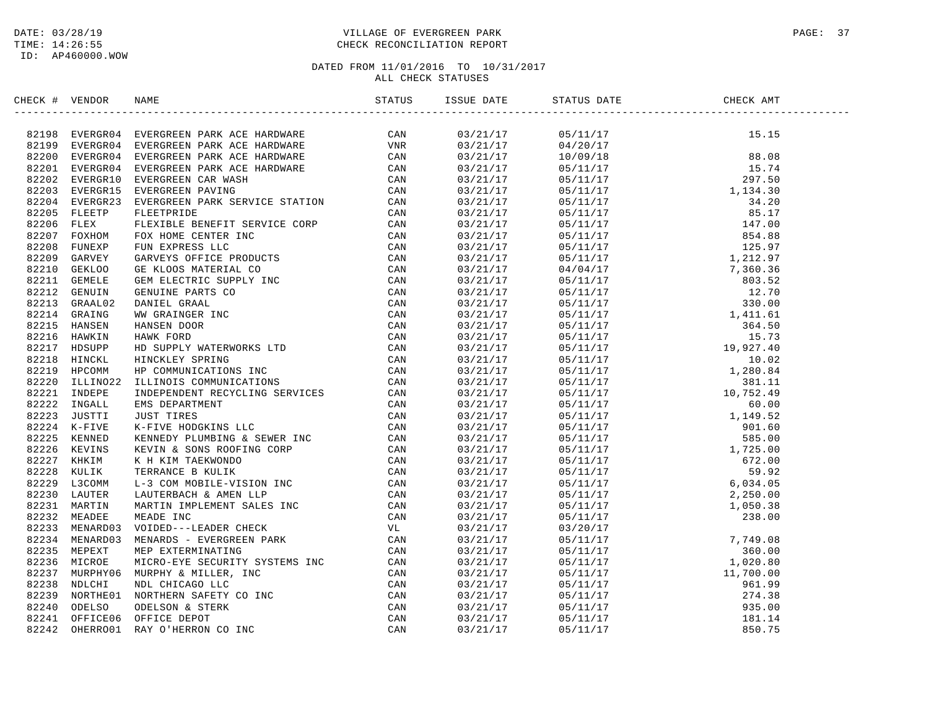## DATE: 03/28/19 PAGE: 37 PAGE: 37 TIME: 14:26:55 CHECK RECONCILIATION REPORT

| CHECK # VENDOR |                                                                                                                                                                                                                               |  |  |  |
|----------------|-------------------------------------------------------------------------------------------------------------------------------------------------------------------------------------------------------------------------------|--|--|--|
|                | CIRC # VERONA SYPEOCERY PARK ACCE BANDINGS CAN AND 13219 NURRICLES (2000) THE SERVIC CONDUCTS (2000) THE SERVIC CONDUCTS (2000) THE SERVIC CONDUCTS (2000) THE SERVIC CONDUCTS (2000) THE SERVIC CONDUCTS (2000) THE SERVIC C |  |  |  |
|                |                                                                                                                                                                                                                               |  |  |  |
|                |                                                                                                                                                                                                                               |  |  |  |
|                |                                                                                                                                                                                                                               |  |  |  |
|                |                                                                                                                                                                                                                               |  |  |  |
|                |                                                                                                                                                                                                                               |  |  |  |
|                |                                                                                                                                                                                                                               |  |  |  |
|                |                                                                                                                                                                                                                               |  |  |  |
|                |                                                                                                                                                                                                                               |  |  |  |
|                |                                                                                                                                                                                                                               |  |  |  |
|                |                                                                                                                                                                                                                               |  |  |  |
|                |                                                                                                                                                                                                                               |  |  |  |
|                |                                                                                                                                                                                                                               |  |  |  |
|                |                                                                                                                                                                                                                               |  |  |  |
|                |                                                                                                                                                                                                                               |  |  |  |
|                |                                                                                                                                                                                                                               |  |  |  |
|                |                                                                                                                                                                                                                               |  |  |  |
|                |                                                                                                                                                                                                                               |  |  |  |
|                |                                                                                                                                                                                                                               |  |  |  |
|                |                                                                                                                                                                                                                               |  |  |  |
|                |                                                                                                                                                                                                                               |  |  |  |
|                |                                                                                                                                                                                                                               |  |  |  |
|                |                                                                                                                                                                                                                               |  |  |  |
|                |                                                                                                                                                                                                                               |  |  |  |
|                |                                                                                                                                                                                                                               |  |  |  |
|                |                                                                                                                                                                                                                               |  |  |  |
|                |                                                                                                                                                                                                                               |  |  |  |
|                |                                                                                                                                                                                                                               |  |  |  |
|                |                                                                                                                                                                                                                               |  |  |  |
|                |                                                                                                                                                                                                                               |  |  |  |
|                |                                                                                                                                                                                                                               |  |  |  |
|                |                                                                                                                                                                                                                               |  |  |  |
|                |                                                                                                                                                                                                                               |  |  |  |
|                |                                                                                                                                                                                                                               |  |  |  |
|                |                                                                                                                                                                                                                               |  |  |  |
|                |                                                                                                                                                                                                                               |  |  |  |
|                |                                                                                                                                                                                                                               |  |  |  |
|                |                                                                                                                                                                                                                               |  |  |  |
|                |                                                                                                                                                                                                                               |  |  |  |
|                |                                                                                                                                                                                                                               |  |  |  |
|                |                                                                                                                                                                                                                               |  |  |  |
|                |                                                                                                                                                                                                                               |  |  |  |
|                |                                                                                                                                                                                                                               |  |  |  |
|                |                                                                                                                                                                                                                               |  |  |  |
|                |                                                                                                                                                                                                                               |  |  |  |
|                |                                                                                                                                                                                                                               |  |  |  |
|                |                                                                                                                                                                                                                               |  |  |  |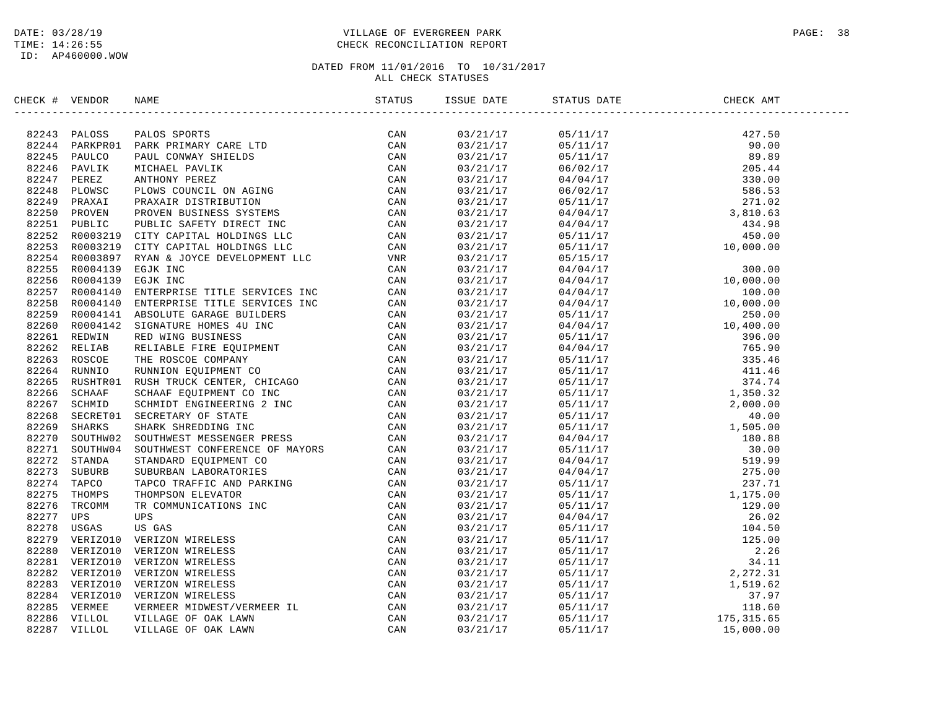## DATE: 03/28/19 PAGE: 38 PAGE: 38 TIME: 14:26:55 CHECK RECONCILIATION REPORT

| CHECK # VENDOR |                                                                                                                                                                                                                               | ISSUE DATE           | STATUS DATE | CHECK AMT                                                                                                                                                                                                                                                                                                                                                                           |  |
|----------------|-------------------------------------------------------------------------------------------------------------------------------------------------------------------------------------------------------------------------------|----------------------|-------------|-------------------------------------------------------------------------------------------------------------------------------------------------------------------------------------------------------------------------------------------------------------------------------------------------------------------------------------------------------------------------------------|--|
|                | SECONT VERDOG NAME STORES TRANSPORT AND STATES CAN ARREST AND A CAN ARREST CONFIDENT CONTINUES AND A CONTINUES ON A CONTINUES AND CONTINUES AND CONTINUES AND CONTINUES AND CONTINUES AND CONTINUES AND CONTINUES AND CONTINU |                      |             | $\begin{tabular}{l c c c} \multicolumn{1}{c}{\textbf{5/11/17}}\\[-0.1cm] \hline \multicolumn{1}{c}{\textbf{5/11/17}} & \textbf{427.50} \\[-0.1cm] \hline \multicolumn{1}{c}{\textbf{0.5/11/17}} & \textbf{427.50} \\[-0.1cm] \hline \multicolumn{1}{c}{\textbf{0.5/11/17}} & \textbf{427.50} \\[-0.1cm] \hline \multicolumn{1}{c}{\textbf{0.5/11/17}} & \textbf{427.50} \\[-0.1cm]$ |  |
|                |                                                                                                                                                                                                                               | 03/21/17<br>03/21/17 |             |                                                                                                                                                                                                                                                                                                                                                                                     |  |
|                |                                                                                                                                                                                                                               |                      |             |                                                                                                                                                                                                                                                                                                                                                                                     |  |
|                |                                                                                                                                                                                                                               | 03/21/17             |             |                                                                                                                                                                                                                                                                                                                                                                                     |  |
|                |                                                                                                                                                                                                                               | 03/21/17             |             |                                                                                                                                                                                                                                                                                                                                                                                     |  |
|                |                                                                                                                                                                                                                               | 03/21/17             |             |                                                                                                                                                                                                                                                                                                                                                                                     |  |
|                |                                                                                                                                                                                                                               | 03/21/17<br>03/21/17 |             |                                                                                                                                                                                                                                                                                                                                                                                     |  |
|                |                                                                                                                                                                                                                               |                      |             |                                                                                                                                                                                                                                                                                                                                                                                     |  |
|                |                                                                                                                                                                                                                               | 03/21/17             |             |                                                                                                                                                                                                                                                                                                                                                                                     |  |
|                |                                                                                                                                                                                                                               | 03/21/17             |             |                                                                                                                                                                                                                                                                                                                                                                                     |  |
|                |                                                                                                                                                                                                                               | 03/21/17             |             |                                                                                                                                                                                                                                                                                                                                                                                     |  |
|                |                                                                                                                                                                                                                               | 03/21/17             |             |                                                                                                                                                                                                                                                                                                                                                                                     |  |
|                |                                                                                                                                                                                                                               | 03/21/17<br>03/21/17 |             |                                                                                                                                                                                                                                                                                                                                                                                     |  |
|                |                                                                                                                                                                                                                               | 03/21/17             |             |                                                                                                                                                                                                                                                                                                                                                                                     |  |
|                |                                                                                                                                                                                                                               |                      |             |                                                                                                                                                                                                                                                                                                                                                                                     |  |
|                |                                                                                                                                                                                                                               | 03/21/17             |             |                                                                                                                                                                                                                                                                                                                                                                                     |  |
|                |                                                                                                                                                                                                                               | 03/21/17             |             |                                                                                                                                                                                                                                                                                                                                                                                     |  |
|                |                                                                                                                                                                                                                               | 03/21/17             |             |                                                                                                                                                                                                                                                                                                                                                                                     |  |
|                |                                                                                                                                                                                                                               | 03/21/17             |             |                                                                                                                                                                                                                                                                                                                                                                                     |  |
|                |                                                                                                                                                                                                                               | 03/21/17             |             |                                                                                                                                                                                                                                                                                                                                                                                     |  |
|                |                                                                                                                                                                                                                               | 03/21/17             |             |                                                                                                                                                                                                                                                                                                                                                                                     |  |
|                |                                                                                                                                                                                                                               | 03/21/17             |             |                                                                                                                                                                                                                                                                                                                                                                                     |  |
|                |                                                                                                                                                                                                                               | 03/21/17             |             |                                                                                                                                                                                                                                                                                                                                                                                     |  |
|                |                                                                                                                                                                                                                               | 03/21/17             |             |                                                                                                                                                                                                                                                                                                                                                                                     |  |
|                |                                                                                                                                                                                                                               | 03/21/17             |             |                                                                                                                                                                                                                                                                                                                                                                                     |  |
|                |                                                                                                                                                                                                                               | 03/21/17             |             |                                                                                                                                                                                                                                                                                                                                                                                     |  |
|                |                                                                                                                                                                                                                               | 03/21/17             |             |                                                                                                                                                                                                                                                                                                                                                                                     |  |
|                |                                                                                                                                                                                                                               | 03/21/17             |             |                                                                                                                                                                                                                                                                                                                                                                                     |  |
|                |                                                                                                                                                                                                                               | 03/21/17             |             |                                                                                                                                                                                                                                                                                                                                                                                     |  |
|                |                                                                                                                                                                                                                               | 03/21/17             |             |                                                                                                                                                                                                                                                                                                                                                                                     |  |
|                |                                                                                                                                                                                                                               | 03/21/17             |             |                                                                                                                                                                                                                                                                                                                                                                                     |  |
|                |                                                                                                                                                                                                                               | 03/21/17             |             |                                                                                                                                                                                                                                                                                                                                                                                     |  |
|                |                                                                                                                                                                                                                               | 03/21/17             |             |                                                                                                                                                                                                                                                                                                                                                                                     |  |
|                |                                                                                                                                                                                                                               | 03/21/17             |             |                                                                                                                                                                                                                                                                                                                                                                                     |  |
|                |                                                                                                                                                                                                                               | 03/21/17             |             |                                                                                                                                                                                                                                                                                                                                                                                     |  |
|                |                                                                                                                                                                                                                               | 03/21/17             |             |                                                                                                                                                                                                                                                                                                                                                                                     |  |
|                |                                                                                                                                                                                                                               | 03/21/17             |             |                                                                                                                                                                                                                                                                                                                                                                                     |  |
|                |                                                                                                                                                                                                                               | 03/21/17             |             |                                                                                                                                                                                                                                                                                                                                                                                     |  |
|                |                                                                                                                                                                                                                               | 03/21/17             |             |                                                                                                                                                                                                                                                                                                                                                                                     |  |
|                |                                                                                                                                                                                                                               | 03/21/17             |             |                                                                                                                                                                                                                                                                                                                                                                                     |  |
|                |                                                                                                                                                                                                                               | 03/21/17             |             |                                                                                                                                                                                                                                                                                                                                                                                     |  |
|                |                                                                                                                                                                                                                               | 03/21/17             |             |                                                                                                                                                                                                                                                                                                                                                                                     |  |
|                |                                                                                                                                                                                                                               | 03/21/17             |             |                                                                                                                                                                                                                                                                                                                                                                                     |  |
|                |                                                                                                                                                                                                                               | 03/21/17             |             |                                                                                                                                                                                                                                                                                                                                                                                     |  |
|                |                                                                                                                                                                                                                               | 03/21/17             |             |                                                                                                                                                                                                                                                                                                                                                                                     |  |
|                |                                                                                                                                                                                                                               | 03/21/17             |             |                                                                                                                                                                                                                                                                                                                                                                                     |  |
|                |                                                                                                                                                                                                                               |                      |             |                                                                                                                                                                                                                                                                                                                                                                                     |  |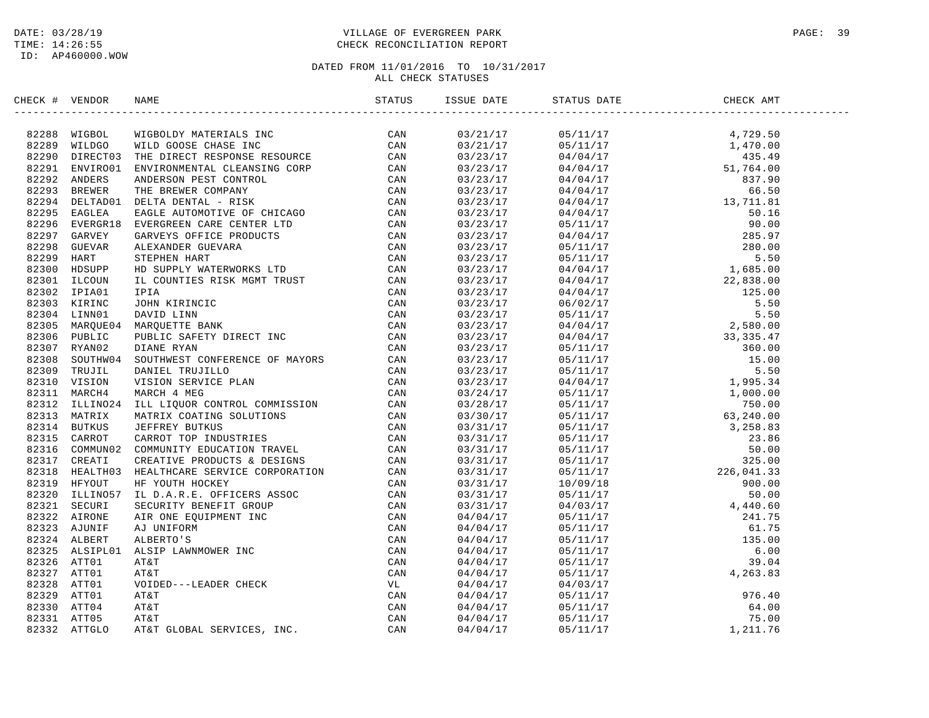## DATE: 03/28/19 PAGE: 39 PAGE: 39 TIME: 14:26:55 CHECK RECONCILIATION REPORT

| CHECK # VENDOR | NAME                                                                                                                                                                                                                            | ISSUE DATE | STATUS DATE | CHECK AMT |  |
|----------------|---------------------------------------------------------------------------------------------------------------------------------------------------------------------------------------------------------------------------------|------------|-------------|-----------|--|
|                | XRCK + VERDOR NAME<br>STATES (2008 MILD GOODS CIRRE INC. THE DESCRIPTION ON A S2239 MILD GOODS CIRRE INC. THE SESSURE CONTROL CAN S2231 ANNUAL BALL CONTROL CONTROL CONTROL CONTROL CONTROL CONTROL CONTROL CONTROL CONTROL CON |            |             |           |  |
|                |                                                                                                                                                                                                                                 |            |             |           |  |
|                |                                                                                                                                                                                                                                 |            |             |           |  |
|                |                                                                                                                                                                                                                                 |            |             |           |  |
|                |                                                                                                                                                                                                                                 |            |             |           |  |
|                |                                                                                                                                                                                                                                 |            |             |           |  |
|                |                                                                                                                                                                                                                                 |            |             |           |  |
|                |                                                                                                                                                                                                                                 |            |             |           |  |
|                |                                                                                                                                                                                                                                 |            |             |           |  |
|                |                                                                                                                                                                                                                                 |            |             |           |  |
|                |                                                                                                                                                                                                                                 |            |             |           |  |
|                |                                                                                                                                                                                                                                 |            |             |           |  |
|                |                                                                                                                                                                                                                                 |            |             |           |  |
|                |                                                                                                                                                                                                                                 |            |             |           |  |
|                |                                                                                                                                                                                                                                 |            |             |           |  |
|                |                                                                                                                                                                                                                                 |            |             |           |  |
|                |                                                                                                                                                                                                                                 |            |             |           |  |
|                |                                                                                                                                                                                                                                 |            |             |           |  |
|                |                                                                                                                                                                                                                                 |            |             |           |  |
|                |                                                                                                                                                                                                                                 |            |             |           |  |
|                |                                                                                                                                                                                                                                 |            |             |           |  |
|                |                                                                                                                                                                                                                                 |            |             |           |  |
|                |                                                                                                                                                                                                                                 |            |             |           |  |
|                |                                                                                                                                                                                                                                 |            |             |           |  |
|                |                                                                                                                                                                                                                                 |            |             |           |  |
|                |                                                                                                                                                                                                                                 |            |             |           |  |
|                |                                                                                                                                                                                                                                 |            |             |           |  |
|                |                                                                                                                                                                                                                                 |            |             |           |  |
|                |                                                                                                                                                                                                                                 |            |             |           |  |
|                |                                                                                                                                                                                                                                 |            |             |           |  |
|                |                                                                                                                                                                                                                                 |            |             |           |  |
|                |                                                                                                                                                                                                                                 |            |             |           |  |
|                |                                                                                                                                                                                                                                 |            |             |           |  |
|                |                                                                                                                                                                                                                                 |            |             |           |  |
|                |                                                                                                                                                                                                                                 |            |             |           |  |
|                |                                                                                                                                                                                                                                 |            |             |           |  |
|                |                                                                                                                                                                                                                                 |            |             |           |  |
|                |                                                                                                                                                                                                                                 |            |             |           |  |
|                |                                                                                                                                                                                                                                 |            |             |           |  |
|                |                                                                                                                                                                                                                                 |            |             |           |  |
|                |                                                                                                                                                                                                                                 |            |             |           |  |
|                |                                                                                                                                                                                                                                 |            |             |           |  |
|                |                                                                                                                                                                                                                                 |            |             |           |  |
|                |                                                                                                                                                                                                                                 |            |             |           |  |
|                |                                                                                                                                                                                                                                 |            |             |           |  |
|                |                                                                                                                                                                                                                                 |            |             |           |  |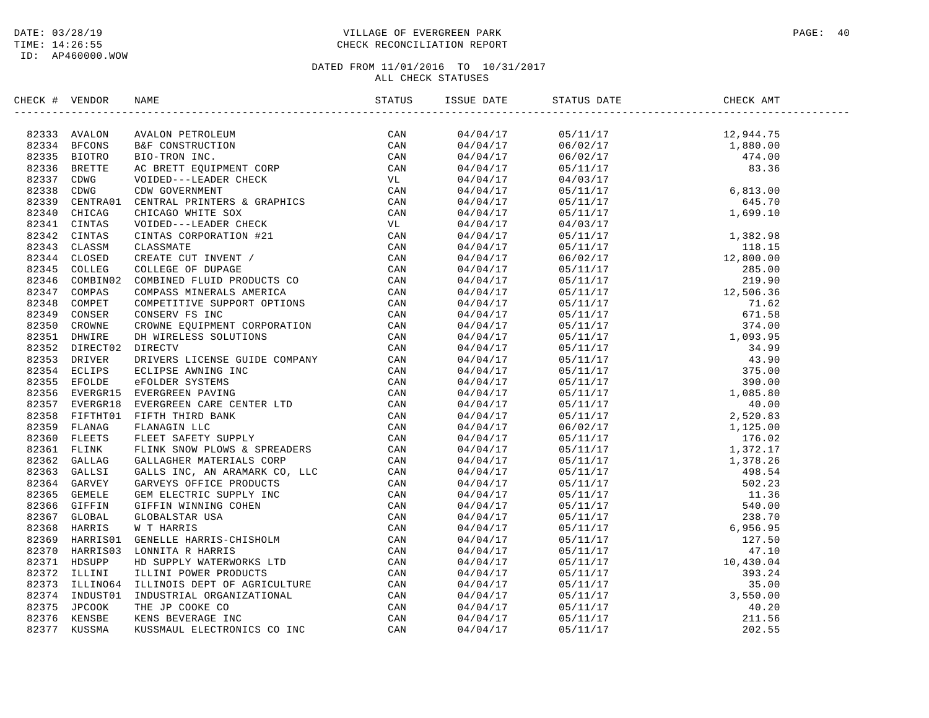## DATE: 03/28/19 PAGE: 40 PAGE: 40 TIME: 14:26:55 CHECK RECONCILIATION REPORT

| CHECK # VENDOR | NAME                                                                                                                                                                                                                            | ISSUE DATE | STATUS DATE | CHECK AMT |  |
|----------------|---------------------------------------------------------------------------------------------------------------------------------------------------------------------------------------------------------------------------------|------------|-------------|-----------|--|
|                | SPECIFY VERIODS NAME (STATUS 139)<br>197333 NAMLON PETROLIDIN (MALON DETROITING CAN ARREST CAN CONTROLL SERVICE CONTROLL CAN ARREST FOR CAN ARREST CONTROLL CAN CONSULTED THE CAN CONSULTED CAN CONSULTED THE CONTROLL CAN CONS |            |             |           |  |
|                |                                                                                                                                                                                                                                 |            |             |           |  |
|                |                                                                                                                                                                                                                                 |            |             |           |  |
|                |                                                                                                                                                                                                                                 |            |             |           |  |
|                |                                                                                                                                                                                                                                 |            |             |           |  |
|                |                                                                                                                                                                                                                                 |            |             |           |  |
|                |                                                                                                                                                                                                                                 |            |             |           |  |
|                |                                                                                                                                                                                                                                 |            |             |           |  |
|                |                                                                                                                                                                                                                                 |            |             |           |  |
|                |                                                                                                                                                                                                                                 |            |             |           |  |
|                |                                                                                                                                                                                                                                 |            |             |           |  |
|                |                                                                                                                                                                                                                                 |            |             |           |  |
|                |                                                                                                                                                                                                                                 |            |             |           |  |
|                |                                                                                                                                                                                                                                 |            |             |           |  |
|                |                                                                                                                                                                                                                                 |            |             |           |  |
|                |                                                                                                                                                                                                                                 |            |             |           |  |
|                |                                                                                                                                                                                                                                 |            |             |           |  |
|                |                                                                                                                                                                                                                                 |            |             |           |  |
|                |                                                                                                                                                                                                                                 |            |             |           |  |
|                |                                                                                                                                                                                                                                 |            |             |           |  |
|                |                                                                                                                                                                                                                                 |            |             |           |  |
|                |                                                                                                                                                                                                                                 |            |             |           |  |
|                |                                                                                                                                                                                                                                 |            |             |           |  |
|                |                                                                                                                                                                                                                                 |            |             |           |  |
|                |                                                                                                                                                                                                                                 |            |             |           |  |
|                |                                                                                                                                                                                                                                 |            |             |           |  |
|                |                                                                                                                                                                                                                                 |            |             |           |  |
|                |                                                                                                                                                                                                                                 |            |             |           |  |
|                |                                                                                                                                                                                                                                 |            |             |           |  |
|                |                                                                                                                                                                                                                                 |            |             |           |  |
|                |                                                                                                                                                                                                                                 |            |             |           |  |
|                |                                                                                                                                                                                                                                 |            |             |           |  |
|                |                                                                                                                                                                                                                                 |            |             |           |  |
|                |                                                                                                                                                                                                                                 |            |             |           |  |
|                |                                                                                                                                                                                                                                 |            |             |           |  |
|                |                                                                                                                                                                                                                                 |            |             |           |  |
|                |                                                                                                                                                                                                                                 |            |             |           |  |
|                |                                                                                                                                                                                                                                 |            |             |           |  |
|                |                                                                                                                                                                                                                                 |            |             |           |  |
|                |                                                                                                                                                                                                                                 |            |             |           |  |
|                |                                                                                                                                                                                                                                 |            |             |           |  |
|                |                                                                                                                                                                                                                                 |            |             |           |  |
|                |                                                                                                                                                                                                                                 |            |             |           |  |
|                |                                                                                                                                                                                                                                 |            |             |           |  |
|                |                                                                                                                                                                                                                                 |            |             |           |  |
|                |                                                                                                                                                                                                                                 |            |             |           |  |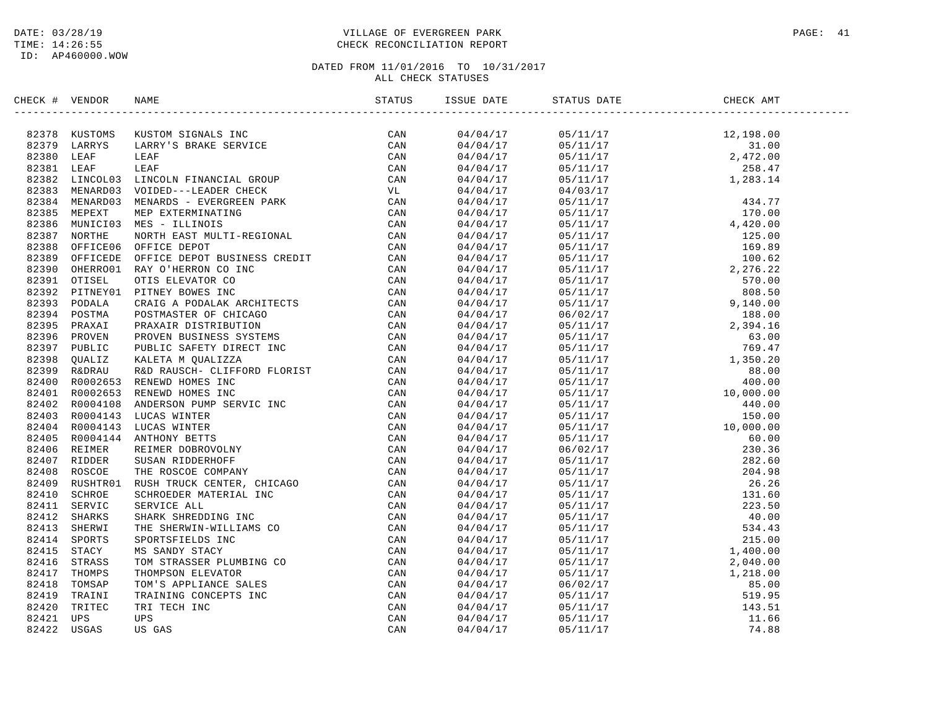## DATE: 03/28/19 PAGE: 41 TIME: 14:26:55 CHECK RECONCILIATION REPORT

| CHECK # VENDOR |                                                                                                                                                                                                                                     | STATUS | ISSUE DATE STATUS DATE | CHECK AMT |  |
|----------------|-------------------------------------------------------------------------------------------------------------------------------------------------------------------------------------------------------------------------------------|--------|------------------------|-----------|--|
|                | NECK + VERION NAME STATES (SAMPLE STATES)<br>19775 NUSTAN MERICINA NECHALAS IVC CAN 19737 NUSTAN MERICULAR IN CAN<br>19777 LAREYS LAREYS RAME SERVICE CON CAN<br>19777 LAREYS LAREYS RAME SERVICE CON CONDUCTS FINAL SERVICE CONTRO |        |                        |           |  |
|                |                                                                                                                                                                                                                                     |        |                        |           |  |
|                |                                                                                                                                                                                                                                     |        |                        |           |  |
|                |                                                                                                                                                                                                                                     |        |                        |           |  |
|                |                                                                                                                                                                                                                                     |        |                        |           |  |
|                |                                                                                                                                                                                                                                     |        |                        |           |  |
|                |                                                                                                                                                                                                                                     |        |                        |           |  |
|                |                                                                                                                                                                                                                                     |        |                        |           |  |
|                |                                                                                                                                                                                                                                     |        |                        |           |  |
|                |                                                                                                                                                                                                                                     |        |                        |           |  |
|                |                                                                                                                                                                                                                                     |        |                        |           |  |
|                |                                                                                                                                                                                                                                     |        |                        |           |  |
|                |                                                                                                                                                                                                                                     |        |                        |           |  |
|                |                                                                                                                                                                                                                                     |        |                        |           |  |
|                |                                                                                                                                                                                                                                     |        |                        |           |  |
|                |                                                                                                                                                                                                                                     |        |                        |           |  |
|                |                                                                                                                                                                                                                                     |        |                        |           |  |
|                |                                                                                                                                                                                                                                     |        |                        |           |  |
|                |                                                                                                                                                                                                                                     |        |                        |           |  |
|                |                                                                                                                                                                                                                                     |        |                        |           |  |
|                |                                                                                                                                                                                                                                     |        |                        |           |  |
|                |                                                                                                                                                                                                                                     |        |                        |           |  |
|                |                                                                                                                                                                                                                                     |        |                        |           |  |
|                |                                                                                                                                                                                                                                     |        |                        |           |  |
|                |                                                                                                                                                                                                                                     |        |                        |           |  |
|                |                                                                                                                                                                                                                                     |        |                        |           |  |
|                |                                                                                                                                                                                                                                     |        |                        |           |  |
|                |                                                                                                                                                                                                                                     |        |                        |           |  |
|                |                                                                                                                                                                                                                                     |        |                        |           |  |
|                |                                                                                                                                                                                                                                     |        |                        |           |  |
|                |                                                                                                                                                                                                                                     |        |                        |           |  |
|                |                                                                                                                                                                                                                                     |        |                        |           |  |
|                |                                                                                                                                                                                                                                     |        |                        |           |  |
|                |                                                                                                                                                                                                                                     |        |                        |           |  |
|                |                                                                                                                                                                                                                                     |        |                        |           |  |
|                |                                                                                                                                                                                                                                     |        |                        |           |  |
|                |                                                                                                                                                                                                                                     |        |                        |           |  |
|                |                                                                                                                                                                                                                                     |        |                        |           |  |
|                |                                                                                                                                                                                                                                     |        |                        |           |  |
|                |                                                                                                                                                                                                                                     |        |                        |           |  |
|                |                                                                                                                                                                                                                                     |        |                        |           |  |
|                |                                                                                                                                                                                                                                     |        |                        |           |  |
|                |                                                                                                                                                                                                                                     |        |                        |           |  |
|                |                                                                                                                                                                                                                                     |        |                        |           |  |
|                |                                                                                                                                                                                                                                     |        |                        |           |  |
|                |                                                                                                                                                                                                                                     |        |                        |           |  |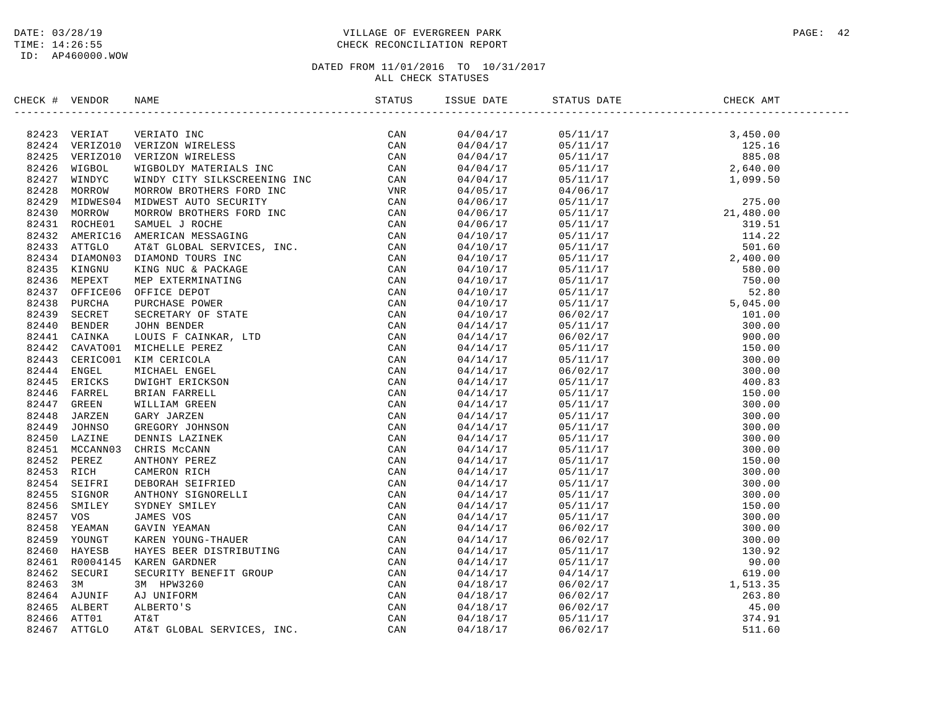## DATE: 03/28/19 PAGE: 42 TIME: 14:26:55 CHECK RECONCILIATION REPORT

| CHECK # VENDOR |                |                                                                                                                                                                                                                                | ISSUE DATE | STATUS DATE | CHECK AMT |  |
|----------------|----------------|--------------------------------------------------------------------------------------------------------------------------------------------------------------------------------------------------------------------------------|------------|-------------|-----------|--|
|                | 82423 VERIAT   | NAMEN TRIZON FRIED TOWN THE CAN AREN' COMMON MARELLES CONTROLL ON THE SERVICE CONTROLL ON A MINOLOGY MATRIMAL STOCK CONTROLL ON A MINOLOGY MAREN MARE SCREEP (CAN AREN' CONTROLL ON THE STATE CONTROLL ON THE STATE OF THE STA | 04/04/17   |             |           |  |
| 82424          | VERIZO10       |                                                                                                                                                                                                                                | 04/04/17   |             |           |  |
|                | 82425 VERIZO10 |                                                                                                                                                                                                                                | 04/04/17   |             |           |  |
| 82426          | WIGBOL         |                                                                                                                                                                                                                                | 04/04/17   |             |           |  |
| 82427          | WINDYC         |                                                                                                                                                                                                                                | 04/04/17   |             |           |  |
| 82428          | MORROW         |                                                                                                                                                                                                                                | 04/05/17   |             |           |  |
| 82429          | MIDWES04       |                                                                                                                                                                                                                                | 04/06/17   |             |           |  |
| 82430          | MORROW         |                                                                                                                                                                                                                                | 04/06/17   |             |           |  |
| 82431          | ROCHE01        |                                                                                                                                                                                                                                | 04/06/17   |             |           |  |
|                | 82432 AMERIC16 |                                                                                                                                                                                                                                | 04/10/17   |             |           |  |
| 82433          | ATTGLO         |                                                                                                                                                                                                                                | 04/10/17   |             |           |  |
|                | 82434 DIAMON03 |                                                                                                                                                                                                                                | 04/10/17   |             |           |  |
| 82435          | KINGNU         |                                                                                                                                                                                                                                | 04/10/17   |             |           |  |
| 82436          | MEPEXT         |                                                                                                                                                                                                                                | 04/10/17   |             |           |  |
| 82437          | OFFICE06       |                                                                                                                                                                                                                                | 04/10/17   |             |           |  |
| 82438          | PURCHA         |                                                                                                                                                                                                                                | 04/10/17   |             |           |  |
| 82439          | SECRET         |                                                                                                                                                                                                                                | 04/10/17   |             |           |  |
| 82440          | <b>BENDER</b>  |                                                                                                                                                                                                                                | 04/14/17   |             |           |  |
|                | 82441 CAINKA   |                                                                                                                                                                                                                                | 04/14/17   |             |           |  |
| 82442          | CAVATO01       |                                                                                                                                                                                                                                | 04/14/17   |             |           |  |
|                | 82443 CERICO01 |                                                                                                                                                                                                                                | 04/14/17   |             |           |  |
| 82444          | ENGEL          |                                                                                                                                                                                                                                | 04/14/17   |             |           |  |
| 82445          | ERICKS         |                                                                                                                                                                                                                                | 04/14/17   |             |           |  |
| 82446          | FARREL         |                                                                                                                                                                                                                                | 04/14/17   |             |           |  |
| 82447          | GREEN          |                                                                                                                                                                                                                                |            |             |           |  |
|                | JARZEN         |                                                                                                                                                                                                                                | 04/14/17   |             |           |  |
| 82448          |                |                                                                                                                                                                                                                                | 04/14/17   |             |           |  |
| 82449          | JOHNSO         |                                                                                                                                                                                                                                | 04/14/17   |             |           |  |
| 82450          | LAZINE         |                                                                                                                                                                                                                                | 04/14/17   |             |           |  |
| 82451          | MCCANN03       |                                                                                                                                                                                                                                | 04/14/17   |             |           |  |
| 82452          | PEREZ          |                                                                                                                                                                                                                                | 04/14/17   |             |           |  |
| 82453          | RICH           |                                                                                                                                                                                                                                | 04/14/17   |             |           |  |
| 82454          | SEIFRI         |                                                                                                                                                                                                                                | 04/14/17   |             |           |  |
| 82455          | SIGNOR         |                                                                                                                                                                                                                                | 04/14/17   |             |           |  |
| 82456          | SMILEY         |                                                                                                                                                                                                                                | 04/14/17   |             |           |  |
| 82457          | <b>VOS</b>     |                                                                                                                                                                                                                                | 04/14/17   |             |           |  |
| 82458          | YEAMAN         |                                                                                                                                                                                                                                | 04/14/17   |             |           |  |
| 82459          | YOUNGT         |                                                                                                                                                                                                                                | 04/14/17   |             |           |  |
| 82460          | HAYESB         |                                                                                                                                                                                                                                | 04/14/17   |             |           |  |
|                | 82461 R0004145 |                                                                                                                                                                                                                                | 04/14/17   |             |           |  |
| 82462          | SECURI         |                                                                                                                                                                                                                                | 04/14/17   |             |           |  |
| 82463          | 3M             |                                                                                                                                                                                                                                | 04/18/17   |             |           |  |
| 82464          | AJUNIF         |                                                                                                                                                                                                                                | 04/18/17   |             |           |  |
| 82465          | ALBERT         |                                                                                                                                                                                                                                | 04/18/17   |             |           |  |
| 82466          | ATT01          |                                                                                                                                                                                                                                | 04/18/17   |             |           |  |
|                | 82467 ATTGLO   |                                                                                                                                                                                                                                | 04/18/17   |             |           |  |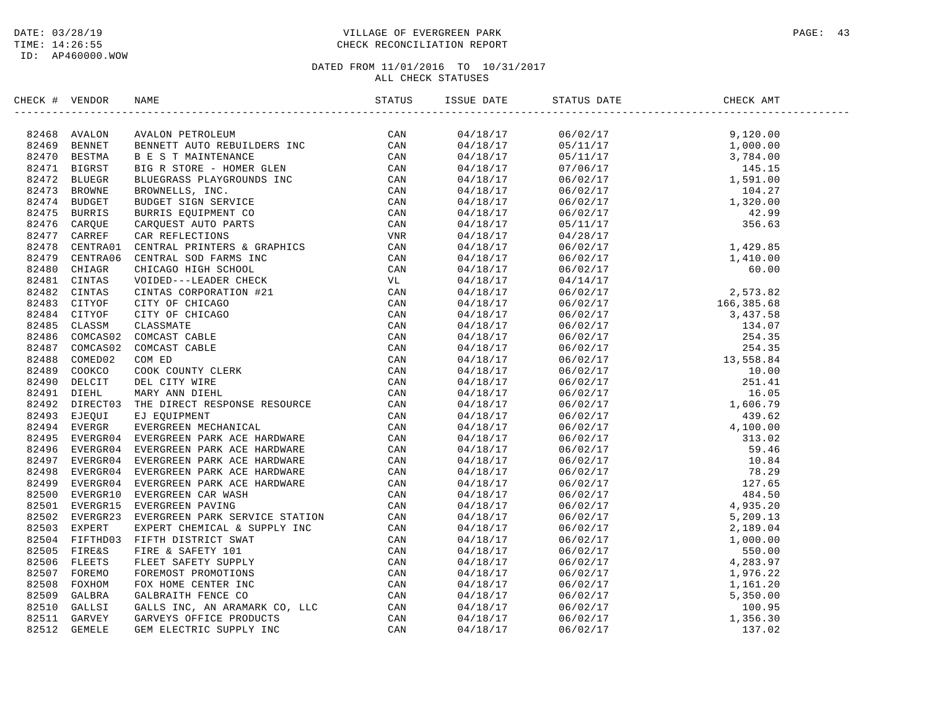## DATE: 03/28/19 PAGE: 43 TIME: 14:26:55 CHECK RECONCILIATION REPORT

| CHECK # VENDOR | NAME                                                                                                                                                                                                                          | ISSUE DATE | STATUS DATE | CHECK AMT |  |
|----------------|-------------------------------------------------------------------------------------------------------------------------------------------------------------------------------------------------------------------------------|------------|-------------|-----------|--|
|                | K 4 VEDEO NAME SAME REPORT ON MANY STANDARD AND AN ANNOUNCE AND AN ANNOUNCE AND AN ANNOUNCE IN the same of the same of the same of the same of the same of the same of the same of the same of the same of the same of the sa |            |             |           |  |
|                |                                                                                                                                                                                                                               |            |             |           |  |
|                |                                                                                                                                                                                                                               |            |             |           |  |
|                |                                                                                                                                                                                                                               |            |             |           |  |
|                |                                                                                                                                                                                                                               |            |             |           |  |
|                |                                                                                                                                                                                                                               |            |             |           |  |
|                |                                                                                                                                                                                                                               |            |             |           |  |
|                |                                                                                                                                                                                                                               |            |             |           |  |
|                |                                                                                                                                                                                                                               |            |             |           |  |
|                |                                                                                                                                                                                                                               |            |             |           |  |
|                |                                                                                                                                                                                                                               |            |             |           |  |
|                |                                                                                                                                                                                                                               |            |             |           |  |
|                |                                                                                                                                                                                                                               |            |             |           |  |
|                |                                                                                                                                                                                                                               |            |             |           |  |
|                |                                                                                                                                                                                                                               |            |             |           |  |
|                |                                                                                                                                                                                                                               |            |             |           |  |
|                |                                                                                                                                                                                                                               |            |             |           |  |
|                |                                                                                                                                                                                                                               |            |             |           |  |
|                |                                                                                                                                                                                                                               |            |             |           |  |
|                |                                                                                                                                                                                                                               |            |             |           |  |
|                |                                                                                                                                                                                                                               |            |             |           |  |
|                |                                                                                                                                                                                                                               |            |             |           |  |
|                |                                                                                                                                                                                                                               |            |             |           |  |
|                |                                                                                                                                                                                                                               |            |             |           |  |
|                |                                                                                                                                                                                                                               |            |             |           |  |
|                |                                                                                                                                                                                                                               |            |             |           |  |
|                |                                                                                                                                                                                                                               |            |             |           |  |
|                |                                                                                                                                                                                                                               |            |             |           |  |
|                |                                                                                                                                                                                                                               |            |             |           |  |
|                |                                                                                                                                                                                                                               |            |             |           |  |
|                |                                                                                                                                                                                                                               |            |             |           |  |
|                |                                                                                                                                                                                                                               |            |             |           |  |
|                |                                                                                                                                                                                                                               |            |             |           |  |
|                |                                                                                                                                                                                                                               |            |             |           |  |
|                |                                                                                                                                                                                                                               |            |             |           |  |
|                |                                                                                                                                                                                                                               |            |             |           |  |
|                |                                                                                                                                                                                                                               |            |             |           |  |
|                |                                                                                                                                                                                                                               |            |             |           |  |
|                |                                                                                                                                                                                                                               |            |             |           |  |
|                |                                                                                                                                                                                                                               |            |             |           |  |
|                |                                                                                                                                                                                                                               |            |             |           |  |
|                |                                                                                                                                                                                                                               |            |             |           |  |
|                |                                                                                                                                                                                                                               |            |             |           |  |
|                |                                                                                                                                                                                                                               |            |             |           |  |
|                |                                                                                                                                                                                                                               |            |             |           |  |
|                |                                                                                                                                                                                                                               |            |             |           |  |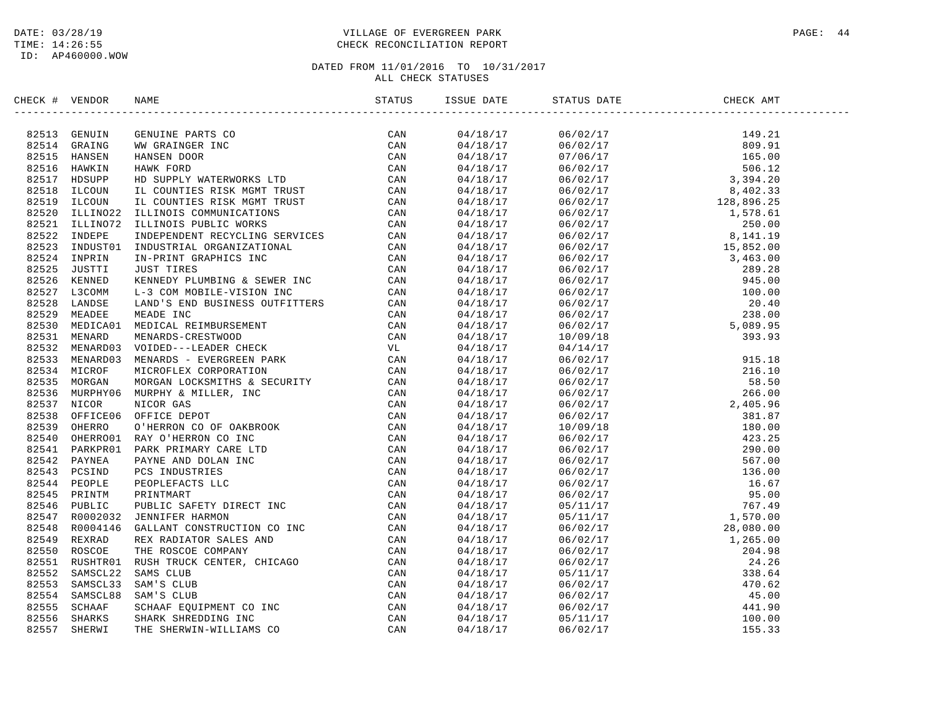## DATE: 03/28/19 PAGE: 44 TIME: 14:26:55 CHECK RECONCILIATION REPORT

| CHECK # VENDOR |                                                                                                                                                                                                                                                                                                                                                                                            |  | ISSUE DATE STATUS DATE | CHECK AMT |  |
|----------------|--------------------------------------------------------------------------------------------------------------------------------------------------------------------------------------------------------------------------------------------------------------------------------------------------------------------------------------------------------------------------------------------|--|------------------------|-----------|--|
|                | $\begin{tabular}{cccccccc} \textbf{1.016} & \textbf{0.176} & \textbf{0.176} & \textbf{0.176} & \textbf{0.176} & \textbf{0.176} \\ \textbf{2.251} & \textbf{CEW1IN} & \textbf{CEW1IN} & \textbf{CEW1IN} & \textbf{CCW} \\ \textbf{3.251} & \textbf{CEW1IN} & \textbf{CEW1IN} & \textbf{CCW} \\ \textbf{3.251} & \textbf{0.176} & \textbf{0.176} & \textbf{0.176} & \textbf{0.176} \\ \text$ |  |                        |           |  |
|                |                                                                                                                                                                                                                                                                                                                                                                                            |  |                        |           |  |
|                |                                                                                                                                                                                                                                                                                                                                                                                            |  |                        |           |  |
|                |                                                                                                                                                                                                                                                                                                                                                                                            |  |                        |           |  |
|                |                                                                                                                                                                                                                                                                                                                                                                                            |  |                        |           |  |
|                |                                                                                                                                                                                                                                                                                                                                                                                            |  |                        |           |  |
|                |                                                                                                                                                                                                                                                                                                                                                                                            |  |                        |           |  |
|                |                                                                                                                                                                                                                                                                                                                                                                                            |  |                        |           |  |
|                |                                                                                                                                                                                                                                                                                                                                                                                            |  |                        |           |  |
|                |                                                                                                                                                                                                                                                                                                                                                                                            |  |                        |           |  |
|                |                                                                                                                                                                                                                                                                                                                                                                                            |  |                        |           |  |
|                |                                                                                                                                                                                                                                                                                                                                                                                            |  |                        |           |  |
|                |                                                                                                                                                                                                                                                                                                                                                                                            |  |                        |           |  |
|                |                                                                                                                                                                                                                                                                                                                                                                                            |  |                        |           |  |
|                |                                                                                                                                                                                                                                                                                                                                                                                            |  |                        |           |  |
|                |                                                                                                                                                                                                                                                                                                                                                                                            |  |                        |           |  |
|                |                                                                                                                                                                                                                                                                                                                                                                                            |  |                        |           |  |
|                |                                                                                                                                                                                                                                                                                                                                                                                            |  |                        |           |  |
|                |                                                                                                                                                                                                                                                                                                                                                                                            |  |                        |           |  |
|                |                                                                                                                                                                                                                                                                                                                                                                                            |  |                        |           |  |
|                |                                                                                                                                                                                                                                                                                                                                                                                            |  |                        |           |  |
|                |                                                                                                                                                                                                                                                                                                                                                                                            |  |                        |           |  |
|                |                                                                                                                                                                                                                                                                                                                                                                                            |  |                        |           |  |
|                |                                                                                                                                                                                                                                                                                                                                                                                            |  |                        |           |  |
|                |                                                                                                                                                                                                                                                                                                                                                                                            |  |                        |           |  |
|                |                                                                                                                                                                                                                                                                                                                                                                                            |  |                        |           |  |
|                |                                                                                                                                                                                                                                                                                                                                                                                            |  |                        |           |  |
|                |                                                                                                                                                                                                                                                                                                                                                                                            |  |                        |           |  |
|                |                                                                                                                                                                                                                                                                                                                                                                                            |  |                        |           |  |
|                |                                                                                                                                                                                                                                                                                                                                                                                            |  |                        |           |  |
|                |                                                                                                                                                                                                                                                                                                                                                                                            |  |                        |           |  |
|                |                                                                                                                                                                                                                                                                                                                                                                                            |  |                        |           |  |
|                |                                                                                                                                                                                                                                                                                                                                                                                            |  |                        |           |  |
|                |                                                                                                                                                                                                                                                                                                                                                                                            |  |                        |           |  |
|                |                                                                                                                                                                                                                                                                                                                                                                                            |  |                        |           |  |
|                |                                                                                                                                                                                                                                                                                                                                                                                            |  |                        |           |  |
|                |                                                                                                                                                                                                                                                                                                                                                                                            |  |                        |           |  |
|                |                                                                                                                                                                                                                                                                                                                                                                                            |  |                        |           |  |
|                |                                                                                                                                                                                                                                                                                                                                                                                            |  |                        |           |  |
|                |                                                                                                                                                                                                                                                                                                                                                                                            |  |                        |           |  |
|                |                                                                                                                                                                                                                                                                                                                                                                                            |  |                        |           |  |
|                |                                                                                                                                                                                                                                                                                                                                                                                            |  |                        |           |  |
|                |                                                                                                                                                                                                                                                                                                                                                                                            |  |                        |           |  |
|                |                                                                                                                                                                                                                                                                                                                                                                                            |  |                        |           |  |
|                |                                                                                                                                                                                                                                                                                                                                                                                            |  |                        |           |  |
|                |                                                                                                                                                                                                                                                                                                                                                                                            |  |                        |           |  |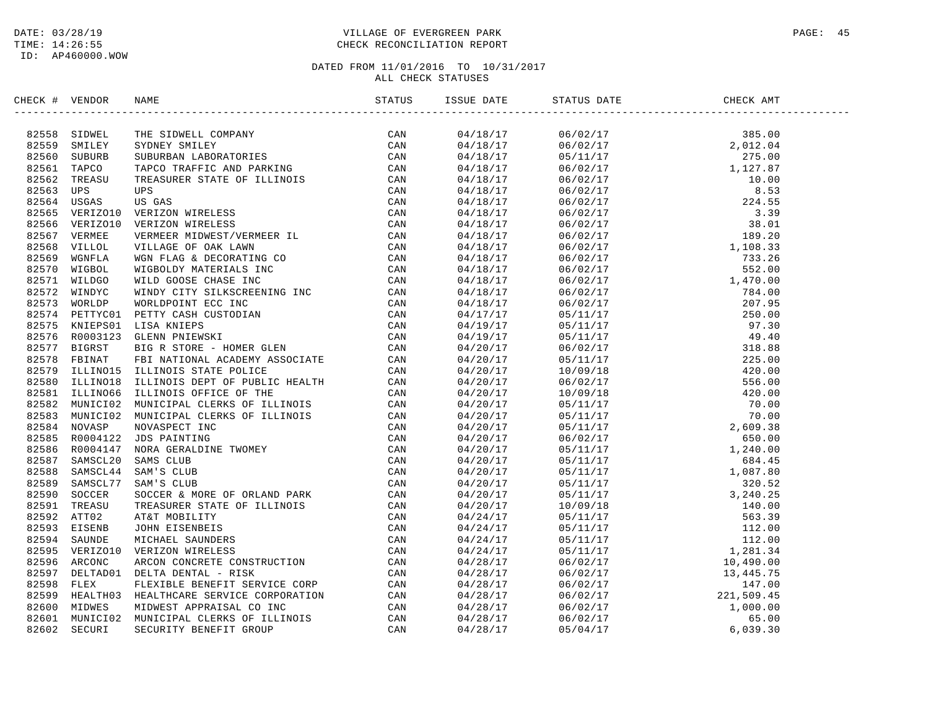## DATE: 03/28/19 PAGE: 45 TIME: 14:26:55 CHECK RECONCILIATION REPORT

| CHECK # VENDOR | NAME                                                                                                                                                                                                                            | ISSUE DATE | STATUS DATE | CHECK AMT |  |
|----------------|---------------------------------------------------------------------------------------------------------------------------------------------------------------------------------------------------------------------------------|------------|-------------|-----------|--|
|                | SECON FROM BARE THE SUBMIC CONDATY<br>SEES SUBMICLE THE SUBMICLE CONDATY CONTROL CONTROL CONTROL CONTROL CONTROL CONTROL CONTROL CONTROL CONTROL CONTROL CONTROL CONTROL CONTROL CONTROL CONTROL CONTROL CONTROL CONTROL CONTRO |            |             |           |  |
|                |                                                                                                                                                                                                                                 |            |             |           |  |
|                |                                                                                                                                                                                                                                 |            |             |           |  |
|                |                                                                                                                                                                                                                                 |            |             |           |  |
|                |                                                                                                                                                                                                                                 |            |             |           |  |
|                |                                                                                                                                                                                                                                 |            |             |           |  |
|                |                                                                                                                                                                                                                                 |            |             |           |  |
|                |                                                                                                                                                                                                                                 |            |             |           |  |
|                |                                                                                                                                                                                                                                 |            |             |           |  |
|                |                                                                                                                                                                                                                                 |            |             |           |  |
|                |                                                                                                                                                                                                                                 |            |             |           |  |
|                |                                                                                                                                                                                                                                 |            |             |           |  |
|                |                                                                                                                                                                                                                                 |            |             |           |  |
|                |                                                                                                                                                                                                                                 |            |             |           |  |
|                |                                                                                                                                                                                                                                 |            |             |           |  |
|                |                                                                                                                                                                                                                                 |            |             |           |  |
|                |                                                                                                                                                                                                                                 |            |             |           |  |
|                |                                                                                                                                                                                                                                 |            |             |           |  |
|                |                                                                                                                                                                                                                                 |            |             |           |  |
|                |                                                                                                                                                                                                                                 |            |             |           |  |
|                |                                                                                                                                                                                                                                 |            |             |           |  |
|                |                                                                                                                                                                                                                                 |            |             |           |  |
|                |                                                                                                                                                                                                                                 |            |             |           |  |
|                |                                                                                                                                                                                                                                 |            |             |           |  |
|                |                                                                                                                                                                                                                                 |            |             |           |  |
|                |                                                                                                                                                                                                                                 |            |             |           |  |
|                |                                                                                                                                                                                                                                 |            |             |           |  |
|                |                                                                                                                                                                                                                                 |            |             |           |  |
|                |                                                                                                                                                                                                                                 |            |             |           |  |
|                |                                                                                                                                                                                                                                 |            |             |           |  |
|                |                                                                                                                                                                                                                                 |            |             |           |  |
|                |                                                                                                                                                                                                                                 |            |             |           |  |
|                |                                                                                                                                                                                                                                 |            |             |           |  |
|                |                                                                                                                                                                                                                                 |            |             |           |  |
|                |                                                                                                                                                                                                                                 |            |             |           |  |
|                |                                                                                                                                                                                                                                 |            |             |           |  |
|                |                                                                                                                                                                                                                                 |            |             |           |  |
|                |                                                                                                                                                                                                                                 |            |             |           |  |
|                |                                                                                                                                                                                                                                 |            |             |           |  |
|                |                                                                                                                                                                                                                                 |            |             |           |  |
|                |                                                                                                                                                                                                                                 |            |             |           |  |
|                |                                                                                                                                                                                                                                 |            |             |           |  |
|                |                                                                                                                                                                                                                                 |            |             |           |  |
|                |                                                                                                                                                                                                                                 |            |             |           |  |
|                |                                                                                                                                                                                                                                 |            |             |           |  |
|                |                                                                                                                                                                                                                                 |            |             |           |  |
|                |                                                                                                                                                                                                                                 |            |             |           |  |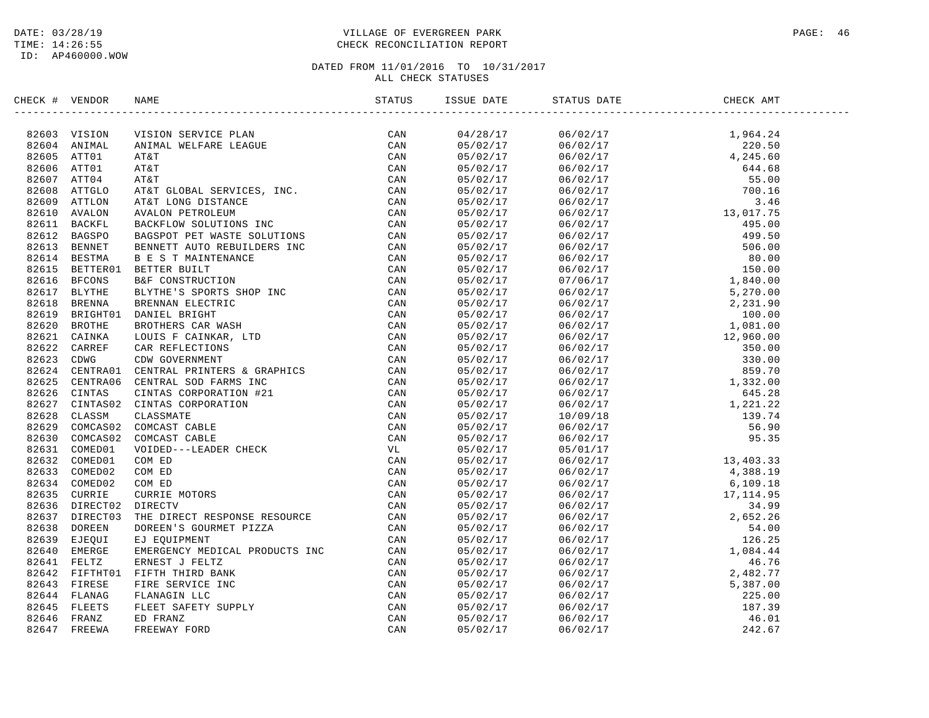## DATE: 03/28/19 PAGE: 46 PAGE: 46 TIME: 14:26:55 CHECK RECONCILIATION REPORT

| CHECK # VENDOR | NAME                                                                                                                                                                                                                          | ISSUE DATE | STATUS DATE                                                                                                                                                                                                                                                       | CHECK AMT |  |
|----------------|-------------------------------------------------------------------------------------------------------------------------------------------------------------------------------------------------------------------------------|------------|-------------------------------------------------------------------------------------------------------------------------------------------------------------------------------------------------------------------------------------------------------------------|-----------|--|
|                | : 4 VENDER MAN SERVICE PLAN SERVICE CAN CONDUCT AND A VENDER CAN SERVICE ON A VENDER OF A SAME CONDUCT ON A SAME CAN CONDUCT AND A SERVICE CAN CONDUCT ON A SAME CAN CONDUCT ON A SAME CAN BE CONDUCTED AND DETERMINED A SAME |            | $\begin{tabular}{cccccccc} 5585555858464678 & 574710 & 6670217 & 670217 & 1, 944.24 & 1, 964.28 & 1, 964.28 & 1, 964.28 & 1, 964.28 & 1, 964.28 & 1, 964.28 & 1, 964.28 & 1, 964.28 & 1, 964.28 & 1, 964.28 & 1, 964.28 & 1, 964.28 & 1, 964.28 & 1, 964.28 & 1,$ |           |  |
|                |                                                                                                                                                                                                                               |            |                                                                                                                                                                                                                                                                   |           |  |
|                |                                                                                                                                                                                                                               |            |                                                                                                                                                                                                                                                                   |           |  |
|                |                                                                                                                                                                                                                               |            |                                                                                                                                                                                                                                                                   |           |  |
|                |                                                                                                                                                                                                                               |            |                                                                                                                                                                                                                                                                   |           |  |
|                |                                                                                                                                                                                                                               |            |                                                                                                                                                                                                                                                                   |           |  |
|                |                                                                                                                                                                                                                               |            |                                                                                                                                                                                                                                                                   |           |  |
|                |                                                                                                                                                                                                                               |            |                                                                                                                                                                                                                                                                   |           |  |
|                |                                                                                                                                                                                                                               |            |                                                                                                                                                                                                                                                                   |           |  |
|                |                                                                                                                                                                                                                               |            |                                                                                                                                                                                                                                                                   |           |  |
|                |                                                                                                                                                                                                                               |            |                                                                                                                                                                                                                                                                   |           |  |
|                |                                                                                                                                                                                                                               |            |                                                                                                                                                                                                                                                                   |           |  |
|                |                                                                                                                                                                                                                               |            |                                                                                                                                                                                                                                                                   |           |  |
|                |                                                                                                                                                                                                                               |            |                                                                                                                                                                                                                                                                   |           |  |
|                |                                                                                                                                                                                                                               |            |                                                                                                                                                                                                                                                                   |           |  |
|                |                                                                                                                                                                                                                               |            |                                                                                                                                                                                                                                                                   |           |  |
|                |                                                                                                                                                                                                                               |            |                                                                                                                                                                                                                                                                   |           |  |
|                |                                                                                                                                                                                                                               |            |                                                                                                                                                                                                                                                                   |           |  |
|                |                                                                                                                                                                                                                               |            |                                                                                                                                                                                                                                                                   |           |  |
|                |                                                                                                                                                                                                                               |            |                                                                                                                                                                                                                                                                   |           |  |
|                |                                                                                                                                                                                                                               |            |                                                                                                                                                                                                                                                                   |           |  |
|                |                                                                                                                                                                                                                               |            |                                                                                                                                                                                                                                                                   |           |  |
|                |                                                                                                                                                                                                                               |            |                                                                                                                                                                                                                                                                   |           |  |
|                |                                                                                                                                                                                                                               |            |                                                                                                                                                                                                                                                                   |           |  |
|                |                                                                                                                                                                                                                               |            |                                                                                                                                                                                                                                                                   |           |  |
|                |                                                                                                                                                                                                                               |            |                                                                                                                                                                                                                                                                   |           |  |
|                |                                                                                                                                                                                                                               |            |                                                                                                                                                                                                                                                                   |           |  |
|                |                                                                                                                                                                                                                               |            |                                                                                                                                                                                                                                                                   |           |  |
|                |                                                                                                                                                                                                                               |            |                                                                                                                                                                                                                                                                   |           |  |
|                |                                                                                                                                                                                                                               |            |                                                                                                                                                                                                                                                                   |           |  |
|                |                                                                                                                                                                                                                               |            |                                                                                                                                                                                                                                                                   |           |  |
|                |                                                                                                                                                                                                                               |            |                                                                                                                                                                                                                                                                   |           |  |
|                |                                                                                                                                                                                                                               |            |                                                                                                                                                                                                                                                                   |           |  |
|                |                                                                                                                                                                                                                               |            |                                                                                                                                                                                                                                                                   |           |  |
|                |                                                                                                                                                                                                                               |            |                                                                                                                                                                                                                                                                   |           |  |
|                |                                                                                                                                                                                                                               |            |                                                                                                                                                                                                                                                                   |           |  |
|                |                                                                                                                                                                                                                               |            |                                                                                                                                                                                                                                                                   |           |  |
|                |                                                                                                                                                                                                                               |            |                                                                                                                                                                                                                                                                   |           |  |
|                |                                                                                                                                                                                                                               |            |                                                                                                                                                                                                                                                                   |           |  |
|                |                                                                                                                                                                                                                               |            |                                                                                                                                                                                                                                                                   |           |  |
|                |                                                                                                                                                                                                                               |            |                                                                                                                                                                                                                                                                   |           |  |
|                |                                                                                                                                                                                                                               |            |                                                                                                                                                                                                                                                                   |           |  |
|                |                                                                                                                                                                                                                               |            |                                                                                                                                                                                                                                                                   |           |  |
|                |                                                                                                                                                                                                                               |            |                                                                                                                                                                                                                                                                   |           |  |
|                |                                                                                                                                                                                                                               |            |                                                                                                                                                                                                                                                                   |           |  |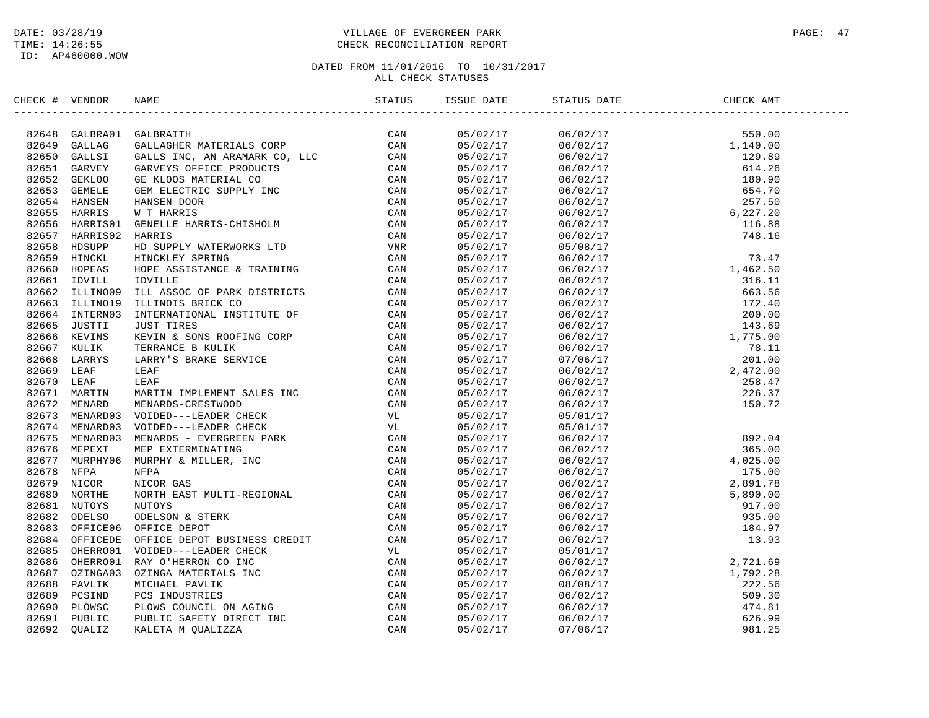## DATE: 03/28/19 PAGE: 47 TIME: 14:26:55 CHECK RECONCILIATION REPORT

| ARLE MARTIN INFLIER INC. THE CAN NORMAL MARTIN INFLIER AND CAN ARREST ON THANKING ON THANKING THE CAN CAN CONFIGURAT CONFINING A SUBMISSION ON THE CAN ARREST CAN THANKING BACK CONFIGURATION IN THE CAN THANKING BACK ON THE<br>CAN<br>05/02/17<br>82648 GALBRA01 GALBRAITH<br>$\begin{array}{cccc} 06/02/17 & 550.00 \\ 06/02/17 & 1,140.00 \\ 06/02/17 & 129.89 \\ 06/02/17 & 614.26 \\ 06/02/17 & 180.90 \\ 06/02/17 & 654.70 \\ 06/02/17 & 654.70 \\ 06/02/17 & 67.27.20 \\ 06/02/17 & 116.88 \\ 06/02/17 & 116.88 \\ 05/08/17 & 748.16 \end{array}$<br>82649<br>GALLAG<br>05/02/17<br>82650 GALLSI<br>05/02/17<br>82651 GARVEY<br>05/02/17<br>82652 GEKLOO<br>05/02/17<br>82653 GEMELE<br>05/02/17<br>82654 HANSEN<br>05/02/17<br>82655 HARRIS<br>05/02/17<br>82656<br>HARRIS01<br>05/02/17<br>82657 HARRIS02<br>05/02/17<br>82658<br>HDSUPP<br>05/02/17<br>82659 HINCKL<br>05/02/17<br>82660<br>HOPEAS<br>05/02/17<br>82661<br>IDVILL<br>05/02/17<br>82662 ILLINO09<br>05/02/17<br>82663 ILLINO19<br>05/02/17<br>82664 INTERN03<br>05/02/17<br>82665<br>JUSTTI<br>05/02/17<br>82666 KEVINS<br>05/02/17<br>82667 KULIK<br>05/02/17<br>82668 LARRYS<br>05/02/17<br>82669<br>LEAF<br>05/02/17<br>82670<br>LEAF<br>05/02/17<br>82671 MARTIN<br>05/02/17<br>MENARD<br>82672<br>05/02/17<br>82673<br>MENARD03<br>05/02/17<br>82674<br>MENARD03<br>05/02/17<br>82675<br>MENARD03<br>05/02/17<br>82676<br>MEPEXT<br>05/02/17<br>82677 MURPHY06<br>05/02/17<br>82678<br>NFPA<br>05/02/17<br>82679<br>NICOR<br>05/02/17<br>82680<br>NORTHE<br>05/02/17<br>82681<br>NUTOYS<br>05/02/17<br>82682<br>ODELSO<br>05/02/17<br>82683 OFFICE06<br>05/02/17<br>82684 OFFICEDE<br>05/02/17<br>82685 OHERRO01<br>05/02/17<br>82686 OHERRO01<br>05/02/17<br>82687 OZINGA03<br>05/02/17<br>82688 PAVLIK<br>05/02/17<br>82689<br>PCSIND<br>05/02/17<br>82690<br>PLOWSC<br>05/02/17<br>82691 PUBLIC<br>05/02/17<br>82692<br><b>OUALIZ</b><br>05/02/17 | CHECK # VENDOR | NAME | STATUS | ISSUE DATE | STATUS DATE | CHECK AMT |  |
|-------------------------------------------------------------------------------------------------------------------------------------------------------------------------------------------------------------------------------------------------------------------------------------------------------------------------------------------------------------------------------------------------------------------------------------------------------------------------------------------------------------------------------------------------------------------------------------------------------------------------------------------------------------------------------------------------------------------------------------------------------------------------------------------------------------------------------------------------------------------------------------------------------------------------------------------------------------------------------------------------------------------------------------------------------------------------------------------------------------------------------------------------------------------------------------------------------------------------------------------------------------------------------------------------------------------------------------------------------------------------------------------------------------------------------------------------------------------------------------------------------------------------------------------------------------------------------------------------------------------------------------------------------------------------------------------------------------------------------------------------------------------------------------------------------------------------------------------------------------------------------------------------------------------------------------|----------------|------|--------|------------|-------------|-----------|--|
|                                                                                                                                                                                                                                                                                                                                                                                                                                                                                                                                                                                                                                                                                                                                                                                                                                                                                                                                                                                                                                                                                                                                                                                                                                                                                                                                                                                                                                                                                                                                                                                                                                                                                                                                                                                                                                                                                                                                     |                |      |        |            |             |           |  |
|                                                                                                                                                                                                                                                                                                                                                                                                                                                                                                                                                                                                                                                                                                                                                                                                                                                                                                                                                                                                                                                                                                                                                                                                                                                                                                                                                                                                                                                                                                                                                                                                                                                                                                                                                                                                                                                                                                                                     |                |      |        |            |             |           |  |
|                                                                                                                                                                                                                                                                                                                                                                                                                                                                                                                                                                                                                                                                                                                                                                                                                                                                                                                                                                                                                                                                                                                                                                                                                                                                                                                                                                                                                                                                                                                                                                                                                                                                                                                                                                                                                                                                                                                                     |                |      |        |            |             |           |  |
|                                                                                                                                                                                                                                                                                                                                                                                                                                                                                                                                                                                                                                                                                                                                                                                                                                                                                                                                                                                                                                                                                                                                                                                                                                                                                                                                                                                                                                                                                                                                                                                                                                                                                                                                                                                                                                                                                                                                     |                |      |        |            |             |           |  |
|                                                                                                                                                                                                                                                                                                                                                                                                                                                                                                                                                                                                                                                                                                                                                                                                                                                                                                                                                                                                                                                                                                                                                                                                                                                                                                                                                                                                                                                                                                                                                                                                                                                                                                                                                                                                                                                                                                                                     |                |      |        |            |             |           |  |
|                                                                                                                                                                                                                                                                                                                                                                                                                                                                                                                                                                                                                                                                                                                                                                                                                                                                                                                                                                                                                                                                                                                                                                                                                                                                                                                                                                                                                                                                                                                                                                                                                                                                                                                                                                                                                                                                                                                                     |                |      |        |            |             |           |  |
|                                                                                                                                                                                                                                                                                                                                                                                                                                                                                                                                                                                                                                                                                                                                                                                                                                                                                                                                                                                                                                                                                                                                                                                                                                                                                                                                                                                                                                                                                                                                                                                                                                                                                                                                                                                                                                                                                                                                     |                |      |        |            |             |           |  |
|                                                                                                                                                                                                                                                                                                                                                                                                                                                                                                                                                                                                                                                                                                                                                                                                                                                                                                                                                                                                                                                                                                                                                                                                                                                                                                                                                                                                                                                                                                                                                                                                                                                                                                                                                                                                                                                                                                                                     |                |      |        |            |             |           |  |
|                                                                                                                                                                                                                                                                                                                                                                                                                                                                                                                                                                                                                                                                                                                                                                                                                                                                                                                                                                                                                                                                                                                                                                                                                                                                                                                                                                                                                                                                                                                                                                                                                                                                                                                                                                                                                                                                                                                                     |                |      |        |            |             |           |  |
|                                                                                                                                                                                                                                                                                                                                                                                                                                                                                                                                                                                                                                                                                                                                                                                                                                                                                                                                                                                                                                                                                                                                                                                                                                                                                                                                                                                                                                                                                                                                                                                                                                                                                                                                                                                                                                                                                                                                     |                |      |        |            |             |           |  |
|                                                                                                                                                                                                                                                                                                                                                                                                                                                                                                                                                                                                                                                                                                                                                                                                                                                                                                                                                                                                                                                                                                                                                                                                                                                                                                                                                                                                                                                                                                                                                                                                                                                                                                                                                                                                                                                                                                                                     |                |      |        |            |             |           |  |
|                                                                                                                                                                                                                                                                                                                                                                                                                                                                                                                                                                                                                                                                                                                                                                                                                                                                                                                                                                                                                                                                                                                                                                                                                                                                                                                                                                                                                                                                                                                                                                                                                                                                                                                                                                                                                                                                                                                                     |                |      |        |            |             |           |  |
|                                                                                                                                                                                                                                                                                                                                                                                                                                                                                                                                                                                                                                                                                                                                                                                                                                                                                                                                                                                                                                                                                                                                                                                                                                                                                                                                                                                                                                                                                                                                                                                                                                                                                                                                                                                                                                                                                                                                     |                |      |        |            |             |           |  |
|                                                                                                                                                                                                                                                                                                                                                                                                                                                                                                                                                                                                                                                                                                                                                                                                                                                                                                                                                                                                                                                                                                                                                                                                                                                                                                                                                                                                                                                                                                                                                                                                                                                                                                                                                                                                                                                                                                                                     |                |      |        |            |             |           |  |
|                                                                                                                                                                                                                                                                                                                                                                                                                                                                                                                                                                                                                                                                                                                                                                                                                                                                                                                                                                                                                                                                                                                                                                                                                                                                                                                                                                                                                                                                                                                                                                                                                                                                                                                                                                                                                                                                                                                                     |                |      |        |            |             |           |  |
|                                                                                                                                                                                                                                                                                                                                                                                                                                                                                                                                                                                                                                                                                                                                                                                                                                                                                                                                                                                                                                                                                                                                                                                                                                                                                                                                                                                                                                                                                                                                                                                                                                                                                                                                                                                                                                                                                                                                     |                |      |        |            |             |           |  |
|                                                                                                                                                                                                                                                                                                                                                                                                                                                                                                                                                                                                                                                                                                                                                                                                                                                                                                                                                                                                                                                                                                                                                                                                                                                                                                                                                                                                                                                                                                                                                                                                                                                                                                                                                                                                                                                                                                                                     |                |      |        |            |             |           |  |
|                                                                                                                                                                                                                                                                                                                                                                                                                                                                                                                                                                                                                                                                                                                                                                                                                                                                                                                                                                                                                                                                                                                                                                                                                                                                                                                                                                                                                                                                                                                                                                                                                                                                                                                                                                                                                                                                                                                                     |                |      |        |            |             |           |  |
|                                                                                                                                                                                                                                                                                                                                                                                                                                                                                                                                                                                                                                                                                                                                                                                                                                                                                                                                                                                                                                                                                                                                                                                                                                                                                                                                                                                                                                                                                                                                                                                                                                                                                                                                                                                                                                                                                                                                     |                |      |        |            |             |           |  |
|                                                                                                                                                                                                                                                                                                                                                                                                                                                                                                                                                                                                                                                                                                                                                                                                                                                                                                                                                                                                                                                                                                                                                                                                                                                                                                                                                                                                                                                                                                                                                                                                                                                                                                                                                                                                                                                                                                                                     |                |      |        |            |             |           |  |
|                                                                                                                                                                                                                                                                                                                                                                                                                                                                                                                                                                                                                                                                                                                                                                                                                                                                                                                                                                                                                                                                                                                                                                                                                                                                                                                                                                                                                                                                                                                                                                                                                                                                                                                                                                                                                                                                                                                                     |                |      |        |            |             |           |  |
|                                                                                                                                                                                                                                                                                                                                                                                                                                                                                                                                                                                                                                                                                                                                                                                                                                                                                                                                                                                                                                                                                                                                                                                                                                                                                                                                                                                                                                                                                                                                                                                                                                                                                                                                                                                                                                                                                                                                     |                |      |        |            |             |           |  |
|                                                                                                                                                                                                                                                                                                                                                                                                                                                                                                                                                                                                                                                                                                                                                                                                                                                                                                                                                                                                                                                                                                                                                                                                                                                                                                                                                                                                                                                                                                                                                                                                                                                                                                                                                                                                                                                                                                                                     |                |      |        |            |             |           |  |
|                                                                                                                                                                                                                                                                                                                                                                                                                                                                                                                                                                                                                                                                                                                                                                                                                                                                                                                                                                                                                                                                                                                                                                                                                                                                                                                                                                                                                                                                                                                                                                                                                                                                                                                                                                                                                                                                                                                                     |                |      |        |            |             |           |  |
|                                                                                                                                                                                                                                                                                                                                                                                                                                                                                                                                                                                                                                                                                                                                                                                                                                                                                                                                                                                                                                                                                                                                                                                                                                                                                                                                                                                                                                                                                                                                                                                                                                                                                                                                                                                                                                                                                                                                     |                |      |        |            |             |           |  |
|                                                                                                                                                                                                                                                                                                                                                                                                                                                                                                                                                                                                                                                                                                                                                                                                                                                                                                                                                                                                                                                                                                                                                                                                                                                                                                                                                                                                                                                                                                                                                                                                                                                                                                                                                                                                                                                                                                                                     |                |      |        |            |             |           |  |
|                                                                                                                                                                                                                                                                                                                                                                                                                                                                                                                                                                                                                                                                                                                                                                                                                                                                                                                                                                                                                                                                                                                                                                                                                                                                                                                                                                                                                                                                                                                                                                                                                                                                                                                                                                                                                                                                                                                                     |                |      |        |            |             |           |  |
|                                                                                                                                                                                                                                                                                                                                                                                                                                                                                                                                                                                                                                                                                                                                                                                                                                                                                                                                                                                                                                                                                                                                                                                                                                                                                                                                                                                                                                                                                                                                                                                                                                                                                                                                                                                                                                                                                                                                     |                |      |        |            |             |           |  |
|                                                                                                                                                                                                                                                                                                                                                                                                                                                                                                                                                                                                                                                                                                                                                                                                                                                                                                                                                                                                                                                                                                                                                                                                                                                                                                                                                                                                                                                                                                                                                                                                                                                                                                                                                                                                                                                                                                                                     |                |      |        |            |             |           |  |
|                                                                                                                                                                                                                                                                                                                                                                                                                                                                                                                                                                                                                                                                                                                                                                                                                                                                                                                                                                                                                                                                                                                                                                                                                                                                                                                                                                                                                                                                                                                                                                                                                                                                                                                                                                                                                                                                                                                                     |                |      |        |            |             |           |  |
|                                                                                                                                                                                                                                                                                                                                                                                                                                                                                                                                                                                                                                                                                                                                                                                                                                                                                                                                                                                                                                                                                                                                                                                                                                                                                                                                                                                                                                                                                                                                                                                                                                                                                                                                                                                                                                                                                                                                     |                |      |        |            |             |           |  |
|                                                                                                                                                                                                                                                                                                                                                                                                                                                                                                                                                                                                                                                                                                                                                                                                                                                                                                                                                                                                                                                                                                                                                                                                                                                                                                                                                                                                                                                                                                                                                                                                                                                                                                                                                                                                                                                                                                                                     |                |      |        |            |             |           |  |
|                                                                                                                                                                                                                                                                                                                                                                                                                                                                                                                                                                                                                                                                                                                                                                                                                                                                                                                                                                                                                                                                                                                                                                                                                                                                                                                                                                                                                                                                                                                                                                                                                                                                                                                                                                                                                                                                                                                                     |                |      |        |            |             |           |  |
|                                                                                                                                                                                                                                                                                                                                                                                                                                                                                                                                                                                                                                                                                                                                                                                                                                                                                                                                                                                                                                                                                                                                                                                                                                                                                                                                                                                                                                                                                                                                                                                                                                                                                                                                                                                                                                                                                                                                     |                |      |        |            |             |           |  |
|                                                                                                                                                                                                                                                                                                                                                                                                                                                                                                                                                                                                                                                                                                                                                                                                                                                                                                                                                                                                                                                                                                                                                                                                                                                                                                                                                                                                                                                                                                                                                                                                                                                                                                                                                                                                                                                                                                                                     |                |      |        |            |             |           |  |
|                                                                                                                                                                                                                                                                                                                                                                                                                                                                                                                                                                                                                                                                                                                                                                                                                                                                                                                                                                                                                                                                                                                                                                                                                                                                                                                                                                                                                                                                                                                                                                                                                                                                                                                                                                                                                                                                                                                                     |                |      |        |            |             |           |  |
|                                                                                                                                                                                                                                                                                                                                                                                                                                                                                                                                                                                                                                                                                                                                                                                                                                                                                                                                                                                                                                                                                                                                                                                                                                                                                                                                                                                                                                                                                                                                                                                                                                                                                                                                                                                                                                                                                                                                     |                |      |        |            |             |           |  |
|                                                                                                                                                                                                                                                                                                                                                                                                                                                                                                                                                                                                                                                                                                                                                                                                                                                                                                                                                                                                                                                                                                                                                                                                                                                                                                                                                                                                                                                                                                                                                                                                                                                                                                                                                                                                                                                                                                                                     |                |      |        |            |             |           |  |
|                                                                                                                                                                                                                                                                                                                                                                                                                                                                                                                                                                                                                                                                                                                                                                                                                                                                                                                                                                                                                                                                                                                                                                                                                                                                                                                                                                                                                                                                                                                                                                                                                                                                                                                                                                                                                                                                                                                                     |                |      |        |            |             |           |  |
|                                                                                                                                                                                                                                                                                                                                                                                                                                                                                                                                                                                                                                                                                                                                                                                                                                                                                                                                                                                                                                                                                                                                                                                                                                                                                                                                                                                                                                                                                                                                                                                                                                                                                                                                                                                                                                                                                                                                     |                |      |        |            |             |           |  |
|                                                                                                                                                                                                                                                                                                                                                                                                                                                                                                                                                                                                                                                                                                                                                                                                                                                                                                                                                                                                                                                                                                                                                                                                                                                                                                                                                                                                                                                                                                                                                                                                                                                                                                                                                                                                                                                                                                                                     |                |      |        |            |             |           |  |
|                                                                                                                                                                                                                                                                                                                                                                                                                                                                                                                                                                                                                                                                                                                                                                                                                                                                                                                                                                                                                                                                                                                                                                                                                                                                                                                                                                                                                                                                                                                                                                                                                                                                                                                                                                                                                                                                                                                                     |                |      |        |            |             |           |  |
|                                                                                                                                                                                                                                                                                                                                                                                                                                                                                                                                                                                                                                                                                                                                                                                                                                                                                                                                                                                                                                                                                                                                                                                                                                                                                                                                                                                                                                                                                                                                                                                                                                                                                                                                                                                                                                                                                                                                     |                |      |        |            |             |           |  |
|                                                                                                                                                                                                                                                                                                                                                                                                                                                                                                                                                                                                                                                                                                                                                                                                                                                                                                                                                                                                                                                                                                                                                                                                                                                                                                                                                                                                                                                                                                                                                                                                                                                                                                                                                                                                                                                                                                                                     |                |      |        |            |             |           |  |
|                                                                                                                                                                                                                                                                                                                                                                                                                                                                                                                                                                                                                                                                                                                                                                                                                                                                                                                                                                                                                                                                                                                                                                                                                                                                                                                                                                                                                                                                                                                                                                                                                                                                                                                                                                                                                                                                                                                                     |                |      |        |            |             |           |  |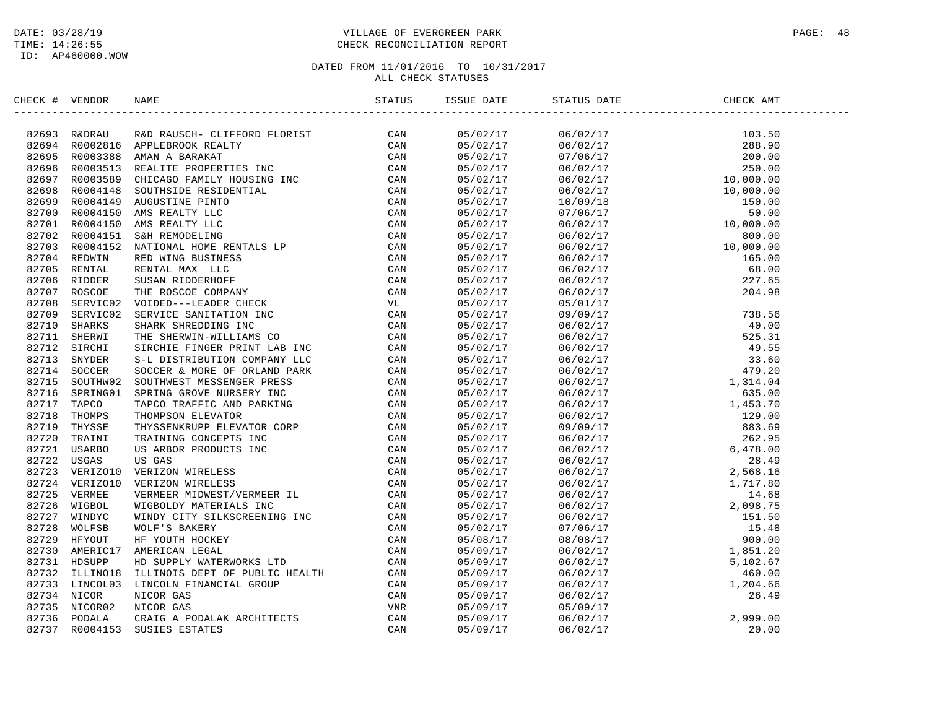## DATE: 03/28/19 PAGE: 48 TIME: 14:26:55 CHECK RECONCILIATION REPORT

| CHECK # VENDOR | NAME                                                                                                                                                                                                                            |  | ISSUE DATE STATUS DATE                                                                                                                                                                                                                                                  | CHECK AMT |
|----------------|---------------------------------------------------------------------------------------------------------------------------------------------------------------------------------------------------------------------------------|--|-------------------------------------------------------------------------------------------------------------------------------------------------------------------------------------------------------------------------------------------------------------------------|-----------|
|                | INCRET (FOR MAIN PROPERTY CARRY 1990)<br>1992-93 REPAIR RESORD FOR THE SUITS CAN BE DRIVEN IN THE SUITS CAN BE DRIVEN THE SUITS CONTROLL INCREASE IN the CAN BE CONTROLL IN THE SUITS CONTROLL IN THE SUITS CONTROLL IN THE SUI |  | $\begin{array}{cccccccc} 0.8502 & 0.717 & 0.670217 & 10.350 \\ 0.8702/17 & 0.6702/17 & 10.350 \\ 0.8702/17 & 0.706/17 & 10.350 \\ 0.8702/17 & 0.6702/17 & 10.350 \\ 0.8702/17 & 0.6702/17 & 10.000, 0.0 \\ 0.8702/17 & 0.6702/17 & 10.000, 0.0 \\ 0.8702/17 & 0.6702/1$ |           |
|                |                                                                                                                                                                                                                                 |  |                                                                                                                                                                                                                                                                         |           |
|                |                                                                                                                                                                                                                                 |  |                                                                                                                                                                                                                                                                         |           |
|                |                                                                                                                                                                                                                                 |  |                                                                                                                                                                                                                                                                         |           |
|                |                                                                                                                                                                                                                                 |  |                                                                                                                                                                                                                                                                         |           |
|                |                                                                                                                                                                                                                                 |  |                                                                                                                                                                                                                                                                         |           |
|                |                                                                                                                                                                                                                                 |  |                                                                                                                                                                                                                                                                         |           |
|                |                                                                                                                                                                                                                                 |  |                                                                                                                                                                                                                                                                         |           |
|                |                                                                                                                                                                                                                                 |  |                                                                                                                                                                                                                                                                         |           |
|                |                                                                                                                                                                                                                                 |  |                                                                                                                                                                                                                                                                         |           |
|                |                                                                                                                                                                                                                                 |  |                                                                                                                                                                                                                                                                         |           |
|                |                                                                                                                                                                                                                                 |  |                                                                                                                                                                                                                                                                         |           |
|                |                                                                                                                                                                                                                                 |  |                                                                                                                                                                                                                                                                         |           |
|                |                                                                                                                                                                                                                                 |  |                                                                                                                                                                                                                                                                         |           |
|                |                                                                                                                                                                                                                                 |  |                                                                                                                                                                                                                                                                         |           |
|                |                                                                                                                                                                                                                                 |  |                                                                                                                                                                                                                                                                         |           |
|                |                                                                                                                                                                                                                                 |  |                                                                                                                                                                                                                                                                         |           |
|                |                                                                                                                                                                                                                                 |  |                                                                                                                                                                                                                                                                         |           |
|                |                                                                                                                                                                                                                                 |  |                                                                                                                                                                                                                                                                         |           |
|                |                                                                                                                                                                                                                                 |  |                                                                                                                                                                                                                                                                         |           |
|                |                                                                                                                                                                                                                                 |  |                                                                                                                                                                                                                                                                         |           |
|                |                                                                                                                                                                                                                                 |  |                                                                                                                                                                                                                                                                         |           |
|                |                                                                                                                                                                                                                                 |  |                                                                                                                                                                                                                                                                         |           |
|                |                                                                                                                                                                                                                                 |  |                                                                                                                                                                                                                                                                         |           |
|                |                                                                                                                                                                                                                                 |  |                                                                                                                                                                                                                                                                         |           |
|                |                                                                                                                                                                                                                                 |  |                                                                                                                                                                                                                                                                         |           |
|                |                                                                                                                                                                                                                                 |  |                                                                                                                                                                                                                                                                         |           |
|                |                                                                                                                                                                                                                                 |  |                                                                                                                                                                                                                                                                         |           |
|                |                                                                                                                                                                                                                                 |  |                                                                                                                                                                                                                                                                         |           |
|                |                                                                                                                                                                                                                                 |  |                                                                                                                                                                                                                                                                         |           |
|                |                                                                                                                                                                                                                                 |  |                                                                                                                                                                                                                                                                         |           |
|                |                                                                                                                                                                                                                                 |  |                                                                                                                                                                                                                                                                         |           |
|                |                                                                                                                                                                                                                                 |  |                                                                                                                                                                                                                                                                         |           |
|                |                                                                                                                                                                                                                                 |  |                                                                                                                                                                                                                                                                         |           |
|                |                                                                                                                                                                                                                                 |  |                                                                                                                                                                                                                                                                         |           |
|                |                                                                                                                                                                                                                                 |  |                                                                                                                                                                                                                                                                         |           |
|                |                                                                                                                                                                                                                                 |  |                                                                                                                                                                                                                                                                         |           |
|                |                                                                                                                                                                                                                                 |  |                                                                                                                                                                                                                                                                         |           |
|                |                                                                                                                                                                                                                                 |  |                                                                                                                                                                                                                                                                         |           |
|                |                                                                                                                                                                                                                                 |  |                                                                                                                                                                                                                                                                         |           |
|                |                                                                                                                                                                                                                                 |  |                                                                                                                                                                                                                                                                         |           |
|                |                                                                                                                                                                                                                                 |  |                                                                                                                                                                                                                                                                         |           |
|                |                                                                                                                                                                                                                                 |  |                                                                                                                                                                                                                                                                         |           |
|                |                                                                                                                                                                                                                                 |  |                                                                                                                                                                                                                                                                         |           |
|                |                                                                                                                                                                                                                                 |  |                                                                                                                                                                                                                                                                         |           |
|                |                                                                                                                                                                                                                                 |  |                                                                                                                                                                                                                                                                         |           |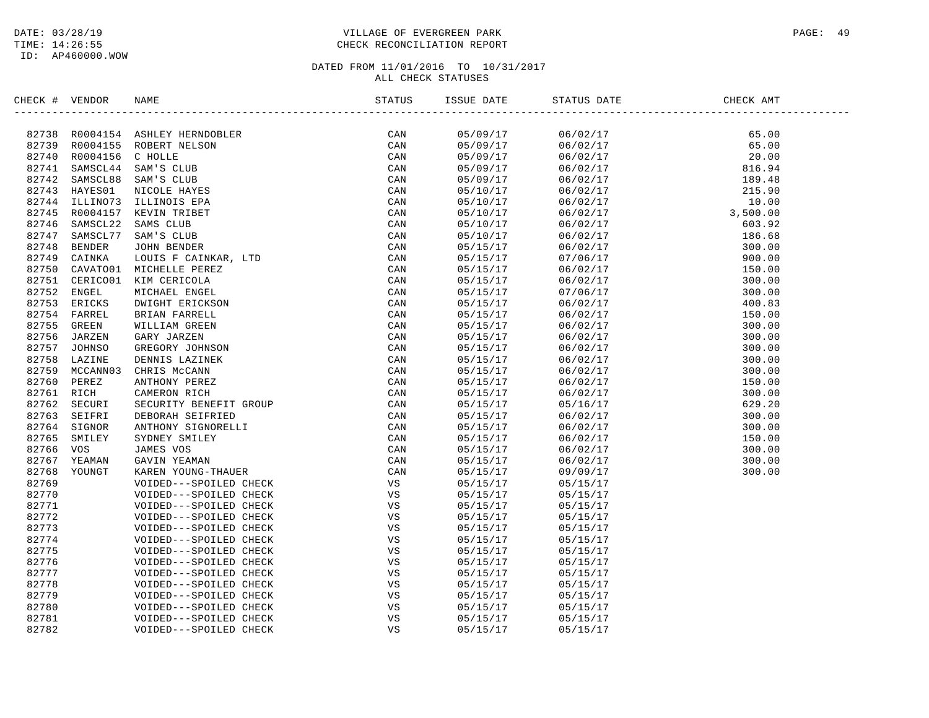ID: AP460000.WOW

## DATE: 03/28/19 PAGE: 49 PAGE: 49 TIME: 14:26:55 CHECK RECONCILIATION REPORT

| CHECK # VENDOR |               | NAME                                                               | STATUS | ISSUE DATE | STATUS DATE | CHECK AMT |  |
|----------------|---------------|--------------------------------------------------------------------|--------|------------|-------------|-----------|--|
|                |               | ---------------------<br>ER<br>, LTD<br>T GROUP<br>D<br>LLI<br>UER |        |            |             |           |  |
|                |               | 82738 R0004154 ASHLEY HERNDOBLER                                   | CAN    | 05/09/17   | 06/02/17    | 65.00     |  |
| 82739          |               | R0004155 ROBERT NELSON                                             | CAN    | 05/09/17   | 06/02/17    | 65.00     |  |
| 82740          | R0004156      | C HOLLE                                                            | CAN    | 05/09/17   | 06/02/17    | 20.00     |  |
| 82741          | SAMSCL44      | SAM'S CLUB                                                         | CAN    | 05/09/17   | 06/02/17    | 816.94    |  |
| 82742          | SAMSCL88      | SAM'S CLUB                                                         | CAN    | 05/09/17   | 06/02/17    | 189.48    |  |
| 82743          | HAYES01       | NICOLE HAYES                                                       | CAN    | 05/10/17   | 06/02/17    | 215.90    |  |
| 82744          | ILLINO73      | ILLINOIS EPA                                                       | CAN    | 05/10/17   | 06/02/17    | 10.00     |  |
| 82745          | R0004157      | KEVIN TRIBET                                                       | CAN    | 05/10/17   | 06/02/17    | 3,500.00  |  |
| 82746          | SAMSCL22      | SAMS CLUB                                                          | CAN    | 05/10/17   | 06/02/17    | 603.92    |  |
| 82747          | SAMSCL77      | SAM'S CLUB                                                         | CAN    | 05/10/17   | 06/02/17    | 186.68    |  |
| 82748          | <b>BENDER</b> | <b>JOHN BENDER</b>                                                 | CAN    | 05/15/17   | 06/02/17    | 300.00    |  |
| 82749          | CAINKA        | LOUIS F CAINKAR, LTD                                               | CAN    | 05/15/17   | 07/06/17    | 900.00    |  |
| 82750          | CAVATO01      | MICHELLE PEREZ                                                     | CAN    | 05/15/17   | 06/02/17    | 150.00    |  |
| 82751          | CERICO01      | KIM CERICOLA                                                       | CAN    | 05/15/17   | 06/02/17    | 300.00    |  |
| 82752          | ENGEL         | MICHAEL ENGEL                                                      | CAN    | 05/15/17   | 07/06/17    | 300.00    |  |
| 82753          | ERICKS        | DWIGHT ERICKSON                                                    | CAN    | 05/15/17   | 06/02/17    | 400.83    |  |
| 82754          | FARREL        | BRIAN FARRELL                                                      | CAN    | 05/15/17   | 06/02/17    | 150.00    |  |
| 82755          | GREEN         | WILLIAM GREEN                                                      | CAN    | 05/15/17   | 06/02/17    | 300.00    |  |
| 82756          | JARZEN        | GARY JARZEN                                                        | CAN    | 05/15/17   | 06/02/17    | 300.00    |  |
| 82757          | <b>JOHNSO</b> | GREGORY JOHNSON                                                    | CAN    | 05/15/17   | 06/02/17    | 300.00    |  |
| 82758          | LAZINE        | DENNIS LAZINEK                                                     | CAN    | 05/15/17   | 06/02/17    | 300.00    |  |
| 82759          | MCCANN03      | CHRIS MCCANN                                                       | CAN    | 05/15/17   | 06/02/17    | 300.00    |  |
| 82760          | PEREZ         | ANTHONY PEREZ                                                      | CAN    | 05/15/17   | 06/02/17    | 150.00    |  |
| 82761          | RICH          | CAMERON RICH                                                       | CAN    | 05/15/17   | 06/02/17    | 300.00    |  |
| 82762          | SECURI        | SECURITY BENEFIT GROUP                                             | CAN    | 05/15/17   | 05/16/17    | 629.20    |  |
| 82763          | SEIFRI        | DEBORAH SEIFRIED                                                   | CAN    | 05/15/17   | 06/02/17    | 300.00    |  |
| 82764          | SIGNOR        | ANTHONY SIGNORELLI                                                 | CAN    | 05/15/17   | 06/02/17    | 300.00    |  |
| 82765          | SMILEY        | SYDNEY SMILEY                                                      | CAN    | 05/15/17   | 06/02/17    | 150.00    |  |
| 82766          | <b>VOS</b>    | JAMES VOS                                                          | CAN    | 05/15/17   | 06/02/17    | 300.00    |  |
| 82767          | YEAMAN        | GAVIN YEAMAN                                                       | CAN    | 05/15/17   | 06/02/17    | 300.00    |  |
| 82768          | YOUNGT        | KAREN YOUNG-THAUER                                                 | CAN    | 05/15/17   | 09/09/17    | 300.00    |  |
| 82769          |               | VOIDED---SPOILED CHECK                                             | VS     | 05/15/17   | 05/15/17    |           |  |
| 82770          |               | VOIDED---SPOILED CHECK                                             | VS     | 05/15/17   | 05/15/17    |           |  |
| 82771          |               | VOIDED---SPOILED CHECK                                             | VS     | 05/15/17   | 05/15/17    |           |  |
| 82772          |               | VOIDED---SPOILED CHECK                                             | VS     | 05/15/17   | 05/15/17    |           |  |
| 82773          |               | VOIDED---SPOILED CHECK                                             | VS     | 05/15/17   | 05/15/17    |           |  |
| 82774          |               | VOIDED---SPOILED CHECK                                             | VS     | 05/15/17   | 05/15/17    |           |  |
| 82775          |               | VOIDED---SPOILED CHECK                                             | VS     | 05/15/17   | 05/15/17    |           |  |
| 82776          |               | VOIDED---SPOILED CHECK                                             | VS     | 05/15/17   | 05/15/17    |           |  |
| 82777          |               | VOIDED---SPOILED CHECK                                             | VS     | 05/15/17   | 05/15/17    |           |  |
| 82778          |               | VOIDED---SPOILED CHECK                                             | VS     | 05/15/17   | 05/15/17    |           |  |
| 82779          |               | VOIDED---SPOILED CHECK                                             | VS     | 05/15/17   | 05/15/17    |           |  |
| 82780          |               | VOIDED---SPOILED CHECK                                             | VS     | 05/15/17   | 05/15/17    |           |  |
| 82781          |               | VOIDED---SPOILED CHECK                                             | VS     | 05/15/17   | 05/15/17    |           |  |
| 82782          |               | VOIDED---SPOILED CHECK                                             | VS     | 05/15/17   | 05/15/17    |           |  |
|                |               |                                                                    |        |            |             |           |  |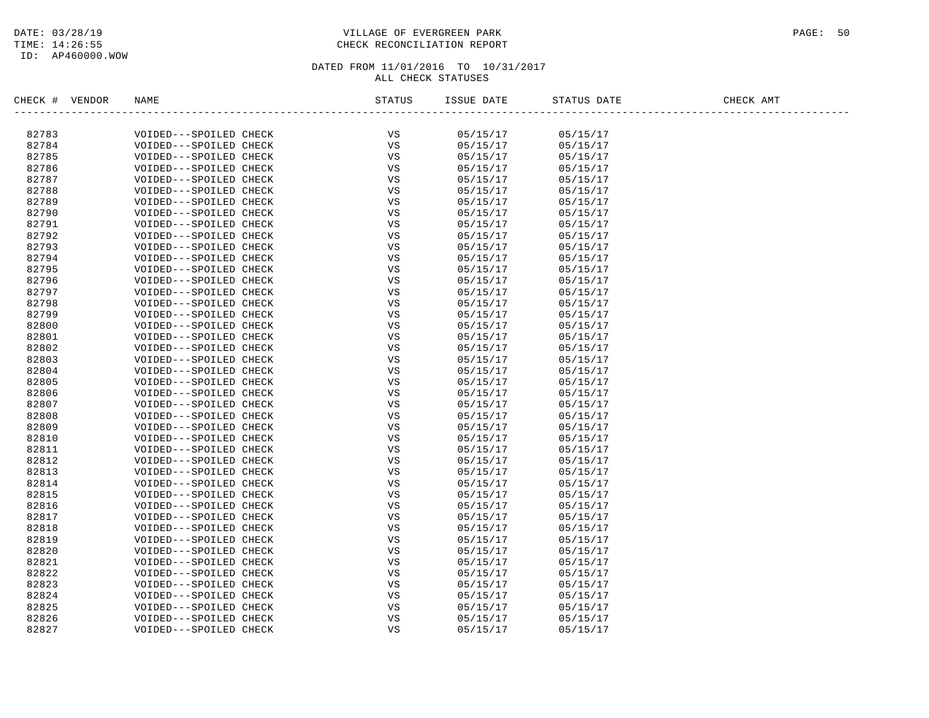ID: AP460000.WOW

## DATE: 03/28/19 PAGE: 50 TIME: 14:26:55 CHECK RECONCILIATION REPORT

| CHECK #<br>VENDOR | NAME                   | STATUS      | ISSUE DATE | STATUS DATE | CHECK AMT |
|-------------------|------------------------|-------------|------------|-------------|-----------|
|                   |                        |             |            |             |           |
| 82783             | VOIDED---SPOILED CHECK | VS          | 05/15/17   | 05/15/17    |           |
| 82784             | VOIDED---SPOILED CHECK | VS          | 05/15/17   | 05/15/17    |           |
| 82785             | VOIDED---SPOILED CHECK | VS          | 05/15/17   | 05/15/17    |           |
| 82786             | VOIDED---SPOILED CHECK | VS          | 05/15/17   | 05/15/17    |           |
| 82787             | VOIDED---SPOILED CHECK | VS          | 05/15/17   | 05/15/17    |           |
| 82788             | VOIDED---SPOILED CHECK | VS          | 05/15/17   | 05/15/17    |           |
| 82789             | VOIDED---SPOILED CHECK | VS          | 05/15/17   | 05/15/17    |           |
| 82790             | VOIDED---SPOILED CHECK | VS          | 05/15/17   | 05/15/17    |           |
| 82791             | VOIDED---SPOILED CHECK | VS          | 05/15/17   | 05/15/17    |           |
| 82792             | VOIDED---SPOILED CHECK | VS          | 05/15/17   | 05/15/17    |           |
| 82793             | VOIDED---SPOILED CHECK | VS          | 05/15/17   | 05/15/17    |           |
| 82794             | VOIDED---SPOILED CHECK | VS          | 05/15/17   | 05/15/17    |           |
| 82795             | VOIDED---SPOILED CHECK | VS          | 05/15/17   | 05/15/17    |           |
| 82796             | VOIDED---SPOILED CHECK | VS          | 05/15/17   | 05/15/17    |           |
| 82797             | VOIDED---SPOILED CHECK | VS          | 05/15/17   | 05/15/17    |           |
| 82798             | VOIDED---SPOILED CHECK | VS          | 05/15/17   | 05/15/17    |           |
| 82799             | VOIDED---SPOILED CHECK | VS          | 05/15/17   | 05/15/17    |           |
| 82800             | VOIDED---SPOILED CHECK | VS          | 05/15/17   | 05/15/17    |           |
| 82801             | VOIDED---SPOILED CHECK | VS          | 05/15/17   | 05/15/17    |           |
| 82802             | VOIDED---SPOILED CHECK | VS          | 05/15/17   | 05/15/17    |           |
| 82803             | VOIDED---SPOILED CHECK | VS          | 05/15/17   | 05/15/17    |           |
| 82804             | VOIDED---SPOILED CHECK | VS          | 05/15/17   | 05/15/17    |           |
| 82805             | VOIDED---SPOILED CHECK | VS          | 05/15/17   | 05/15/17    |           |
| 82806             | VOIDED---SPOILED CHECK | VS          | 05/15/17   | 05/15/17    |           |
| 82807             | VOIDED---SPOILED CHECK | VS          | 05/15/17   | 05/15/17    |           |
| 82808             | VOIDED---SPOILED CHECK | VS          | 05/15/17   | 05/15/17    |           |
| 82809             | VOIDED---SPOILED CHECK | VS          | 05/15/17   | 05/15/17    |           |
| 82810             | VOIDED---SPOILED CHECK | VS          | 05/15/17   | 05/15/17    |           |
| 82811             | VOIDED---SPOILED CHECK | $_{\rm VS}$ | 05/15/17   | 05/15/17    |           |
| 82812             | VOIDED---SPOILED CHECK | VS          | 05/15/17   | 05/15/17    |           |
| 82813             | VOIDED---SPOILED CHECK | VS          | 05/15/17   | 05/15/17    |           |
| 82814             | VOIDED---SPOILED CHECK | VS          | 05/15/17   | 05/15/17    |           |
| 82815             | VOIDED---SPOILED CHECK | VS          | 05/15/17   | 05/15/17    |           |
| 82816             | VOIDED---SPOILED CHECK | VS          | 05/15/17   | 05/15/17    |           |
| 82817             | VOIDED---SPOILED CHECK | VS          | 05/15/17   | 05/15/17    |           |
| 82818             | VOIDED---SPOILED CHECK | VS          | 05/15/17   | 05/15/17    |           |
| 82819             | VOIDED---SPOILED CHECK | VS          | 05/15/17   | 05/15/17    |           |
| 82820             | VOIDED---SPOILED CHECK | VS          | 05/15/17   | 05/15/17    |           |
| 82821             | VOIDED---SPOILED CHECK | VS          | 05/15/17   | 05/15/17    |           |
| 82822             | VOIDED---SPOILED CHECK | VS          | 05/15/17   | 05/15/17    |           |
| 82823             | VOIDED---SPOILED CHECK | VS          | 05/15/17   | 05/15/17    |           |
| 82824             | VOIDED---SPOILED CHECK | VS          | 05/15/17   | 05/15/17    |           |
| 82825             | VOIDED---SPOILED CHECK | VS          | 05/15/17   | 05/15/17    |           |
| 82826             | VOIDED---SPOILED CHECK | VS          | 05/15/17   | 05/15/17    |           |
| 82827             | VOIDED---SPOILED CHECK | VS          | 05/15/17   | 05/15/17    |           |
|                   |                        |             |            |             |           |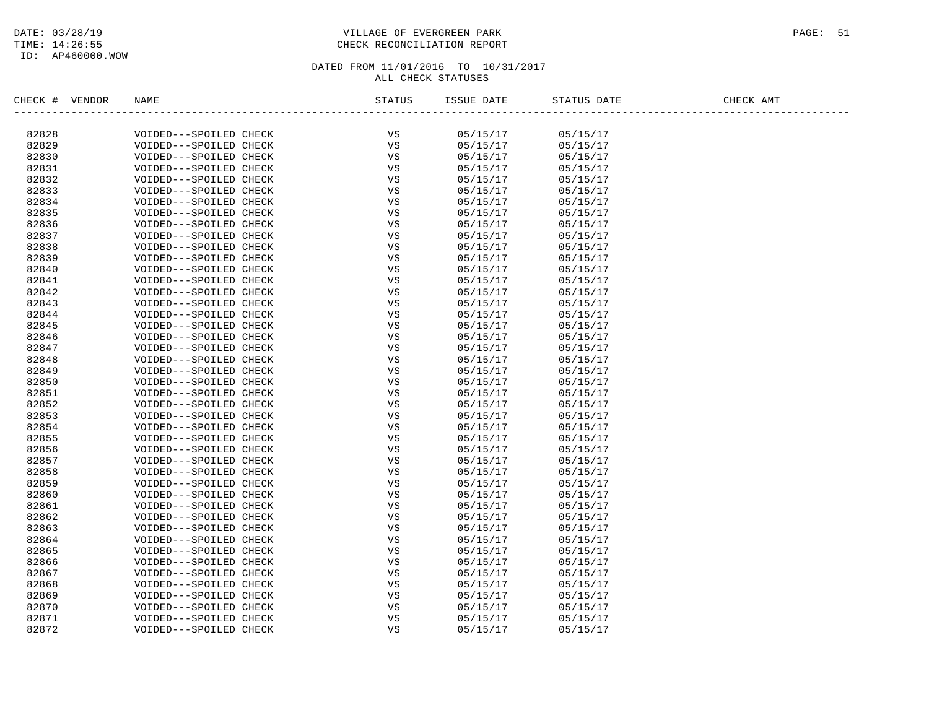# DATE: 03/28/19 PAGE: 51 TIME: 14:26:55 CHECK RECONCILIATION REPORT

| CHECK #<br>VENDOR | NAME                   | STATUS | ISSUE DATE | STATUS DATE | CHECK AMT |
|-------------------|------------------------|--------|------------|-------------|-----------|
| 82828             | VOIDED---SPOILED CHECK | VS     | 05/15/17   | 05/15/17    |           |
| 82829             | VOIDED---SPOILED CHECK | VS     | 05/15/17   | 05/15/17    |           |
| 82830             | VOIDED---SPOILED CHECK | VS     | 05/15/17   | 05/15/17    |           |
| 82831             | VOIDED---SPOILED CHECK | VS     | 05/15/17   | 05/15/17    |           |
| 82832             | VOIDED---SPOILED CHECK | VS     | 05/15/17   | 05/15/17    |           |
| 82833             | VOIDED---SPOILED CHECK | VS     | 05/15/17   | 05/15/17    |           |
| 82834             | VOIDED---SPOILED CHECK | VS     | 05/15/17   | 05/15/17    |           |
| 82835             | VOIDED---SPOILED CHECK | VS     | 05/15/17   | 05/15/17    |           |
| 82836             | VOIDED---SPOILED CHECK | VS     | 05/15/17   | 05/15/17    |           |
| 82837             | VOIDED---SPOILED CHECK | VS     | 05/15/17   | 05/15/17    |           |
| 82838             | VOIDED---SPOILED CHECK | VS     | 05/15/17   | 05/15/17    |           |
| 82839             | VOIDED---SPOILED CHECK | VS     | 05/15/17   | 05/15/17    |           |
| 82840             | VOIDED---SPOILED CHECK | VS     | 05/15/17   | 05/15/17    |           |
| 82841             | VOIDED---SPOILED CHECK | VS     | 05/15/17   | 05/15/17    |           |
| 82842             | VOIDED---SPOILED CHECK | VS     | 05/15/17   | 05/15/17    |           |
| 82843             | VOIDED---SPOILED CHECK | VS     | 05/15/17   | 05/15/17    |           |
| 82844             | VOIDED---SPOILED CHECK | VS     | 05/15/17   | 05/15/17    |           |
| 82845             | VOIDED---SPOILED CHECK | VS     | 05/15/17   | 05/15/17    |           |
| 82846             | VOIDED---SPOILED CHECK | VS     | 05/15/17   | 05/15/17    |           |
| 82847             | VOIDED---SPOILED CHECK | VS     | 05/15/17   | 05/15/17    |           |
| 82848             | VOIDED---SPOILED CHECK | VS     | 05/15/17   | 05/15/17    |           |
| 82849             | VOIDED---SPOILED CHECK | VS     | 05/15/17   | 05/15/17    |           |
| 82850             | VOIDED---SPOILED CHECK | VS     | 05/15/17   | 05/15/17    |           |
| 82851             | VOIDED---SPOILED CHECK | VS     | 05/15/17   | 05/15/17    |           |
| 82852             | VOIDED---SPOILED CHECK | VS     | 05/15/17   | 05/15/17    |           |
| 82853             | VOIDED---SPOILED CHECK | VS     | 05/15/17   | 05/15/17    |           |
| 82854             | VOIDED---SPOILED CHECK | VS     | 05/15/17   | 05/15/17    |           |
| 82855             | VOIDED---SPOILED CHECK | VS     | 05/15/17   | 05/15/17    |           |
| 82856             | VOIDED---SPOILED CHECK | VS     | 05/15/17   | 05/15/17    |           |
| 82857             | VOIDED---SPOILED CHECK | VS     | 05/15/17   | 05/15/17    |           |
| 82858             | VOIDED---SPOILED CHECK | VS     | 05/15/17   | 05/15/17    |           |
| 82859             | VOIDED---SPOILED CHECK | VS     | 05/15/17   | 05/15/17    |           |
| 82860             | VOIDED---SPOILED CHECK | VS     | 05/15/17   | 05/15/17    |           |
| 82861             | VOIDED---SPOILED CHECK | VS     | 05/15/17   | 05/15/17    |           |
| 82862             | VOIDED---SPOILED CHECK | VS     | 05/15/17   | 05/15/17    |           |
| 82863             | VOIDED---SPOILED CHECK | VS     | 05/15/17   | 05/15/17    |           |
| 82864             | VOIDED---SPOILED CHECK | VS     | 05/15/17   | 05/15/17    |           |
| 82865             | VOIDED---SPOILED CHECK | VS     | 05/15/17   | 05/15/17    |           |
| 82866             | VOIDED---SPOILED CHECK | VS     | 05/15/17   | 05/15/17    |           |
| 82867             | VOIDED---SPOILED CHECK | VS     | 05/15/17   | 05/15/17    |           |
| 82868             | VOIDED---SPOILED CHECK | VS     | 05/15/17   | 05/15/17    |           |
| 82869             | VOIDED---SPOILED CHECK | VS     | 05/15/17   | 05/15/17    |           |
| 82870             | VOIDED---SPOILED CHECK | VS     | 05/15/17   | 05/15/17    |           |
| 82871             | VOIDED---SPOILED CHECK | VS     | 05/15/17   | 05/15/17    |           |
| 82872             | VOIDED---SPOILED CHECK | VS     | 05/15/17   | 05/15/17    |           |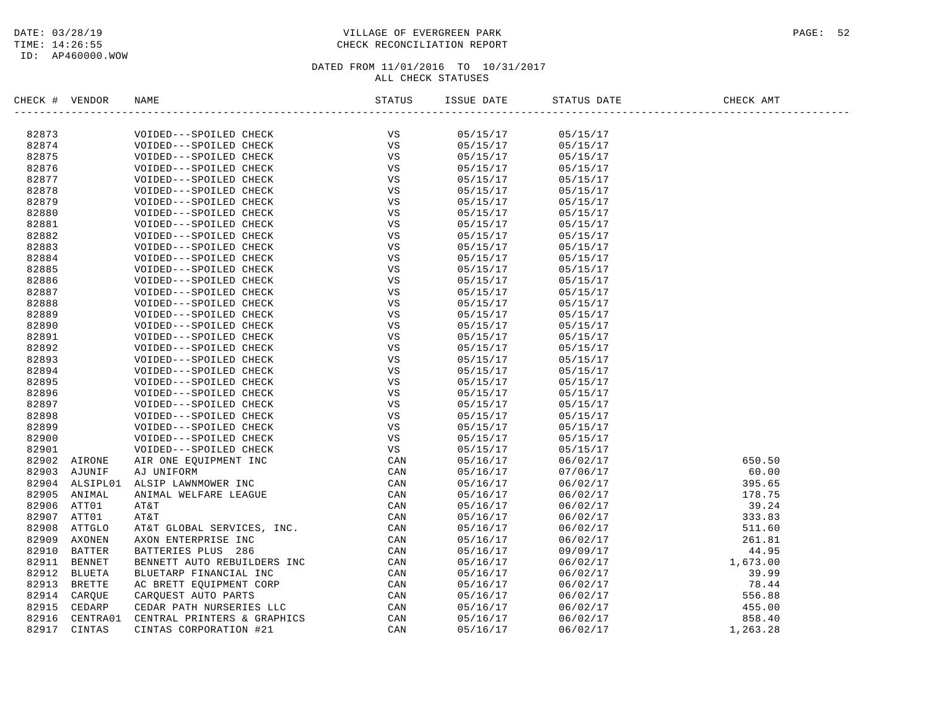## DATE: 03/28/19 PAGE: 52 TIME: 14:26:55 CHECK RECONCILIATION REPORT

| CHECK # VENDOR |                | NAME                                             | STATUS   | ISSUE DATE           | STATUS DATE          | CHECK AMT |
|----------------|----------------|--------------------------------------------------|----------|----------------------|----------------------|-----------|
|                |                |                                                  | VS       |                      |                      |           |
| 82873<br>82874 |                | VOIDED---SPOILED CHECK                           | VS       | 05/15/17             | 05/15/17             |           |
| 82875          |                | VOIDED---SPOILED CHECK<br>VOIDED---SPOILED CHECK | VS       | 05/15/17<br>05/15/17 | 05/15/17<br>05/15/17 |           |
| 82876          |                | VOIDED---SPOILED CHECK                           | VS       | 05/15/17             | 05/15/17             |           |
| 82877          |                |                                                  | VS       | 05/15/17             |                      |           |
| 82878          |                | VOIDED---SPOILED CHECK                           | VS       |                      | 05/15/17             |           |
| 82879          |                | VOIDED---SPOILED CHECK                           |          | 05/15/17             | 05/15/17             |           |
| 82880          |                | VOIDED---SPOILED CHECK                           | VS<br>VS | 05/15/17<br>05/15/17 | 05/15/17             |           |
| 82881          |                | VOIDED---SPOILED CHECK                           | VS       |                      | 05/15/17             |           |
| 82882          |                | VOIDED---SPOILED CHECK                           | VS       | 05/15/17             | 05/15/17             |           |
|                |                | VOIDED---SPOILED CHECK                           |          | 05/15/17             | 05/15/17             |           |
| 82883          |                | VOIDED---SPOILED CHECK                           | VS       | 05/15/17             | 05/15/17             |           |
| 82884          |                | VOIDED---SPOILED CHECK                           | VS<br>VS | 05/15/17             | 05/15/17             |           |
| 82885          |                | VOIDED---SPOILED CHECK                           |          | 05/15/17             | 05/15/17             |           |
| 82886          |                | VOIDED---SPOILED CHECK                           | VS       | 05/15/17             | 05/15/17             |           |
| 82887          |                | VOIDED---SPOILED CHECK                           | VS       | 05/15/17             | 05/15/17             |           |
| 82888          |                | VOIDED---SPOILED CHECK                           | VS       | 05/15/17             | 05/15/17             |           |
| 82889          |                | VOIDED---SPOILED CHECK                           | VS       | 05/15/17             | 05/15/17             |           |
| 82890          |                | VOIDED---SPOILED CHECK                           | VS       | 05/15/17             | 05/15/17             |           |
| 82891          |                | VOIDED---SPOILED CHECK                           | VS       | 05/15/17             | 05/15/17             |           |
| 82892          |                | VOIDED---SPOILED CHECK                           | VS       | 05/15/17             | 05/15/17             |           |
| 82893          |                | VOIDED---SPOILED CHECK                           | VS       | 05/15/17             | 05/15/17             |           |
| 82894          |                | VOIDED---SPOILED CHECK                           | VS       | 05/15/17             | 05/15/17             |           |
| 82895          |                | VOIDED---SPOILED CHECK                           | VS       | 05/15/17             | 05/15/17             |           |
| 82896          |                | VOIDED---SPOILED CHECK                           | VS       | 05/15/17             | 05/15/17             |           |
| 82897          |                | VOIDED---SPOILED CHECK                           | VS       | 05/15/17             | 05/15/17             |           |
| 82898          |                | VOIDED---SPOILED CHECK                           | VS       | 05/15/17             | 05/15/17             |           |
| 82899          |                | VOIDED---SPOILED CHECK                           | VS       | 05/15/17             | 05/15/17             |           |
| 82900          |                | VOIDED---SPOILED CHECK                           | VS       | 05/15/17             | 05/15/17             |           |
| 82901          |                | VOIDED---SPOILED CHECK                           | VS       | 05/15/17             | 05/15/17             |           |
|                | 82902 AIRONE   | AIR ONE EQUIPMENT INC                            | CAN      | 05/16/17             | 06/02/17             | 650.50    |
|                | 82903 AJUNIF   | AJ UNIFORM                                       | CAN      | 05/16/17             | 07/06/17             | 60.00     |
|                | 82904 ALSIPL01 | ALSIP LAWNMOWER INC                              | CAN      | 05/16/17             | 06/02/17             | 395.65    |
|                | 82905 ANIMAL   | ANIMAL WELFARE LEAGUE                            | CAN      | 05/16/17             | 06/02/17             | 178.75    |
|                | 82906 ATT01    | AT&T                                             | CAN      | 05/16/17             | 06/02/17             | 39.24     |
|                | 82907 ATT01    | AT&T                                             | CAN      | 05/16/17             | 06/02/17             | 333.83    |
| 82908          | ATTGLO         | AT&T GLOBAL SERVICES, INC.                       | CAN      | 05/16/17             | 06/02/17             | 511.60    |
|                | 82909 AXONEN   | AXON ENTERPRISE INC                              | CAN      | 05/16/17             | 06/02/17             | 261.81    |
|                | 82910 BATTER   | BATTERIES PLUS 286                               | CAN      | 05/16/17             | 09/09/17             | 44.95     |
| 82911          | <b>BENNET</b>  | BENNETT AUTO REBUILDERS INC                      | CAN      | 05/16/17             | 06/02/17             | 1,673.00  |
| 82912          | <b>BLUETA</b>  | BLUETARP FINANCIAL INC                           | CAN      | 05/16/17             | 06/02/17             | 39.99     |
| 82913          | <b>BRETTE</b>  | AC BRETT EQUIPMENT CORP                          | CAN      | 05/16/17             | 06/02/17             | 78.44     |
| 82914          | CAROUE         | CARQUEST AUTO PARTS                              | CAN      | 05/16/17             | 06/02/17             | 556.88    |
| 82915          | CEDARP         | CEDAR PATH NURSERIES LLC                         | CAN      | 05/16/17             | 06/02/17             | 455.00    |
| 82916          | CENTRA01       | CENTRAL PRINTERS & GRAPHICS                      | CAN      | 05/16/17             | 06/02/17             | 858.40    |
| 82917          | CINTAS         | CINTAS CORPORATION #21                           | CAN      | 05/16/17             | 06/02/17             | 1,263.28  |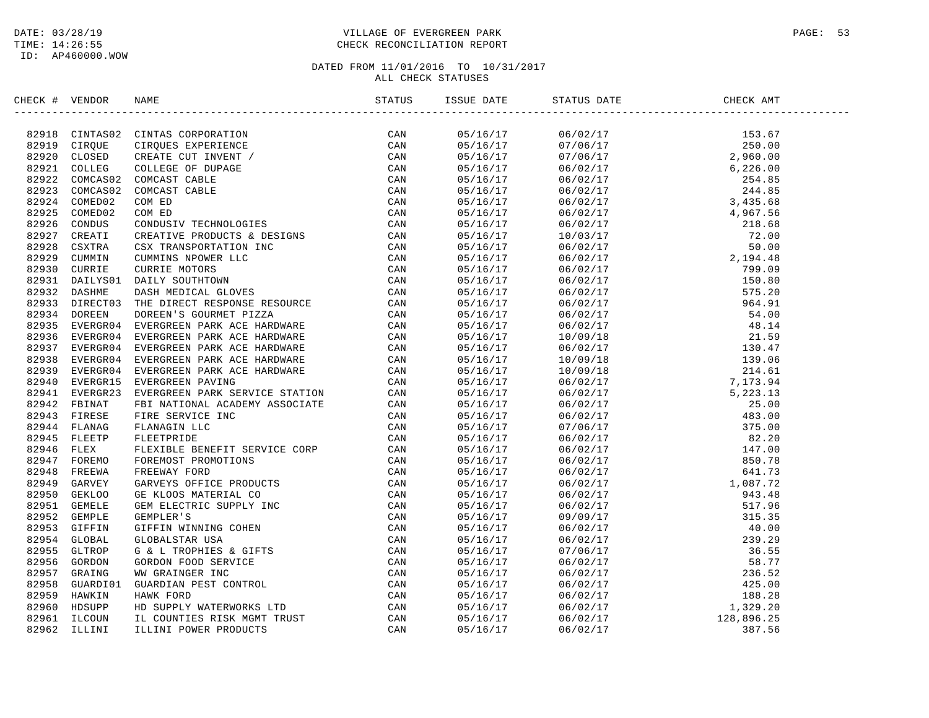## DATE: 03/28/19 PAGE: 53 TIME: 14:26:55 CHECK RECONCILIATION REPORT

| CHECK # VENDOR |                                                                                                                                                                                                                                         |  | ISSUE DATE STATUS DATE | CHECK AMT |  |
|----------------|-----------------------------------------------------------------------------------------------------------------------------------------------------------------------------------------------------------------------------------------|--|------------------------|-----------|--|
|                | SECCR F VERDOR RANE STREAM CORPORATION (2000)<br>193919 CTRQUE CINEMAS CORPORATION (2000)<br>193919 CTRQUE CINEMAS CORPORATION (2000)<br>193919 CTRQUE CINEMAS EXPERIENCE (2000)<br>193921 COLLEGE COLLEGE OF DUPARE (2000)<br>193921 C |  |                        |           |  |
|                |                                                                                                                                                                                                                                         |  |                        |           |  |
|                |                                                                                                                                                                                                                                         |  |                        |           |  |
|                |                                                                                                                                                                                                                                         |  |                        |           |  |
|                |                                                                                                                                                                                                                                         |  |                        |           |  |
|                |                                                                                                                                                                                                                                         |  |                        |           |  |
|                |                                                                                                                                                                                                                                         |  |                        |           |  |
|                |                                                                                                                                                                                                                                         |  |                        |           |  |
|                |                                                                                                                                                                                                                                         |  |                        |           |  |
|                |                                                                                                                                                                                                                                         |  |                        |           |  |
|                |                                                                                                                                                                                                                                         |  |                        |           |  |
|                |                                                                                                                                                                                                                                         |  |                        |           |  |
|                |                                                                                                                                                                                                                                         |  |                        |           |  |
|                |                                                                                                                                                                                                                                         |  |                        |           |  |
|                |                                                                                                                                                                                                                                         |  |                        |           |  |
|                |                                                                                                                                                                                                                                         |  |                        |           |  |
|                |                                                                                                                                                                                                                                         |  |                        |           |  |
|                |                                                                                                                                                                                                                                         |  |                        |           |  |
|                |                                                                                                                                                                                                                                         |  |                        |           |  |
|                |                                                                                                                                                                                                                                         |  |                        |           |  |
|                |                                                                                                                                                                                                                                         |  |                        |           |  |
|                |                                                                                                                                                                                                                                         |  |                        |           |  |
|                |                                                                                                                                                                                                                                         |  |                        |           |  |
|                |                                                                                                                                                                                                                                         |  |                        |           |  |
|                |                                                                                                                                                                                                                                         |  |                        |           |  |
|                |                                                                                                                                                                                                                                         |  |                        |           |  |
|                |                                                                                                                                                                                                                                         |  |                        |           |  |
|                |                                                                                                                                                                                                                                         |  |                        |           |  |
|                |                                                                                                                                                                                                                                         |  |                        |           |  |
|                |                                                                                                                                                                                                                                         |  |                        |           |  |
|                |                                                                                                                                                                                                                                         |  |                        |           |  |
|                |                                                                                                                                                                                                                                         |  |                        |           |  |
|                |                                                                                                                                                                                                                                         |  |                        |           |  |
|                |                                                                                                                                                                                                                                         |  |                        |           |  |
|                |                                                                                                                                                                                                                                         |  |                        |           |  |
|                |                                                                                                                                                                                                                                         |  |                        |           |  |
|                |                                                                                                                                                                                                                                         |  |                        |           |  |
|                |                                                                                                                                                                                                                                         |  |                        |           |  |
|                |                                                                                                                                                                                                                                         |  |                        |           |  |
|                |                                                                                                                                                                                                                                         |  |                        |           |  |
|                |                                                                                                                                                                                                                                         |  |                        |           |  |
|                |                                                                                                                                                                                                                                         |  |                        |           |  |
|                |                                                                                                                                                                                                                                         |  |                        |           |  |
|                |                                                                                                                                                                                                                                         |  |                        |           |  |
|                |                                                                                                                                                                                                                                         |  |                        |           |  |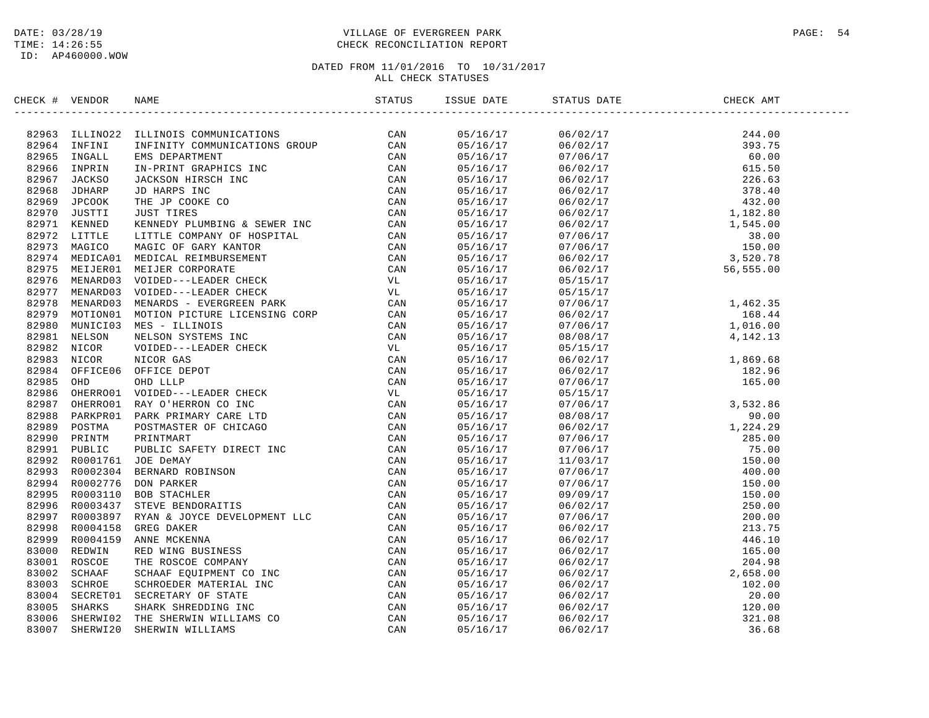## DATE: 03/28/19 PAGE: 54 TIME: 14:26:55 CHECK RECONCILIATION REPORT

| ERICA 1 VERDUCA HABAR PERIDENTIONS SCRIPTIONS (NATUS 1974)<br>1926 ILIENTEI IRFINITY COMMUNICATIONS SCRIPTION CAN<br>19296 INFANI IRFINITY COMMUNICATIONS SCRIPTION (NATIONAL TRANSPORT)<br>19296 INFANI IRFINITY COMMUNICATIONS SC<br>05/16/17<br>$\begin{array}{cccc} 06/02/17 & 244.00 \\ 06/02/17 & 393.75 \\ 07/06/17 & 60.00 \\ 06/02/17 & 226.63 \\ 06/02/17 & 226.63 \\ 06/02/17 & 432.00 \\ 06/02/17 & 1,82.80 \\ 07/06/17 & 38.00 \\ 07/06/17 & 150.00 \\ 05/02/17 & 3,520.78 \\ 05/15/17 & 56,555.00 \end{array}$<br>05/16/17<br>05/16/17<br>05/16/17<br>05/16/17<br>05/16/17<br>05/16/17<br>05/16/17<br>05/16/17<br>05/16/17<br>05/16/17<br>05/16/17<br>05/16/17<br>05/16/17<br>05/15/17<br>05/16/17<br>05/15/17<br>1,462.35<br>05/16/17<br>07/06/17<br>168.44<br>05/16/17<br>06/02/17<br>1,016.00<br>05/16/17<br>07/06/17<br>4,142.13<br>05/16/17<br>08/08/17<br>1,869.68<br>182.96<br>165.00<br>05/16/17<br>05/15/17<br>05/16/17<br>06/02/17<br>05/16/17<br>06/02/17<br>05/16/17<br>07/06/17<br>05/16/17<br>05/15/17<br>$\begin{array}{cccc} 07/06/17 & 3\, , 532.86 \\ 08/08/17 & 3\, , 532.86 \\ 08/08/17 & 1\, , 224.29 \\ 07/06/17 & 1224.29 \\ 07/06/17 & 150.00 \\ 07/06/17 & 150.00 \\ 07/06/17 & 150.00 \\ 07/06/17 & 150.00 \\ 07/06/17 & 150.00 \\ 07/06/17 & 150.00 \\ 07/06/17 & 150.00$<br>05/16/17<br>05/16/17<br>05/16/17<br>05/16/17<br>05/16/17<br>05/16/17<br>05/16/17<br>05/16/17<br>05/16/17<br>05/16/17<br>05/16/17<br>05/16/17<br>05/16/17<br>05/16/17<br>05/16/17<br>05/16/17<br>05/16/17<br>05/16/17<br>05/16/17<br>05/16/17<br>05/16/17 | CHECK # VENDOR | <b>NAME</b> | STATUS | ISSUE DATE | STATUS DATE | CHECK AMT |  |
|--------------------------------------------------------------------------------------------------------------------------------------------------------------------------------------------------------------------------------------------------------------------------------------------------------------------------------------------------------------------------------------------------------------------------------------------------------------------------------------------------------------------------------------------------------------------------------------------------------------------------------------------------------------------------------------------------------------------------------------------------------------------------------------------------------------------------------------------------------------------------------------------------------------------------------------------------------------------------------------------------------------------------------------------------------------------------------------------------------------------------------------------------------------------------------------------------------------------------------------------------------------------------------------------------------------------------------------------------------------------------------------------------------------------------------------------------------------------------------------------------------------------------------------------------------------------------------|----------------|-------------|--------|------------|-------------|-----------|--|
|                                                                                                                                                                                                                                                                                                                                                                                                                                                                                                                                                                                                                                                                                                                                                                                                                                                                                                                                                                                                                                                                                                                                                                                                                                                                                                                                                                                                                                                                                                                                                                                |                |             |        |            |             |           |  |
|                                                                                                                                                                                                                                                                                                                                                                                                                                                                                                                                                                                                                                                                                                                                                                                                                                                                                                                                                                                                                                                                                                                                                                                                                                                                                                                                                                                                                                                                                                                                                                                |                |             |        |            |             |           |  |
|                                                                                                                                                                                                                                                                                                                                                                                                                                                                                                                                                                                                                                                                                                                                                                                                                                                                                                                                                                                                                                                                                                                                                                                                                                                                                                                                                                                                                                                                                                                                                                                |                |             |        |            |             |           |  |
|                                                                                                                                                                                                                                                                                                                                                                                                                                                                                                                                                                                                                                                                                                                                                                                                                                                                                                                                                                                                                                                                                                                                                                                                                                                                                                                                                                                                                                                                                                                                                                                |                |             |        |            |             |           |  |
|                                                                                                                                                                                                                                                                                                                                                                                                                                                                                                                                                                                                                                                                                                                                                                                                                                                                                                                                                                                                                                                                                                                                                                                                                                                                                                                                                                                                                                                                                                                                                                                |                |             |        |            |             |           |  |
|                                                                                                                                                                                                                                                                                                                                                                                                                                                                                                                                                                                                                                                                                                                                                                                                                                                                                                                                                                                                                                                                                                                                                                                                                                                                                                                                                                                                                                                                                                                                                                                |                |             |        |            |             |           |  |
|                                                                                                                                                                                                                                                                                                                                                                                                                                                                                                                                                                                                                                                                                                                                                                                                                                                                                                                                                                                                                                                                                                                                                                                                                                                                                                                                                                                                                                                                                                                                                                                |                |             |        |            |             |           |  |
|                                                                                                                                                                                                                                                                                                                                                                                                                                                                                                                                                                                                                                                                                                                                                                                                                                                                                                                                                                                                                                                                                                                                                                                                                                                                                                                                                                                                                                                                                                                                                                                |                |             |        |            |             |           |  |
|                                                                                                                                                                                                                                                                                                                                                                                                                                                                                                                                                                                                                                                                                                                                                                                                                                                                                                                                                                                                                                                                                                                                                                                                                                                                                                                                                                                                                                                                                                                                                                                |                |             |        |            |             |           |  |
|                                                                                                                                                                                                                                                                                                                                                                                                                                                                                                                                                                                                                                                                                                                                                                                                                                                                                                                                                                                                                                                                                                                                                                                                                                                                                                                                                                                                                                                                                                                                                                                |                |             |        |            |             |           |  |
|                                                                                                                                                                                                                                                                                                                                                                                                                                                                                                                                                                                                                                                                                                                                                                                                                                                                                                                                                                                                                                                                                                                                                                                                                                                                                                                                                                                                                                                                                                                                                                                |                |             |        |            |             |           |  |
|                                                                                                                                                                                                                                                                                                                                                                                                                                                                                                                                                                                                                                                                                                                                                                                                                                                                                                                                                                                                                                                                                                                                                                                                                                                                                                                                                                                                                                                                                                                                                                                |                |             |        |            |             |           |  |
|                                                                                                                                                                                                                                                                                                                                                                                                                                                                                                                                                                                                                                                                                                                                                                                                                                                                                                                                                                                                                                                                                                                                                                                                                                                                                                                                                                                                                                                                                                                                                                                |                |             |        |            |             |           |  |
|                                                                                                                                                                                                                                                                                                                                                                                                                                                                                                                                                                                                                                                                                                                                                                                                                                                                                                                                                                                                                                                                                                                                                                                                                                                                                                                                                                                                                                                                                                                                                                                |                |             |        |            |             |           |  |
|                                                                                                                                                                                                                                                                                                                                                                                                                                                                                                                                                                                                                                                                                                                                                                                                                                                                                                                                                                                                                                                                                                                                                                                                                                                                                                                                                                                                                                                                                                                                                                                |                |             |        |            |             |           |  |
|                                                                                                                                                                                                                                                                                                                                                                                                                                                                                                                                                                                                                                                                                                                                                                                                                                                                                                                                                                                                                                                                                                                                                                                                                                                                                                                                                                                                                                                                                                                                                                                |                |             |        |            |             |           |  |
|                                                                                                                                                                                                                                                                                                                                                                                                                                                                                                                                                                                                                                                                                                                                                                                                                                                                                                                                                                                                                                                                                                                                                                                                                                                                                                                                                                                                                                                                                                                                                                                |                |             |        |            |             |           |  |
|                                                                                                                                                                                                                                                                                                                                                                                                                                                                                                                                                                                                                                                                                                                                                                                                                                                                                                                                                                                                                                                                                                                                                                                                                                                                                                                                                                                                                                                                                                                                                                                |                |             |        |            |             |           |  |
|                                                                                                                                                                                                                                                                                                                                                                                                                                                                                                                                                                                                                                                                                                                                                                                                                                                                                                                                                                                                                                                                                                                                                                                                                                                                                                                                                                                                                                                                                                                                                                                |                |             |        |            |             |           |  |
|                                                                                                                                                                                                                                                                                                                                                                                                                                                                                                                                                                                                                                                                                                                                                                                                                                                                                                                                                                                                                                                                                                                                                                                                                                                                                                                                                                                                                                                                                                                                                                                |                |             |        |            |             |           |  |
|                                                                                                                                                                                                                                                                                                                                                                                                                                                                                                                                                                                                                                                                                                                                                                                                                                                                                                                                                                                                                                                                                                                                                                                                                                                                                                                                                                                                                                                                                                                                                                                |                |             |        |            |             |           |  |
|                                                                                                                                                                                                                                                                                                                                                                                                                                                                                                                                                                                                                                                                                                                                                                                                                                                                                                                                                                                                                                                                                                                                                                                                                                                                                                                                                                                                                                                                                                                                                                                |                |             |        |            |             |           |  |
|                                                                                                                                                                                                                                                                                                                                                                                                                                                                                                                                                                                                                                                                                                                                                                                                                                                                                                                                                                                                                                                                                                                                                                                                                                                                                                                                                                                                                                                                                                                                                                                |                |             |        |            |             |           |  |
|                                                                                                                                                                                                                                                                                                                                                                                                                                                                                                                                                                                                                                                                                                                                                                                                                                                                                                                                                                                                                                                                                                                                                                                                                                                                                                                                                                                                                                                                                                                                                                                |                |             |        |            |             |           |  |
|                                                                                                                                                                                                                                                                                                                                                                                                                                                                                                                                                                                                                                                                                                                                                                                                                                                                                                                                                                                                                                                                                                                                                                                                                                                                                                                                                                                                                                                                                                                                                                                |                |             |        |            |             |           |  |
|                                                                                                                                                                                                                                                                                                                                                                                                                                                                                                                                                                                                                                                                                                                                                                                                                                                                                                                                                                                                                                                                                                                                                                                                                                                                                                                                                                                                                                                                                                                                                                                |                |             |        |            |             |           |  |
|                                                                                                                                                                                                                                                                                                                                                                                                                                                                                                                                                                                                                                                                                                                                                                                                                                                                                                                                                                                                                                                                                                                                                                                                                                                                                                                                                                                                                                                                                                                                                                                |                |             |        |            |             |           |  |
|                                                                                                                                                                                                                                                                                                                                                                                                                                                                                                                                                                                                                                                                                                                                                                                                                                                                                                                                                                                                                                                                                                                                                                                                                                                                                                                                                                                                                                                                                                                                                                                |                |             |        |            |             |           |  |
|                                                                                                                                                                                                                                                                                                                                                                                                                                                                                                                                                                                                                                                                                                                                                                                                                                                                                                                                                                                                                                                                                                                                                                                                                                                                                                                                                                                                                                                                                                                                                                                |                |             |        |            |             |           |  |
|                                                                                                                                                                                                                                                                                                                                                                                                                                                                                                                                                                                                                                                                                                                                                                                                                                                                                                                                                                                                                                                                                                                                                                                                                                                                                                                                                                                                                                                                                                                                                                                |                |             |        |            |             |           |  |
|                                                                                                                                                                                                                                                                                                                                                                                                                                                                                                                                                                                                                                                                                                                                                                                                                                                                                                                                                                                                                                                                                                                                                                                                                                                                                                                                                                                                                                                                                                                                                                                |                |             |        |            |             |           |  |
|                                                                                                                                                                                                                                                                                                                                                                                                                                                                                                                                                                                                                                                                                                                                                                                                                                                                                                                                                                                                                                                                                                                                                                                                                                                                                                                                                                                                                                                                                                                                                                                |                |             |        |            |             |           |  |
|                                                                                                                                                                                                                                                                                                                                                                                                                                                                                                                                                                                                                                                                                                                                                                                                                                                                                                                                                                                                                                                                                                                                                                                                                                                                                                                                                                                                                                                                                                                                                                                |                |             |        |            |             |           |  |
|                                                                                                                                                                                                                                                                                                                                                                                                                                                                                                                                                                                                                                                                                                                                                                                                                                                                                                                                                                                                                                                                                                                                                                                                                                                                                                                                                                                                                                                                                                                                                                                |                |             |        |            |             |           |  |
|                                                                                                                                                                                                                                                                                                                                                                                                                                                                                                                                                                                                                                                                                                                                                                                                                                                                                                                                                                                                                                                                                                                                                                                                                                                                                                                                                                                                                                                                                                                                                                                |                |             |        |            |             |           |  |
|                                                                                                                                                                                                                                                                                                                                                                                                                                                                                                                                                                                                                                                                                                                                                                                                                                                                                                                                                                                                                                                                                                                                                                                                                                                                                                                                                                                                                                                                                                                                                                                |                |             |        |            |             |           |  |
|                                                                                                                                                                                                                                                                                                                                                                                                                                                                                                                                                                                                                                                                                                                                                                                                                                                                                                                                                                                                                                                                                                                                                                                                                                                                                                                                                                                                                                                                                                                                                                                |                |             |        |            |             |           |  |
|                                                                                                                                                                                                                                                                                                                                                                                                                                                                                                                                                                                                                                                                                                                                                                                                                                                                                                                                                                                                                                                                                                                                                                                                                                                                                                                                                                                                                                                                                                                                                                                |                |             |        |            |             |           |  |
|                                                                                                                                                                                                                                                                                                                                                                                                                                                                                                                                                                                                                                                                                                                                                                                                                                                                                                                                                                                                                                                                                                                                                                                                                                                                                                                                                                                                                                                                                                                                                                                |                |             |        |            |             |           |  |
|                                                                                                                                                                                                                                                                                                                                                                                                                                                                                                                                                                                                                                                                                                                                                                                                                                                                                                                                                                                                                                                                                                                                                                                                                                                                                                                                                                                                                                                                                                                                                                                |                |             |        |            |             |           |  |
|                                                                                                                                                                                                                                                                                                                                                                                                                                                                                                                                                                                                                                                                                                                                                                                                                                                                                                                                                                                                                                                                                                                                                                                                                                                                                                                                                                                                                                                                                                                                                                                |                |             |        |            |             |           |  |
|                                                                                                                                                                                                                                                                                                                                                                                                                                                                                                                                                                                                                                                                                                                                                                                                                                                                                                                                                                                                                                                                                                                                                                                                                                                                                                                                                                                                                                                                                                                                                                                |                |             |        |            |             |           |  |
|                                                                                                                                                                                                                                                                                                                                                                                                                                                                                                                                                                                                                                                                                                                                                                                                                                                                                                                                                                                                                                                                                                                                                                                                                                                                                                                                                                                                                                                                                                                                                                                |                |             |        |            |             |           |  |
|                                                                                                                                                                                                                                                                                                                                                                                                                                                                                                                                                                                                                                                                                                                                                                                                                                                                                                                                                                                                                                                                                                                                                                                                                                                                                                                                                                                                                                                                                                                                                                                |                |             |        |            |             |           |  |
|                                                                                                                                                                                                                                                                                                                                                                                                                                                                                                                                                                                                                                                                                                                                                                                                                                                                                                                                                                                                                                                                                                                                                                                                                                                                                                                                                                                                                                                                                                                                                                                |                |             |        |            |             |           |  |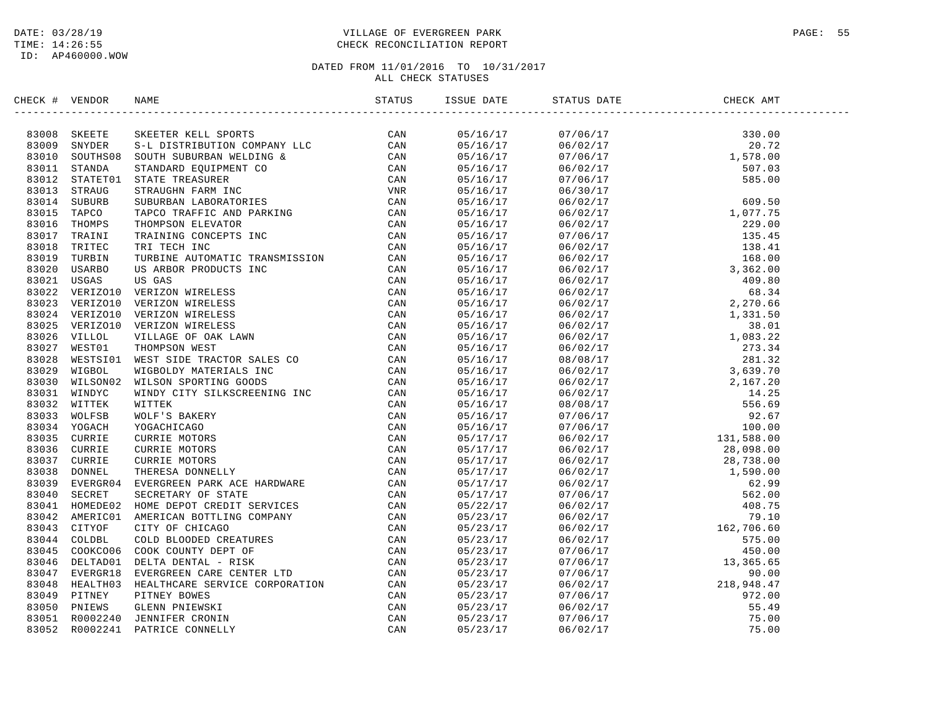## DATE: 03/28/19 PAGE: 55 TIME: 14:26:55 CHECK RECONCILIATION REPORT

| CHECK # | VENDOR       | NAME                                                                                                                                                                                                                           | ISSUE DATE           | STATUS DATE | CHECK AMT                                                                                                                                                                                                                                                                                                                                                                                                                          |  |
|---------|--------------|--------------------------------------------------------------------------------------------------------------------------------------------------------------------------------------------------------------------------------|----------------------|-------------|------------------------------------------------------------------------------------------------------------------------------------------------------------------------------------------------------------------------------------------------------------------------------------------------------------------------------------------------------------------------------------------------------------------------------------|--|
|         |              | SKEETE SKEETER KELL SPORTS CAN SNYDER S-L DISTRIBUTION COMPANY LLC CAN SOUTHS08 SOUTH SUBURBAN WELDING & CAN STANDA STANDARD EQUIPMENT CONTRAUGHT ON THE TREASURER CAN STATETOI STATE TREASURER CAN STATETOI STATE TREASURER C |                      |             | $\begin{tabular}{l c c c} \multicolumn{4}{c}{\textbf{5.66}} \multicolumn{4}{c}{\textbf{5.67}} \multicolumn{4}{c}{\textbf{6.68}} \multicolumn{4}{c}{\textbf{6.69}} \multicolumn{4}{c}{\textbf{6.69}} \multicolumn{4}{c}{\textbf{6.77}} \multicolumn{4}{c}{\textbf{6.80}} \multicolumn{4}{c}{\textbf{6.97}} \multicolumn{4}{c}{\textbf{6.98}} \multicolumn{4}{c}{\textbf{6.99}} \multicolumn{4}{c}{\textbf{6.99}} \multicolumn{4}{c$ |  |
|         | 83008 SKEETE |                                                                                                                                                                                                                                | 05/16/17<br>05/16/17 |             |                                                                                                                                                                                                                                                                                                                                                                                                                                    |  |
|         | 83009 SNYDER |                                                                                                                                                                                                                                |                      |             |                                                                                                                                                                                                                                                                                                                                                                                                                                    |  |
| 83010   |              |                                                                                                                                                                                                                                | 05/16/17<br>05/16/17 |             |                                                                                                                                                                                                                                                                                                                                                                                                                                    |  |
|         | 83011 STANDA |                                                                                                                                                                                                                                |                      |             |                                                                                                                                                                                                                                                                                                                                                                                                                                    |  |
| 83012   | 83013 STRAUG |                                                                                                                                                                                                                                | 05/16/17             |             |                                                                                                                                                                                                                                                                                                                                                                                                                                    |  |
| 83014   |              |                                                                                                                                                                                                                                | 05/16/17<br>05/16/17 |             |                                                                                                                                                                                                                                                                                                                                                                                                                                    |  |
| 83015   |              |                                                                                                                                                                                                                                |                      |             |                                                                                                                                                                                                                                                                                                                                                                                                                                    |  |
| 83016   |              |                                                                                                                                                                                                                                | 05/16/17<br>05/16/17 |             |                                                                                                                                                                                                                                                                                                                                                                                                                                    |  |
| 83017   |              |                                                                                                                                                                                                                                |                      |             |                                                                                                                                                                                                                                                                                                                                                                                                                                    |  |
| 83018   |              |                                                                                                                                                                                                                                | 05/16/17<br>05/16/17 |             |                                                                                                                                                                                                                                                                                                                                                                                                                                    |  |
|         |              |                                                                                                                                                                                                                                |                      |             |                                                                                                                                                                                                                                                                                                                                                                                                                                    |  |
|         |              |                                                                                                                                                                                                                                | 05/16/17<br>05/16/17 |             |                                                                                                                                                                                                                                                                                                                                                                                                                                    |  |
|         |              |                                                                                                                                                                                                                                | 05/16/17             |             |                                                                                                                                                                                                                                                                                                                                                                                                                                    |  |
|         |              |                                                                                                                                                                                                                                |                      |             |                                                                                                                                                                                                                                                                                                                                                                                                                                    |  |
|         |              |                                                                                                                                                                                                                                | 05/16/17<br>05/16/17 |             |                                                                                                                                                                                                                                                                                                                                                                                                                                    |  |
|         |              |                                                                                                                                                                                                                                |                      |             |                                                                                                                                                                                                                                                                                                                                                                                                                                    |  |
|         |              |                                                                                                                                                                                                                                | 05/16/17<br>05/16/17 |             |                                                                                                                                                                                                                                                                                                                                                                                                                                    |  |
|         |              |                                                                                                                                                                                                                                |                      |             |                                                                                                                                                                                                                                                                                                                                                                                                                                    |  |
|         |              |                                                                                                                                                                                                                                | 05/16/17<br>05/16/17 |             |                                                                                                                                                                                                                                                                                                                                                                                                                                    |  |
|         |              |                                                                                                                                                                                                                                | 05/16/17             |             |                                                                                                                                                                                                                                                                                                                                                                                                                                    |  |
|         |              |                                                                                                                                                                                                                                |                      |             |                                                                                                                                                                                                                                                                                                                                                                                                                                    |  |
|         |              |                                                                                                                                                                                                                                | 05/16/17<br>05/16/17 |             |                                                                                                                                                                                                                                                                                                                                                                                                                                    |  |
|         |              |                                                                                                                                                                                                                                |                      |             |                                                                                                                                                                                                                                                                                                                                                                                                                                    |  |
|         |              |                                                                                                                                                                                                                                | 05/16/17<br>05/16/17 |             |                                                                                                                                                                                                                                                                                                                                                                                                                                    |  |
|         |              |                                                                                                                                                                                                                                | 05/16/17<br>05/16/17 |             |                                                                                                                                                                                                                                                                                                                                                                                                                                    |  |
|         |              |                                                                                                                                                                                                                                |                      |             |                                                                                                                                                                                                                                                                                                                                                                                                                                    |  |
|         |              |                                                                                                                                                                                                                                | 05/17/17             |             |                                                                                                                                                                                                                                                                                                                                                                                                                                    |  |
|         |              |                                                                                                                                                                                                                                | 05/17/17<br>05/17/17 |             |                                                                                                                                                                                                                                                                                                                                                                                                                                    |  |
|         |              |                                                                                                                                                                                                                                |                      |             |                                                                                                                                                                                                                                                                                                                                                                                                                                    |  |
|         |              |                                                                                                                                                                                                                                | 05/17/17<br>05/17/17 |             |                                                                                                                                                                                                                                                                                                                                                                                                                                    |  |
|         |              |                                                                                                                                                                                                                                |                      |             |                                                                                                                                                                                                                                                                                                                                                                                                                                    |  |
|         |              |                                                                                                                                                                                                                                | 05/17/17<br>05/22/17 |             |                                                                                                                                                                                                                                                                                                                                                                                                                                    |  |
|         |              |                                                                                                                                                                                                                                |                      |             |                                                                                                                                                                                                                                                                                                                                                                                                                                    |  |
|         |              |                                                                                                                                                                                                                                | 05/23/17             |             |                                                                                                                                                                                                                                                                                                                                                                                                                                    |  |
|         |              |                                                                                                                                                                                                                                | 05/23/17             |             |                                                                                                                                                                                                                                                                                                                                                                                                                                    |  |
|         |              |                                                                                                                                                                                                                                | 05/23/17             |             |                                                                                                                                                                                                                                                                                                                                                                                                                                    |  |
|         |              |                                                                                                                                                                                                                                | 05/23/17             |             |                                                                                                                                                                                                                                                                                                                                                                                                                                    |  |
|         |              |                                                                                                                                                                                                                                | 05/23/17             |             |                                                                                                                                                                                                                                                                                                                                                                                                                                    |  |
|         |              |                                                                                                                                                                                                                                | u5/23/17<br>05/23/17 |             |                                                                                                                                                                                                                                                                                                                                                                                                                                    |  |
|         |              |                                                                                                                                                                                                                                |                      |             |                                                                                                                                                                                                                                                                                                                                                                                                                                    |  |
|         |              | 83017 TRAINI TRAINING CONCEPTS INC. CAN 83018 TRITE TRAINING CONSERVER INC. AND 3000 USRBO USRBO USRBO NOW TRITE THE SAME PRODUCTS IN A S3022 VERIZOID VERIZON VIRELESS CAN 83022 VERIZOID VERIZON VIRELESS CAN 83022 VERIZOID | 05/23/17             |             |                                                                                                                                                                                                                                                                                                                                                                                                                                    |  |
|         |              |                                                                                                                                                                                                                                | 05/23/17             |             |                                                                                                                                                                                                                                                                                                                                                                                                                                    |  |
|         |              |                                                                                                                                                                                                                                | 05/23/17             |             |                                                                                                                                                                                                                                                                                                                                                                                                                                    |  |
|         |              |                                                                                                                                                                                                                                | 05/23/17             |             |                                                                                                                                                                                                                                                                                                                                                                                                                                    |  |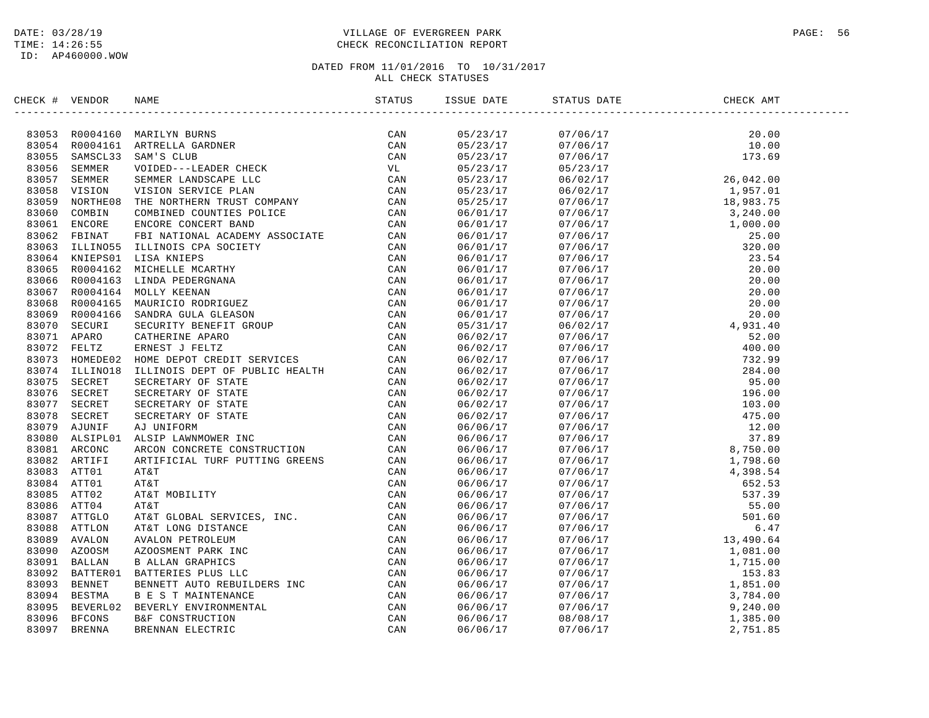## DATE: 03/28/19 PAGE: 56 PAGE: 56 PAGE: 56 PAGE: 56 PAGE: 56 PAGE: 56 PAGE: 56 PAGE: 56 TIME: 14:26:55 CHECK RECONCILIATION REPORT

| CHECK # VENDOR |                |                                                                                                                                                                                                                                | STATUS | ISSUE DATE           | STATUS DATE                                                                                                                                                                                                                                                      | CHECK AMT |  |
|----------------|----------------|--------------------------------------------------------------------------------------------------------------------------------------------------------------------------------------------------------------------------------|--------|----------------------|------------------------------------------------------------------------------------------------------------------------------------------------------------------------------------------------------------------------------------------------------------------|-----------|--|
|                |                |                                                                                                                                                                                                                                | CAN    | 05/23/17             |                                                                                                                                                                                                                                                                  |           |  |
|                |                |                                                                                                                                                                                                                                |        | 05/23/17             | $\begin{array}{ccccc} 07/06/17 & & & & 20.00 \\ 07/06/17 & & & & 10.00 \\ 07/06/17 & & & & 173.69 \\ 05/23/17 & & & & & & \end{array}$                                                                                                                           |           |  |
|                |                |                                                                                                                                                                                                                                |        | 05/23/17             |                                                                                                                                                                                                                                                                  |           |  |
|                |                |                                                                                                                                                                                                                                |        | 05/23/17             |                                                                                                                                                                                                                                                                  |           |  |
|                |                |                                                                                                                                                                                                                                |        | 05/23/17             |                                                                                                                                                                                                                                                                  |           |  |
|                |                |                                                                                                                                                                                                                                |        | 05/23/17             |                                                                                                                                                                                                                                                                  |           |  |
|                |                |                                                                                                                                                                                                                                |        | 05/25/17             |                                                                                                                                                                                                                                                                  |           |  |
|                |                |                                                                                                                                                                                                                                |        | 06/01/17             |                                                                                                                                                                                                                                                                  |           |  |
|                |                |                                                                                                                                                                                                                                |        |                      |                                                                                                                                                                                                                                                                  |           |  |
|                |                |                                                                                                                                                                                                                                |        | 06/01/17             |                                                                                                                                                                                                                                                                  |           |  |
|                |                |                                                                                                                                                                                                                                |        | 06/01/17<br>06/01/17 |                                                                                                                                                                                                                                                                  |           |  |
|                |                |                                                                                                                                                                                                                                |        |                      |                                                                                                                                                                                                                                                                  |           |  |
|                |                |                                                                                                                                                                                                                                |        | 06/01/17             |                                                                                                                                                                                                                                                                  |           |  |
|                |                |                                                                                                                                                                                                                                |        | 06/01/17             |                                                                                                                                                                                                                                                                  |           |  |
|                |                |                                                                                                                                                                                                                                |        | 06/01/17             |                                                                                                                                                                                                                                                                  |           |  |
|                |                |                                                                                                                                                                                                                                |        | 06/01/17             |                                                                                                                                                                                                                                                                  |           |  |
|                |                |                                                                                                                                                                                                                                |        | 06/01/17             |                                                                                                                                                                                                                                                                  |           |  |
|                |                |                                                                                                                                                                                                                                |        | 06/01/17             |                                                                                                                                                                                                                                                                  |           |  |
|                |                |                                                                                                                                                                                                                                |        | 05/31/17             |                                                                                                                                                                                                                                                                  |           |  |
|                |                |                                                                                                                                                                                                                                |        | 06/02/17             |                                                                                                                                                                                                                                                                  |           |  |
|                |                |                                                                                                                                                                                                                                |        | 06/02/17             |                                                                                                                                                                                                                                                                  |           |  |
|                |                |                                                                                                                                                                                                                                |        | 06/02/17             |                                                                                                                                                                                                                                                                  |           |  |
|                |                |                                                                                                                                                                                                                                |        | 06/02/17             |                                                                                                                                                                                                                                                                  |           |  |
|                |                |                                                                                                                                                                                                                                |        | 06/02/17             |                                                                                                                                                                                                                                                                  |           |  |
|                |                |                                                                                                                                                                                                                                |        | 06/02/17             |                                                                                                                                                                                                                                                                  |           |  |
|                |                |                                                                                                                                                                                                                                |        | 06/02/17             |                                                                                                                                                                                                                                                                  |           |  |
|                |                |                                                                                                                                                                                                                                |        | 06/02/17             |                                                                                                                                                                                                                                                                  |           |  |
|                |                |                                                                                                                                                                                                                                |        | 06/06/17             |                                                                                                                                                                                                                                                                  |           |  |
|                |                |                                                                                                                                                                                                                                |        | 06/06/17             |                                                                                                                                                                                                                                                                  |           |  |
|                | 83081 ARCONC   |                                                                                                                                                                                                                                |        | 06/06/17             |                                                                                                                                                                                                                                                                  |           |  |
|                | 83082 ARTIFI   |                                                                                                                                                                                                                                |        | 06/06/17             |                                                                                                                                                                                                                                                                  |           |  |
|                | 83083 ATT01    |                                                                                                                                                                                                                                |        | 06/06/17             |                                                                                                                                                                                                                                                                  |           |  |
|                | 83084 ATT01    |                                                                                                                                                                                                                                |        | 06/06/17             |                                                                                                                                                                                                                                                                  |           |  |
|                | 83085 ATT02    |                                                                                                                                                                                                                                |        | 06/06/17             |                                                                                                                                                                                                                                                                  |           |  |
|                | 83086 ATT04    |                                                                                                                                                                                                                                |        | 06/06/17             |                                                                                                                                                                                                                                                                  |           |  |
|                | 83087 ATTGLO   |                                                                                                                                                                                                                                |        | 06/06/17             |                                                                                                                                                                                                                                                                  |           |  |
|                | 83088 ATTLON   |                                                                                                                                                                                                                                |        | 06/06/17             |                                                                                                                                                                                                                                                                  |           |  |
|                | 83089 AVALON   |                                                                                                                                                                                                                                |        | 06/06/17             |                                                                                                                                                                                                                                                                  |           |  |
|                | 83090 AZOOSM   |                                                                                                                                                                                                                                |        | 06/06/17             |                                                                                                                                                                                                                                                                  |           |  |
|                | 83091 BALLAN   |                                                                                                                                                                                                                                |        | 06/06/17             |                                                                                                                                                                                                                                                                  |           |  |
|                | 83092 BATTER01 | A CAN ALSEP LAWNMOWER INC CAN ARTIFICIAL TURF PUTTING GREENS CAN ARTIFICIAL TURF PUTTING GREENS CAN ART CAN ATAT CONSTRUCTION CAN ATAT GLOBAL SERVICES, INC. CAN CAN ATAT LONG DISTANCE AVALON PETROLEUM CAN AZOOSMENT PARK IN |        | 06/06/17             | $\begin{array}{cccc} 07/06/17 & 10.00\\ 07/06/17 & 10.00\\ 07/06/17 & 12,69\\ 07/06/17 & 12,69\\ 07/06/17 & 12,87.01\\ 07/06/17 & 12,937.75\\ 07/06/17 & 12,938.75\\ 07/06/17 & 12,930.00\\ 07/06/17 & 22.0.00\\ 07/06/17 & 23.0.00\\ 07/06/17 & 20.00\\ 07/06/$ |           |  |
|                | 83093 BENNET   |                                                                                                                                                                                                                                |        | 06/06/17             |                                                                                                                                                                                                                                                                  |           |  |
|                | 83094 BESTMA   |                                                                                                                                                                                                                                |        | 06/06/17             |                                                                                                                                                                                                                                                                  |           |  |
| 83095          | BEVERL02       |                                                                                                                                                                                                                                |        | 06/06/17             |                                                                                                                                                                                                                                                                  |           |  |
|                | 83096 BFCONS   |                                                                                                                                                                                                                                |        | 06/06/17             |                                                                                                                                                                                                                                                                  |           |  |
| 83097          | <b>BRENNA</b>  |                                                                                                                                                                                                                                |        | 06/06/17             |                                                                                                                                                                                                                                                                  |           |  |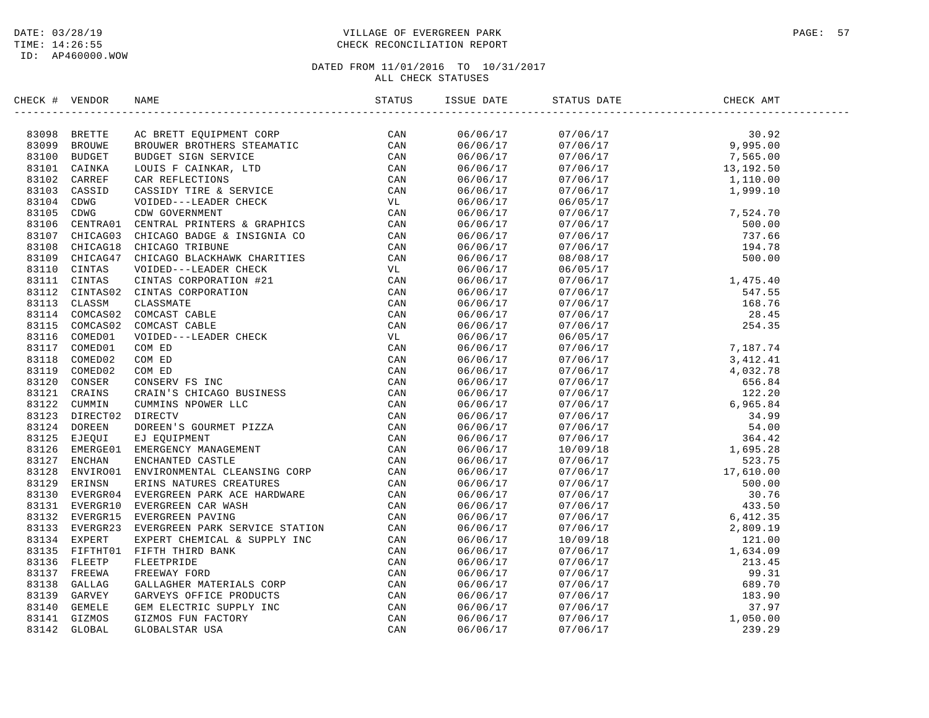# DATE: 03/28/19 PAGE: 57 TIME: 14:26:55 CHECK RECONCILIATION REPORT

| CHECK # VENDOR | NAME                                                                                                                                                                                                                          | ISSUE DATE | STATUS DATE                                                                                                                                                                                                                                                                 | CHECK AMT |  |
|----------------|-------------------------------------------------------------------------------------------------------------------------------------------------------------------------------------------------------------------------------|------------|-----------------------------------------------------------------------------------------------------------------------------------------------------------------------------------------------------------------------------------------------------------------------------|-----------|--|
|                | CR. 4 VERIDE MANIFE SIGNIFY ROBERT STANDARD IN THE SERVICE SAN 81110 DROBIN ROBERT SIGNIFY CONTROLL CLASS THE STANDARD CONTROLL CLASS THE STANDARD CONTROLL CLASS TO A 1110 CONTROLL CLASS THE CONTROLL CLASS THE CONTROLL CL | 06/06/17   |                                                                                                                                                                                                                                                                             |           |  |
|                |                                                                                                                                                                                                                               | 06/06/17   | 07/06/17<br>07/06/17<br>07/06/17<br>07/06/17<br>07/06/17<br>07/06/17<br>07/06/17<br>07/06/17<br>07/06/17<br>07/06/17<br>07/06/17<br>07/06/17<br>07/06/17<br>1,110.00<br>1,999.10                                                                                            |           |  |
|                |                                                                                                                                                                                                                               | 06/06/17   |                                                                                                                                                                                                                                                                             |           |  |
|                |                                                                                                                                                                                                                               | 06/06/17   |                                                                                                                                                                                                                                                                             |           |  |
|                |                                                                                                                                                                                                                               | 06/06/17   |                                                                                                                                                                                                                                                                             |           |  |
|                |                                                                                                                                                                                                                               | 06/06/17   |                                                                                                                                                                                                                                                                             |           |  |
|                |                                                                                                                                                                                                                               | 06/06/17   |                                                                                                                                                                                                                                                                             |           |  |
|                |                                                                                                                                                                                                                               | 06/06/17   |                                                                                                                                                                                                                                                                             |           |  |
|                |                                                                                                                                                                                                                               | 06/06/17   | $\begin{array}{cccc} 07/06/17 & 7/524.70 \\ 06/05/17 & 7/524.70 \\ 07/06/17 & 500.00 \\ 07/06/17 & 737.66 \\ 07/06/17 & 194.78 \\ 08/08/17 & 500.00 \\ 06/05/17 & 14475.48 \\ \end{array}$                                                                                  |           |  |
|                |                                                                                                                                                                                                                               | 06/06/17   |                                                                                                                                                                                                                                                                             |           |  |
|                |                                                                                                                                                                                                                               | 06/06/17   |                                                                                                                                                                                                                                                                             |           |  |
|                |                                                                                                                                                                                                                               | 06/06/17   |                                                                                                                                                                                                                                                                             |           |  |
|                |                                                                                                                                                                                                                               | 06/06/17   |                                                                                                                                                                                                                                                                             |           |  |
|                |                                                                                                                                                                                                                               |            |                                                                                                                                                                                                                                                                             |           |  |
|                |                                                                                                                                                                                                                               | 06/06/17   |                                                                                                                                                                                                                                                                             |           |  |
|                |                                                                                                                                                                                                                               | 06/06/17   |                                                                                                                                                                                                                                                                             |           |  |
|                |                                                                                                                                                                                                                               | 06/06/17   |                                                                                                                                                                                                                                                                             |           |  |
|                |                                                                                                                                                                                                                               | 06/06/17   |                                                                                                                                                                                                                                                                             |           |  |
|                |                                                                                                                                                                                                                               | 06/06/17   |                                                                                                                                                                                                                                                                             |           |  |
|                |                                                                                                                                                                                                                               | 06/06/17   |                                                                                                                                                                                                                                                                             |           |  |
|                |                                                                                                                                                                                                                               | 06/06/17   |                                                                                                                                                                                                                                                                             |           |  |
|                |                                                                                                                                                                                                                               | 06/06/17   |                                                                                                                                                                                                                                                                             |           |  |
|                |                                                                                                                                                                                                                               | 06/06/17   |                                                                                                                                                                                                                                                                             |           |  |
|                |                                                                                                                                                                                                                               | 06/06/17   |                                                                                                                                                                                                                                                                             |           |  |
|                |                                                                                                                                                                                                                               | 06/06/17   |                                                                                                                                                                                                                                                                             |           |  |
|                |                                                                                                                                                                                                                               | 06/06/17   |                                                                                                                                                                                                                                                                             |           |  |
|                |                                                                                                                                                                                                                               | 06/06/17   |                                                                                                                                                                                                                                                                             |           |  |
|                |                                                                                                                                                                                                                               | 06/06/17   |                                                                                                                                                                                                                                                                             |           |  |
|                |                                                                                                                                                                                                                               | 06/06/17   |                                                                                                                                                                                                                                                                             |           |  |
|                |                                                                                                                                                                                                                               | 06/06/17   |                                                                                                                                                                                                                                                                             |           |  |
|                |                                                                                                                                                                                                                               | 06/06/17   |                                                                                                                                                                                                                                                                             |           |  |
|                |                                                                                                                                                                                                                               | 06/06/17   |                                                                                                                                                                                                                                                                             |           |  |
|                |                                                                                                                                                                                                                               | 06/06/17   |                                                                                                                                                                                                                                                                             |           |  |
|                |                                                                                                                                                                                                                               | 06/06/17   |                                                                                                                                                                                                                                                                             |           |  |
|                |                                                                                                                                                                                                                               | 06/06/17   |                                                                                                                                                                                                                                                                             |           |  |
|                |                                                                                                                                                                                                                               | 06/06/17   |                                                                                                                                                                                                                                                                             |           |  |
|                |                                                                                                                                                                                                                               | 06/06/17   |                                                                                                                                                                                                                                                                             |           |  |
|                |                                                                                                                                                                                                                               | 06/06/17   |                                                                                                                                                                                                                                                                             |           |  |
|                |                                                                                                                                                                                                                               | 06/06/17   |                                                                                                                                                                                                                                                                             |           |  |
|                |                                                                                                                                                                                                                               | 06/06/17   |                                                                                                                                                                                                                                                                             |           |  |
|                |                                                                                                                                                                                                                               | 06/06/17   |                                                                                                                                                                                                                                                                             |           |  |
|                |                                                                                                                                                                                                                               | 06/06/17   |                                                                                                                                                                                                                                                                             |           |  |
|                |                                                                                                                                                                                                                               | 06/06/17   | $\begin{array}{cccc} 08/08/17 & 500.00 \\ 06/05/17 & 1,475.40 \\ 07/06/17 & 1,475.40 \\ 07/06/17 & 168.76 \\ 07/06/17 & 28.435 \\ 07/06/17 & 28.435 \\ 07/06/17 & 7,187.74 \\ 07/06/17 & 7,187.74 \\ 07/06/17 & 3,412.41 \\ 07/06/17 & 4,032.78 \\ 07/06/17 & 122.20 \\ 07$ |           |  |
|                |                                                                                                                                                                                                                               | 06/06/17   |                                                                                                                                                                                                                                                                             |           |  |
|                |                                                                                                                                                                                                                               | 06/06/17   |                                                                                                                                                                                                                                                                             |           |  |
|                |                                                                                                                                                                                                                               | 06/06/17   |                                                                                                                                                                                                                                                                             |           |  |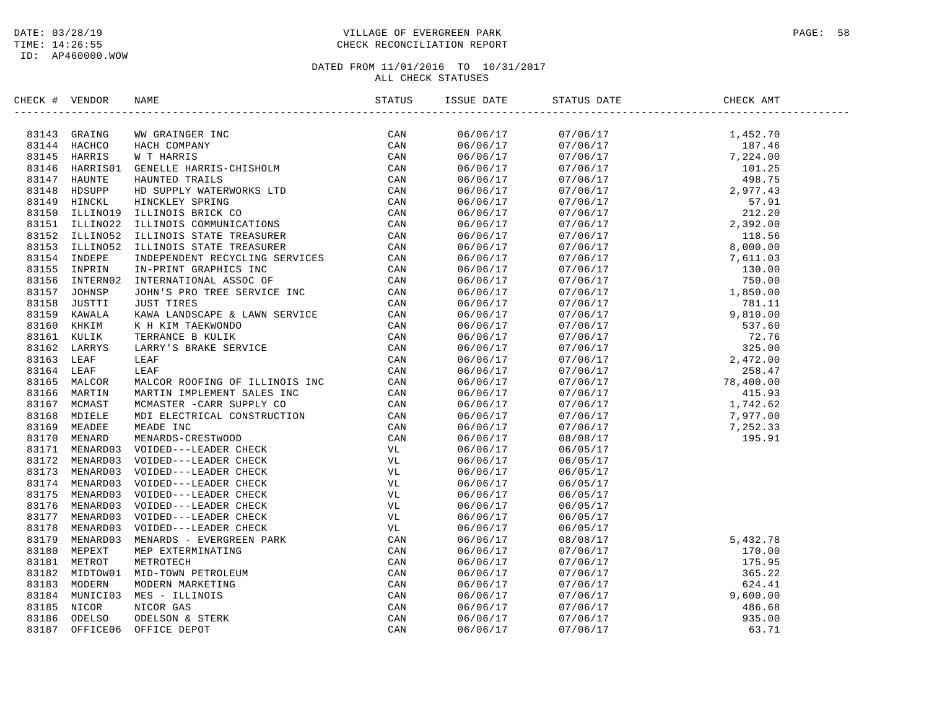# DATE: 03/28/19 PAGE: 58 PAGE: 58 TIME: 14:26:55 CHECK RECONCILIATION REPORT

| CHECK # VENDOR |                               |                                                                                                                                                                                                                                                          | STATUS | ISSUE DATE           | STATUS DATE                                                                                                                                                                                                                                                                         | CHECK AMT |  |
|----------------|-------------------------------|----------------------------------------------------------------------------------------------------------------------------------------------------------------------------------------------------------------------------------------------------------|--------|----------------------|-------------------------------------------------------------------------------------------------------------------------------------------------------------------------------------------------------------------------------------------------------------------------------------|-----------|--|
|                | 83143 GRAING                  | WW GRAINGER INC<br>HACH COMPANY<br>WE THARRIS<br>CAN<br>WE THARRIS-CHISHOLM<br>HAWNTED TRAILS<br>HAWNTED TRAILS<br>HE MOUPELY WATERWORKS LTD<br>CAN<br>HINCKLEY SPRING<br>ILLINOIS BRICK CO<br>ILLINOIS STATE TREASURER<br>ILLINOIS STATE TREASURER<br>I |        | 06/06/17             |                                                                                                                                                                                                                                                                                     |           |  |
|                | 83144 HACHCO                  |                                                                                                                                                                                                                                                          |        | 06/06/17             |                                                                                                                                                                                                                                                                                     |           |  |
|                | 83145 HARRIS                  |                                                                                                                                                                                                                                                          |        | 06/06/17             |                                                                                                                                                                                                                                                                                     |           |  |
| 83146          | HARRIS01                      |                                                                                                                                                                                                                                                          |        | 06/06/17             |                                                                                                                                                                                                                                                                                     |           |  |
|                | 83147 HAUNTE                  |                                                                                                                                                                                                                                                          |        | 06/06/17             |                                                                                                                                                                                                                                                                                     |           |  |
|                | 83148 HDSUPP                  |                                                                                                                                                                                                                                                          |        | 06/06/17             |                                                                                                                                                                                                                                                                                     |           |  |
|                | 83149 HINCKL                  |                                                                                                                                                                                                                                                          |        | 06/06/17             |                                                                                                                                                                                                                                                                                     |           |  |
|                | 83150 ILLINO19                |                                                                                                                                                                                                                                                          |        | 06/06/17             |                                                                                                                                                                                                                                                                                     |           |  |
|                | 83151 ILLINO22                |                                                                                                                                                                                                                                                          |        | 06/06/17             |                                                                                                                                                                                                                                                                                     |           |  |
|                | 83152 ILLINO52                |                                                                                                                                                                                                                                                          |        | 06/06/17             |                                                                                                                                                                                                                                                                                     |           |  |
|                | 83153 ILLINO52                |                                                                                                                                                                                                                                                          |        | 06/06/17             |                                                                                                                                                                                                                                                                                     |           |  |
|                | 83154 INDEPE                  |                                                                                                                                                                                                                                                          |        | 06/06/17             | $\begin{array}{cccc} 07/06/17 & 8\, , 000\, .00 \\ 07/06/17 & 7\, , 611\, .03 \\ 07/06/17 & 130\, .00 \\ 07/06/17 & 750\, .00 \\ 07/06/17 & 1,850\, .00 \\ 07/06/17 & 9\, , 81\, .11 \\ 07/06/17 & 9\, , 81\, .10 \\ 07/06/17 & 781\, .11 \\ 07/06/17 & 72\, .76 \\ 07/06/17 & 325$ |           |  |
|                | 83155 INPRIN                  |                                                                                                                                                                                                                                                          |        | 06/06/17             |                                                                                                                                                                                                                                                                                     |           |  |
|                | 83156 INTERN02                |                                                                                                                                                                                                                                                          |        | 06/06/17             |                                                                                                                                                                                                                                                                                     |           |  |
|                | 83157 JOHNSP                  |                                                                                                                                                                                                                                                          |        | 06/06/17             |                                                                                                                                                                                                                                                                                     |           |  |
|                | 83158 JUSTTI                  |                                                                                                                                                                                                                                                          | CAN    | 06/06/17             |                                                                                                                                                                                                                                                                                     |           |  |
|                | 83159 KAWALA                  |                                                                                                                                                                                                                                                          | CAN    | 06/06/17             |                                                                                                                                                                                                                                                                                     |           |  |
|                | 83160 KHKIM                   | JUST TIRES<br>KAWA LANDSCAPE & LAWN SERVICE<br>K H KIM TAEKWONDO<br>TERRANCE B KULIK<br>LARRY'S BRAKE SERVICE<br>LEAF<br>LEAF                                                                                                                            | CAN    | 06/06/17             |                                                                                                                                                                                                                                                                                     |           |  |
|                | 83161 KULIK                   |                                                                                                                                                                                                                                                          | CAN    | 06/06/17             |                                                                                                                                                                                                                                                                                     |           |  |
|                | 83162 LARRYS                  |                                                                                                                                                                                                                                                          | CAN    | 06/06/17             |                                                                                                                                                                                                                                                                                     |           |  |
| 83163 LEAF     |                               |                                                                                                                                                                                                                                                          | CAN    | 06/06/17             |                                                                                                                                                                                                                                                                                     |           |  |
| 83164 LEAF     |                               |                                                                                                                                                                                                                                                          |        | 06/06/17             |                                                                                                                                                                                                                                                                                     |           |  |
|                | 83165 MALCOR                  |                                                                                                                                                                                                                                                          |        | 06/06/17             |                                                                                                                                                                                                                                                                                     |           |  |
|                | 83166 MARTIN                  |                                                                                                                                                                                                                                                          |        | 06/06/17             |                                                                                                                                                                                                                                                                                     |           |  |
|                | 83167 MCMAST                  |                                                                                                                                                                                                                                                          |        | 06/06/17             |                                                                                                                                                                                                                                                                                     |           |  |
|                | 83168 MDIELE                  |                                                                                                                                                                                                                                                          |        | 06/06/17             |                                                                                                                                                                                                                                                                                     |           |  |
|                | 83169 MEADEE                  |                                                                                                                                                                                                                                                          |        | 06/06/17             |                                                                                                                                                                                                                                                                                     |           |  |
|                | 83170 MENARD                  |                                                                                                                                                                                                                                                          |        | 06/06/17             |                                                                                                                                                                                                                                                                                     |           |  |
|                | 83171 MENARD03                |                                                                                                                                                                                                                                                          |        | 06/06/17             | 06/05/17                                                                                                                                                                                                                                                                            |           |  |
|                | 83172 MENARD03                |                                                                                                                                                                                                                                                          |        | 06/06/17             | 06/05/17                                                                                                                                                                                                                                                                            |           |  |
|                | 83173 MENARD03                |                                                                                                                                                                                                                                                          |        | 06/06/17             | 06/05/17                                                                                                                                                                                                                                                                            |           |  |
|                | 83174 MENARD03                |                                                                                                                                                                                                                                                          |        | 06/06/17             | 06/05/17                                                                                                                                                                                                                                                                            |           |  |
|                | 83175 MENARD03                |                                                                                                                                                                                                                                                          |        | 06/06/17             | 06/05/17                                                                                                                                                                                                                                                                            |           |  |
| 83176          | MENARD03                      |                                                                                                                                                                                                                                                          |        | 06/06/17             | 06/05/17                                                                                                                                                                                                                                                                            |           |  |
|                | 83177 MENARD03                |                                                                                                                                                                                                                                                          |        | 06/06/17             | 06/05/17                                                                                                                                                                                                                                                                            |           |  |
| 83178          | MENARD03                      |                                                                                                                                                                                                                                                          |        | 06/06/17             | 06/05/17                                                                                                                                                                                                                                                                            |           |  |
|                | 83179 MENARD03                |                                                                                                                                                                                                                                                          |        | 06/06/17             | 08/08/17                                                                                                                                                                                                                                                                            | 5,432.78  |  |
|                | 83180 MEPEXT                  |                                                                                                                                                                                                                                                          |        | 06/06/17             | 07/06/17                                                                                                                                                                                                                                                                            | 170.00    |  |
|                | 83181 METROT                  |                                                                                                                                                                                                                                                          |        | 06/06/17             | 07/06/17                                                                                                                                                                                                                                                                            | 175.95    |  |
|                | 83182 MIDTOW01                |                                                                                                                                                                                                                                                          |        | 06/06/17             |                                                                                                                                                                                                                                                                                     | 365.22    |  |
|                | 83183 MODERN                  |                                                                                                                                                                                                                                                          |        |                      |                                                                                                                                                                                                                                                                                     | 624.41    |  |
|                |                               | LEAF CHANGE CHAIN CAN MACCOR ROOFING OF ILLINOIS INC CAN MARTIN IMPLEMENT SALES INC CAN MARTIN IMPLEMENT SALES INC CAN MENARDS -CRESTWOOD CAN MENARDS -CRESTWOOD CAN MENARDS -CRESTWOOD CAN MENARDS -CRESTWOOD CAN VUL<br>VOIDED-                        |        | 06/06/17             | $\begin{array}{l} 07/06/17\\ 07/06/17\\ 07/06/17\\ 07/06/17\\ 07/06/17\\ 07/06/17\\ 07/06/17\\ 07/06/17\\ \end{array}$                                                                                                                                                              | 9,600.00  |  |
|                | 83184 MUNICI03<br>83185 NICOR |                                                                                                                                                                                                                                                          |        | 06/06/17<br>06/06/17 |                                                                                                                                                                                                                                                                                     | 486.68    |  |
|                |                               |                                                                                                                                                                                                                                                          |        |                      |                                                                                                                                                                                                                                                                                     |           |  |
|                | 83186 ODELSO                  |                                                                                                                                                                                                                                                          |        | 06/06/17             |                                                                                                                                                                                                                                                                                     | 935.00    |  |
| 83187          | OFFICE06                      |                                                                                                                                                                                                                                                          |        | 06/06/17             |                                                                                                                                                                                                                                                                                     | 63.71     |  |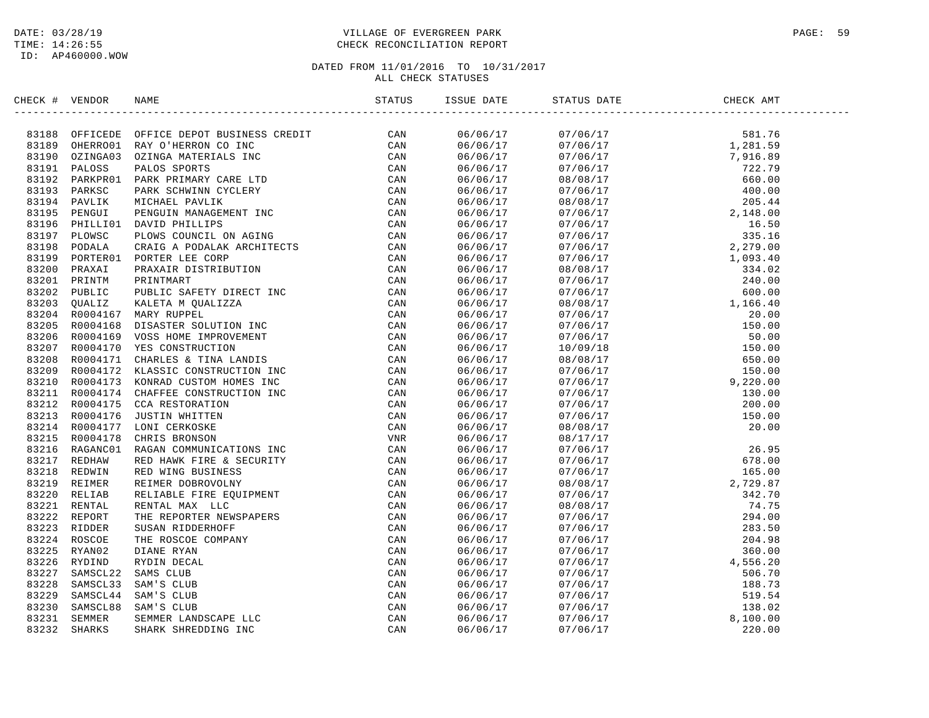## DATE: 03/28/19 PAGE: 59 PAGE: 59 TIME: 14:26:55 CHECK RECONCILIATION REPORT

| CHECK # VENDOR |                                                                                                                                                                                                                                     | ISSUE DATE           | STATUS DATE                                                                                                                                                                                                                                                                                       | CHECK AMT |  |
|----------------|-------------------------------------------------------------------------------------------------------------------------------------------------------------------------------------------------------------------------------------|----------------------|---------------------------------------------------------------------------------------------------------------------------------------------------------------------------------------------------------------------------------------------------------------------------------------------------|-----------|--|
|                | <b>ERCR 1 VERDOR NAME SERVITE SPOND RESERVE SERVIT SERVIT AND SERVIT AND SERVIT AND SERVIT AND SERVIT AND SERVIT AND SERVIT AND SERVIT AND SERVIT AND SERVIT AND SERVIT AND SERVIT AND SERVIT AND SERVIT AND SERVIT AND SERVIT </b> | 06/06/17             | $\begin{tabular}{l c c c} $0.706/17$ & $51.76$ \\[-2mm] $0.706/17$ & $51.76$ \\[-2mm] $0.706/17$ & $1.281.59$ \\[-2mm] $0.706/17$ & $1.281.59$ \\[-2mm] $0.706/17$ & $7.916.89$ \\[-2mm] $0.706/17$ & $7.916.89$ \\[-2mm] $0.706/17$ & $7.916.89$ \\[-2mm] $0.706/17$ & $2.79$ \\[-2mm] $0.706/1$ |           |  |
|                |                                                                                                                                                                                                                                     | 06/06/17             |                                                                                                                                                                                                                                                                                                   |           |  |
|                |                                                                                                                                                                                                                                     | 06/06/17             |                                                                                                                                                                                                                                                                                                   |           |  |
|                |                                                                                                                                                                                                                                     | 06/06/17             |                                                                                                                                                                                                                                                                                                   |           |  |
|                |                                                                                                                                                                                                                                     | 06/06/17             |                                                                                                                                                                                                                                                                                                   |           |  |
|                |                                                                                                                                                                                                                                     | 06/06/17             |                                                                                                                                                                                                                                                                                                   |           |  |
|                |                                                                                                                                                                                                                                     | 06/06/17             |                                                                                                                                                                                                                                                                                                   |           |  |
|                |                                                                                                                                                                                                                                     | 06/06/17             |                                                                                                                                                                                                                                                                                                   |           |  |
|                |                                                                                                                                                                                                                                     | 06/06/17             |                                                                                                                                                                                                                                                                                                   |           |  |
|                |                                                                                                                                                                                                                                     | 06/06/17             |                                                                                                                                                                                                                                                                                                   |           |  |
|                |                                                                                                                                                                                                                                     | 06/06/17             |                                                                                                                                                                                                                                                                                                   |           |  |
|                |                                                                                                                                                                                                                                     | 06/06/17             |                                                                                                                                                                                                                                                                                                   |           |  |
|                |                                                                                                                                                                                                                                     | 06/06/17             |                                                                                                                                                                                                                                                                                                   |           |  |
|                |                                                                                                                                                                                                                                     | 06/06/17             |                                                                                                                                                                                                                                                                                                   |           |  |
|                |                                                                                                                                                                                                                                     | 06/06/17             |                                                                                                                                                                                                                                                                                                   |           |  |
|                |                                                                                                                                                                                                                                     | 06/06/17             |                                                                                                                                                                                                                                                                                                   |           |  |
|                |                                                                                                                                                                                                                                     | 06/06/17             |                                                                                                                                                                                                                                                                                                   |           |  |
|                |                                                                                                                                                                                                                                     | 06/06/17             |                                                                                                                                                                                                                                                                                                   |           |  |
|                |                                                                                                                                                                                                                                     | 06/06/17             |                                                                                                                                                                                                                                                                                                   |           |  |
|                |                                                                                                                                                                                                                                     |                      |                                                                                                                                                                                                                                                                                                   |           |  |
|                |                                                                                                                                                                                                                                     | 06/06/17<br>06/06/17 |                                                                                                                                                                                                                                                                                                   |           |  |
|                |                                                                                                                                                                                                                                     |                      |                                                                                                                                                                                                                                                                                                   |           |  |
|                |                                                                                                                                                                                                                                     | 06/06/17<br>06/06/17 |                                                                                                                                                                                                                                                                                                   |           |  |
|                |                                                                                                                                                                                                                                     |                      |                                                                                                                                                                                                                                                                                                   |           |  |
|                |                                                                                                                                                                                                                                     | 06/06/17             |                                                                                                                                                                                                                                                                                                   |           |  |
|                |                                                                                                                                                                                                                                     | 06/06/17             |                                                                                                                                                                                                                                                                                                   |           |  |
|                |                                                                                                                                                                                                                                     | 06/06/17             |                                                                                                                                                                                                                                                                                                   |           |  |
|                |                                                                                                                                                                                                                                     | 06/06/17             |                                                                                                                                                                                                                                                                                                   |           |  |
|                |                                                                                                                                                                                                                                     | 06/06/17             |                                                                                                                                                                                                                                                                                                   |           |  |
|                |                                                                                                                                                                                                                                     | 06/06/17             |                                                                                                                                                                                                                                                                                                   |           |  |
|                |                                                                                                                                                                                                                                     | 06/06/17             |                                                                                                                                                                                                                                                                                                   |           |  |
|                |                                                                                                                                                                                                                                     | 06/06/17             |                                                                                                                                                                                                                                                                                                   |           |  |
|                |                                                                                                                                                                                                                                     | 06/06/17             |                                                                                                                                                                                                                                                                                                   |           |  |
|                |                                                                                                                                                                                                                                     | 06/06/17             |                                                                                                                                                                                                                                                                                                   |           |  |
|                |                                                                                                                                                                                                                                     | 06/06/17             |                                                                                                                                                                                                                                                                                                   |           |  |
|                |                                                                                                                                                                                                                                     | 06/06/17             |                                                                                                                                                                                                                                                                                                   |           |  |
|                |                                                                                                                                                                                                                                     | 06/06/17             |                                                                                                                                                                                                                                                                                                   |           |  |
|                |                                                                                                                                                                                                                                     | 06/06/17             |                                                                                                                                                                                                                                                                                                   |           |  |
|                |                                                                                                                                                                                                                                     | 06/06/17             |                                                                                                                                                                                                                                                                                                   |           |  |
|                |                                                                                                                                                                                                                                     | 06/06/17             |                                                                                                                                                                                                                                                                                                   |           |  |
|                |                                                                                                                                                                                                                                     | 06/06/17             |                                                                                                                                                                                                                                                                                                   |           |  |
|                |                                                                                                                                                                                                                                     | 06/06/17             |                                                                                                                                                                                                                                                                                                   |           |  |
|                |                                                                                                                                                                                                                                     | 06/06/17             |                                                                                                                                                                                                                                                                                                   |           |  |
|                |                                                                                                                                                                                                                                     | 06/06/17             |                                                                                                                                                                                                                                                                                                   |           |  |
|                |                                                                                                                                                                                                                                     | 06/06/17             |                                                                                                                                                                                                                                                                                                   |           |  |
|                |                                                                                                                                                                                                                                     | 06/06/17             |                                                                                                                                                                                                                                                                                                   |           |  |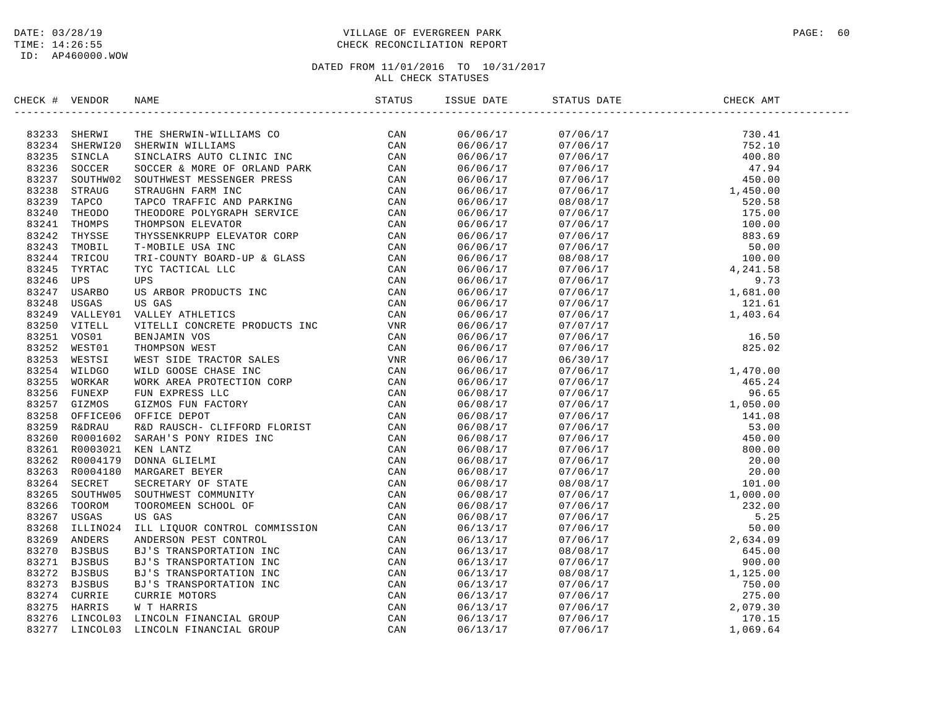## DATE: 03/28/19 PAGE: 60 PAGE: 60 PAGE: 60 PAGE: 60 PAGE: 60 PAGE: 60 PAGE: 60 PAGE: 60 PAGE: 60 PAGE: 60 PAGE: 60 PAGE: 60 PAGE: 60 PAGE: 60 PAGE: 60 PAGE: 60 PAGE: 60 PAGE: 60 PAGE: 60 PAGE: 60 PAGE: 60 PAGE: 60 PAGE: 60 TIME: 14:26:55 CHECK RECONCILIATION REPORT

| AMERICAN INCREASE IN THE SERVICE SERVICE CAN ARREST BY A STRENGTS IN THE SAME ON THE SERVICE IN A SUCCE AND SUCCES A MORE OF PAIR CONTROLL TO THE SAME THAN THE SERVICE THAT IN THE SAME THAN THE SAME THAN THE SAME THAT IN T<br>$\begin{tabular}{@{}c@{}}\n  07/06/17 & 730.41 \\  07/06/17 & 752.10 \\  07/06/17 & 400.80 \\  07/06/17 & 450.00 \\  07/06/17 & 450.00 \\  08/08/17 & 1,450.00 \\  07/06/17 & 100.00 \\  07/06/17 & 100.00 \\  07/06/17 & 50.00 \\  07/06/17 & 50.00 \\  07/06/17 & 50.0$<br>83233 SHERWI<br>06/06/17<br>83234 SHERWI20<br>06/06/17<br>83235 SINCLA<br>06/06/17<br>83236<br>SOCCER<br>06/06/17<br>83237<br>SOUTHW02<br>06/06/17<br>83238<br>STRAUG<br>06/06/17<br>83239 TAPCO<br>06/06/17<br>83240<br>THEODO<br>06/06/17<br>83241<br>THOMPS<br>06/06/17<br>83242 THYSSE<br>06/06/17<br>83243<br>TMOBIL<br>06/06/17<br>83244 TRICOU<br>06/06/17<br>83245<br>TYRTAC<br>06/06/17<br>83246<br>UPS<br>06/06/17<br>83247<br>USARBO<br>06/06/17<br>83248<br>USGAS<br>06/06/17<br>83249<br>VALLEY01<br>06/06/17<br>83250<br>VITELL<br>06/06/17<br>83251<br>VOS01<br>06/06/17<br>83252<br>WEST01<br>06/06/17<br>83253 WESTSI<br>06/06/17<br>06/30/17<br>1,470.00<br>465.24<br>96.65<br>83254<br>WILDGO<br>06/06/17<br>07/06/17<br>83255<br>WORKAR<br>06/06/17<br>07/06/17<br>83256 FUNEXP<br>07/06/17<br>06/08/17<br>$\begin{array}{cccc} 07/06/17 & 96.65\\ 07/06/17 & 1,050.00\\ 07/06/17 & 141.08\\ 07/06/17 & 53.00\\ 07/06/17 & 450.00\\ 07/06/17 & 20.00\\ 07/06/17 & 20.00\\ 07/06/17 & 20.00\\ 07/06/17 & 1,000.00\\ 07/06/17 & 1,000.00\\ 07/06/17 & 5,232.00\\ 07/06/17 & 5$<br>83257 GIZMOS<br>06/08/17<br>83258<br>OFFICE06<br>06/08/17<br>83259<br>R&DRAU<br>06/08/17<br>83260 R0001602<br>06/08/17<br>83261<br>R0003021<br>06/08/17<br>83262 R0004179<br>06/08/17<br>83263 R0004180<br>06/08/17<br>83264 SECRET<br>06/08/17<br>83265<br>SOUTHW05<br>06/08/17<br>83266<br>TOOROM<br>06/08/17<br>83267<br>USGAS<br>06/08/17<br>ILLINO24<br>83268<br>06/13/17<br>83269 ANDERS<br>06/13/17<br><b>BJSBUS</b><br>83270<br>06/13/17<br>83271 BJSBUS<br>06/13/17<br>83272<br>BJSBUS<br>06/13/17<br>83273 BJSBUS<br>06/13/17<br>83274 CURRIE<br>06/13/17<br>83275<br>HARRIS<br>06/13/17<br>83276<br>LINCOL03<br>06/13/17 | CHECK # VENDOR |          | <b>NAME</b> | STATUS | ISSUE DATE | STATUS DATE | CHECK AMT |  |
|--------------------------------------------------------------------------------------------------------------------------------------------------------------------------------------------------------------------------------------------------------------------------------------------------------------------------------------------------------------------------------------------------------------------------------------------------------------------------------------------------------------------------------------------------------------------------------------------------------------------------------------------------------------------------------------------------------------------------------------------------------------------------------------------------------------------------------------------------------------------------------------------------------------------------------------------------------------------------------------------------------------------------------------------------------------------------------------------------------------------------------------------------------------------------------------------------------------------------------------------------------------------------------------------------------------------------------------------------------------------------------------------------------------------------------------------------------------------------------------------------------------------------------------------------------------------------------------------------------------------------------------------------------------------------------------------------------------------------------------------------------------------------------------------------------------------------------------------------------------------------------------------------------------------------------------------------------------------------------------------------------------------------------------------------------------------------------------------------------------------------------------------------------------------------------------------------------------------------------------------------------|----------------|----------|-------------|--------|------------|-------------|-----------|--|
|                                                                                                                                                                                                                                                                                                                                                                                                                                                                                                                                                                                                                                                                                                                                                                                                                                                                                                                                                                                                                                                                                                                                                                                                                                                                                                                                                                                                                                                                                                                                                                                                                                                                                                                                                                                                                                                                                                                                                                                                                                                                                                                                                                                                                                                        |                |          |             |        |            |             |           |  |
|                                                                                                                                                                                                                                                                                                                                                                                                                                                                                                                                                                                                                                                                                                                                                                                                                                                                                                                                                                                                                                                                                                                                                                                                                                                                                                                                                                                                                                                                                                                                                                                                                                                                                                                                                                                                                                                                                                                                                                                                                                                                                                                                                                                                                                                        |                |          |             |        |            |             |           |  |
|                                                                                                                                                                                                                                                                                                                                                                                                                                                                                                                                                                                                                                                                                                                                                                                                                                                                                                                                                                                                                                                                                                                                                                                                                                                                                                                                                                                                                                                                                                                                                                                                                                                                                                                                                                                                                                                                                                                                                                                                                                                                                                                                                                                                                                                        |                |          |             |        |            |             |           |  |
|                                                                                                                                                                                                                                                                                                                                                                                                                                                                                                                                                                                                                                                                                                                                                                                                                                                                                                                                                                                                                                                                                                                                                                                                                                                                                                                                                                                                                                                                                                                                                                                                                                                                                                                                                                                                                                                                                                                                                                                                                                                                                                                                                                                                                                                        |                |          |             |        |            |             |           |  |
|                                                                                                                                                                                                                                                                                                                                                                                                                                                                                                                                                                                                                                                                                                                                                                                                                                                                                                                                                                                                                                                                                                                                                                                                                                                                                                                                                                                                                                                                                                                                                                                                                                                                                                                                                                                                                                                                                                                                                                                                                                                                                                                                                                                                                                                        |                |          |             |        |            |             |           |  |
|                                                                                                                                                                                                                                                                                                                                                                                                                                                                                                                                                                                                                                                                                                                                                                                                                                                                                                                                                                                                                                                                                                                                                                                                                                                                                                                                                                                                                                                                                                                                                                                                                                                                                                                                                                                                                                                                                                                                                                                                                                                                                                                                                                                                                                                        |                |          |             |        |            |             |           |  |
|                                                                                                                                                                                                                                                                                                                                                                                                                                                                                                                                                                                                                                                                                                                                                                                                                                                                                                                                                                                                                                                                                                                                                                                                                                                                                                                                                                                                                                                                                                                                                                                                                                                                                                                                                                                                                                                                                                                                                                                                                                                                                                                                                                                                                                                        |                |          |             |        |            |             |           |  |
|                                                                                                                                                                                                                                                                                                                                                                                                                                                                                                                                                                                                                                                                                                                                                                                                                                                                                                                                                                                                                                                                                                                                                                                                                                                                                                                                                                                                                                                                                                                                                                                                                                                                                                                                                                                                                                                                                                                                                                                                                                                                                                                                                                                                                                                        |                |          |             |        |            |             |           |  |
|                                                                                                                                                                                                                                                                                                                                                                                                                                                                                                                                                                                                                                                                                                                                                                                                                                                                                                                                                                                                                                                                                                                                                                                                                                                                                                                                                                                                                                                                                                                                                                                                                                                                                                                                                                                                                                                                                                                                                                                                                                                                                                                                                                                                                                                        |                |          |             |        |            |             |           |  |
|                                                                                                                                                                                                                                                                                                                                                                                                                                                                                                                                                                                                                                                                                                                                                                                                                                                                                                                                                                                                                                                                                                                                                                                                                                                                                                                                                                                                                                                                                                                                                                                                                                                                                                                                                                                                                                                                                                                                                                                                                                                                                                                                                                                                                                                        |                |          |             |        |            |             |           |  |
|                                                                                                                                                                                                                                                                                                                                                                                                                                                                                                                                                                                                                                                                                                                                                                                                                                                                                                                                                                                                                                                                                                                                                                                                                                                                                                                                                                                                                                                                                                                                                                                                                                                                                                                                                                                                                                                                                                                                                                                                                                                                                                                                                                                                                                                        |                |          |             |        |            |             |           |  |
|                                                                                                                                                                                                                                                                                                                                                                                                                                                                                                                                                                                                                                                                                                                                                                                                                                                                                                                                                                                                                                                                                                                                                                                                                                                                                                                                                                                                                                                                                                                                                                                                                                                                                                                                                                                                                                                                                                                                                                                                                                                                                                                                                                                                                                                        |                |          |             |        |            |             |           |  |
|                                                                                                                                                                                                                                                                                                                                                                                                                                                                                                                                                                                                                                                                                                                                                                                                                                                                                                                                                                                                                                                                                                                                                                                                                                                                                                                                                                                                                                                                                                                                                                                                                                                                                                                                                                                                                                                                                                                                                                                                                                                                                                                                                                                                                                                        |                |          |             |        |            |             |           |  |
|                                                                                                                                                                                                                                                                                                                                                                                                                                                                                                                                                                                                                                                                                                                                                                                                                                                                                                                                                                                                                                                                                                                                                                                                                                                                                                                                                                                                                                                                                                                                                                                                                                                                                                                                                                                                                                                                                                                                                                                                                                                                                                                                                                                                                                                        |                |          |             |        |            |             |           |  |
|                                                                                                                                                                                                                                                                                                                                                                                                                                                                                                                                                                                                                                                                                                                                                                                                                                                                                                                                                                                                                                                                                                                                                                                                                                                                                                                                                                                                                                                                                                                                                                                                                                                                                                                                                                                                                                                                                                                                                                                                                                                                                                                                                                                                                                                        |                |          |             |        |            |             |           |  |
|                                                                                                                                                                                                                                                                                                                                                                                                                                                                                                                                                                                                                                                                                                                                                                                                                                                                                                                                                                                                                                                                                                                                                                                                                                                                                                                                                                                                                                                                                                                                                                                                                                                                                                                                                                                                                                                                                                                                                                                                                                                                                                                                                                                                                                                        |                |          |             |        |            |             |           |  |
|                                                                                                                                                                                                                                                                                                                                                                                                                                                                                                                                                                                                                                                                                                                                                                                                                                                                                                                                                                                                                                                                                                                                                                                                                                                                                                                                                                                                                                                                                                                                                                                                                                                                                                                                                                                                                                                                                                                                                                                                                                                                                                                                                                                                                                                        |                |          |             |        |            |             |           |  |
|                                                                                                                                                                                                                                                                                                                                                                                                                                                                                                                                                                                                                                                                                                                                                                                                                                                                                                                                                                                                                                                                                                                                                                                                                                                                                                                                                                                                                                                                                                                                                                                                                                                                                                                                                                                                                                                                                                                                                                                                                                                                                                                                                                                                                                                        |                |          |             |        |            |             |           |  |
|                                                                                                                                                                                                                                                                                                                                                                                                                                                                                                                                                                                                                                                                                                                                                                                                                                                                                                                                                                                                                                                                                                                                                                                                                                                                                                                                                                                                                                                                                                                                                                                                                                                                                                                                                                                                                                                                                                                                                                                                                                                                                                                                                                                                                                                        |                |          |             |        |            |             |           |  |
|                                                                                                                                                                                                                                                                                                                                                                                                                                                                                                                                                                                                                                                                                                                                                                                                                                                                                                                                                                                                                                                                                                                                                                                                                                                                                                                                                                                                                                                                                                                                                                                                                                                                                                                                                                                                                                                                                                                                                                                                                                                                                                                                                                                                                                                        |                |          |             |        |            |             |           |  |
|                                                                                                                                                                                                                                                                                                                                                                                                                                                                                                                                                                                                                                                                                                                                                                                                                                                                                                                                                                                                                                                                                                                                                                                                                                                                                                                                                                                                                                                                                                                                                                                                                                                                                                                                                                                                                                                                                                                                                                                                                                                                                                                                                                                                                                                        |                |          |             |        |            |             |           |  |
|                                                                                                                                                                                                                                                                                                                                                                                                                                                                                                                                                                                                                                                                                                                                                                                                                                                                                                                                                                                                                                                                                                                                                                                                                                                                                                                                                                                                                                                                                                                                                                                                                                                                                                                                                                                                                                                                                                                                                                                                                                                                                                                                                                                                                                                        |                |          |             |        |            |             |           |  |
|                                                                                                                                                                                                                                                                                                                                                                                                                                                                                                                                                                                                                                                                                                                                                                                                                                                                                                                                                                                                                                                                                                                                                                                                                                                                                                                                                                                                                                                                                                                                                                                                                                                                                                                                                                                                                                                                                                                                                                                                                                                                                                                                                                                                                                                        |                |          |             |        |            |             |           |  |
|                                                                                                                                                                                                                                                                                                                                                                                                                                                                                                                                                                                                                                                                                                                                                                                                                                                                                                                                                                                                                                                                                                                                                                                                                                                                                                                                                                                                                                                                                                                                                                                                                                                                                                                                                                                                                                                                                                                                                                                                                                                                                                                                                                                                                                                        |                |          |             |        |            |             |           |  |
|                                                                                                                                                                                                                                                                                                                                                                                                                                                                                                                                                                                                                                                                                                                                                                                                                                                                                                                                                                                                                                                                                                                                                                                                                                                                                                                                                                                                                                                                                                                                                                                                                                                                                                                                                                                                                                                                                                                                                                                                                                                                                                                                                                                                                                                        |                |          |             |        |            |             |           |  |
|                                                                                                                                                                                                                                                                                                                                                                                                                                                                                                                                                                                                                                                                                                                                                                                                                                                                                                                                                                                                                                                                                                                                                                                                                                                                                                                                                                                                                                                                                                                                                                                                                                                                                                                                                                                                                                                                                                                                                                                                                                                                                                                                                                                                                                                        |                |          |             |        |            |             |           |  |
|                                                                                                                                                                                                                                                                                                                                                                                                                                                                                                                                                                                                                                                                                                                                                                                                                                                                                                                                                                                                                                                                                                                                                                                                                                                                                                                                                                                                                                                                                                                                                                                                                                                                                                                                                                                                                                                                                                                                                                                                                                                                                                                                                                                                                                                        |                |          |             |        |            |             |           |  |
|                                                                                                                                                                                                                                                                                                                                                                                                                                                                                                                                                                                                                                                                                                                                                                                                                                                                                                                                                                                                                                                                                                                                                                                                                                                                                                                                                                                                                                                                                                                                                                                                                                                                                                                                                                                                                                                                                                                                                                                                                                                                                                                                                                                                                                                        |                |          |             |        |            |             |           |  |
|                                                                                                                                                                                                                                                                                                                                                                                                                                                                                                                                                                                                                                                                                                                                                                                                                                                                                                                                                                                                                                                                                                                                                                                                                                                                                                                                                                                                                                                                                                                                                                                                                                                                                                                                                                                                                                                                                                                                                                                                                                                                                                                                                                                                                                                        |                |          |             |        |            |             |           |  |
|                                                                                                                                                                                                                                                                                                                                                                                                                                                                                                                                                                                                                                                                                                                                                                                                                                                                                                                                                                                                                                                                                                                                                                                                                                                                                                                                                                                                                                                                                                                                                                                                                                                                                                                                                                                                                                                                                                                                                                                                                                                                                                                                                                                                                                                        |                |          |             |        |            |             |           |  |
|                                                                                                                                                                                                                                                                                                                                                                                                                                                                                                                                                                                                                                                                                                                                                                                                                                                                                                                                                                                                                                                                                                                                                                                                                                                                                                                                                                                                                                                                                                                                                                                                                                                                                                                                                                                                                                                                                                                                                                                                                                                                                                                                                                                                                                                        |                |          |             |        |            |             |           |  |
|                                                                                                                                                                                                                                                                                                                                                                                                                                                                                                                                                                                                                                                                                                                                                                                                                                                                                                                                                                                                                                                                                                                                                                                                                                                                                                                                                                                                                                                                                                                                                                                                                                                                                                                                                                                                                                                                                                                                                                                                                                                                                                                                                                                                                                                        |                |          |             |        |            |             |           |  |
|                                                                                                                                                                                                                                                                                                                                                                                                                                                                                                                                                                                                                                                                                                                                                                                                                                                                                                                                                                                                                                                                                                                                                                                                                                                                                                                                                                                                                                                                                                                                                                                                                                                                                                                                                                                                                                                                                                                                                                                                                                                                                                                                                                                                                                                        |                |          |             |        |            |             |           |  |
|                                                                                                                                                                                                                                                                                                                                                                                                                                                                                                                                                                                                                                                                                                                                                                                                                                                                                                                                                                                                                                                                                                                                                                                                                                                                                                                                                                                                                                                                                                                                                                                                                                                                                                                                                                                                                                                                                                                                                                                                                                                                                                                                                                                                                                                        |                |          |             |        |            |             |           |  |
|                                                                                                                                                                                                                                                                                                                                                                                                                                                                                                                                                                                                                                                                                                                                                                                                                                                                                                                                                                                                                                                                                                                                                                                                                                                                                                                                                                                                                                                                                                                                                                                                                                                                                                                                                                                                                                                                                                                                                                                                                                                                                                                                                                                                                                                        |                |          |             |        |            |             |           |  |
|                                                                                                                                                                                                                                                                                                                                                                                                                                                                                                                                                                                                                                                                                                                                                                                                                                                                                                                                                                                                                                                                                                                                                                                                                                                                                                                                                                                                                                                                                                                                                                                                                                                                                                                                                                                                                                                                                                                                                                                                                                                                                                                                                                                                                                                        |                |          |             |        |            |             |           |  |
|                                                                                                                                                                                                                                                                                                                                                                                                                                                                                                                                                                                                                                                                                                                                                                                                                                                                                                                                                                                                                                                                                                                                                                                                                                                                                                                                                                                                                                                                                                                                                                                                                                                                                                                                                                                                                                                                                                                                                                                                                                                                                                                                                                                                                                                        |                |          |             |        |            |             |           |  |
|                                                                                                                                                                                                                                                                                                                                                                                                                                                                                                                                                                                                                                                                                                                                                                                                                                                                                                                                                                                                                                                                                                                                                                                                                                                                                                                                                                                                                                                                                                                                                                                                                                                                                                                                                                                                                                                                                                                                                                                                                                                                                                                                                                                                                                                        |                |          |             |        |            |             |           |  |
|                                                                                                                                                                                                                                                                                                                                                                                                                                                                                                                                                                                                                                                                                                                                                                                                                                                                                                                                                                                                                                                                                                                                                                                                                                                                                                                                                                                                                                                                                                                                                                                                                                                                                                                                                                                                                                                                                                                                                                                                                                                                                                                                                                                                                                                        |                |          |             |        |            |             |           |  |
|                                                                                                                                                                                                                                                                                                                                                                                                                                                                                                                                                                                                                                                                                                                                                                                                                                                                                                                                                                                                                                                                                                                                                                                                                                                                                                                                                                                                                                                                                                                                                                                                                                                                                                                                                                                                                                                                                                                                                                                                                                                                                                                                                                                                                                                        |                |          |             |        |            |             |           |  |
|                                                                                                                                                                                                                                                                                                                                                                                                                                                                                                                                                                                                                                                                                                                                                                                                                                                                                                                                                                                                                                                                                                                                                                                                                                                                                                                                                                                                                                                                                                                                                                                                                                                                                                                                                                                                                                                                                                                                                                                                                                                                                                                                                                                                                                                        |                |          |             |        |            |             |           |  |
|                                                                                                                                                                                                                                                                                                                                                                                                                                                                                                                                                                                                                                                                                                                                                                                                                                                                                                                                                                                                                                                                                                                                                                                                                                                                                                                                                                                                                                                                                                                                                                                                                                                                                                                                                                                                                                                                                                                                                                                                                                                                                                                                                                                                                                                        |                |          |             |        |            |             |           |  |
|                                                                                                                                                                                                                                                                                                                                                                                                                                                                                                                                                                                                                                                                                                                                                                                                                                                                                                                                                                                                                                                                                                                                                                                                                                                                                                                                                                                                                                                                                                                                                                                                                                                                                                                                                                                                                                                                                                                                                                                                                                                                                                                                                                                                                                                        |                |          |             |        |            |             |           |  |
|                                                                                                                                                                                                                                                                                                                                                                                                                                                                                                                                                                                                                                                                                                                                                                                                                                                                                                                                                                                                                                                                                                                                                                                                                                                                                                                                                                                                                                                                                                                                                                                                                                                                                                                                                                                                                                                                                                                                                                                                                                                                                                                                                                                                                                                        |                |          |             |        |            |             |           |  |
|                                                                                                                                                                                                                                                                                                                                                                                                                                                                                                                                                                                                                                                                                                                                                                                                                                                                                                                                                                                                                                                                                                                                                                                                                                                                                                                                                                                                                                                                                                                                                                                                                                                                                                                                                                                                                                                                                                                                                                                                                                                                                                                                                                                                                                                        | 83277          | LINCOL03 |             |        | 06/13/17   |             |           |  |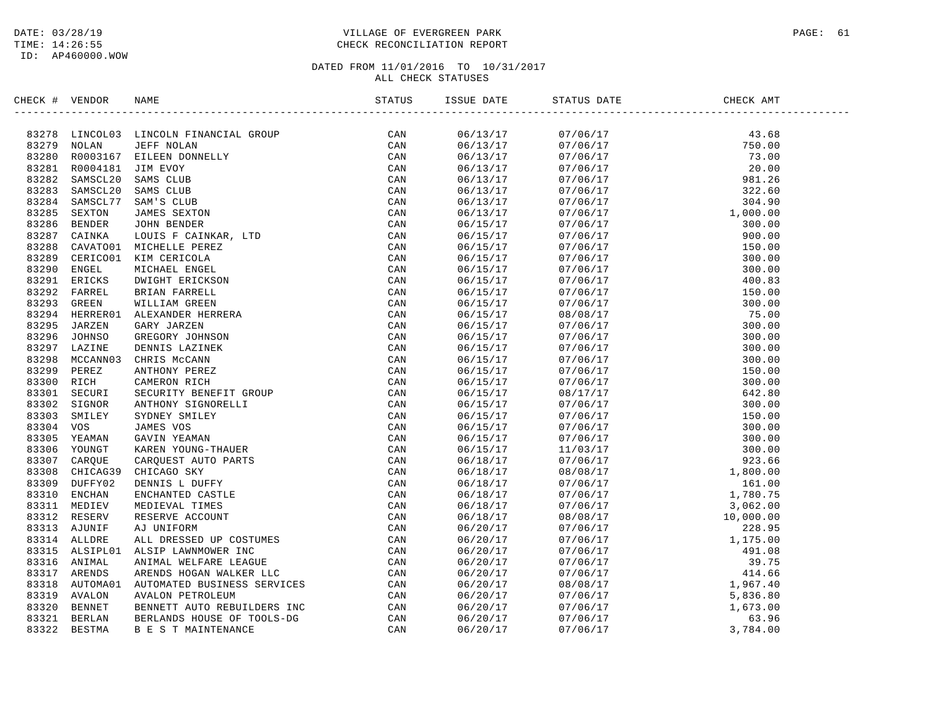## DATE: 03/28/19 PAGE: 61 TIME: 14:26:55 CHECK RECONCILIATION REPORT

| $\begin{tabular}{cccccccc} \textbf{m.0.16}\textbf{0} & \textbf{0} & \textbf{0} & \textbf{0} & \textbf{0} & \textbf{0} & \textbf{0} & \textbf{0} & \textbf{0} & \textbf{0} & \textbf{0} & \textbf{0} & \textbf{0} & \textbf{0} & \textbf{0} & \textbf{0} & \textbf{0} & \textbf{0} & \textbf{0} & \textbf{0} & \textbf{0} & \textbf{0} & \textbf{0} & \textbf{0} & \textbf{0} & \textbf{0} & \textbf{0} & \textbf{0} & \textbf{0$<br>06/13/17<br>$\begin{array}{cccc} 07/06/17 & 43.68 \\ 07/06/17 & 750.00 \\ 07/06/17 & 73.00 \\ 07/06/17 & 20.00 \\ 07/06/17 & 981.26 \\ 07/06/17 & 322.60 \\ 07/06/17 & 304.90 \\ 07/06/17 & 1,000.00 \\ 07/06/17 & 304.90 \\ \end{array}$<br>06/13/17<br>06/13/17<br>06/13/17<br>06/13/17<br>06/13/17<br>06/13/17<br>06/13/17<br>$1,000.00$<br>$300.00$<br>$900.00$<br>$150.00$<br>$300.00$<br>$300.00$<br>$300.00$<br>$400.83$<br>$150.00$<br>$300.00$<br>$300.00$<br>$300.00$<br>$300.00$<br>$300.00$<br>$300.00$<br>$300.00$<br>$150.00$<br>$300.00$<br>$442.80$<br>$300.00$<br>$442.80$<br>$300.00$<br><br>06/15/17<br>07/06/17<br>06/15/17<br>07/06/17<br>06/15/17<br>07/06/17<br>06/15/17<br>07/06/17<br>06/15/17<br>07/06/17<br>06/15/17<br>07/06/17<br>06/15/17<br>07/06/17<br>06/15/17<br>07/06/17<br>06/15/17<br>08/08/17<br>06/15/17<br>07/06/17<br>06/15/17<br>07/06/17<br>06/15/17<br>07/06/17<br>06/15/17<br>07/06/17<br>06/15/17<br>07/06/17<br>06/15/17<br>07/06/17<br>06/15/17<br>08/17/17<br>06/15/17<br>07/06/17<br>06/15/17<br>07/06/17<br>06/15/17<br>07/06/17<br>06/15/17<br>07/06/17<br>06/15/17<br>11/03/17<br>06/18/17<br>07/06/17<br>06/18/17<br>08/08/17<br>06/18/17<br>07/06/17<br>06/18/17<br>07/06/17<br>06/18/17<br>07/06/17<br>$\begin{array}{r} 1,760.75 \\ 3,062.00 \\ 10,000.00 \\ 228.95 \\ 1,175.00 \\ 491.08 \\ 39.75 \\ 414.66 \\ 1,967.40 \\ \textbf{5}.926.90 \end{array}$<br>06/18/17<br>08/08/17<br>06/20/17<br>07/06/17<br>06/20/17<br>07/06/17<br>06/20/17<br>07/06/17<br>06/20/17<br>07/06/17<br>06/20/17<br>07/06/17<br>06/20/17<br>08/08/17<br>06/20/17<br>5,836.80<br>07/06/17<br>1,673.00<br>06/20/17<br>07/06/17<br>63.96<br>06/20/17<br>07/06/17<br>06/20/17<br>07/06/17<br>3,784.00 | CHECK # VENDOR | NAME | STATUS | ISSUE DATE | STATUS DATE | CHECK AMT |
|------------------------------------------------------------------------------------------------------------------------------------------------------------------------------------------------------------------------------------------------------------------------------------------------------------------------------------------------------------------------------------------------------------------------------------------------------------------------------------------------------------------------------------------------------------------------------------------------------------------------------------------------------------------------------------------------------------------------------------------------------------------------------------------------------------------------------------------------------------------------------------------------------------------------------------------------------------------------------------------------------------------------------------------------------------------------------------------------------------------------------------------------------------------------------------------------------------------------------------------------------------------------------------------------------------------------------------------------------------------------------------------------------------------------------------------------------------------------------------------------------------------------------------------------------------------------------------------------------------------------------------------------------------------------------------------------------------------------------------------------------------------------------------------------------------------------------------------------------------------------------------------------------------------------------------------------------------------------------------------------------------------------------------------------------------------------------------------------------------------------------------------------------------------------------|----------------|------|--------|------------|-------------|-----------|
|                                                                                                                                                                                                                                                                                                                                                                                                                                                                                                                                                                                                                                                                                                                                                                                                                                                                                                                                                                                                                                                                                                                                                                                                                                                                                                                                                                                                                                                                                                                                                                                                                                                                                                                                                                                                                                                                                                                                                                                                                                                                                                                                                                              |                |      |        |            |             |           |
|                                                                                                                                                                                                                                                                                                                                                                                                                                                                                                                                                                                                                                                                                                                                                                                                                                                                                                                                                                                                                                                                                                                                                                                                                                                                                                                                                                                                                                                                                                                                                                                                                                                                                                                                                                                                                                                                                                                                                                                                                                                                                                                                                                              |                |      |        |            |             |           |
|                                                                                                                                                                                                                                                                                                                                                                                                                                                                                                                                                                                                                                                                                                                                                                                                                                                                                                                                                                                                                                                                                                                                                                                                                                                                                                                                                                                                                                                                                                                                                                                                                                                                                                                                                                                                                                                                                                                                                                                                                                                                                                                                                                              |                |      |        |            |             |           |
|                                                                                                                                                                                                                                                                                                                                                                                                                                                                                                                                                                                                                                                                                                                                                                                                                                                                                                                                                                                                                                                                                                                                                                                                                                                                                                                                                                                                                                                                                                                                                                                                                                                                                                                                                                                                                                                                                                                                                                                                                                                                                                                                                                              |                |      |        |            |             |           |
|                                                                                                                                                                                                                                                                                                                                                                                                                                                                                                                                                                                                                                                                                                                                                                                                                                                                                                                                                                                                                                                                                                                                                                                                                                                                                                                                                                                                                                                                                                                                                                                                                                                                                                                                                                                                                                                                                                                                                                                                                                                                                                                                                                              |                |      |        |            |             |           |
|                                                                                                                                                                                                                                                                                                                                                                                                                                                                                                                                                                                                                                                                                                                                                                                                                                                                                                                                                                                                                                                                                                                                                                                                                                                                                                                                                                                                                                                                                                                                                                                                                                                                                                                                                                                                                                                                                                                                                                                                                                                                                                                                                                              |                |      |        |            |             |           |
|                                                                                                                                                                                                                                                                                                                                                                                                                                                                                                                                                                                                                                                                                                                                                                                                                                                                                                                                                                                                                                                                                                                                                                                                                                                                                                                                                                                                                                                                                                                                                                                                                                                                                                                                                                                                                                                                                                                                                                                                                                                                                                                                                                              |                |      |        |            |             |           |
|                                                                                                                                                                                                                                                                                                                                                                                                                                                                                                                                                                                                                                                                                                                                                                                                                                                                                                                                                                                                                                                                                                                                                                                                                                                                                                                                                                                                                                                                                                                                                                                                                                                                                                                                                                                                                                                                                                                                                                                                                                                                                                                                                                              |                |      |        |            |             |           |
|                                                                                                                                                                                                                                                                                                                                                                                                                                                                                                                                                                                                                                                                                                                                                                                                                                                                                                                                                                                                                                                                                                                                                                                                                                                                                                                                                                                                                                                                                                                                                                                                                                                                                                                                                                                                                                                                                                                                                                                                                                                                                                                                                                              |                |      |        |            |             |           |
|                                                                                                                                                                                                                                                                                                                                                                                                                                                                                                                                                                                                                                                                                                                                                                                                                                                                                                                                                                                                                                                                                                                                                                                                                                                                                                                                                                                                                                                                                                                                                                                                                                                                                                                                                                                                                                                                                                                                                                                                                                                                                                                                                                              |                |      |        |            |             |           |
|                                                                                                                                                                                                                                                                                                                                                                                                                                                                                                                                                                                                                                                                                                                                                                                                                                                                                                                                                                                                                                                                                                                                                                                                                                                                                                                                                                                                                                                                                                                                                                                                                                                                                                                                                                                                                                                                                                                                                                                                                                                                                                                                                                              |                |      |        |            |             |           |
|                                                                                                                                                                                                                                                                                                                                                                                                                                                                                                                                                                                                                                                                                                                                                                                                                                                                                                                                                                                                                                                                                                                                                                                                                                                                                                                                                                                                                                                                                                                                                                                                                                                                                                                                                                                                                                                                                                                                                                                                                                                                                                                                                                              |                |      |        |            |             |           |
|                                                                                                                                                                                                                                                                                                                                                                                                                                                                                                                                                                                                                                                                                                                                                                                                                                                                                                                                                                                                                                                                                                                                                                                                                                                                                                                                                                                                                                                                                                                                                                                                                                                                                                                                                                                                                                                                                                                                                                                                                                                                                                                                                                              |                |      |        |            |             |           |
|                                                                                                                                                                                                                                                                                                                                                                                                                                                                                                                                                                                                                                                                                                                                                                                                                                                                                                                                                                                                                                                                                                                                                                                                                                                                                                                                                                                                                                                                                                                                                                                                                                                                                                                                                                                                                                                                                                                                                                                                                                                                                                                                                                              |                |      |        |            |             |           |
|                                                                                                                                                                                                                                                                                                                                                                                                                                                                                                                                                                                                                                                                                                                                                                                                                                                                                                                                                                                                                                                                                                                                                                                                                                                                                                                                                                                                                                                                                                                                                                                                                                                                                                                                                                                                                                                                                                                                                                                                                                                                                                                                                                              |                |      |        |            |             |           |
|                                                                                                                                                                                                                                                                                                                                                                                                                                                                                                                                                                                                                                                                                                                                                                                                                                                                                                                                                                                                                                                                                                                                                                                                                                                                                                                                                                                                                                                                                                                                                                                                                                                                                                                                                                                                                                                                                                                                                                                                                                                                                                                                                                              |                |      |        |            |             |           |
|                                                                                                                                                                                                                                                                                                                                                                                                                                                                                                                                                                                                                                                                                                                                                                                                                                                                                                                                                                                                                                                                                                                                                                                                                                                                                                                                                                                                                                                                                                                                                                                                                                                                                                                                                                                                                                                                                                                                                                                                                                                                                                                                                                              |                |      |        |            |             |           |
|                                                                                                                                                                                                                                                                                                                                                                                                                                                                                                                                                                                                                                                                                                                                                                                                                                                                                                                                                                                                                                                                                                                                                                                                                                                                                                                                                                                                                                                                                                                                                                                                                                                                                                                                                                                                                                                                                                                                                                                                                                                                                                                                                                              |                |      |        |            |             |           |
|                                                                                                                                                                                                                                                                                                                                                                                                                                                                                                                                                                                                                                                                                                                                                                                                                                                                                                                                                                                                                                                                                                                                                                                                                                                                                                                                                                                                                                                                                                                                                                                                                                                                                                                                                                                                                                                                                                                                                                                                                                                                                                                                                                              |                |      |        |            |             |           |
|                                                                                                                                                                                                                                                                                                                                                                                                                                                                                                                                                                                                                                                                                                                                                                                                                                                                                                                                                                                                                                                                                                                                                                                                                                                                                                                                                                                                                                                                                                                                                                                                                                                                                                                                                                                                                                                                                                                                                                                                                                                                                                                                                                              |                |      |        |            |             |           |
|                                                                                                                                                                                                                                                                                                                                                                                                                                                                                                                                                                                                                                                                                                                                                                                                                                                                                                                                                                                                                                                                                                                                                                                                                                                                                                                                                                                                                                                                                                                                                                                                                                                                                                                                                                                                                                                                                                                                                                                                                                                                                                                                                                              |                |      |        |            |             |           |
|                                                                                                                                                                                                                                                                                                                                                                                                                                                                                                                                                                                                                                                                                                                                                                                                                                                                                                                                                                                                                                                                                                                                                                                                                                                                                                                                                                                                                                                                                                                                                                                                                                                                                                                                                                                                                                                                                                                                                                                                                                                                                                                                                                              |                |      |        |            |             |           |
|                                                                                                                                                                                                                                                                                                                                                                                                                                                                                                                                                                                                                                                                                                                                                                                                                                                                                                                                                                                                                                                                                                                                                                                                                                                                                                                                                                                                                                                                                                                                                                                                                                                                                                                                                                                                                                                                                                                                                                                                                                                                                                                                                                              |                |      |        |            |             |           |
|                                                                                                                                                                                                                                                                                                                                                                                                                                                                                                                                                                                                                                                                                                                                                                                                                                                                                                                                                                                                                                                                                                                                                                                                                                                                                                                                                                                                                                                                                                                                                                                                                                                                                                                                                                                                                                                                                                                                                                                                                                                                                                                                                                              |                |      |        |            |             |           |
|                                                                                                                                                                                                                                                                                                                                                                                                                                                                                                                                                                                                                                                                                                                                                                                                                                                                                                                                                                                                                                                                                                                                                                                                                                                                                                                                                                                                                                                                                                                                                                                                                                                                                                                                                                                                                                                                                                                                                                                                                                                                                                                                                                              |                |      |        |            |             |           |
|                                                                                                                                                                                                                                                                                                                                                                                                                                                                                                                                                                                                                                                                                                                                                                                                                                                                                                                                                                                                                                                                                                                                                                                                                                                                                                                                                                                                                                                                                                                                                                                                                                                                                                                                                                                                                                                                                                                                                                                                                                                                                                                                                                              |                |      |        |            |             |           |
|                                                                                                                                                                                                                                                                                                                                                                                                                                                                                                                                                                                                                                                                                                                                                                                                                                                                                                                                                                                                                                                                                                                                                                                                                                                                                                                                                                                                                                                                                                                                                                                                                                                                                                                                                                                                                                                                                                                                                                                                                                                                                                                                                                              |                |      |        |            |             |           |
|                                                                                                                                                                                                                                                                                                                                                                                                                                                                                                                                                                                                                                                                                                                                                                                                                                                                                                                                                                                                                                                                                                                                                                                                                                                                                                                                                                                                                                                                                                                                                                                                                                                                                                                                                                                                                                                                                                                                                                                                                                                                                                                                                                              |                |      |        |            |             |           |
|                                                                                                                                                                                                                                                                                                                                                                                                                                                                                                                                                                                                                                                                                                                                                                                                                                                                                                                                                                                                                                                                                                                                                                                                                                                                                                                                                                                                                                                                                                                                                                                                                                                                                                                                                                                                                                                                                                                                                                                                                                                                                                                                                                              |                |      |        |            |             |           |
|                                                                                                                                                                                                                                                                                                                                                                                                                                                                                                                                                                                                                                                                                                                                                                                                                                                                                                                                                                                                                                                                                                                                                                                                                                                                                                                                                                                                                                                                                                                                                                                                                                                                                                                                                                                                                                                                                                                                                                                                                                                                                                                                                                              |                |      |        |            |             |           |
|                                                                                                                                                                                                                                                                                                                                                                                                                                                                                                                                                                                                                                                                                                                                                                                                                                                                                                                                                                                                                                                                                                                                                                                                                                                                                                                                                                                                                                                                                                                                                                                                                                                                                                                                                                                                                                                                                                                                                                                                                                                                                                                                                                              |                |      |        |            |             |           |
|                                                                                                                                                                                                                                                                                                                                                                                                                                                                                                                                                                                                                                                                                                                                                                                                                                                                                                                                                                                                                                                                                                                                                                                                                                                                                                                                                                                                                                                                                                                                                                                                                                                                                                                                                                                                                                                                                                                                                                                                                                                                                                                                                                              |                |      |        |            |             |           |
|                                                                                                                                                                                                                                                                                                                                                                                                                                                                                                                                                                                                                                                                                                                                                                                                                                                                                                                                                                                                                                                                                                                                                                                                                                                                                                                                                                                                                                                                                                                                                                                                                                                                                                                                                                                                                                                                                                                                                                                                                                                                                                                                                                              |                |      |        |            |             |           |
|                                                                                                                                                                                                                                                                                                                                                                                                                                                                                                                                                                                                                                                                                                                                                                                                                                                                                                                                                                                                                                                                                                                                                                                                                                                                                                                                                                                                                                                                                                                                                                                                                                                                                                                                                                                                                                                                                                                                                                                                                                                                                                                                                                              |                |      |        |            |             |           |
|                                                                                                                                                                                                                                                                                                                                                                                                                                                                                                                                                                                                                                                                                                                                                                                                                                                                                                                                                                                                                                                                                                                                                                                                                                                                                                                                                                                                                                                                                                                                                                                                                                                                                                                                                                                                                                                                                                                                                                                                                                                                                                                                                                              |                |      |        |            |             |           |
|                                                                                                                                                                                                                                                                                                                                                                                                                                                                                                                                                                                                                                                                                                                                                                                                                                                                                                                                                                                                                                                                                                                                                                                                                                                                                                                                                                                                                                                                                                                                                                                                                                                                                                                                                                                                                                                                                                                                                                                                                                                                                                                                                                              |                |      |        |            |             |           |
|                                                                                                                                                                                                                                                                                                                                                                                                                                                                                                                                                                                                                                                                                                                                                                                                                                                                                                                                                                                                                                                                                                                                                                                                                                                                                                                                                                                                                                                                                                                                                                                                                                                                                                                                                                                                                                                                                                                                                                                                                                                                                                                                                                              |                |      |        |            |             |           |
|                                                                                                                                                                                                                                                                                                                                                                                                                                                                                                                                                                                                                                                                                                                                                                                                                                                                                                                                                                                                                                                                                                                                                                                                                                                                                                                                                                                                                                                                                                                                                                                                                                                                                                                                                                                                                                                                                                                                                                                                                                                                                                                                                                              |                |      |        |            |             |           |
|                                                                                                                                                                                                                                                                                                                                                                                                                                                                                                                                                                                                                                                                                                                                                                                                                                                                                                                                                                                                                                                                                                                                                                                                                                                                                                                                                                                                                                                                                                                                                                                                                                                                                                                                                                                                                                                                                                                                                                                                                                                                                                                                                                              |                |      |        |            |             |           |
|                                                                                                                                                                                                                                                                                                                                                                                                                                                                                                                                                                                                                                                                                                                                                                                                                                                                                                                                                                                                                                                                                                                                                                                                                                                                                                                                                                                                                                                                                                                                                                                                                                                                                                                                                                                                                                                                                                                                                                                                                                                                                                                                                                              |                |      |        |            |             |           |
|                                                                                                                                                                                                                                                                                                                                                                                                                                                                                                                                                                                                                                                                                                                                                                                                                                                                                                                                                                                                                                                                                                                                                                                                                                                                                                                                                                                                                                                                                                                                                                                                                                                                                                                                                                                                                                                                                                                                                                                                                                                                                                                                                                              |                |      |        |            |             |           |
|                                                                                                                                                                                                                                                                                                                                                                                                                                                                                                                                                                                                                                                                                                                                                                                                                                                                                                                                                                                                                                                                                                                                                                                                                                                                                                                                                                                                                                                                                                                                                                                                                                                                                                                                                                                                                                                                                                                                                                                                                                                                                                                                                                              |                |      |        |            |             |           |
|                                                                                                                                                                                                                                                                                                                                                                                                                                                                                                                                                                                                                                                                                                                                                                                                                                                                                                                                                                                                                                                                                                                                                                                                                                                                                                                                                                                                                                                                                                                                                                                                                                                                                                                                                                                                                                                                                                                                                                                                                                                                                                                                                                              |                |      |        |            |             |           |
|                                                                                                                                                                                                                                                                                                                                                                                                                                                                                                                                                                                                                                                                                                                                                                                                                                                                                                                                                                                                                                                                                                                                                                                                                                                                                                                                                                                                                                                                                                                                                                                                                                                                                                                                                                                                                                                                                                                                                                                                                                                                                                                                                                              |                |      |        |            |             |           |
|                                                                                                                                                                                                                                                                                                                                                                                                                                                                                                                                                                                                                                                                                                                                                                                                                                                                                                                                                                                                                                                                                                                                                                                                                                                                                                                                                                                                                                                                                                                                                                                                                                                                                                                                                                                                                                                                                                                                                                                                                                                                                                                                                                              |                |      |        |            |             |           |
|                                                                                                                                                                                                                                                                                                                                                                                                                                                                                                                                                                                                                                                                                                                                                                                                                                                                                                                                                                                                                                                                                                                                                                                                                                                                                                                                                                                                                                                                                                                                                                                                                                                                                                                                                                                                                                                                                                                                                                                                                                                                                                                                                                              |                |      |        |            |             |           |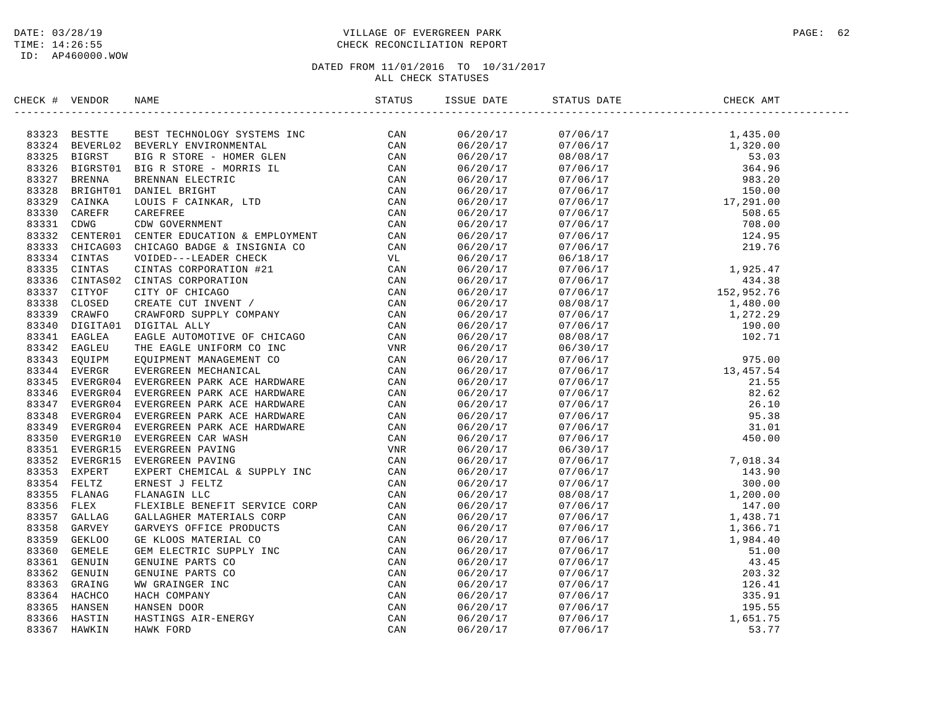## DATE: 03/28/19 PAGE: 62 PAGE: 62 TIME: 14:26:55 CHECK RECONCILIATION REPORT

| CHECK # VENDOR | NAME                                                                                                                                                                                                                                                                                                                                                | ISSUE DATE | STATUS DATE | CHECK AMT |  |
|----------------|-----------------------------------------------------------------------------------------------------------------------------------------------------------------------------------------------------------------------------------------------------------------------------------------------------------------------------------------------------|------------|-------------|-----------|--|
|                | $\begin{small} \textbf{G1G1} & \textbf{W1G1G1} & \textbf{W1G1G1} & \textbf{M1G1G1} & \textbf{M1G1G1} & \textbf{M1G1G1} & \textbf{M1G1G1} & \textbf{M1G1G1} & \textbf{M1G1G1} & \textbf{M1G1G1} & \textbf{M1G1G1} & \textbf{M1G1G1} & \textbf{M1G1G1} & \textbf{M1G1G1} & \textbf{M1G1G1} & \textbf{M1G1G1} & \textbf{M1G1G1} & \textbf{M1G1G1} & \$ |            |             |           |  |
|                |                                                                                                                                                                                                                                                                                                                                                     |            |             |           |  |
|                |                                                                                                                                                                                                                                                                                                                                                     |            |             |           |  |
|                |                                                                                                                                                                                                                                                                                                                                                     |            |             |           |  |
|                |                                                                                                                                                                                                                                                                                                                                                     |            |             |           |  |
|                |                                                                                                                                                                                                                                                                                                                                                     |            |             |           |  |
|                |                                                                                                                                                                                                                                                                                                                                                     |            |             |           |  |
|                |                                                                                                                                                                                                                                                                                                                                                     |            |             |           |  |
|                |                                                                                                                                                                                                                                                                                                                                                     |            |             |           |  |
|                |                                                                                                                                                                                                                                                                                                                                                     |            |             |           |  |
|                |                                                                                                                                                                                                                                                                                                                                                     |            |             |           |  |
|                |                                                                                                                                                                                                                                                                                                                                                     |            |             |           |  |
|                |                                                                                                                                                                                                                                                                                                                                                     |            |             |           |  |
|                |                                                                                                                                                                                                                                                                                                                                                     |            |             |           |  |
|                |                                                                                                                                                                                                                                                                                                                                                     |            |             |           |  |
|                |                                                                                                                                                                                                                                                                                                                                                     |            |             |           |  |
|                |                                                                                                                                                                                                                                                                                                                                                     |            |             |           |  |
|                |                                                                                                                                                                                                                                                                                                                                                     |            |             |           |  |
|                |                                                                                                                                                                                                                                                                                                                                                     |            |             |           |  |
|                |                                                                                                                                                                                                                                                                                                                                                     |            |             |           |  |
|                |                                                                                                                                                                                                                                                                                                                                                     |            |             |           |  |
|                |                                                                                                                                                                                                                                                                                                                                                     |            |             |           |  |
|                |                                                                                                                                                                                                                                                                                                                                                     |            |             |           |  |
|                |                                                                                                                                                                                                                                                                                                                                                     |            |             |           |  |
|                |                                                                                                                                                                                                                                                                                                                                                     |            |             |           |  |
|                |                                                                                                                                                                                                                                                                                                                                                     |            |             |           |  |
|                |                                                                                                                                                                                                                                                                                                                                                     |            |             |           |  |
|                |                                                                                                                                                                                                                                                                                                                                                     |            |             |           |  |
|                |                                                                                                                                                                                                                                                                                                                                                     |            |             |           |  |
|                |                                                                                                                                                                                                                                                                                                                                                     |            |             |           |  |
|                |                                                                                                                                                                                                                                                                                                                                                     |            |             |           |  |
|                |                                                                                                                                                                                                                                                                                                                                                     |            |             |           |  |
|                |                                                                                                                                                                                                                                                                                                                                                     |            |             |           |  |
|                |                                                                                                                                                                                                                                                                                                                                                     |            |             |           |  |
|                |                                                                                                                                                                                                                                                                                                                                                     |            |             |           |  |
|                |                                                                                                                                                                                                                                                                                                                                                     |            |             |           |  |
|                |                                                                                                                                                                                                                                                                                                                                                     |            |             |           |  |
|                |                                                                                                                                                                                                                                                                                                                                                     |            |             |           |  |
|                |                                                                                                                                                                                                                                                                                                                                                     |            |             |           |  |
|                |                                                                                                                                                                                                                                                                                                                                                     |            |             |           |  |
|                |                                                                                                                                                                                                                                                                                                                                                     |            |             |           |  |
|                |                                                                                                                                                                                                                                                                                                                                                     |            |             |           |  |
|                |                                                                                                                                                                                                                                                                                                                                                     |            |             |           |  |
|                |                                                                                                                                                                                                                                                                                                                                                     |            |             |           |  |
|                |                                                                                                                                                                                                                                                                                                                                                     |            |             |           |  |
|                |                                                                                                                                                                                                                                                                                                                                                     |            |             |           |  |
|                |                                                                                                                                                                                                                                                                                                                                                     |            |             |           |  |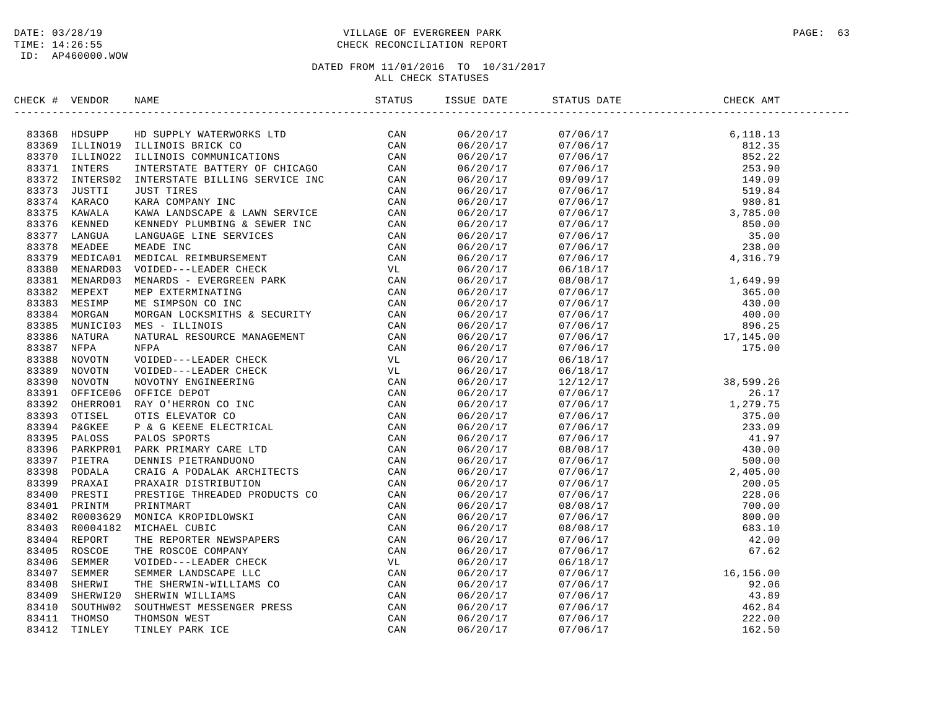## DATE: 03/28/19 PAGE: 63 PAGE: 63 TIME: 14:26:55 CHECK RECONCILIATION REPORT

| CHECK # VENDOR | NAME                                                                                                                                                                                                                                      | ISSUE DATE | STATUS DATE | CHECK AMT |  |
|----------------|-------------------------------------------------------------------------------------------------------------------------------------------------------------------------------------------------------------------------------------------|------------|-------------|-----------|--|
|                |                                                                                                                                                                                                                                           |            |             |           |  |
|                |                                                                                                                                                                                                                                           |            |             |           |  |
|                |                                                                                                                                                                                                                                           |            |             |           |  |
|                |                                                                                                                                                                                                                                           |            |             |           |  |
|                |                                                                                                                                                                                                                                           |            |             |           |  |
|                |                                                                                                                                                                                                                                           |            |             |           |  |
|                |                                                                                                                                                                                                                                           |            |             |           |  |
|                |                                                                                                                                                                                                                                           |            |             |           |  |
|                |                                                                                                                                                                                                                                           |            |             |           |  |
|                |                                                                                                                                                                                                                                           |            |             |           |  |
|                |                                                                                                                                                                                                                                           |            |             |           |  |
|                |                                                                                                                                                                                                                                           |            |             |           |  |
|                |                                                                                                                                                                                                                                           |            |             |           |  |
|                |                                                                                                                                                                                                                                           |            |             |           |  |
|                |                                                                                                                                                                                                                                           |            |             |           |  |
|                |                                                                                                                                                                                                                                           |            |             |           |  |
|                |                                                                                                                                                                                                                                           |            |             |           |  |
|                |                                                                                                                                                                                                                                           |            |             |           |  |
|                |                                                                                                                                                                                                                                           |            |             |           |  |
|                |                                                                                                                                                                                                                                           |            |             |           |  |
|                |                                                                                                                                                                                                                                           |            |             |           |  |
|                |                                                                                                                                                                                                                                           |            |             |           |  |
|                |                                                                                                                                                                                                                                           |            |             |           |  |
|                |                                                                                                                                                                                                                                           |            |             |           |  |
|                |                                                                                                                                                                                                                                           |            |             |           |  |
|                |                                                                                                                                                                                                                                           |            |             |           |  |
|                |                                                                                                                                                                                                                                           |            |             |           |  |
|                |                                                                                                                                                                                                                                           |            |             |           |  |
|                |                                                                                                                                                                                                                                           |            |             |           |  |
|                |                                                                                                                                                                                                                                           |            |             |           |  |
|                |                                                                                                                                                                                                                                           |            |             |           |  |
|                |                                                                                                                                                                                                                                           |            |             |           |  |
|                |                                                                                                                                                                                                                                           |            |             |           |  |
|                |                                                                                                                                                                                                                                           |            |             |           |  |
|                |                                                                                                                                                                                                                                           |            |             |           |  |
|                |                                                                                                                                                                                                                                           |            |             |           |  |
|                |                                                                                                                                                                                                                                           |            |             |           |  |
|                |                                                                                                                                                                                                                                           |            |             |           |  |
|                |                                                                                                                                                                                                                                           |            |             |           |  |
|                |                                                                                                                                                                                                                                           |            |             |           |  |
|                |                                                                                                                                                                                                                                           |            |             |           |  |
|                |                                                                                                                                                                                                                                           |            |             |           |  |
|                |                                                                                                                                                                                                                                           |            |             |           |  |
|                |                                                                                                                                                                                                                                           |            |             |           |  |
|                |                                                                                                                                                                                                                                           |            |             |           |  |
|                |                                                                                                                                                                                                                                           |            |             |           |  |
|                | SERICA 4 VERDOR RAME<br>SING 1981<br>SING IDENTE ID SUPERVANTERVORKS LTD<br>SING IDENTEROLD ILLINOIS BRACK CD<br>SING ILLINOIS IDENTERY CONTINUES LTD<br>SING ILLINOIS IDENTERY OF CHECAO CAR<br>SING INTERNATOR INTERNATION SUPERVANT DE |            |             |           |  |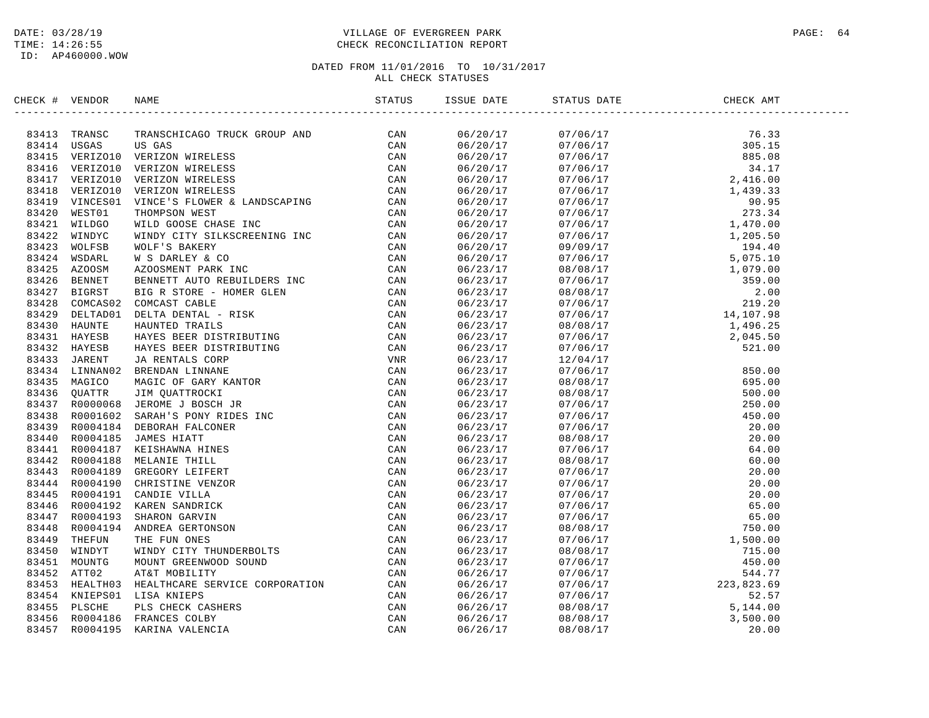## DATE: 03/28/19 PAGE: 64 PAGE: 64 TIME: 14:26:55 CHECK RECONCILIATION REPORT

| CHECK # VENDOR | NAME                                                                                                                                                                                                                                                                                                        | ISSUE DATE | STATUS DATE | CHECK AMT |  |
|----------------|-------------------------------------------------------------------------------------------------------------------------------------------------------------------------------------------------------------------------------------------------------------------------------------------------------------|------------|-------------|-----------|--|
|                | $\begin{tabular}{cccccccc} $4 & $10025 & $20024 & $20024 & $20024 & $20024 & $20024 & $20024 & $20024 & $20024 & $20024 & $20024 & $20024 & $20024 & $20024 & $20024 & $20024 & $20024 & $20024 & $20024 & $20024 & $20024 & $20024 & $20024 & $20024 & $20024 & $20024 & $20024 & $20024 & $20024 & $2002$ |            |             |           |  |
|                |                                                                                                                                                                                                                                                                                                             |            |             |           |  |
|                |                                                                                                                                                                                                                                                                                                             |            |             |           |  |
|                |                                                                                                                                                                                                                                                                                                             |            |             |           |  |
|                |                                                                                                                                                                                                                                                                                                             |            |             |           |  |
|                |                                                                                                                                                                                                                                                                                                             |            |             |           |  |
|                |                                                                                                                                                                                                                                                                                                             |            |             |           |  |
|                |                                                                                                                                                                                                                                                                                                             |            |             |           |  |
|                |                                                                                                                                                                                                                                                                                                             |            |             |           |  |
|                |                                                                                                                                                                                                                                                                                                             |            |             |           |  |
|                |                                                                                                                                                                                                                                                                                                             |            |             |           |  |
|                |                                                                                                                                                                                                                                                                                                             |            |             |           |  |
|                |                                                                                                                                                                                                                                                                                                             |            |             |           |  |
|                |                                                                                                                                                                                                                                                                                                             |            |             |           |  |
|                |                                                                                                                                                                                                                                                                                                             |            |             |           |  |
|                |                                                                                                                                                                                                                                                                                                             |            |             |           |  |
|                |                                                                                                                                                                                                                                                                                                             |            |             |           |  |
|                |                                                                                                                                                                                                                                                                                                             |            |             |           |  |
|                |                                                                                                                                                                                                                                                                                                             |            |             |           |  |
|                |                                                                                                                                                                                                                                                                                                             |            |             |           |  |
|                |                                                                                                                                                                                                                                                                                                             |            |             |           |  |
|                |                                                                                                                                                                                                                                                                                                             |            |             |           |  |
|                |                                                                                                                                                                                                                                                                                                             |            |             |           |  |
|                |                                                                                                                                                                                                                                                                                                             |            |             |           |  |
|                |                                                                                                                                                                                                                                                                                                             |            |             |           |  |
|                |                                                                                                                                                                                                                                                                                                             |            |             |           |  |
|                |                                                                                                                                                                                                                                                                                                             |            |             |           |  |
|                |                                                                                                                                                                                                                                                                                                             |            |             |           |  |
|                |                                                                                                                                                                                                                                                                                                             |            |             |           |  |
|                |                                                                                                                                                                                                                                                                                                             |            |             |           |  |
|                |                                                                                                                                                                                                                                                                                                             |            |             |           |  |
|                |                                                                                                                                                                                                                                                                                                             |            |             |           |  |
|                |                                                                                                                                                                                                                                                                                                             |            |             |           |  |
|                |                                                                                                                                                                                                                                                                                                             |            |             |           |  |
|                |                                                                                                                                                                                                                                                                                                             |            |             |           |  |
|                |                                                                                                                                                                                                                                                                                                             |            |             |           |  |
|                |                                                                                                                                                                                                                                                                                                             |            |             |           |  |
|                |                                                                                                                                                                                                                                                                                                             |            |             |           |  |
|                |                                                                                                                                                                                                                                                                                                             |            |             |           |  |
|                |                                                                                                                                                                                                                                                                                                             |            |             |           |  |
|                |                                                                                                                                                                                                                                                                                                             |            |             |           |  |
|                |                                                                                                                                                                                                                                                                                                             |            |             |           |  |
|                |                                                                                                                                                                                                                                                                                                             |            |             |           |  |
|                |                                                                                                                                                                                                                                                                                                             |            |             |           |  |
|                |                                                                                                                                                                                                                                                                                                             |            |             |           |  |
|                |                                                                                                                                                                                                                                                                                                             |            |             |           |  |
|                |                                                                                                                                                                                                                                                                                                             |            |             |           |  |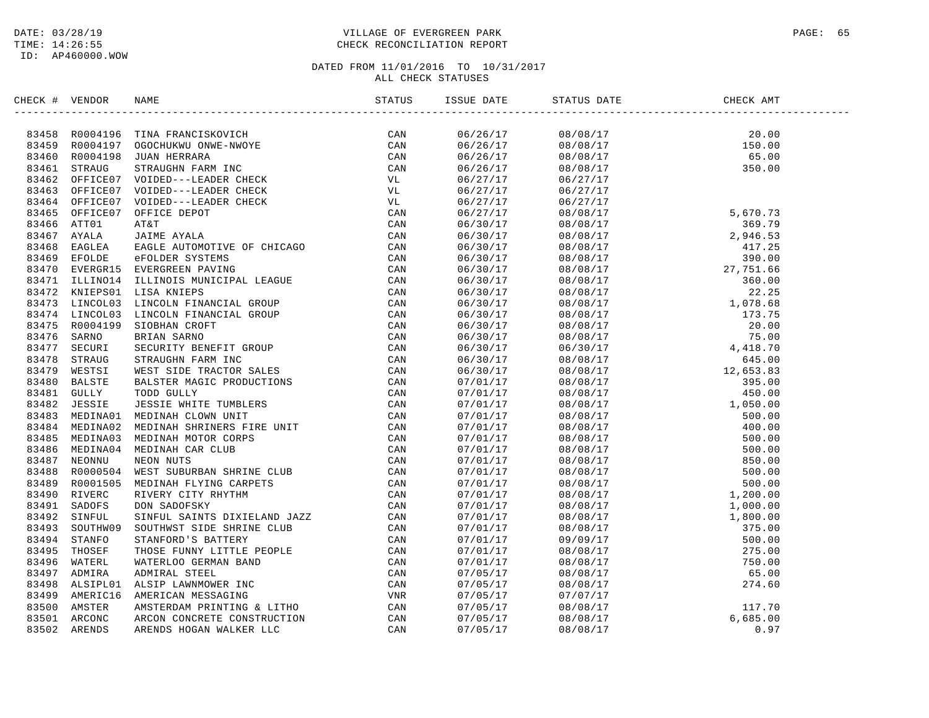## DATE: 03/28/19 PAGE: 65 TIME: 14:26:55 CHECK RECONCILIATION REPORT

| CHECK # VENDOR |                                                                                                                                                                                                                                                                                                                                                                                                                                                                                                                              | STATUS | ISSUE DATE           | STATUS DATE                                                                                                                                                                                                                                                                                              | CHECK AMT |  |
|----------------|------------------------------------------------------------------------------------------------------------------------------------------------------------------------------------------------------------------------------------------------------------------------------------------------------------------------------------------------------------------------------------------------------------------------------------------------------------------------------------------------------------------------------|--------|----------------------|----------------------------------------------------------------------------------------------------------------------------------------------------------------------------------------------------------------------------------------------------------------------------------------------------------|-----------|--|
|                | $\begin{tabular}{cccccccc} \textbf{0.13}\scriptsize \textbf{0.14}\scriptsize \textbf{0.14}\scriptsize \textbf{0.14}\scriptsize \textbf{0.14}\scriptsize \textbf{0.14}\scriptsize \textbf{0.14}\scriptsize \textbf{0.14}\scriptsize \textbf{0.14}\scriptsize \textbf{0.14}\scriptsize \textbf{0.14}\scriptsize \textbf{0.14}\scriptsize \textbf{0.14}\scriptsize \textbf{0.14}\scriptsize \textbf{0.14}\scriptsize \textbf{0.14}\scriptsize \textbf{0.14}\scriptsize \textbf{0.14}\scriptsize \textbf{0.14}\scriptsize \text$ | CAN    | 06/26/17             |                                                                                                                                                                                                                                                                                                          |           |  |
|                |                                                                                                                                                                                                                                                                                                                                                                                                                                                                                                                              |        | 06/26/17             | $\begin{array}{ccccc} 0\,8 \, / \, 0\,8 \, / \, 1\,7 & 2\,0 \, \, . \, 0\,9 \\ 0\,8 \, / \, 0\,8 \, / \, 1\,7 & 1\,5\,0 \, \, . \, 0\,0 \\ 0\,8 \, / \, 0\,8 \, / \, 1\,7 & 6\,5 \, \, . \, 0\,0 \\ 0\,6 \, / \, 2\,7 \, / \, 1\,7 & 3\,5\,0 \, \, . \, 0\,0 \\ 0\,6 \, / \, 2\,7 \, / \, 1\,7 & 0 \\ \$ |           |  |
|                |                                                                                                                                                                                                                                                                                                                                                                                                                                                                                                                              |        | 06/26/17             |                                                                                                                                                                                                                                                                                                          |           |  |
|                |                                                                                                                                                                                                                                                                                                                                                                                                                                                                                                                              |        | 06/26/17             |                                                                                                                                                                                                                                                                                                          |           |  |
|                |                                                                                                                                                                                                                                                                                                                                                                                                                                                                                                                              |        | 06/27/17             |                                                                                                                                                                                                                                                                                                          |           |  |
|                |                                                                                                                                                                                                                                                                                                                                                                                                                                                                                                                              |        | 06/27/17             |                                                                                                                                                                                                                                                                                                          |           |  |
|                |                                                                                                                                                                                                                                                                                                                                                                                                                                                                                                                              |        | 06/27/17             | 06/27/17                                                                                                                                                                                                                                                                                                 |           |  |
|                |                                                                                                                                                                                                                                                                                                                                                                                                                                                                                                                              |        | 06/27/17             |                                                                                                                                                                                                                                                                                                          |           |  |
|                |                                                                                                                                                                                                                                                                                                                                                                                                                                                                                                                              |        | 06/30/17             |                                                                                                                                                                                                                                                                                                          |           |  |
|                |                                                                                                                                                                                                                                                                                                                                                                                                                                                                                                                              |        | 06/30/17             |                                                                                                                                                                                                                                                                                                          |           |  |
|                |                                                                                                                                                                                                                                                                                                                                                                                                                                                                                                                              |        | 06/30/17             |                                                                                                                                                                                                                                                                                                          |           |  |
|                |                                                                                                                                                                                                                                                                                                                                                                                                                                                                                                                              |        | 06/30/17             |                                                                                                                                                                                                                                                                                                          |           |  |
|                |                                                                                                                                                                                                                                                                                                                                                                                                                                                                                                                              |        | 06/30/17             |                                                                                                                                                                                                                                                                                                          |           |  |
|                |                                                                                                                                                                                                                                                                                                                                                                                                                                                                                                                              |        | 06/30/17             |                                                                                                                                                                                                                                                                                                          |           |  |
|                |                                                                                                                                                                                                                                                                                                                                                                                                                                                                                                                              |        | 06/30/17             |                                                                                                                                                                                                                                                                                                          |           |  |
|                |                                                                                                                                                                                                                                                                                                                                                                                                                                                                                                                              |        | 06/30/17             |                                                                                                                                                                                                                                                                                                          |           |  |
|                |                                                                                                                                                                                                                                                                                                                                                                                                                                                                                                                              |        | 06/30/17             |                                                                                                                                                                                                                                                                                                          |           |  |
|                |                                                                                                                                                                                                                                                                                                                                                                                                                                                                                                                              |        | 06/30/17             |                                                                                                                                                                                                                                                                                                          |           |  |
|                |                                                                                                                                                                                                                                                                                                                                                                                                                                                                                                                              |        | 06/30/17             |                                                                                                                                                                                                                                                                                                          |           |  |
|                |                                                                                                                                                                                                                                                                                                                                                                                                                                                                                                                              |        |                      |                                                                                                                                                                                                                                                                                                          |           |  |
|                |                                                                                                                                                                                                                                                                                                                                                                                                                                                                                                                              |        | 06/30/17<br>06/30/17 |                                                                                                                                                                                                                                                                                                          |           |  |
|                |                                                                                                                                                                                                                                                                                                                                                                                                                                                                                                                              |        |                      |                                                                                                                                                                                                                                                                                                          |           |  |
|                |                                                                                                                                                                                                                                                                                                                                                                                                                                                                                                                              |        | 06/30/17             |                                                                                                                                                                                                                                                                                                          |           |  |
|                |                                                                                                                                                                                                                                                                                                                                                                                                                                                                                                                              |        | 07/01/17             |                                                                                                                                                                                                                                                                                                          |           |  |
|                |                                                                                                                                                                                                                                                                                                                                                                                                                                                                                                                              |        | 07/01/17             |                                                                                                                                                                                                                                                                                                          |           |  |
|                |                                                                                                                                                                                                                                                                                                                                                                                                                                                                                                                              |        | 07/01/17             |                                                                                                                                                                                                                                                                                                          |           |  |
|                |                                                                                                                                                                                                                                                                                                                                                                                                                                                                                                                              |        | 07/01/17             |                                                                                                                                                                                                                                                                                                          |           |  |
|                |                                                                                                                                                                                                                                                                                                                                                                                                                                                                                                                              |        | 07/01/17             |                                                                                                                                                                                                                                                                                                          |           |  |
|                |                                                                                                                                                                                                                                                                                                                                                                                                                                                                                                                              |        | 07/01/17             |                                                                                                                                                                                                                                                                                                          |           |  |
|                |                                                                                                                                                                                                                                                                                                                                                                                                                                                                                                                              |        | 07/01/17             |                                                                                                                                                                                                                                                                                                          |           |  |
|                |                                                                                                                                                                                                                                                                                                                                                                                                                                                                                                                              |        | 07/01/17             |                                                                                                                                                                                                                                                                                                          |           |  |
|                |                                                                                                                                                                                                                                                                                                                                                                                                                                                                                                                              |        | 07/01/17             |                                                                                                                                                                                                                                                                                                          |           |  |
|                |                                                                                                                                                                                                                                                                                                                                                                                                                                                                                                                              |        | 07/01/17             |                                                                                                                                                                                                                                                                                                          |           |  |
|                |                                                                                                                                                                                                                                                                                                                                                                                                                                                                                                                              |        | 07/01/17             |                                                                                                                                                                                                                                                                                                          |           |  |
|                |                                                                                                                                                                                                                                                                                                                                                                                                                                                                                                                              |        | 07/01/17             |                                                                                                                                                                                                                                                                                                          |           |  |
|                |                                                                                                                                                                                                                                                                                                                                                                                                                                                                                                                              |        | 07/01/17             |                                                                                                                                                                                                                                                                                                          |           |  |
|                |                                                                                                                                                                                                                                                                                                                                                                                                                                                                                                                              |        | 07/01/17             |                                                                                                                                                                                                                                                                                                          |           |  |
|                |                                                                                                                                                                                                                                                                                                                                                                                                                                                                                                                              |        | 07/01/17             |                                                                                                                                                                                                                                                                                                          |           |  |
|                |                                                                                                                                                                                                                                                                                                                                                                                                                                                                                                                              |        | 07/01/17             |                                                                                                                                                                                                                                                                                                          |           |  |
|                |                                                                                                                                                                                                                                                                                                                                                                                                                                                                                                                              |        | 07/01/17             |                                                                                                                                                                                                                                                                                                          |           |  |
|                |                                                                                                                                                                                                                                                                                                                                                                                                                                                                                                                              |        | 07/05/17             |                                                                                                                                                                                                                                                                                                          |           |  |
|                |                                                                                                                                                                                                                                                                                                                                                                                                                                                                                                                              |        | 07/05/17             |                                                                                                                                                                                                                                                                                                          |           |  |
|                |                                                                                                                                                                                                                                                                                                                                                                                                                                                                                                                              |        | 07/05/17             |                                                                                                                                                                                                                                                                                                          |           |  |
|                |                                                                                                                                                                                                                                                                                                                                                                                                                                                                                                                              |        | 07/05/17             |                                                                                                                                                                                                                                                                                                          |           |  |
|                |                                                                                                                                                                                                                                                                                                                                                                                                                                                                                                                              |        | 07/05/17             |                                                                                                                                                                                                                                                                                                          |           |  |
|                |                                                                                                                                                                                                                                                                                                                                                                                                                                                                                                                              |        | 07/05/17             |                                                                                                                                                                                                                                                                                                          |           |  |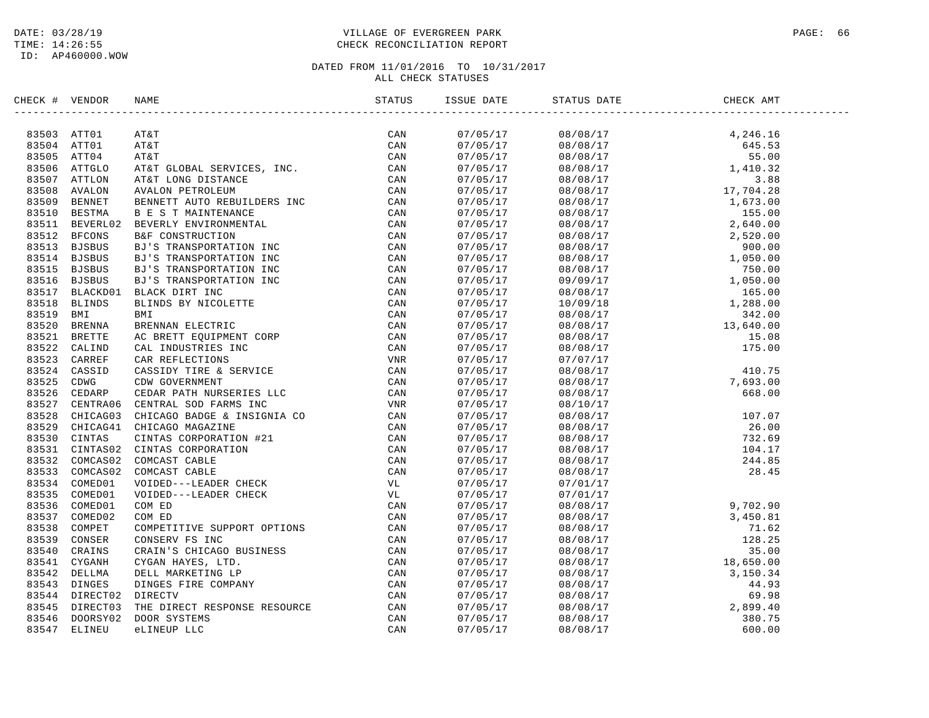ID: AP460000.WOW

## DATE: 03/28/19 PAGE: 66 PAGE: 66 PAGE: 66 PAGE: 66 PAGE: 66 PAGE: 98/28/19 PAGE: 66 TIME: 14:26:55 CHECK RECONCILIATION REPORT

| CHECK # VENDOR |                | NAME                                                                                                                                                                                                                                                                                                                                                                                                                                |          | CHECK AMT                                                                                                                                                                                                                                                                            |  |
|----------------|----------------|-------------------------------------------------------------------------------------------------------------------------------------------------------------------------------------------------------------------------------------------------------------------------------------------------------------------------------------------------------------------------------------------------------------------------------------|----------|--------------------------------------------------------------------------------------------------------------------------------------------------------------------------------------------------------------------------------------------------------------------------------------|--|
|                |                | $\begin{tabular}{cccc} \textbf{V}\equiv & \textbf{N}\pbox{\small{W2NDR}} & \textbf{NAHE} \\ \textbf{V}\equiv & \textbf{M}\pmod{3} & \textbf{M}\pmod{3} \\ \textbf{ATT01} & \textbf{ATk} & \textbf{G}\pmod{3} & \textbf{S}\pmod{3} \\ \textbf{ATT01} & \textbf{ATk} & \textbf{G}\pmod{3} & \textbf{S}\pmod{3} \\ \textbf{ATT01} & \textbf{ATk} & \textbf{G}\pmod{3} & \textbf{S}\pmod{3} \\ \textbf{ATT01} & \textbf{ATk} & \textbf$ |          |                                                                                                                                                                                                                                                                                      |  |
|                | 83503 ATT01    |                                                                                                                                                                                                                                                                                                                                                                                                                                     | 07/05/17 |                                                                                                                                                                                                                                                                                      |  |
| 83504 ATT01    |                |                                                                                                                                                                                                                                                                                                                                                                                                                                     | 07/05/17 |                                                                                                                                                                                                                                                                                      |  |
|                | 83505 ATT04    |                                                                                                                                                                                                                                                                                                                                                                                                                                     | 07/05/17 |                                                                                                                                                                                                                                                                                      |  |
|                | 83506 ATTGLO   |                                                                                                                                                                                                                                                                                                                                                                                                                                     | 07/05/17 |                                                                                                                                                                                                                                                                                      |  |
| 83507          |                |                                                                                                                                                                                                                                                                                                                                                                                                                                     | 07/05/17 |                                                                                                                                                                                                                                                                                      |  |
| 83508          |                |                                                                                                                                                                                                                                                                                                                                                                                                                                     | 07/05/17 |                                                                                                                                                                                                                                                                                      |  |
| 83509          |                |                                                                                                                                                                                                                                                                                                                                                                                                                                     | 07/05/17 |                                                                                                                                                                                                                                                                                      |  |
| 83510          |                |                                                                                                                                                                                                                                                                                                                                                                                                                                     | 07/05/17 |                                                                                                                                                                                                                                                                                      |  |
|                | 83511 BEVERL02 |                                                                                                                                                                                                                                                                                                                                                                                                                                     | 07/05/17 |                                                                                                                                                                                                                                                                                      |  |
| 83512          |                |                                                                                                                                                                                                                                                                                                                                                                                                                                     | 07/05/17 |                                                                                                                                                                                                                                                                                      |  |
|                | 83513 BJSBUS   |                                                                                                                                                                                                                                                                                                                                                                                                                                     | 07/05/17 |                                                                                                                                                                                                                                                                                      |  |
|                | 83514 BJSBUS   |                                                                                                                                                                                                                                                                                                                                                                                                                                     | 07/05/17 |                                                                                                                                                                                                                                                                                      |  |
| 83515          |                |                                                                                                                                                                                                                                                                                                                                                                                                                                     | 07/05/17 |                                                                                                                                                                                                                                                                                      |  |
|                | 83516 BJSBUS   |                                                                                                                                                                                                                                                                                                                                                                                                                                     | 07/05/17 |                                                                                                                                                                                                                                                                                      |  |
| 83517          |                |                                                                                                                                                                                                                                                                                                                                                                                                                                     | 07/05/17 |                                                                                                                                                                                                                                                                                      |  |
| 83518          |                |                                                                                                                                                                                                                                                                                                                                                                                                                                     | 07/05/17 |                                                                                                                                                                                                                                                                                      |  |
| 83519          |                |                                                                                                                                                                                                                                                                                                                                                                                                                                     | 07/05/17 |                                                                                                                                                                                                                                                                                      |  |
| 83520          |                |                                                                                                                                                                                                                                                                                                                                                                                                                                     | 07/05/17 |                                                                                                                                                                                                                                                                                      |  |
| 83521          |                |                                                                                                                                                                                                                                                                                                                                                                                                                                     | 07/05/17 |                                                                                                                                                                                                                                                                                      |  |
| 83522          |                |                                                                                                                                                                                                                                                                                                                                                                                                                                     | 07/05/17 |                                                                                                                                                                                                                                                                                      |  |
| 83523          |                |                                                                                                                                                                                                                                                                                                                                                                                                                                     | 07/05/17 |                                                                                                                                                                                                                                                                                      |  |
| 83524          |                |                                                                                                                                                                                                                                                                                                                                                                                                                                     | 07/05/17 |                                                                                                                                                                                                                                                                                      |  |
| 83525          |                |                                                                                                                                                                                                                                                                                                                                                                                                                                     | 07/05/17 |                                                                                                                                                                                                                                                                                      |  |
| 83526          |                |                                                                                                                                                                                                                                                                                                                                                                                                                                     | 07/05/17 |                                                                                                                                                                                                                                                                                      |  |
| 83527          |                |                                                                                                                                                                                                                                                                                                                                                                                                                                     | 07/05/17 |                                                                                                                                                                                                                                                                                      |  |
| 83528          |                |                                                                                                                                                                                                                                                                                                                                                                                                                                     | 07/05/17 |                                                                                                                                                                                                                                                                                      |  |
| 83529          |                |                                                                                                                                                                                                                                                                                                                                                                                                                                     | 07/05/17 |                                                                                                                                                                                                                                                                                      |  |
|                | 83530 CINTAS   |                                                                                                                                                                                                                                                                                                                                                                                                                                     | 07/05/17 |                                                                                                                                                                                                                                                                                      |  |
|                |                | 83531 CINTAS02 CINTAS CORPORATION                                                                                                                                                                                                                                                                                                                                                                                                   | 07/05/17 |                                                                                                                                                                                                                                                                                      |  |
|                | 83532 COMCAS02 |                                                                                                                                                                                                                                                                                                                                                                                                                                     | 07/05/17 |                                                                                                                                                                                                                                                                                      |  |
|                | 83533 COMCAS02 |                                                                                                                                                                                                                                                                                                                                                                                                                                     | 07/05/17 |                                                                                                                                                                                                                                                                                      |  |
|                | 83534 COMED01  |                                                                                                                                                                                                                                                                                                                                                                                                                                     | 07/05/17 |                                                                                                                                                                                                                                                                                      |  |
| 83535          |                |                                                                                                                                                                                                                                                                                                                                                                                                                                     | 07/05/17 |                                                                                                                                                                                                                                                                                      |  |
| 83536          |                |                                                                                                                                                                                                                                                                                                                                                                                                                                     | 07/05/17 |                                                                                                                                                                                                                                                                                      |  |
| 83537          |                |                                                                                                                                                                                                                                                                                                                                                                                                                                     | 07/05/17 |                                                                                                                                                                                                                                                                                      |  |
| 83538          |                |                                                                                                                                                                                                                                                                                                                                                                                                                                     | 07/05/17 |                                                                                                                                                                                                                                                                                      |  |
| 83539          |                |                                                                                                                                                                                                                                                                                                                                                                                                                                     | 07/05/17 |                                                                                                                                                                                                                                                                                      |  |
| 83540          |                |                                                                                                                                                                                                                                                                                                                                                                                                                                     | 07/05/17 |                                                                                                                                                                                                                                                                                      |  |
| 83541          |                |                                                                                                                                                                                                                                                                                                                                                                                                                                     | 07/05/17 |                                                                                                                                                                                                                                                                                      |  |
| 83542          |                |                                                                                                                                                                                                                                                                                                                                                                                                                                     | 07/05/17 |                                                                                                                                                                                                                                                                                      |  |
| 83543          |                |                                                                                                                                                                                                                                                                                                                                                                                                                                     | 07/05/17 |                                                                                                                                                                                                                                                                                      |  |
| 83544          |                |                                                                                                                                                                                                                                                                                                                                                                                                                                     | 07/05/17 | $\begin{array}{cccc} 07/01/17 \\ 07/01/17 \\ 08/08/17 \\ 08/08/17 \\ 08/08/17 \\ 08/08/17 \\ 08/08/17 \\ 08/08/17 \\ 08/08/17 \\ 08/08/17 \\ 08/08/17 \\ 08/08/17 \\ 08/08/17 \\ 08/08/17 \\ 08/08/17 \\ 08/08/17 \\ 08/08/17 \\ 08/08/17 \\ 08/08/17 \\ 08/08/17 \\ 08/08/17 \\ 08$ |  |
| 83545          |                |                                                                                                                                                                                                                                                                                                                                                                                                                                     | 07/05/17 |                                                                                                                                                                                                                                                                                      |  |
| 83546          |                |                                                                                                                                                                                                                                                                                                                                                                                                                                     | 07/05/17 |                                                                                                                                                                                                                                                                                      |  |
| 83547          |                |                                                                                                                                                                                                                                                                                                                                                                                                                                     | 07/05/17 |                                                                                                                                                                                                                                                                                      |  |
|                |                |                                                                                                                                                                                                                                                                                                                                                                                                                                     |          |                                                                                                                                                                                                                                                                                      |  |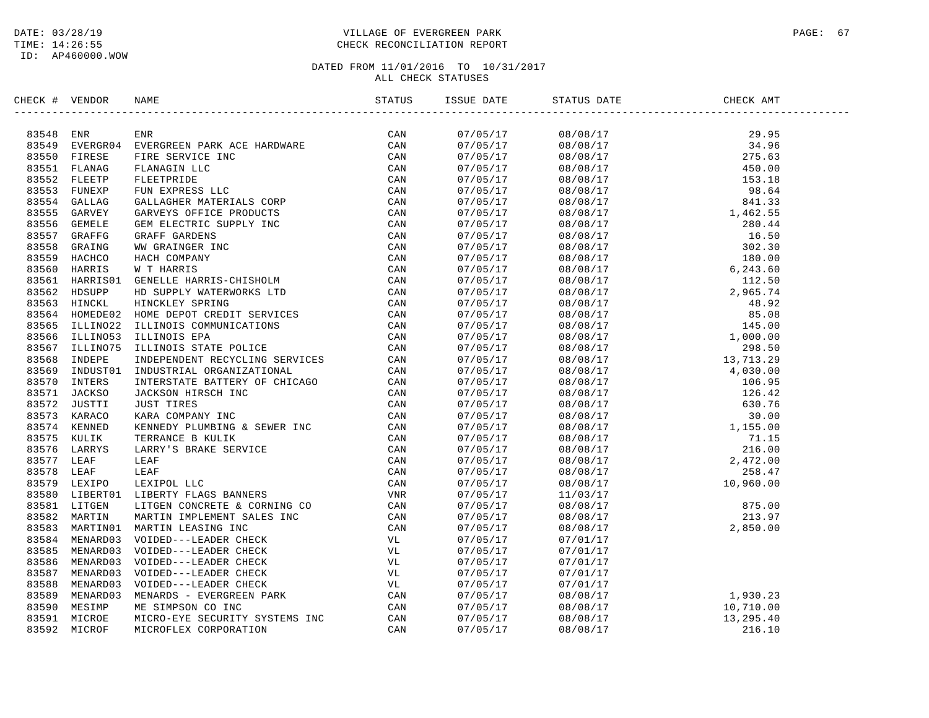## DATE: 03/28/19 PAGE: 67 PAGE: 67 TIME: 14:26:55 CHECK RECONCILIATION REPORT

| CHECK # VENDOR |              | NAME                                                                                          | ISSUE DATE                       | STATUS DATE                                                                                                                                                                                                                                                                                                                                                                                                                                                                | CHECK AMT |  |
|----------------|--------------|-----------------------------------------------------------------------------------------------|----------------------------------|----------------------------------------------------------------------------------------------------------------------------------------------------------------------------------------------------------------------------------------------------------------------------------------------------------------------------------------------------------------------------------------------------------------------------------------------------------------------------|-----------|--|
|                |              |                                                                                               |                                  | $\begin{tabular}{@{}c c c c c} \hline \multicolumn{4}{c}{\multicolumn{4}{c}{\multicolumn{4}{c}{\multicolumn{4}{c}{\multicolumn{4}{c}{\multicolumn{4}{c}{\multicolumn{4}{c}{\multicolumn{4}{c}{\multicolumn{4}{c}{\multicolumn{4}{c}{\multicolumn{4}{c}{\multicolumn{4}{c}{\multicolumn{4}{c}{\multicolumn{4}{c}{\multicolumn{4}{c}{\multicolumn{4}{c}{\multicolumn{4}{c}{\multicolumn{4}{c}{\multicolumn{4}{c}{\multicolumn{4}{c}{\multicolumn{4}{c}{\multicolumn{4}{c}{\$ |           |  |
|                |              |                                                                                               | 07/05/17<br>07/05/17             |                                                                                                                                                                                                                                                                                                                                                                                                                                                                            |           |  |
|                |              |                                                                                               |                                  |                                                                                                                                                                                                                                                                                                                                                                                                                                                                            |           |  |
|                |              |                                                                                               | 07/05/17<br>07/05/17             |                                                                                                                                                                                                                                                                                                                                                                                                                                                                            |           |  |
|                |              |                                                                                               |                                  |                                                                                                                                                                                                                                                                                                                                                                                                                                                                            |           |  |
|                |              |                                                                                               | 07/05/17<br>07/05/17             |                                                                                                                                                                                                                                                                                                                                                                                                                                                                            |           |  |
|                |              |                                                                                               | 07/05/17<br>07/05/17             |                                                                                                                                                                                                                                                                                                                                                                                                                                                                            |           |  |
|                |              |                                                                                               |                                  |                                                                                                                                                                                                                                                                                                                                                                                                                                                                            |           |  |
|                |              |                                                                                               | 07/05/17<br>07/05/17             |                                                                                                                                                                                                                                                                                                                                                                                                                                                                            |           |  |
|                |              |                                                                                               |                                  |                                                                                                                                                                                                                                                                                                                                                                                                                                                                            |           |  |
|                |              |                                                                                               | 07/05/17<br>07/05/17             |                                                                                                                                                                                                                                                                                                                                                                                                                                                                            |           |  |
|                |              |                                                                                               |                                  |                                                                                                                                                                                                                                                                                                                                                                                                                                                                            |           |  |
|                |              |                                                                                               | 07/05/17<br>07/05/17             |                                                                                                                                                                                                                                                                                                                                                                                                                                                                            |           |  |
|                |              |                                                                                               |                                  |                                                                                                                                                                                                                                                                                                                                                                                                                                                                            |           |  |
|                |              |                                                                                               | 07/05/17                         |                                                                                                                                                                                                                                                                                                                                                                                                                                                                            |           |  |
|                |              |                                                                                               | 07/05/17<br>07/05/17<br>07/05/17 |                                                                                                                                                                                                                                                                                                                                                                                                                                                                            |           |  |
|                |              |                                                                                               |                                  |                                                                                                                                                                                                                                                                                                                                                                                                                                                                            |           |  |
|                |              |                                                                                               | 07/05/17<br>07/05/17             |                                                                                                                                                                                                                                                                                                                                                                                                                                                                            |           |  |
|                |              |                                                                                               |                                  |                                                                                                                                                                                                                                                                                                                                                                                                                                                                            |           |  |
|                |              |                                                                                               | 07/05/17<br>07/05/17             |                                                                                                                                                                                                                                                                                                                                                                                                                                                                            |           |  |
|                |              |                                                                                               |                                  |                                                                                                                                                                                                                                                                                                                                                                                                                                                                            |           |  |
|                |              |                                                                                               | 07/05/17<br>07/05/17<br>07/05/17 |                                                                                                                                                                                                                                                                                                                                                                                                                                                                            |           |  |
|                |              |                                                                                               |                                  |                                                                                                                                                                                                                                                                                                                                                                                                                                                                            |           |  |
|                |              |                                                                                               |                                  |                                                                                                                                                                                                                                                                                                                                                                                                                                                                            |           |  |
|                |              |                                                                                               | 07/05/17<br>07/05/17             |                                                                                                                                                                                                                                                                                                                                                                                                                                                                            |           |  |
|                |              |                                                                                               |                                  |                                                                                                                                                                                                                                                                                                                                                                                                                                                                            |           |  |
|                |              |                                                                                               | 07/05/17<br>07/05/17             |                                                                                                                                                                                                                                                                                                                                                                                                                                                                            |           |  |
|                |              |                                                                                               |                                  |                                                                                                                                                                                                                                                                                                                                                                                                                                                                            |           |  |
|                |              |                                                                                               | 07/05/17<br>07/05/17             |                                                                                                                                                                                                                                                                                                                                                                                                                                                                            |           |  |
|                |              |                                                                                               |                                  |                                                                                                                                                                                                                                                                                                                                                                                                                                                                            |           |  |
|                |              |                                                                                               | 07/05/17                         |                                                                                                                                                                                                                                                                                                                                                                                                                                                                            |           |  |
|                |              |                                                                                               | 07/05/17<br>07/05/17             |                                                                                                                                                                                                                                                                                                                                                                                                                                                                            |           |  |
|                |              |                                                                                               |                                  |                                                                                                                                                                                                                                                                                                                                                                                                                                                                            |           |  |
|                |              |                                                                                               | u7/05/17<br>07/05/17             | $\begin{array}{cccc} 06 \, / \, 06 \, / \, 17 \, \\ 11 \, / \, 03 \, / \, 17 \, \\ 08 \, / \, 08 \, / \, 17 \, \\ 08 \, / \, 08 \, / \, 17 \, \\ 08 \, / \, 08 \, / \, 17 \, \\ 2 \, , \, 850 \, . \, 00 \, \\ \end{array} \qquad \qquad \begin{array}{cccc} 875 \, . \, 00 \, \\ 213 \, . \, 97 \, \\ 2 \, , \, 850 \, . \, 00 \, \\ 0 & 0 & 0 \\ 0$                                                                                                                      |           |  |
|                |              |                                                                                               |                                  |                                                                                                                                                                                                                                                                                                                                                                                                                                                                            |           |  |
|                |              |                                                                                               | 07/05/17                         |                                                                                                                                                                                                                                                                                                                                                                                                                                                                            |           |  |
|                |              |                                                                                               | 07/05/17                         |                                                                                                                                                                                                                                                                                                                                                                                                                                                                            |           |  |
|                |              |                                                                                               | 07/05/17                         | 07/01/17                                                                                                                                                                                                                                                                                                                                                                                                                                                                   |           |  |
|                |              |                                                                                               | 07/05/17                         | 07/01/17                                                                                                                                                                                                                                                                                                                                                                                                                                                                   |           |  |
|                |              |                                                                                               | 07/05/17                         | 07/01/17                                                                                                                                                                                                                                                                                                                                                                                                                                                                   |           |  |
|                |              |                                                                                               | 07/05/17                         | 07/01/17                                                                                                                                                                                                                                                                                                                                                                                                                                                                   |           |  |
|                |              |                                                                                               | 07/05/17                         | 07/01/17                                                                                                                                                                                                                                                                                                                                                                                                                                                                   |           |  |
|                |              |                                                                                               | 07/05/17<br>07/05/17             | $1,930.23$<br>$08/08/17$<br>$08/08/17$<br>$08/08/17$<br>$08/08/17$<br>$13,295.40$<br>$216.10$                                                                                                                                                                                                                                                                                                                                                                              |           |  |
|                |              |                                                                                               |                                  |                                                                                                                                                                                                                                                                                                                                                                                                                                                                            |           |  |
|                | 83591 MICROE | MICRO-EYE SECURITY SYSTEMS INC<br>MICRO-EYE SECURITY SYSTEMS INC<br>MICROFLEX CORPORATION CAN | 07/05/17                         |                                                                                                                                                                                                                                                                                                                                                                                                                                                                            |           |  |
|                | 83592 MICROF |                                                                                               | 07/05/17                         |                                                                                                                                                                                                                                                                                                                                                                                                                                                                            |           |  |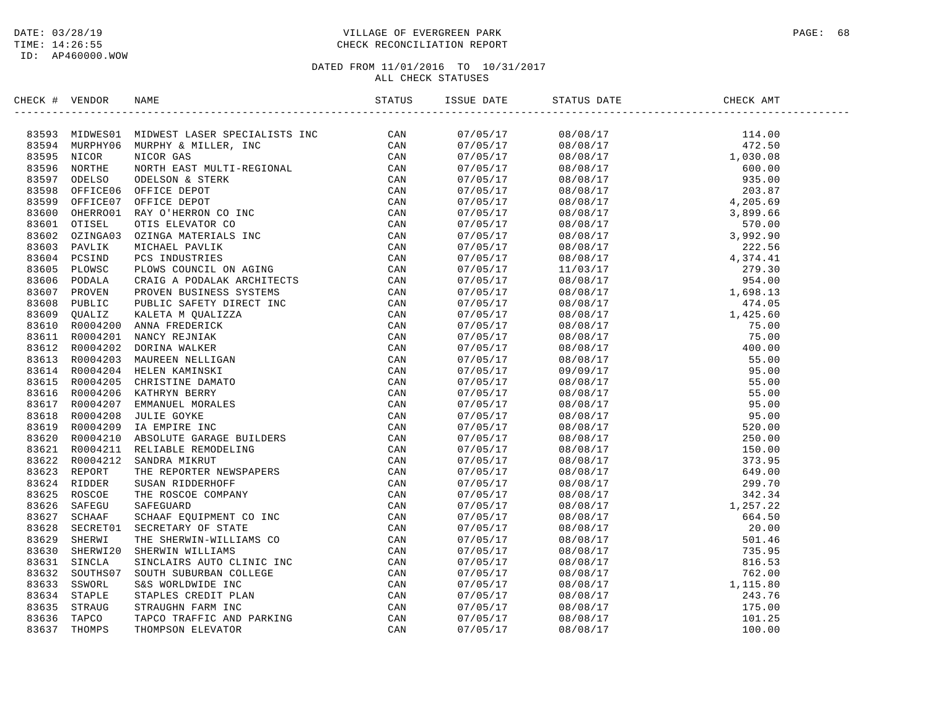## DATE: 03/28/19 PAGE: 68 PAGE: 68 PAGE: 68 PAGE: 68 PAGE: 68 PAGE: 68 PAGE: 68 PAGE: 68 PAGE: 68 TIME: 14:26:55 CHECK RECONCILIATION REPORT

| CHECK # VENDOR |  |  |                                                                                                                                                                                                                                                                                                                                                                                                                                   |  |
|----------------|--|--|-----------------------------------------------------------------------------------------------------------------------------------------------------------------------------------------------------------------------------------------------------------------------------------------------------------------------------------------------------------------------------------------------------------------------------------|--|
|                |  |  | $\begin{tabular}{l c c c c} \hline \textbf{S1} & \textbf{0} & \textbf{0} & \textbf{0} & \textbf{0} & \textbf{0} \\ \hline \textbf{S2} & \textbf{0} & \textbf{0} & \textbf{0} & \textbf{0} & \textbf{0} \\ \hline \textbf{0} & \textbf{0} & \textbf{0} & \textbf{0} & \textbf{0} & \textbf{0} \\ \hline \textbf{0} & \textbf{0} & \textbf{0} & \textbf{0} & \textbf{0} & \textbf{0} \\ \hline \textbf{0} & \textbf{0} & \textbf{0$ |  |
|                |  |  |                                                                                                                                                                                                                                                                                                                                                                                                                                   |  |
|                |  |  |                                                                                                                                                                                                                                                                                                                                                                                                                                   |  |
|                |  |  |                                                                                                                                                                                                                                                                                                                                                                                                                                   |  |
|                |  |  |                                                                                                                                                                                                                                                                                                                                                                                                                                   |  |
|                |  |  |                                                                                                                                                                                                                                                                                                                                                                                                                                   |  |
|                |  |  |                                                                                                                                                                                                                                                                                                                                                                                                                                   |  |
|                |  |  |                                                                                                                                                                                                                                                                                                                                                                                                                                   |  |
|                |  |  |                                                                                                                                                                                                                                                                                                                                                                                                                                   |  |
|                |  |  |                                                                                                                                                                                                                                                                                                                                                                                                                                   |  |
|                |  |  |                                                                                                                                                                                                                                                                                                                                                                                                                                   |  |
|                |  |  |                                                                                                                                                                                                                                                                                                                                                                                                                                   |  |
|                |  |  |                                                                                                                                                                                                                                                                                                                                                                                                                                   |  |
|                |  |  |                                                                                                                                                                                                                                                                                                                                                                                                                                   |  |
|                |  |  |                                                                                                                                                                                                                                                                                                                                                                                                                                   |  |
|                |  |  |                                                                                                                                                                                                                                                                                                                                                                                                                                   |  |
|                |  |  |                                                                                                                                                                                                                                                                                                                                                                                                                                   |  |
|                |  |  |                                                                                                                                                                                                                                                                                                                                                                                                                                   |  |
|                |  |  |                                                                                                                                                                                                                                                                                                                                                                                                                                   |  |
|                |  |  |                                                                                                                                                                                                                                                                                                                                                                                                                                   |  |
|                |  |  |                                                                                                                                                                                                                                                                                                                                                                                                                                   |  |
|                |  |  |                                                                                                                                                                                                                                                                                                                                                                                                                                   |  |
|                |  |  |                                                                                                                                                                                                                                                                                                                                                                                                                                   |  |
|                |  |  |                                                                                                                                                                                                                                                                                                                                                                                                                                   |  |
|                |  |  |                                                                                                                                                                                                                                                                                                                                                                                                                                   |  |
|                |  |  |                                                                                                                                                                                                                                                                                                                                                                                                                                   |  |
|                |  |  |                                                                                                                                                                                                                                                                                                                                                                                                                                   |  |
|                |  |  |                                                                                                                                                                                                                                                                                                                                                                                                                                   |  |
|                |  |  |                                                                                                                                                                                                                                                                                                                                                                                                                                   |  |
|                |  |  |                                                                                                                                                                                                                                                                                                                                                                                                                                   |  |
|                |  |  |                                                                                                                                                                                                                                                                                                                                                                                                                                   |  |
|                |  |  |                                                                                                                                                                                                                                                                                                                                                                                                                                   |  |
|                |  |  |                                                                                                                                                                                                                                                                                                                                                                                                                                   |  |
|                |  |  |                                                                                                                                                                                                                                                                                                                                                                                                                                   |  |
|                |  |  |                                                                                                                                                                                                                                                                                                                                                                                                                                   |  |
|                |  |  |                                                                                                                                                                                                                                                                                                                                                                                                                                   |  |
|                |  |  |                                                                                                                                                                                                                                                                                                                                                                                                                                   |  |
|                |  |  |                                                                                                                                                                                                                                                                                                                                                                                                                                   |  |
|                |  |  |                                                                                                                                                                                                                                                                                                                                                                                                                                   |  |
|                |  |  |                                                                                                                                                                                                                                                                                                                                                                                                                                   |  |
|                |  |  |                                                                                                                                                                                                                                                                                                                                                                                                                                   |  |
|                |  |  |                                                                                                                                                                                                                                                                                                                                                                                                                                   |  |
|                |  |  |                                                                                                                                                                                                                                                                                                                                                                                                                                   |  |
|                |  |  |                                                                                                                                                                                                                                                                                                                                                                                                                                   |  |
|                |  |  |                                                                                                                                                                                                                                                                                                                                                                                                                                   |  |
|                |  |  |                                                                                                                                                                                                                                                                                                                                                                                                                                   |  |
|                |  |  |                                                                                                                                                                                                                                                                                                                                                                                                                                   |  |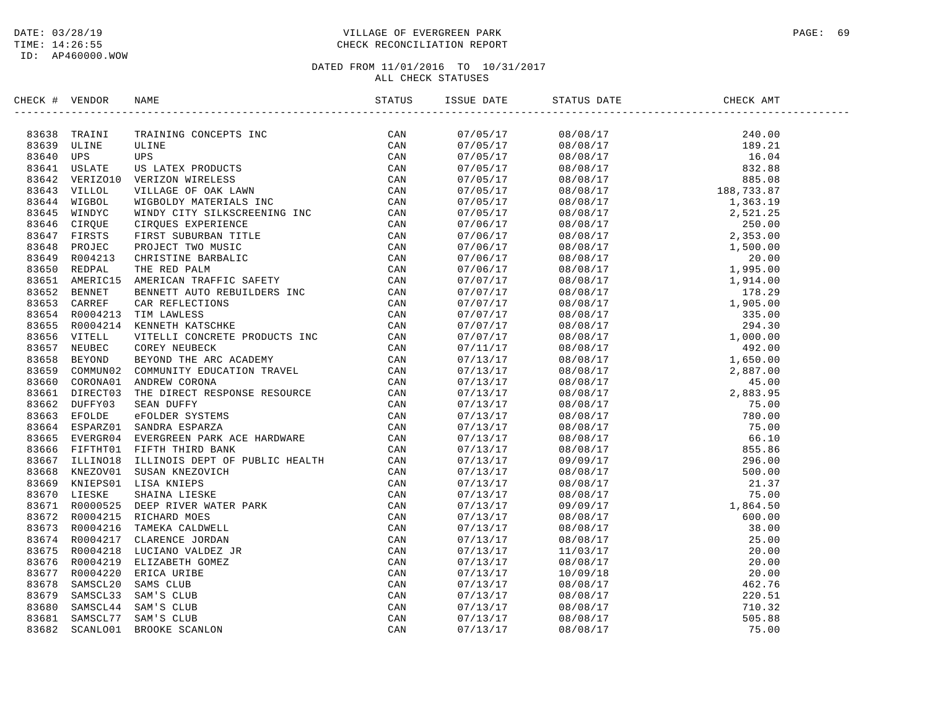## DATE: 03/28/19 PAGE: 69 PAGE: 69 PAGE: 69 PAGE: 69 PAGE: 69 PAGE: 9 TIME: 14:26:55 CHECK RECONCILIATION REPORT

| CHECK # VENDOR | NAME                                                                                                                                                                                                                          |  | STATUS DATE | CHECK AMT |  |
|----------------|-------------------------------------------------------------------------------------------------------------------------------------------------------------------------------------------------------------------------------|--|-------------|-----------|--|
|                | ISCRET VENDOR NAME CONTENT INTO THE REFERENCE CAN SERVE THE MANUFACTION ON A SERVE THAN A SERVE ON A SERVE ON A SERVE ON A SERVE ON A SERVE ON A SERVE ON A SERVE ON A SERVE ON A SERVE ON A SERVE ON A SERVE ON A SERVE ON A |  |             |           |  |
|                |                                                                                                                                                                                                                               |  |             |           |  |
|                |                                                                                                                                                                                                                               |  |             |           |  |
|                |                                                                                                                                                                                                                               |  |             |           |  |
|                |                                                                                                                                                                                                                               |  |             |           |  |
|                |                                                                                                                                                                                                                               |  |             |           |  |
|                |                                                                                                                                                                                                                               |  |             |           |  |
|                |                                                                                                                                                                                                                               |  |             |           |  |
|                |                                                                                                                                                                                                                               |  |             |           |  |
|                |                                                                                                                                                                                                                               |  |             |           |  |
|                |                                                                                                                                                                                                                               |  |             |           |  |
|                |                                                                                                                                                                                                                               |  |             |           |  |
|                |                                                                                                                                                                                                                               |  |             |           |  |
|                |                                                                                                                                                                                                                               |  |             |           |  |
|                |                                                                                                                                                                                                                               |  |             |           |  |
|                |                                                                                                                                                                                                                               |  |             |           |  |
|                |                                                                                                                                                                                                                               |  |             |           |  |
|                |                                                                                                                                                                                                                               |  |             |           |  |
|                |                                                                                                                                                                                                                               |  |             |           |  |
|                |                                                                                                                                                                                                                               |  |             |           |  |
|                |                                                                                                                                                                                                                               |  |             |           |  |
|                |                                                                                                                                                                                                                               |  |             |           |  |
|                |                                                                                                                                                                                                                               |  |             |           |  |
|                |                                                                                                                                                                                                                               |  |             |           |  |
|                |                                                                                                                                                                                                                               |  |             |           |  |
|                |                                                                                                                                                                                                                               |  |             |           |  |
|                |                                                                                                                                                                                                                               |  |             |           |  |
|                |                                                                                                                                                                                                                               |  |             |           |  |
|                |                                                                                                                                                                                                                               |  |             |           |  |
|                |                                                                                                                                                                                                                               |  |             |           |  |
|                |                                                                                                                                                                                                                               |  |             |           |  |
|                |                                                                                                                                                                                                                               |  |             |           |  |
|                |                                                                                                                                                                                                                               |  |             |           |  |
|                |                                                                                                                                                                                                                               |  |             |           |  |
|                |                                                                                                                                                                                                                               |  |             |           |  |
|                |                                                                                                                                                                                                                               |  |             |           |  |
|                |                                                                                                                                                                                                                               |  |             |           |  |
|                |                                                                                                                                                                                                                               |  |             |           |  |
|                |                                                                                                                                                                                                                               |  |             |           |  |
|                |                                                                                                                                                                                                                               |  |             |           |  |
|                |                                                                                                                                                                                                                               |  |             |           |  |
|                |                                                                                                                                                                                                                               |  |             |           |  |
|                |                                                                                                                                                                                                                               |  |             |           |  |
|                |                                                                                                                                                                                                                               |  |             |           |  |
|                |                                                                                                                                                                                                                               |  |             |           |  |
|                |                                                                                                                                                                                                                               |  |             |           |  |
|                |                                                                                                                                                                                                                               |  |             |           |  |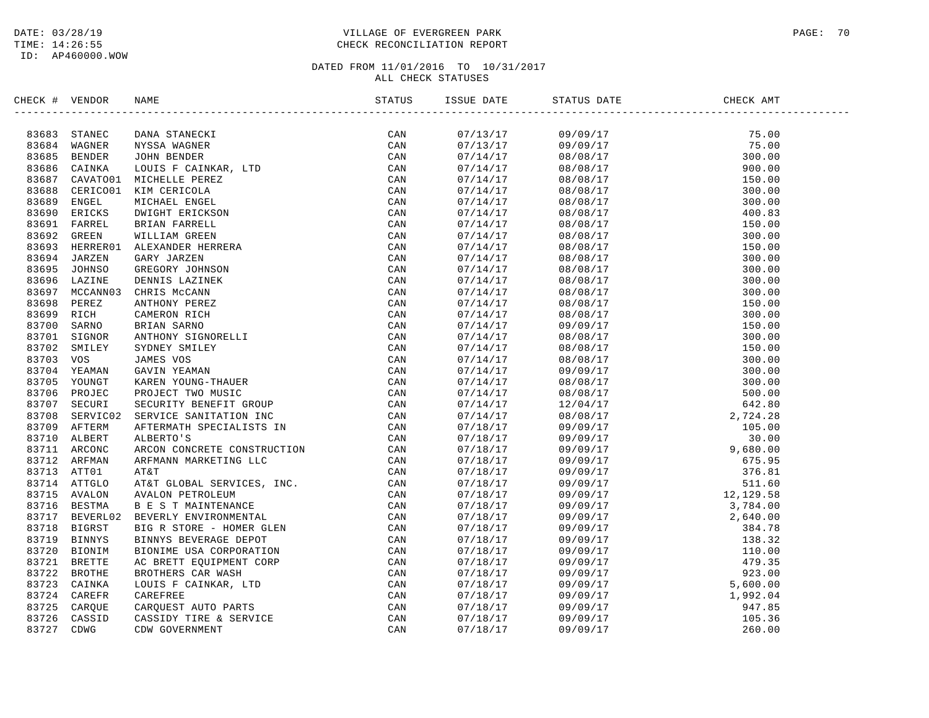## DATE: 03/28/19 PAGE: 70 TIME: 14:26:55 CHECK RECONCILIATION REPORT

| CHECK # VENDOR |                          | NAME                                                                                                                                                                                                                          |     | ISSUE DATE           | STATUS DATE | CHECK AMT                                                                                                                                                                                                                                                                                                                |  |
|----------------|--------------------------|-------------------------------------------------------------------------------------------------------------------------------------------------------------------------------------------------------------------------------|-----|----------------------|-------------|--------------------------------------------------------------------------------------------------------------------------------------------------------------------------------------------------------------------------------------------------------------------------------------------------------------------------|--|
|                |                          | NAME (NR STREET SERVICE SAN ARREST CAN BERTIFIEST CAN BEREINT COURS FOR A BOUND IN THE CAN CAN DUITS THAT AN ORIGINAL CAN CAN DESCRIBE THE CAN DESCRIBE THE CONTROLL ON THE CAN DESCRIBE THE SERVICE CAN DESCRIBE THE SERVICE |     |                      |             | $\begin{tabular}{lcccc} $51685041 & $04064 \\ $16850408 \\ $161808 \\ $161808 \\ $161808 \\ $161808 \\ $161808 \\ $161808 \\ $161808 \\ $161808 \\ $161808 \\ $161808 \\ $161808 \\ $161808 \\ $161808 \\ $161808 \\ $161808 \\ $161808 \\ $161808 \\ $161808 \\ $161808 \\ $161808 \\ $161808 \\ $161808 \\ $161808 \\$ |  |
|                | 83683 STANEC             |                                                                                                                                                                                                                               | CAN | 07/13/17             |             |                                                                                                                                                                                                                                                                                                                          |  |
|                | 83684 WAGNER             |                                                                                                                                                                                                                               |     | 07/13/17             |             |                                                                                                                                                                                                                                                                                                                          |  |
| 83685          | <b>BENDER</b>            |                                                                                                                                                                                                                               |     | 07/14/17             |             |                                                                                                                                                                                                                                                                                                                          |  |
| 83687          | 83686 CAINKA             |                                                                                                                                                                                                                               |     | 07/14/17             |             |                                                                                                                                                                                                                                                                                                                          |  |
| 83688          | CAVATO01<br>CERICO01     |                                                                                                                                                                                                                               |     | 07/14/17             |             |                                                                                                                                                                                                                                                                                                                          |  |
| 83689          |                          |                                                                                                                                                                                                                               |     | 07/14/17             |             |                                                                                                                                                                                                                                                                                                                          |  |
| 83690          | ENGEL<br>ERICKS          |                                                                                                                                                                                                                               |     | 07/14/17             |             |                                                                                                                                                                                                                                                                                                                          |  |
|                | 83691 FARREL             |                                                                                                                                                                                                                               |     | 07/14/17             |             |                                                                                                                                                                                                                                                                                                                          |  |
|                |                          |                                                                                                                                                                                                                               |     | 07/14/17             |             |                                                                                                                                                                                                                                                                                                                          |  |
| 83692          | GREEN                    |                                                                                                                                                                                                                               |     | 07/14/17             |             |                                                                                                                                                                                                                                                                                                                          |  |
| 83694          | 83693 HERRER01<br>JARZEN |                                                                                                                                                                                                                               |     | 07/14/17             |             |                                                                                                                                                                                                                                                                                                                          |  |
| 83695          | JOHNSO                   |                                                                                                                                                                                                                               |     | 07/14/17<br>07/14/17 |             |                                                                                                                                                                                                                                                                                                                          |  |
| 83696          | LAZINE                   |                                                                                                                                                                                                                               |     | 07/14/17             |             |                                                                                                                                                                                                                                                                                                                          |  |
| 83697          | MCCANN03                 |                                                                                                                                                                                                                               |     |                      |             |                                                                                                                                                                                                                                                                                                                          |  |
| 83698          | PEREZ                    |                                                                                                                                                                                                                               |     | 07/14/17<br>07/14/17 |             |                                                                                                                                                                                                                                                                                                                          |  |
| 83699          | RICH                     |                                                                                                                                                                                                                               |     |                      |             |                                                                                                                                                                                                                                                                                                                          |  |
| 83700          | SARNO                    |                                                                                                                                                                                                                               |     | 07/14/17<br>07/14/17 |             |                                                                                                                                                                                                                                                                                                                          |  |
| 83701          | SIGNOR                   |                                                                                                                                                                                                                               |     | 07/14/17             |             |                                                                                                                                                                                                                                                                                                                          |  |
| 83702          | SMILEY                   |                                                                                                                                                                                                                               |     | 07/14/17             |             |                                                                                                                                                                                                                                                                                                                          |  |
| 83703          | vos                      |                                                                                                                                                                                                                               |     | 07/14/17             |             |                                                                                                                                                                                                                                                                                                                          |  |
| 83704          | YEAMAN                   |                                                                                                                                                                                                                               |     | 07/14/17             |             |                                                                                                                                                                                                                                                                                                                          |  |
|                | 83705 YOUNGT             |                                                                                                                                                                                                                               |     | 07/14/17             |             |                                                                                                                                                                                                                                                                                                                          |  |
| 83706          | PROJEC                   |                                                                                                                                                                                                                               |     | 07/14/17             |             |                                                                                                                                                                                                                                                                                                                          |  |
|                | 83707 SECURI             |                                                                                                                                                                                                                               |     | 07/14/17             |             |                                                                                                                                                                                                                                                                                                                          |  |
| 83708          | SERVIC02                 |                                                                                                                                                                                                                               |     | 07/14/17             |             |                                                                                                                                                                                                                                                                                                                          |  |
|                | 83709 AFTERM             |                                                                                                                                                                                                                               |     | 07/18/17             |             |                                                                                                                                                                                                                                                                                                                          |  |
| 83710          | ALBERT                   |                                                                                                                                                                                                                               |     | 07/18/17             |             |                                                                                                                                                                                                                                                                                                                          |  |
|                | 83711 ARCONC             |                                                                                                                                                                                                                               |     | 07/18/17             |             |                                                                                                                                                                                                                                                                                                                          |  |
|                | 83712 ARFMAN             |                                                                                                                                                                                                                               |     | 07/18/17             |             |                                                                                                                                                                                                                                                                                                                          |  |
| 83713          | ATT01                    |                                                                                                                                                                                                                               |     | 07/18/17             |             |                                                                                                                                                                                                                                                                                                                          |  |
|                | 83714 ATTGLO             |                                                                                                                                                                                                                               |     | 07/18/17             |             |                                                                                                                                                                                                                                                                                                                          |  |
| 83715          | AVALON                   |                                                                                                                                                                                                                               |     | 07/18/17             |             |                                                                                                                                                                                                                                                                                                                          |  |
| 83716          | BESTMA                   |                                                                                                                                                                                                                               |     | 07/18/17             |             |                                                                                                                                                                                                                                                                                                                          |  |
| 83717          | BEVERL02                 |                                                                                                                                                                                                                               |     | 07/18/17             |             |                                                                                                                                                                                                                                                                                                                          |  |
| 83718          | BIGRST                   |                                                                                                                                                                                                                               |     | 07/18/17             |             |                                                                                                                                                                                                                                                                                                                          |  |
| 83719          | <b>BINNYS</b>            |                                                                                                                                                                                                                               |     | 07/18/17             |             |                                                                                                                                                                                                                                                                                                                          |  |
| 83720          | <b>BIONIM</b>            |                                                                                                                                                                                                                               |     | 07/18/17             |             |                                                                                                                                                                                                                                                                                                                          |  |
| 83721          | <b>BRETTE</b>            |                                                                                                                                                                                                                               |     | 07/18/17             |             |                                                                                                                                                                                                                                                                                                                          |  |
| 83722          | <b>BROTHE</b>            |                                                                                                                                                                                                                               |     | 07/18/17             |             |                                                                                                                                                                                                                                                                                                                          |  |
|                | 83723 CAINKA             |                                                                                                                                                                                                                               |     | 07/18/17             |             |                                                                                                                                                                                                                                                                                                                          |  |
| 83724          | CAREFR                   |                                                                                                                                                                                                                               |     | 07/18/17             |             |                                                                                                                                                                                                                                                                                                                          |  |
| 83725          | CARQUE                   |                                                                                                                                                                                                                               |     | 07/18/17             |             |                                                                                                                                                                                                                                                                                                                          |  |
| 83726          | CASSID                   |                                                                                                                                                                                                                               |     | 07/18/17             |             |                                                                                                                                                                                                                                                                                                                          |  |
| 83727          | CDWG                     |                                                                                                                                                                                                                               |     | 07/18/17             |             |                                                                                                                                                                                                                                                                                                                          |  |
|                |                          |                                                                                                                                                                                                                               |     |                      |             |                                                                                                                                                                                                                                                                                                                          |  |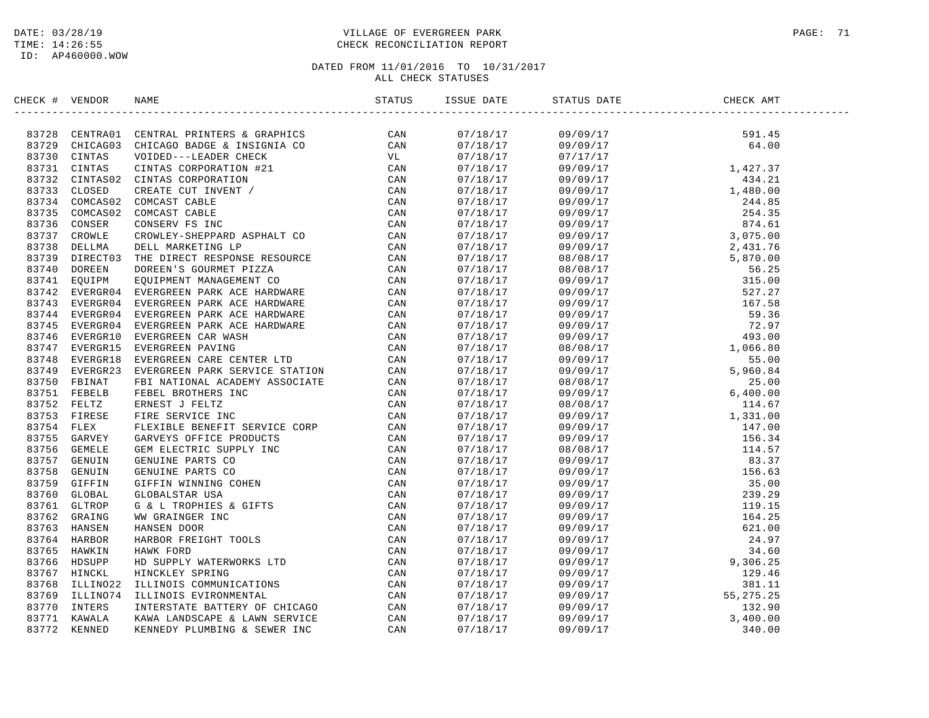## DATE: 03/28/19 PAGE: 71 PAGE: 71 TIME: 14:26:55 CHECK RECONCILIATION REPORT

| CHECK # VENDOR | NAME                                                                                                                                                                                                                                  | ISSUE DATE | STATUS DATE | CHECK AMT |  |
|----------------|---------------------------------------------------------------------------------------------------------------------------------------------------------------------------------------------------------------------------------------|------------|-------------|-----------|--|
|                | ENEXAT VENDOR NAME DE CARRILLE SE CRANELLE (2002)<br>1972 CERTINAL PERITE SE CRANELLE CAN CONSTRUCTED (2003)<br>1972 CERTINAL PERITE SUBDIVERS 4 CERTINE CON CONSTRUCTS (2004)<br>1973 CENTINAL VENDOR CONDENSITY (2004)<br>1973 CENT |            |             |           |  |
|                |                                                                                                                                                                                                                                       |            |             |           |  |
|                |                                                                                                                                                                                                                                       |            |             |           |  |
|                |                                                                                                                                                                                                                                       |            |             |           |  |
|                |                                                                                                                                                                                                                                       |            |             |           |  |
|                |                                                                                                                                                                                                                                       |            |             |           |  |
|                |                                                                                                                                                                                                                                       |            |             |           |  |
|                |                                                                                                                                                                                                                                       |            |             |           |  |
|                |                                                                                                                                                                                                                                       |            |             |           |  |
|                |                                                                                                                                                                                                                                       |            |             |           |  |
|                |                                                                                                                                                                                                                                       |            |             |           |  |
|                |                                                                                                                                                                                                                                       |            |             |           |  |
|                |                                                                                                                                                                                                                                       |            |             |           |  |
|                |                                                                                                                                                                                                                                       |            |             |           |  |
|                |                                                                                                                                                                                                                                       |            |             |           |  |
|                |                                                                                                                                                                                                                                       |            |             |           |  |
|                |                                                                                                                                                                                                                                       |            |             |           |  |
|                |                                                                                                                                                                                                                                       |            |             |           |  |
|                |                                                                                                                                                                                                                                       |            |             |           |  |
|                |                                                                                                                                                                                                                                       |            |             |           |  |
|                |                                                                                                                                                                                                                                       |            |             |           |  |
|                |                                                                                                                                                                                                                                       |            |             |           |  |
|                |                                                                                                                                                                                                                                       |            |             |           |  |
|                |                                                                                                                                                                                                                                       |            |             |           |  |
|                |                                                                                                                                                                                                                                       |            |             |           |  |
|                |                                                                                                                                                                                                                                       |            |             |           |  |
|                |                                                                                                                                                                                                                                       |            |             |           |  |
|                |                                                                                                                                                                                                                                       |            |             |           |  |
|                |                                                                                                                                                                                                                                       |            |             |           |  |
|                |                                                                                                                                                                                                                                       |            |             |           |  |
|                |                                                                                                                                                                                                                                       |            |             |           |  |
|                |                                                                                                                                                                                                                                       |            |             |           |  |
|                |                                                                                                                                                                                                                                       |            |             |           |  |
|                |                                                                                                                                                                                                                                       |            |             |           |  |
|                |                                                                                                                                                                                                                                       |            |             |           |  |
|                |                                                                                                                                                                                                                                       |            |             |           |  |
|                |                                                                                                                                                                                                                                       |            |             |           |  |
|                |                                                                                                                                                                                                                                       |            |             |           |  |
|                |                                                                                                                                                                                                                                       |            |             |           |  |
|                |                                                                                                                                                                                                                                       |            |             |           |  |
|                |                                                                                                                                                                                                                                       |            |             |           |  |
|                |                                                                                                                                                                                                                                       |            |             |           |  |
|                |                                                                                                                                                                                                                                       |            |             |           |  |
|                |                                                                                                                                                                                                                                       |            |             |           |  |
|                |                                                                                                                                                                                                                                       |            |             |           |  |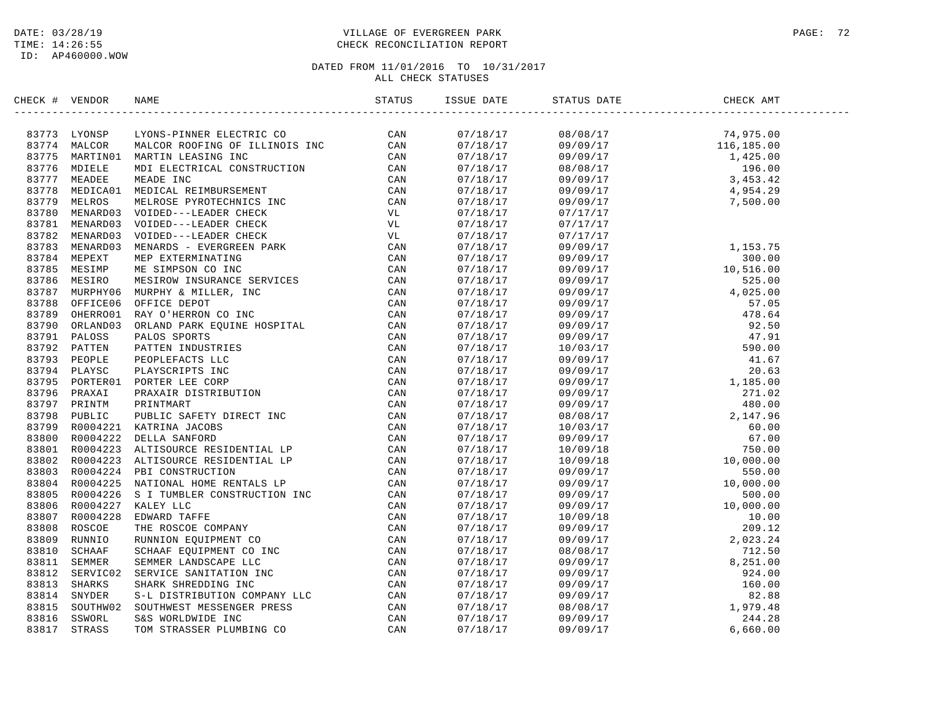ID: AP460000.WOW

## DATE: 03/28/19 PAGE: 72 TIME: 14:26:55 CHECK RECONCILIATION REPORT

| CHECK # VENDOR |                                                                                                                                                                                                                               | ISSUE DATE | STATUS DATE | CHECK AMT                                                                                                                                                                                                                                                         |  |
|----------------|-------------------------------------------------------------------------------------------------------------------------------------------------------------------------------------------------------------------------------|------------|-------------|-------------------------------------------------------------------------------------------------------------------------------------------------------------------------------------------------------------------------------------------------------------------|--|
|                | IFICRE # VERIDE MANUFAL METHODS IN THE STATE OF THE STATE AND RESPONSE TO AN 1939 VALUE OF THE STATE OF THE STATE OF THE STATE AND FIRE AND MANUFAL CONTINUES IN the STATE OF THE STATE OF THE STATE OF THE STATE PROPERTY IN | 07/18/17   |             |                                                                                                                                                                                                                                                                   |  |
|                |                                                                                                                                                                                                                               | 07/18/17   |             |                                                                                                                                                                                                                                                                   |  |
|                |                                                                                                                                                                                                                               | 07/18/17   |             |                                                                                                                                                                                                                                                                   |  |
|                |                                                                                                                                                                                                                               | 07/18/17   |             |                                                                                                                                                                                                                                                                   |  |
|                |                                                                                                                                                                                                                               | 07/18/17   |             |                                                                                                                                                                                                                                                                   |  |
|                |                                                                                                                                                                                                                               | 07/18/17   |             |                                                                                                                                                                                                                                                                   |  |
|                |                                                                                                                                                                                                                               | 07/18/17   |             |                                                                                                                                                                                                                                                                   |  |
|                |                                                                                                                                                                                                                               | 07/18/17   | 07/17/17    |                                                                                                                                                                                                                                                                   |  |
|                |                                                                                                                                                                                                                               | 07/18/17   | 07/17/17    |                                                                                                                                                                                                                                                                   |  |
|                |                                                                                                                                                                                                                               |            |             |                                                                                                                                                                                                                                                                   |  |
|                |                                                                                                                                                                                                                               | 07/18/17   | 07/17/17    |                                                                                                                                                                                                                                                                   |  |
|                |                                                                                                                                                                                                                               | 07/18/17   |             |                                                                                                                                                                                                                                                                   |  |
|                |                                                                                                                                                                                                                               | 07/18/17   |             |                                                                                                                                                                                                                                                                   |  |
|                |                                                                                                                                                                                                                               | 07/18/17   |             |                                                                                                                                                                                                                                                                   |  |
|                |                                                                                                                                                                                                                               | 07/18/17   |             |                                                                                                                                                                                                                                                                   |  |
|                |                                                                                                                                                                                                                               | 07/18/17   |             |                                                                                                                                                                                                                                                                   |  |
|                |                                                                                                                                                                                                                               | 07/18/17   |             |                                                                                                                                                                                                                                                                   |  |
|                |                                                                                                                                                                                                                               | 07/18/17   |             |                                                                                                                                                                                                                                                                   |  |
|                |                                                                                                                                                                                                                               | 07/18/17   |             |                                                                                                                                                                                                                                                                   |  |
|                |                                                                                                                                                                                                                               | 07/18/17   |             |                                                                                                                                                                                                                                                                   |  |
|                |                                                                                                                                                                                                                               | 07/18/17   |             |                                                                                                                                                                                                                                                                   |  |
|                |                                                                                                                                                                                                                               | 07/18/17   |             |                                                                                                                                                                                                                                                                   |  |
|                |                                                                                                                                                                                                                               | 07/18/17   |             |                                                                                                                                                                                                                                                                   |  |
|                |                                                                                                                                                                                                                               | 07/18/17   |             |                                                                                                                                                                                                                                                                   |  |
|                |                                                                                                                                                                                                                               | 07/18/17   |             |                                                                                                                                                                                                                                                                   |  |
|                |                                                                                                                                                                                                                               | 07/18/17   |             |                                                                                                                                                                                                                                                                   |  |
|                |                                                                                                                                                                                                                               | 07/18/17   |             |                                                                                                                                                                                                                                                                   |  |
|                |                                                                                                                                                                                                                               | 07/18/17   |             |                                                                                                                                                                                                                                                                   |  |
|                |                                                                                                                                                                                                                               | 07/18/17   |             |                                                                                                                                                                                                                                                                   |  |
|                |                                                                                                                                                                                                                               | 07/18/17   |             |                                                                                                                                                                                                                                                                   |  |
|                |                                                                                                                                                                                                                               | 07/18/17   |             |                                                                                                                                                                                                                                                                   |  |
|                |                                                                                                                                                                                                                               | 07/18/17   |             |                                                                                                                                                                                                                                                                   |  |
|                |                                                                                                                                                                                                                               | 07/18/17   |             |                                                                                                                                                                                                                                                                   |  |
|                |                                                                                                                                                                                                                               | 07/18/17   |             |                                                                                                                                                                                                                                                                   |  |
|                |                                                                                                                                                                                                                               | 07/18/17   |             |                                                                                                                                                                                                                                                                   |  |
|                |                                                                                                                                                                                                                               | 07/18/17   |             |                                                                                                                                                                                                                                                                   |  |
|                |                                                                                                                                                                                                                               | 07/18/17   |             |                                                                                                                                                                                                                                                                   |  |
|                |                                                                                                                                                                                                                               | 07/18/17   |             |                                                                                                                                                                                                                                                                   |  |
|                |                                                                                                                                                                                                                               | 07/18/17   |             |                                                                                                                                                                                                                                                                   |  |
|                |                                                                                                                                                                                                                               | 07/18/17   |             |                                                                                                                                                                                                                                                                   |  |
|                |                                                                                                                                                                                                                               | 07/18/17   |             | $\begin{tabular}{@{}c@{}}07/17/17\\07/17/17\\09/09/17\\09/09/17\\09/09/17\\09/09/17\\09/09/17\\09/09/17\\09/09/17\\09/09/17\\09/09/17\\09/09/17\\09/09/17\\09/09/17\\09/09/17\\09/09/17\\09/09/17\\09/09/17\\09/09/17\\09/09/17\\09/09/17\\09/09/17\\09/09/17\\0$ |  |
|                |                                                                                                                                                                                                                               | 07/18/17   |             |                                                                                                                                                                                                                                                                   |  |
|                |                                                                                                                                                                                                                               | 07/18/17   |             |                                                                                                                                                                                                                                                                   |  |
|                |                                                                                                                                                                                                                               | 07/18/17   |             |                                                                                                                                                                                                                                                                   |  |
|                |                                                                                                                                                                                                                               | 07/18/17   |             |                                                                                                                                                                                                                                                                   |  |
|                |                                                                                                                                                                                                                               | 07/18/17   |             |                                                                                                                                                                                                                                                                   |  |
|                |                                                                                                                                                                                                                               |            |             |                                                                                                                                                                                                                                                                   |  |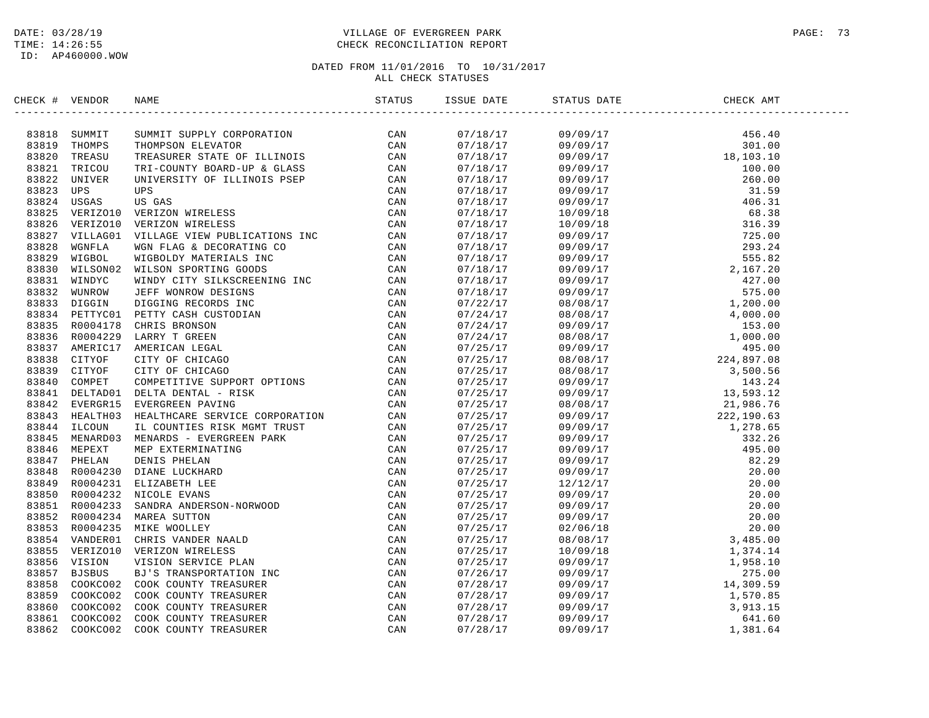# DATE: 03/28/19 PAGE: 73 TIME: 14:26:55 CHECK RECONCILIATION REPORT

| CHECK # VENDOR |                         | NAME                                                                                                                                                                                                                           | ISSUE DATE | STATUS DATE | CHECK AMT |  |
|----------------|-------------------------|--------------------------------------------------------------------------------------------------------------------------------------------------------------------------------------------------------------------------------|------------|-------------|-----------|--|
|                |                         | NEW THE SERVIES TO CONFIDENT AND CAN NEW THEORY ON CAN THE STATISTIC ONE CONFIDENT IN A CAN THE STATISTIC ONE CONFINING A CAN INTEREST CAN USE THE CONFINENCING TO CONFINENCING THE STATISTIC ONE CONFINING A CAN INCREASE THA |            |             |           |  |
|                | 83818 SUMMIT            |                                                                                                                                                                                                                                |            |             |           |  |
|                | 83819 THOMPS            |                                                                                                                                                                                                                                |            |             |           |  |
| 83820          | TREASU                  |                                                                                                                                                                                                                                |            |             |           |  |
|                | 83821 TRICOU            |                                                                                                                                                                                                                                |            |             |           |  |
| 83822          | UNIVER                  |                                                                                                                                                                                                                                |            |             |           |  |
| 83823          | UPS                     |                                                                                                                                                                                                                                |            |             |           |  |
| 83824          | USGAS<br>83825 VERIZO10 |                                                                                                                                                                                                                                |            |             |           |  |
|                | 83826 VERIZO10          |                                                                                                                                                                                                                                |            |             |           |  |
| 83827          |                         |                                                                                                                                                                                                                                |            |             |           |  |
| 83828          | VILLAG01<br>WGNFLA      |                                                                                                                                                                                                                                |            |             |           |  |
| 83829          | WIGBOL                  |                                                                                                                                                                                                                                |            |             |           |  |
|                | 83830 WILSON02          |                                                                                                                                                                                                                                |            |             |           |  |
| 83831          | WINDYC                  |                                                                                                                                                                                                                                |            |             |           |  |
| 83832          | WUNROW                  |                                                                                                                                                                                                                                |            |             |           |  |
|                | 83833 DIGGIN            |                                                                                                                                                                                                                                |            |             |           |  |
|                | 83834 PETTYC01          |                                                                                                                                                                                                                                |            |             |           |  |
|                | 83835 R0004178          |                                                                                                                                                                                                                                |            |             |           |  |
|                | 83836 R0004229          |                                                                                                                                                                                                                                |            |             |           |  |
|                | 83837 AMERIC17          |                                                                                                                                                                                                                                |            |             |           |  |
|                | 83838 CITYOF            |                                                                                                                                                                                                                                |            |             |           |  |
|                | 83839 CITYOF            |                                                                                                                                                                                                                                |            |             |           |  |
|                | 83840 COMPET            |                                                                                                                                                                                                                                |            |             |           |  |
|                | 83841 DELTAD01          |                                                                                                                                                                                                                                |            |             |           |  |
|                | 83842 EVERGR15          |                                                                                                                                                                                                                                |            |             |           |  |
| 83843          | HEALTH03                |                                                                                                                                                                                                                                |            |             |           |  |
|                | 83844 ILCOUN            |                                                                                                                                                                                                                                |            |             |           |  |
| 83845          | MENARD03                |                                                                                                                                                                                                                                |            |             |           |  |
|                | 83846 MEPEXT            |                                                                                                                                                                                                                                |            |             |           |  |
|                | 83847 PHELAN            |                                                                                                                                                                                                                                |            |             |           |  |
|                | 83848 R0004230          |                                                                                                                                                                                                                                |            |             |           |  |
|                | 83849 R0004231          |                                                                                                                                                                                                                                |            |             |           |  |
| 83850          | R0004232                |                                                                                                                                                                                                                                |            |             |           |  |
|                | 83851 R0004233          |                                                                                                                                                                                                                                |            |             |           |  |
|                | 83852 R0004234          |                                                                                                                                                                                                                                |            |             |           |  |
|                | 83853 R0004235          |                                                                                                                                                                                                                                |            |             |           |  |
|                | 83854 VANDER01          |                                                                                                                                                                                                                                |            |             |           |  |
|                | 83855 VERIZO10          |                                                                                                                                                                                                                                |            |             |           |  |
|                | 83856 VISION            |                                                                                                                                                                                                                                |            |             |           |  |
| 83857          | BJSBUS                  |                                                                                                                                                                                                                                |            |             |           |  |
|                | 83858 COOKCO02          |                                                                                                                                                                                                                                |            |             |           |  |
| 83859          | COOKCO02                |                                                                                                                                                                                                                                |            |             |           |  |
|                | 83860 COOKCO02          |                                                                                                                                                                                                                                |            |             |           |  |
| 83861          | COOKCO02                |                                                                                                                                                                                                                                |            |             |           |  |
| 83862          | COOKCO02                |                                                                                                                                                                                                                                |            |             |           |  |
|                |                         |                                                                                                                                                                                                                                |            |             |           |  |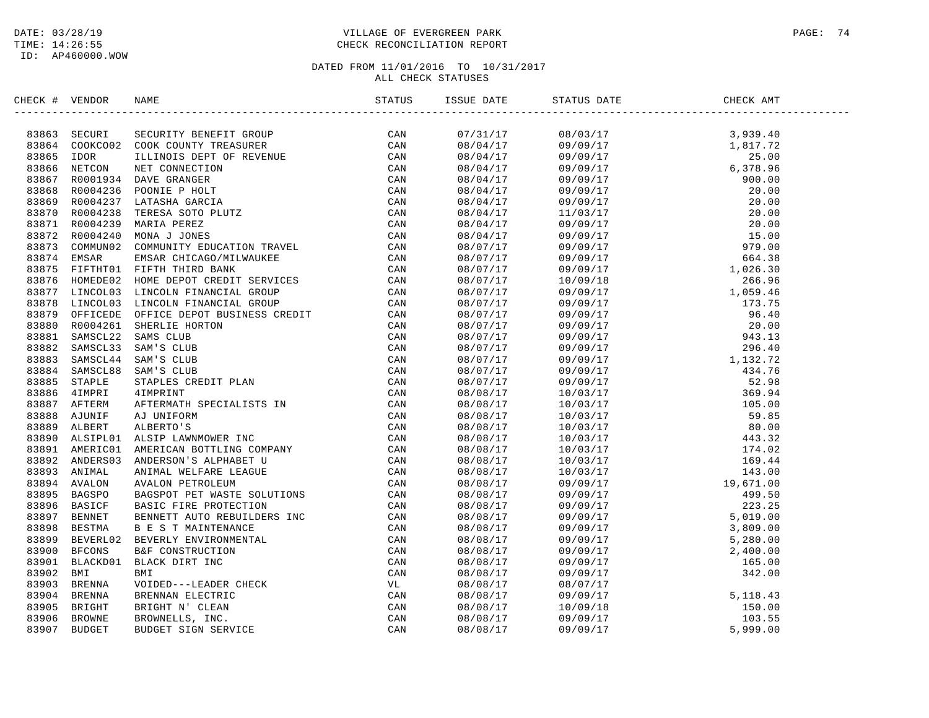# DATE: 03/28/19 PAGE: 74 TIME: 14:26:55 CHECK RECONCILIATION REPORT

DATED FROM 11/01/2016 TO 10/31/2017

ALL CHECK STATUSES

| CHECK # VENDOR |                                                                                                                                                                                                                                   | ISSUE DATE | STATUS DATE<br>------------------                                                                                                                                                                                                                                                                                                                                                                                                     | CHECK AMT |
|----------------|-----------------------------------------------------------------------------------------------------------------------------------------------------------------------------------------------------------------------------------|------------|---------------------------------------------------------------------------------------------------------------------------------------------------------------------------------------------------------------------------------------------------------------------------------------------------------------------------------------------------------------------------------------------------------------------------------------|-----------|
|                | SECK F VERDOR RAME<br>STATES SECURITY RENET (ROUP CAN RESERVE CAN SERVE AND SERVE AND SERVE ON A SASSE TOOK COUNTY TREASURER<br>SERVE AND THE CONVENTION ON THE SERVE OF THE SERVE ON A SASE IN THE CAN SERVE ON A SAME CONVENTIO |            | $\begin{tabular}{l c c c c} \hline & 08/03/17 & 3,939,40 \\ \hline \hline \hline \end{tabular} \hline \begin{tabular}{l c c c} \hline & 08/03/17 & 3,939,40 \\ \hline \hline \end{tabular} \hline \begin{tabular}{l c c c} \hline \end{tabular} \hline \begin{tabular}{l c c c} \hline \end{tabular} \hline \begin{tabular}{l c c c} \hline \end{tabular} \hline \begin{tabular}{l c c c} \hline \end{tabular} \hline \begin{tabular$ |           |
|                |                                                                                                                                                                                                                                   | 07/31/17   |                                                                                                                                                                                                                                                                                                                                                                                                                                       |           |
|                |                                                                                                                                                                                                                                   | 08/04/17   |                                                                                                                                                                                                                                                                                                                                                                                                                                       |           |
|                |                                                                                                                                                                                                                                   | 08/04/17   |                                                                                                                                                                                                                                                                                                                                                                                                                                       |           |
|                |                                                                                                                                                                                                                                   | 08/04/17   |                                                                                                                                                                                                                                                                                                                                                                                                                                       |           |
|                |                                                                                                                                                                                                                                   | 08/04/17   |                                                                                                                                                                                                                                                                                                                                                                                                                                       |           |
|                |                                                                                                                                                                                                                                   | 08/04/17   |                                                                                                                                                                                                                                                                                                                                                                                                                                       |           |
|                |                                                                                                                                                                                                                                   | 08/04/17   |                                                                                                                                                                                                                                                                                                                                                                                                                                       |           |
|                |                                                                                                                                                                                                                                   | 08/04/17   |                                                                                                                                                                                                                                                                                                                                                                                                                                       |           |
|                |                                                                                                                                                                                                                                   | 08/04/17   |                                                                                                                                                                                                                                                                                                                                                                                                                                       |           |
|                |                                                                                                                                                                                                                                   | 08/04/17   |                                                                                                                                                                                                                                                                                                                                                                                                                                       |           |
|                |                                                                                                                                                                                                                                   | 08/07/17   |                                                                                                                                                                                                                                                                                                                                                                                                                                       |           |
|                |                                                                                                                                                                                                                                   | 08/07/17   |                                                                                                                                                                                                                                                                                                                                                                                                                                       |           |
|                |                                                                                                                                                                                                                                   | 08/07/17   |                                                                                                                                                                                                                                                                                                                                                                                                                                       |           |
|                |                                                                                                                                                                                                                                   | 08/07/17   |                                                                                                                                                                                                                                                                                                                                                                                                                                       |           |
|                |                                                                                                                                                                                                                                   | 08/07/17   |                                                                                                                                                                                                                                                                                                                                                                                                                                       |           |
|                |                                                                                                                                                                                                                                   | 08/07/17   |                                                                                                                                                                                                                                                                                                                                                                                                                                       |           |
|                |                                                                                                                                                                                                                                   | 08/07/17   |                                                                                                                                                                                                                                                                                                                                                                                                                                       |           |
|                |                                                                                                                                                                                                                                   | 08/07/17   |                                                                                                                                                                                                                                                                                                                                                                                                                                       |           |
|                |                                                                                                                                                                                                                                   | 08/07/17   |                                                                                                                                                                                                                                                                                                                                                                                                                                       |           |
|                |                                                                                                                                                                                                                                   | 08/07/17   |                                                                                                                                                                                                                                                                                                                                                                                                                                       |           |
|                |                                                                                                                                                                                                                                   | 08/07/17   |                                                                                                                                                                                                                                                                                                                                                                                                                                       |           |
|                |                                                                                                                                                                                                                                   | 08/07/17   |                                                                                                                                                                                                                                                                                                                                                                                                                                       |           |
|                |                                                                                                                                                                                                                                   | 08/07/17   |                                                                                                                                                                                                                                                                                                                                                                                                                                       |           |
|                |                                                                                                                                                                                                                                   | 08/08/17   |                                                                                                                                                                                                                                                                                                                                                                                                                                       |           |
|                |                                                                                                                                                                                                                                   | 08/08/17   |                                                                                                                                                                                                                                                                                                                                                                                                                                       |           |
|                |                                                                                                                                                                                                                                   | 08/08/17   |                                                                                                                                                                                                                                                                                                                                                                                                                                       |           |
|                |                                                                                                                                                                                                                                   | 08/08/17   |                                                                                                                                                                                                                                                                                                                                                                                                                                       |           |
|                |                                                                                                                                                                                                                                   | 08/08/17   |                                                                                                                                                                                                                                                                                                                                                                                                                                       |           |
|                |                                                                                                                                                                                                                                   | 08/08/17   |                                                                                                                                                                                                                                                                                                                                                                                                                                       |           |
|                |                                                                                                                                                                                                                                   | 08/08/17   |                                                                                                                                                                                                                                                                                                                                                                                                                                       |           |
|                |                                                                                                                                                                                                                                   | 08/08/17   |                                                                                                                                                                                                                                                                                                                                                                                                                                       |           |
|                |                                                                                                                                                                                                                                   | 08/08/17   |                                                                                                                                                                                                                                                                                                                                                                                                                                       |           |
|                |                                                                                                                                                                                                                                   | 08/08/17   |                                                                                                                                                                                                                                                                                                                                                                                                                                       |           |
|                |                                                                                                                                                                                                                                   | 08/08/17   |                                                                                                                                                                                                                                                                                                                                                                                                                                       |           |
|                |                                                                                                                                                                                                                                   | 08/08/17   |                                                                                                                                                                                                                                                                                                                                                                                                                                       |           |
|                |                                                                                                                                                                                                                                   | 08/08/17   |                                                                                                                                                                                                                                                                                                                                                                                                                                       |           |
|                |                                                                                                                                                                                                                                   | 08/08/17   |                                                                                                                                                                                                                                                                                                                                                                                                                                       |           |
|                |                                                                                                                                                                                                                                   | 08/08/17   |                                                                                                                                                                                                                                                                                                                                                                                                                                       |           |
|                |                                                                                                                                                                                                                                   | 08/08/17   |                                                                                                                                                                                                                                                                                                                                                                                                                                       |           |
|                |                                                                                                                                                                                                                                   | 08/08/17   |                                                                                                                                                                                                                                                                                                                                                                                                                                       |           |
|                |                                                                                                                                                                                                                                   | 08/08/17   |                                                                                                                                                                                                                                                                                                                                                                                                                                       |           |
|                |                                                                                                                                                                                                                                   | 08/08/17   |                                                                                                                                                                                                                                                                                                                                                                                                                                       |           |
|                |                                                                                                                                                                                                                                   | 08/08/17   |                                                                                                                                                                                                                                                                                                                                                                                                                                       |           |
|                |                                                                                                                                                                                                                                   | 08/08/17   |                                                                                                                                                                                                                                                                                                                                                                                                                                       |           |
|                |                                                                                                                                                                                                                                   | 08/08/17   |                                                                                                                                                                                                                                                                                                                                                                                                                                       |           |
|                |                                                                                                                                                                                                                                   |            |                                                                                                                                                                                                                                                                                                                                                                                                                                       |           |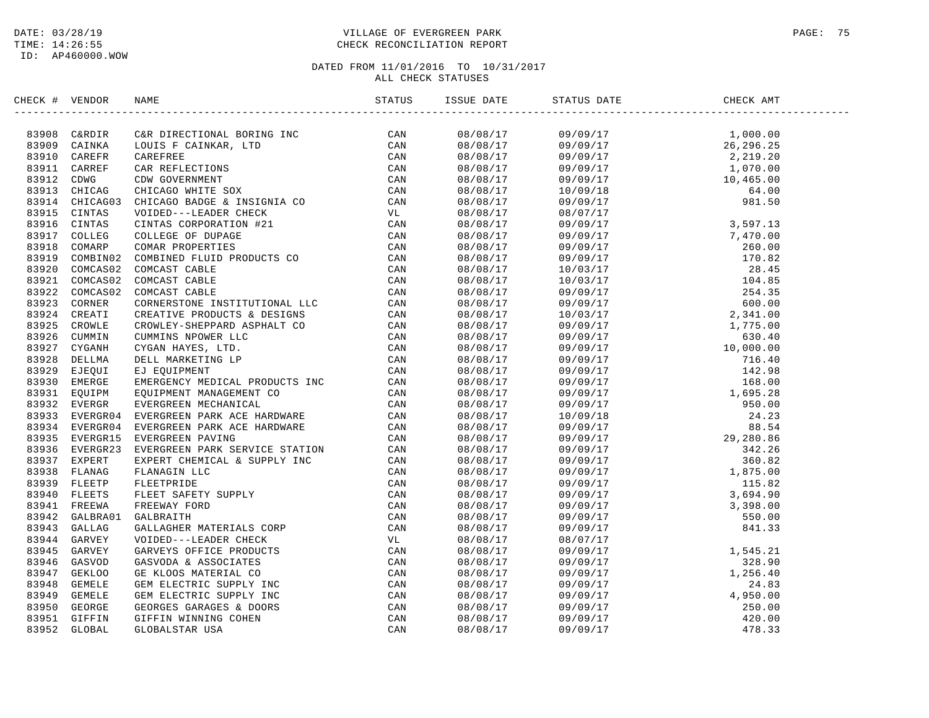# DATE: 03/28/19 PAGE: 75 TIME: 14:26:55 CHECK RECONCILIATION REPORT

| CHECK # VENDOR | NAME | ISSUE DATE | STATUS DATE | CHECK AMT |
|----------------|------|------------|-------------|-----------|
|                |      |            |             |           |
|                |      |            |             |           |
|                |      |            |             |           |
|                |      |            |             |           |
|                |      |            |             |           |
|                |      |            |             |           |
|                |      |            |             |           |
|                |      |            |             |           |
|                |      |            |             |           |
|                |      |            |             |           |
|                |      |            |             |           |
|                |      |            |             |           |
|                |      |            |             |           |
|                |      |            |             |           |
|                |      |            |             |           |
|                |      |            |             |           |
|                |      |            |             |           |
|                |      |            |             |           |
|                |      |            |             |           |
|                |      |            |             |           |
|                |      |            |             |           |
|                |      |            |             |           |
|                |      |            |             |           |
|                |      |            |             |           |
|                |      |            |             |           |
|                |      |            |             |           |
|                |      |            |             |           |
|                |      |            |             |           |
|                |      |            |             |           |
|                |      |            |             |           |
|                |      |            |             |           |
|                |      |            |             |           |
|                |      |            |             |           |
|                |      |            |             |           |
|                |      |            |             |           |
|                |      |            |             |           |
|                |      |            |             |           |
|                |      |            |             |           |
|                |      |            |             |           |
|                |      |            |             |           |
|                |      |            |             |           |
|                |      |            |             |           |
|                |      |            |             |           |
|                |      |            |             |           |
|                |      |            |             |           |
|                |      |            |             |           |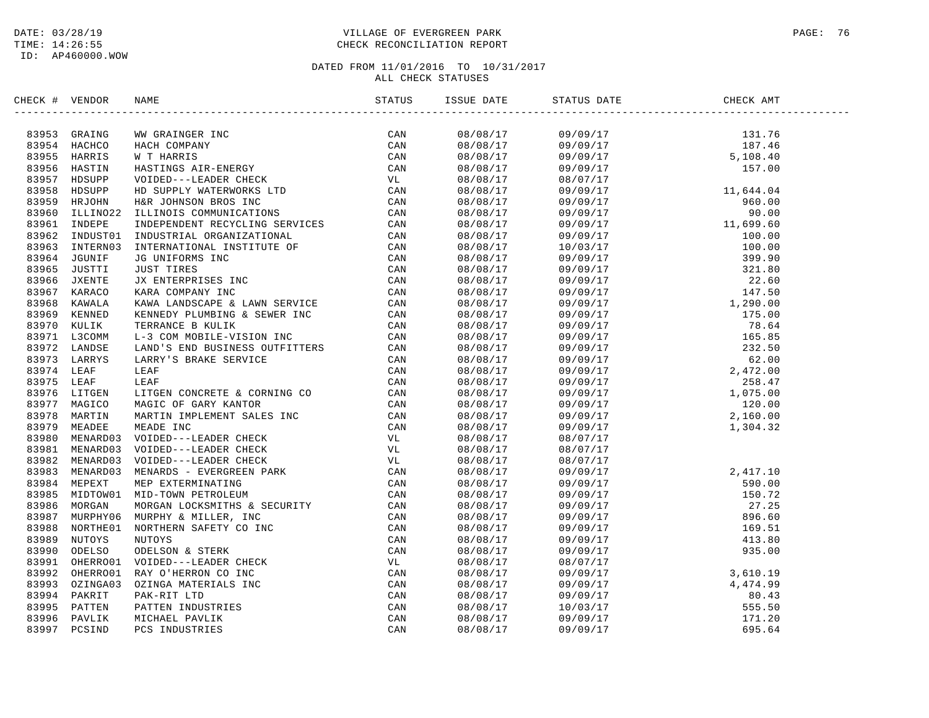# DATE: 03/28/19 PAGE: 76 TIME: 14:26:55 CHECK RECONCILIATION REPORT

| CHECK # VENDOR | NAME                                                                                                                                                                                                                          | STATUS | ISSUE DATE           | STATUS DATE                                                                                                                                                                                                                                                                | CHECK AMT |  |
|----------------|-------------------------------------------------------------------------------------------------------------------------------------------------------------------------------------------------------------------------------|--------|----------------------|----------------------------------------------------------------------------------------------------------------------------------------------------------------------------------------------------------------------------------------------------------------------------|-----------|--|
|                | SECCRET VENDOR NAME STATUS IN A CHANGE MANUS CRAINS AND STATUS IN A SECURE AND SAN A SECURE AND SAN AND A SECURE TO CAN A SECURE TO BE A SECURE TO BE A SECURE TO BE A SECURE TO BE A SECURE TO BE A SECURE TO BE A SECURE TO |        |                      |                                                                                                                                                                                                                                                                            |           |  |
|                |                                                                                                                                                                                                                               |        |                      | $\begin{array}{cccc} 08/08/17 & 09/09/17 & 131.76 \\ 08/08/17 & 09/09/17 & 187.46 \\ 08/08/17 & 09/09/17 & 5,108.40 \\ 08/08/17 & 09/09/17 & 5,108.40 \\ 08/08/17 & 08/07/17 & 157.00 \end{array}$                                                                         |           |  |
|                |                                                                                                                                                                                                                               |        |                      |                                                                                                                                                                                                                                                                            |           |  |
|                |                                                                                                                                                                                                                               |        |                      |                                                                                                                                                                                                                                                                            |           |  |
|                |                                                                                                                                                                                                                               |        |                      |                                                                                                                                                                                                                                                                            |           |  |
|                |                                                                                                                                                                                                                               |        |                      |                                                                                                                                                                                                                                                                            |           |  |
|                |                                                                                                                                                                                                                               |        |                      |                                                                                                                                                                                                                                                                            |           |  |
|                |                                                                                                                                                                                                                               |        |                      |                                                                                                                                                                                                                                                                            |           |  |
|                |                                                                                                                                                                                                                               |        |                      |                                                                                                                                                                                                                                                                            |           |  |
|                |                                                                                                                                                                                                                               |        |                      |                                                                                                                                                                                                                                                                            |           |  |
|                |                                                                                                                                                                                                                               |        |                      |                                                                                                                                                                                                                                                                            |           |  |
|                |                                                                                                                                                                                                                               |        |                      |                                                                                                                                                                                                                                                                            |           |  |
|                |                                                                                                                                                                                                                               |        |                      |                                                                                                                                                                                                                                                                            |           |  |
|                |                                                                                                                                                                                                                               |        |                      |                                                                                                                                                                                                                                                                            |           |  |
|                |                                                                                                                                                                                                                               |        |                      |                                                                                                                                                                                                                                                                            |           |  |
|                |                                                                                                                                                                                                                               |        |                      |                                                                                                                                                                                                                                                                            |           |  |
|                |                                                                                                                                                                                                                               |        |                      |                                                                                                                                                                                                                                                                            |           |  |
|                |                                                                                                                                                                                                                               |        |                      |                                                                                                                                                                                                                                                                            |           |  |
|                |                                                                                                                                                                                                                               |        |                      |                                                                                                                                                                                                                                                                            |           |  |
|                |                                                                                                                                                                                                                               |        |                      |                                                                                                                                                                                                                                                                            |           |  |
|                |                                                                                                                                                                                                                               |        |                      |                                                                                                                                                                                                                                                                            |           |  |
|                |                                                                                                                                                                                                                               |        |                      |                                                                                                                                                                                                                                                                            |           |  |
|                |                                                                                                                                                                                                                               |        |                      |                                                                                                                                                                                                                                                                            |           |  |
|                |                                                                                                                                                                                                                               |        |                      |                                                                                                                                                                                                                                                                            |           |  |
|                |                                                                                                                                                                                                                               |        |                      |                                                                                                                                                                                                                                                                            |           |  |
|                |                                                                                                                                                                                                                               |        |                      |                                                                                                                                                                                                                                                                            |           |  |
|                |                                                                                                                                                                                                                               |        |                      |                                                                                                                                                                                                                                                                            |           |  |
|                |                                                                                                                                                                                                                               |        |                      |                                                                                                                                                                                                                                                                            |           |  |
|                |                                                                                                                                                                                                                               |        | 08/08/17             | 08/07/17                                                                                                                                                                                                                                                                   |           |  |
|                |                                                                                                                                                                                                                               |        | 08/08/17             | 08/07/17                                                                                                                                                                                                                                                                   |           |  |
|                |                                                                                                                                                                                                                               |        | 08/08/17             | 08/07/17                                                                                                                                                                                                                                                                   |           |  |
|                |                                                                                                                                                                                                                               |        | 08/08/17             |                                                                                                                                                                                                                                                                            |           |  |
|                |                                                                                                                                                                                                                               |        | 08/08/17             |                                                                                                                                                                                                                                                                            |           |  |
|                |                                                                                                                                                                                                                               |        | 08/08/17             |                                                                                                                                                                                                                                                                            |           |  |
|                |                                                                                                                                                                                                                               |        | 08/08/17             |                                                                                                                                                                                                                                                                            |           |  |
|                |                                                                                                                                                                                                                               |        | 08/08/17             |                                                                                                                                                                                                                                                                            |           |  |
|                |                                                                                                                                                                                                                               |        | 08/08/17             |                                                                                                                                                                                                                                                                            |           |  |
|                |                                                                                                                                                                                                                               |        | 08/08/17             |                                                                                                                                                                                                                                                                            |           |  |
|                |                                                                                                                                                                                                                               |        | 08/08/17             |                                                                                                                                                                                                                                                                            |           |  |
|                |                                                                                                                                                                                                                               |        | 08/08/17             |                                                                                                                                                                                                                                                                            |           |  |
|                |                                                                                                                                                                                                                               |        |                      |                                                                                                                                                                                                                                                                            |           |  |
|                |                                                                                                                                                                                                                               |        | 08/08/17<br>08/08/17 |                                                                                                                                                                                                                                                                            |           |  |
|                |                                                                                                                                                                                                                               |        | 08/08/17             |                                                                                                                                                                                                                                                                            |           |  |
|                |                                                                                                                                                                                                                               |        | 08/08/17             |                                                                                                                                                                                                                                                                            |           |  |
|                |                                                                                                                                                                                                                               |        | 08/08/17             |                                                                                                                                                                                                                                                                            |           |  |
|                |                                                                                                                                                                                                                               |        | 08/08/17             | $\begin{array}{cccc} 0.8/07/17 & 2\,,417.10 \\ 0.9/09/17 & 590.00 \\ 0.9/09/17 & 150.72 \\ 0.9/09/17 & 27.25 \\ 0.9/09/17 & 27.25 \\ 0.9/09/17 & 159.51 \\ 0.9/09/17 & 413.80 \\ 0.9/09/17 & 413.80 \\ 0.8/07/17 & 3,610.19 \\ 0.9/09/17 & 3,610.19 \\ 0.9/09/17 & 4,474.$ |           |  |
|                |                                                                                                                                                                                                                               |        |                      |                                                                                                                                                                                                                                                                            |           |  |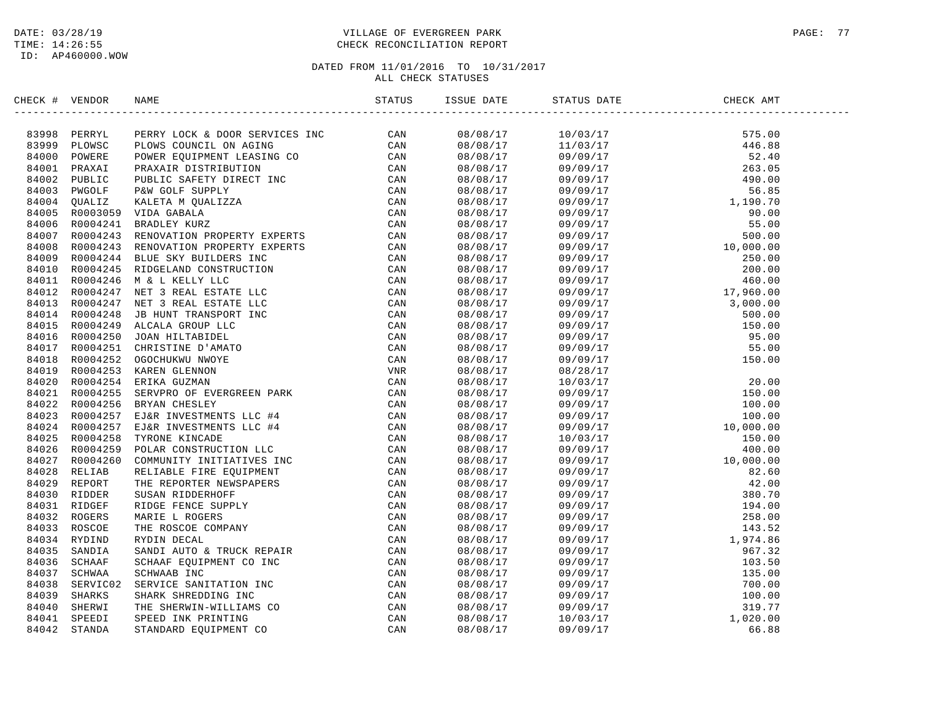ID: AP460000.WOW

# DATE: 03/28/19 PAGE: 77 PAGE: 77 TIME: 14:26:55 CHECK RECONCILIATION REPORT

# DATED FROM 11/01/2016 TO 10/31/2017

ALL CHECK STATUSES

| CHECK # VENDOR | NAME | ISSUE DATE | STATUS DATE                                                                                                                                                                                                                                                                                           | CHECK AMT |  |
|----------------|------|------------|-------------------------------------------------------------------------------------------------------------------------------------------------------------------------------------------------------------------------------------------------------------------------------------------------------|-----------|--|
|                |      | 08/08/17   | $\begin{tabular}{l c c c} $0$ & $0$ & $0$ & $0$ \\ \hline $10/03/17$ & $575.00$ \\ $11/03/17$ & $575.00$ \\ $19/09/17$ & $446.88$ \\ $09/09/17$ & $263.05$ \\ $09/09/17$ & $5.85$ \\ $09/09/17$ & $5.85$ \\ $09/09/17$ & $5.85$ \\ $09/09/17$ & $5.85$ \\ $09/09/17$ & $5.85$ \\ $09/09/17$ & $5.00$$ |           |  |
|                |      | 08/08/17   |                                                                                                                                                                                                                                                                                                       |           |  |
|                |      | 08/08/17   |                                                                                                                                                                                                                                                                                                       |           |  |
|                |      | 08/08/17   |                                                                                                                                                                                                                                                                                                       |           |  |
|                |      | 08/08/17   |                                                                                                                                                                                                                                                                                                       |           |  |
|                |      | 08/08/17   |                                                                                                                                                                                                                                                                                                       |           |  |
|                |      | 08/08/17   |                                                                                                                                                                                                                                                                                                       |           |  |
|                |      | 08/08/17   |                                                                                                                                                                                                                                                                                                       |           |  |
|                |      | 08/08/17   |                                                                                                                                                                                                                                                                                                       |           |  |
|                |      | 08/08/17   |                                                                                                                                                                                                                                                                                                       |           |  |
|                |      | 08/08/17   |                                                                                                                                                                                                                                                                                                       |           |  |
|                |      | 08/08/17   |                                                                                                                                                                                                                                                                                                       |           |  |
|                |      | 08/08/17   |                                                                                                                                                                                                                                                                                                       |           |  |
|                |      | 08/08/17   |                                                                                                                                                                                                                                                                                                       |           |  |
|                |      | 08/08/17   |                                                                                                                                                                                                                                                                                                       |           |  |
|                |      | 08/08/17   |                                                                                                                                                                                                                                                                                                       |           |  |
|                |      | 08/08/17   |                                                                                                                                                                                                                                                                                                       |           |  |
|                |      | 08/08/17   |                                                                                                                                                                                                                                                                                                       |           |  |
|                |      | 08/08/17   |                                                                                                                                                                                                                                                                                                       |           |  |
|                |      | 08/08/17   |                                                                                                                                                                                                                                                                                                       |           |  |
|                |      | 08/08/17   |                                                                                                                                                                                                                                                                                                       |           |  |
|                |      | 08/08/17   |                                                                                                                                                                                                                                                                                                       |           |  |
|                |      | 08/08/17   |                                                                                                                                                                                                                                                                                                       |           |  |
|                |      | 08/08/17   |                                                                                                                                                                                                                                                                                                       |           |  |
|                |      | 08/08/17   |                                                                                                                                                                                                                                                                                                       |           |  |
|                |      | 08/08/17   |                                                                                                                                                                                                                                                                                                       |           |  |
|                |      | 08/08/17   |                                                                                                                                                                                                                                                                                                       |           |  |
|                |      | 08/08/17   |                                                                                                                                                                                                                                                                                                       |           |  |
|                |      | 08/08/17   |                                                                                                                                                                                                                                                                                                       |           |  |
|                |      | 08/08/17   |                                                                                                                                                                                                                                                                                                       |           |  |
|                |      | 08/08/17   |                                                                                                                                                                                                                                                                                                       |           |  |
|                |      | 08/08/17   |                                                                                                                                                                                                                                                                                                       |           |  |
|                |      | 08/08/17   |                                                                                                                                                                                                                                                                                                       |           |  |
|                |      | 08/08/17   |                                                                                                                                                                                                                                                                                                       |           |  |
|                |      | 08/08/17   |                                                                                                                                                                                                                                                                                                       |           |  |
|                |      | 08/08/17   |                                                                                                                                                                                                                                                                                                       |           |  |
|                |      | 08/08/17   |                                                                                                                                                                                                                                                                                                       |           |  |
|                |      | 08/08/17   |                                                                                                                                                                                                                                                                                                       |           |  |
|                |      | 08/08/17   |                                                                                                                                                                                                                                                                                                       |           |  |
|                |      | 08/08/17   |                                                                                                                                                                                                                                                                                                       |           |  |
|                |      | 08/08/17   |                                                                                                                                                                                                                                                                                                       |           |  |
|                |      | 08/08/17   |                                                                                                                                                                                                                                                                                                       |           |  |
|                |      | 08/08/17   |                                                                                                                                                                                                                                                                                                       |           |  |
|                |      | 08/08/17   |                                                                                                                                                                                                                                                                                                       |           |  |
|                |      | 08/08/17   |                                                                                                                                                                                                                                                                                                       |           |  |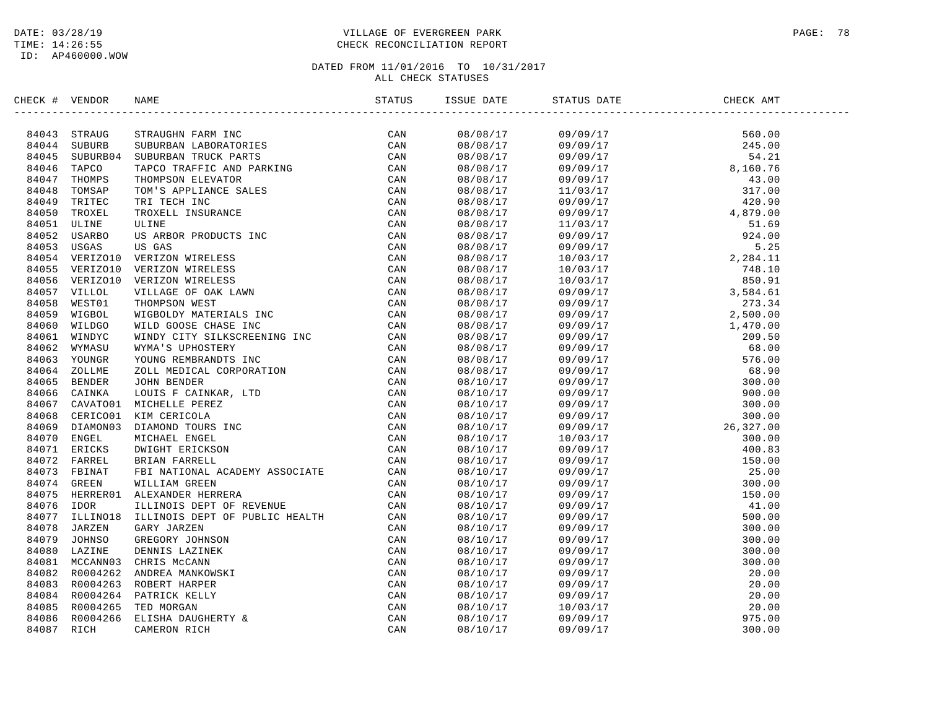# DATE: 03/28/19 PAGE: 78 TIME: 14:26:55 CHECK RECONCILIATION REPORT

| CHECK # VENDOR | NAME                                                                                                                                                                                                                           | ISSUE DATE | STATUS DATE | CHECK AMT |  |
|----------------|--------------------------------------------------------------------------------------------------------------------------------------------------------------------------------------------------------------------------------|------------|-------------|-----------|--|
|                | HECK # VENUME NAME (STRAIGHR PARK HINDER PRODUCED CAN BASSOCIATE CAN BASSOCIATE CAN BASSOCIATE CAN BASSOCIATE AND PARK INC. THE CHIRAL CONDUCED TO A MANUSA THE CHIRAL CONDUCED CAN ASSOCIATE CAN BASSOCIATE CAN BASSOCIATE CO |            |             |           |  |
|                |                                                                                                                                                                                                                                |            |             |           |  |
|                |                                                                                                                                                                                                                                |            |             |           |  |
|                |                                                                                                                                                                                                                                |            |             |           |  |
|                |                                                                                                                                                                                                                                |            |             |           |  |
|                |                                                                                                                                                                                                                                |            |             |           |  |
|                |                                                                                                                                                                                                                                |            |             |           |  |
|                |                                                                                                                                                                                                                                |            |             |           |  |
|                |                                                                                                                                                                                                                                |            |             |           |  |
|                |                                                                                                                                                                                                                                |            |             |           |  |
|                |                                                                                                                                                                                                                                |            |             |           |  |
|                |                                                                                                                                                                                                                                |            |             |           |  |
|                |                                                                                                                                                                                                                                |            |             |           |  |
|                |                                                                                                                                                                                                                                |            |             |           |  |
|                |                                                                                                                                                                                                                                |            |             |           |  |
|                |                                                                                                                                                                                                                                |            |             |           |  |
|                |                                                                                                                                                                                                                                |            |             |           |  |
|                |                                                                                                                                                                                                                                |            |             |           |  |
|                |                                                                                                                                                                                                                                |            |             |           |  |
|                |                                                                                                                                                                                                                                |            |             |           |  |
|                |                                                                                                                                                                                                                                |            |             |           |  |
|                |                                                                                                                                                                                                                                |            |             |           |  |
|                |                                                                                                                                                                                                                                |            |             |           |  |
|                |                                                                                                                                                                                                                                |            |             |           |  |
|                |                                                                                                                                                                                                                                |            |             |           |  |
|                |                                                                                                                                                                                                                                |            |             |           |  |
|                |                                                                                                                                                                                                                                |            |             |           |  |
|                |                                                                                                                                                                                                                                |            |             |           |  |
|                |                                                                                                                                                                                                                                |            |             |           |  |
|                |                                                                                                                                                                                                                                |            |             |           |  |
|                |                                                                                                                                                                                                                                |            |             |           |  |
|                |                                                                                                                                                                                                                                |            |             |           |  |
|                |                                                                                                                                                                                                                                |            |             |           |  |
|                |                                                                                                                                                                                                                                |            |             |           |  |
|                |                                                                                                                                                                                                                                |            |             |           |  |
|                |                                                                                                                                                                                                                                |            |             |           |  |
|                |                                                                                                                                                                                                                                |            |             |           |  |
|                |                                                                                                                                                                                                                                |            |             |           |  |
|                |                                                                                                                                                                                                                                |            |             |           |  |
|                |                                                                                                                                                                                                                                |            |             |           |  |
|                |                                                                                                                                                                                                                                |            |             |           |  |
|                |                                                                                                                                                                                                                                |            |             |           |  |
|                |                                                                                                                                                                                                                                |            |             |           |  |
|                |                                                                                                                                                                                                                                |            |             |           |  |
|                |                                                                                                                                                                                                                                |            |             |           |  |
|                |                                                                                                                                                                                                                                |            |             |           |  |
|                |                                                                                                                                                                                                                                |            |             |           |  |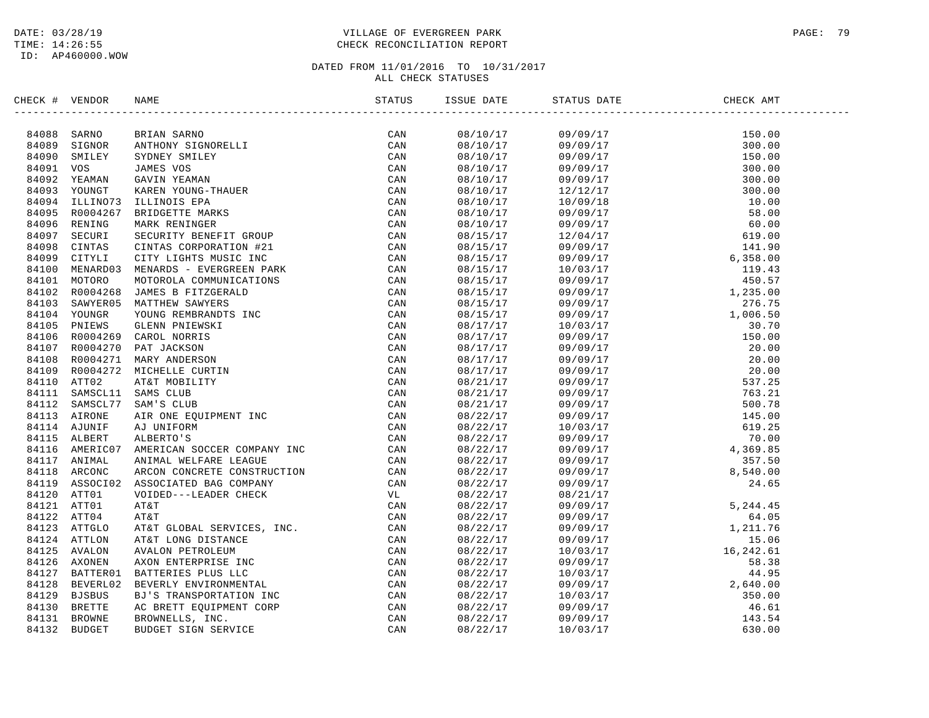# DATE: 03/28/19 PAGE: 79 VILLAGE OF EVERGREEN PARK TIME: 14:26:55 CHECK RECONCILIATION REPORT

| CHECK # VENDOR | NAME | ISSUE DATE | STATUS DATE | CHECK AMT |  |
|----------------|------|------------|-------------|-----------|--|
|                |      |            |             |           |  |
|                |      |            |             |           |  |
|                |      |            |             |           |  |
|                |      |            |             |           |  |
|                |      |            |             |           |  |
|                |      |            |             |           |  |
|                |      |            |             |           |  |
|                |      |            |             |           |  |
|                |      |            |             |           |  |
|                |      |            |             |           |  |
|                |      |            |             |           |  |
|                |      |            |             |           |  |
|                |      |            |             |           |  |
|                |      |            |             |           |  |
|                |      |            |             |           |  |
|                |      |            |             |           |  |
|                |      |            |             |           |  |
|                |      |            |             |           |  |
|                |      |            |             |           |  |
|                |      |            |             |           |  |
|                |      |            |             |           |  |
|                |      |            |             |           |  |
|                |      |            |             |           |  |
|                |      |            |             |           |  |
|                |      |            |             |           |  |
|                |      |            |             |           |  |
|                |      |            |             |           |  |
|                |      |            |             |           |  |
|                |      |            |             |           |  |
|                |      |            |             |           |  |
|                |      |            |             |           |  |
|                |      |            |             |           |  |
|                |      |            |             |           |  |
|                |      |            |             |           |  |
|                |      |            |             |           |  |
|                |      |            |             |           |  |
|                |      |            |             |           |  |
|                |      |            |             |           |  |
|                |      |            |             |           |  |
|                |      |            |             |           |  |
|                |      |            |             |           |  |
|                |      |            |             |           |  |
|                |      |            |             |           |  |
|                |      |            |             |           |  |
|                |      |            |             |           |  |
|                |      |            |             |           |  |
|                |      |            |             |           |  |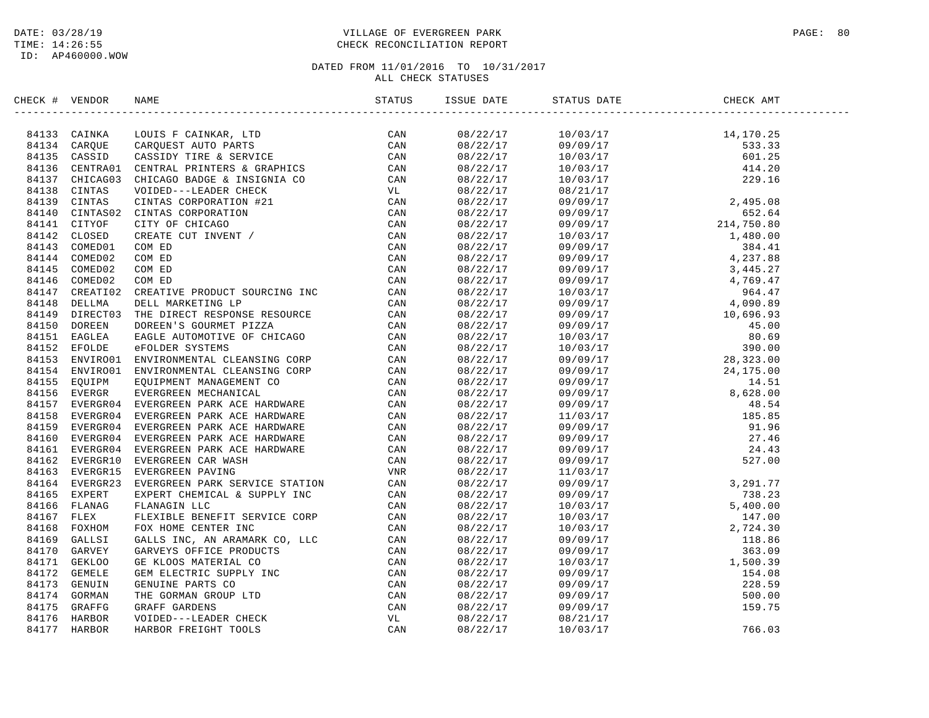# DATE: 03/28/19 PAGE: 80 PAGE: 80 TIME: 14:26:55 CHECK RECONCILIATION REPORT

| CHECK # VENDOR | NAME                                                                                                                                                                                                                          | STATUS | ISSUE DATE STATUS DATE                                                                                                                                                                                                                                | CHECK AMT |  |
|----------------|-------------------------------------------------------------------------------------------------------------------------------------------------------------------------------------------------------------------------------|--------|-------------------------------------------------------------------------------------------------------------------------------------------------------------------------------------------------------------------------------------------------------|-----------|--|
|                | CRAIN CRIME TO THE SERVICE STATES AND MANUSCRIPT AND STATES (AND 1971) CANNOT CROSSING CROSSING CROSSING CROSSING CROSSING CROSSING (AND 1131 CROSSING CROSSING CROSSING CROSSING CROSSING CROSSING CROSSING CROSSING CROSSIN |        | $\begin{tabular}{cccccccc} 5356&5471&10&03717&14&170.026\\ 08/22/17&10/03/17&14,170.026\\ 08/22/17&10/03/17&14,170.06\\ 08/22/17&10/03/17&229.16\\ 08/22/17&10/03/17&249.533.33\\ 08/22/17&10/03/17&249.66\\ 08/22/17&09/09/17&24,495.08\\ 08/22/17&$ |           |  |
|                |                                                                                                                                                                                                                               |        |                                                                                                                                                                                                                                                       |           |  |
|                |                                                                                                                                                                                                                               |        |                                                                                                                                                                                                                                                       |           |  |
|                |                                                                                                                                                                                                                               |        |                                                                                                                                                                                                                                                       |           |  |
|                |                                                                                                                                                                                                                               |        |                                                                                                                                                                                                                                                       |           |  |
|                |                                                                                                                                                                                                                               |        |                                                                                                                                                                                                                                                       |           |  |
|                |                                                                                                                                                                                                                               |        |                                                                                                                                                                                                                                                       |           |  |
|                |                                                                                                                                                                                                                               |        |                                                                                                                                                                                                                                                       |           |  |
|                |                                                                                                                                                                                                                               |        |                                                                                                                                                                                                                                                       |           |  |
|                |                                                                                                                                                                                                                               |        |                                                                                                                                                                                                                                                       |           |  |
|                |                                                                                                                                                                                                                               |        |                                                                                                                                                                                                                                                       |           |  |
|                |                                                                                                                                                                                                                               |        |                                                                                                                                                                                                                                                       |           |  |
|                |                                                                                                                                                                                                                               |        |                                                                                                                                                                                                                                                       |           |  |
|                |                                                                                                                                                                                                                               |        |                                                                                                                                                                                                                                                       |           |  |
|                |                                                                                                                                                                                                                               |        |                                                                                                                                                                                                                                                       |           |  |
|                |                                                                                                                                                                                                                               |        |                                                                                                                                                                                                                                                       |           |  |
|                |                                                                                                                                                                                                                               |        |                                                                                                                                                                                                                                                       |           |  |
|                |                                                                                                                                                                                                                               |        |                                                                                                                                                                                                                                                       |           |  |
|                |                                                                                                                                                                                                                               |        |                                                                                                                                                                                                                                                       |           |  |
|                |                                                                                                                                                                                                                               |        |                                                                                                                                                                                                                                                       |           |  |
|                |                                                                                                                                                                                                                               |        |                                                                                                                                                                                                                                                       |           |  |
|                |                                                                                                                                                                                                                               |        |                                                                                                                                                                                                                                                       |           |  |
|                |                                                                                                                                                                                                                               |        |                                                                                                                                                                                                                                                       |           |  |
|                |                                                                                                                                                                                                                               |        |                                                                                                                                                                                                                                                       |           |  |
|                |                                                                                                                                                                                                                               |        |                                                                                                                                                                                                                                                       |           |  |
|                |                                                                                                                                                                                                                               |        |                                                                                                                                                                                                                                                       |           |  |
|                |                                                                                                                                                                                                                               |        |                                                                                                                                                                                                                                                       |           |  |
|                |                                                                                                                                                                                                                               |        |                                                                                                                                                                                                                                                       |           |  |
|                |                                                                                                                                                                                                                               |        |                                                                                                                                                                                                                                                       |           |  |
|                |                                                                                                                                                                                                                               |        |                                                                                                                                                                                                                                                       |           |  |
|                |                                                                                                                                                                                                                               |        |                                                                                                                                                                                                                                                       |           |  |
|                |                                                                                                                                                                                                                               |        |                                                                                                                                                                                                                                                       |           |  |
|                |                                                                                                                                                                                                                               |        |                                                                                                                                                                                                                                                       |           |  |
|                |                                                                                                                                                                                                                               |        |                                                                                                                                                                                                                                                       |           |  |
|                |                                                                                                                                                                                                                               |        |                                                                                                                                                                                                                                                       |           |  |
|                |                                                                                                                                                                                                                               |        |                                                                                                                                                                                                                                                       |           |  |
|                |                                                                                                                                                                                                                               |        |                                                                                                                                                                                                                                                       |           |  |
|                |                                                                                                                                                                                                                               |        |                                                                                                                                                                                                                                                       |           |  |
|                |                                                                                                                                                                                                                               |        |                                                                                                                                                                                                                                                       |           |  |
|                |                                                                                                                                                                                                                               |        |                                                                                                                                                                                                                                                       |           |  |
|                |                                                                                                                                                                                                                               |        |                                                                                                                                                                                                                                                       |           |  |
|                |                                                                                                                                                                                                                               |        |                                                                                                                                                                                                                                                       |           |  |
|                |                                                                                                                                                                                                                               |        |                                                                                                                                                                                                                                                       |           |  |
|                |                                                                                                                                                                                                                               |        |                                                                                                                                                                                                                                                       |           |  |
|                |                                                                                                                                                                                                                               |        |                                                                                                                                                                                                                                                       |           |  |
|                |                                                                                                                                                                                                                               |        |                                                                                                                                                                                                                                                       |           |  |
|                |                                                                                                                                                                                                                               |        |                                                                                                                                                                                                                                                       |           |  |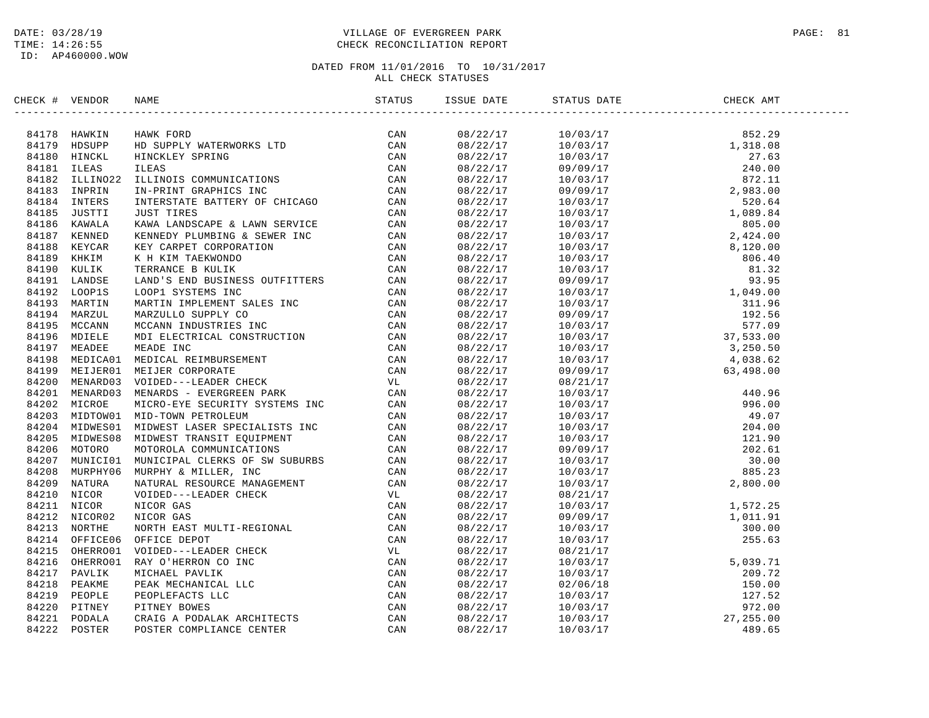# DATE: 03/28/19 PAGE: 81 TIME: 14:26:55 CHECK RECONCILIATION REPORT

| CHECK # VENDOR | NAME                                                                                                                                                                                                                                  | ISSUE DATE | STATUS DATE | CHECK AMT |  |
|----------------|---------------------------------------------------------------------------------------------------------------------------------------------------------------------------------------------------------------------------------------|------------|-------------|-----------|--|
|                | SERIC 4 VERIDOR NAME<br>STATUS 1981<br>84179 EMORPH EININGERE DE CAN SALE (2000)<br>84179 EMORPH EININGEAD (2000)<br>84180 ETHER STATISTICS CONDITIONS CONTINUES CAN SALE IN THE SALE IN THE SALE IN THE SALE IN THE SALE IN THE SALE |            |             |           |  |
|                |                                                                                                                                                                                                                                       |            |             |           |  |
|                |                                                                                                                                                                                                                                       |            |             |           |  |
|                |                                                                                                                                                                                                                                       |            |             |           |  |
|                |                                                                                                                                                                                                                                       |            |             |           |  |
|                |                                                                                                                                                                                                                                       |            |             |           |  |
|                |                                                                                                                                                                                                                                       |            |             |           |  |
|                |                                                                                                                                                                                                                                       |            |             |           |  |
|                |                                                                                                                                                                                                                                       |            |             |           |  |
|                |                                                                                                                                                                                                                                       |            |             |           |  |
|                |                                                                                                                                                                                                                                       |            |             |           |  |
|                |                                                                                                                                                                                                                                       |            |             |           |  |
|                |                                                                                                                                                                                                                                       |            |             |           |  |
|                |                                                                                                                                                                                                                                       |            |             |           |  |
|                |                                                                                                                                                                                                                                       |            |             |           |  |
|                |                                                                                                                                                                                                                                       |            |             |           |  |
|                |                                                                                                                                                                                                                                       |            |             |           |  |
|                |                                                                                                                                                                                                                                       |            |             |           |  |
|                |                                                                                                                                                                                                                                       |            |             |           |  |
|                |                                                                                                                                                                                                                                       |            |             |           |  |
|                |                                                                                                                                                                                                                                       |            |             |           |  |
|                |                                                                                                                                                                                                                                       |            |             |           |  |
|                |                                                                                                                                                                                                                                       |            |             |           |  |
|                |                                                                                                                                                                                                                                       |            |             |           |  |
|                |                                                                                                                                                                                                                                       |            |             |           |  |
|                |                                                                                                                                                                                                                                       |            |             |           |  |
|                |                                                                                                                                                                                                                                       |            |             |           |  |
|                |                                                                                                                                                                                                                                       |            |             |           |  |
|                |                                                                                                                                                                                                                                       |            |             |           |  |
|                |                                                                                                                                                                                                                                       |            |             |           |  |
|                |                                                                                                                                                                                                                                       |            |             |           |  |
|                |                                                                                                                                                                                                                                       |            |             |           |  |
|                |                                                                                                                                                                                                                                       |            |             |           |  |
|                |                                                                                                                                                                                                                                       |            |             |           |  |
|                |                                                                                                                                                                                                                                       |            |             |           |  |
|                |                                                                                                                                                                                                                                       |            |             |           |  |
|                |                                                                                                                                                                                                                                       |            |             |           |  |
|                |                                                                                                                                                                                                                                       |            |             |           |  |
|                |                                                                                                                                                                                                                                       |            |             |           |  |
|                |                                                                                                                                                                                                                                       |            |             |           |  |
|                |                                                                                                                                                                                                                                       |            |             |           |  |
|                |                                                                                                                                                                                                                                       |            |             |           |  |
|                |                                                                                                                                                                                                                                       |            |             |           |  |
|                |                                                                                                                                                                                                                                       |            |             |           |  |
|                |                                                                                                                                                                                                                                       |            |             |           |  |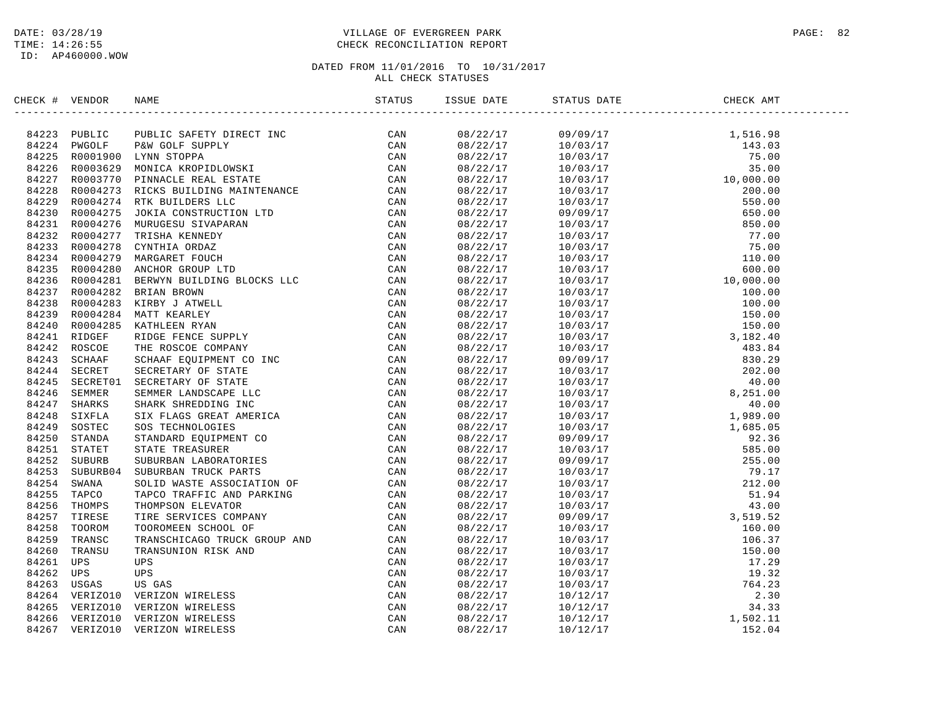# DATE: 03/28/19 PAGE: 82 TIME: 14:26:55 CHECK RECONCILIATION REPORT

| CHECK # VENDOR |                | NAME                                                                                                                                                                                                                           | ISSUE DATE | STATUS DATE | CHECK AMT |  |
|----------------|----------------|--------------------------------------------------------------------------------------------------------------------------------------------------------------------------------------------------------------------------------|------------|-------------|-----------|--|
|                | 84223 PUBLIC   | ARMS THE TREAT MANUSCRIP (CAN SERIES ON A STAND THE SERIES ON THE SERIES ON THE SERIES ON THE SERIES ON THE SERIES ON THE SERIES ON THE SERIES ON THE SERIES ON THE SERIES ON THE SERIES ON THE SERIES ON THE SERIES ON THE SE |            |             |           |  |
|                | 84224 PWGOLF   |                                                                                                                                                                                                                                |            |             |           |  |
|                |                | 84225 R0001900 LYNN STOPPA                                                                                                                                                                                                     |            |             |           |  |
| 84226          | R0003629       |                                                                                                                                                                                                                                |            |             |           |  |
|                | 84227 R0003770 |                                                                                                                                                                                                                                |            |             |           |  |
|                | 84228 R0004273 |                                                                                                                                                                                                                                |            |             |           |  |
| 84229          | R0004274       |                                                                                                                                                                                                                                |            |             |           |  |
| 84230          | R0004275       |                                                                                                                                                                                                                                |            |             |           |  |
| 84231          | R0004276       |                                                                                                                                                                                                                                |            |             |           |  |
|                | 84232 R0004277 |                                                                                                                                                                                                                                |            |             |           |  |
| 84233          | R0004278       |                                                                                                                                                                                                                                |            |             |           |  |
|                | 84234 R0004279 |                                                                                                                                                                                                                                |            |             |           |  |
| 84235          | R0004280       |                                                                                                                                                                                                                                |            |             |           |  |
|                | 84236 R0004281 |                                                                                                                                                                                                                                |            |             |           |  |
| 84237          | R0004282       |                                                                                                                                                                                                                                |            |             |           |  |
| 84238          | R0004283       |                                                                                                                                                                                                                                |            |             |           |  |
| 84239          | R0004284       |                                                                                                                                                                                                                                |            |             |           |  |
| 84240          | R0004285       |                                                                                                                                                                                                                                |            |             |           |  |
|                | 84241 RIDGEF   |                                                                                                                                                                                                                                |            |             |           |  |
| 84242          | ROSCOE         |                                                                                                                                                                                                                                |            |             |           |  |
|                | 84243 SCHAAF   |                                                                                                                                                                                                                                |            |             |           |  |
| 84244          | SECRET         |                                                                                                                                                                                                                                |            |             |           |  |
| 84245          | SECRET01       |                                                                                                                                                                                                                                |            |             |           |  |
| 84246          | SEMMER         |                                                                                                                                                                                                                                |            |             |           |  |
|                | SHARKS         |                                                                                                                                                                                                                                |            |             |           |  |
| 84247<br>84248 | SIXFLA         |                                                                                                                                                                                                                                |            |             |           |  |
|                |                |                                                                                                                                                                                                                                |            |             |           |  |
| 84249          | SOSTEC         |                                                                                                                                                                                                                                |            |             |           |  |
| 84250          | STANDA         |                                                                                                                                                                                                                                |            |             |           |  |
| 84251          | STATET         |                                                                                                                                                                                                                                |            |             |           |  |
|                | 84252 SUBURB   |                                                                                                                                                                                                                                |            |             |           |  |
| 84253          | SUBURB04       |                                                                                                                                                                                                                                |            |             |           |  |
|                | 84254 SWANA    |                                                                                                                                                                                                                                |            |             |           |  |
| 84255          | TAPCO          |                                                                                                                                                                                                                                |            |             |           |  |
| 84256          | THOMPS         |                                                                                                                                                                                                                                |            |             |           |  |
| 84257          | TIRESE         |                                                                                                                                                                                                                                |            |             |           |  |
| 84258          | TOOROM         |                                                                                                                                                                                                                                |            |             |           |  |
| 84259          | TRANSC         |                                                                                                                                                                                                                                |            |             |           |  |
| 84260          | TRANSU         |                                                                                                                                                                                                                                |            |             |           |  |
| 84261          | UPS            |                                                                                                                                                                                                                                |            |             |           |  |
| 84262          | UPS            |                                                                                                                                                                                                                                |            |             |           |  |
| 84263          | USGAS          |                                                                                                                                                                                                                                |            |             |           |  |
| 84264          | VERIZO10       |                                                                                                                                                                                                                                |            |             |           |  |
| 84265          | VERIZO10       |                                                                                                                                                                                                                                |            |             |           |  |
| 84266          | VERIZO10       |                                                                                                                                                                                                                                |            |             |           |  |
| 84267          | VERIZO10       |                                                                                                                                                                                                                                |            |             |           |  |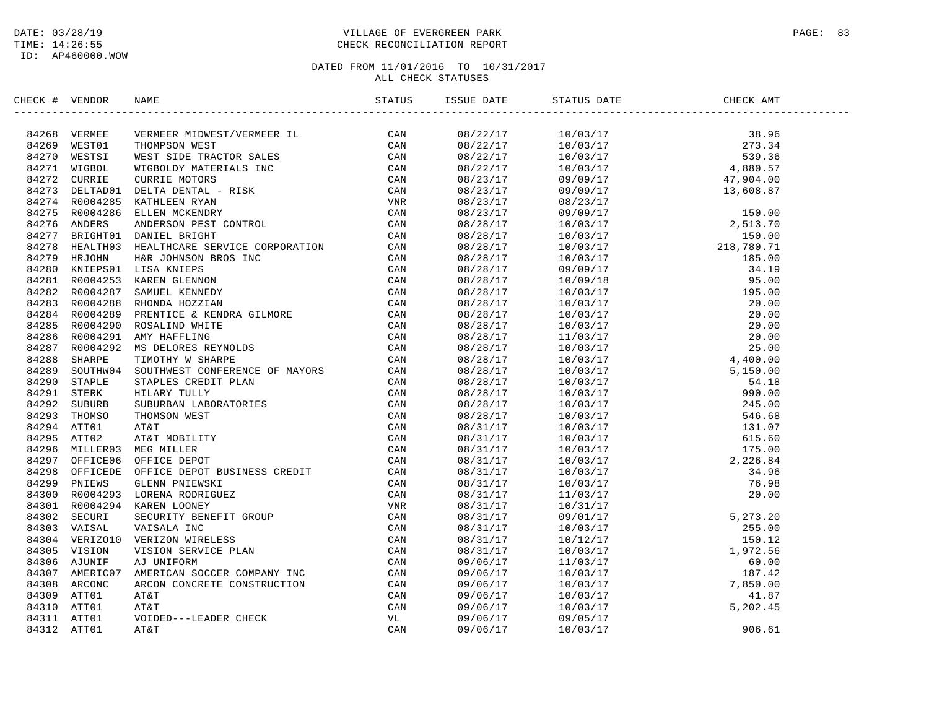# DATE: 03/28/19 PAGE: 83 TIME: 14:26:55 CHECK RECONCILIATION REPORT

| CHECK # VENDOR | NAME                                                                                                                                                                                                                                               | ISSUE DATE | STATUS DATE | CHECK AMT |  |
|----------------|----------------------------------------------------------------------------------------------------------------------------------------------------------------------------------------------------------------------------------------------------|------------|-------------|-----------|--|
|                | SERIE 4 VERDOR BARA MOREZ (* 2002)<br>1982 - Maria Maria Morez (* 2008)<br>1982 - Maria Morez (* 2008)<br>1982 - Maria Morez (* 2008)<br>1982 - Maria Morez (* 2008)<br>1982 - Maria Morez (* 2008)<br>1982 - Maria Morez (* 2008)<br>1983 - Maria |            |             |           |  |
|                |                                                                                                                                                                                                                                                    |            |             |           |  |
|                |                                                                                                                                                                                                                                                    |            |             |           |  |
|                |                                                                                                                                                                                                                                                    |            |             |           |  |
|                |                                                                                                                                                                                                                                                    |            |             |           |  |
|                |                                                                                                                                                                                                                                                    |            |             |           |  |
|                |                                                                                                                                                                                                                                                    |            |             |           |  |
|                |                                                                                                                                                                                                                                                    |            |             |           |  |
|                |                                                                                                                                                                                                                                                    |            |             |           |  |
|                |                                                                                                                                                                                                                                                    |            |             |           |  |
|                |                                                                                                                                                                                                                                                    |            |             |           |  |
|                |                                                                                                                                                                                                                                                    |            |             |           |  |
|                |                                                                                                                                                                                                                                                    |            |             |           |  |
|                |                                                                                                                                                                                                                                                    |            |             |           |  |
|                |                                                                                                                                                                                                                                                    |            |             |           |  |
|                |                                                                                                                                                                                                                                                    |            |             |           |  |
|                |                                                                                                                                                                                                                                                    |            |             |           |  |
|                |                                                                                                                                                                                                                                                    |            |             |           |  |
|                |                                                                                                                                                                                                                                                    |            |             |           |  |
|                |                                                                                                                                                                                                                                                    |            |             |           |  |
|                |                                                                                                                                                                                                                                                    |            |             |           |  |
|                |                                                                                                                                                                                                                                                    |            |             |           |  |
|                |                                                                                                                                                                                                                                                    |            |             |           |  |
|                |                                                                                                                                                                                                                                                    |            |             |           |  |
|                |                                                                                                                                                                                                                                                    |            |             |           |  |
|                |                                                                                                                                                                                                                                                    |            |             |           |  |
|                |                                                                                                                                                                                                                                                    |            |             |           |  |
|                |                                                                                                                                                                                                                                                    |            |             |           |  |
|                |                                                                                                                                                                                                                                                    |            |             |           |  |
|                |                                                                                                                                                                                                                                                    |            |             |           |  |
|                |                                                                                                                                                                                                                                                    |            |             |           |  |
|                |                                                                                                                                                                                                                                                    |            |             |           |  |
|                |                                                                                                                                                                                                                                                    |            |             |           |  |
|                |                                                                                                                                                                                                                                                    |            |             |           |  |
|                |                                                                                                                                                                                                                                                    |            |             |           |  |
|                |                                                                                                                                                                                                                                                    |            |             |           |  |
|                |                                                                                                                                                                                                                                                    |            |             |           |  |
|                |                                                                                                                                                                                                                                                    |            |             |           |  |
|                |                                                                                                                                                                                                                                                    |            |             |           |  |
|                |                                                                                                                                                                                                                                                    |            |             |           |  |
|                |                                                                                                                                                                                                                                                    |            |             |           |  |
|                |                                                                                                                                                                                                                                                    |            |             |           |  |
|                |                                                                                                                                                                                                                                                    |            |             |           |  |
|                |                                                                                                                                                                                                                                                    |            |             |           |  |
|                |                                                                                                                                                                                                                                                    |            |             |           |  |
|                |                                                                                                                                                                                                                                                    |            |             |           |  |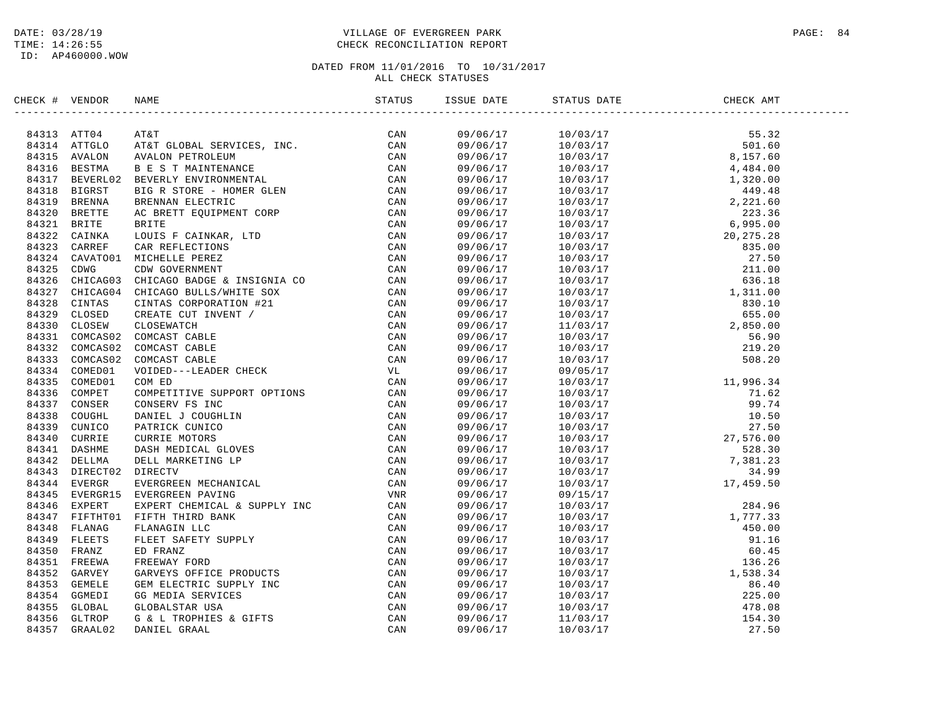# DATE: 03/28/19 PAGE: 84 TIME: 14:26:55 CHECK RECONCILIATION REPORT

| CHECK # VENDOR | NAME                                                                                                                                                                                                                                                                                                                                                                                                            |  | ISSUE DATE STATUS DATE | CHECK AMT |  |
|----------------|-----------------------------------------------------------------------------------------------------------------------------------------------------------------------------------------------------------------------------------------------------------------------------------------------------------------------------------------------------------------------------------------------------------------|--|------------------------|-----------|--|
|                | $\begin{tabular}{cccccccc} \textbf{m} & \textbf{M11} & \textbf{M2} & \textbf{M3} & \textbf{M1} & \textbf{M2} & \textbf{M1} & \textbf{M2} & \textbf{M3} & \textbf{M1} & \textbf{M2} & \textbf{M3} & \textbf{M2} & \textbf{M3} & \textbf{M3} & \textbf{M4} & \textbf{M4} & \textbf{M4} & \textbf{M4} & \textbf{M4} & \textbf{M4} & \textbf{M4} & \textbf{M4} & \textbf{M4} & \textbf{M4} & \textbf{M4} & \textbf$ |  |                        |           |  |
|                |                                                                                                                                                                                                                                                                                                                                                                                                                 |  |                        |           |  |
|                |                                                                                                                                                                                                                                                                                                                                                                                                                 |  |                        |           |  |
|                |                                                                                                                                                                                                                                                                                                                                                                                                                 |  |                        |           |  |
|                |                                                                                                                                                                                                                                                                                                                                                                                                                 |  |                        |           |  |
|                |                                                                                                                                                                                                                                                                                                                                                                                                                 |  |                        |           |  |
|                |                                                                                                                                                                                                                                                                                                                                                                                                                 |  |                        |           |  |
|                |                                                                                                                                                                                                                                                                                                                                                                                                                 |  |                        |           |  |
|                |                                                                                                                                                                                                                                                                                                                                                                                                                 |  |                        |           |  |
|                |                                                                                                                                                                                                                                                                                                                                                                                                                 |  |                        |           |  |
|                |                                                                                                                                                                                                                                                                                                                                                                                                                 |  |                        |           |  |
|                |                                                                                                                                                                                                                                                                                                                                                                                                                 |  |                        |           |  |
|                |                                                                                                                                                                                                                                                                                                                                                                                                                 |  |                        |           |  |
|                |                                                                                                                                                                                                                                                                                                                                                                                                                 |  |                        |           |  |
|                |                                                                                                                                                                                                                                                                                                                                                                                                                 |  |                        |           |  |
|                |                                                                                                                                                                                                                                                                                                                                                                                                                 |  |                        |           |  |
|                |                                                                                                                                                                                                                                                                                                                                                                                                                 |  |                        |           |  |
|                |                                                                                                                                                                                                                                                                                                                                                                                                                 |  |                        |           |  |
|                |                                                                                                                                                                                                                                                                                                                                                                                                                 |  |                        |           |  |
|                |                                                                                                                                                                                                                                                                                                                                                                                                                 |  |                        |           |  |
|                |                                                                                                                                                                                                                                                                                                                                                                                                                 |  |                        |           |  |
|                |                                                                                                                                                                                                                                                                                                                                                                                                                 |  |                        |           |  |
|                |                                                                                                                                                                                                                                                                                                                                                                                                                 |  |                        |           |  |
|                |                                                                                                                                                                                                                                                                                                                                                                                                                 |  |                        |           |  |
|                |                                                                                                                                                                                                                                                                                                                                                                                                                 |  |                        |           |  |
|                |                                                                                                                                                                                                                                                                                                                                                                                                                 |  |                        |           |  |
|                |                                                                                                                                                                                                                                                                                                                                                                                                                 |  |                        |           |  |
|                |                                                                                                                                                                                                                                                                                                                                                                                                                 |  |                        |           |  |
|                |                                                                                                                                                                                                                                                                                                                                                                                                                 |  |                        |           |  |
|                |                                                                                                                                                                                                                                                                                                                                                                                                                 |  |                        |           |  |
|                |                                                                                                                                                                                                                                                                                                                                                                                                                 |  |                        |           |  |
|                |                                                                                                                                                                                                                                                                                                                                                                                                                 |  |                        |           |  |
|                |                                                                                                                                                                                                                                                                                                                                                                                                                 |  |                        |           |  |
|                |                                                                                                                                                                                                                                                                                                                                                                                                                 |  |                        |           |  |
|                |                                                                                                                                                                                                                                                                                                                                                                                                                 |  |                        |           |  |
|                |                                                                                                                                                                                                                                                                                                                                                                                                                 |  |                        |           |  |
|                |                                                                                                                                                                                                                                                                                                                                                                                                                 |  |                        |           |  |
|                |                                                                                                                                                                                                                                                                                                                                                                                                                 |  |                        |           |  |
|                |                                                                                                                                                                                                                                                                                                                                                                                                                 |  |                        |           |  |
|                |                                                                                                                                                                                                                                                                                                                                                                                                                 |  |                        |           |  |
|                |                                                                                                                                                                                                                                                                                                                                                                                                                 |  |                        |           |  |
|                |                                                                                                                                                                                                                                                                                                                                                                                                                 |  |                        |           |  |
|                |                                                                                                                                                                                                                                                                                                                                                                                                                 |  |                        |           |  |
|                |                                                                                                                                                                                                                                                                                                                                                                                                                 |  |                        |           |  |
|                |                                                                                                                                                                                                                                                                                                                                                                                                                 |  |                        |           |  |
|                |                                                                                                                                                                                                                                                                                                                                                                                                                 |  |                        |           |  |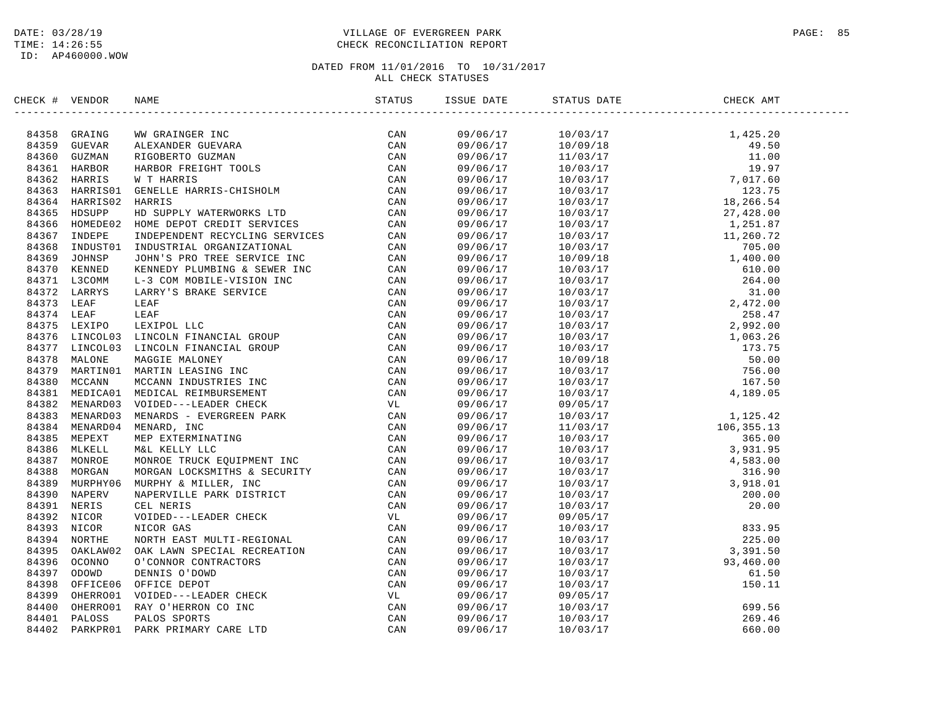# DATE: 03/28/19 PAGE: 85 TIME: 14:26:55 CHECK RECONCILIATION REPORT

| CHECK # VENDOR |                                                                                                                                                                                                                                                                                                                                                                                                                 |     | ISSUE DATE           | STATUS DATE                                                                                                                                                                                                                                                                                                                                                                                                                                                                   | CHECK AMT |  |
|----------------|-----------------------------------------------------------------------------------------------------------------------------------------------------------------------------------------------------------------------------------------------------------------------------------------------------------------------------------------------------------------------------------------------------------------|-----|----------------------|-------------------------------------------------------------------------------------------------------------------------------------------------------------------------------------------------------------------------------------------------------------------------------------------------------------------------------------------------------------------------------------------------------------------------------------------------------------------------------|-----------|--|
|                | $\begin{tabular}{cccccccc} \textbf{F1} & \textbf{V1} & \textbf{N1} & \textbf{N1} & \textbf{N2} & \textbf{N3} & \textbf{N4} & \textbf{N5} & \textbf{N5} & \textbf{N6} & \textbf{N6} & \textbf{N7} & \textbf{N8} & \textbf{N8} & \textbf{N8} & \textbf{N8} & \textbf{N8} & \textbf{N8} & \textbf{N8} & \textbf{N8} & \textbf{N8} & \textbf{N8} & \textbf{N8} & \textbf{N8} & \textbf{N8} & \textbf{N8} & \textbf$ | CAN |                      | $\begin{tabular}{l c c c c} \hline \multicolumn{1}{c}{\multicolumn{1}{c}{\multicolumn{1}{c}{\multicolumn{1}{c}{\multicolumn{1}{c}{\multicolumn{1}{c}{\multicolumn{1}{c}{\multicolumn{1}{c}{\multicolumn{1}{c}{\multicolumn{1}{c}{\multicolumn{1}{c}{\multicolumn{1}{c}{\multicolumn{1}{c}{\multicolumn{1}{c}{\multicolumn{1}{c}{\multicolumn{1}{c}{\multicolumn{1}{c}{\multicolumn{1}{c}{\multicolumn{1}{c}{\multicolumn{1}{c}{\multicolumn{1}{c}{\multicolumn{1}{c}{\multic$ |           |  |
|                |                                                                                                                                                                                                                                                                                                                                                                                                                 |     |                      |                                                                                                                                                                                                                                                                                                                                                                                                                                                                               |           |  |
|                |                                                                                                                                                                                                                                                                                                                                                                                                                 |     |                      |                                                                                                                                                                                                                                                                                                                                                                                                                                                                               |           |  |
|                |                                                                                                                                                                                                                                                                                                                                                                                                                 |     |                      |                                                                                                                                                                                                                                                                                                                                                                                                                                                                               |           |  |
|                |                                                                                                                                                                                                                                                                                                                                                                                                                 |     |                      |                                                                                                                                                                                                                                                                                                                                                                                                                                                                               |           |  |
|                |                                                                                                                                                                                                                                                                                                                                                                                                                 |     |                      |                                                                                                                                                                                                                                                                                                                                                                                                                                                                               |           |  |
|                |                                                                                                                                                                                                                                                                                                                                                                                                                 |     |                      |                                                                                                                                                                                                                                                                                                                                                                                                                                                                               |           |  |
|                |                                                                                                                                                                                                                                                                                                                                                                                                                 |     |                      |                                                                                                                                                                                                                                                                                                                                                                                                                                                                               |           |  |
|                |                                                                                                                                                                                                                                                                                                                                                                                                                 |     |                      |                                                                                                                                                                                                                                                                                                                                                                                                                                                                               |           |  |
|                |                                                                                                                                                                                                                                                                                                                                                                                                                 |     |                      |                                                                                                                                                                                                                                                                                                                                                                                                                                                                               |           |  |
|                |                                                                                                                                                                                                                                                                                                                                                                                                                 |     |                      |                                                                                                                                                                                                                                                                                                                                                                                                                                                                               |           |  |
|                |                                                                                                                                                                                                                                                                                                                                                                                                                 |     |                      |                                                                                                                                                                                                                                                                                                                                                                                                                                                                               |           |  |
|                |                                                                                                                                                                                                                                                                                                                                                                                                                 |     |                      |                                                                                                                                                                                                                                                                                                                                                                                                                                                                               |           |  |
|                |                                                                                                                                                                                                                                                                                                                                                                                                                 |     |                      |                                                                                                                                                                                                                                                                                                                                                                                                                                                                               |           |  |
|                |                                                                                                                                                                                                                                                                                                                                                                                                                 |     |                      |                                                                                                                                                                                                                                                                                                                                                                                                                                                                               |           |  |
|                |                                                                                                                                                                                                                                                                                                                                                                                                                 |     |                      |                                                                                                                                                                                                                                                                                                                                                                                                                                                                               |           |  |
|                |                                                                                                                                                                                                                                                                                                                                                                                                                 |     |                      |                                                                                                                                                                                                                                                                                                                                                                                                                                                                               |           |  |
|                |                                                                                                                                                                                                                                                                                                                                                                                                                 |     |                      |                                                                                                                                                                                                                                                                                                                                                                                                                                                                               |           |  |
|                |                                                                                                                                                                                                                                                                                                                                                                                                                 |     |                      |                                                                                                                                                                                                                                                                                                                                                                                                                                                                               |           |  |
|                |                                                                                                                                                                                                                                                                                                                                                                                                                 |     |                      |                                                                                                                                                                                                                                                                                                                                                                                                                                                                               |           |  |
|                |                                                                                                                                                                                                                                                                                                                                                                                                                 |     |                      |                                                                                                                                                                                                                                                                                                                                                                                                                                                                               |           |  |
|                |                                                                                                                                                                                                                                                                                                                                                                                                                 |     |                      |                                                                                                                                                                                                                                                                                                                                                                                                                                                                               |           |  |
|                |                                                                                                                                                                                                                                                                                                                                                                                                                 |     |                      |                                                                                                                                                                                                                                                                                                                                                                                                                                                                               |           |  |
|                |                                                                                                                                                                                                                                                                                                                                                                                                                 |     |                      |                                                                                                                                                                                                                                                                                                                                                                                                                                                                               |           |  |
|                |                                                                                                                                                                                                                                                                                                                                                                                                                 |     |                      |                                                                                                                                                                                                                                                                                                                                                                                                                                                                               |           |  |
|                |                                                                                                                                                                                                                                                                                                                                                                                                                 |     | 09/06/17             |                                                                                                                                                                                                                                                                                                                                                                                                                                                                               |           |  |
|                |                                                                                                                                                                                                                                                                                                                                                                                                                 |     | 09/06/17             |                                                                                                                                                                                                                                                                                                                                                                                                                                                                               |           |  |
|                |                                                                                                                                                                                                                                                                                                                                                                                                                 |     | 09/06/17             |                                                                                                                                                                                                                                                                                                                                                                                                                                                                               |           |  |
|                |                                                                                                                                                                                                                                                                                                                                                                                                                 |     | 09/06/17             |                                                                                                                                                                                                                                                                                                                                                                                                                                                                               |           |  |
|                |                                                                                                                                                                                                                                                                                                                                                                                                                 |     | 09/06/17             |                                                                                                                                                                                                                                                                                                                                                                                                                                                                               |           |  |
|                |                                                                                                                                                                                                                                                                                                                                                                                                                 |     | 09/06/17             |                                                                                                                                                                                                                                                                                                                                                                                                                                                                               |           |  |
|                |                                                                                                                                                                                                                                                                                                                                                                                                                 |     | 09/06/17             |                                                                                                                                                                                                                                                                                                                                                                                                                                                                               |           |  |
|                |                                                                                                                                                                                                                                                                                                                                                                                                                 |     | 09/06/17             |                                                                                                                                                                                                                                                                                                                                                                                                                                                                               |           |  |
|                |                                                                                                                                                                                                                                                                                                                                                                                                                 |     | 09/06/17             |                                                                                                                                                                                                                                                                                                                                                                                                                                                                               |           |  |
|                |                                                                                                                                                                                                                                                                                                                                                                                                                 |     | 09/06/17             |                                                                                                                                                                                                                                                                                                                                                                                                                                                                               |           |  |
|                |                                                                                                                                                                                                                                                                                                                                                                                                                 |     | 09/06/17             |                                                                                                                                                                                                                                                                                                                                                                                                                                                                               |           |  |
|                |                                                                                                                                                                                                                                                                                                                                                                                                                 |     | 09/06/17             |                                                                                                                                                                                                                                                                                                                                                                                                                                                                               |           |  |
|                |                                                                                                                                                                                                                                                                                                                                                                                                                 |     | 09/06/17             |                                                                                                                                                                                                                                                                                                                                                                                                                                                                               |           |  |
|                |                                                                                                                                                                                                                                                                                                                                                                                                                 |     | 09/06/17             |                                                                                                                                                                                                                                                                                                                                                                                                                                                                               |           |  |
|                |                                                                                                                                                                                                                                                                                                                                                                                                                 |     | 09/06/17             |                                                                                                                                                                                                                                                                                                                                                                                                                                                                               |           |  |
|                |                                                                                                                                                                                                                                                                                                                                                                                                                 |     | 09/06/17             |                                                                                                                                                                                                                                                                                                                                                                                                                                                                               |           |  |
|                |                                                                                                                                                                                                                                                                                                                                                                                                                 |     | 09/06/17             |                                                                                                                                                                                                                                                                                                                                                                                                                                                                               |           |  |
|                |                                                                                                                                                                                                                                                                                                                                                                                                                 |     |                      |                                                                                                                                                                                                                                                                                                                                                                                                                                                                               |           |  |
|                |                                                                                                                                                                                                                                                                                                                                                                                                                 |     | 09/06/17<br>09/06/17 |                                                                                                                                                                                                                                                                                                                                                                                                                                                                               |           |  |
|                |                                                                                                                                                                                                                                                                                                                                                                                                                 |     | 09/06/17             |                                                                                                                                                                                                                                                                                                                                                                                                                                                                               |           |  |
|                |                                                                                                                                                                                                                                                                                                                                                                                                                 |     |                      |                                                                                                                                                                                                                                                                                                                                                                                                                                                                               |           |  |
|                |                                                                                                                                                                                                                                                                                                                                                                                                                 |     | 09/06/17             |                                                                                                                                                                                                                                                                                                                                                                                                                                                                               |           |  |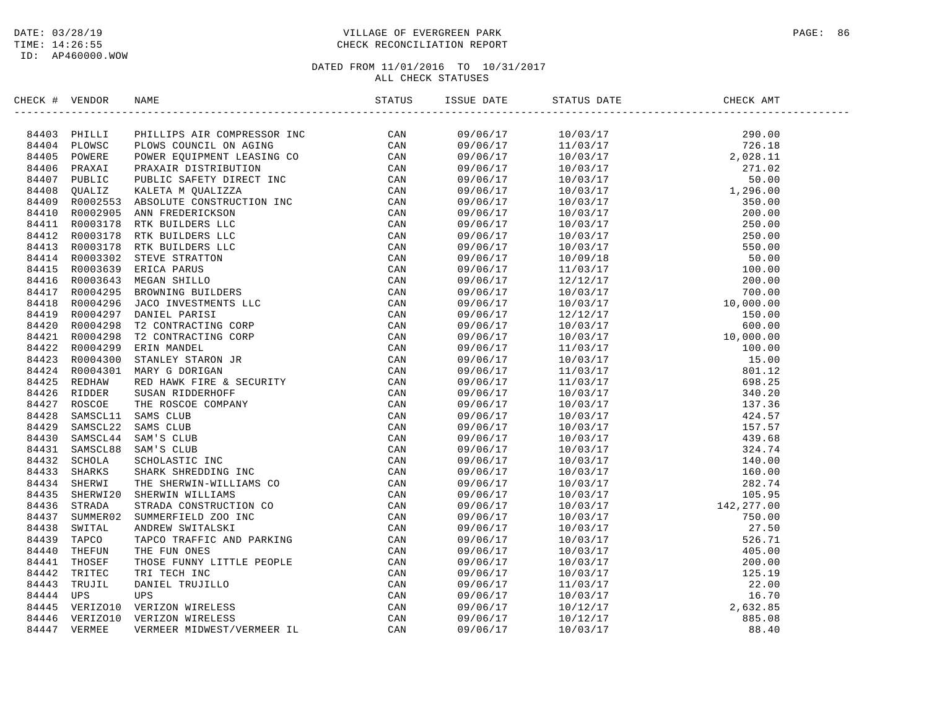# DATE: 03/28/19 PAGE: 86 PAGE: 86 PAGE: 86 PAGE: 86 PAGE: 86 PAGE: 86 PAGE: 86 PAGE: 86 PAGE: 86 TIME: 14:26:55 CHECK RECONCILIATION REPORT

| CHECK # VENDOR |                | NAME                                                                                                                                                                                                                           | STATUS | ISSUE DATE           | STATUS DATE | CHECK AMT |  |
|----------------|----------------|--------------------------------------------------------------------------------------------------------------------------------------------------------------------------------------------------------------------------------|--------|----------------------|-------------|-----------|--|
|                | 84403 PHILLI   | ARMIE TRINIPERISTIC IN CANAL SAME CAN NATURE AND CAN VERTAINED AND ARRIVE ON A STANDARDON CONTINUES AND CAN ARREST MULTIPEAR (CAN ARREST AND CONTINUES IN THE STANDARD CAN ARREST AND CONTINUES IN THE STANDARD STAND AND SAME |        | 09/06/17             |             |           |  |
| 84404          | PLOWSC         |                                                                                                                                                                                                                                |        | 09/06/17             |             |           |  |
| 84405          | POWERE         |                                                                                                                                                                                                                                |        | 09/06/17             |             |           |  |
| 84406          | PRAXAI         |                                                                                                                                                                                                                                |        | 09/06/17             |             |           |  |
| 84407          | PUBLIC         |                                                                                                                                                                                                                                |        | 09/06/17             |             |           |  |
| 84408          | OUALIZ         |                                                                                                                                                                                                                                |        | 09/06/17             |             |           |  |
| 84409          | R0002553       |                                                                                                                                                                                                                                |        | 09/06/17             |             |           |  |
| 84410          | R0002905       |                                                                                                                                                                                                                                |        | 09/06/17             |             |           |  |
| 84411          | R0003178       |                                                                                                                                                                                                                                |        | 09/06/17             |             |           |  |
|                | 84412 R0003178 |                                                                                                                                                                                                                                |        | 09/06/17             |             |           |  |
| 84413          | R0003178       |                                                                                                                                                                                                                                |        | 09/06/17             |             |           |  |
|                | 84414 R0003302 |                                                                                                                                                                                                                                |        | 09/06/17             |             |           |  |
| 84415          | R0003639       |                                                                                                                                                                                                                                |        | 09/06/17             |             |           |  |
| 84416          | R0003643       |                                                                                                                                                                                                                                |        | 09/06/17             |             |           |  |
| 84417          | R0004295       |                                                                                                                                                                                                                                |        | 09/06/17             |             |           |  |
| 84418          | R0004296       |                                                                                                                                                                                                                                |        | 09/06/17             |             |           |  |
| 84419          | R0004297       |                                                                                                                                                                                                                                |        | 09/06/17             |             |           |  |
| 84420          | R0004298       |                                                                                                                                                                                                                                |        | 09/06/17             |             |           |  |
|                | 84421 R0004298 |                                                                                                                                                                                                                                |        | 09/06/17             |             |           |  |
| 84422          | R0004299       |                                                                                                                                                                                                                                |        | 09/06/17             |             |           |  |
|                | 84423 R0004300 |                                                                                                                                                                                                                                |        | 09/06/17             |             |           |  |
| 84424          | R0004301       |                                                                                                                                                                                                                                |        | 09/06/17             |             |           |  |
| 84425          | REDHAW         |                                                                                                                                                                                                                                |        | 09/06/17             |             |           |  |
| 84426          | RIDDER         |                                                                                                                                                                                                                                |        | 09/06/17             |             |           |  |
|                | ROSCOE         |                                                                                                                                                                                                                                |        |                      |             |           |  |
| 84427<br>84428 | SAMSCL11       |                                                                                                                                                                                                                                |        | 09/06/17<br>09/06/17 |             |           |  |
| 84429          | SAMSCL22       |                                                                                                                                                                                                                                |        | 09/06/17             |             |           |  |
| 84430          | SAMSCL44       |                                                                                                                                                                                                                                |        |                      |             |           |  |
|                |                |                                                                                                                                                                                                                                |        | 09/06/17             |             |           |  |
| 84431          | SAMSCL88       |                                                                                                                                                                                                                                |        | 09/06/17             |             |           |  |
| 84432          | SCHOLA         |                                                                                                                                                                                                                                |        | 09/06/17             |             |           |  |
| 84433          | SHARKS         |                                                                                                                                                                                                                                |        | 09/06/17             |             |           |  |
| 84434          | SHERWI         |                                                                                                                                                                                                                                |        | 09/06/17             |             |           |  |
| 84435          | SHERWI20       |                                                                                                                                                                                                                                |        | 09/06/17             |             |           |  |
| 84436          | STRADA         |                                                                                                                                                                                                                                |        | 09/06/17             |             |           |  |
| 84437          | SUMMER02       |                                                                                                                                                                                                                                |        | 09/06/17             |             |           |  |
| 84438          | SWITAL         |                                                                                                                                                                                                                                |        | 09/06/17             |             |           |  |
| 84439          | TAPCO          |                                                                                                                                                                                                                                |        | 09/06/17             |             |           |  |
| 84440          | THEFUN         |                                                                                                                                                                                                                                |        | 09/06/17             |             |           |  |
| 84441          | THOSEF         |                                                                                                                                                                                                                                |        | 09/06/17             |             |           |  |
| 84442          | TRITEC         |                                                                                                                                                                                                                                |        | 09/06/17             |             |           |  |
| 84443          | TRUJIL         |                                                                                                                                                                                                                                |        | 09/06/17             |             |           |  |
| 84444          | UPS            |                                                                                                                                                                                                                                |        | 09/06/17             |             |           |  |
| 84445          | VERIZO10       |                                                                                                                                                                                                                                |        | 09/06/17             |             |           |  |
| 84446          | VERIZO10       |                                                                                                                                                                                                                                |        | 09/06/17             |             |           |  |
| 84447          | VERMEE         |                                                                                                                                                                                                                                |        | 09/06/17             |             |           |  |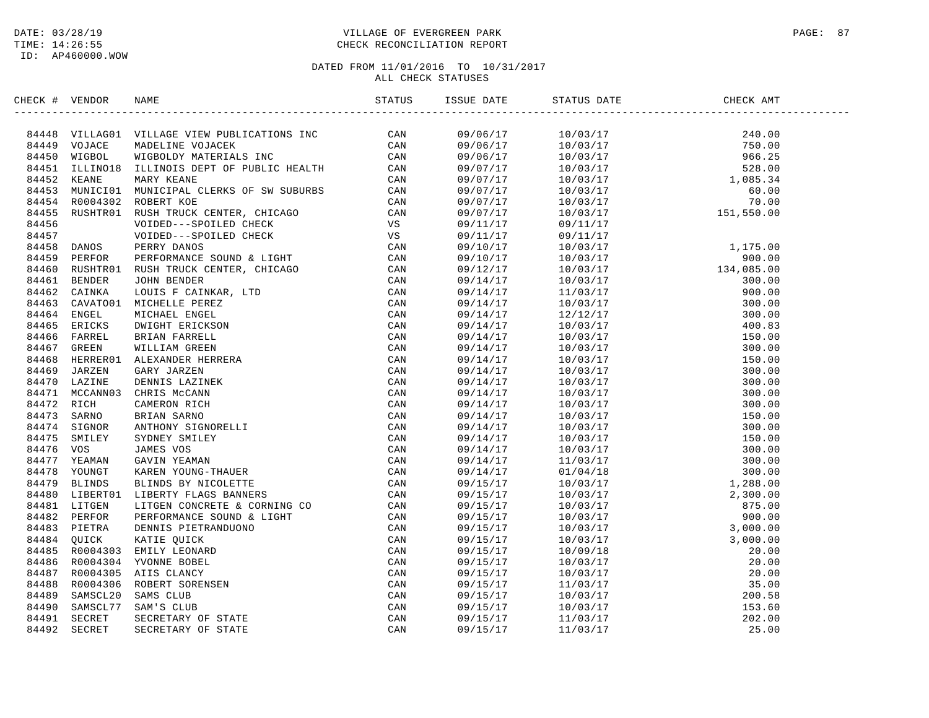# DATE: 03/28/19 PAGE: 87 PAGE: 87 TIME: 14:26:55 CHECK RECONCILIATION REPORT

| CHECK # VENDOR | NAME                                                                                                                                                                                                                                                                                                                                                                                                                 | ISSUE DATE | STATUS DATE | CHECK AMT |  |
|----------------|----------------------------------------------------------------------------------------------------------------------------------------------------------------------------------------------------------------------------------------------------------------------------------------------------------------------------------------------------------------------------------------------------------------------|------------|-------------|-----------|--|
|                | $\begin{tabular}{cccccccc} \textbf{GCE} & \textbf{WBCG} & \textbf{WBCG} & \textbf{SREG} & \textbf{SREG} & \textbf{SREG} & \textbf{SREG} & \textbf{SREG} & \textbf{SREG} & \textbf{SREG} & \textbf{SREG} & \textbf{SREG} & \textbf{SREG} & \textbf{SREG} & \textbf{SREG} & \textbf{SREG} & \textbf{SREG} & \textbf{SREG} & \textbf{SREG} & \textbf{SREG} & \textbf{SREG} & \textbf{SREG} & \textbf{SREG} & \textbf{S$ |            |             |           |  |
|                |                                                                                                                                                                                                                                                                                                                                                                                                                      |            |             |           |  |
|                |                                                                                                                                                                                                                                                                                                                                                                                                                      |            |             |           |  |
|                |                                                                                                                                                                                                                                                                                                                                                                                                                      |            |             |           |  |
|                |                                                                                                                                                                                                                                                                                                                                                                                                                      |            |             |           |  |
|                |                                                                                                                                                                                                                                                                                                                                                                                                                      |            |             |           |  |
|                |                                                                                                                                                                                                                                                                                                                                                                                                                      |            |             |           |  |
|                |                                                                                                                                                                                                                                                                                                                                                                                                                      |            |             |           |  |
|                |                                                                                                                                                                                                                                                                                                                                                                                                                      |            |             |           |  |
|                |                                                                                                                                                                                                                                                                                                                                                                                                                      |            |             |           |  |
|                |                                                                                                                                                                                                                                                                                                                                                                                                                      |            |             |           |  |
|                |                                                                                                                                                                                                                                                                                                                                                                                                                      |            |             |           |  |
|                |                                                                                                                                                                                                                                                                                                                                                                                                                      |            |             |           |  |
|                |                                                                                                                                                                                                                                                                                                                                                                                                                      |            |             |           |  |
|                |                                                                                                                                                                                                                                                                                                                                                                                                                      |            |             |           |  |
|                |                                                                                                                                                                                                                                                                                                                                                                                                                      |            |             |           |  |
|                |                                                                                                                                                                                                                                                                                                                                                                                                                      |            |             |           |  |
|                |                                                                                                                                                                                                                                                                                                                                                                                                                      |            |             |           |  |
|                |                                                                                                                                                                                                                                                                                                                                                                                                                      |            |             |           |  |
|                |                                                                                                                                                                                                                                                                                                                                                                                                                      |            |             |           |  |
|                |                                                                                                                                                                                                                                                                                                                                                                                                                      |            |             |           |  |
|                |                                                                                                                                                                                                                                                                                                                                                                                                                      |            |             |           |  |
|                |                                                                                                                                                                                                                                                                                                                                                                                                                      |            |             |           |  |
|                |                                                                                                                                                                                                                                                                                                                                                                                                                      |            |             |           |  |
|                |                                                                                                                                                                                                                                                                                                                                                                                                                      |            |             |           |  |
|                |                                                                                                                                                                                                                                                                                                                                                                                                                      |            |             |           |  |
|                |                                                                                                                                                                                                                                                                                                                                                                                                                      |            |             |           |  |
|                |                                                                                                                                                                                                                                                                                                                                                                                                                      |            |             |           |  |
|                |                                                                                                                                                                                                                                                                                                                                                                                                                      |            |             |           |  |
|                |                                                                                                                                                                                                                                                                                                                                                                                                                      |            |             |           |  |
|                |                                                                                                                                                                                                                                                                                                                                                                                                                      |            |             |           |  |
|                |                                                                                                                                                                                                                                                                                                                                                                                                                      |            |             |           |  |
|                |                                                                                                                                                                                                                                                                                                                                                                                                                      |            |             |           |  |
|                |                                                                                                                                                                                                                                                                                                                                                                                                                      |            |             |           |  |
|                |                                                                                                                                                                                                                                                                                                                                                                                                                      |            |             |           |  |
|                |                                                                                                                                                                                                                                                                                                                                                                                                                      |            |             |           |  |
|                |                                                                                                                                                                                                                                                                                                                                                                                                                      |            |             |           |  |
|                |                                                                                                                                                                                                                                                                                                                                                                                                                      |            |             |           |  |
|                |                                                                                                                                                                                                                                                                                                                                                                                                                      |            |             |           |  |
|                |                                                                                                                                                                                                                                                                                                                                                                                                                      |            |             |           |  |
|                |                                                                                                                                                                                                                                                                                                                                                                                                                      |            |             |           |  |
|                |                                                                                                                                                                                                                                                                                                                                                                                                                      |            |             |           |  |
|                |                                                                                                                                                                                                                                                                                                                                                                                                                      |            |             |           |  |
|                |                                                                                                                                                                                                                                                                                                                                                                                                                      |            |             |           |  |
|                |                                                                                                                                                                                                                                                                                                                                                                                                                      |            |             |           |  |
|                |                                                                                                                                                                                                                                                                                                                                                                                                                      |            |             |           |  |
|                |                                                                                                                                                                                                                                                                                                                                                                                                                      |            |             |           |  |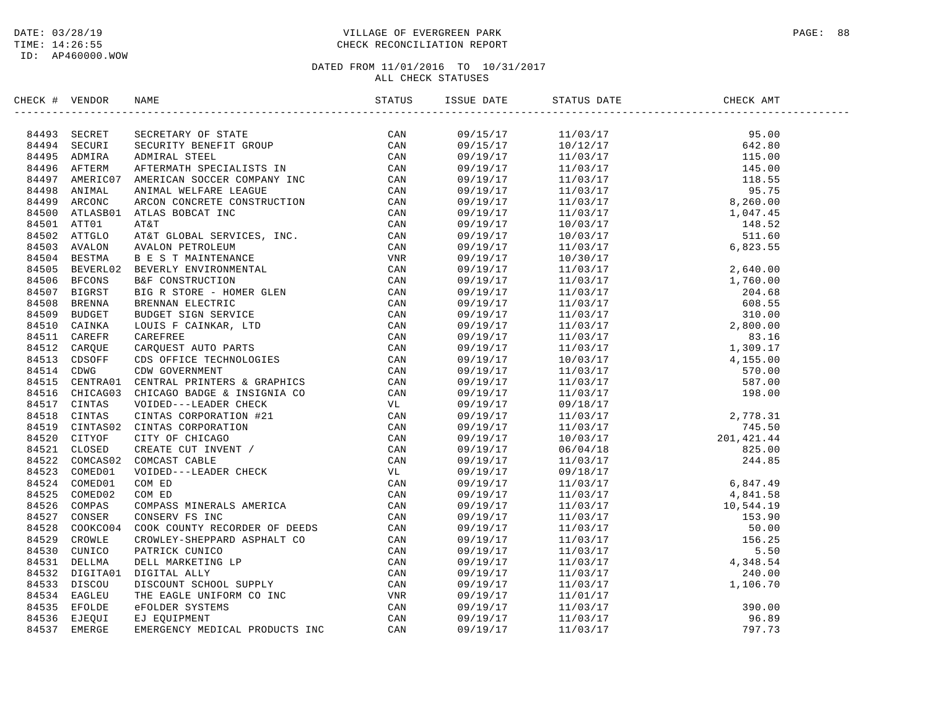# DATE: 03/28/19 PAGE: 88 PAGE: 88 TIME: 14:26:55 CHECK RECONCILIATION REPORT

| CHECK # VENDOR | NAME | ISSUE DATE           | STATUS DATE                                                                                                                                                                                                                                                                    | CHECK AMT |
|----------------|------|----------------------|--------------------------------------------------------------------------------------------------------------------------------------------------------------------------------------------------------------------------------------------------------------------------------|-----------|
|                |      | 09/15/17             | $\begin{tabular}{cccccc} 11/03/17 & 642.80 \\ -11/03/17 & 11/03/17 & 642.80 \\ 11/03/17 & 118.00 \\ 11/03/17 & 118.00 \\ 11/03/17 & 118.00 \\ 11/03/17 & 118.00 \\ 11/03/17 & 118.00 \\ 11/03/17 & 12/03/17 & 6/26.00 \\ 10/03/17 & 148.52 \\ 10/03/17 & 148.52 \\ 10/03/17 &$ |           |
|                |      | 09/15/17<br>09/19/17 |                                                                                                                                                                                                                                                                                |           |
|                |      | 09/19/17             |                                                                                                                                                                                                                                                                                |           |
|                |      | 09/19/17             |                                                                                                                                                                                                                                                                                |           |
|                |      | 09/19/17             |                                                                                                                                                                                                                                                                                |           |
|                |      | 09/19/17             |                                                                                                                                                                                                                                                                                |           |
|                |      | 09/19/17             |                                                                                                                                                                                                                                                                                |           |
|                |      | 09/19/17             |                                                                                                                                                                                                                                                                                |           |
|                |      | 09/19/17             |                                                                                                                                                                                                                                                                                |           |
|                |      | 09/19/17             |                                                                                                                                                                                                                                                                                |           |
|                |      | 09/19/17             |                                                                                                                                                                                                                                                                                |           |
|                |      | 09/19/17             |                                                                                                                                                                                                                                                                                |           |
|                |      | 09/19/17             |                                                                                                                                                                                                                                                                                |           |
|                |      | 09/19/17             |                                                                                                                                                                                                                                                                                |           |
|                |      | 09/19/17             |                                                                                                                                                                                                                                                                                |           |
|                |      | 09/19/17             |                                                                                                                                                                                                                                                                                |           |
|                |      | 09/19/17             |                                                                                                                                                                                                                                                                                |           |
|                |      | 09/19/17             |                                                                                                                                                                                                                                                                                |           |
|                |      | 09/19/17             |                                                                                                                                                                                                                                                                                |           |
|                |      | 09/19/17             |                                                                                                                                                                                                                                                                                |           |
|                |      | 09/19/17             |                                                                                                                                                                                                                                                                                |           |
|                |      | 09/19/17             |                                                                                                                                                                                                                                                                                |           |
|                |      | 09/19/17             |                                                                                                                                                                                                                                                                                |           |
|                |      | 09/19/17             |                                                                                                                                                                                                                                                                                |           |
|                |      | 09/19/17             |                                                                                                                                                                                                                                                                                |           |
|                |      | 09/19/17             |                                                                                                                                                                                                                                                                                |           |
|                |      | 09/19/17             |                                                                                                                                                                                                                                                                                |           |
|                |      | 09/19/17             |                                                                                                                                                                                                                                                                                |           |
|                |      | 09/19/17             |                                                                                                                                                                                                                                                                                |           |
|                |      | 09/19/17             |                                                                                                                                                                                                                                                                                |           |
|                |      | 09/19/17             |                                                                                                                                                                                                                                                                                |           |
|                |      | 09/19/17             |                                                                                                                                                                                                                                                                                |           |
|                |      | 09/19/17             |                                                                                                                                                                                                                                                                                |           |
|                |      | 09/19/17             |                                                                                                                                                                                                                                                                                |           |
|                |      | 09/19/17             |                                                                                                                                                                                                                                                                                |           |
|                |      | 09/19/17             |                                                                                                                                                                                                                                                                                |           |
|                |      | 09/19/17             |                                                                                                                                                                                                                                                                                |           |
|                |      | 09/19/17             |                                                                                                                                                                                                                                                                                |           |
|                |      | 09/19/17             |                                                                                                                                                                                                                                                                                |           |
|                |      | 09/19/17             |                                                                                                                                                                                                                                                                                |           |
|                |      | 09/19/17             |                                                                                                                                                                                                                                                                                |           |
|                |      | 09/19/17             |                                                                                                                                                                                                                                                                                |           |
|                |      | 09/19/17             |                                                                                                                                                                                                                                                                                |           |
|                |      | 09/19/17             |                                                                                                                                                                                                                                                                                |           |
|                |      | 09/19/17             |                                                                                                                                                                                                                                                                                |           |
|                |      |                      |                                                                                                                                                                                                                                                                                |           |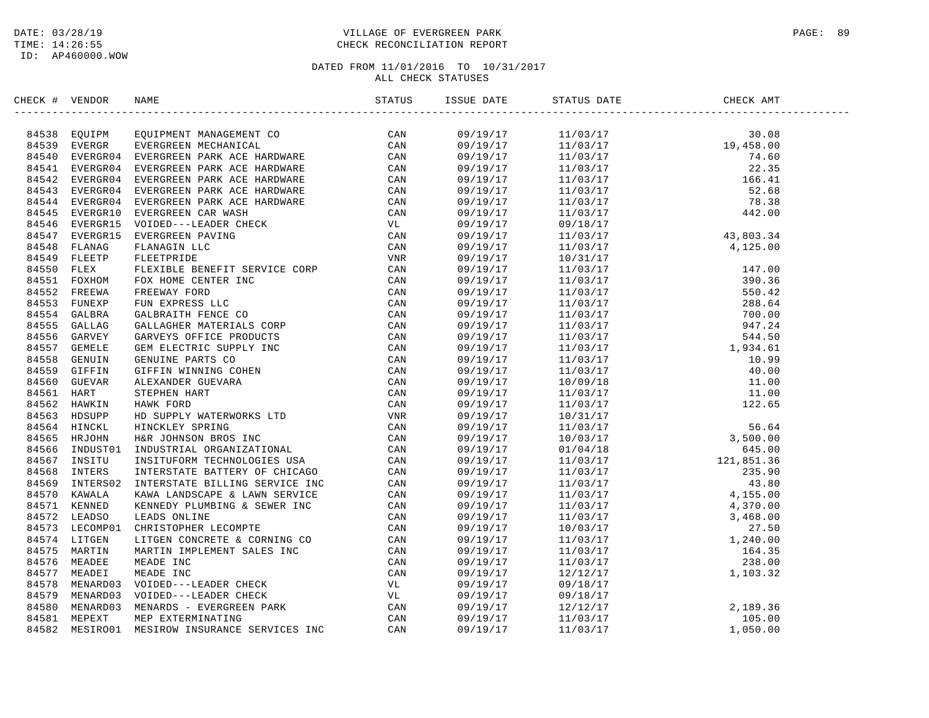# DATE: 03/28/19 PAGE: 89 PAGE: 89 TIME: 14:26:55 CHECK RECONCILIATION REPORT

| CHECK # VENDOR |                                                                                                                                                                                                                                                                                                                                                                                                                    |  |  |  |
|----------------|--------------------------------------------------------------------------------------------------------------------------------------------------------------------------------------------------------------------------------------------------------------------------------------------------------------------------------------------------------------------------------------------------------------------|--|--|--|
|                | $\begin{tabular}{cccccccc} \textbf{15} & \textbf{01} & \textbf{02} & \textbf{03} & \textbf{04} & \textbf{05} & \textbf{07} & \textbf{07} & \textbf{07} \\ \textbf{26} & \textbf{04} & \textbf{07} & \textbf{07} & \textbf{07} & \textbf{07} \\ \textbf{34} & \textbf{55} & \textbf{08} & \textbf{08} & \textbf{07} & \textbf{07} & \textbf{08} \\ \textbf{45} & \textbf{59} & \textbf{07} & \textbf{07} & \textbf$ |  |  |  |
|                |                                                                                                                                                                                                                                                                                                                                                                                                                    |  |  |  |
|                |                                                                                                                                                                                                                                                                                                                                                                                                                    |  |  |  |
|                |                                                                                                                                                                                                                                                                                                                                                                                                                    |  |  |  |
|                |                                                                                                                                                                                                                                                                                                                                                                                                                    |  |  |  |
|                |                                                                                                                                                                                                                                                                                                                                                                                                                    |  |  |  |
|                |                                                                                                                                                                                                                                                                                                                                                                                                                    |  |  |  |
|                |                                                                                                                                                                                                                                                                                                                                                                                                                    |  |  |  |
|                |                                                                                                                                                                                                                                                                                                                                                                                                                    |  |  |  |
|                |                                                                                                                                                                                                                                                                                                                                                                                                                    |  |  |  |
|                |                                                                                                                                                                                                                                                                                                                                                                                                                    |  |  |  |
|                |                                                                                                                                                                                                                                                                                                                                                                                                                    |  |  |  |
|                |                                                                                                                                                                                                                                                                                                                                                                                                                    |  |  |  |
|                |                                                                                                                                                                                                                                                                                                                                                                                                                    |  |  |  |
|                |                                                                                                                                                                                                                                                                                                                                                                                                                    |  |  |  |
|                |                                                                                                                                                                                                                                                                                                                                                                                                                    |  |  |  |
|                |                                                                                                                                                                                                                                                                                                                                                                                                                    |  |  |  |
|                |                                                                                                                                                                                                                                                                                                                                                                                                                    |  |  |  |
|                |                                                                                                                                                                                                                                                                                                                                                                                                                    |  |  |  |
|                |                                                                                                                                                                                                                                                                                                                                                                                                                    |  |  |  |
|                |                                                                                                                                                                                                                                                                                                                                                                                                                    |  |  |  |
|                |                                                                                                                                                                                                                                                                                                                                                                                                                    |  |  |  |
|                |                                                                                                                                                                                                                                                                                                                                                                                                                    |  |  |  |
|                |                                                                                                                                                                                                                                                                                                                                                                                                                    |  |  |  |
|                |                                                                                                                                                                                                                                                                                                                                                                                                                    |  |  |  |
|                |                                                                                                                                                                                                                                                                                                                                                                                                                    |  |  |  |
|                |                                                                                                                                                                                                                                                                                                                                                                                                                    |  |  |  |
|                |                                                                                                                                                                                                                                                                                                                                                                                                                    |  |  |  |
|                |                                                                                                                                                                                                                                                                                                                                                                                                                    |  |  |  |
|                |                                                                                                                                                                                                                                                                                                                                                                                                                    |  |  |  |
|                |                                                                                                                                                                                                                                                                                                                                                                                                                    |  |  |  |
|                |                                                                                                                                                                                                                                                                                                                                                                                                                    |  |  |  |
|                |                                                                                                                                                                                                                                                                                                                                                                                                                    |  |  |  |
|                |                                                                                                                                                                                                                                                                                                                                                                                                                    |  |  |  |
|                |                                                                                                                                                                                                                                                                                                                                                                                                                    |  |  |  |
|                |                                                                                                                                                                                                                                                                                                                                                                                                                    |  |  |  |
|                |                                                                                                                                                                                                                                                                                                                                                                                                                    |  |  |  |
|                |                                                                                                                                                                                                                                                                                                                                                                                                                    |  |  |  |
|                |                                                                                                                                                                                                                                                                                                                                                                                                                    |  |  |  |
|                |                                                                                                                                                                                                                                                                                                                                                                                                                    |  |  |  |
|                |                                                                                                                                                                                                                                                                                                                                                                                                                    |  |  |  |
|                |                                                                                                                                                                                                                                                                                                                                                                                                                    |  |  |  |
|                |                                                                                                                                                                                                                                                                                                                                                                                                                    |  |  |  |
|                |                                                                                                                                                                                                                                                                                                                                                                                                                    |  |  |  |
|                |                                                                                                                                                                                                                                                                                                                                                                                                                    |  |  |  |
|                |                                                                                                                                                                                                                                                                                                                                                                                                                    |  |  |  |
|                |                                                                                                                                                                                                                                                                                                                                                                                                                    |  |  |  |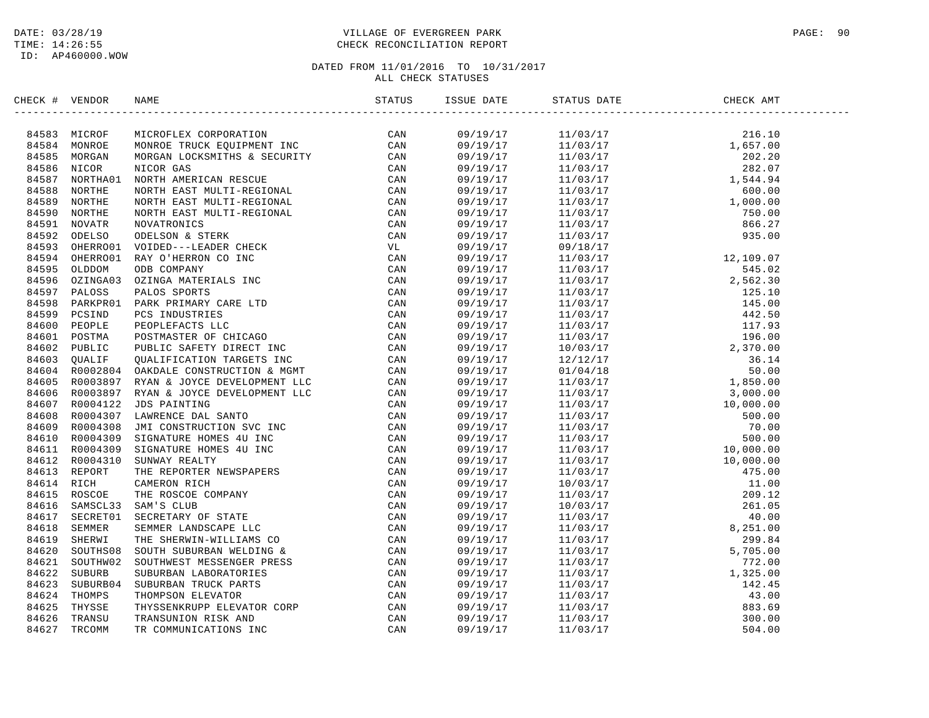ID: AP460000.WOW

# DATE: 03/28/19 PAGE: 90 PAGE: 90 TIME: 14:26:55 CHECK RECONCILIATION REPORT

| CHECK # | VENDOR | NAME                                                                                                                                                                                                                                      | ISSUE DATE | STATUS DATE | CHECK AMT |  |
|---------|--------|-------------------------------------------------------------------------------------------------------------------------------------------------------------------------------------------------------------------------------------------|------------|-------------|-----------|--|
|         |        | HERCH VERDOR NAME<br>SERIES (1970) MARCONTEX CORPORATION<br>1945-29 MICROPOLEX CORPORATION<br>1945-29 MICROPOLEX CORPORATION<br>1945-29 MICROPOLEX CORPORATION<br>1945-29 MICROPOLEX (1970) MARCONTENE & SECURITY<br>1945-29 MICROPOLEX M |            |             |           |  |
|         |        |                                                                                                                                                                                                                                           |            |             |           |  |
|         |        |                                                                                                                                                                                                                                           |            |             |           |  |
|         |        |                                                                                                                                                                                                                                           |            |             |           |  |
|         |        |                                                                                                                                                                                                                                           |            |             |           |  |
|         |        |                                                                                                                                                                                                                                           |            |             |           |  |
|         |        |                                                                                                                                                                                                                                           |            |             |           |  |
|         |        |                                                                                                                                                                                                                                           |            |             |           |  |
|         |        |                                                                                                                                                                                                                                           |            |             |           |  |
|         |        |                                                                                                                                                                                                                                           |            |             |           |  |
|         |        |                                                                                                                                                                                                                                           |            |             |           |  |
|         |        |                                                                                                                                                                                                                                           |            |             |           |  |
|         |        |                                                                                                                                                                                                                                           |            |             |           |  |
|         |        |                                                                                                                                                                                                                                           |            |             |           |  |
|         |        |                                                                                                                                                                                                                                           |            |             |           |  |
|         |        |                                                                                                                                                                                                                                           |            |             |           |  |
|         |        |                                                                                                                                                                                                                                           |            |             |           |  |
|         |        |                                                                                                                                                                                                                                           |            |             |           |  |
|         |        |                                                                                                                                                                                                                                           |            |             |           |  |
|         |        |                                                                                                                                                                                                                                           |            |             |           |  |
|         |        |                                                                                                                                                                                                                                           |            |             |           |  |
|         |        |                                                                                                                                                                                                                                           |            |             |           |  |
|         |        |                                                                                                                                                                                                                                           |            |             |           |  |
|         |        |                                                                                                                                                                                                                                           |            |             |           |  |
|         |        |                                                                                                                                                                                                                                           |            |             |           |  |
|         |        |                                                                                                                                                                                                                                           |            |             |           |  |
|         |        |                                                                                                                                                                                                                                           |            |             |           |  |
|         |        |                                                                                                                                                                                                                                           |            |             |           |  |
|         |        |                                                                                                                                                                                                                                           |            |             |           |  |
|         |        |                                                                                                                                                                                                                                           |            |             |           |  |
|         |        |                                                                                                                                                                                                                                           |            |             |           |  |
|         |        |                                                                                                                                                                                                                                           |            |             |           |  |
|         |        |                                                                                                                                                                                                                                           |            |             |           |  |
|         |        |                                                                                                                                                                                                                                           |            |             |           |  |
|         |        |                                                                                                                                                                                                                                           |            |             |           |  |
|         |        |                                                                                                                                                                                                                                           |            |             |           |  |
|         |        |                                                                                                                                                                                                                                           |            |             |           |  |
|         |        |                                                                                                                                                                                                                                           |            |             |           |  |
|         |        |                                                                                                                                                                                                                                           |            |             |           |  |
|         |        |                                                                                                                                                                                                                                           |            |             |           |  |
|         |        |                                                                                                                                                                                                                                           |            |             |           |  |
|         |        |                                                                                                                                                                                                                                           |            |             |           |  |
|         |        |                                                                                                                                                                                                                                           |            |             |           |  |
|         |        |                                                                                                                                                                                                                                           |            |             |           |  |
|         |        |                                                                                                                                                                                                                                           |            |             |           |  |
|         |        |                                                                                                                                                                                                                                           |            |             |           |  |
|         |        |                                                                                                                                                                                                                                           |            |             |           |  |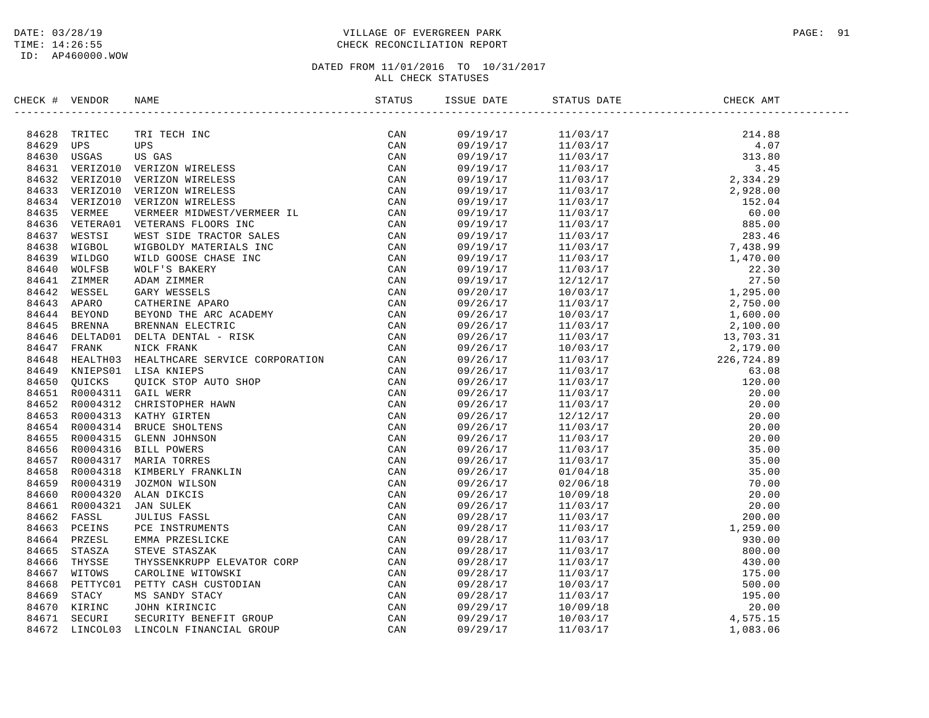# DATE: 03/28/19 PAGE: 91 PAGE: 91 TIME: 14:26:55 CHECK RECONCILIATION REPORT

| CHECK # VENDOR | NAME                                                                                                                                                                                                                                         |     | ISSUE DATE | STATUS DATE | CHECK AMT |  |
|----------------|----------------------------------------------------------------------------------------------------------------------------------------------------------------------------------------------------------------------------------------------|-----|------------|-------------|-----------|--|
|                | HEACH VERIDOR NAME (1980) 1981 (1981)<br>1997 - THE TECH INC CONSUMERED CAN ASSOCIATED (1981) 1998<br>16423 TREEC TELEVIS (1981) 1998 (1983)<br>16431 VERTICOLD VERTICON NIERLESS CAN<br>16431 VERTICOLD VERTICON NIERLESS CAN<br>16431 VERT |     |            |             |           |  |
|                |                                                                                                                                                                                                                                              | CAN |            |             |           |  |
|                |                                                                                                                                                                                                                                              |     |            |             |           |  |
|                |                                                                                                                                                                                                                                              |     |            |             |           |  |
|                |                                                                                                                                                                                                                                              |     |            |             |           |  |
|                |                                                                                                                                                                                                                                              |     |            |             |           |  |
|                |                                                                                                                                                                                                                                              |     |            |             |           |  |
|                |                                                                                                                                                                                                                                              |     |            |             |           |  |
|                |                                                                                                                                                                                                                                              |     |            |             |           |  |
|                |                                                                                                                                                                                                                                              |     |            |             |           |  |
|                |                                                                                                                                                                                                                                              |     |            |             |           |  |
|                |                                                                                                                                                                                                                                              |     |            |             |           |  |
|                |                                                                                                                                                                                                                                              |     |            |             |           |  |
|                |                                                                                                                                                                                                                                              |     |            |             |           |  |
|                |                                                                                                                                                                                                                                              |     |            |             |           |  |
|                |                                                                                                                                                                                                                                              |     |            |             |           |  |
|                |                                                                                                                                                                                                                                              |     |            |             |           |  |
|                |                                                                                                                                                                                                                                              |     |            |             |           |  |
|                |                                                                                                                                                                                                                                              |     |            |             |           |  |
|                |                                                                                                                                                                                                                                              |     |            |             |           |  |
|                |                                                                                                                                                                                                                                              |     |            |             |           |  |
|                |                                                                                                                                                                                                                                              |     |            |             |           |  |
|                |                                                                                                                                                                                                                                              |     |            |             |           |  |
|                |                                                                                                                                                                                                                                              |     |            |             |           |  |
|                |                                                                                                                                                                                                                                              |     |            |             |           |  |
|                |                                                                                                                                                                                                                                              |     |            |             |           |  |
|                |                                                                                                                                                                                                                                              |     |            |             |           |  |
|                |                                                                                                                                                                                                                                              |     |            |             |           |  |
|                |                                                                                                                                                                                                                                              |     |            |             |           |  |
|                |                                                                                                                                                                                                                                              |     |            |             |           |  |
|                |                                                                                                                                                                                                                                              |     |            |             |           |  |
|                |                                                                                                                                                                                                                                              |     |            |             |           |  |
|                |                                                                                                                                                                                                                                              |     |            |             |           |  |
|                |                                                                                                                                                                                                                                              |     |            |             |           |  |
|                |                                                                                                                                                                                                                                              |     |            |             |           |  |
|                |                                                                                                                                                                                                                                              |     |            |             |           |  |
|                |                                                                                                                                                                                                                                              |     |            |             |           |  |
|                |                                                                                                                                                                                                                                              |     |            |             |           |  |
|                |                                                                                                                                                                                                                                              |     |            |             |           |  |
|                |                                                                                                                                                                                                                                              |     |            |             |           |  |
|                |                                                                                                                                                                                                                                              |     |            |             |           |  |
|                |                                                                                                                                                                                                                                              |     |            |             |           |  |
|                |                                                                                                                                                                                                                                              |     |            |             |           |  |
|                |                                                                                                                                                                                                                                              |     |            |             |           |  |
|                |                                                                                                                                                                                                                                              |     |            |             |           |  |
|                |                                                                                                                                                                                                                                              |     |            |             |           |  |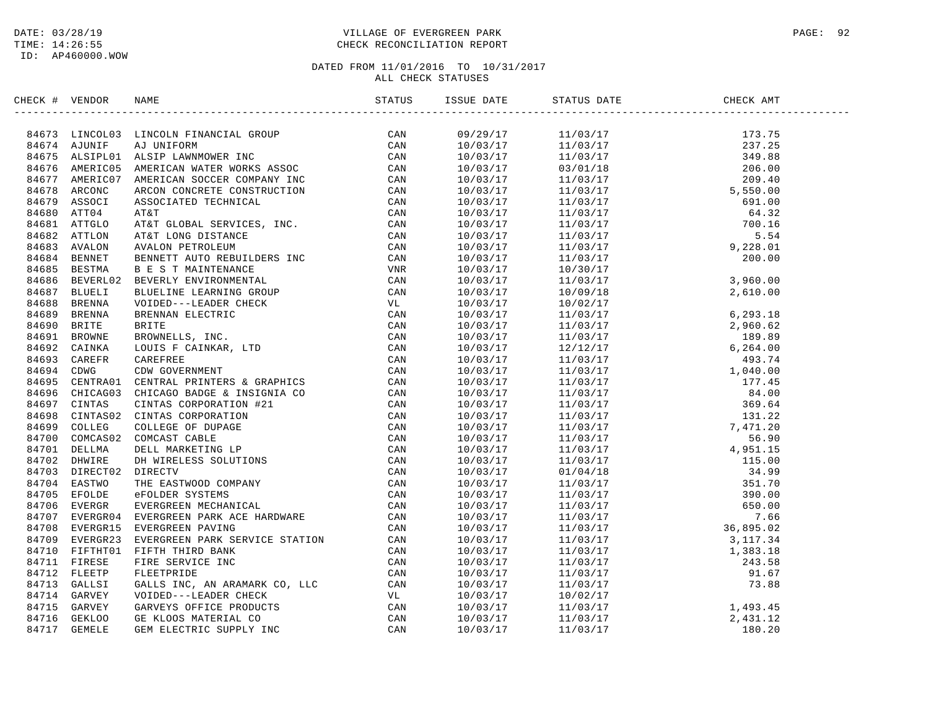# DATE: 03/28/19 PAGE: 92 TIME: 14:26:55 CHECK RECONCILIATION REPORT

| CHECK # VENDOR | NAME                                                                                                                                                                                                                                     | STATUS | ISSUE DATE | STATUS DATE | CHECK AMT |  |
|----------------|------------------------------------------------------------------------------------------------------------------------------------------------------------------------------------------------------------------------------------------|--------|------------|-------------|-----------|--|
|                | ERCK T VERDOR RAKE<br>1970 - LINCOLN FINANCIAL GROUP<br>1970 - LINCOLN FINANCIAL GROUP<br>1970 - LINCOLN FINANCIAL GROUP<br>1970 - ASIMITE LANGUARE INC.<br>1970 - ANGERET ANGELIA ANGERICAN SOCIETY COMMITMETED<br>1970 - ANGELES ANGER |        |            |             |           |  |
|                |                                                                                                                                                                                                                                          |        |            |             |           |  |
|                |                                                                                                                                                                                                                                          |        |            |             |           |  |
|                |                                                                                                                                                                                                                                          |        |            |             |           |  |
|                |                                                                                                                                                                                                                                          |        |            |             |           |  |
|                |                                                                                                                                                                                                                                          |        |            |             |           |  |
|                |                                                                                                                                                                                                                                          |        |            |             |           |  |
|                |                                                                                                                                                                                                                                          |        |            |             |           |  |
|                |                                                                                                                                                                                                                                          |        |            |             |           |  |
|                |                                                                                                                                                                                                                                          |        |            |             |           |  |
|                |                                                                                                                                                                                                                                          |        |            |             |           |  |
|                |                                                                                                                                                                                                                                          |        |            |             |           |  |
|                |                                                                                                                                                                                                                                          |        |            |             |           |  |
|                |                                                                                                                                                                                                                                          |        |            |             |           |  |
|                |                                                                                                                                                                                                                                          |        |            |             |           |  |
|                |                                                                                                                                                                                                                                          |        |            |             |           |  |
|                |                                                                                                                                                                                                                                          |        |            |             |           |  |
|                |                                                                                                                                                                                                                                          |        |            |             |           |  |
|                |                                                                                                                                                                                                                                          |        |            |             |           |  |
|                |                                                                                                                                                                                                                                          |        |            |             |           |  |
|                |                                                                                                                                                                                                                                          |        |            |             |           |  |
|                |                                                                                                                                                                                                                                          |        |            |             |           |  |
|                |                                                                                                                                                                                                                                          |        |            |             |           |  |
|                |                                                                                                                                                                                                                                          |        |            |             |           |  |
|                |                                                                                                                                                                                                                                          |        |            |             |           |  |
|                |                                                                                                                                                                                                                                          |        |            |             |           |  |
|                |                                                                                                                                                                                                                                          |        |            |             |           |  |
|                |                                                                                                                                                                                                                                          |        |            |             |           |  |
|                |                                                                                                                                                                                                                                          |        |            |             |           |  |
|                |                                                                                                                                                                                                                                          |        |            |             |           |  |
|                |                                                                                                                                                                                                                                          |        |            |             |           |  |
|                |                                                                                                                                                                                                                                          |        |            |             |           |  |
|                |                                                                                                                                                                                                                                          |        |            |             |           |  |
|                |                                                                                                                                                                                                                                          |        |            |             |           |  |
|                |                                                                                                                                                                                                                                          |        |            |             |           |  |
|                |                                                                                                                                                                                                                                          |        |            |             |           |  |
|                |                                                                                                                                                                                                                                          |        |            |             |           |  |
|                |                                                                                                                                                                                                                                          |        |            |             |           |  |
|                |                                                                                                                                                                                                                                          |        |            |             |           |  |
|                |                                                                                                                                                                                                                                          |        |            |             |           |  |
|                |                                                                                                                                                                                                                                          |        |            |             |           |  |
|                |                                                                                                                                                                                                                                          |        |            |             |           |  |
|                |                                                                                                                                                                                                                                          |        |            |             |           |  |
|                |                                                                                                                                                                                                                                          |        |            |             |           |  |
|                |                                                                                                                                                                                                                                          |        |            |             |           |  |
|                |                                                                                                                                                                                                                                          |        |            |             |           |  |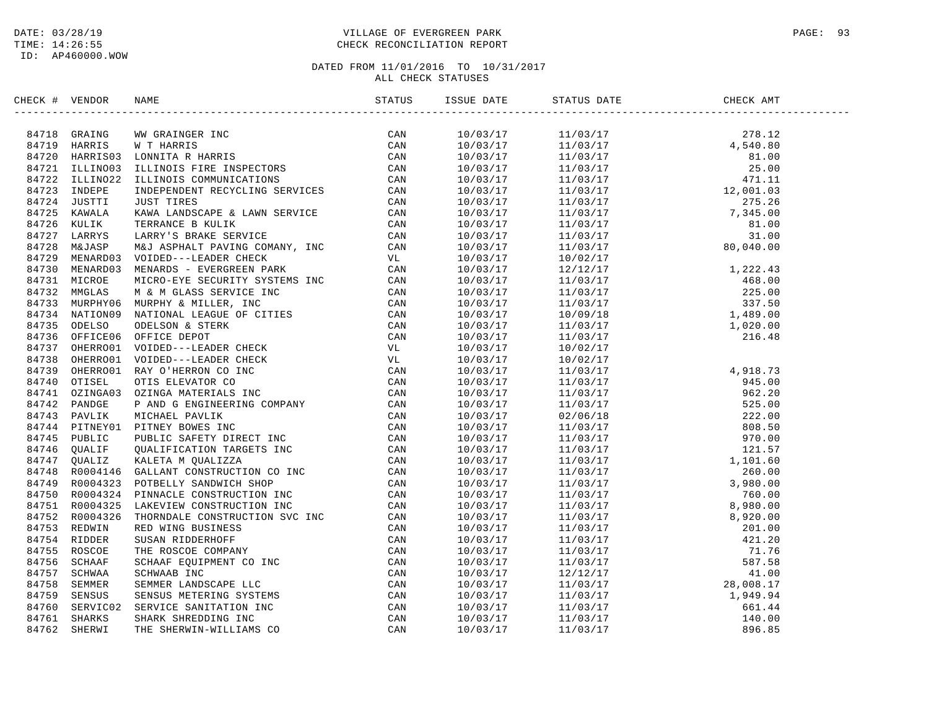# DATE: 03/28/19 PAGE: 93 TIME: 14:26:55 CHECK RECONCILIATION REPORT

| CHECK # VENDOR |                                                                                                                                                                                                                              | STATUS | ISSUE DATE           | STATUS DATE                                                                                                                                                                                                  | CHECK AMT |  |
|----------------|------------------------------------------------------------------------------------------------------------------------------------------------------------------------------------------------------------------------------|--------|----------------------|--------------------------------------------------------------------------------------------------------------------------------------------------------------------------------------------------------------|-----------|--|
|                | EINEAR VERSION IN A BANDER SERVICE IN CAN ACTES AND AN ANNEXE IN CAN ACTES (CAN ACTES 1972) INDUSTRIES IN A BANDER CONSULTER IN A REPORT ON A SAME ACTES (CAN 84722 INDUSTRIES IN A BANDER CONSULTER CONSULTER CONSULTER THE |        |                      |                                                                                                                                                                                                              |           |  |
|                |                                                                                                                                                                                                                              |        |                      |                                                                                                                                                                                                              |           |  |
|                |                                                                                                                                                                                                                              |        |                      |                                                                                                                                                                                                              |           |  |
|                |                                                                                                                                                                                                                              |        |                      |                                                                                                                                                                                                              |           |  |
|                |                                                                                                                                                                                                                              |        |                      |                                                                                                                                                                                                              |           |  |
|                |                                                                                                                                                                                                                              |        |                      |                                                                                                                                                                                                              |           |  |
|                |                                                                                                                                                                                                                              |        |                      |                                                                                                                                                                                                              |           |  |
|                |                                                                                                                                                                                                                              |        |                      |                                                                                                                                                                                                              |           |  |
|                |                                                                                                                                                                                                                              |        |                      |                                                                                                                                                                                                              |           |  |
|                |                                                                                                                                                                                                                              |        |                      |                                                                                                                                                                                                              |           |  |
|                |                                                                                                                                                                                                                              |        |                      |                                                                                                                                                                                                              |           |  |
|                |                                                                                                                                                                                                                              |        | 10/03/17             | 10/02/17                                                                                                                                                                                                     |           |  |
|                |                                                                                                                                                                                                                              |        | 10/03/17             |                                                                                                                                                                                                              |           |  |
|                |                                                                                                                                                                                                                              |        | 10/03/17             | $\begin{array}{cccc} 10/02/17 & 1 \\ 12/12/17 & 1,222.43 \\ 11/03/17 & 468.00 \\ 11/03/17 & 225.00 \\ 10/09/18 & 1,489.00 \\ 11/03/17 & 1,020.00 \\ 11/03/17 & 1,020.00 \\ 11/03/17 & 216.48 \\ \end{array}$ |           |  |
|                |                                                                                                                                                                                                                              |        | 10/03/17             |                                                                                                                                                                                                              |           |  |
|                |                                                                                                                                                                                                                              |        | 10/03/17             |                                                                                                                                                                                                              |           |  |
|                |                                                                                                                                                                                                                              |        | 10/03/17             |                                                                                                                                                                                                              |           |  |
|                |                                                                                                                                                                                                                              |        | 10/03/17             |                                                                                                                                                                                                              |           |  |
|                |                                                                                                                                                                                                                              |        | 10/03/17             |                                                                                                                                                                                                              |           |  |
|                |                                                                                                                                                                                                                              |        | 10/03/17             |                                                                                                                                                                                                              |           |  |
|                |                                                                                                                                                                                                                              |        | 10/03/17             | 10/02/17                                                                                                                                                                                                     |           |  |
|                |                                                                                                                                                                                                                              |        | 10/03/17             |                                                                                                                                                                                                              |           |  |
|                |                                                                                                                                                                                                                              |        | 10/03/17             |                                                                                                                                                                                                              |           |  |
|                |                                                                                                                                                                                                                              |        | 10/03/17             |                                                                                                                                                                                                              |           |  |
|                |                                                                                                                                                                                                                              |        | 10/03/17             |                                                                                                                                                                                                              |           |  |
|                |                                                                                                                                                                                                                              |        | 10/03/17             |                                                                                                                                                                                                              |           |  |
|                |                                                                                                                                                                                                                              |        | 10/03/17             |                                                                                                                                                                                                              |           |  |
|                |                                                                                                                                                                                                                              |        | 10/03/17             |                                                                                                                                                                                                              |           |  |
|                |                                                                                                                                                                                                                              |        | 10/03/17             |                                                                                                                                                                                                              |           |  |
|                |                                                                                                                                                                                                                              |        | 10/03/17             |                                                                                                                                                                                                              |           |  |
|                |                                                                                                                                                                                                                              |        | 10/03/17             |                                                                                                                                                                                                              |           |  |
|                |                                                                                                                                                                                                                              |        | 10/03/17             |                                                                                                                                                                                                              |           |  |
|                |                                                                                                                                                                                                                              |        | 10/03/17             |                                                                                                                                                                                                              |           |  |
|                |                                                                                                                                                                                                                              |        | 10/03/17             |                                                                                                                                                                                                              |           |  |
|                |                                                                                                                                                                                                                              |        |                      |                                                                                                                                                                                                              |           |  |
|                |                                                                                                                                                                                                                              |        | 10/03/17             |                                                                                                                                                                                                              |           |  |
|                |                                                                                                                                                                                                                              |        | 10/03/17<br>10/03/17 |                                                                                                                                                                                                              |           |  |
|                |                                                                                                                                                                                                                              |        |                      |                                                                                                                                                                                                              |           |  |
|                |                                                                                                                                                                                                                              |        | 10/03/17             |                                                                                                                                                                                                              |           |  |
|                |                                                                                                                                                                                                                              |        | 10/03/17             |                                                                                                                                                                                                              |           |  |
|                |                                                                                                                                                                                                                              |        | 10/03/17             |                                                                                                                                                                                                              |           |  |
|                |                                                                                                                                                                                                                              |        | 10/03/17             |                                                                                                                                                                                                              |           |  |
|                |                                                                                                                                                                                                                              |        | 10/03/17             |                                                                                                                                                                                                              |           |  |
|                |                                                                                                                                                                                                                              |        | 10/03/17             |                                                                                                                                                                                                              |           |  |
|                |                                                                                                                                                                                                                              |        | 10/03/17             |                                                                                                                                                                                                              |           |  |
|                |                                                                                                                                                                                                                              |        | 10/03/17             |                                                                                                                                                                                                              |           |  |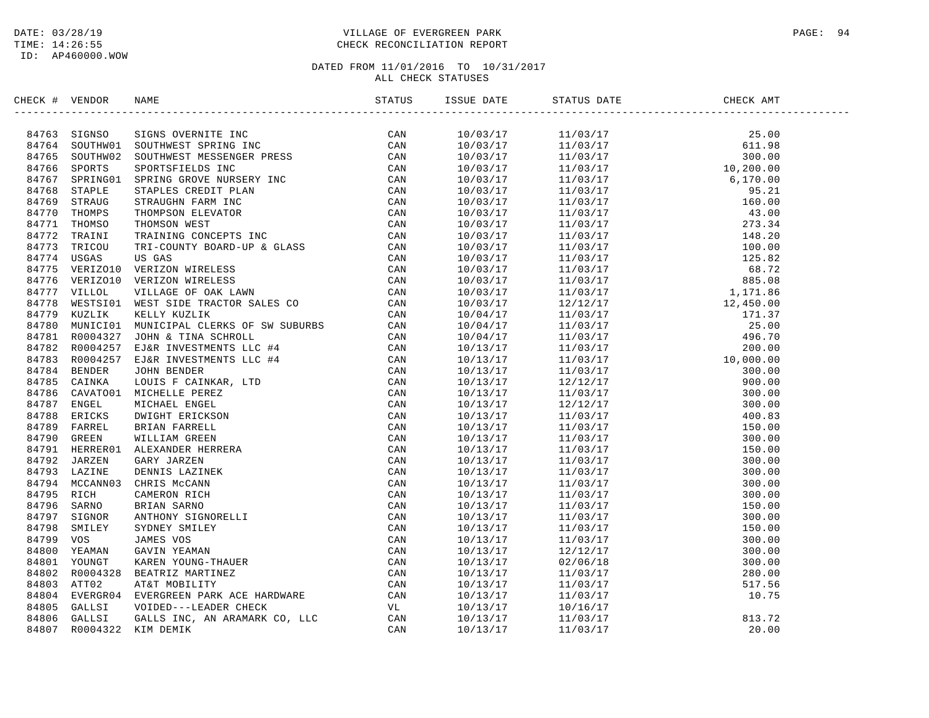# DATE: 03/28/19 PAGE: 94 TIME: 14:26:55 CHECK RECONCILIATION REPORT

| CHECK # VENDOR |                | NAME                                                                                                                                                                                                                           | STATUS | ISSUE DATE | STATUS DATE                                                                                                                                                                                                                                                                                             | CHECK AMT |  |
|----------------|----------------|--------------------------------------------------------------------------------------------------------------------------------------------------------------------------------------------------------------------------------|--------|------------|---------------------------------------------------------------------------------------------------------------------------------------------------------------------------------------------------------------------------------------------------------------------------------------------------------|-----------|--|
|                | 84763 SIGNSO   | DOR NAME THE SERVICE SPRING CAN MISSINGLY AND SCAND STRAINS OF THE SERVICE CAN DESCRIPTED THE SERVICE CAN ARREST SPRING AND MISSINGLY CONTROLL IN the STRAIN CONSIDER THE SERVICE CAN ARREST SPRING CONSIDER THE CAN RECORD TH |        | 10/03/17   | $\begin{tabular}{l c c c} $11/03/17$ & $25.00$ \\[-2mm] $11/03/17$ & $25.00$ \\[-2mm] $11/03/17$ & $10.00$ \\[-2mm] $11/03/17$ & $10.00$ \\[-2mm] $11/03/17$ & $10.00$ \\[-2mm] $11/03/17$ & $10.00$ \\[-2mm] $11/03/17$ & $10.00$ \\[-2mm] $11/03/17$ & $10.00$ \\[-2mm] $11/03/17$ & $10.00$ \\[-2mm$ |           |  |
|                | 84764 SOUTHW01 |                                                                                                                                                                                                                                |        | 10/03/17   |                                                                                                                                                                                                                                                                                                         |           |  |
|                | 84765 SOUTHW02 |                                                                                                                                                                                                                                |        | 10/03/17   |                                                                                                                                                                                                                                                                                                         |           |  |
| 84766          |                |                                                                                                                                                                                                                                |        | 10/03/17   |                                                                                                                                                                                                                                                                                                         |           |  |
| 84767          |                |                                                                                                                                                                                                                                |        | 10/03/17   |                                                                                                                                                                                                                                                                                                         |           |  |
| 84768          |                |                                                                                                                                                                                                                                |        | 10/03/17   |                                                                                                                                                                                                                                                                                                         |           |  |
| 84769          |                |                                                                                                                                                                                                                                |        | 10/03/17   |                                                                                                                                                                                                                                                                                                         |           |  |
| 84770          |                |                                                                                                                                                                                                                                |        | 10/03/17   |                                                                                                                                                                                                                                                                                                         |           |  |
|                |                |                                                                                                                                                                                                                                |        |            |                                                                                                                                                                                                                                                                                                         |           |  |
| 84771          |                |                                                                                                                                                                                                                                |        | 10/03/17   |                                                                                                                                                                                                                                                                                                         |           |  |
| 84772          |                |                                                                                                                                                                                                                                |        | 10/03/17   |                                                                                                                                                                                                                                                                                                         |           |  |
| 84773          |                |                                                                                                                                                                                                                                |        | 10/03/17   |                                                                                                                                                                                                                                                                                                         |           |  |
| 84774          |                |                                                                                                                                                                                                                                |        | 10/03/17   |                                                                                                                                                                                                                                                                                                         |           |  |
| 84775          |                |                                                                                                                                                                                                                                |        | 10/03/17   |                                                                                                                                                                                                                                                                                                         |           |  |
| 84776          |                |                                                                                                                                                                                                                                |        | 10/03/17   |                                                                                                                                                                                                                                                                                                         |           |  |
| 84777          |                |                                                                                                                                                                                                                                |        | 10/03/17   |                                                                                                                                                                                                                                                                                                         |           |  |
| 84778          |                |                                                                                                                                                                                                                                |        | 10/03/17   |                                                                                                                                                                                                                                                                                                         |           |  |
| 84779          |                |                                                                                                                                                                                                                                |        | 10/04/17   |                                                                                                                                                                                                                                                                                                         |           |  |
| 84780          |                |                                                                                                                                                                                                                                |        | 10/04/17   |                                                                                                                                                                                                                                                                                                         |           |  |
|                | 84781 R0004327 |                                                                                                                                                                                                                                |        | 10/04/17   |                                                                                                                                                                                                                                                                                                         |           |  |
| 84782          |                |                                                                                                                                                                                                                                |        | 10/13/17   |                                                                                                                                                                                                                                                                                                         |           |  |
|                | 84783 R0004257 |                                                                                                                                                                                                                                |        | 10/13/17   |                                                                                                                                                                                                                                                                                                         |           |  |
| 84784          |                |                                                                                                                                                                                                                                |        | 10/13/17   |                                                                                                                                                                                                                                                                                                         |           |  |
| 84785          |                |                                                                                                                                                                                                                                |        | 10/13/17   |                                                                                                                                                                                                                                                                                                         |           |  |
| 84786          |                |                                                                                                                                                                                                                                |        | 10/13/17   |                                                                                                                                                                                                                                                                                                         |           |  |
| 84787          |                |                                                                                                                                                                                                                                |        | 10/13/17   |                                                                                                                                                                                                                                                                                                         |           |  |
| 84788          |                |                                                                                                                                                                                                                                |        | 10/13/17   |                                                                                                                                                                                                                                                                                                         |           |  |
| 84789          |                |                                                                                                                                                                                                                                |        | 10/13/17   |                                                                                                                                                                                                                                                                                                         |           |  |
| 84790          |                |                                                                                                                                                                                                                                |        | 10/13/17   |                                                                                                                                                                                                                                                                                                         |           |  |
| 84791          |                |                                                                                                                                                                                                                                |        | 10/13/17   |                                                                                                                                                                                                                                                                                                         |           |  |
| 84792          |                |                                                                                                                                                                                                                                |        | 10/13/17   |                                                                                                                                                                                                                                                                                                         |           |  |
| 84793          |                |                                                                                                                                                                                                                                |        | 10/13/17   |                                                                                                                                                                                                                                                                                                         |           |  |
| 84794          |                |                                                                                                                                                                                                                                |        | 10/13/17   |                                                                                                                                                                                                                                                                                                         |           |  |
| 84795          |                |                                                                                                                                                                                                                                |        | 10/13/17   |                                                                                                                                                                                                                                                                                                         |           |  |
| 84796          |                |                                                                                                                                                                                                                                |        | 10/13/17   |                                                                                                                                                                                                                                                                                                         |           |  |
| 84797          |                |                                                                                                                                                                                                                                |        | 10/13/17   |                                                                                                                                                                                                                                                                                                         |           |  |
| 84798          |                |                                                                                                                                                                                                                                |        | 10/13/17   |                                                                                                                                                                                                                                                                                                         |           |  |
| 84799          |                |                                                                                                                                                                                                                                |        | 10/13/17   |                                                                                                                                                                                                                                                                                                         |           |  |
| 84800          |                |                                                                                                                                                                                                                                |        | 10/13/17   |                                                                                                                                                                                                                                                                                                         |           |  |
| 84801          |                |                                                                                                                                                                                                                                |        | 10/13/17   |                                                                                                                                                                                                                                                                                                         |           |  |
| 84802          |                |                                                                                                                                                                                                                                |        |            |                                                                                                                                                                                                                                                                                                         |           |  |
|                |                |                                                                                                                                                                                                                                |        | 10/13/17   |                                                                                                                                                                                                                                                                                                         |           |  |
| 84803          |                |                                                                                                                                                                                                                                |        | 10/13/17   |                                                                                                                                                                                                                                                                                                         |           |  |
| 84804          |                |                                                                                                                                                                                                                                |        | 10/13/17   |                                                                                                                                                                                                                                                                                                         |           |  |
| 84805          |                |                                                                                                                                                                                                                                |        | 10/13/17   |                                                                                                                                                                                                                                                                                                         |           |  |
| 84806          |                |                                                                                                                                                                                                                                |        | 10/13/17   |                                                                                                                                                                                                                                                                                                         |           |  |
| 84807          |                |                                                                                                                                                                                                                                |        | 10/13/17   |                                                                                                                                                                                                                                                                                                         |           |  |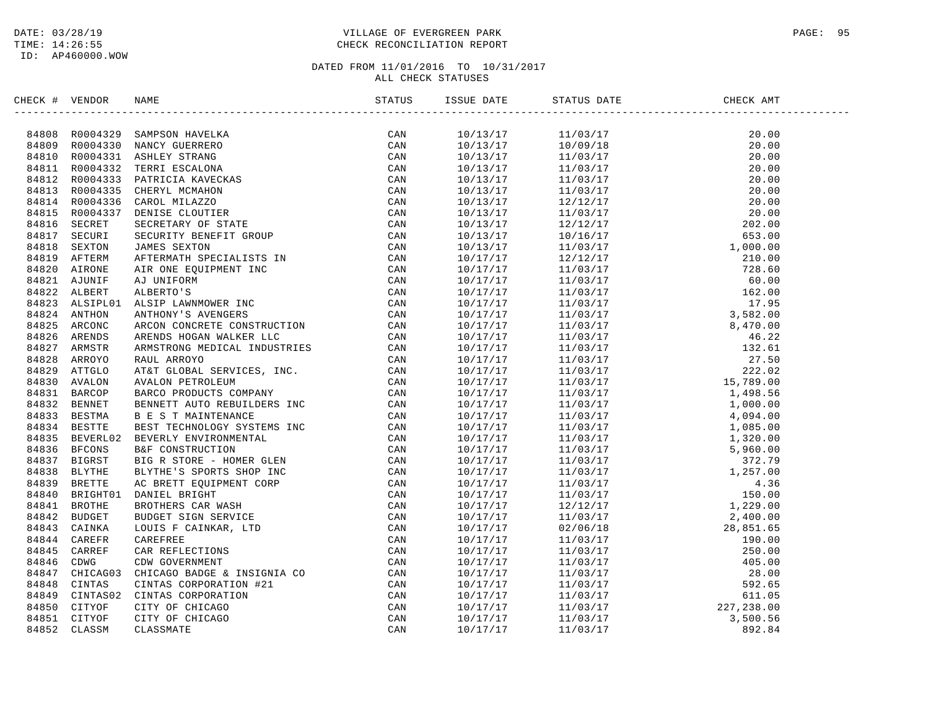# DATE: 03/28/19 PAGE: 95 TIME: 14:26:55 CHECK RECONCILIATION REPORT

| CHECK # VENDOR |                                                                                                                                                                                                                                                                                                                                                                                      | ISSUE DATE | STATUS DATE                                                                                                                                                                                                                                                                      | CHECK AMT |  |
|----------------|--------------------------------------------------------------------------------------------------------------------------------------------------------------------------------------------------------------------------------------------------------------------------------------------------------------------------------------------------------------------------------------|------------|----------------------------------------------------------------------------------------------------------------------------------------------------------------------------------------------------------------------------------------------------------------------------------|-----------|--|
|                | $\begin{array}{cccccccc} \textbf{0.016}\textbf{0.17}\textbf{0.17}\textbf{0.17}\textbf{0.17}\textbf{0.17}\textbf{0.17}\textbf{0.17}\textbf{0.17}\textbf{0.17}\textbf{0.17}\textbf{0.17}\textbf{0.17}\textbf{0.17}\textbf{0.17}\textbf{0.17}\textbf{0.17}\textbf{0.17}\textbf{0.17}\textbf{0.17}\textbf{0.17}\textbf{0.17}\textbf{0.17}\textbf{0.17}\textbf{0.17}\textbf{0.17}\textbf$ | 10/13/17   | $\begin{tabular}{cccc} 111/03/17 & 20.00 \\ -11/03/17 & 20.00 \\ 11/03/17 & 20.00 \\ 11/03/17 & 20.00 \\ 11/03/17 & 20.00 \\ 11/03/17 & 20.00 \\ 11/03/17 & 20.00 \\ 11/03/17 & 20.00 \\ 11/03/17 & 20.00 \\ 11/03/17 & 20.00 \\ 11/03/17 & 20.00 \\ 11/03/17 & 20.00 \\ 11/03/$ |           |  |
|                |                                                                                                                                                                                                                                                                                                                                                                                      | 10/13/17   |                                                                                                                                                                                                                                                                                  |           |  |
|                |                                                                                                                                                                                                                                                                                                                                                                                      | 10/13/17   |                                                                                                                                                                                                                                                                                  |           |  |
|                |                                                                                                                                                                                                                                                                                                                                                                                      | 10/13/17   |                                                                                                                                                                                                                                                                                  |           |  |
|                |                                                                                                                                                                                                                                                                                                                                                                                      | 10/13/17   |                                                                                                                                                                                                                                                                                  |           |  |
|                |                                                                                                                                                                                                                                                                                                                                                                                      | 10/13/17   |                                                                                                                                                                                                                                                                                  |           |  |
|                |                                                                                                                                                                                                                                                                                                                                                                                      | 10/13/17   |                                                                                                                                                                                                                                                                                  |           |  |
|                |                                                                                                                                                                                                                                                                                                                                                                                      | 10/13/17   |                                                                                                                                                                                                                                                                                  |           |  |
|                |                                                                                                                                                                                                                                                                                                                                                                                      | 10/13/17   |                                                                                                                                                                                                                                                                                  |           |  |
|                |                                                                                                                                                                                                                                                                                                                                                                                      | 10/13/17   |                                                                                                                                                                                                                                                                                  |           |  |
|                |                                                                                                                                                                                                                                                                                                                                                                                      | 10/13/17   |                                                                                                                                                                                                                                                                                  |           |  |
|                |                                                                                                                                                                                                                                                                                                                                                                                      | 10/17/17   |                                                                                                                                                                                                                                                                                  |           |  |
|                |                                                                                                                                                                                                                                                                                                                                                                                      | 10/17/17   |                                                                                                                                                                                                                                                                                  |           |  |
|                |                                                                                                                                                                                                                                                                                                                                                                                      | 10/17/17   |                                                                                                                                                                                                                                                                                  |           |  |
|                |                                                                                                                                                                                                                                                                                                                                                                                      |            |                                                                                                                                                                                                                                                                                  |           |  |
|                |                                                                                                                                                                                                                                                                                                                                                                                      | 10/17/17   |                                                                                                                                                                                                                                                                                  |           |  |
|                |                                                                                                                                                                                                                                                                                                                                                                                      | 10/17/17   |                                                                                                                                                                                                                                                                                  |           |  |
|                |                                                                                                                                                                                                                                                                                                                                                                                      | 10/17/17   |                                                                                                                                                                                                                                                                                  |           |  |
|                |                                                                                                                                                                                                                                                                                                                                                                                      | 10/17/17   |                                                                                                                                                                                                                                                                                  |           |  |
|                |                                                                                                                                                                                                                                                                                                                                                                                      | 10/17/17   |                                                                                                                                                                                                                                                                                  |           |  |
|                |                                                                                                                                                                                                                                                                                                                                                                                      | 10/17/17   |                                                                                                                                                                                                                                                                                  |           |  |
|                |                                                                                                                                                                                                                                                                                                                                                                                      | 10/17/17   |                                                                                                                                                                                                                                                                                  |           |  |
|                |                                                                                                                                                                                                                                                                                                                                                                                      | 10/17/17   |                                                                                                                                                                                                                                                                                  |           |  |
|                |                                                                                                                                                                                                                                                                                                                                                                                      | 10/17/17   |                                                                                                                                                                                                                                                                                  |           |  |
|                |                                                                                                                                                                                                                                                                                                                                                                                      | 10/17/17   |                                                                                                                                                                                                                                                                                  |           |  |
|                |                                                                                                                                                                                                                                                                                                                                                                                      | 10/17/17   |                                                                                                                                                                                                                                                                                  |           |  |
|                |                                                                                                                                                                                                                                                                                                                                                                                      | 10/17/17   |                                                                                                                                                                                                                                                                                  |           |  |
|                |                                                                                                                                                                                                                                                                                                                                                                                      | 10/17/17   |                                                                                                                                                                                                                                                                                  |           |  |
|                |                                                                                                                                                                                                                                                                                                                                                                                      | 10/17/17   |                                                                                                                                                                                                                                                                                  |           |  |
|                |                                                                                                                                                                                                                                                                                                                                                                                      | 10/17/17   |                                                                                                                                                                                                                                                                                  |           |  |
|                |                                                                                                                                                                                                                                                                                                                                                                                      | 10/17/17   |                                                                                                                                                                                                                                                                                  |           |  |
|                |                                                                                                                                                                                                                                                                                                                                                                                      | 10/17/17   |                                                                                                                                                                                                                                                                                  |           |  |
|                |                                                                                                                                                                                                                                                                                                                                                                                      | 10/17/17   |                                                                                                                                                                                                                                                                                  |           |  |
|                |                                                                                                                                                                                                                                                                                                                                                                                      | 10/17/17   |                                                                                                                                                                                                                                                                                  |           |  |
|                |                                                                                                                                                                                                                                                                                                                                                                                      | 10/17/17   |                                                                                                                                                                                                                                                                                  |           |  |
|                |                                                                                                                                                                                                                                                                                                                                                                                      | 10/17/17   |                                                                                                                                                                                                                                                                                  |           |  |
|                |                                                                                                                                                                                                                                                                                                                                                                                      | 10/17/17   |                                                                                                                                                                                                                                                                                  |           |  |
|                |                                                                                                                                                                                                                                                                                                                                                                                      | 10/17/17   |                                                                                                                                                                                                                                                                                  |           |  |
|                |                                                                                                                                                                                                                                                                                                                                                                                      | 10/17/17   |                                                                                                                                                                                                                                                                                  |           |  |
|                |                                                                                                                                                                                                                                                                                                                                                                                      | 10/17/17   |                                                                                                                                                                                                                                                                                  |           |  |
|                |                                                                                                                                                                                                                                                                                                                                                                                      | 10/17/17   |                                                                                                                                                                                                                                                                                  |           |  |
|                |                                                                                                                                                                                                                                                                                                                                                                                      | 10/17/17   |                                                                                                                                                                                                                                                                                  |           |  |
|                |                                                                                                                                                                                                                                                                                                                                                                                      | 10/17/17   |                                                                                                                                                                                                                                                                                  |           |  |
|                |                                                                                                                                                                                                                                                                                                                                                                                      | 10/17/17   |                                                                                                                                                                                                                                                                                  |           |  |
|                |                                                                                                                                                                                                                                                                                                                                                                                      | 10/17/17   |                                                                                                                                                                                                                                                                                  |           |  |
|                |                                                                                                                                                                                                                                                                                                                                                                                      | 10/17/17   |                                                                                                                                                                                                                                                                                  |           |  |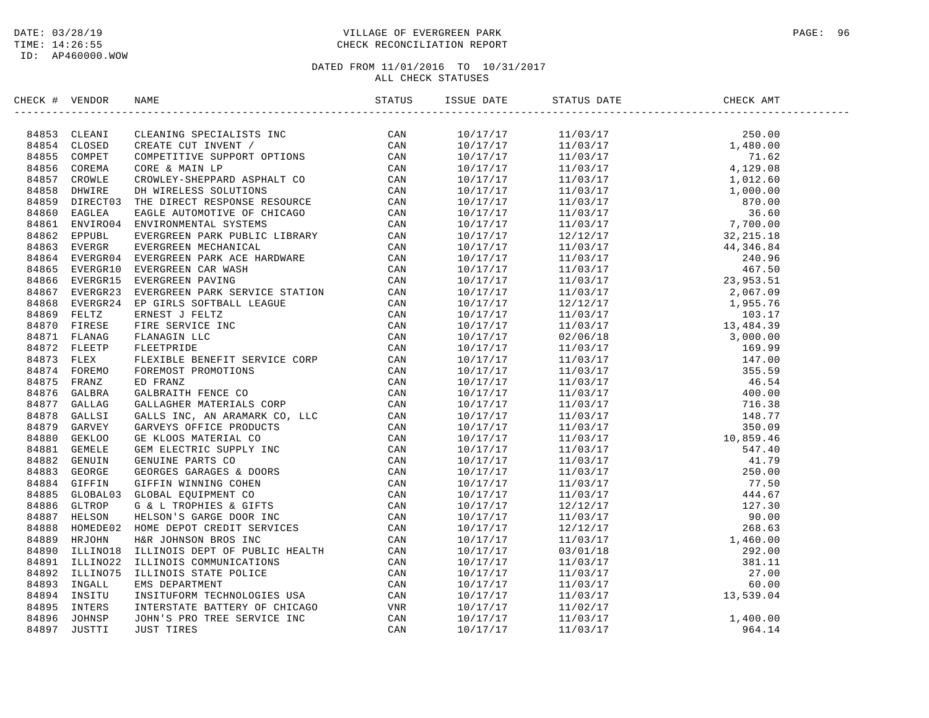# DATE: 03/28/19 PAGE: 96 PAGE: 96 PAGE: 96 PAGE: 96 PAGE: 96 PAGE: 96 PAGE: 96 PAGE: 96 PAGE: 96 TIME: 14:26:55 CHECK RECONCILIATION REPORT

| CHECK # VENDOR | NAME                                                                                                                                                                                                                                    | STATUS | ISSUE DATE | STATUS DATE                                                                                                                                                                                                                                                                                                | CHECK AMT |  |
|----------------|-----------------------------------------------------------------------------------------------------------------------------------------------------------------------------------------------------------------------------------------|--------|------------|------------------------------------------------------------------------------------------------------------------------------------------------------------------------------------------------------------------------------------------------------------------------------------------------------------|-----------|--|
|                | ECR # VERIOR MANIFORM SPECIALISTS INC.<br>1974-1987 CLEANING SPECIALISTS INC.<br>1974-1987 CLEANING SPECIALISTS INC.<br>1974-1988 CLEANING SPECIALISTS INC.<br>1974-1988 COOREN CONFIRM CONTROL SUPERVITY OF CAN<br>1988-1988 COOREN CR |        |            | $\begin{tabular}{l cccc} $10/17/17$ & $11/03/17$ & $1,62.00$ \\ \hline $10/17/17$ & $11/03/17$ & $1,62.00$ \\ \hline $10/17/17$ & $11/03/17$ & $1,62.00$ \\ \hline $10/17/17$ & $11/03/17$ & $1,62.60$ \\ \hline $10/17/17$ & $11/03/17$ & $1,62.60$ \\ \hline $10/17/17$ & $11/03/17$ & $1,602.60$ \\ \h$ |           |  |
|                |                                                                                                                                                                                                                                         |        |            |                                                                                                                                                                                                                                                                                                            |           |  |
|                |                                                                                                                                                                                                                                         |        |            |                                                                                                                                                                                                                                                                                                            |           |  |
|                |                                                                                                                                                                                                                                         |        |            |                                                                                                                                                                                                                                                                                                            |           |  |
|                |                                                                                                                                                                                                                                         |        |            |                                                                                                                                                                                                                                                                                                            |           |  |
|                |                                                                                                                                                                                                                                         |        |            |                                                                                                                                                                                                                                                                                                            |           |  |
|                |                                                                                                                                                                                                                                         |        |            |                                                                                                                                                                                                                                                                                                            |           |  |
|                |                                                                                                                                                                                                                                         |        |            |                                                                                                                                                                                                                                                                                                            |           |  |
|                |                                                                                                                                                                                                                                         |        |            |                                                                                                                                                                                                                                                                                                            |           |  |
|                |                                                                                                                                                                                                                                         |        |            |                                                                                                                                                                                                                                                                                                            |           |  |
|                |                                                                                                                                                                                                                                         |        |            |                                                                                                                                                                                                                                                                                                            |           |  |
|                |                                                                                                                                                                                                                                         |        |            |                                                                                                                                                                                                                                                                                                            |           |  |
|                |                                                                                                                                                                                                                                         |        |            |                                                                                                                                                                                                                                                                                                            |           |  |
|                |                                                                                                                                                                                                                                         |        |            |                                                                                                                                                                                                                                                                                                            |           |  |
|                |                                                                                                                                                                                                                                         |        |            |                                                                                                                                                                                                                                                                                                            |           |  |
|                |                                                                                                                                                                                                                                         |        |            |                                                                                                                                                                                                                                                                                                            |           |  |
|                |                                                                                                                                                                                                                                         |        |            |                                                                                                                                                                                                                                                                                                            |           |  |
|                |                                                                                                                                                                                                                                         |        |            |                                                                                                                                                                                                                                                                                                            |           |  |
|                |                                                                                                                                                                                                                                         |        |            |                                                                                                                                                                                                                                                                                                            |           |  |
|                |                                                                                                                                                                                                                                         |        |            |                                                                                                                                                                                                                                                                                                            |           |  |
|                |                                                                                                                                                                                                                                         |        |            |                                                                                                                                                                                                                                                                                                            |           |  |
|                |                                                                                                                                                                                                                                         |        |            |                                                                                                                                                                                                                                                                                                            |           |  |
|                |                                                                                                                                                                                                                                         |        |            |                                                                                                                                                                                                                                                                                                            |           |  |
|                |                                                                                                                                                                                                                                         |        |            |                                                                                                                                                                                                                                                                                                            |           |  |
|                |                                                                                                                                                                                                                                         |        |            |                                                                                                                                                                                                                                                                                                            |           |  |
|                |                                                                                                                                                                                                                                         |        |            |                                                                                                                                                                                                                                                                                                            |           |  |
|                |                                                                                                                                                                                                                                         |        |            |                                                                                                                                                                                                                                                                                                            |           |  |
|                |                                                                                                                                                                                                                                         |        |            |                                                                                                                                                                                                                                                                                                            |           |  |
|                |                                                                                                                                                                                                                                         |        |            |                                                                                                                                                                                                                                                                                                            |           |  |
|                |                                                                                                                                                                                                                                         |        |            |                                                                                                                                                                                                                                                                                                            |           |  |
|                |                                                                                                                                                                                                                                         |        |            |                                                                                                                                                                                                                                                                                                            |           |  |
|                |                                                                                                                                                                                                                                         |        |            |                                                                                                                                                                                                                                                                                                            |           |  |
|                |                                                                                                                                                                                                                                         |        |            |                                                                                                                                                                                                                                                                                                            |           |  |
|                |                                                                                                                                                                                                                                         |        |            |                                                                                                                                                                                                                                                                                                            |           |  |
|                |                                                                                                                                                                                                                                         |        |            |                                                                                                                                                                                                                                                                                                            |           |  |
|                |                                                                                                                                                                                                                                         |        |            |                                                                                                                                                                                                                                                                                                            |           |  |
|                |                                                                                                                                                                                                                                         |        |            |                                                                                                                                                                                                                                                                                                            |           |  |
|                |                                                                                                                                                                                                                                         |        |            |                                                                                                                                                                                                                                                                                                            |           |  |
|                |                                                                                                                                                                                                                                         |        |            |                                                                                                                                                                                                                                                                                                            |           |  |
|                |                                                                                                                                                                                                                                         |        |            |                                                                                                                                                                                                                                                                                                            |           |  |
|                |                                                                                                                                                                                                                                         |        |            |                                                                                                                                                                                                                                                                                                            |           |  |
|                |                                                                                                                                                                                                                                         |        |            |                                                                                                                                                                                                                                                                                                            |           |  |
|                |                                                                                                                                                                                                                                         |        |            |                                                                                                                                                                                                                                                                                                            |           |  |
|                |                                                                                                                                                                                                                                         |        |            |                                                                                                                                                                                                                                                                                                            |           |  |
|                |                                                                                                                                                                                                                                         |        | 10/17/17   | $\begin{array}{ccc}\n 11/02/17 & 1.400.00 \\  11/03/17 & 1.400.00 \\  11/03/17 & 964.14\n \end{array}$                                                                                                                                                                                                     |           |  |
|                |                                                                                                                                                                                                                                         |        | 10/17/17   |                                                                                                                                                                                                                                                                                                            |           |  |
|                |                                                                                                                                                                                                                                         |        | 10/17/17   |                                                                                                                                                                                                                                                                                                            |           |  |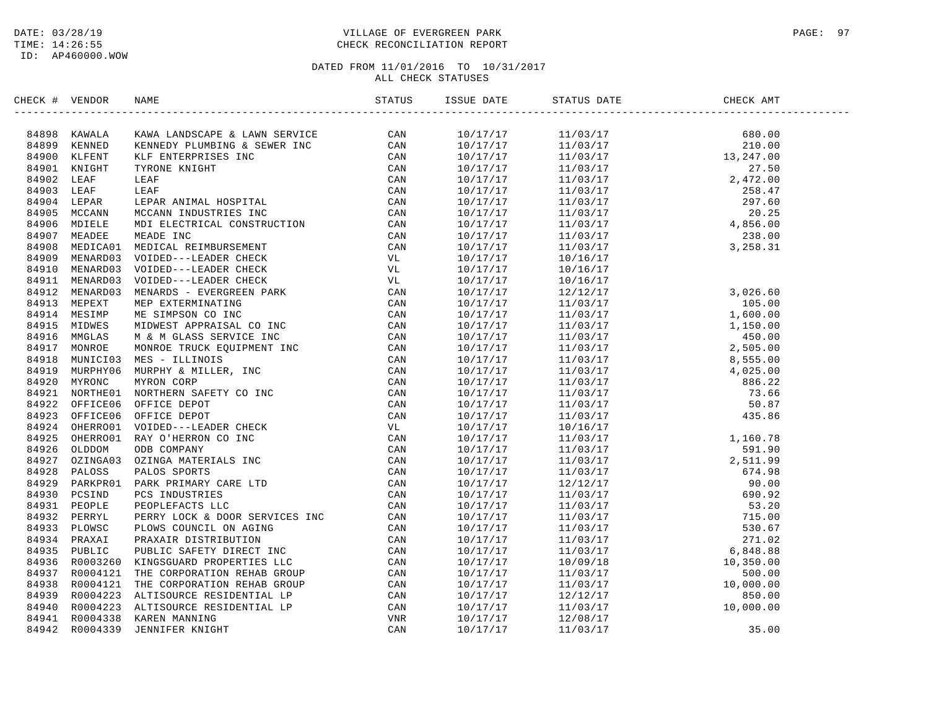# DATE: 03/28/19 PAGE: 97 PAGE: 97 TIME: 14:26:55 CHECK RECONCILIATION REPORT

| CHECK # | VENDOR | NAME                                                                                                                                                                                                                                     | ISSUE DATE           | STATUS DATE | CHECK AMT |
|---------|--------|------------------------------------------------------------------------------------------------------------------------------------------------------------------------------------------------------------------------------------------|----------------------|-------------|-----------|
|         |        |                                                                                                                                                                                                                                          |                      |             |           |
|         |        |                                                                                                                                                                                                                                          |                      |             |           |
|         |        |                                                                                                                                                                                                                                          |                      |             |           |
|         |        |                                                                                                                                                                                                                                          |                      |             |           |
|         |        |                                                                                                                                                                                                                                          |                      |             |           |
|         |        |                                                                                                                                                                                                                                          |                      |             |           |
|         |        |                                                                                                                                                                                                                                          |                      |             |           |
|         |        |                                                                                                                                                                                                                                          |                      |             |           |
|         |        |                                                                                                                                                                                                                                          |                      |             |           |
|         |        |                                                                                                                                                                                                                                          |                      |             |           |
|         |        |                                                                                                                                                                                                                                          |                      |             |           |
|         |        |                                                                                                                                                                                                                                          |                      |             |           |
|         |        |                                                                                                                                                                                                                                          | 10/17/17<br>10/17/17 | 10/16/17    |           |
|         |        |                                                                                                                                                                                                                                          | 10/17/17             | 10/16/17    |           |
|         |        |                                                                                                                                                                                                                                          |                      | 10/16/17    |           |
|         |        |                                                                                                                                                                                                                                          |                      |             |           |
|         |        |                                                                                                                                                                                                                                          |                      |             |           |
|         |        |                                                                                                                                                                                                                                          |                      |             |           |
|         |        |                                                                                                                                                                                                                                          |                      |             |           |
|         |        |                                                                                                                                                                                                                                          |                      |             |           |
|         |        |                                                                                                                                                                                                                                          |                      |             |           |
|         |        |                                                                                                                                                                                                                                          |                      |             |           |
|         |        |                                                                                                                                                                                                                                          |                      |             |           |
|         |        |                                                                                                                                                                                                                                          |                      |             |           |
|         |        |                                                                                                                                                                                                                                          |                      |             |           |
|         |        |                                                                                                                                                                                                                                          |                      |             |           |
|         |        |                                                                                                                                                                                                                                          |                      |             |           |
|         |        |                                                                                                                                                                                                                                          |                      |             |           |
|         |        |                                                                                                                                                                                                                                          |                      |             |           |
|         |        |                                                                                                                                                                                                                                          |                      |             |           |
|         |        |                                                                                                                                                                                                                                          |                      |             |           |
|         |        |                                                                                                                                                                                                                                          |                      |             |           |
|         |        |                                                                                                                                                                                                                                          |                      |             |           |
|         |        |                                                                                                                                                                                                                                          |                      |             |           |
|         |        |                                                                                                                                                                                                                                          |                      |             |           |
|         |        |                                                                                                                                                                                                                                          |                      |             |           |
|         |        |                                                                                                                                                                                                                                          |                      |             |           |
|         |        |                                                                                                                                                                                                                                          |                      |             |           |
|         |        |                                                                                                                                                                                                                                          |                      |             |           |
|         |        |                                                                                                                                                                                                                                          |                      |             |           |
|         |        |                                                                                                                                                                                                                                          |                      |             |           |
|         |        | 84931 PEOPLE PEOPLEFACTS LLC<br>84932 PERRYL PERRY LOCK & DOOR SERVICES INC<br>84933 PLOWSC PLOWS COUNCIL ON AGING<br>84934 PRAXAIT PRAXAIR DISTRIBUTION CAN<br>84935 PUBLIC PUBLIC SAFETY DIRECT INC<br>84936 RO003260 KINGSUARD PROPER |                      |             |           |
|         |        |                                                                                                                                                                                                                                          |                      |             |           |
|         |        |                                                                                                                                                                                                                                          |                      |             |           |
|         |        |                                                                                                                                                                                                                                          |                      |             |           |
|         |        |                                                                                                                                                                                                                                          |                      |             |           |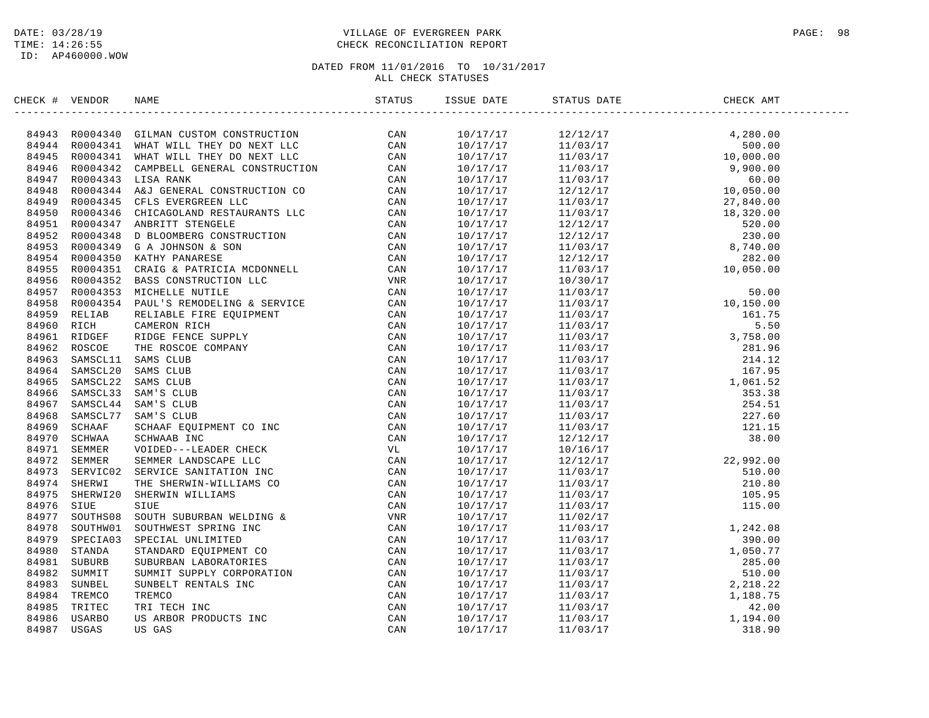# DATE: 03/28/19 PAGE: 98 PAGE: 98 TIME: 14:26:55 CHECK RECONCILIATION REPORT

| CHECK # VENDOR | NAME                                                                                                                                                                                                                                                                                                | ISSUE DATE | STATUS DATE                                                                                                                                                                                                                                                                      | CHECK AMT |  |
|----------------|-----------------------------------------------------------------------------------------------------------------------------------------------------------------------------------------------------------------------------------------------------------------------------------------------------|------------|----------------------------------------------------------------------------------------------------------------------------------------------------------------------------------------------------------------------------------------------------------------------------------|-----------|--|
|                | NECK + VERIDOS<br>1978<br>1978<br>1979<br>1979<br>1979<br>1979<br>1979<br>1979<br>1979<br>1979<br>1979<br>1979<br>1979<br>1979<br>1979<br>1979<br>1979<br>1979<br>1979<br>1979<br>1979<br>1979<br>1979<br>1979<br>1979<br>1979<br>1979<br>1979<br>1979<br>1979<br>1979<br>1979<br>1979<br>1979<br>1 |            | $\begin{array}{cccccccc} 1.304 & 0.44 & 0.44 & 0.44 & 0.44 & 0.44 & 0.44 & 0.44 & 0.44 & 0.44 & 0.44 & 0.44 & 0.44 & 0.44 & 0.44 & 0.44 & 0.44 & 0.44 & 0.44 & 0.44 & 0.44 & 0.44 & 0.44 & 0.44 & 0.44 & 0.44 & 0.44 & 0.44 & 0.44 & 0.44 & 0.44 & 0.44 & 0.44 & 0.44 & 0.44 & $ |           |  |
|                |                                                                                                                                                                                                                                                                                                     |            |                                                                                                                                                                                                                                                                                  |           |  |
|                |                                                                                                                                                                                                                                                                                                     |            |                                                                                                                                                                                                                                                                                  |           |  |
|                |                                                                                                                                                                                                                                                                                                     |            |                                                                                                                                                                                                                                                                                  |           |  |
|                |                                                                                                                                                                                                                                                                                                     |            |                                                                                                                                                                                                                                                                                  |           |  |
|                |                                                                                                                                                                                                                                                                                                     |            |                                                                                                                                                                                                                                                                                  |           |  |
|                |                                                                                                                                                                                                                                                                                                     |            |                                                                                                                                                                                                                                                                                  |           |  |
|                |                                                                                                                                                                                                                                                                                                     |            |                                                                                                                                                                                                                                                                                  |           |  |
|                |                                                                                                                                                                                                                                                                                                     |            |                                                                                                                                                                                                                                                                                  |           |  |
|                |                                                                                                                                                                                                                                                                                                     |            |                                                                                                                                                                                                                                                                                  |           |  |
|                |                                                                                                                                                                                                                                                                                                     |            |                                                                                                                                                                                                                                                                                  |           |  |
|                |                                                                                                                                                                                                                                                                                                     |            |                                                                                                                                                                                                                                                                                  |           |  |
|                |                                                                                                                                                                                                                                                                                                     |            |                                                                                                                                                                                                                                                                                  |           |  |
|                |                                                                                                                                                                                                                                                                                                     |            |                                                                                                                                                                                                                                                                                  |           |  |
|                |                                                                                                                                                                                                                                                                                                     |            |                                                                                                                                                                                                                                                                                  |           |  |
|                |                                                                                                                                                                                                                                                                                                     |            |                                                                                                                                                                                                                                                                                  |           |  |
|                |                                                                                                                                                                                                                                                                                                     |            |                                                                                                                                                                                                                                                                                  |           |  |
|                |                                                                                                                                                                                                                                                                                                     |            |                                                                                                                                                                                                                                                                                  |           |  |
|                |                                                                                                                                                                                                                                                                                                     |            |                                                                                                                                                                                                                                                                                  |           |  |
|                |                                                                                                                                                                                                                                                                                                     |            |                                                                                                                                                                                                                                                                                  |           |  |
|                |                                                                                                                                                                                                                                                                                                     |            |                                                                                                                                                                                                                                                                                  |           |  |
|                |                                                                                                                                                                                                                                                                                                     |            |                                                                                                                                                                                                                                                                                  |           |  |
|                |                                                                                                                                                                                                                                                                                                     |            |                                                                                                                                                                                                                                                                                  |           |  |
|                |                                                                                                                                                                                                                                                                                                     |            |                                                                                                                                                                                                                                                                                  |           |  |
|                |                                                                                                                                                                                                                                                                                                     |            |                                                                                                                                                                                                                                                                                  |           |  |
|                |                                                                                                                                                                                                                                                                                                     |            |                                                                                                                                                                                                                                                                                  |           |  |
|                |                                                                                                                                                                                                                                                                                                     |            |                                                                                                                                                                                                                                                                                  |           |  |
|                |                                                                                                                                                                                                                                                                                                     |            |                                                                                                                                                                                                                                                                                  |           |  |
|                |                                                                                                                                                                                                                                                                                                     |            |                                                                                                                                                                                                                                                                                  |           |  |
|                |                                                                                                                                                                                                                                                                                                     |            |                                                                                                                                                                                                                                                                                  |           |  |
|                |                                                                                                                                                                                                                                                                                                     |            |                                                                                                                                                                                                                                                                                  |           |  |
|                |                                                                                                                                                                                                                                                                                                     |            |                                                                                                                                                                                                                                                                                  |           |  |
|                |                                                                                                                                                                                                                                                                                                     |            |                                                                                                                                                                                                                                                                                  |           |  |
|                |                                                                                                                                                                                                                                                                                                     |            |                                                                                                                                                                                                                                                                                  |           |  |
|                |                                                                                                                                                                                                                                                                                                     |            |                                                                                                                                                                                                                                                                                  |           |  |
|                |                                                                                                                                                                                                                                                                                                     |            |                                                                                                                                                                                                                                                                                  |           |  |
|                |                                                                                                                                                                                                                                                                                                     |            |                                                                                                                                                                                                                                                                                  |           |  |
|                |                                                                                                                                                                                                                                                                                                     |            |                                                                                                                                                                                                                                                                                  |           |  |
|                |                                                                                                                                                                                                                                                                                                     |            |                                                                                                                                                                                                                                                                                  |           |  |
|                |                                                                                                                                                                                                                                                                                                     |            |                                                                                                                                                                                                                                                                                  |           |  |
|                |                                                                                                                                                                                                                                                                                                     |            |                                                                                                                                                                                                                                                                                  |           |  |
|                |                                                                                                                                                                                                                                                                                                     |            |                                                                                                                                                                                                                                                                                  |           |  |
|                |                                                                                                                                                                                                                                                                                                     |            |                                                                                                                                                                                                                                                                                  |           |  |
|                |                                                                                                                                                                                                                                                                                                     |            |                                                                                                                                                                                                                                                                                  |           |  |
|                |                                                                                                                                                                                                                                                                                                     |            |                                                                                                                                                                                                                                                                                  |           |  |
|                |                                                                                                                                                                                                                                                                                                     |            |                                                                                                                                                                                                                                                                                  |           |  |
|                |                                                                                                                                                                                                                                                                                                     |            |                                                                                                                                                                                                                                                                                  |           |  |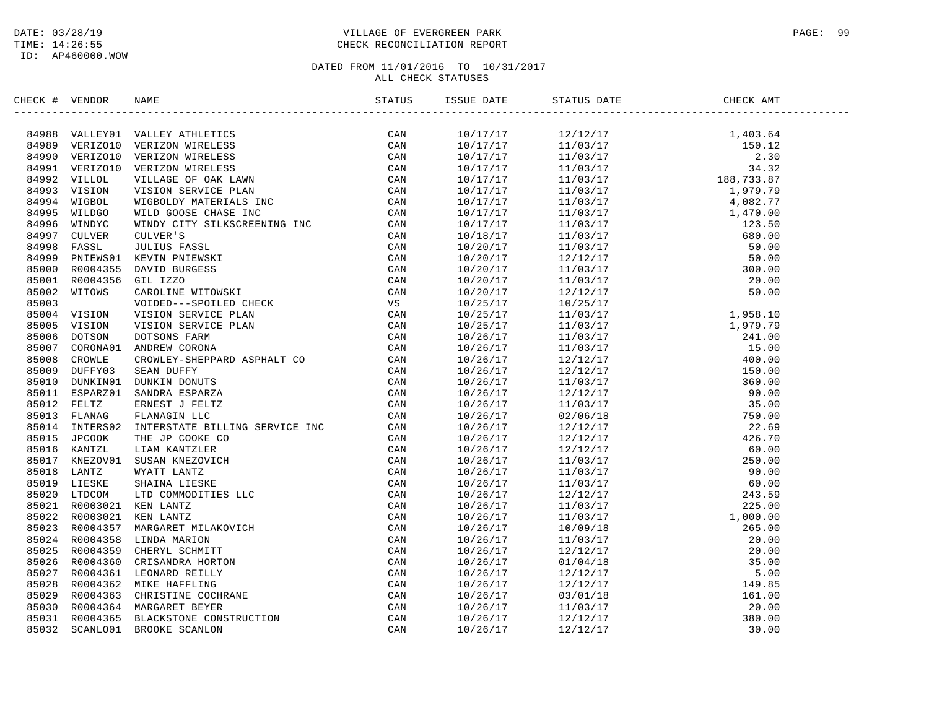# DATE: 03/28/19 PAGE: 99 TIME: 14:26:55 CHECK RECONCILIATION REPORT

| CHECK # VENDOR | NAME                                                                                                                                                                                                                                                                                                                                                                                                                                | STATUS | ISSUE DATE | STATUS DATE                                                                                                                                                                                                                                                                     | CHECK AMT |  |
|----------------|-------------------------------------------------------------------------------------------------------------------------------------------------------------------------------------------------------------------------------------------------------------------------------------------------------------------------------------------------------------------------------------------------------------------------------------|--------|------------|---------------------------------------------------------------------------------------------------------------------------------------------------------------------------------------------------------------------------------------------------------------------------------|-----------|--|
|                | $\begin{tabular}{cccccccc} \textbf{1} & \textbf{0} & \textbf{0} & \textbf{0} & \textbf{0} & \textbf{0} & \textbf{0} & \textbf{0} & \textbf{0} & \textbf{0} & \textbf{0} & \textbf{0} & \textbf{0} & \textbf{0} & \textbf{0} & \textbf{0} & \textbf{0} & \textbf{0} & \textbf{0} & \textbf{0} & \textbf{0} & \textbf{0} & \textbf{0} & \textbf{0} & \textbf{0} & \textbf{0} & \textbf{0} & \textbf{0} & \textbf{0} & \textbf{0} & \$ |        |            | $\begin{array}{cccccccc} 110/17/17 & 12/12/17 & 1 & 140.8 & 4 \\ 10/17/17 & 12/12/17 & 1 & 103.7 \\ 10/17/17 & 11/103/17 & 15 & 15 & 12 \\ 10/17/17 & 11/103/17 & 18 & 34 & 32 \\ 10/17/17 & 11/103/17 & 149.32 & 77 \\ 10/17/17 & 11/103/17 & 149.82 & 77 \\ 10/17/17 & 11/10$ |           |  |
|                |                                                                                                                                                                                                                                                                                                                                                                                                                                     |        |            |                                                                                                                                                                                                                                                                                 |           |  |
|                |                                                                                                                                                                                                                                                                                                                                                                                                                                     |        |            |                                                                                                                                                                                                                                                                                 |           |  |
|                |                                                                                                                                                                                                                                                                                                                                                                                                                                     |        |            |                                                                                                                                                                                                                                                                                 |           |  |
|                |                                                                                                                                                                                                                                                                                                                                                                                                                                     |        |            |                                                                                                                                                                                                                                                                                 |           |  |
|                |                                                                                                                                                                                                                                                                                                                                                                                                                                     |        |            |                                                                                                                                                                                                                                                                                 |           |  |
|                |                                                                                                                                                                                                                                                                                                                                                                                                                                     |        |            |                                                                                                                                                                                                                                                                                 |           |  |
|                |                                                                                                                                                                                                                                                                                                                                                                                                                                     |        |            |                                                                                                                                                                                                                                                                                 |           |  |
|                |                                                                                                                                                                                                                                                                                                                                                                                                                                     |        |            |                                                                                                                                                                                                                                                                                 |           |  |
|                |                                                                                                                                                                                                                                                                                                                                                                                                                                     |        |            |                                                                                                                                                                                                                                                                                 |           |  |
|                |                                                                                                                                                                                                                                                                                                                                                                                                                                     |        |            |                                                                                                                                                                                                                                                                                 |           |  |
|                |                                                                                                                                                                                                                                                                                                                                                                                                                                     |        |            |                                                                                                                                                                                                                                                                                 |           |  |
|                |                                                                                                                                                                                                                                                                                                                                                                                                                                     |        |            |                                                                                                                                                                                                                                                                                 |           |  |
|                |                                                                                                                                                                                                                                                                                                                                                                                                                                     |        |            |                                                                                                                                                                                                                                                                                 |           |  |
|                |                                                                                                                                                                                                                                                                                                                                                                                                                                     |        |            |                                                                                                                                                                                                                                                                                 |           |  |
|                |                                                                                                                                                                                                                                                                                                                                                                                                                                     |        |            |                                                                                                                                                                                                                                                                                 |           |  |
|                |                                                                                                                                                                                                                                                                                                                                                                                                                                     |        |            |                                                                                                                                                                                                                                                                                 |           |  |
|                |                                                                                                                                                                                                                                                                                                                                                                                                                                     |        |            |                                                                                                                                                                                                                                                                                 |           |  |
|                |                                                                                                                                                                                                                                                                                                                                                                                                                                     |        |            |                                                                                                                                                                                                                                                                                 |           |  |
|                |                                                                                                                                                                                                                                                                                                                                                                                                                                     |        |            |                                                                                                                                                                                                                                                                                 |           |  |
|                |                                                                                                                                                                                                                                                                                                                                                                                                                                     |        |            |                                                                                                                                                                                                                                                                                 |           |  |
|                |                                                                                                                                                                                                                                                                                                                                                                                                                                     |        |            |                                                                                                                                                                                                                                                                                 |           |  |
|                |                                                                                                                                                                                                                                                                                                                                                                                                                                     |        |            |                                                                                                                                                                                                                                                                                 |           |  |
|                |                                                                                                                                                                                                                                                                                                                                                                                                                                     |        |            |                                                                                                                                                                                                                                                                                 |           |  |
|                |                                                                                                                                                                                                                                                                                                                                                                                                                                     |        |            |                                                                                                                                                                                                                                                                                 |           |  |
|                |                                                                                                                                                                                                                                                                                                                                                                                                                                     |        |            |                                                                                                                                                                                                                                                                                 |           |  |
|                |                                                                                                                                                                                                                                                                                                                                                                                                                                     |        |            |                                                                                                                                                                                                                                                                                 |           |  |
|                |                                                                                                                                                                                                                                                                                                                                                                                                                                     |        |            |                                                                                                                                                                                                                                                                                 |           |  |
|                |                                                                                                                                                                                                                                                                                                                                                                                                                                     |        |            |                                                                                                                                                                                                                                                                                 |           |  |
|                |                                                                                                                                                                                                                                                                                                                                                                                                                                     |        |            |                                                                                                                                                                                                                                                                                 |           |  |
|                |                                                                                                                                                                                                                                                                                                                                                                                                                                     |        |            |                                                                                                                                                                                                                                                                                 |           |  |
|                |                                                                                                                                                                                                                                                                                                                                                                                                                                     |        |            |                                                                                                                                                                                                                                                                                 |           |  |
|                |                                                                                                                                                                                                                                                                                                                                                                                                                                     |        |            |                                                                                                                                                                                                                                                                                 |           |  |
|                |                                                                                                                                                                                                                                                                                                                                                                                                                                     |        |            |                                                                                                                                                                                                                                                                                 |           |  |
|                |                                                                                                                                                                                                                                                                                                                                                                                                                                     |        |            |                                                                                                                                                                                                                                                                                 |           |  |
|                |                                                                                                                                                                                                                                                                                                                                                                                                                                     |        |            |                                                                                                                                                                                                                                                                                 |           |  |
|                |                                                                                                                                                                                                                                                                                                                                                                                                                                     |        |            |                                                                                                                                                                                                                                                                                 |           |  |
|                |                                                                                                                                                                                                                                                                                                                                                                                                                                     |        |            |                                                                                                                                                                                                                                                                                 |           |  |
|                |                                                                                                                                                                                                                                                                                                                                                                                                                                     |        |            |                                                                                                                                                                                                                                                                                 |           |  |
|                |                                                                                                                                                                                                                                                                                                                                                                                                                                     |        |            |                                                                                                                                                                                                                                                                                 |           |  |
|                |                                                                                                                                                                                                                                                                                                                                                                                                                                     |        |            |                                                                                                                                                                                                                                                                                 |           |  |
|                |                                                                                                                                                                                                                                                                                                                                                                                                                                     |        |            |                                                                                                                                                                                                                                                                                 |           |  |
|                |                                                                                                                                                                                                                                                                                                                                                                                                                                     |        |            |                                                                                                                                                                                                                                                                                 |           |  |
|                |                                                                                                                                                                                                                                                                                                                                                                                                                                     |        |            |                                                                                                                                                                                                                                                                                 |           |  |
|                |                                                                                                                                                                                                                                                                                                                                                                                                                                     |        |            |                                                                                                                                                                                                                                                                                 |           |  |
|                |                                                                                                                                                                                                                                                                                                                                                                                                                                     |        |            |                                                                                                                                                                                                                                                                                 |           |  |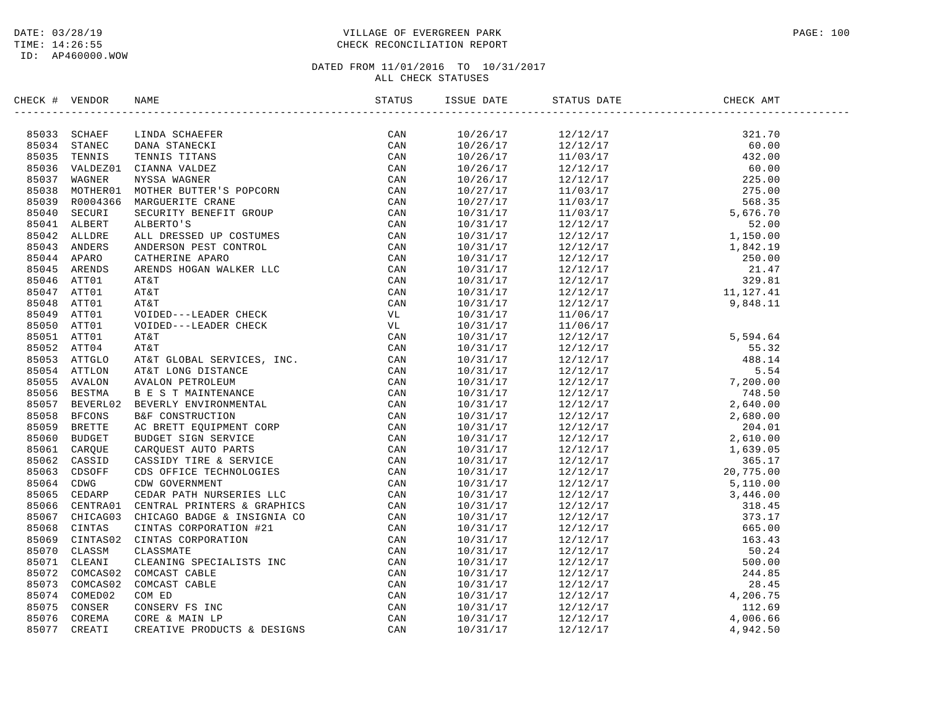# DATE: 03/28/19 PAGE: 100 TIME: 14:26:55 CHECK RECONCILIATION REPORT

| CHECK # VENDOR |                                                                                                                                                                                                                              | ISSUE DATE           | STATUS DATE                                                                                                                                                                                                                                                                           | CHECK AMT |  |
|----------------|------------------------------------------------------------------------------------------------------------------------------------------------------------------------------------------------------------------------------|----------------------|---------------------------------------------------------------------------------------------------------------------------------------------------------------------------------------------------------------------------------------------------------------------------------------|-----------|--|
|                | CE + VEHICA NEW SCHAPES (MARTIN CAN STREET AND STREET AND STREET AND CAN STREET AND CONSULTER THE CAN STREET AND CONSULTER THE CAN STREET AND MANUSCRIPT OF THE STREET AND ANNOUNCE IN THE STREET AND ANNOUNCE IN THE STREET |                      |                                                                                                                                                                                                                                                                                       |           |  |
|                |                                                                                                                                                                                                                              |                      |                                                                                                                                                                                                                                                                                       |           |  |
|                |                                                                                                                                                                                                                              |                      |                                                                                                                                                                                                                                                                                       |           |  |
|                |                                                                                                                                                                                                                              |                      |                                                                                                                                                                                                                                                                                       |           |  |
|                |                                                                                                                                                                                                                              |                      |                                                                                                                                                                                                                                                                                       |           |  |
|                |                                                                                                                                                                                                                              |                      |                                                                                                                                                                                                                                                                                       |           |  |
|                |                                                                                                                                                                                                                              |                      |                                                                                                                                                                                                                                                                                       |           |  |
|                |                                                                                                                                                                                                                              |                      |                                                                                                                                                                                                                                                                                       |           |  |
|                |                                                                                                                                                                                                                              |                      |                                                                                                                                                                                                                                                                                       |           |  |
|                |                                                                                                                                                                                                                              |                      |                                                                                                                                                                                                                                                                                       |           |  |
|                |                                                                                                                                                                                                                              |                      |                                                                                                                                                                                                                                                                                       |           |  |
|                |                                                                                                                                                                                                                              |                      |                                                                                                                                                                                                                                                                                       |           |  |
|                |                                                                                                                                                                                                                              |                      |                                                                                                                                                                                                                                                                                       |           |  |
|                |                                                                                                                                                                                                                              |                      |                                                                                                                                                                                                                                                                                       |           |  |
|                |                                                                                                                                                                                                                              |                      |                                                                                                                                                                                                                                                                                       |           |  |
|                |                                                                                                                                                                                                                              |                      |                                                                                                                                                                                                                                                                                       |           |  |
|                |                                                                                                                                                                                                                              |                      |                                                                                                                                                                                                                                                                                       |           |  |
|                |                                                                                                                                                                                                                              | 10/31/17             |                                                                                                                                                                                                                                                                                       |           |  |
|                |                                                                                                                                                                                                                              | 10/31/17             |                                                                                                                                                                                                                                                                                       |           |  |
|                |                                                                                                                                                                                                                              | 10/31/17             |                                                                                                                                                                                                                                                                                       |           |  |
|                |                                                                                                                                                                                                                              | 10/31/17             |                                                                                                                                                                                                                                                                                       |           |  |
|                |                                                                                                                                                                                                                              |                      |                                                                                                                                                                                                                                                                                       |           |  |
|                |                                                                                                                                                                                                                              | 10/31/17<br>10/31/17 |                                                                                                                                                                                                                                                                                       |           |  |
|                |                                                                                                                                                                                                                              |                      |                                                                                                                                                                                                                                                                                       |           |  |
|                |                                                                                                                                                                                                                              | 10/31/17             |                                                                                                                                                                                                                                                                                       |           |  |
|                |                                                                                                                                                                                                                              | 10/31/17             |                                                                                                                                                                                                                                                                                       |           |  |
|                |                                                                                                                                                                                                                              | 10/31/17             |                                                                                                                                                                                                                                                                                       |           |  |
|                |                                                                                                                                                                                                                              | 10/31/17             |                                                                                                                                                                                                                                                                                       |           |  |
|                |                                                                                                                                                                                                                              | 10/31/17             |                                                                                                                                                                                                                                                                                       |           |  |
|                |                                                                                                                                                                                                                              | 10/31/17             |                                                                                                                                                                                                                                                                                       |           |  |
|                |                                                                                                                                                                                                                              | 10/31/17             |                                                                                                                                                                                                                                                                                       |           |  |
|                |                                                                                                                                                                                                                              | 10/31/17             |                                                                                                                                                                                                                                                                                       |           |  |
|                |                                                                                                                                                                                                                              | 10/31/17             |                                                                                                                                                                                                                                                                                       |           |  |
|                |                                                                                                                                                                                                                              | 10/31/17             |                                                                                                                                                                                                                                                                                       |           |  |
|                |                                                                                                                                                                                                                              | 10/31/17             |                                                                                                                                                                                                                                                                                       |           |  |
|                |                                                                                                                                                                                                                              | 10/31/17             |                                                                                                                                                                                                                                                                                       |           |  |
|                |                                                                                                                                                                                                                              | 10/31/17             |                                                                                                                                                                                                                                                                                       |           |  |
|                |                                                                                                                                                                                                                              | 10/31/17             |                                                                                                                                                                                                                                                                                       |           |  |
|                |                                                                                                                                                                                                                              | 10/31/17             |                                                                                                                                                                                                                                                                                       |           |  |
|                |                                                                                                                                                                                                                              | 10/31/17             |                                                                                                                                                                                                                                                                                       |           |  |
|                |                                                                                                                                                                                                                              | 10/31/17             |                                                                                                                                                                                                                                                                                       |           |  |
|                |                                                                                                                                                                                                                              | 10/31/17             |                                                                                                                                                                                                                                                                                       |           |  |
|                |                                                                                                                                                                                                                              | 10/31/17             | $\begin{tabular}{l c c c c} $12/17$ & $5,640111$ \\ $11/06/17$ & $12/12/17$ & $5,594.64$ \\ $12/12/17$ & $5,594.64$ \\ $12/12/17$ & $5,594.64$ \\ $12/12/17$ & $5,540.00$ \\ $12/12/17$ & $7,200.00$ \\ $12/12/17$ & $7,68.50$ \\ $12/12/17$ & $2,680.00$ \\ $12/12/17$ & $2,680.00$$ |           |  |
|                |                                                                                                                                                                                                                              | 10/31/17             |                                                                                                                                                                                                                                                                                       |           |  |
|                |                                                                                                                                                                                                                              | 10/31/17             |                                                                                                                                                                                                                                                                                       |           |  |
|                |                                                                                                                                                                                                                              | 10/31/17             |                                                                                                                                                                                                                                                                                       |           |  |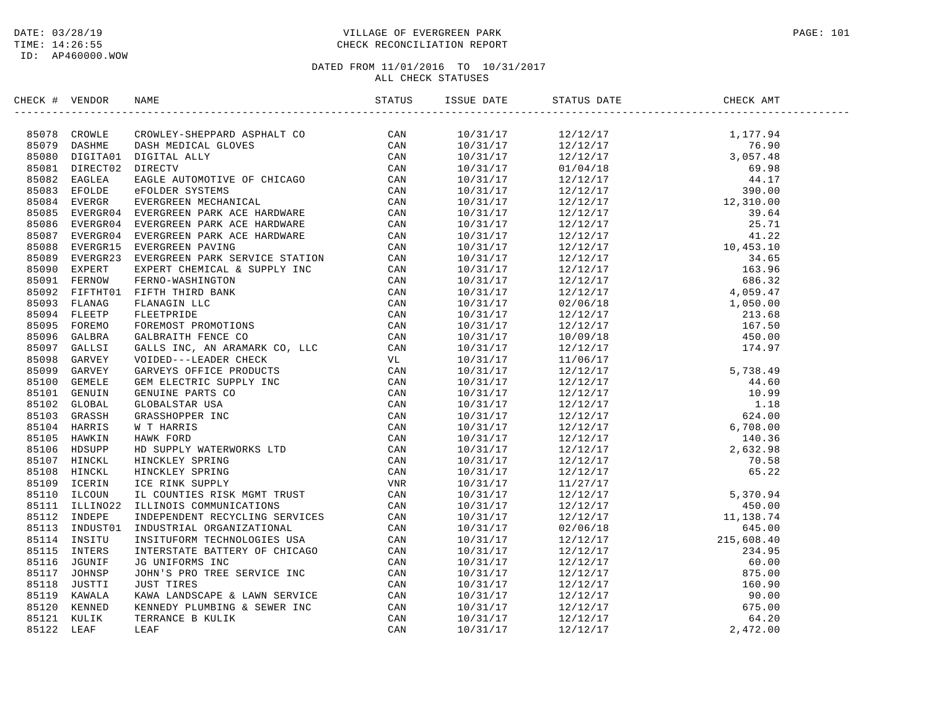# DATE: 03/28/19 PAGE: 101 TIME: 14:26:55 CHECK RECONCILIATION REPORT

| CHECK # VENDOR | NAME                                                                                                                                                                                                                                         | ISSUE DATE | STATUS DATE                                                                                                                                                                                                                                                                                                                                                                                   | CHECK AMT |  |
|----------------|----------------------------------------------------------------------------------------------------------------------------------------------------------------------------------------------------------------------------------------------|------------|-----------------------------------------------------------------------------------------------------------------------------------------------------------------------------------------------------------------------------------------------------------------------------------------------------------------------------------------------------------------------------------------------|-----------|--|
|                | SERIES (* 1980)<br>1982 - CHOMAR MARINE, EUREPARD ASPIALT COMMISSION (* 1987)<br>1982 - CHOMAR CHOMAR MEDICAL GLAVI (* 1987)<br>1983 - BOSS DIETROID DICITIAL ALLY (* 1987)<br>1983 - RADIA REDICAL GLAVI (* 1987)<br>1983 - RADIA REDICAL G |            | $\begin{tabular}{cccccccc} \hline \textbf{313} & \textbf{324} & \textbf{514} & \textbf{334} & \textbf{345} & \textbf{356} & \textbf{368} & \textbf{374} & \textbf{388} & \textbf{398} & \textbf{399} & \textbf{319} & \textbf{319} & \textbf{319} & \textbf{319} & \textbf{319} & \textbf{319} & \textbf{319} & \textbf{319} & \textbf{319} & \textbf{319} & \textbf{319} & \textbf{319} & \$ |           |  |
|                |                                                                                                                                                                                                                                              |            |                                                                                                                                                                                                                                                                                                                                                                                               |           |  |
|                |                                                                                                                                                                                                                                              |            |                                                                                                                                                                                                                                                                                                                                                                                               |           |  |
|                |                                                                                                                                                                                                                                              |            |                                                                                                                                                                                                                                                                                                                                                                                               |           |  |
|                |                                                                                                                                                                                                                                              |            |                                                                                                                                                                                                                                                                                                                                                                                               |           |  |
|                |                                                                                                                                                                                                                                              |            |                                                                                                                                                                                                                                                                                                                                                                                               |           |  |
|                |                                                                                                                                                                                                                                              |            |                                                                                                                                                                                                                                                                                                                                                                                               |           |  |
|                |                                                                                                                                                                                                                                              |            |                                                                                                                                                                                                                                                                                                                                                                                               |           |  |
|                |                                                                                                                                                                                                                                              |            |                                                                                                                                                                                                                                                                                                                                                                                               |           |  |
|                |                                                                                                                                                                                                                                              |            |                                                                                                                                                                                                                                                                                                                                                                                               |           |  |
|                |                                                                                                                                                                                                                                              |            |                                                                                                                                                                                                                                                                                                                                                                                               |           |  |
|                |                                                                                                                                                                                                                                              |            |                                                                                                                                                                                                                                                                                                                                                                                               |           |  |
|                |                                                                                                                                                                                                                                              |            |                                                                                                                                                                                                                                                                                                                                                                                               |           |  |
|                |                                                                                                                                                                                                                                              |            |                                                                                                                                                                                                                                                                                                                                                                                               |           |  |
|                |                                                                                                                                                                                                                                              |            |                                                                                                                                                                                                                                                                                                                                                                                               |           |  |
|                |                                                                                                                                                                                                                                              |            |                                                                                                                                                                                                                                                                                                                                                                                               |           |  |
|                |                                                                                                                                                                                                                                              |            |                                                                                                                                                                                                                                                                                                                                                                                               |           |  |
|                |                                                                                                                                                                                                                                              |            |                                                                                                                                                                                                                                                                                                                                                                                               |           |  |
|                |                                                                                                                                                                                                                                              |            |                                                                                                                                                                                                                                                                                                                                                                                               |           |  |
|                |                                                                                                                                                                                                                                              |            |                                                                                                                                                                                                                                                                                                                                                                                               |           |  |
|                |                                                                                                                                                                                                                                              |            |                                                                                                                                                                                                                                                                                                                                                                                               |           |  |
|                |                                                                                                                                                                                                                                              |            |                                                                                                                                                                                                                                                                                                                                                                                               |           |  |
|                |                                                                                                                                                                                                                                              |            |                                                                                                                                                                                                                                                                                                                                                                                               |           |  |
|                |                                                                                                                                                                                                                                              |            |                                                                                                                                                                                                                                                                                                                                                                                               |           |  |
|                |                                                                                                                                                                                                                                              |            |                                                                                                                                                                                                                                                                                                                                                                                               |           |  |
|                |                                                                                                                                                                                                                                              |            |                                                                                                                                                                                                                                                                                                                                                                                               |           |  |
|                |                                                                                                                                                                                                                                              |            |                                                                                                                                                                                                                                                                                                                                                                                               |           |  |
|                |                                                                                                                                                                                                                                              |            |                                                                                                                                                                                                                                                                                                                                                                                               |           |  |
|                |                                                                                                                                                                                                                                              |            |                                                                                                                                                                                                                                                                                                                                                                                               |           |  |
|                |                                                                                                                                                                                                                                              |            |                                                                                                                                                                                                                                                                                                                                                                                               |           |  |
|                |                                                                                                                                                                                                                                              |            |                                                                                                                                                                                                                                                                                                                                                                                               |           |  |
|                |                                                                                                                                                                                                                                              |            |                                                                                                                                                                                                                                                                                                                                                                                               |           |  |
|                |                                                                                                                                                                                                                                              |            |                                                                                                                                                                                                                                                                                                                                                                                               |           |  |
|                |                                                                                                                                                                                                                                              |            |                                                                                                                                                                                                                                                                                                                                                                                               |           |  |
|                |                                                                                                                                                                                                                                              |            |                                                                                                                                                                                                                                                                                                                                                                                               |           |  |
|                |                                                                                                                                                                                                                                              |            |                                                                                                                                                                                                                                                                                                                                                                                               |           |  |
|                |                                                                                                                                                                                                                                              |            |                                                                                                                                                                                                                                                                                                                                                                                               |           |  |
|                |                                                                                                                                                                                                                                              |            |                                                                                                                                                                                                                                                                                                                                                                                               |           |  |
|                |                                                                                                                                                                                                                                              |            |                                                                                                                                                                                                                                                                                                                                                                                               |           |  |
|                |                                                                                                                                                                                                                                              |            |                                                                                                                                                                                                                                                                                                                                                                                               |           |  |
|                |                                                                                                                                                                                                                                              |            |                                                                                                                                                                                                                                                                                                                                                                                               |           |  |
|                |                                                                                                                                                                                                                                              |            |                                                                                                                                                                                                                                                                                                                                                                                               |           |  |
|                |                                                                                                                                                                                                                                              |            |                                                                                                                                                                                                                                                                                                                                                                                               |           |  |
|                |                                                                                                                                                                                                                                              |            |                                                                                                                                                                                                                                                                                                                                                                                               |           |  |
|                |                                                                                                                                                                                                                                              |            |                                                                                                                                                                                                                                                                                                                                                                                               |           |  |
|                |                                                                                                                                                                                                                                              |            |                                                                                                                                                                                                                                                                                                                                                                                               |           |  |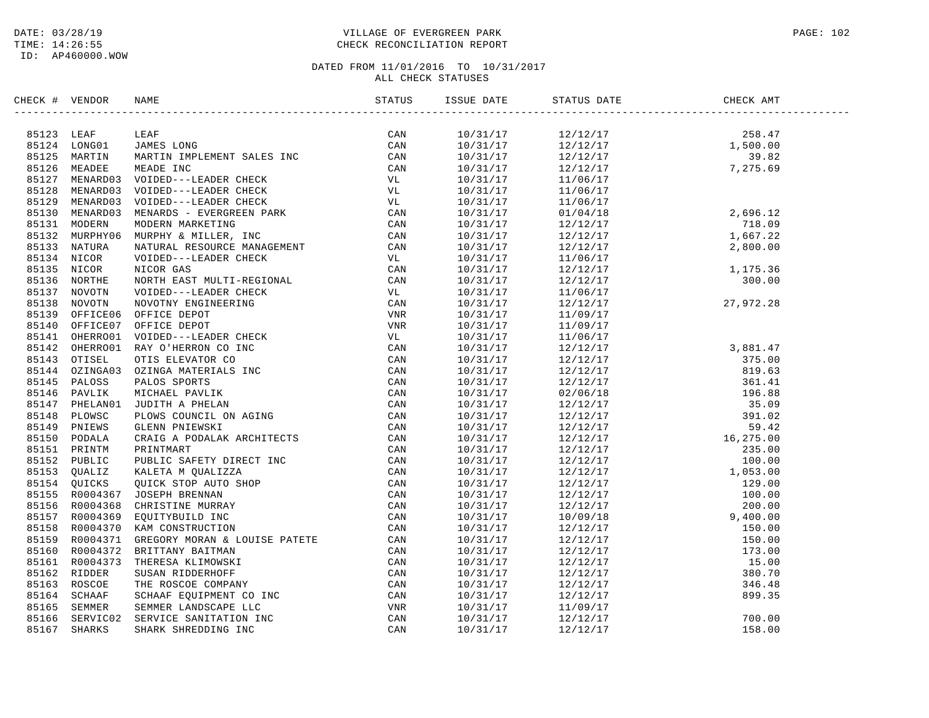# DATE: 03/28/19 PAGE: 102 TIME: 14:26:55 CHECK RECONCILIATION REPORT

| CHECK # VENDOR |                                                                                                                                                                                                                                                                                                                                                                                                                   | ISSUE DATE           | STATUS DATE                                                                                                                                                                                                                          | CHECK AMT |  |
|----------------|-------------------------------------------------------------------------------------------------------------------------------------------------------------------------------------------------------------------------------------------------------------------------------------------------------------------------------------------------------------------------------------------------------------------|----------------------|--------------------------------------------------------------------------------------------------------------------------------------------------------------------------------------------------------------------------------------|-----------|--|
|                | $\begin{tabular}{cccc} \textbf{ECK} & \textbf{W} & \textbf{WMDR} & \textbf{NAMB} & \textbf{SIMR} \\ \textbf{0.13} & \textbf{LBAF} & \textbf{LBAF} & \textbf{LBAF} & \textbf{LBAF} & \textbf{LBAF} \\ \textbf{0.24} & \textbf{LBAF} & \textbf{LBAF} & \textbf{LBAF} & \textbf{LBAF} & \textbf{LBAF} \\ \textbf{0.35} & \textbf{MABF} & \textbf{MABF} & \textbf{MABF} & \textbf{LBAF} & \textbf{LBAF} \\ \textbf{0$ |                      |                                                                                                                                                                                                                                      |           |  |
|                |                                                                                                                                                                                                                                                                                                                                                                                                                   |                      | $\begin{array}{cccc} 10/31/17 & 12/12/17 & 258.47 \\ 10/31/17 & 12/12/17 & 1,500.00 \\ 10/31/17 & 12/12/17 & 39.82 \\ 10/31/17 & 12/12/17 & 7,275.69 \end{array}$                                                                    |           |  |
|                |                                                                                                                                                                                                                                                                                                                                                                                                                   |                      |                                                                                                                                                                                                                                      |           |  |
|                |                                                                                                                                                                                                                                                                                                                                                                                                                   |                      |                                                                                                                                                                                                                                      |           |  |
|                |                                                                                                                                                                                                                                                                                                                                                                                                                   | 10/31/17             | 11/06/17                                                                                                                                                                                                                             |           |  |
|                |                                                                                                                                                                                                                                                                                                                                                                                                                   | 10/31/17             | 11/06/17                                                                                                                                                                                                                             |           |  |
|                |                                                                                                                                                                                                                                                                                                                                                                                                                   | 10/31/17             | $\begin{array}{cccc} 11/06/17 & & & & & \\ 11/06/17 & & & & & \\ 01/04/18 & & & & & 2\,696.12 \\ 12/12/17 & & & & 718.09 \\ 12/12/17 & & & & 1\,667.22 \\ 12/12/17 & & & & 2\,800.00 \end{array}$                                    |           |  |
|                |                                                                                                                                                                                                                                                                                                                                                                                                                   | 10/31/17             |                                                                                                                                                                                                                                      |           |  |
|                |                                                                                                                                                                                                                                                                                                                                                                                                                   | 10/31/17             |                                                                                                                                                                                                                                      |           |  |
|                |                                                                                                                                                                                                                                                                                                                                                                                                                   | 10/31/17             |                                                                                                                                                                                                                                      |           |  |
|                |                                                                                                                                                                                                                                                                                                                                                                                                                   | 10/31/17             |                                                                                                                                                                                                                                      |           |  |
|                |                                                                                                                                                                                                                                                                                                                                                                                                                   |                      |                                                                                                                                                                                                                                      |           |  |
|                |                                                                                                                                                                                                                                                                                                                                                                                                                   | 10/31/17<br>10/31/17 |                                                                                                                                                                                                                                      |           |  |
|                |                                                                                                                                                                                                                                                                                                                                                                                                                   | 10/31/17             | $\begin{array}{cccc}\n 12/12/17 & 2/33 & 1/35 & 30 & 0 & 0 \\  12/12/17 & 1 & 1/35 & 36 & 30 & 0 & 0 \\  12/12/17 & 2 & 30 & 0 & 0 & 0 \\  11/06/17 & 27 & 372 & 28 & 0 & 0 \\  1 & 1/00/17 & 2 & 27 & 972 & 28 & 0 \\  \end{array}$ |           |  |
|                |                                                                                                                                                                                                                                                                                                                                                                                                                   | 10/31/17             |                                                                                                                                                                                                                                      |           |  |
|                |                                                                                                                                                                                                                                                                                                                                                                                                                   | 10/31/17             |                                                                                                                                                                                                                                      |           |  |
|                |                                                                                                                                                                                                                                                                                                                                                                                                                   | 10/31/17             | 11/09/17                                                                                                                                                                                                                             |           |  |
|                |                                                                                                                                                                                                                                                                                                                                                                                                                   | 10/31/17             | 11/09/17                                                                                                                                                                                                                             |           |  |
|                |                                                                                                                                                                                                                                                                                                                                                                                                                   | 10/31/17             | 11/06/17                                                                                                                                                                                                                             |           |  |
|                |                                                                                                                                                                                                                                                                                                                                                                                                                   |                      |                                                                                                                                                                                                                                      |           |  |
|                |                                                                                                                                                                                                                                                                                                                                                                                                                   |                      |                                                                                                                                                                                                                                      |           |  |
|                |                                                                                                                                                                                                                                                                                                                                                                                                                   |                      |                                                                                                                                                                                                                                      |           |  |
|                |                                                                                                                                                                                                                                                                                                                                                                                                                   |                      |                                                                                                                                                                                                                                      |           |  |
|                |                                                                                                                                                                                                                                                                                                                                                                                                                   |                      |                                                                                                                                                                                                                                      |           |  |
|                |                                                                                                                                                                                                                                                                                                                                                                                                                   |                      |                                                                                                                                                                                                                                      |           |  |
|                |                                                                                                                                                                                                                                                                                                                                                                                                                   |                      |                                                                                                                                                                                                                                      |           |  |
|                |                                                                                                                                                                                                                                                                                                                                                                                                                   |                      |                                                                                                                                                                                                                                      |           |  |
|                |                                                                                                                                                                                                                                                                                                                                                                                                                   |                      |                                                                                                                                                                                                                                      |           |  |
|                |                                                                                                                                                                                                                                                                                                                                                                                                                   |                      |                                                                                                                                                                                                                                      |           |  |
|                |                                                                                                                                                                                                                                                                                                                                                                                                                   |                      |                                                                                                                                                                                                                                      |           |  |
|                |                                                                                                                                                                                                                                                                                                                                                                                                                   |                      |                                                                                                                                                                                                                                      |           |  |
|                |                                                                                                                                                                                                                                                                                                                                                                                                                   |                      |                                                                                                                                                                                                                                      |           |  |
|                |                                                                                                                                                                                                                                                                                                                                                                                                                   |                      |                                                                                                                                                                                                                                      |           |  |
|                |                                                                                                                                                                                                                                                                                                                                                                                                                   |                      |                                                                                                                                                                                                                                      |           |  |
|                |                                                                                                                                                                                                                                                                                                                                                                                                                   |                      |                                                                                                                                                                                                                                      |           |  |
|                |                                                                                                                                                                                                                                                                                                                                                                                                                   |                      |                                                                                                                                                                                                                                      |           |  |
|                |                                                                                                                                                                                                                                                                                                                                                                                                                   |                      |                                                                                                                                                                                                                                      |           |  |
|                |                                                                                                                                                                                                                                                                                                                                                                                                                   |                      |                                                                                                                                                                                                                                      |           |  |
|                |                                                                                                                                                                                                                                                                                                                                                                                                                   |                      |                                                                                                                                                                                                                                      |           |  |
|                |                                                                                                                                                                                                                                                                                                                                                                                                                   |                      |                                                                                                                                                                                                                                      |           |  |
|                |                                                                                                                                                                                                                                                                                                                                                                                                                   |                      |                                                                                                                                                                                                                                      |           |  |
|                |                                                                                                                                                                                                                                                                                                                                                                                                                   |                      |                                                                                                                                                                                                                                      |           |  |
|                |                                                                                                                                                                                                                                                                                                                                                                                                                   |                      |                                                                                                                                                                                                                                      |           |  |
|                |                                                                                                                                                                                                                                                                                                                                                                                                                   |                      |                                                                                                                                                                                                                                      |           |  |
|                |                                                                                                                                                                                                                                                                                                                                                                                                                   |                      |                                                                                                                                                                                                                                      |           |  |